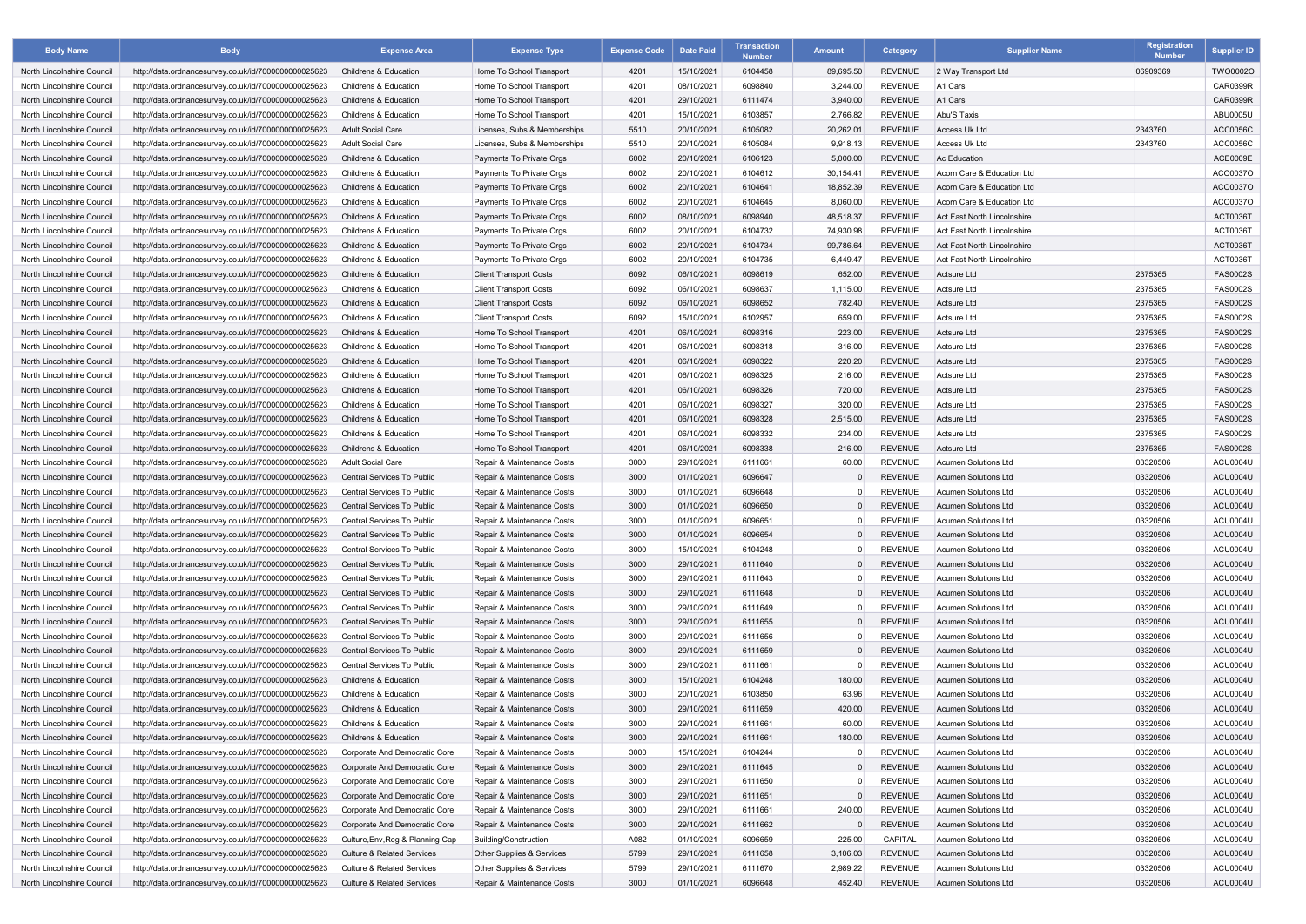| <b>Body Name</b>           | <b>Body</b>                                          | <b>Expense Area</b>                   | <b>Expense Type</b>           | <b>Expense Code</b> | <b>Date Paid</b> | Transaction<br><b>Number</b> | <b>Amount</b> | Category       | <b>Supplier Name</b>               | Registration<br><b>Number</b> | <b>Supplier ID</b> |
|----------------------------|------------------------------------------------------|---------------------------------------|-------------------------------|---------------------|------------------|------------------------------|---------------|----------------|------------------------------------|-------------------------------|--------------------|
| North Lincolnshire Council | http://data.ordnancesurvey.co.uk/id/7000000000025623 | <b>Childrens &amp; Education</b>      | Home To School Transport      | 4201                | 15/10/2021       | 6104458                      | 89,695.50     | <b>REVENUE</b> | 2 Way Transport Ltd                | 06909369                      | <b>TWO0002O</b>    |
| North Lincolnshire Council | http://data.ordnancesurvey.co.uk/id/7000000000025623 | <b>Childrens &amp; Education</b>      | Home To School Transport      | 4201                | 08/10/2021       | 6098840                      | 3,244.00      | <b>REVENUE</b> | A1 Cars                            |                               | <b>CAR0399R</b>    |
| North Lincolnshire Council | http://data.ordnancesurvey.co.uk/id/7000000000025623 | <b>Childrens &amp; Education</b>      | Home To School Transport      | 4201                | 29/10/2021       | 6111474                      | 3,940.00      | <b>REVENUE</b> | A <sub>1</sub> Cars                |                               | <b>CAR0399R</b>    |
| North Lincolnshire Council | http://data.ordnancesurvey.co.uk/id/7000000000025623 | Childrens & Education                 | Home To School Transport      | 4201                | 15/10/2021       | 6103857                      | 2,766.82      | <b>REVENUE</b> | Abu'S Taxis                        |                               | ABU0005U           |
| North Lincolnshire Council | http://data.ordnancesurvey.co.uk/id/7000000000025623 | <b>Adult Social Care</b>              | Licenses, Subs & Memberships  | 5510                | 20/10/2021       | 6105082                      | 20,262.01     | <b>REVENUE</b> | Access Uk Ltd                      | 2343760                       | ACC0056C           |
| North Lincolnshire Council | http://data.ordnancesurvey.co.uk/id/7000000000025623 | Adult Social Care                     | Licenses, Subs & Memberships  | 5510                | 20/10/2021       | 6105084                      | 9,918.13      | <b>REVENUE</b> | Access Uk Ltd                      | 2343760                       | ACC0056C           |
| North Lincolnshire Council | http://data.ordnancesurvey.co.uk/id/7000000000025623 | <b>Childrens &amp; Education</b>      | Payments To Private Orgs      | 6002                | 20/10/2021       | 6106123                      | 5,000.00      | <b>REVENUE</b> | <b>Ac Education</b>                |                               | <b>ACE0009E</b>    |
| North Lincolnshire Council | http://data.ordnancesurvey.co.uk/id/7000000000025623 | <b>Childrens &amp; Education</b>      | Payments To Private Orgs      | 6002                | 20/10/2021       | 6104612                      | 30,154.41     | <b>REVENUE</b> | Acorn Care & Education Ltd         |                               | ACO0037O           |
| North Lincolnshire Council | http://data.ordnancesurvey.co.uk/id/7000000000025623 | <b>Childrens &amp; Education</b>      | Payments To Private Orgs      | 6002                | 20/10/2021       | 6104641                      | 18,852.39     | <b>REVENUE</b> | Acorn Care & Education Ltd         |                               | ACO0037O           |
| North Lincolnshire Council | http://data.ordnancesurvey.co.uk/id/7000000000025623 | <b>Childrens &amp; Education</b>      | Payments To Private Orgs      | 6002                | 20/10/2021       | 6104645                      | 8,060.00      | <b>REVENUE</b> | Acorn Care & Education Ltd         |                               | ACO0037C           |
| North Lincolnshire Council | http://data.ordnancesurvey.co.uk/id/7000000000025623 | <b>Childrens &amp; Education</b>      | Payments To Private Orgs      | 6002                | 08/10/2021       | 6098940                      | 48,518.37     | <b>REVENUE</b> | <b>Act Fast North Lincolnshire</b> |                               | <b>ACT0036T</b>    |
| North Lincolnshire Council | http://data.ordnancesurvey.co.uk/id/7000000000025623 | <b>Childrens &amp; Education</b>      | Payments To Private Orgs      | 6002                | 20/10/2021       | 6104732                      | 74,930.98     | <b>REVENUE</b> | Act Fast North Lincolnshire        |                               | ACT0036T           |
| North Lincolnshire Council | http://data.ordnancesurvey.co.uk/id/7000000000025623 | <b>Childrens &amp; Education</b>      | Payments To Private Orgs      | 6002                | 20/10/2021       | 6104734                      | 99,786.64     | <b>REVENUE</b> | Act Fast North Lincolnshire        |                               | ACT0036T           |
| North Lincolnshire Council | http://data.ordnancesurvey.co.uk/id/7000000000025623 | Childrens & Education                 | Payments To Private Orgs      | 6002                | 20/10/2021       | 6104735                      | 6,449.47      | <b>REVENUE</b> | Act Fast North Lincolnshire        |                               | ACT0036T           |
| North Lincolnshire Council | http://data.ordnancesurvey.co.uk/id/7000000000025623 | <b>Childrens &amp; Education</b>      | <b>Client Transport Costs</b> | 6092                | 06/10/2021       | 6098619                      | 652.00        | <b>REVENUE</b> | <b>Actsure Ltd</b>                 | 2375365                       | <b>FAS0002S</b>    |
| North Lincolnshire Council | http://data.ordnancesurvey.co.uk/id/7000000000025623 | <b>Childrens &amp; Education</b>      | <b>Client Transport Costs</b> | 6092                | 06/10/2021       | 6098637                      | 1,115.00      | <b>REVENUE</b> | Actsure Ltd                        | 2375365                       | <b>FAS0002S</b>    |
| North Lincolnshire Council | http://data.ordnancesurvey.co.uk/id/7000000000025623 | <b>Childrens &amp; Education</b>      | <b>Client Transport Costs</b> | 6092                | 06/10/2021       | 6098652                      | 782.40        | <b>REVENUE</b> | <b>Actsure Ltd</b>                 | 2375365                       | <b>FAS0002S</b>    |
| North Lincolnshire Council | http://data.ordnancesurvey.co.uk/id/7000000000025623 | <b>Childrens &amp; Education</b>      | <b>Client Transport Costs</b> | 6092                | 15/10/2021       | 6102957                      | 659.00        | <b>REVENUE</b> | Actsure Ltd                        | 2375365                       | <b>FAS0002S</b>    |
| North Lincolnshire Council |                                                      | <b>Childrens &amp; Education</b>      |                               | 4201                | 06/10/2021       | 6098316                      | 223.00        | <b>REVENUE</b> |                                    | 2375365                       | <b>FAS0002S</b>    |
|                            | http://data.ordnancesurvey.co.uk/id/7000000000025623 |                                       | Home To School Transport      |                     |                  |                              |               |                | Actsure Ltd                        |                               |                    |
| North Lincolnshire Council | http://data.ordnancesurvey.co.uk/id/7000000000025623 | <b>Childrens &amp; Education</b>      | Home To School Transport      | 4201                | 06/10/2021       | 6098318                      | 316.00        | <b>REVENUE</b> | Actsure Ltd                        | 2375365                       | <b>FAS0002S</b>    |
| North Lincolnshire Council | http://data.ordnancesurvey.co.uk/id/7000000000025623 | <b>Childrens &amp; Education</b>      | Home To School Transport      | 4201                | 06/10/2021       | 6098322                      | 220.20        | <b>REVENUE</b> | <b>Actsure Ltd</b>                 | 2375365                       | <b>FAS0002S</b>    |
| North Lincolnshire Council | http://data.ordnancesurvey.co.uk/id/7000000000025623 | <b>Childrens &amp; Education</b>      | Home To School Transport      | 4201                | 06/10/2021       | 6098325                      | 216.00        | <b>REVENUE</b> | Actsure Ltd                        | 2375365                       | <b>FAS0002S</b>    |
| North Lincolnshire Council | http://data.ordnancesurvey.co.uk/id/7000000000025623 | <b>Childrens &amp; Education</b>      | Home To School Transport      | 4201                | 06/10/2021       | 6098326                      | 720.00        | <b>REVENUE</b> | Actsure Ltd                        | 2375365                       | <b>FAS0002S</b>    |
| North Lincolnshire Council | http://data.ordnancesurvey.co.uk/id/7000000000025623 | Childrens & Education                 | Home To School Transport      | 4201                | 06/10/2021       | 6098327                      | 320.00        | <b>REVENUE</b> | Actsure Ltd                        | 2375365                       | <b>FAS0002S</b>    |
| North Lincolnshire Council | http://data.ordnancesurvey.co.uk/id/7000000000025623 | <b>Childrens &amp; Education</b>      | Home To School Transport      | 4201                | 06/10/2021       | 6098328                      | 2,515.00      | <b>REVENUE</b> | Actsure Ltd                        | 2375365                       | <b>FAS0002S</b>    |
| North Lincolnshire Council | http://data.ordnancesurvey.co.uk/id/7000000000025623 | <b>Childrens &amp; Education</b>      | Home To School Transport      | 4201                | 06/10/2021       | 6098332                      | 234.00        | <b>REVENUE</b> | Actsure Ltd                        | 2375365                       | <b>FAS0002S</b>    |
| North Lincolnshire Council | http://data.ordnancesurvey.co.uk/id/7000000000025623 | <b>Childrens &amp; Education</b>      | Home To School Transport      | 4201                | 06/10/2021       | 6098338                      | 216.00        | <b>REVENUE</b> | Actsure Ltd                        | 2375365                       | <b>FAS0002S</b>    |
| North Lincolnshire Council | http://data.ordnancesurvey.co.uk/id/7000000000025623 | <b>Adult Social Care</b>              | Repair & Maintenance Costs    | 3000                | 29/10/2021       | 6111661                      | 60.00         | <b>REVENUE</b> | Acumen Solutions Ltd               | 03320506                      | ACU0004U           |
| North Lincolnshire Council | http://data.ordnancesurvey.co.uk/id/7000000000025623 | Central Services To Public            | Repair & Maintenance Costs    | 3000                | 01/10/2021       | 6096647                      |               | <b>REVENUE</b> | Acumen Solutions Ltd               | 03320506                      | ACU0004U           |
| North Lincolnshire Council | http://data.ordnancesurvey.co.uk/id/7000000000025623 | <b>Central Services To Public</b>     | Repair & Maintenance Costs    | 3000                | 01/10/2021       | 6096648                      |               | <b>REVENUE</b> | Acumen Solutions Ltd               | 03320506                      | ACU0004U           |
| North Lincolnshire Council | http://data.ordnancesurvey.co.uk/id/7000000000025623 | Central Services To Public            | Repair & Maintenance Costs    | 3000                | 01/10/2021       | 6096650                      |               | <b>REVENUE</b> | <b>Acumen Solutions Ltd</b>        | 03320506                      | ACU0004U           |
| North Lincolnshire Council | http://data.ordnancesurvey.co.uk/id/7000000000025623 | Central Services To Public            | Repair & Maintenance Costs    | 3000                | 01/10/2021       | 609665                       |               | <b>REVENUE</b> | Acumen Solutions Ltd               | 03320506                      | ACU0004U           |
| North Lincolnshire Council | http://data.ordnancesurvey.co.uk/id/7000000000025623 | Central Services To Public            | Repair & Maintenance Costs    | 3000                | 01/10/2021       | 6096654                      |               | REVENUE        | Acumen Solutions Ltd               | 03320506                      | ACU0004U           |
| North Lincolnshire Council | http://data.ordnancesurvey.co.uk/id/7000000000025623 | Central Services To Public            | Repair & Maintenance Costs    | 3000                | 15/10/2021       | 6104248                      |               | <b>REVENUE</b> | Acumen Solutions Ltd               | 03320506                      | ACU0004U           |
| North Lincolnshire Council | http://data.ordnancesurvey.co.uk/id/7000000000025623 | Central Services To Public            | Repair & Maintenance Costs    | 3000                | 29/10/2021       | 6111640                      |               | <b>REVENUE</b> | Acumen Solutions Ltd               | 03320506                      | ACU0004U           |
| North Lincolnshire Council | http://data.ordnancesurvey.co.uk/id/7000000000025623 | Central Services To Public            | Repair & Maintenance Costs    | 3000                | 29/10/2021       | 6111643                      |               | <b>REVENUE</b> | Acumen Solutions Ltd               | 03320506                      | ACU0004U           |
| North Lincolnshire Council | http://data.ordnancesurvey.co.uk/id/7000000000025623 | Central Services To Public            | Repair & Maintenance Costs    | 3000                | 29/10/2021       | 6111648                      |               | <b>REVENUE</b> | Acumen Solutions Ltd               | 03320506                      | ACU0004U           |
| North Lincolnshire Council | http://data.ordnancesurvey.co.uk/id/7000000000025623 | Central Services To Public            | Repair & Maintenance Costs    | 3000                | 29/10/2021       | 6111649                      |               | <b>REVENUE</b> | <b>Acumen Solutions Ltd</b>        | 03320506                      | ACU0004U           |
| North Lincolnshire Council | http://data.ordnancesurvey.co.uk/id/7000000000025623 | Central Services To Public            | Repair & Maintenance Costs    | 3000                | 29/10/2021       | 6111655                      |               | <b>REVENUE</b> | Acumen Solutions Ltd               | 03320506                      | ACU0004U           |
| North Lincolnshire Council | http://data.ordnancesurvey.co.uk/id/7000000000025623 | Central Services To Public            | Repair & Maintenance Costs    | 3000                | 29/10/2021       | 6111656                      |               | <b>REVENUE</b> | <b>Acumen Solutions Ltd</b>        | 03320506                      | ACU0004U           |
| North Lincolnshire Council | http://data.ordnancesurvey.co.uk/id/7000000000025623 | Central Services To Public            | Repair & Maintenance Costs    | 3000                | 29/10/2021       | 6111659                      |               | <b>REVENUE</b> | <b>Acumen Solutions Ltd</b>        | 03320506                      | <b>ACU0004U</b>    |
| North Lincolnshire Council | http://data.ordnancesurvey.co.uk/id/7000000000025623 | Central Services To Public            | Repair & Maintenance Costs    | 3000                | 29/10/2021       | 6111661                      |               | <b>REVENUE</b> | <b>Acumen Solutions Ltd</b>        | 03320506                      | ACU0004U           |
| North Lincolnshire Council | http://data.ordnancesurvey.co.uk/id/7000000000025623 | Childrens & Education                 | Repair & Maintenance Costs    | 3000                | 15/10/2021       | 6104248                      | 180.00        | <b>REVENUE</b> | <b>Acumen Solutions Ltd</b>        | 03320506                      | <b>ACU0004U</b>    |
| North Lincolnshire Council | http://data.ordnancesurvey.co.uk/id/7000000000025623 | Childrens & Education                 | Repair & Maintenance Costs    | 3000                | 20/10/2021       | 6103850                      | 63.96         | <b>REVENUE</b> | <b>Acumen Solutions Ltd</b>        | 03320506                      | ACU0004U           |
| North Lincolnshire Council | http://data.ordnancesurvey.co.uk/id/7000000000025623 | Childrens & Education                 | Repair & Maintenance Costs    | 3000                | 29/10/2021       | 6111659                      | 420.00        | <b>REVENUE</b> | Acumen Solutions Ltd               | 03320506                      | ACU0004U           |
| North Lincolnshire Council | http://data.ordnancesurvey.co.uk/id/7000000000025623 | Childrens & Education                 | Repair & Maintenance Costs    | 3000                | 29/10/2021       | 6111661                      | 60.00         | <b>REVENUE</b> | <b>Acumen Solutions Ltd</b>        | 03320506                      | ACU0004U           |
| North Lincolnshire Council | http://data.ordnancesurvey.co.uk/id/7000000000025623 | Childrens & Education                 | Repair & Maintenance Costs    | 3000                | 29/10/2021       | 6111661                      | 180.00        | <b>REVENUE</b> | <b>Acumen Solutions Ltd</b>        | 03320506                      | ACU0004U           |
| North Lincolnshire Council | http://data.ordnancesurvey.co.uk/id/7000000000025623 | Corporate And Democratic Core         | Repair & Maintenance Costs    | 3000                | 15/10/2021       | 6104244                      |               | <b>REVENUE</b> | <b>Acumen Solutions Ltd</b>        | 03320506                      | ACU0004U           |
| North Lincolnshire Council | http://data.ordnancesurvey.co.uk/id/7000000000025623 | Corporate And Democratic Core         | Repair & Maintenance Costs    | 3000                | 29/10/2021       | 6111645                      |               | <b>REVENUE</b> | Acumen Solutions Ltd               | 03320506                      | ACU0004U           |
| North Lincolnshire Council | http://data.ordnancesurvey.co.uk/id/7000000000025623 | Corporate And Democratic Core         | Repair & Maintenance Costs    | 3000                | 29/10/2021       | 6111650                      |               | <b>REVENUE</b> | <b>Acumen Solutions Ltd</b>        | 03320506                      | ACU0004U           |
| North Lincolnshire Council | http://data.ordnancesurvey.co.uk/id/7000000000025623 | Corporate And Democratic Core         | Repair & Maintenance Costs    | 3000                | 29/10/2021       | 6111651                      |               | <b>REVENUE</b> | <b>Acumen Solutions Ltd</b>        | 03320506                      | ACU0004U           |
| North Lincolnshire Council | http://data.ordnancesurvey.co.uk/id/7000000000025623 | Corporate And Democratic Core         | Repair & Maintenance Costs    | 3000                | 29/10/2021       | 6111661                      | 240.00        | <b>REVENUE</b> | Acumen Solutions Ltd               | 03320506                      | ACU0004U           |
| North Lincolnshire Council | http://data.ordnancesurvey.co.uk/id/7000000000025623 | Corporate And Democratic Core         | Repair & Maintenance Costs    | 3000                | 29/10/2021       | 6111662                      |               | <b>REVENUE</b> | Acumen Solutions Ltd               | 03320506                      | ACU0004U           |
| North Lincolnshire Council | http://data.ordnancesurvey.co.uk/id/7000000000025623 | Culture, Env, Reg & Planning Cap      | <b>Building/Construction</b>  | A082                | 01/10/2021       | 6096659                      | 225.00        | <b>CAPITAL</b> | Acumen Solutions Ltd               | 03320506                      | ACU0004U           |
| North Lincolnshire Council | http://data.ordnancesurvey.co.uk/id/7000000000025623 | <b>Culture &amp; Related Services</b> | Other Supplies & Services     | 5799                | 29/10/2021       | 6111658                      | 3,106.03      | <b>REVENUE</b> | <b>Acumen Solutions Ltd</b>        | 03320506                      | ACU0004U           |
| North Lincolnshire Council | http://data.ordnancesurvey.co.uk/id/7000000000025623 | <b>Culture &amp; Related Services</b> | Other Supplies & Services     | 5799                | 29/10/2021       | 6111670                      | 2,989.22      | <b>REVENUE</b> | <b>Acumen Solutions Ltd</b>        | 03320506                      | ACU0004U           |
| North Lincolnshire Council | http://data.ordnancesurvey.co.uk/id/7000000000025623 | <b>Culture &amp; Related Services</b> | Repair & Maintenance Costs    | 3000                | 01/10/2021       | 6096648                      | 452.40        | <b>REVENUE</b> | Acumen Solutions Ltd               | 03320506                      | <b>ACU0004U</b>    |
|                            |                                                      |                                       |                               |                     |                  |                              |               |                |                                    |                               |                    |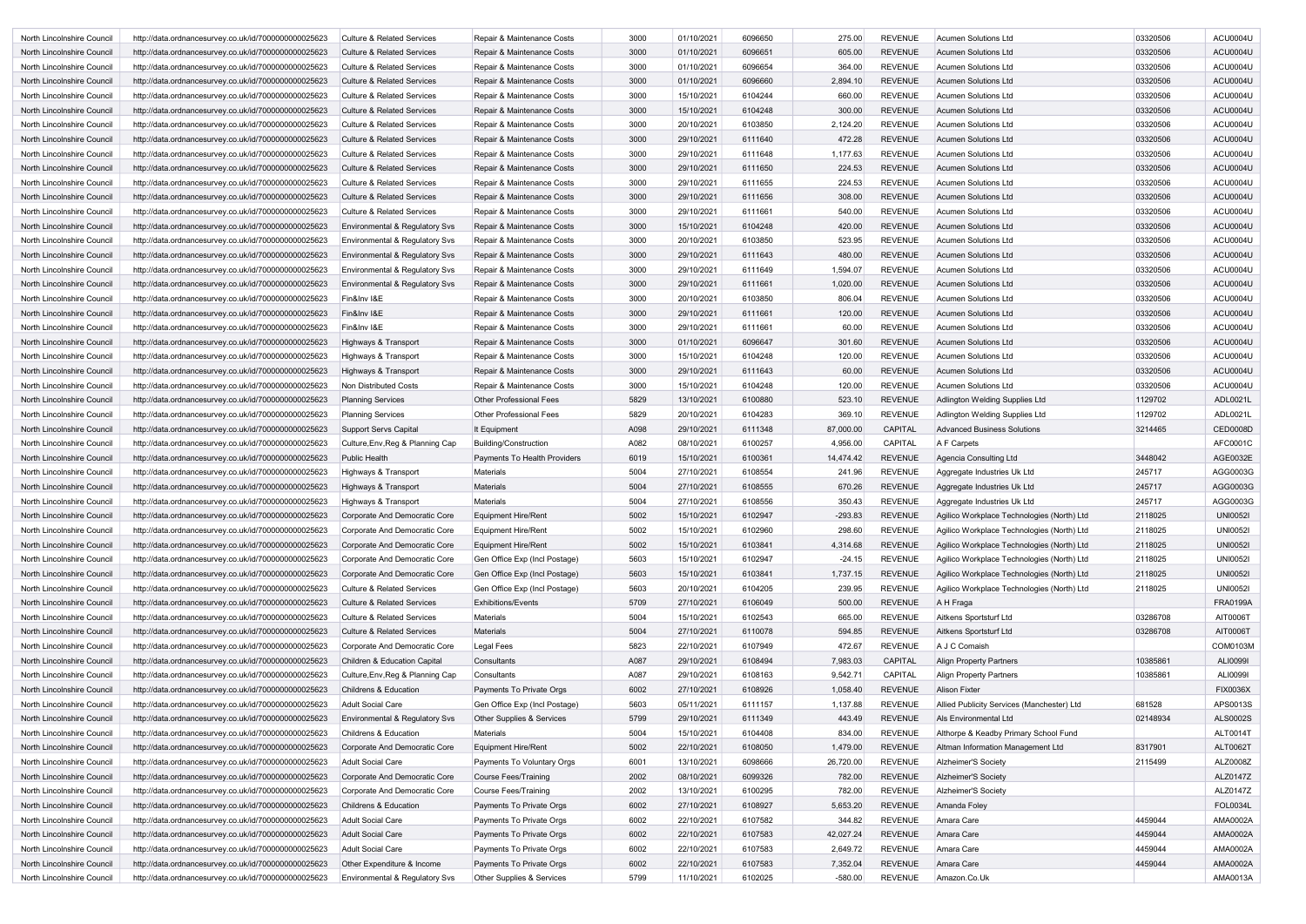| North Lincolnshire Council                               | http://data.ordnancesurvey.co.uk/id/7000000000025623                                                         | <b>Culture &amp; Related Services</b>                        | Repair & Maintenance Costs                            | 3000         | 01/10/2021               | 6096650            | 275.00                | <b>REVENUE</b>                   | Acumen Solutions Ltd                       | 03320506 | ACU0004U             |
|----------------------------------------------------------|--------------------------------------------------------------------------------------------------------------|--------------------------------------------------------------|-------------------------------------------------------|--------------|--------------------------|--------------------|-----------------------|----------------------------------|--------------------------------------------|----------|----------------------|
| North Lincolnshire Council                               | http://data.ordnancesurvey.co.uk/id/7000000000025623                                                         | <b>Culture &amp; Related Services</b>                        | Repair & Maintenance Costs                            | 3000         | 01/10/2021               | 6096651            | 605.00                | <b>REVENUE</b>                   | Acumen Solutions Ltd                       | 03320506 | ACU0004U             |
| North Lincolnshire Council                               | http://data.ordnancesurvey.co.uk/id/7000000000025623                                                         | <b>Culture &amp; Related Services</b>                        | Repair & Maintenance Costs                            | 3000         | 01/10/2021               | 6096654            | 364.00                | <b>REVENUE</b>                   | Acumen Solutions Ltd                       | 03320506 | ACU0004U             |
| North Lincolnshire Council                               | http://data.ordnancesurvey.co.uk/id/7000000000025623                                                         | <b>Culture &amp; Related Services</b>                        | Repair & Maintenance Costs                            | 3000         | 01/10/2021               | 6096660            | 2,894.10              | <b>REVENUE</b>                   | <b>Acumen Solutions Ltd</b>                | 03320506 | ACU0004U             |
| North Lincolnshire Council                               | http://data.ordnancesurvey.co.uk/id/7000000000025623                                                         | <b>Culture &amp; Related Services</b>                        | Repair & Maintenance Costs                            | 3000         | 15/10/2021               | 6104244            | 660.00                | <b>REVENUE</b>                   | <b>Acumen Solutions Ltd</b>                | 03320506 | ACU0004U             |
| North Lincolnshire Council                               | http://data.ordnancesurvey.co.uk/id/7000000000025623                                                         | <b>Culture &amp; Related Services</b>                        | Repair & Maintenance Costs                            | 3000         | 15/10/2021               | 6104248            | 300.00                | <b>REVENUE</b>                   | <b>Acumen Solutions Ltd</b>                | 03320506 | ACU0004U             |
| North Lincolnshire Council                               | http://data.ordnancesurvey.co.uk/id/7000000000025623                                                         | <b>Culture &amp; Related Services</b>                        | Repair & Maintenance Costs                            | 3000         | 20/10/2021               | 6103850            | 2,124.20              | <b>REVENUE</b>                   | <b>Acumen Solutions Ltd</b>                | 03320506 | ACU0004U             |
| North Lincolnshire Council                               | http://data.ordnancesurvey.co.uk/id/7000000000025623                                                         | Culture & Related Services                                   | Repair & Maintenance Costs                            | 3000         | 29/10/2021               | 6111640            | 472.28                | <b>REVENUE</b>                   | <b>Acumen Solutions Ltd</b>                | 03320506 | ACU0004U             |
| North Lincolnshire Council                               | http://data.ordnancesurvey.co.uk/id/7000000000025623                                                         | <b>Culture &amp; Related Services</b>                        | Repair & Maintenance Costs                            | 3000         | 29/10/2021               | 6111648            | 1,177.63              | <b>REVENUE</b>                   | <b>Acumen Solutions Ltd</b>                | 03320506 | ACU0004U             |
| North Lincolnshire Council                               | http://data.ordnancesurvey.co.uk/id/7000000000025623                                                         | <b>Culture &amp; Related Services</b>                        | Repair & Maintenance Costs                            | 3000         | 29/10/2021               | 6111650            | 224.53                | <b>REVENUE</b>                   | Acumen Solutions Ltd                       | 03320506 | ACU0004U             |
| North Lincolnshire Council                               | http://data.ordnancesurvey.co.uk/id/7000000000025623                                                         | <b>Culture &amp; Related Services</b>                        | Repair & Maintenance Costs                            | 3000         | 29/10/2021               | 6111655            | 224.53                | <b>REVENUE</b>                   | Acumen Solutions Ltd                       | 03320506 | ACU0004U             |
| North Lincolnshire Council                               | http://data.ordnancesurvey.co.uk/id/7000000000025623                                                         | Culture & Related Services                                   | Repair & Maintenance Costs                            | 3000         | 29/10/2021               | 6111656            | 308.00                | <b>REVENUE</b>                   | Acumen Solutions Ltd                       | 03320506 | ACU0004U             |
| North Lincolnshire Council                               | http://data.ordnancesurvey.co.uk/id/7000000000025623                                                         | <b>Culture &amp; Related Services</b>                        | Repair & Maintenance Costs                            | 3000         | 29/10/2021               | 6111661            | 540.00                | <b>REVENUE</b>                   | Acumen Solutions Ltd                       | 03320506 | ACU0004U             |
| North Lincolnshire Council                               | http://data.ordnancesurvey.co.uk/id/7000000000025623                                                         | Environmental & Regulatory Svs                               | Repair & Maintenance Costs                            | 3000         | 15/10/2021               | 6104248            | 420.00                | <b>REVENUE</b>                   | <b>Acumen Solutions Ltd</b>                | 03320506 | <b>ACU0004U</b>      |
| North Lincolnshire Council                               | http://data.ordnancesurvey.co.uk/id/7000000000025623                                                         | Environmental & Regulatory Svs                               | Repair & Maintenance Costs                            | 3000         | 20/10/2021               | 6103850            | 523.95                | <b>REVENUE</b>                   | <b>Acumen Solutions Ltd</b>                | 03320506 | ACU0004U             |
| North Lincolnshire Council                               | http://data.ordnancesurvey.co.uk/id/7000000000025623                                                         | Environmental & Regulatory Svs                               | Repair & Maintenance Costs                            | 3000         | 29/10/2021               | 6111643            | 480.00                | <b>REVENUE</b>                   | <b>Acumen Solutions Ltd</b>                | 03320506 | ACU0004U             |
| North Lincolnshire Council                               | http://data.ordnancesurvey.co.uk/id/7000000000025623                                                         | Environmental & Regulatory Svs                               | Repair & Maintenance Costs                            | 3000         | 29/10/2021               | 6111649            | 1,594.07              | <b>REVENUE</b>                   | <b>Acumen Solutions Ltd</b>                | 03320506 | ACU0004U             |
| North Lincolnshire Council                               | http://data.ordnancesurvey.co.uk/id/7000000000025623                                                         | <b>Environmental &amp; Regulatory Svs</b>                    | Repair & Maintenance Costs                            | 3000         | 29/10/2021               | 6111661            | 1,020.00              | <b>REVENUE</b>                   | <b>Acumen Solutions Ltd</b>                | 03320506 | ACU0004U             |
| North Lincolnshire Council                               | http://data.ordnancesurvey.co.uk/id/7000000000025623                                                         | Fin&Inv I&E                                                  | Repair & Maintenance Costs                            | 3000         | 20/10/2021               | 6103850            | 806.04                | <b>REVENUE</b>                   | <b>Acumen Solutions Ltd</b>                | 03320506 | ACU0004U             |
| North Lincolnshire Council                               | http://data.ordnancesurvey.co.uk/id/7000000000025623                                                         | Fin&Inv I&E                                                  | Repair & Maintenance Costs                            | 3000         | 29/10/2021               | 6111661            | 120.00                | <b>REVENUE</b>                   | <b>Acumen Solutions Ltd</b>                | 03320506 | ACU0004U             |
| North Lincolnshire Council                               | http://data.ordnancesurvey.co.uk/id/7000000000025623                                                         | Fin&Inv I&E                                                  | Repair & Maintenance Costs                            | 3000         | 29/10/2021               | 6111661            | 60.00                 | <b>REVENUE</b>                   | <b>Acumen Solutions Ltd</b>                | 03320506 | ACU0004U             |
| North Lincolnshire Council                               | http://data.ordnancesurvey.co.uk/id/7000000000025623                                                         | Highways & Transport                                         | Repair & Maintenance Costs                            | 3000         | 01/10/2021               | 6096647            | 301.60                | <b>REVENUE</b>                   | <b>Acumen Solutions Ltd</b>                | 03320506 | ACU0004U             |
| North Lincolnshire Council                               | http://data.ordnancesurvey.co.uk/id/7000000000025623                                                         | Highways & Transport                                         | Repair & Maintenance Costs                            | 3000         | 15/10/2021               | 6104248            | 120.00                | <b>REVENUE</b>                   | Acumen Solutions Ltd                       | 03320506 | ACU0004U             |
| North Lincolnshire Council                               | http://data.ordnancesurvey.co.uk/id/7000000000025623                                                         | Highways & Transport                                         | Repair & Maintenance Costs                            | 3000         | 29/10/2021               | 6111643            | 60.00                 | <b>REVENUE</b>                   | <b>Acumen Solutions Ltd</b>                | 03320506 | <b>ACU0004U</b>      |
| North Lincolnshire Council                               | http://data.ordnancesurvey.co.uk/id/7000000000025623                                                         | Non Distributed Costs                                        | Repair & Maintenance Costs                            | 3000         | 15/10/2021               | 6104248            | 120.00                | <b>REVENUE</b>                   | <b>Acumen Solutions Ltd</b>                | 03320506 | ACU0004U             |
| North Lincolnshire Council                               | http://data.ordnancesurvey.co.uk/id/7000000000025623                                                         | <b>Planning Services</b>                                     | <b>Other Professional Fees</b>                        | 5829         | 13/10/2021               | 6100880            | 523.10                | <b>REVENUE</b>                   | Adlington Welding Supplies Ltd             | 1129702  | ADL0021L             |
| North Lincolnshire Council                               | http://data.ordnancesurvey.co.uk/id/7000000000025623                                                         | <b>Planning Services</b>                                     | <b>Other Professional Fees</b>                        | 5829         | 20/10/2021               | 6104283            | 369.10                | <b>REVENUE</b>                   | Adlington Welding Supplies Ltd             | 1129702  | ADL0021L             |
| North Lincolnshire Council                               | http://data.ordnancesurvey.co.uk/id/7000000000025623                                                         | Support Servs Capital                                        | It Equipment                                          | A098         | 29/10/2021               | 6111348            | 87,000.00             | <b>CAPITAL</b>                   | <b>Advanced Business Solutions</b>         | 3214465  | <b>CED0008D</b>      |
| North Lincolnshire Council                               | http://data.ordnancesurvey.co.uk/id/7000000000025623                                                         | Culture, Env, Reg & Planning Cap                             | <b>Building/Construction</b>                          | A082         | 08/10/2021               | 6100257            | 4,956.00              | CAPITAL                          | A F Carpets                                |          | AFC0001C             |
| North Lincolnshire Council                               | http://data.ordnancesurvey.co.uk/id/7000000000025623                                                         | <b>Public Health</b>                                         | <b>Payments To Health Providers</b>                   | 6019         | 15/10/2021               | 6100361            | 14,474.42             | <b>REVENUE</b>                   | Agencia Consulting Ltd                     | 3448042  | AGE0032E             |
|                                                          |                                                                                                              |                                                              |                                                       |              |                          |                    |                       |                                  |                                            |          |                      |
|                                                          |                                                                                                              |                                                              |                                                       |              |                          |                    |                       |                                  |                                            |          |                      |
| North Lincolnshire Council                               | http://data.ordnancesurvey.co.uk/id/7000000000025623                                                         | Highways & Transport                                         | <b>Materials</b>                                      | 5004         | 27/10/2021               | 6108554            | 241.96                | <b>REVENUE</b>                   | Aggregate Industries Uk Ltd                | 245717   | AGG0003G             |
| North Lincolnshire Council                               | http://data.ordnancesurvey.co.uk/id/7000000000025623                                                         | Highways & Transport                                         | <b>Materials</b>                                      | 5004         | 27/10/2021               | 6108555            | 670.26                | <b>REVENUE</b>                   | Aggregate Industries Uk Ltd                | 245717   | AGG0003G             |
| North Lincolnshire Council                               | http://data.ordnancesurvey.co.uk/id/7000000000025623                                                         | Highways & Transport                                         | <b>Materials</b>                                      | 5004         | 27/10/2021               | 6108556            | 350.43                | <b>REVENUE</b>                   | Aggregate Industries Uk Ltd                | 245717   | AGG0003G             |
| North Lincolnshire Council                               | http://data.ordnancesurvey.co.uk/id/7000000000025623                                                         | Corporate And Democratic Core                                | <b>Equipment Hire/Rent</b>                            | 5002         | 15/10/2021               | 6102947            | $-293.83$             | <b>REVENUE</b>                   | Agilico Workplace Technologies (North) Ltd | 2118025  | <b>UNI00521</b>      |
| North Lincolnshire Council                               | http://data.ordnancesurvey.co.uk/id/7000000000025623                                                         | Corporate And Democratic Core                                | <b>Equipment Hire/Rent</b>                            | 5002         | 15/10/2021               | 6102960            | 298.60                | <b>REVENUE</b>                   | Agilico Workplace Technologies (North) Ltd | 2118025  | <b>UNI00521</b>      |
| North Lincolnshire Council                               | http://data.ordnancesurvey.co.uk/id/7000000000025623                                                         | Corporate And Democratic Core                                | <b>Equipment Hire/Rent</b>                            | 5002         | 15/10/2021               | 6103841            | 4,314.68              | <b>REVENUE</b>                   | Agilico Workplace Technologies (North) Ltd | 2118025  | <b>UNI00521</b>      |
| North Lincolnshire Council                               | http://data.ordnancesurvey.co.uk/id/7000000000025623                                                         | Corporate And Democratic Core                                | Gen Office Exp (Incl Postage)                         | 5603         | 15/10/2021               | 6102947            | $-24.15$              | <b>REVENUE</b>                   | Agilico Workplace Technologies (North) Ltd | 2118025  | <b>UNI00521</b>      |
| North Lincolnshire Council                               | http://data.ordnancesurvey.co.uk/id/7000000000025623                                                         | Corporate And Democratic Core                                | Gen Office Exp (Incl Postage)                         | 5603         | 15/10/2021               | 6103841            | 1,737.15              | <b>REVENUE</b>                   | Agilico Workplace Technologies (North) Ltd | 2118025  | <b>UNI0052I</b>      |
| North Lincolnshire Council                               | http://data.ordnancesurvey.co.uk/id/7000000000025623                                                         | Culture & Related Services                                   | Gen Office Exp (Incl Postage)                         | 5603         | 20/10/2021               | 6104205            | 239.95                | <b>REVENUE</b>                   | Agilico Workplace Technologies (North) Ltd | 2118025  | <b>UNI0052I</b>      |
| North Lincolnshire Council                               | http://data.ordnancesurvey.co.uk/id/7000000000025623                                                         | <b>Culture &amp; Related Services</b>                        | <b>Exhibitions/Events</b>                             | 5709         | 27/10/2021               | 6106049            | 500.00                | <b>REVENUE</b>                   | A H Fraga                                  |          | <b>FRA0199A</b>      |
| North Lincolnshire Council                               | http://data.ordnancesurvey.co.uk/id/7000000000025623                                                         | <b>Culture &amp; Related Services</b>                        | Materials                                             | 5004         | 15/10/2021               | 6102543            | 665.00                | <b>REVENUE</b>                   | Aitkens Sportsturf Ltd                     | 03286708 | AIT0006T             |
| North Lincolnshire Council                               | http://data.ordnancesurvey.co.uk/id/7000000000025623                                                         | <b>Culture &amp; Related Services</b>                        | Materials                                             | 5004         | 27/10/2021               | 6110078            | 594.85                | <b>REVENUE</b>                   | Aitkens Sportsturf Ltd                     | 03286708 | AIT0006T             |
| North Lincolnshire Council                               | http://data.ordnancesurvey.co.uk/id/7000000000025623                                                         | Corporate And Democratic Core                                | Legal Fees                                            | 5823         | 22/10/2021               | 6107949            | 472.67                | <b>REVENUE</b>                   | A J C Comaish                              |          | COM0103M             |
| North Lincolnshire Council                               | http://data.ordnancesurvey.co.uk/id/7000000000025623                                                         | Children & Education Capital                                 | Consultants                                           | A087         | 29/10/2021               | 6108494            | 7,983.03              | <b>CAPITAL</b>                   | <b>Align Property Partners</b>             | 10385861 | ALI00991             |
| North Lincolnshire Council                               | http://data.ordnancesurvey.co.uk/id/7000000000025623                                                         | Culture, Env, Reg & Planning Cap                             | Consultants                                           | A087         | 29/10/2021               | 6108163            | 9,542.71              | CAPITAL                          | <b>Align Property Partners</b>             | 10385861 | ALI0099I             |
| North Lincolnshire Council                               | http://data.ordnancesurvey.co.uk/id/7000000000025623                                                         | Childrens & Education                                        | Payments To Private Orgs                              | 6002         | 27/10/2021               | 6108926            | 1,058.40              | <b>REVENUE</b>                   | <b>Alison Fixter</b>                       |          | <b>FIX0036X</b>      |
| North Lincolnshire Council                               | http://data.ordnancesurvey.co.uk/id/7000000000025623                                                         | <b>Adult Social Care</b>                                     | Gen Office Exp (Incl Postage)                         | 5603         | 05/11/2021               | 6111157            | 1,137.88              | <b>REVENUE</b>                   | Allied Publicity Services (Manchester) Ltd | 681528   | APS0013S             |
| North Lincolnshire Council                               | http://data.ordnancesurvey.co.uk/id/7000000000025623                                                         | Environmental & Regulatory Svs                               | Other Supplies & Services                             | 5799         | 29/10/2021               | 6111349            | 443.49                | <b>REVENUE</b>                   | Als Environmental Ltd                      | 02148934 | <b>ALS0002S</b>      |
| North Lincolnshire Council                               | http://data.ordnancesurvey.co.uk/id/7000000000025623                                                         | Childrens & Education                                        | Materials                                             | 5004         | 15/10/2021               | 6104408            | 834.00                | <b>REVENUE</b>                   | Althorpe & Keadby Primary School Fund      |          | ALT0014T             |
| North Lincolnshire Council                               | http://data.ordnancesurvey.co.uk/id/7000000000025623                                                         | Corporate And Democratic Core                                | <b>Equipment Hire/Rent</b>                            | 5002         | 22/10/2021               | 6108050            | 1,479.00              | <b>REVENUE</b>                   | Altman Information Management Ltd          | 8317901  | ALT0062T             |
| North Lincolnshire Council                               | http://data.ordnancesurvey.co.uk/id/7000000000025623                                                         | <b>Adult Social Care</b>                                     | Payments To Voluntary Orgs                            | 6001         | 13/10/2021               | 6098666            | 26,720.00             | <b>REVENUE</b>                   | Alzheimer'S Society                        | 2115499  | ALZ0008Z             |
| North Lincolnshire Council                               | http://data.ordnancesurvey.co.uk/id/7000000000025623                                                         | Corporate And Democratic Core                                | Course Fees/Training                                  | 2002         | 08/10/2021               | 6099326            | 782.00                | <b>REVENUE</b>                   | Alzheimer'S Society                        |          | ALZ0147Z             |
| North Lincolnshire Council                               | http://data.ordnancesurvey.co.uk/id/7000000000025623                                                         | Corporate And Democratic Core                                | <b>Course Fees/Training</b>                           | 2002         | 13/10/2021               | 6100295            | 782.00                | <b>REVENUE</b>                   | Alzheimer'S Society                        |          | ALZ0147Z             |
| North Lincolnshire Council                               | http://data.ordnancesurvey.co.uk/id/7000000000025623                                                         | Childrens & Education                                        | Payments To Private Orgs                              | 6002         | 27/10/2021               | 6108927            | 5,653.20              | <b>REVENUE</b>                   | Amanda Foley                               |          | <b>FOL0034L</b>      |
| North Lincolnshire Council                               | http://data.ordnancesurvey.co.uk/id/7000000000025623                                                         | <b>Adult Social Care</b>                                     | Payments To Private Orgs                              | 6002         | 22/10/2021               | 6107582            | 344.82                | <b>REVENUE</b>                   | Amara Care                                 | 4459044  | AMA0002A             |
| North Lincolnshire Council                               | http://data.ordnancesurvey.co.uk/id/7000000000025623                                                         | <b>Adult Social Care</b>                                     | Payments To Private Orgs                              | 6002         | 22/10/2021               | 6107583            | 42,027.24             | <b>REVENUE</b>                   | Amara Care                                 | 4459044  | AMA0002A             |
| North Lincolnshire Council                               | http://data.ordnancesurvey.co.uk/id/7000000000025623                                                         | <b>Adult Social Care</b>                                     | Payments To Private Orgs                              | 6002         | 22/10/2021               | 6107583            | 2,649.72              | <b>REVENUE</b>                   | Amara Care                                 | 4459044  | AMA0002A             |
| North Lincolnshire Council<br>North Lincolnshire Council | http://data.ordnancesurvey.co.uk/id/7000000000025623<br>http://data.ordnancesurvey.co.uk/id/7000000000025623 | Other Expenditure & Income<br>Environmental & Regulatory Svs | Payments To Private Orgs<br>Other Supplies & Services | 6002<br>5799 | 22/10/2021<br>11/10/2021 | 6107583<br>6102025 | 7,352.04<br>$-580.00$ | <b>REVENUE</b><br><b>REVENUE</b> | Amara Care<br>Amazon.Co.Uk                 | 4459044  | AMA0002A<br>AMA0013A |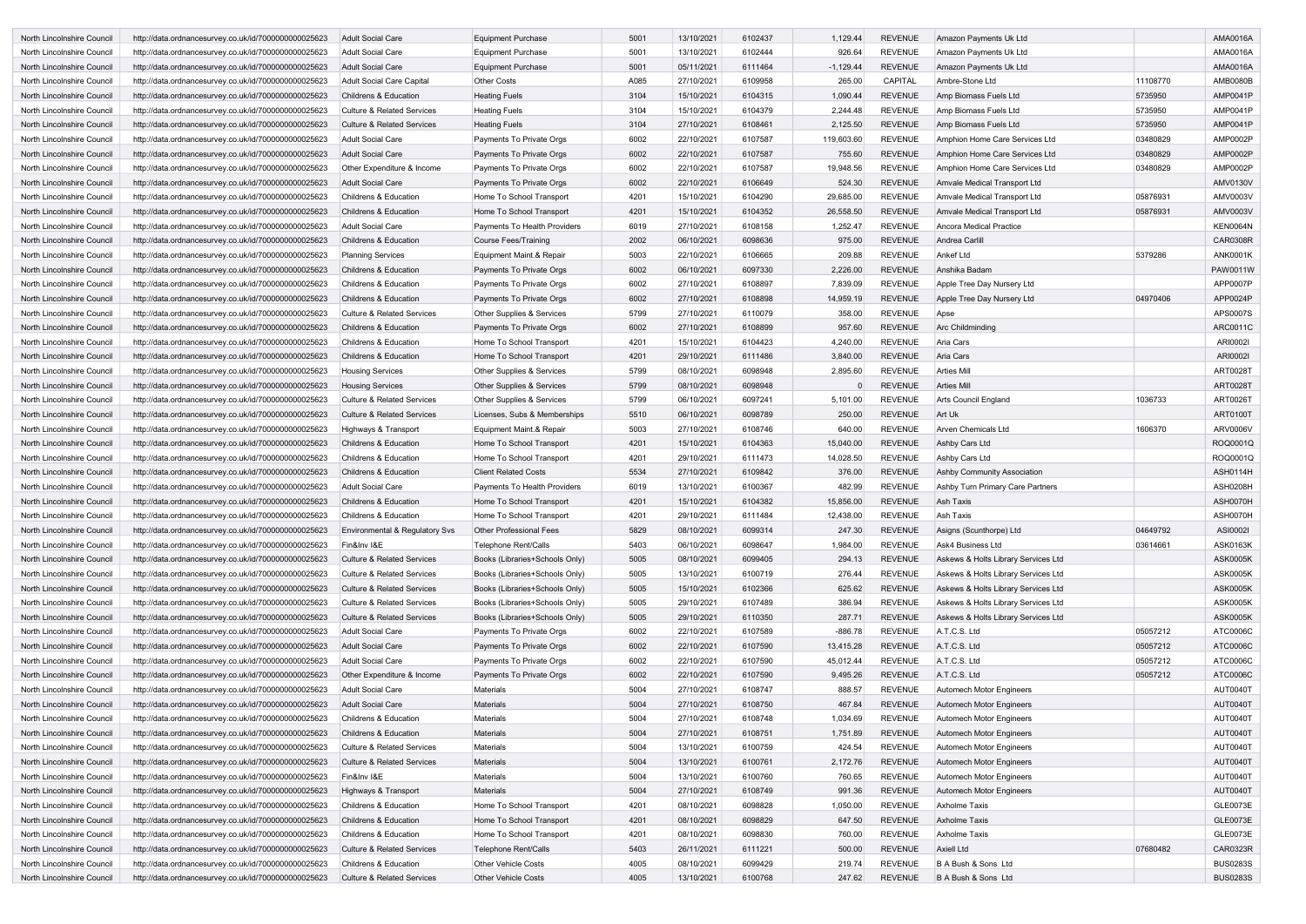| North Lincolnshire Council | http://data.ordnancesurvey.co.uk/id/7000000000025623 | <b>Adult Social Care</b>              | <b>Equipment Purchase</b>      | 5001 | 13/10/2021 | 6102437 | 1,129.44    | <b>REVENUE</b> | <b>Amazon Payments Uk Ltd</b>       |          | <b>AMA0016A</b> |
|----------------------------|------------------------------------------------------|---------------------------------------|--------------------------------|------|------------|---------|-------------|----------------|-------------------------------------|----------|-----------------|
| North Lincolnshire Council | http://data.ordnancesurvey.co.uk/id/7000000000025623 | <b>Adult Social Care</b>              | <b>Equipment Purchase</b>      | 5001 | 13/10/2021 | 6102444 | 926.64      | <b>REVENUE</b> | Amazon Payments Uk Ltd              |          | AMA0016A        |
| North Lincolnshire Council | http://data.ordnancesurvey.co.uk/id/7000000000025623 | <b>Adult Social Care</b>              | <b>Equipment Purchase</b>      | 5001 | 05/11/2021 | 6111464 | $-1,129.44$ | <b>REVENUE</b> | Amazon Payments Uk Ltd              |          | <b>AMA0016A</b> |
| North Lincolnshire Council | http://data.ordnancesurvey.co.uk/id/7000000000025623 | <b>Adult Social Care Capital</b>      | <b>Other Costs</b>             | A085 | 27/10/2021 | 6109958 | 265.00      | <b>CAPITAL</b> | Ambre-Stone Ltd                     | 11108770 | <b>AMB0080B</b> |
| North Lincolnshire Council | http://data.ordnancesurvey.co.uk/id/7000000000025623 | <b>Childrens &amp; Education</b>      | <b>Heating Fuels</b>           | 3104 | 15/10/2021 | 6104315 | 1,090.44    | <b>REVENUE</b> | Amp Biomass Fuels Ltd               | 5735950  | AMP0041P        |
| North Lincolnshire Council | http://data.ordnancesurvey.co.uk/id/7000000000025623 | Culture & Related Services            | <b>Heating Fuels</b>           | 3104 | 15/10/2021 | 6104379 | 2,244.48    | <b>REVENUE</b> | Amp Biomass Fuels Ltd               | 5735950  | AMP0041P        |
| North Lincolnshire Council | http://data.ordnancesurvey.co.uk/id/7000000000025623 | <b>Culture &amp; Related Services</b> | <b>Heating Fuels</b>           | 3104 | 27/10/2021 | 6108461 | 2,125.50    | <b>REVENUE</b> | Amp Biomass Fuels Ltd               | 5735950  | AMP0041P        |
| North Lincolnshire Council | http://data.ordnancesurvey.co.uk/id/7000000000025623 | <b>Adult Social Care</b>              | Payments To Private Orgs       | 6002 | 22/10/2021 | 6107587 | 119,603.60  | <b>REVENUE</b> | Amphion Home Care Services Ltd      | 03480829 | AMP0002P        |
| North Lincolnshire Council | http://data.ordnancesurvey.co.uk/id/7000000000025623 | <b>Adult Social Care</b>              | Payments To Private Orgs       | 6002 | 22/10/2021 | 6107587 | 755.60      | <b>REVENUE</b> | Amphion Home Care Services Ltd      | 03480829 | AMP0002P        |
| North Lincolnshire Council | http://data.ordnancesurvey.co.uk/id/7000000000025623 | Other Expenditure & Income            | Payments To Private Orgs       | 6002 | 22/10/2021 | 6107587 | 19,948.56   | <b>REVENUE</b> | Amphion Home Care Services Ltd      | 03480829 | AMP0002P        |
| North Lincolnshire Council | http://data.ordnancesurvey.co.uk/id/7000000000025623 | <b>Adult Social Care</b>              | Payments To Private Orgs       | 6002 | 22/10/2021 | 6106649 | 524.30      | <b>REVENUE</b> | Amvale Medical Transport Ltd        |          | <b>AMV0130V</b> |
| North Lincolnshire Council | http://data.ordnancesurvey.co.uk/id/7000000000025623 | <b>Childrens &amp; Education</b>      | Home To School Transport       | 4201 | 15/10/2021 | 6104290 | 29,685.00   | <b>REVENUE</b> | Amvale Medical Transport Ltd        | 05876931 | <b>AMV0003V</b> |
| North Lincolnshire Council | http://data.ordnancesurvey.co.uk/id/7000000000025623 | <b>Childrens &amp; Education</b>      | Home To School Transport       | 4201 | 15/10/2021 | 6104352 | 26,558.50   | <b>REVENUE</b> | Amvale Medical Transport Ltd        | 05876931 | <b>AMV0003V</b> |
| North Lincolnshire Council | http://data.ordnancesurvey.co.uk/id/7000000000025623 | <b>Adult Social Care</b>              | Payments To Health Providers   | 6019 | 27/10/2021 | 6108158 | 1,252.47    | <b>REVENUE</b> | Ancora Medical Practice             |          | <b>KEN0064N</b> |
| North Lincolnshire Council | http://data.ordnancesurvey.co.uk/id/7000000000025623 | <b>Childrens &amp; Education</b>      | Course Fees/Training           | 2002 | 06/10/2021 | 6098636 | 975.00      | <b>REVENUE</b> | Andrea Carlill                      |          | <b>CAR0308R</b> |
| North Lincolnshire Council | http://data.ordnancesurvey.co.uk/id/7000000000025623 | <b>Planning Services</b>              | Equipment Maint.& Repair       | 5003 | 22/10/2021 | 6106665 | 209.88      | <b>REVENUE</b> | <b>Ankef Ltd</b>                    | 5379286  | <b>ANK0001K</b> |
| North Lincolnshire Council | http://data.ordnancesurvey.co.uk/id/7000000000025623 | <b>Childrens &amp; Education</b>      | Payments To Private Orgs       | 6002 | 06/10/2021 | 6097330 | 2,226.00    | <b>REVENUE</b> | Anshika Badam                       |          | PAW0011W        |
| North Lincolnshire Council | http://data.ordnancesurvey.co.uk/id/7000000000025623 | <b>Childrens &amp; Education</b>      | Payments To Private Orgs       | 6002 | 27/10/2021 | 6108897 | 7,839.09    | <b>REVENUE</b> | Apple Tree Day Nursery Ltd          |          | APP0007P        |
|                            |                                                      |                                       |                                |      |            |         |             |                |                                     |          | APP0024P        |
| North Lincolnshire Council | http://data.ordnancesurvey.co.uk/id/7000000000025623 | <b>Childrens &amp; Education</b>      | Payments To Private Orgs       | 6002 | 27/10/2021 | 6108898 | 14,959.19   | <b>REVENUE</b> | Apple Tree Day Nursery Ltd          | 04970406 |                 |
| North Lincolnshire Council | http://data.ordnancesurvey.co.uk/id/7000000000025623 | <b>Culture &amp; Related Services</b> | Other Supplies & Services      | 5799 | 27/10/2021 | 6110079 | 358.00      | <b>REVENUE</b> | Apse                                |          | APS0007S        |
| North Lincolnshire Council | http://data.ordnancesurvey.co.uk/id/7000000000025623 | <b>Childrens &amp; Education</b>      | Payments To Private Orgs       | 6002 | 27/10/2021 | 6108899 | 957.60      | <b>REVENUE</b> | Arc Childminding                    |          | ARC0011C        |
| North Lincolnshire Council | http://data.ordnancesurvey.co.uk/id/7000000000025623 | <b>Childrens &amp; Education</b>      | Home To School Transport       | 4201 | 15/10/2021 | 6104423 | 4,240.00    | <b>REVENUE</b> | Aria Cars                           |          | ARI00021        |
| North Lincolnshire Council | http://data.ordnancesurvey.co.uk/id/7000000000025623 | <b>Childrens &amp; Education</b>      | Home To School Transport       | 4201 | 29/10/2021 | 6111486 | 3,840.00    | <b>REVENUE</b> | <b>Aria Cars</b>                    |          | ARI00021        |
| North Lincolnshire Council | http://data.ordnancesurvey.co.uk/id/7000000000025623 | <b>Housing Services</b>               | Other Supplies & Services      | 5799 | 08/10/2021 | 6098948 | 2,895.60    | <b>REVENUE</b> | <b>Arties Mill</b>                  |          | <b>ART0028T</b> |
| North Lincolnshire Council | http://data.ordnancesurvey.co.uk/id/7000000000025623 | <b>Housing Services</b>               | Other Supplies & Services      | 5799 | 08/10/2021 | 6098948 |             | <b>REVENUE</b> | <b>Arties Mill</b>                  |          | <b>ART0028T</b> |
| North Lincolnshire Council | http://data.ordnancesurvey.co.uk/id/7000000000025623 | Culture & Related Services            | Other Supplies & Services      | 5799 | 06/10/2021 | 6097241 | 5,101.00    | <b>REVENUE</b> | <b>Arts Council England</b>         | 1036733  | <b>ART0026T</b> |
| North Lincolnshire Council | http://data.ordnancesurvey.co.uk/id/7000000000025623 | Culture & Related Services            | Licenses, Subs & Memberships   | 5510 | 06/10/2021 | 6098789 | 250.00      | <b>REVENUE</b> | Art Uk                              |          | <b>ART0100T</b> |
| North Lincolnshire Council | http://data.ordnancesurvey.co.uk/id/7000000000025623 | Highways & Transport                  | Equipment Maint.& Repair       | 5003 | 27/10/2021 | 6108746 | 640.00      | <b>REVENUE</b> | <b>Arven Chemicals Ltd</b>          | 1606370  | <b>ARV0006V</b> |
| North Lincolnshire Council | http://data.ordnancesurvey.co.uk/id/7000000000025623 | <b>Childrens &amp; Education</b>      | Home To School Transport       | 4201 | 15/10/2021 | 6104363 | 15,040.00   | <b>REVENUE</b> | Ashby Cars Ltd                      |          | ROQ0001Q        |
| North Lincolnshire Council | http://data.ordnancesurvey.co.uk/id/7000000000025623 | <b>Childrens &amp; Education</b>      | Home To School Transport       | 4201 | 29/10/2021 | 6111473 | 14,028.50   | <b>REVENUE</b> | Ashby Cars Ltd                      |          | ROQ0001Q        |
| North Lincolnshire Council | http://data.ordnancesurvey.co.uk/id/7000000000025623 | <b>Childrens &amp; Education</b>      | <b>Client Related Costs</b>    | 5534 | 27/10/2021 | 6109842 | 376.00      | <b>REVENUE</b> | Ashby Community Association         |          | ASH0114H        |
| North Lincolnshire Council | http://data.ordnancesurvey.co.uk/id/7000000000025623 | <b>Adult Social Care</b>              | Payments To Health Providers   | 6019 | 13/10/2021 | 6100367 | 482.99      | <b>REVENUE</b> | Ashby Turn Primary Care Partners    |          | ASH0208H        |
| North Lincolnshire Council | http://data.ordnancesurvey.co.uk/id/7000000000025623 | <b>Childrens &amp; Education</b>      | Home To School Transport       | 4201 | 15/10/2021 | 6104382 | 15,856.00   | <b>REVENUE</b> | Ash Taxis                           |          | ASH0070H        |
| North Lincolnshire Council | http://data.ordnancesurvey.co.uk/id/7000000000025623 | <b>Childrens &amp; Education</b>      | Home To School Transport       | 4201 | 29/10/2021 | 6111484 | 12.438.00   | <b>REVENUE</b> | Ash Taxis                           |          | ASH0070H        |
| North Lincolnshire Council | http://data.ordnancesurvey.co.uk/id/7000000000025623 | Environmental & Regulatory Svs        | <b>Other Professional Fees</b> | 5829 | 08/10/2021 | 6099314 | 247.30      | <b>REVENUE</b> | Asigns (Scunthorpe) Ltd             | 04649792 | ASI0002I        |
| North Lincolnshire Council | http://data.ordnancesurvey.co.uk/id/7000000000025623 | Fin&Inv I&E                           | <b>Telephone Rent/Calls</b>    | 5403 | 06/10/2021 | 6098647 | 1,984.00    | <b>REVENUE</b> | Ask4 Business Ltd                   | 03614661 | <b>ASK0163K</b> |
| North Lincolnshire Council | http://data.ordnancesurvey.co.uk/id/7000000000025623 | <b>Culture &amp; Related Services</b> | Books (Libraries+Schools Only) | 5005 | 08/10/2021 | 6099405 | 294.13      | <b>REVENUE</b> | Askews & Holts Library Services Ltd |          | <b>ASK0005K</b> |
| North Lincolnshire Council | http://data.ordnancesurvey.co.uk/id/7000000000025623 | <b>Culture &amp; Related Services</b> | Books (Libraries+Schools Only) | 5005 | 13/10/2021 | 6100719 | 276.44      | <b>REVENUE</b> | Askews & Holts Library Services Ltd |          | <b>ASK0005K</b> |
| North Lincolnshire Council | http://data.ordnancesurvey.co.uk/id/7000000000025623 | <b>Culture &amp; Related Services</b> | Books (Libraries+Schools Only) | 5005 | 15/10/2021 | 6102366 | 625.62      | <b>REVENUE</b> | Askews & Holts Library Services Ltd |          | <b>ASK0005K</b> |
| North Lincolnshire Council | http://data.ordnancesurvey.co.uk/id/7000000000025623 | <b>Culture &amp; Related Services</b> | Books (Libraries+Schools Only) | 5005 | 29/10/2021 | 6107489 | 386.94      | <b>REVENUE</b> | Askews & Holts Library Services Ltd |          | <b>ASK0005K</b> |
| North Lincolnshire Council | http://data.ordnancesurvey.co.uk/id/7000000000025623 | <b>Culture &amp; Related Services</b> | Books (Libraries+Schools Only) | 5005 | 29/10/2021 | 6110350 | 287.71      | <b>REVENUE</b> | Askews & Holts Library Services Ltd |          | <b>ASK0005K</b> |
| North Lincolnshire Council | http://data.ordnancesurvey.co.uk/id/7000000000025623 | <b>Adult Social Care</b>              | Payments To Private Orgs       | 6002 | 22/10/2021 | 6107589 | $-886.78$   | <b>REVENUE</b> | A.T.C.S. Ltd                        | 05057212 | ATC0006C        |
| North Lincolnshire Council | http://data.ordnancesurvey.co.uk/id/7000000000025623 | <b>Adult Social Care</b>              | Payments To Private Orgs       | 6002 | 22/10/2021 | 6107590 | 13,415.28   | <b>REVENUE</b> | A.T.C.S. Ltd                        | 05057212 | ATC0006C        |
| North Lincolnshire Council | http://data.ordnancesurvey.co.uk/id/7000000000025623 | <b>Adult Social Care</b>              | Payments To Private Orgs       | 6002 | 22/10/2021 | 6107590 | 45,012.44   | <b>REVENUE</b> | A.T.C.S. Ltd                        | 05057212 | ATC0006C        |
| North Lincolnshire Council | http://data.ordnancesurvey.co.uk/id/7000000000025623 | Other Expenditure & Income            | Payments To Private Orgs       | 6002 | 22/10/2021 | 6107590 | 9,495.26    | <b>REVENUE</b> | A.T.C.S. Ltd                        | 05057212 | ATC0006C        |
| North Lincolnshire Council | http://data.ordnancesurvey.co.uk/id/7000000000025623 | <b>Adult Social Care</b>              | <b>Materials</b>               | 5004 | 27/10/2021 | 6108747 | 888.57      | <b>REVENUE</b> | <b>Automech Motor Engineers</b>     |          | AUT0040T        |
| North Lincolnshire Council | http://data.ordnancesurvey.co.uk/id/7000000000025623 | <b>Adult Social Care</b>              | <b>Materials</b>               | 5004 | 27/10/2021 | 6108750 | 467.84      | <b>REVENUE</b> | <b>Automech Motor Engineers</b>     |          | AUT0040T        |
|                            |                                                      |                                       |                                | 5004 | 27/10/2021 | 6108748 | 1,034.69    |                |                                     |          | AUT0040T        |
| North Lincolnshire Council | http://data.ordnancesurvey.co.uk/id/7000000000025623 | <b>Childrens &amp; Education</b>      | <b>Materials</b>               |      |            |         |             | <b>REVENUE</b> | Automech Motor Engineers            |          |                 |
| North Lincolnshire Council | http://data.ordnancesurvey.co.uk/id/7000000000025623 | <b>Childrens &amp; Education</b>      | Materials                      | 5004 | 27/10/2021 | 6108751 | 1,751.89    | <b>REVENUE</b> | <b>Automech Motor Engineers</b>     |          | AUT0040T        |
| North Lincolnshire Council | http://data.ordnancesurvey.co.uk/id/7000000000025623 | <b>Culture &amp; Related Services</b> | <b>Materials</b>               | 5004 | 13/10/2021 | 6100759 | 424.54      | <b>REVENUE</b> | <b>Automech Motor Engineers</b>     |          | AUT0040T        |
| North Lincolnshire Council | http://data.ordnancesurvey.co.uk/id/7000000000025623 | <b>Culture &amp; Related Services</b> | Materials                      | 5004 | 13/10/2021 | 6100761 | 2,172.76    | <b>REVENUE</b> | <b>Automech Motor Engineers</b>     |          | AUT0040T        |
| North Lincolnshire Council | http://data.ordnancesurvey.co.uk/id/7000000000025623 | Fin&Inv I&E                           | <b>Materials</b>               | 5004 | 13/10/2021 | 6100760 | 760.65      | <b>REVENUE</b> | <b>Automech Motor Engineers</b>     |          | AUT0040T        |
| North Lincolnshire Council | http://data.ordnancesurvey.co.uk/id/7000000000025623 | <b>Highways &amp; Transport</b>       | <b>Materials</b>               | 5004 | 27/10/2021 | 6108749 | 991.36      | <b>REVENUE</b> | <b>Automech Motor Engineers</b>     |          | AUT0040T        |
| North Lincolnshire Council | http://data.ordnancesurvey.co.uk/id/7000000000025623 | <b>Childrens &amp; Education</b>      | Home To School Transport       | 4201 | 08/10/2021 | 6098828 | 1,050.00    | <b>REVENUE</b> | <b>Axholme Taxis</b>                |          | GLE0073E        |
| North Lincolnshire Council | http://data.ordnancesurvey.co.uk/id/7000000000025623 | Childrens & Education                 | Home To School Transport       | 4201 | 08/10/2021 | 6098829 | 647.50      | <b>REVENUE</b> | <b>Axholme Taxis</b>                |          | <b>GLE0073E</b> |
| North Lincolnshire Council | http://data.ordnancesurvey.co.uk/id/7000000000025623 | <b>Childrens &amp; Education</b>      | Home To School Transport       | 4201 | 08/10/2021 | 6098830 | 760.00      | <b>REVENUE</b> | <b>Axholme Taxis</b>                |          | GLE0073E        |
| North Lincolnshire Council | http://data.ordnancesurvey.co.uk/id/7000000000025623 | <b>Culture &amp; Related Services</b> | <b>Telephone Rent/Calls</b>    | 5403 | 26/11/2021 | 6111221 | 500.00      | <b>REVENUE</b> | <b>Axiell Ltd</b>                   | 07680482 | <b>CAR0323R</b> |
| North Lincolnshire Council | http://data.ordnancesurvey.co.uk/id/7000000000025623 | Childrens & Education                 | <b>Other Vehicle Costs</b>     | 4005 | 08/10/2021 | 6099429 | 219.74      | <b>REVENUE</b> | B A Bush & Sons Ltd                 |          | <b>BUS0283S</b> |
| North Lincolnshire Council | http://data.ordnancesurvey.co.uk/id/7000000000025623 | <b>Culture &amp; Related Services</b> | <b>Other Vehicle Costs</b>     | 4005 | 13/10/2021 | 6100768 | 247.62      | <b>REVENUE</b> | B A Bush & Sons Ltd                 |          | <b>BUS0283S</b> |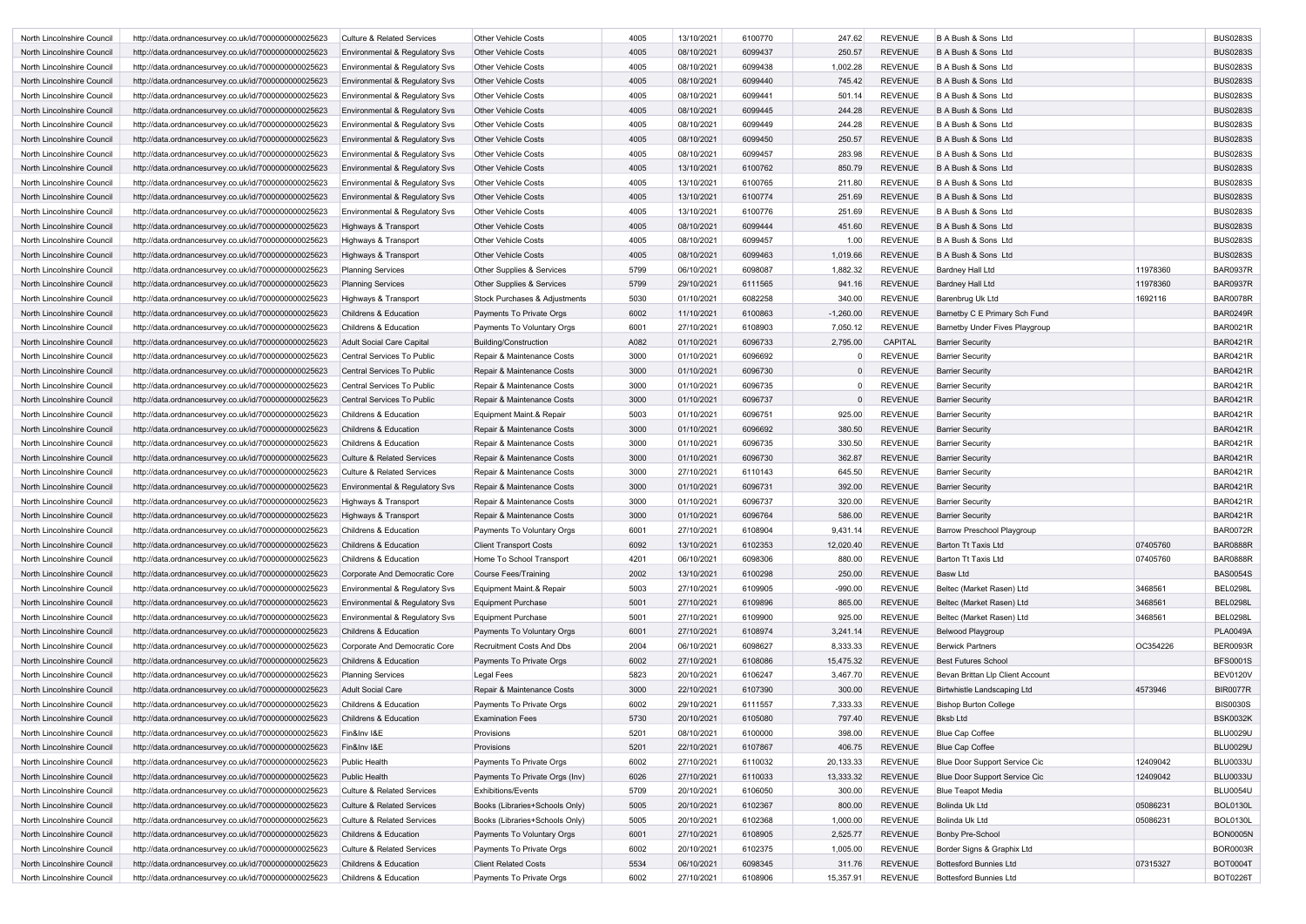| North Lincolnshire Council | http://data.ordnancesurvey.co.uk/id/7000000000025623 | Culture & Related Services                | <b>Other Vehicle Costs</b>     | 4005 | 13/10/2021 | 6100770 | 247.62      | <b>REVENUE</b> | B A Bush & Sons Ltd                   |          | <b>BUS0283S</b> |
|----------------------------|------------------------------------------------------|-------------------------------------------|--------------------------------|------|------------|---------|-------------|----------------|---------------------------------------|----------|-----------------|
| North Lincolnshire Council | http://data.ordnancesurvey.co.uk/id/7000000000025623 | Environmental & Regulatory Svs            | <b>Other Vehicle Costs</b>     | 4005 | 08/10/2021 | 6099437 | 250.57      | <b>REVENUE</b> | B A Bush & Sons Ltd                   |          | <b>BUS0283S</b> |
| North Lincolnshire Council | http://data.ordnancesurvey.co.uk/id/7000000000025623 | Environmental & Regulatory Svs            | <b>Other Vehicle Costs</b>     | 4005 | 08/10/2021 | 6099438 | 1,002.28    | <b>REVENUE</b> | B A Bush & Sons Ltd                   |          | <b>BUS0283S</b> |
| North Lincolnshire Council | http://data.ordnancesurvey.co.uk/id/7000000000025623 | Environmental & Regulatory Svs            | <b>Other Vehicle Costs</b>     | 4005 | 08/10/2021 | 6099440 | 745.42      | <b>REVENUE</b> | B A Bush & Sons Ltd                   |          | <b>BUS0283S</b> |
| North Lincolnshire Council | http://data.ordnancesurvey.co.uk/id/7000000000025623 | Environmental & Regulatory Svs            | <b>Other Vehicle Costs</b>     | 4005 | 08/10/2021 | 6099441 | 501.14      | <b>REVENUE</b> | B A Bush & Sons Ltd                   |          | <b>BUS0283S</b> |
| North Lincolnshire Council | http://data.ordnancesurvey.co.uk/id/7000000000025623 | Environmental & Regulatory Svs            | <b>Other Vehicle Costs</b>     | 4005 | 08/10/2021 | 6099445 | 244.28      | <b>REVENUE</b> | B A Bush & Sons Ltd                   |          | <b>BUS0283S</b> |
| North Lincolnshire Council | http://data.ordnancesurvey.co.uk/id/7000000000025623 | Environmental & Regulatory Svs            | <b>Other Vehicle Costs</b>     | 4005 | 08/10/2021 | 6099449 | 244.28      | <b>REVENUE</b> | B A Bush & Sons Ltd                   |          | <b>BUS0283S</b> |
| North Lincolnshire Council | http://data.ordnancesurvey.co.uk/id/7000000000025623 | Environmental & Regulatory Svs            | <b>Other Vehicle Costs</b>     | 4005 | 08/10/2021 | 6099450 | 250.57      | <b>REVENUE</b> | B A Bush & Sons Ltd                   |          | <b>BUS0283S</b> |
| North Lincolnshire Council | http://data.ordnancesurvey.co.uk/id/7000000000025623 | Environmental & Regulatory Svs            | <b>Other Vehicle Costs</b>     | 4005 | 08/10/2021 | 6099457 | 283.98      | <b>REVENUE</b> | B A Bush & Sons Ltd                   |          | <b>BUS0283S</b> |
| North Lincolnshire Council | http://data.ordnancesurvey.co.uk/id/7000000000025623 | Environmental & Regulatory Svs            | <b>Other Vehicle Costs</b>     | 4005 | 13/10/2021 | 6100762 | 850.79      | <b>REVENUE</b> | B A Bush & Sons Ltd                   |          | <b>BUS0283S</b> |
| North Lincolnshire Council | http://data.ordnancesurvey.co.uk/id/7000000000025623 | Environmental & Regulatory Svs            | <b>Other Vehicle Costs</b>     | 4005 | 13/10/2021 | 6100765 | 211.80      | <b>REVENUE</b> | B A Bush & Sons Ltd                   |          | <b>BUS0283S</b> |
| North Lincolnshire Council | http://data.ordnancesurvey.co.uk/id/7000000000025623 | Environmental & Regulatory Svs            | <b>Other Vehicle Costs</b>     | 4005 | 13/10/2021 | 6100774 | 251.69      | <b>REVENUE</b> | B A Bush & Sons Ltd                   |          | <b>BUS0283S</b> |
| North Lincolnshire Council | http://data.ordnancesurvey.co.uk/id/7000000000025623 | Environmental & Regulatory Svs            | <b>Other Vehicle Costs</b>     | 4005 | 13/10/2021 | 6100776 | 251.69      | <b>REVENUE</b> | B A Bush & Sons Ltd                   |          | <b>BUS0283S</b> |
| North Lincolnshire Council | http://data.ordnancesurvey.co.uk/id/7000000000025623 | Highways & Transport                      | <b>Other Vehicle Costs</b>     | 4005 | 08/10/2021 | 6099444 | 451.60      | <b>REVENUE</b> | B A Bush & Sons Ltd                   |          | <b>BUS0283S</b> |
| North Lincolnshire Council | http://data.ordnancesurvey.co.uk/id/7000000000025623 | Highways & Transport                      | <b>Other Vehicle Costs</b>     | 4005 | 08/10/2021 | 6099457 | 1.00        | <b>REVENUE</b> | B A Bush & Sons Ltd                   |          | <b>BUS0283S</b> |
| North Lincolnshire Council | http://data.ordnancesurvey.co.uk/id/7000000000025623 | Highways & Transport                      | <b>Other Vehicle Costs</b>     | 4005 | 08/10/2021 | 6099463 | 1,019.66    | <b>REVENUE</b> | B A Bush & Sons Ltd                   |          | <b>BUS0283S</b> |
| North Lincolnshire Council | http://data.ordnancesurvey.co.uk/id/7000000000025623 | <b>Planning Services</b>                  | Other Supplies & Services      | 5799 | 06/10/2021 | 6098087 | 1,882.32    | <b>REVENUE</b> | <b>Bardney Hall Ltd</b>               | 11978360 | <b>BAR0937R</b> |
| North Lincolnshire Council | http://data.ordnancesurvey.co.uk/id/7000000000025623 | <b>Planning Services</b>                  | Other Supplies & Services      | 5799 | 29/10/2021 | 6111565 | 941.16      | <b>REVENUE</b> | <b>Bardney Hall Ltd</b>               | 11978360 | <b>BAR0937R</b> |
| North Lincolnshire Council | http://data.ordnancesurvey.co.uk/id/7000000000025623 | Highways & Transport                      | Stock Purchases & Adjustments  | 5030 | 01/10/2021 | 6082258 | 340.00      | <b>REVENUE</b> | Barenbrug Uk Ltd                      | 1692116  | <b>BAR0078R</b> |
| North Lincolnshire Council | http://data.ordnancesurvey.co.uk/id/7000000000025623 | <b>Childrens &amp; Education</b>          | Payments To Private Orgs       | 6002 | 11/10/2021 | 6100863 | $-1,260.00$ | <b>REVENUE</b> | Barnetby C E Primary Sch Fund         |          | <b>BAR0249R</b> |
| North Lincolnshire Council | http://data.ordnancesurvey.co.uk/id/7000000000025623 | <b>Childrens &amp; Education</b>          | Payments To Voluntary Orgs     | 6001 | 27/10/2021 | 6108903 | 7,050.12    | <b>REVENUE</b> | <b>Barnetby Under Fives Playgroup</b> |          | <b>BAR0021R</b> |
| North Lincolnshire Council | http://data.ordnancesurvey.co.uk/id/7000000000025623 | Adult Social Care Capital                 | <b>Building/Construction</b>   | A082 | 01/10/2021 | 6096733 | 2,795.00    | <b>CAPITAL</b> | <b>Barrier Security</b>               |          | <b>BAR0421R</b> |
| North Lincolnshire Council | http://data.ordnancesurvey.co.uk/id/7000000000025623 | Central Services To Public                | Repair & Maintenance Costs     | 3000 | 01/10/2021 | 6096692 |             | <b>REVENUE</b> | <b>Barrier Security</b>               |          | <b>BAR0421R</b> |
| North Lincolnshire Council | http://data.ordnancesurvey.co.uk/id/7000000000025623 | Central Services To Public                | Repair & Maintenance Costs     | 3000 | 01/10/2021 | 6096730 |             | <b>REVENUE</b> | <b>Barrier Security</b>               |          | <b>BAR0421R</b> |
| North Lincolnshire Council | http://data.ordnancesurvey.co.uk/id/7000000000025623 | Central Services To Public                | Repair & Maintenance Costs     | 3000 | 01/10/2021 | 6096735 |             | <b>REVENUE</b> | <b>Barrier Security</b>               |          | <b>BAR0421R</b> |
| North Lincolnshire Council | http://data.ordnancesurvey.co.uk/id/7000000000025623 | Central Services To Public                | Repair & Maintenance Costs     | 3000 | 01/10/2021 | 6096737 |             | <b>REVENUE</b> | <b>Barrier Security</b>               |          | <b>BAR0421R</b> |
| North Lincolnshire Council | http://data.ordnancesurvey.co.uk/id/7000000000025623 | <b>Childrens &amp; Education</b>          | Equipment Maint.& Repair       | 5003 | 01/10/2021 | 6096751 | 925.00      | <b>REVENUE</b> | <b>Barrier Security</b>               |          | <b>BAR0421R</b> |
| North Lincolnshire Council | http://data.ordnancesurvey.co.uk/id/7000000000025623 | <b>Childrens &amp; Education</b>          | Repair & Maintenance Costs     | 3000 | 01/10/2021 | 6096692 | 380.50      | <b>REVENUE</b> | <b>Barrier Security</b>               |          | <b>BAR0421R</b> |
| North Lincolnshire Council | http://data.ordnancesurvey.co.uk/id/7000000000025623 | <b>Childrens &amp; Education</b>          | Repair & Maintenance Costs     | 3000 | 01/10/2021 | 6096735 | 330.50      | <b>REVENUE</b> | <b>Barrier Security</b>               |          | <b>BAR0421R</b> |
| North Lincolnshire Council | http://data.ordnancesurvey.co.uk/id/7000000000025623 | <b>Culture &amp; Related Services</b>     | Repair & Maintenance Costs     | 3000 | 01/10/2021 | 6096730 | 362.87      | <b>REVENUE</b> | <b>Barrier Security</b>               |          | <b>BAR0421R</b> |
| North Lincolnshire Council | http://data.ordnancesurvey.co.uk/id/7000000000025623 | Culture & Related Services                | Repair & Maintenance Costs     | 3000 | 27/10/2021 | 6110143 | 645.50      | <b>REVENUE</b> | <b>Barrier Security</b>               |          | <b>BAR0421R</b> |
| North Lincolnshire Council | http://data.ordnancesurvey.co.uk/id/7000000000025623 | Environmental & Regulatory Svs            | Repair & Maintenance Costs     | 3000 | 01/10/2021 | 6096731 | 392.00      | <b>REVENUE</b> | <b>Barrier Security</b>               |          | <b>BAR0421R</b> |
| North Lincolnshire Council | http://data.ordnancesurvey.co.uk/id/7000000000025623 | Highways & Transport                      | Repair & Maintenance Costs     | 3000 | 01/10/2021 | 6096737 | 320.00      | <b>REVENUE</b> | <b>Barrier Security</b>               |          | <b>BAR0421R</b> |
| North Lincolnshire Council | http://data.ordnancesurvey.co.uk/id/7000000000025623 | Highways & Transport                      | Repair & Maintenance Costs     | 3000 | 01/10/2021 | 6096764 | 586.00      | <b>REVENUE</b> | <b>Barrier Security</b>               |          | <b>BAR0421R</b> |
| North Lincolnshire Council | http://data.ordnancesurvey.co.uk/id/7000000000025623 | <b>Childrens &amp; Education</b>          | Payments To Voluntary Orgs     | 6001 | 27/10/2021 | 6108904 | 9,431.14    | <b>REVENUE</b> | <b>Barrow Preschool Playgroup</b>     |          | <b>BAR0072R</b> |
| North Lincolnshire Council | http://data.ordnancesurvey.co.uk/id/7000000000025623 | <b>Childrens &amp; Education</b>          | <b>Client Transport Costs</b>  | 6092 | 13/10/2021 | 6102353 | 12,020.40   | <b>REVENUE</b> | <b>Barton Tt Taxis Ltd</b>            | 07405760 | <b>BAR0888R</b> |
| North Lincolnshire Council | http://data.ordnancesurvey.co.uk/id/7000000000025623 | <b>Childrens &amp; Education</b>          | Home To School Transport       | 4201 | 06/10/2021 | 6098306 | 880.00      | <b>REVENUE</b> | <b>Barton Tt Taxis Ltd</b>            | 07405760 | <b>BAR0888R</b> |
| North Lincolnshire Council | http://data.ordnancesurvey.co.uk/id/7000000000025623 | Corporate And Democratic Core             | Course Fees/Training           | 2002 | 13/10/2021 | 6100298 | 250.00      | <b>REVENUE</b> | <b>Basw Ltd</b>                       |          | <b>BAS0054S</b> |
| North Lincolnshire Council | http://data.ordnancesurvey.co.uk/id/7000000000025623 | <b>Environmental &amp; Regulatory Svs</b> | Equipment Maint.& Repair       | 5003 | 27/10/2021 | 6109905 | $-990.00$   | <b>REVENUE</b> | Beltec (Market Rasen) Ltd             | 3468561  | <b>BEL0298L</b> |
| North Lincolnshire Council | http://data.ordnancesurvey.co.uk/id/7000000000025623 | <b>Environmental &amp; Regulatory Svs</b> | <b>Equipment Purchase</b>      | 5001 | 27/10/2021 | 6109896 | 865.00      | <b>REVENUE</b> | Beltec (Market Rasen) Ltd             | 3468561  | <b>BEL0298L</b> |
| North Lincolnshire Council | http://data.ordnancesurvey.co.uk/id/7000000000025623 | <b>Environmental &amp; Regulatory Svs</b> | Equipment Purchase             | 5001 | 27/10/2021 | 6109900 | 925.00      | <b>REVENUE</b> | Beltec (Market Rasen) Ltd             | 3468561  | <b>BEL0298L</b> |
| North Lincolnshire Council | http://data.ordnancesurvey.co.uk/id/7000000000025623 | Childrens & Education                     | Payments To Voluntary Orgs     | 6001 | 27/10/2021 | 6108974 | 3,241.14    | <b>REVENUE</b> | Belwood Playgroup                     |          | <b>PLA0049A</b> |
| North Lincolnshire Council | http://data.ordnancesurvey.co.uk/id/7000000000025623 | Corporate And Democratic Core             | Recruitment Costs And Dbs      | 2004 | 06/10/2021 | 6098627 | 8,333.33    | <b>REVENUE</b> | <b>Berwick Partners</b>               | OC354226 | <b>BER0093R</b> |
| North Lincolnshire Council | http://data.ordnancesurvey.co.uk/id/7000000000025623 | <b>Childrens &amp; Education</b>          | Payments To Private Orgs       | 6002 | 27/10/2021 | 6108086 | 15,475.32   | <b>REVENUE</b> | <b>Best Futures School</b>            |          | <b>BFS0001S</b> |
| North Lincolnshire Council | http://data.ordnancesurvey.co.uk/id/7000000000025623 | <b>Planning Services</b>                  | Legal Fees                     | 5823 | 20/10/2021 | 6106247 | 3,467.70    | <b>REVENUE</b> | Bevan Brittan Llp Client Account      |          | <b>BEV0120V</b> |
| North Lincolnshire Council | http://data.ordnancesurvey.co.uk/id/7000000000025623 | <b>Adult Social Care</b>                  | Repair & Maintenance Costs     | 3000 | 22/10/2021 | 6107390 | 300.00      | <b>REVENUE</b> | Birtwhistle Landscaping Ltd           | 4573946  | <b>BIR0077R</b> |
| North Lincolnshire Council | http://data.ordnancesurvey.co.uk/id/7000000000025623 | <b>Childrens &amp; Education</b>          | Payments To Private Orgs       | 6002 | 29/10/2021 | 6111557 | 7,333.33    | <b>REVENUE</b> | <b>Bishop Burton College</b>          |          | <b>BIS0030S</b> |
| North Lincolnshire Council | http://data.ordnancesurvey.co.uk/id/7000000000025623 | <b>Childrens &amp; Education</b>          | <b>Examination Fees</b>        | 5730 | 20/10/2021 | 6105080 | 797.40      | <b>REVENUE</b> | <b>Bksb Ltd</b>                       |          | <b>BSK0032K</b> |
| North Lincolnshire Council | http://data.ordnancesurvey.co.uk/id/7000000000025623 | Fin&Inv I&E                               | Provisions                     | 5201 | 08/10/2021 | 6100000 | 398.00      | <b>REVENUE</b> | <b>Blue Cap Coffee</b>                |          | <b>BLU0029U</b> |
| North Lincolnshire Council | http://data.ordnancesurvey.co.uk/id/7000000000025623 | Fin&Inv I&E                               | Provisions                     | 5201 | 22/10/2021 | 6107867 | 406.75      | <b>REVENUE</b> | <b>Blue Cap Coffee</b>                |          | <b>BLU0029U</b> |
| North Lincolnshire Council | http://data.ordnancesurvey.co.uk/id/7000000000025623 | <b>Public Health</b>                      | Payments To Private Orgs       | 6002 | 27/10/2021 | 6110032 | 20,133.33   | <b>REVENUE</b> | Blue Door Support Service Cic         | 12409042 | <b>BLU0033U</b> |
| North Lincolnshire Council | http://data.ordnancesurvey.co.uk/id/7000000000025623 | <b>Public Health</b>                      | Payments To Private Orgs (Inv) | 6026 | 27/10/2021 | 6110033 | 13,333.32   | <b>REVENUE</b> | <b>Blue Door Support Service Cic</b>  | 12409042 | <b>BLU0033U</b> |
| North Lincolnshire Council | http://data.ordnancesurvey.co.uk/id/7000000000025623 | <b>Culture &amp; Related Services</b>     | <b>Exhibitions/Events</b>      | 5709 | 20/10/2021 | 6106050 | 300.00      | <b>REVENUE</b> | <b>Blue Teapot Media</b>              |          | <b>BLU0054U</b> |
| North Lincolnshire Council | http://data.ordnancesurvey.co.uk/id/7000000000025623 | <b>Culture &amp; Related Services</b>     | Books (Libraries+Schools Only) | 5005 | 20/10/2021 | 6102367 | 800.00      | <b>REVENUE</b> | Bolinda Uk Ltd                        | 05086231 | <b>BOL0130L</b> |
| North Lincolnshire Council | http://data.ordnancesurvey.co.uk/id/7000000000025623 | <b>Culture &amp; Related Services</b>     | Books (Libraries+Schools Only) | 5005 | 20/10/2021 | 6102368 | 1,000.00    | <b>REVENUE</b> | Bolinda Uk Ltd                        | 05086231 | <b>BOL0130L</b> |
| North Lincolnshire Council | http://data.ordnancesurvey.co.uk/id/7000000000025623 | <b>Childrens &amp; Education</b>          | Payments To Voluntary Orgs     | 6001 | 27/10/2021 | 6108905 | 2,525.77    | <b>REVENUE</b> | Bonby Pre-School                      |          | <b>BON0005N</b> |
| North Lincolnshire Council | http://data.ordnancesurvey.co.uk/id/7000000000025623 | <b>Culture &amp; Related Services</b>     | Payments To Private Orgs       | 6002 | 20/10/2021 | 6102375 | 1,005.00    | <b>REVENUE</b> | Border Signs & Graphix Ltd            |          | <b>BOR0003R</b> |
| North Lincolnshire Council | http://data.ordnancesurvey.co.uk/id/7000000000025623 | <b>Childrens &amp; Education</b>          | <b>Client Related Costs</b>    | 5534 | 06/10/2021 | 6098345 | 311.76      | <b>REVENUE</b> | <b>Bottesford Bunnies Ltd</b>         | 07315327 | <b>BOT0004T</b> |
| North Lincolnshire Council | http://data.ordnancesurvey.co.uk/id/7000000000025623 | <b>Childrens &amp; Education</b>          | Payments To Private Orgs       | 6002 | 27/10/2021 | 6108906 | 15,357.91   | <b>REVENUE</b> | <b>Bottesford Bunnies Ltd</b>         |          | <b>BOT0226T</b> |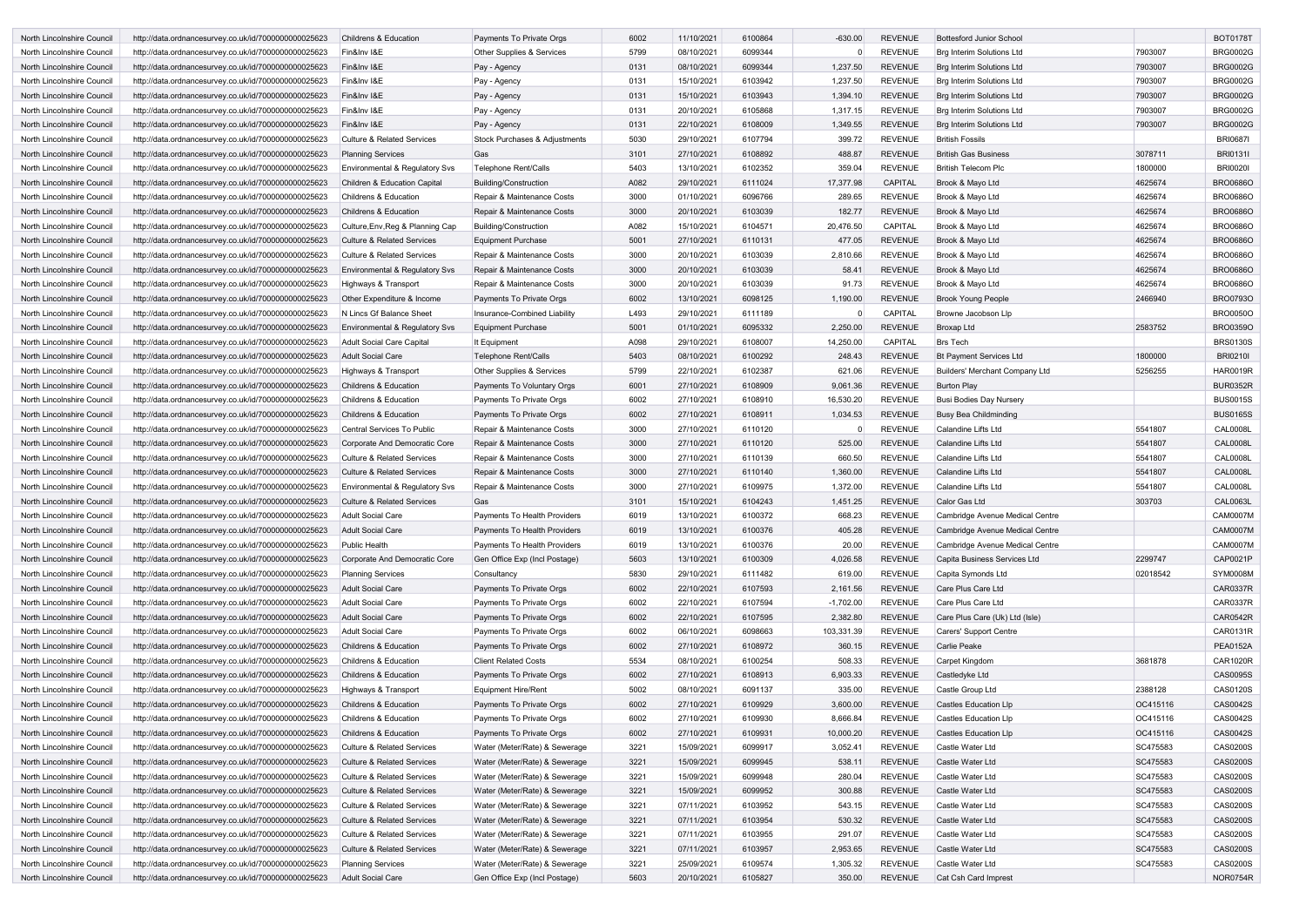| North Lincolnshire Council        | http://data.ordnancesurvey.co.uk/id/7000000000025623 | <b>Childrens &amp; Education</b>      | Payments To Private Orgs      | 6002 | 11/10/2021 | 6100864 | $-630.00$   | <b>REVENUE</b> | <b>Bottesford Junior School</b>  |          | <b>BOT0178T</b> |
|-----------------------------------|------------------------------------------------------|---------------------------------------|-------------------------------|------|------------|---------|-------------|----------------|----------------------------------|----------|-----------------|
| North Lincolnshire Council        | http://data.ordnancesurvey.co.uk/id/7000000000025623 | Fin&Inv I&E                           | Other Supplies & Services     | 5799 | 08/10/2021 | 6099344 |             | <b>REVENUE</b> | <b>Brg Interim Solutions Ltd</b> | 7903007  | <b>BRG0002G</b> |
| North Lincolnshire Council        | http://data.ordnancesurvey.co.uk/id/7000000000025623 | Fin&Inv I&E                           | Pay - Agency                  | 0131 | 08/10/2021 | 6099344 | 1,237.50    | <b>REVENUE</b> | <b>Brg Interim Solutions Ltd</b> | 7903007  | <b>BRG0002G</b> |
| North Lincolnshire Council        | http://data.ordnancesurvey.co.uk/id/7000000000025623 | Fin&Inv I&E                           | Pay - Agency                  | 0131 | 15/10/2021 | 6103942 | 1,237.50    | <b>REVENUE</b> | <b>Brg Interim Solutions Ltd</b> | 7903007  | <b>BRG0002G</b> |
| <b>North Lincolnshire Council</b> | http://data.ordnancesurvey.co.uk/id/7000000000025623 | Fin&Inv I&E                           | Pay - Agency                  | 0131 | 15/10/2021 | 6103943 | 1,394.10    | <b>REVENUE</b> | <b>Brg Interim Solutions Ltd</b> | 7903007  | <b>BRG0002G</b> |
| North Lincolnshire Council        | http://data.ordnancesurvey.co.uk/id/7000000000025623 | Fin&Inv I&E                           | Pay - Agency                  | 0131 | 20/10/2021 | 6105868 | 1,317.15    | <b>REVENUE</b> | <b>Brg Interim Solutions Ltd</b> | 7903007  | <b>BRG0002G</b> |
| North Lincolnshire Council        | http://data.ordnancesurvey.co.uk/id/7000000000025623 | Fin&Inv I&E                           | Pay - Agency                  | 0131 | 22/10/2021 | 6108009 | 1,349.55    | <b>REVENUE</b> | <b>Brg Interim Solutions Ltd</b> | 7903007  | <b>BRG0002G</b> |
| North Lincolnshire Council        | http://data.ordnancesurvey.co.uk/id/7000000000025623 | <b>Culture &amp; Related Services</b> | Stock Purchases & Adjustments | 5030 | 29/10/2021 | 6107794 | 399.72      | <b>REVENUE</b> | <b>British Fossils</b>           |          | <b>BRI0687I</b> |
| North Lincolnshire Council        | http://data.ordnancesurvey.co.uk/id/7000000000025623 | <b>Planning Services</b>              | Gas                           | 3101 | 27/10/2021 | 6108892 | 488.87      | <b>REVENUE</b> | <b>British Gas Business</b>      | 3078711  | <b>BRI0131I</b> |
| North Lincolnshire Council        | http://data.ordnancesurvey.co.uk/id/7000000000025623 | Environmental & Regulatory Svs        | <b>Telephone Rent/Calls</b>   | 5403 | 13/10/2021 | 6102352 | 359.04      | <b>REVENUE</b> | <b>British Telecom Plc</b>       | 1800000  | <b>BRI00201</b> |
| North Lincolnshire Council        | http://data.ordnancesurvey.co.uk/id/7000000000025623 | Children & Education Capital          | Building/Construction         | A082 | 29/10/2021 | 6111024 | 17,377.98   | <b>CAPITAL</b> | Brook & Mayo Ltd                 | 4625674  | <b>BRO0686C</b> |
| North Lincolnshire Council        | http://data.ordnancesurvey.co.uk/id/7000000000025623 | Childrens & Education                 | Repair & Maintenance Costs    | 3000 | 01/10/2021 | 6096766 | 289.65      | <b>REVENUE</b> | Brook & Mayo Ltd                 | 4625674  | <b>BRO0686C</b> |
| North Lincolnshire Council        | http://data.ordnancesurvey.co.uk/id/7000000000025623 | <b>Childrens &amp; Education</b>      | Repair & Maintenance Costs    | 3000 | 20/10/2021 | 6103039 | 182.77      | <b>REVENUE</b> | Brook & Mayo Ltd                 | 4625674  | <b>BRO0686O</b> |
| North Lincolnshire Council        | http://data.ordnancesurvey.co.uk/id/7000000000025623 | Culture, Env, Reg & Planning Cap      | Building/Construction         | A082 | 15/10/2021 | 6104571 | 20,476.50   | <b>CAPITAL</b> | Brook & Mayo Ltd                 | 4625674  | <b>BRO0686C</b> |
| North Lincolnshire Council        | http://data.ordnancesurvey.co.uk/id/7000000000025623 | <b>Culture &amp; Related Services</b> | <b>Equipment Purchase</b>     | 5001 | 27/10/2021 | 6110131 | 477.05      | <b>REVENUE</b> | Brook & Mayo Ltd                 | 4625674  | <b>BRO0686O</b> |
| North Lincolnshire Council        | http://data.ordnancesurvey.co.uk/id/7000000000025623 | <b>Culture &amp; Related Services</b> | Repair & Maintenance Costs    | 3000 | 20/10/2021 | 6103039 | 2,810.66    | <b>REVENUE</b> | Brook & Mayo Ltd                 | 4625674  | <b>BRO0686O</b> |
| North Lincolnshire Council        | http://data.ordnancesurvey.co.uk/id/7000000000025623 | Environmental & Regulatory Svs        | Repair & Maintenance Costs    | 3000 | 20/10/2021 | 6103039 | 58.41       | <b>REVENUE</b> | Brook & Mayo Ltd                 | 4625674  | <b>BRO0686O</b> |
| North Lincolnshire Council        | http://data.ordnancesurvey.co.uk/id/7000000000025623 | Highways & Transport                  | Repair & Maintenance Costs    | 3000 | 20/10/2021 | 6103039 | 91.73       | <b>REVENUE</b> | Brook & Mayo Ltd                 | 4625674  | <b>BRO0686O</b> |
| North Lincolnshire Council        | http://data.ordnancesurvey.co.uk/id/7000000000025623 | Other Expenditure & Income            | Payments To Private Orgs      | 6002 | 13/10/2021 | 6098125 | 1,190.00    | <b>REVENUE</b> | <b>Brook Young People</b>        | 2466940  | <b>BRO0793C</b> |
| North Lincolnshire Council        | http://data.ordnancesurvey.co.uk/id/7000000000025623 | N Lincs Gf Balance Sheet              | Insurance-Combined Liability  | L493 | 29/10/2021 | 6111189 |             | <b>CAPITAL</b> | Browne Jacobson Llp              |          | <b>BRO0050C</b> |
| <b>North Lincolnshire Council</b> | http://data.ordnancesurvey.co.uk/id/7000000000025623 | Environmental & Regulatory Svs        | <b>Equipment Purchase</b>     | 5001 | 01/10/2021 | 6095332 | 2,250.00    | <b>REVENUE</b> | Broxap Ltd                       | 2583752  | <b>BRO0359C</b> |
| North Lincolnshire Council        | http://data.ordnancesurvey.co.uk/id/7000000000025623 | <b>Adult Social Care Capital</b>      | It Equipmen                   | A098 | 29/10/2021 | 6108007 | 14,250.00   | <b>CAPITAL</b> | <b>Brs Tech</b>                  |          | <b>BRS0130S</b> |
| North Lincolnshire Council        | http://data.ordnancesurvey.co.uk/id/7000000000025623 | <b>Adult Social Care</b>              | <b>Telephone Rent/Calls</b>   | 5403 | 08/10/2021 | 6100292 | 248.43      | <b>REVENUE</b> | <b>Bt Payment Services Ltd</b>   | 1800000  | <b>BRI0210I</b> |
| North Lincolnshire Council        | http://data.ordnancesurvey.co.uk/id/7000000000025623 | Highways & Transport                  | Other Supplies & Services     | 5799 | 22/10/2021 | 6102387 | 621.06      | <b>REVENUE</b> | Builders' Merchant Company Ltd   | 5256255  | <b>HAR0019R</b> |
| North Lincolnshire Council        | http://data.ordnancesurvey.co.uk/id/7000000000025623 | <b>Childrens &amp; Education</b>      | Payments To Voluntary Orgs    | 6001 | 27/10/2021 | 6108909 | 9,061.36    | <b>REVENUE</b> | <b>Burton Play</b>               |          | <b>BUR0352R</b> |
| North Lincolnshire Council        | http://data.ordnancesurvey.co.uk/id/7000000000025623 | <b>Childrens &amp; Education</b>      | Payments To Private Orgs      | 6002 | 27/10/2021 | 6108910 | 16,530.20   | <b>REVENUE</b> | Busi Bodies Day Nursery          |          | <b>BUS0015S</b> |
| North Lincolnshire Council        | http://data.ordnancesurvey.co.uk/id/7000000000025623 | <b>Childrens &amp; Education</b>      | Payments To Private Orgs      | 6002 | 27/10/2021 | 6108911 | 1,034.53    | <b>REVENUE</b> | Busy Bea Childminding            |          | <b>BUS0165S</b> |
| North Lincolnshire Council        | http://data.ordnancesurvey.co.uk/id/7000000000025623 | Central Services To Public            | Repair & Maintenance Costs    | 3000 | 27/10/2021 | 6110120 |             | <b>REVENUE</b> | <b>Calandine Lifts Ltd</b>       | 5541807  | <b>CAL0008L</b> |
| North Lincolnshire Council        | http://data.ordnancesurvey.co.uk/id/7000000000025623 | Corporate And Democratic Core         | Repair & Maintenance Costs    | 3000 | 27/10/2021 | 6110120 | 525.00      | <b>REVENUE</b> | Calandine Lifts Ltd              | 5541807  | <b>CAL0008L</b> |
| North Lincolnshire Council        | http://data.ordnancesurvey.co.uk/id/7000000000025623 | <b>Culture &amp; Related Services</b> | Repair & Maintenance Costs    | 3000 | 27/10/2021 | 6110139 | 660.50      | <b>REVENUE</b> | Calandine Lifts Ltd              | 5541807  | <b>CAL0008L</b> |
| North Lincolnshire Council        | http://data.ordnancesurvey.co.uk/id/7000000000025623 | <b>Culture &amp; Related Services</b> | Repair & Maintenance Costs    | 3000 | 27/10/2021 | 6110140 | 1,360.00    | <b>REVENUE</b> | <b>Calandine Lifts Ltd</b>       | 5541807  | <b>CAL0008L</b> |
| North Lincolnshire Council        | http://data.ordnancesurvey.co.uk/id/7000000000025623 | Environmental & Regulatory Svs        | Repair & Maintenance Costs    | 3000 | 27/10/2021 | 6109975 | 1,372.00    | <b>REVENUE</b> | Calandine Lifts Ltd              | 5541807  | <b>CAL0008L</b> |
| North Lincolnshire Council        | http://data.ordnancesurvey.co.uk/id/7000000000025623 | <b>Culture &amp; Related Services</b> | Gas                           | 3101 | 15/10/2021 | 6104243 | 1,451.25    | <b>REVENUE</b> | Calor Gas Ltd                    | 303703   | <b>CAL0063L</b> |
| North Lincolnshire Council        | http://data.ordnancesurvey.co.uk/id/7000000000025623 | Adult Social Care                     | Payments To Health Providers  | 6019 | 13/10/2021 | 6100372 | 668.23      | <b>REVENUE</b> | Cambridge Avenue Medical Centre  |          | <b>CAM0007M</b> |
| North Lincolnshire Council        | http://data.ordnancesurvey.co.uk/id/7000000000025623 | Adult Social Care                     | Payments To Health Providers  | 6019 | 13/10/2021 | 6100376 | 405.28      | <b>REVENUE</b> | Cambridge Avenue Medical Centre  |          | <b>CAM0007M</b> |
| North Lincolnshire Council        | http://data.ordnancesurvey.co.uk/id/7000000000025623 | <b>Public Health</b>                  | Payments To Health Providers  | 6019 | 13/10/2021 | 6100376 | 20.00       | <b>REVENUE</b> | Cambridge Avenue Medical Centre  |          | <b>CAM0007M</b> |
| North Lincolnshire Council        | http://data.ordnancesurvey.co.uk/id/7000000000025623 | Corporate And Democratic Core         | Gen Office Exp (Incl Postage) | 5603 | 13/10/2021 | 6100309 | 4,026.58    | <b>REVENUE</b> | Capita Business Services Ltd     | 2299747  | CAP0021P        |
| North Lincolnshire Council        | http://data.ordnancesurvey.co.uk/id/7000000000025623 | <b>Planning Services</b>              | Consultancy                   | 5830 | 29/10/2021 | 6111482 | 619.00      | <b>REVENUE</b> | Capita Symonds Ltd               | 02018542 | SYM0008M        |
| North Lincolnshire Council        | http://data.ordnancesurvey.co.uk/id/7000000000025623 | <b>Adult Social Care</b>              | Payments To Private Orgs      | 6002 | 22/10/2021 | 6107593 | 2,161.56    | <b>REVENUE</b> | Care Plus Care Ltd               |          | <b>CAR0337R</b> |
| North Lincolnshire Council        | http://data.ordnancesurvey.co.uk/id/7000000000025623 | <b>Adult Social Care</b>              | Payments To Private Orgs      | 6002 | 22/10/2021 | 6107594 | $-1,702.00$ | <b>REVENUE</b> | Care Plus Care Ltd               |          | <b>CAR0337R</b> |
| North Lincolnshire Council        | http://data.ordnancesurvey.co.uk/id/7000000000025623 | <b>Adult Social Care</b>              | Payments To Private Orgs      | 6002 | 22/10/2021 | 6107595 | 2,382.80    | <b>REVENUE</b> | Care Plus Care (Uk) Ltd (Isle)   |          | <b>CAR0542R</b> |
| North Lincolnshire Council        | http://data.ordnancesurvey.co.uk/id/7000000000025623 | Adult Social Care                     | Payments To Private Orgs      | 6002 | 06/10/2021 | 6098663 | 103,331.39  | <b>REVENUE</b> | Carers' Support Centre           |          | CAR0131R        |
| North Lincolnshire Council        | http://data.ordnancesurvey.co.uk/id/7000000000025623 | Childrens & Education                 | Payments To Private Orgs      | 6002 | 27/10/2021 | 6108972 | 360.15      | <b>REVENUE</b> | Carlie Peake                     |          | <b>PEA0152A</b> |
| North Lincolnshire Council        | http://data.ordnancesurvey.co.uk/id/7000000000025623 | Childrens & Education                 | <b>Client Related Costs</b>   | 5534 | 08/10/2021 | 6100254 | 508.33      | <b>REVENUE</b> | Carpet Kingdom                   | 3681878  | <b>CAR1020R</b> |
| North Lincolnshire Council        | http://data.ordnancesurvey.co.uk/id/7000000000025623 | Childrens & Education                 | Payments To Private Orgs      | 6002 | 27/10/2021 | 6108913 | 6,903.33    | <b>REVENUE</b> | Castledyke Ltd                   |          | CAS0095S        |
| North Lincolnshire Council        | http://data.ordnancesurvey.co.uk/id/7000000000025623 | Highways & Transport                  | <b>Equipment Hire/Rent</b>    | 5002 | 08/10/2021 | 6091137 | 335.00      | <b>REVENUE</b> | Castle Group Ltd                 | 2388128  | CAS0120S        |
| North Lincolnshire Council        | http://data.ordnancesurvey.co.uk/id/7000000000025623 | <b>Childrens &amp; Education</b>      | Payments To Private Orgs      | 6002 | 27/10/2021 | 6109929 | 3,600.00    | <b>REVENUE</b> | <b>Castles Education Llp</b>     | OC415116 | CAS0042S        |
| North Lincolnshire Council        | http://data.ordnancesurvey.co.uk/id/7000000000025623 | Childrens & Education                 | Payments To Private Orgs      | 6002 | 27/10/2021 | 6109930 | 8,666.84    | <b>REVENUE</b> | <b>Castles Education Llp</b>     | OC415116 | CAS0042S        |
| North Lincolnshire Council        | http://data.ordnancesurvey.co.uk/id/7000000000025623 | Childrens & Education                 | Payments To Private Orgs      | 6002 | 27/10/2021 | 6109931 | 10,000.20   | <b>REVENUE</b> | <b>Castles Education Llp</b>     | OC415116 | CAS0042S        |
| North Lincolnshire Council        | http://data.ordnancesurvey.co.uk/id/7000000000025623 | <b>Culture &amp; Related Services</b> | Water (Meter/Rate) & Sewerage | 3221 | 15/09/2021 | 6099917 | 3,052.41    | <b>REVENUE</b> | Castle Water Ltd                 | SC475583 | <b>CAS0200S</b> |
| North Lincolnshire Council        | http://data.ordnancesurvey.co.uk/id/7000000000025623 | Culture & Related Services            | Water (Meter/Rate) & Sewerage | 3221 | 15/09/2021 | 6099945 | 538.11      | <b>REVENUE</b> | Castle Water Ltd                 | SC475583 | <b>CAS0200S</b> |
| North Lincolnshire Council        | http://data.ordnancesurvey.co.uk/id/7000000000025623 | <b>Culture &amp; Related Services</b> | Water (Meter/Rate) & Sewerage | 3221 | 15/09/2021 | 6099948 | 280.04      | <b>REVENUE</b> | Castle Water Ltd                 | SC475583 | <b>CAS0200S</b> |
| North Lincolnshire Council        | http://data.ordnancesurvey.co.uk/id/7000000000025623 | <b>Culture &amp; Related Services</b> | Water (Meter/Rate) & Sewerage | 3221 | 15/09/2021 | 6099952 | 300.88      | <b>REVENUE</b> | Castle Water Ltd                 | SC475583 | CAS0200S        |
| North Lincolnshire Council        | http://data.ordnancesurvey.co.uk/id/7000000000025623 | <b>Culture &amp; Related Services</b> | Water (Meter/Rate) & Sewerage | 3221 | 07/11/2021 | 6103952 | 543.15      | <b>REVENUE</b> | Castle Water Ltd                 | SC475583 | CAS0200S        |
| North Lincolnshire Council        | http://data.ordnancesurvey.co.uk/id/7000000000025623 | <b>Culture &amp; Related Services</b> | Water (Meter/Rate) & Sewerage | 3221 | 07/11/2021 | 6103954 | 530.32      | <b>REVENUE</b> | Castle Water Ltd                 | SC475583 | <b>CAS0200S</b> |
| North Lincolnshire Council        | http://data.ordnancesurvey.co.uk/id/7000000000025623 | <b>Culture &amp; Related Services</b> | Water (Meter/Rate) & Sewerage | 3221 | 07/11/2021 | 6103955 | 291.07      | <b>REVENUE</b> | Castle Water Ltd                 | SC475583 | <b>CAS0200S</b> |
| North Lincolnshire Council        | http://data.ordnancesurvey.co.uk/id/7000000000025623 | <b>Culture &amp; Related Services</b> | Water (Meter/Rate) & Sewerage | 3221 | 07/11/2021 | 6103957 | 2,953.65    | <b>REVENUE</b> | Castle Water Ltd                 | SC475583 | <b>CAS0200S</b> |
| North Lincolnshire Council        | http://data.ordnancesurvey.co.uk/id/7000000000025623 | <b>Planning Services</b>              | Water (Meter/Rate) & Sewerage | 3221 | 25/09/2021 | 6109574 | 1,305.32    | <b>REVENUE</b> | Castle Water Ltd                 | SC475583 | CAS0200S        |
| North Lincolnshire Council        | http://data.ordnancesurvey.co.uk/id/7000000000025623 | Adult Social Care                     | Gen Office Exp (Incl Postage) | 5603 | 20/10/2021 | 6105827 | 350.00      | REVENUE        | Cat Csh Card Imprest             |          | <b>NOR0754R</b> |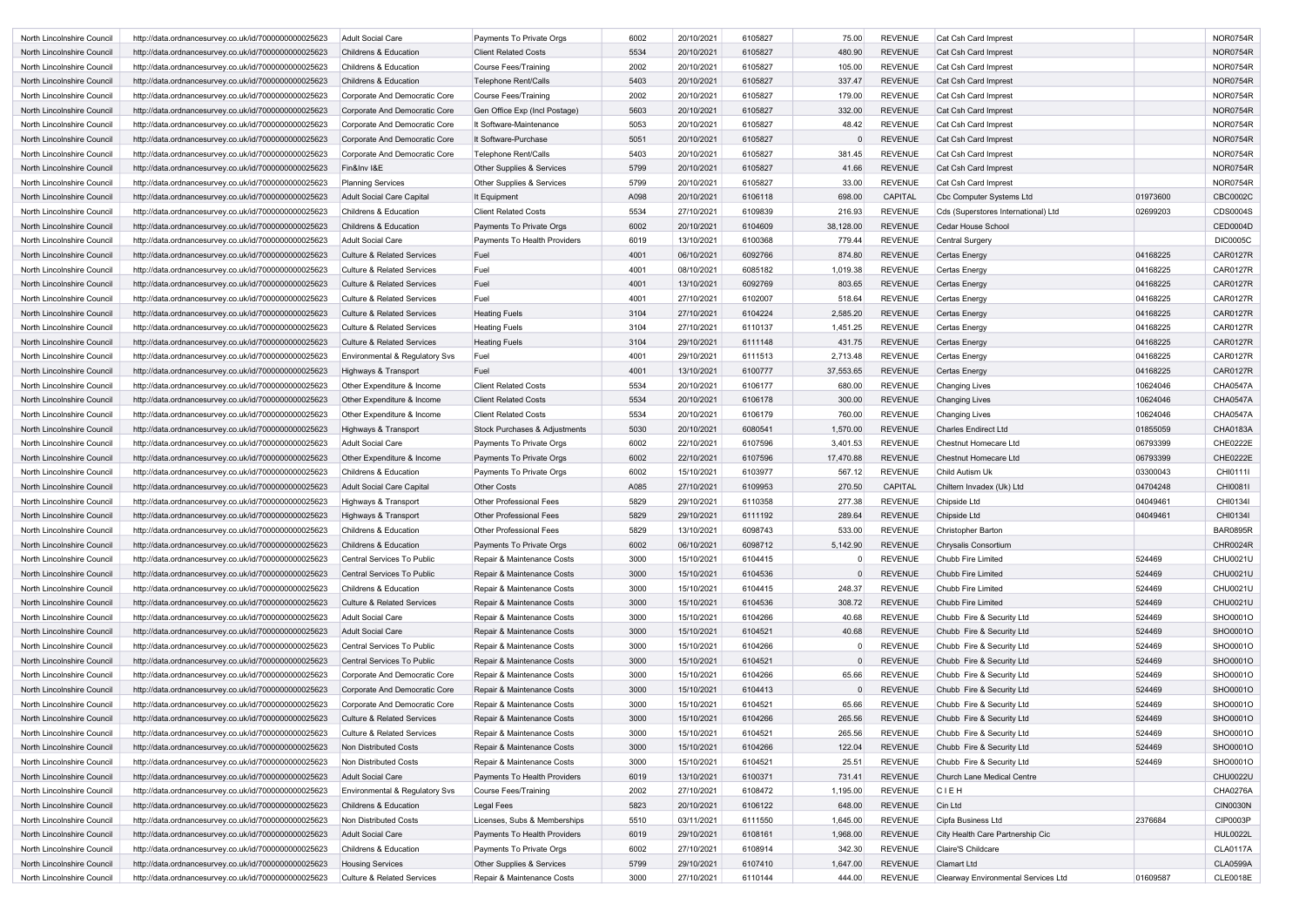| North Lincolnshire Council | http://data.ordnancesurvey.co.uk/id/7000000000025623 | Adult Social Care                     | Payments To Private Orgs       | 6002 | 20/10/2021 | 6105827 | 75.00     | <b>REVENUE</b> | Cat Csh Card Imprest                |          | <b>NOR0754R</b> |
|----------------------------|------------------------------------------------------|---------------------------------------|--------------------------------|------|------------|---------|-----------|----------------|-------------------------------------|----------|-----------------|
| North Lincolnshire Council | http://data.ordnancesurvey.co.uk/id/7000000000025623 | <b>Childrens &amp; Education</b>      | <b>Client Related Costs</b>    | 5534 | 20/10/2021 | 6105827 | 480.90    | <b>REVENUE</b> | Cat Csh Card Imprest                |          | <b>NOR0754R</b> |
| North Lincolnshire Council | http://data.ordnancesurvey.co.uk/id/7000000000025623 | <b>Childrens &amp; Education</b>      | Course Fees/Training           | 2002 | 20/10/2021 | 6105827 | 105.00    | <b>REVENUE</b> | Cat Csh Card Imprest                |          | <b>NOR0754R</b> |
| North Lincolnshire Council | http://data.ordnancesurvey.co.uk/id/7000000000025623 | <b>Childrens &amp; Education</b>      | <b>Telephone Rent/Calls</b>    | 5403 | 20/10/2021 | 6105827 | 337.47    | <b>REVENUE</b> | Cat Csh Card Imprest                |          | <b>NOR0754R</b> |
| North Lincolnshire Council | http://data.ordnancesurvey.co.uk/id/7000000000025623 | Corporate And Democratic Core         | Course Fees/Training           | 2002 | 20/10/2021 | 6105827 | 179.00    | <b>REVENUE</b> | Cat Csh Card Imprest                |          | <b>NOR0754R</b> |
| North Lincolnshire Council | http://data.ordnancesurvey.co.uk/id/7000000000025623 | Corporate And Democratic Core         | Gen Office Exp (Incl Postage)  | 5603 | 20/10/2021 | 6105827 | 332.00    | <b>REVENUE</b> | Cat Csh Card Imprest                |          | <b>NOR0754R</b> |
| North Lincolnshire Council | http://data.ordnancesurvey.co.uk/id/7000000000025623 | Corporate And Democratic Core         | It Software-Maintenance        | 5053 | 20/10/2021 | 6105827 | 48.42     | <b>REVENUE</b> | Cat Csh Card Imprest                |          | <b>NOR0754R</b> |
| North Lincolnshire Council | http://data.ordnancesurvey.co.uk/id/7000000000025623 | Corporate And Democratic Core         | It Software-Purchase           | 5051 | 20/10/2021 | 6105827 |           | <b>REVENUE</b> | Cat Csh Card Imprest                |          | <b>NOR0754R</b> |
| North Lincolnshire Council | http://data.ordnancesurvey.co.uk/id/7000000000025623 | Corporate And Democratic Core         | Telephone Rent/Calls           | 5403 | 20/10/2021 | 6105827 | 381.45    | <b>REVENUE</b> | Cat Csh Card Imprest                |          | <b>NOR0754R</b> |
| North Lincolnshire Council | http://data.ordnancesurvey.co.uk/id/7000000000025623 | Fin&Inv I&E                           | Other Supplies & Services      | 5799 | 20/10/2021 | 6105827 | 41.66     | <b>REVENUE</b> | Cat Csh Card Imprest                |          | <b>NOR0754R</b> |
| North Lincolnshire Council | http://data.ordnancesurvey.co.uk/id/7000000000025623 | <b>Planning Services</b>              | Other Supplies & Services      | 5799 | 20/10/2021 | 6105827 | 33.00     | <b>REVENUE</b> | Cat Csh Card Imprest                |          | <b>NOR0754R</b> |
| North Lincolnshire Council | http://data.ordnancesurvey.co.uk/id/7000000000025623 | <b>Adult Social Care Capital</b>      | It Equipment                   | A098 | 20/10/2021 | 6106118 | 698.00    | <b>CAPITAL</b> | <b>Cbc Computer Systems Ltd</b>     | 01973600 | CBC0002C        |
| North Lincolnshire Council | http://data.ordnancesurvey.co.uk/id/7000000000025623 | <b>Childrens &amp; Education</b>      | <b>Client Related Costs</b>    | 5534 | 27/10/2021 | 6109839 | 216.93    | <b>REVENUE</b> | Cds (Superstores International) Ltd | 02699203 | CDS0004S        |
| North Lincolnshire Council | http://data.ordnancesurvey.co.uk/id/7000000000025623 | <b>Childrens &amp; Education</b>      | Payments To Private Orgs       | 6002 | 20/10/2021 | 6104609 | 38,128.00 | <b>REVENUE</b> | Cedar House School                  |          | <b>CED0004D</b> |
| North Lincolnshire Council | http://data.ordnancesurvey.co.uk/id/7000000000025623 | <b>Adult Social Care</b>              | Payments To Health Providers   | 6019 | 13/10/2021 | 6100368 | 779.44    | <b>REVENUE</b> | <b>Central Surgery</b>              |          | <b>DIC0005C</b> |
| North Lincolnshire Council |                                                      | <b>Culture &amp; Related Services</b> | Fuel                           | 4001 | 06/10/2021 | 6092766 | 874.80    | <b>REVENUE</b> |                                     | 04168225 | <b>CAR0127R</b> |
|                            | http://data.ordnancesurvey.co.uk/id/7000000000025623 |                                       |                                |      |            |         |           |                | <b>Certas Energy</b>                |          |                 |
| North Lincolnshire Council | http://data.ordnancesurvey.co.uk/id/7000000000025623 | <b>Culture &amp; Related Services</b> | Fuel                           | 4001 | 08/10/2021 | 6085182 | 1,019.38  | <b>REVENUE</b> | Certas Energy                       | 04168225 | <b>CAR0127R</b> |
| North Lincolnshire Council | http://data.ordnancesurvey.co.uk/id/7000000000025623 | <b>Culture &amp; Related Services</b> | Fuel                           | 4001 | 13/10/2021 | 6092769 | 803.65    | <b>REVENUE</b> | Certas Energy                       | 04168225 | <b>CAR0127R</b> |
| North Lincolnshire Council | http://data.ordnancesurvey.co.uk/id/7000000000025623 | Culture & Related Services            | Fuel                           | 4001 | 27/10/2021 | 6102007 | 518.64    | <b>REVENUE</b> | Certas Energy                       | 04168225 | <b>CAR0127R</b> |
| North Lincolnshire Council | http://data.ordnancesurvey.co.uk/id/7000000000025623 | <b>Culture &amp; Related Services</b> | <b>Heating Fuels</b>           | 3104 | 27/10/2021 | 6104224 | 2,585.20  | <b>REVENUE</b> | Certas Energy                       | 04168225 | <b>CAR0127R</b> |
| North Lincolnshire Council | http://data.ordnancesurvey.co.uk/id/7000000000025623 | Culture & Related Services            | <b>Heating Fuels</b>           | 3104 | 27/10/2021 | 6110137 | 1,451.25  | <b>REVENUE</b> | Certas Energy                       | 04168225 | <b>CAR0127R</b> |
| North Lincolnshire Council | http://data.ordnancesurvey.co.uk/id/7000000000025623 | <b>Culture &amp; Related Services</b> | <b>Heating Fuels</b>           | 3104 | 29/10/2021 | 6111148 | 431.75    | <b>REVENUE</b> | <b>Certas Energy</b>                | 04168225 | <b>CAR0127R</b> |
| North Lincolnshire Council | http://data.ordnancesurvey.co.uk/id/7000000000025623 | Environmental & Regulatory Svs        | Fuel                           | 4001 | 29/10/2021 | 6111513 | 2,713.48  | <b>REVENUE</b> | Certas Energy                       | 04168225 | <b>CAR0127R</b> |
| North Lincolnshire Council | http://data.ordnancesurvey.co.uk/id/7000000000025623 | Highways & Transport                  | Fuel                           | 4001 | 13/10/2021 | 6100777 | 37,553.65 | <b>REVENUE</b> | Certas Energy                       | 04168225 | <b>CAR0127R</b> |
| North Lincolnshire Council | http://data.ordnancesurvey.co.uk/id/7000000000025623 | Other Expenditure & Income            | <b>Client Related Costs</b>    | 5534 | 20/10/2021 | 6106177 | 680.00    | <b>REVENUE</b> | Changing Lives                      | 10624046 | <b>CHA0547A</b> |
| North Lincolnshire Council | http://data.ordnancesurvey.co.uk/id/7000000000025623 | Other Expenditure & Income            | <b>Client Related Costs</b>    | 5534 | 20/10/2021 | 6106178 | 300.00    | <b>REVENUE</b> | <b>Changing Lives</b>               | 10624046 | <b>CHA0547A</b> |
| North Lincolnshire Council | http://data.ordnancesurvey.co.uk/id/7000000000025623 | Other Expenditure & Income            | <b>Client Related Costs</b>    | 5534 | 20/10/2021 | 6106179 | 760.00    | <b>REVENUE</b> | <b>Changing Lives</b>               | 10624046 | <b>CHA0547A</b> |
| North Lincolnshire Council | http://data.ordnancesurvey.co.uk/id/7000000000025623 | Highways & Transport                  | Stock Purchases & Adjustments  | 5030 | 20/10/2021 | 6080541 | 1,570.00  | <b>REVENUE</b> | <b>Charles Endirect Ltd</b>         | 01855059 | <b>CHA0183A</b> |
| North Lincolnshire Council | http://data.ordnancesurvey.co.uk/id/7000000000025623 | <b>Adult Social Care</b>              | Payments To Private Orgs       | 6002 | 22/10/2021 | 6107596 | 3,401.53  | <b>REVENUE</b> | <b>Chestnut Homecare Ltd</b>        | 06793399 | CHE0222E        |
| North Lincolnshire Council | http://data.ordnancesurvey.co.uk/id/7000000000025623 | Other Expenditure & Income            | Payments To Private Orgs       | 6002 | 22/10/2021 | 6107596 | 17,470.88 | <b>REVENUE</b> | <b>Chestnut Homecare Ltd</b>        | 06793399 | <b>CHE0222E</b> |
| North Lincolnshire Council | http://data.ordnancesurvey.co.uk/id/7000000000025623 | Childrens & Education                 | Payments To Private Orgs       | 6002 | 15/10/2021 | 6103977 | 567.12    | <b>REVENUE</b> | Child Autism Uk                     | 03300043 | CHI0111         |
| North Lincolnshire Council | http://data.ordnancesurvey.co.uk/id/7000000000025623 | <b>Adult Social Care Capital</b>      | <b>Other Costs</b>             | A085 | 27/10/2021 | 6109953 | 270.50    | <b>CAPITAL</b> | Chiltern Invadex (Uk) Ltd           | 04704248 | CHI0081I        |
| North Lincolnshire Council | http://data.ordnancesurvey.co.uk/id/7000000000025623 | Highways & Transport                  | <b>Other Professional Fees</b> | 5829 | 29/10/2021 | 6110358 | 277.38    | <b>REVENUE</b> | Chipside Ltd                        | 04049461 | CHI0134I        |
| North Lincolnshire Council | http://data.ordnancesurvey.co.uk/id/7000000000025623 | Highways & Transport                  | <b>Other Professional Fees</b> | 5829 | 29/10/2021 | 6111192 | 289.64    | <b>REVENUE</b> | Chipside Ltd                        | 04049461 | CHI01341        |
| North Lincolnshire Council | http://data.ordnancesurvey.co.uk/id/7000000000025623 | <b>Childrens &amp; Education</b>      | <b>Other Professional Fees</b> | 5829 | 13/10/2021 | 6098743 | 533.00    | <b>REVENUE</b> | <b>Christopher Barton</b>           |          | <b>BAR0895R</b> |
| North Lincolnshire Council | http://data.ordnancesurvey.co.uk/id/7000000000025623 | <b>Childrens &amp; Education</b>      | Payments To Private Orgs       | 6002 | 06/10/2021 | 6098712 | 5,142.90  | <b>REVENUE</b> | Chrysalis Consortium                |          | <b>CHR0024R</b> |
| North Lincolnshire Council | http://data.ordnancesurvey.co.uk/id/7000000000025623 | Central Services To Public            | Repair & Maintenance Costs     | 3000 | 15/10/2021 | 6104415 |           | <b>REVENUE</b> | Chubb Fire Limited                  | 524469   | CHU0021U        |
| North Lincolnshire Council | http://data.ordnancesurvey.co.uk/id/7000000000025623 | Central Services To Public            | Repair & Maintenance Costs     | 3000 | 15/10/2021 | 6104536 |           | <b>REVENUE</b> | Chubb Fire Limited                  | 524469   | <b>CHU0021U</b> |
| North Lincolnshire Council | http://data.ordnancesurvey.co.uk/id/7000000000025623 | <b>Childrens &amp; Education</b>      | Repair & Maintenance Costs     | 3000 | 15/10/2021 | 6104415 | 248.37    | <b>REVENUE</b> | Chubb Fire Limited                  | 524469   | CHU0021U        |
| North Lincolnshire Council | http://data.ordnancesurvey.co.uk/id/7000000000025623 | <b>Culture &amp; Related Services</b> | Repair & Maintenance Costs     | 3000 | 15/10/2021 | 6104536 | 308.72    | <b>REVENUE</b> | Chubb Fire Limited                  | 524469   | <b>CHU0021U</b> |
| North Lincolnshire Council | http://data.ordnancesurvey.co.uk/id/7000000000025623 | <b>Adult Social Care</b>              | Repair & Maintenance Costs     | 3000 | 15/10/2021 | 6104266 | 40.68     | <b>REVENUE</b> | Chubb Fire & Security Ltd           | 524469   | SHO0001O        |
| North Lincolnshire Council | http://data.ordnancesurvey.co.uk/id/7000000000025623 | <b>Adult Social Care</b>              | Repair & Maintenance Costs     | 3000 | 15/10/2021 | 6104521 | 40.68     | <b>REVENUE</b> | Chubb Fire & Security Ltd           | 524469   | SHO0001O        |
| North Lincolnshire Council | http://data.ordnancesurvey.co.uk/id/7000000000025623 | Central Services To Public            | Repair & Maintenance Costs     | 3000 | 15/10/2021 | 6104266 |           | <b>REVENUE</b> | Chubb Fire & Security Ltd           | 524469   | SHO0001O        |
|                            |                                                      | Central Services To Public            | Repair & Maintenance Costs     |      |            | 6104521 |           | <b>REVENUE</b> |                                     |          | SHO0001O        |
| North Lincolnshire Council | http://data.ordnancesurvey.co.uk/id/7000000000025623 |                                       |                                | 3000 | 15/10/2021 |         |           |                | Chubb Fire & Security Ltd           | 524469   |                 |
| North Lincolnshire Council | http://data.ordnancesurvey.co.uk/id/7000000000025623 | Corporate And Democratic Core         | Repair & Maintenance Costs     | 3000 | 15/10/2021 | 6104266 | 65.66     | <b>REVENUE</b> | Chubb Fire & Security Ltd           | 524469   | SHO0001O        |
| North Lincolnshire Council | http://data.ordnancesurvey.co.uk/id/7000000000025623 | Corporate And Democratic Core         | Repair & Maintenance Costs     | 3000 | 15/10/2021 | 6104413 |           | <b>REVENUE</b> | Chubb Fire & Security Ltd           | 524469   | SHO0001O        |
| North Lincolnshire Council | http://data.ordnancesurvey.co.uk/id/7000000000025623 | Corporate And Democratic Core         | Repair & Maintenance Costs     | 3000 | 15/10/2021 | 6104521 | 65.66     | <b>REVENUE</b> | Chubb Fire & Security Ltd           | 524469   | SHO0001O        |
| North Lincolnshire Council | http://data.ordnancesurvey.co.uk/id/7000000000025623 | <b>Culture &amp; Related Services</b> | Repair & Maintenance Costs     | 3000 | 15/10/2021 | 6104266 | 265.56    | <b>REVENUE</b> | Chubb Fire & Security Ltd           | 524469   | SHO0001O        |
| North Lincolnshire Council | http://data.ordnancesurvey.co.uk/id/7000000000025623 | <b>Culture &amp; Related Services</b> | Repair & Maintenance Costs     | 3000 | 15/10/2021 | 6104521 | 265.56    | <b>REVENUE</b> | Chubb Fire & Security Ltd           | 524469   | SHO0001O        |
| North Lincolnshire Council | http://data.ordnancesurvey.co.uk/id/7000000000025623 | Non Distributed Costs                 | Repair & Maintenance Costs     | 3000 | 15/10/2021 | 6104266 | 122.04    | <b>REVENUE</b> | Chubb Fire & Security Ltd           | 524469   | SHO0001O        |
| North Lincolnshire Council | http://data.ordnancesurvey.co.uk/id/7000000000025623 | Non Distributed Costs                 | Repair & Maintenance Costs     | 3000 | 15/10/2021 | 6104521 | 25.51     | <b>REVENUE</b> | Chubb Fire & Security Ltd           | 524469   | SHO0001O        |
| North Lincolnshire Council | http://data.ordnancesurvey.co.uk/id/7000000000025623 | <b>Adult Social Care</b>              | Payments To Health Providers   | 6019 | 13/10/2021 | 6100371 | 731.41    | <b>REVENUE</b> | Church Lane Medical Centre          |          | <b>CHU0022U</b> |
| North Lincolnshire Council | http://data.ordnancesurvey.co.uk/id/7000000000025623 | Environmental & Regulatory Svs        | <b>Course Fees/Training</b>    | 2002 | 27/10/2021 | 6108472 | 1,195.00  | <b>REVENUE</b> | <b>CIEH</b>                         |          | CHA0276A        |
| North Lincolnshire Council | http://data.ordnancesurvey.co.uk/id/7000000000025623 | <b>Childrens &amp; Education</b>      | Legal Fees                     | 5823 | 20/10/2021 | 6106122 | 648.00    | <b>REVENUE</b> | Cin Ltd                             |          | <b>CIN0030N</b> |
| North Lincolnshire Council | http://data.ordnancesurvey.co.uk/id/7000000000025623 | Non Distributed Costs                 | Licenses, Subs & Memberships   | 5510 | 03/11/2021 | 6111550 | 1,645.00  | <b>REVENUE</b> | Cipfa Business Ltd                  | 2376684  | CIP0003P        |
| North Lincolnshire Council | http://data.ordnancesurvey.co.uk/id/7000000000025623 | <b>Adult Social Care</b>              | Payments To Health Providers   | 6019 | 29/10/2021 | 6108161 | 1,968.00  | <b>REVENUE</b> | City Health Care Partnership Cic    |          | <b>HUL0022L</b> |
| North Lincolnshire Council | http://data.ordnancesurvey.co.uk/id/7000000000025623 | <b>Childrens &amp; Education</b>      | Payments To Private Orgs       | 6002 | 27/10/2021 | 6108914 | 342.30    | <b>REVENUE</b> | Claire'S Childcare                  |          | <b>CLA0117A</b> |
| North Lincolnshire Council | http://data.ordnancesurvey.co.uk/id/7000000000025623 | <b>Housing Services</b>               | Other Supplies & Services      | 5799 | 29/10/2021 | 6107410 | 1,647.00  | <b>REVENUE</b> | <b>Clamart Ltd</b>                  |          | <b>CLA0599A</b> |
| North Lincolnshire Council | http://data.ordnancesurvey.co.uk/id/7000000000025623 | Culture & Related Services            | Repair & Maintenance Costs     | 3000 | 27/10/2021 | 6110144 | 444.00    | <b>REVENUE</b> | Clearway Environmental Services Ltd | 01609587 | <b>CLE0018E</b> |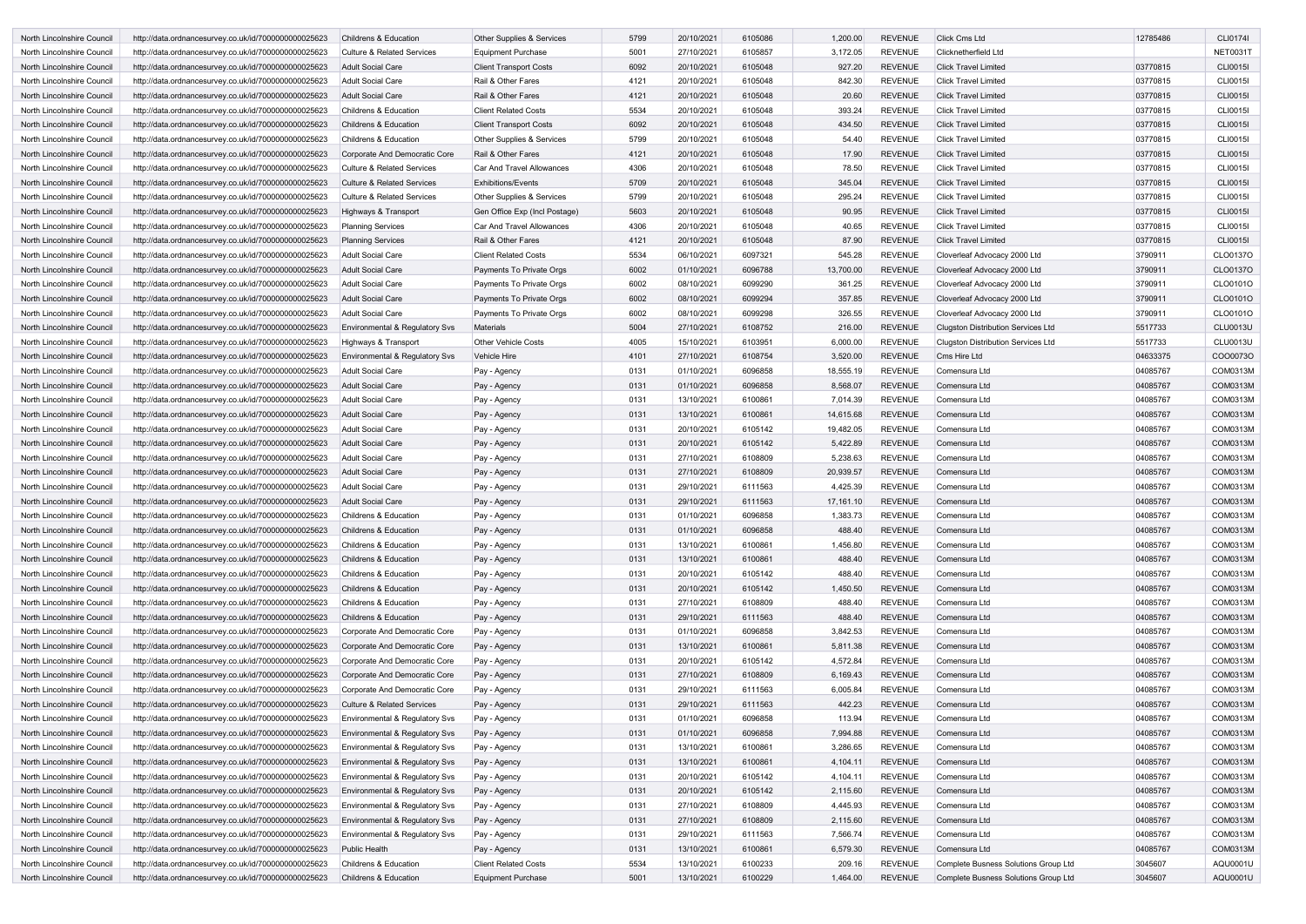| North Lincolnshire Council<br>North Lincolnshire Council | http://data.ordnancesurvey.co.uk/id/7000000000025623<br>http://data.ordnancesurvey.co.uk/id/7000000000025623 | <b>Childrens &amp; Education</b><br>Culture & Related Services | Other Supplies & Services<br><b>Equipment Purchase</b> | 5799 | 20/10/2021 | 6105086 | 1,200.00  | <b>REVENUE</b> | <b>Click Cms Ltd</b>                      | 12785486 | <b>CLI0174I</b> |
|----------------------------------------------------------|--------------------------------------------------------------------------------------------------------------|----------------------------------------------------------------|--------------------------------------------------------|------|------------|---------|-----------|----------------|-------------------------------------------|----------|-----------------|
|                                                          |                                                                                                              |                                                                |                                                        |      |            |         |           |                |                                           |          |                 |
|                                                          |                                                                                                              |                                                                |                                                        | 5001 | 27/10/2021 | 6105857 | 3,172.05  | <b>REVENUE</b> | <b>Clicknetherfield Ltd</b>               |          | <b>NET0031T</b> |
| North Lincolnshire Council                               | http://data.ordnancesurvey.co.uk/id/7000000000025623                                                         | Adult Social Care                                              | <b>Client Transport Costs</b>                          | 6092 | 20/10/2021 | 6105048 | 927.20    | <b>REVENUE</b> | <b>Click Travel Limited</b>               | 03770815 | <b>CLI0015I</b> |
| North Lincolnshire Council                               | http://data.ordnancesurvey.co.uk/id/7000000000025623                                                         | <b>Adult Social Care</b>                                       | Rail & Other Fares                                     | 4121 | 20/10/2021 | 6105048 | 842.30    | <b>REVENUE</b> | <b>Click Travel Limited</b>               | 03770815 | <b>CLI0015I</b> |
| North Lincolnshire Council                               | http://data.ordnancesurvey.co.uk/id/7000000000025623                                                         | Adult Social Care                                              | Rail & Other Fares                                     | 4121 | 20/10/2021 | 6105048 | 20.60     | <b>REVENUE</b> | <b>Click Travel Limited</b>               | 03770815 | <b>CLI0015I</b> |
| North Lincolnshire Council                               | http://data.ordnancesurvey.co.uk/id/7000000000025623                                                         | <b>Childrens &amp; Education</b>                               | <b>Client Related Costs</b>                            | 5534 | 20/10/2021 | 6105048 | 393.24    | <b>REVENUE</b> | <b>Click Travel Limited</b>               | 03770815 | <b>CLI0015I</b> |
| North Lincolnshire Council                               | http://data.ordnancesurvey.co.uk/id/7000000000025623                                                         | <b>Childrens &amp; Education</b>                               | <b>Client Transport Costs</b>                          | 6092 | 20/10/2021 | 6105048 | 434.50    | <b>REVENUE</b> | <b>Click Travel Limited</b>               | 03770815 | <b>CLI0015I</b> |
| North Lincolnshire Council                               | http://data.ordnancesurvey.co.uk/id/7000000000025623                                                         | <b>Childrens &amp; Education</b>                               | Other Supplies & Services                              | 5799 | 20/10/2021 | 6105048 | 54.40     | <b>REVENUE</b> | <b>Click Travel Limited</b>               | 03770815 | <b>CLI0015I</b> |
| North Lincolnshire Council                               | http://data.ordnancesurvey.co.uk/id/7000000000025623                                                         | Corporate And Democratic Core                                  | Rail & Other Fares                                     | 4121 | 20/10/2021 | 6105048 | 17.90     | <b>REVENUE</b> | <b>Click Travel Limited</b>               | 03770815 | <b>CLI0015I</b> |
| North Lincolnshire Council                               | http://data.ordnancesurvey.co.uk/id/7000000000025623                                                         | <b>Culture &amp; Related Services</b>                          | Car And Travel Allowances                              | 4306 | 20/10/2021 | 6105048 | 78.50     | <b>REVENUE</b> | <b>Click Travel Limited</b>               | 03770815 | <b>CLI0015I</b> |
| North Lincolnshire Council                               | http://data.ordnancesurvey.co.uk/id/7000000000025623                                                         | <b>Culture &amp; Related Services</b>                          | <b>Exhibitions/Events</b>                              | 5709 | 20/10/2021 | 6105048 | 345.04    | <b>REVENUE</b> | <b>Click Travel Limited</b>               | 03770815 | <b>CLI0015I</b> |
| North Lincolnshire Council                               | http://data.ordnancesurvey.co.uk/id/7000000000025623                                                         | <b>Culture &amp; Related Services</b>                          | Other Supplies & Services                              | 5799 | 20/10/2021 | 6105048 | 295.24    | <b>REVENUE</b> | <b>Click Travel Limited</b>               | 03770815 | <b>CLI0015I</b> |
| North Lincolnshire Council                               | http://data.ordnancesurvey.co.uk/id/7000000000025623                                                         | Highways & Transport                                           | Gen Office Exp (Incl Postage)                          | 5603 | 20/10/2021 | 6105048 | 90.95     | <b>REVENUE</b> | <b>Click Travel Limited</b>               | 03770815 | <b>CLI0015I</b> |
| North Lincolnshire Council                               | http://data.ordnancesurvey.co.uk/id/7000000000025623                                                         | <b>Planning Services</b>                                       | Car And Travel Allowances                              | 4306 | 20/10/2021 | 6105048 | 40.65     | <b>REVENUE</b> | <b>Click Travel Limited</b>               | 03770815 | <b>CLI0015I</b> |
| North Lincolnshire Council                               | http://data.ordnancesurvey.co.uk/id/7000000000025623                                                         | <b>Planning Services</b>                                       | Rail & Other Fares                                     | 4121 | 20/10/2021 | 6105048 | 87.90     | <b>REVENUE</b> | <b>Click Travel Limited</b>               | 03770815 | <b>CLI0015I</b> |
| North Lincolnshire Council                               |                                                                                                              | <b>Adult Social Care</b>                                       | <b>Client Related Costs</b>                            | 5534 | 06/10/2021 | 6097321 | 545.28    | <b>REVENUE</b> |                                           | 3790911  | CLO0137C        |
|                                                          | http://data.ordnancesurvey.co.uk/id/7000000000025623                                                         |                                                                |                                                        |      | 01/10/2021 |         |           |                | Cloverleaf Advocacy 2000 Ltd              |          | CLO0137O        |
| North Lincolnshire Council                               | http://data.ordnancesurvey.co.uk/id/7000000000025623                                                         | <b>Adult Social Care</b>                                       | Payments To Private Orgs                               | 6002 |            | 6096788 | 13,700.00 | <b>REVENUE</b> | Cloverleaf Advocacy 2000 Ltd              | 3790911  |                 |
| North Lincolnshire Council                               | http://data.ordnancesurvey.co.uk/id/7000000000025623                                                         | <b>Adult Social Care</b>                                       | Payments To Private Orgs                               | 6002 | 08/10/2021 | 6099290 | 361.25    | <b>REVENUE</b> | Cloverleaf Advocacy 2000 Ltd              | 3790911  | CLO0101O        |
| North Lincolnshire Council                               | http://data.ordnancesurvey.co.uk/id/7000000000025623                                                         | <b>Adult Social Care</b>                                       | Payments To Private Orgs                               | 6002 | 08/10/2021 | 6099294 | 357.85    | <b>REVENUE</b> | Cloverleaf Advocacy 2000 Ltd              | 3790911  | CLO0101O        |
| North Lincolnshire Council                               | http://data.ordnancesurvey.co.uk/id/7000000000025623                                                         | <b>Adult Social Care</b>                                       | Payments To Private Orgs                               | 6002 | 08/10/2021 | 6099298 | 326.55    | <b>REVENUE</b> | Cloverleaf Advocacy 2000 Ltd              | 3790911  | CLO0101O        |
| North Lincolnshire Council                               | http://data.ordnancesurvey.co.uk/id/7000000000025623                                                         | <b>Environmental &amp; Regulatory Svs</b>                      | <b>Materials</b>                                       | 5004 | 27/10/2021 | 6108752 | 216.00    | <b>REVENUE</b> | <b>Clugston Distribution Services Ltd</b> | 5517733  | <b>CLU0013U</b> |
| North Lincolnshire Council                               | http://data.ordnancesurvey.co.uk/id/7000000000025623                                                         | Highways & Transport                                           | <b>Other Vehicle Costs</b>                             | 4005 | 15/10/2021 | 6103951 | 6,000.00  | <b>REVENUE</b> | <b>Clugston Distribution Services Ltd</b> | 5517733  | <b>CLU0013U</b> |
| North Lincolnshire Council                               | http://data.ordnancesurvey.co.uk/id/7000000000025623                                                         | Environmental & Regulatory Svs                                 | Vehicle Hire                                           | 4101 | 27/10/2021 | 6108754 | 3,520.00  | <b>REVENUE</b> | Cms Hire Ltd                              | 04633375 | COO0073C        |
| North Lincolnshire Council                               | http://data.ordnancesurvey.co.uk/id/7000000000025623                                                         | <b>Adult Social Care</b>                                       | Pay - Agency                                           | 0131 | 01/10/2021 | 6096858 | 18,555.19 | <b>REVENUE</b> | Comensura Ltd                             | 04085767 | COM0313N        |
| North Lincolnshire Council                               | http://data.ordnancesurvey.co.uk/id/7000000000025623                                                         | Adult Social Care                                              | Pay - Agency                                           | 0131 | 01/10/2021 | 6096858 | 8,568.07  | <b>REVENUE</b> | Comensura Ltd                             | 04085767 | COM0313N        |
| North Lincolnshire Council                               | http://data.ordnancesurvey.co.uk/id/7000000000025623                                                         | Adult Social Care                                              | Pay - Agency                                           | 0131 | 13/10/2021 | 6100861 | 7,014.39  | <b>REVENUE</b> | Comensura Ltd                             | 04085767 | COM0313N        |
| North Lincolnshire Council                               | http://data.ordnancesurvey.co.uk/id/7000000000025623                                                         | Adult Social Care                                              | Pay - Agency                                           | 0131 | 13/10/2021 | 6100861 | 14,615.68 | <b>REVENUE</b> | Comensura Ltd                             | 04085767 | COM0313N        |
| North Lincolnshire Council                               | http://data.ordnancesurvey.co.uk/id/7000000000025623                                                         | <b>Adult Social Care</b>                                       | Pay - Agency                                           | 0131 | 20/10/2021 | 6105142 | 19,482.05 | <b>REVENUE</b> | Comensura Ltd                             | 04085767 | COM0313N        |
| North Lincolnshire Council                               | http://data.ordnancesurvey.co.uk/id/7000000000025623                                                         | Adult Social Care                                              | Pay - Agency                                           | 0131 | 20/10/2021 | 6105142 | 5,422.89  | <b>REVENUE</b> | Comensura Ltd                             | 04085767 | COM0313N        |
| North Lincolnshire Council                               | http://data.ordnancesurvey.co.uk/id/7000000000025623                                                         | <b>Adult Social Care</b>                                       | Pay - Agency                                           | 0131 | 27/10/2021 | 6108809 | 5,238.63  | <b>REVENUE</b> | Comensura Ltd                             | 04085767 | COM0313M        |
| North Lincolnshire Council                               | http://data.ordnancesurvey.co.uk/id/7000000000025623                                                         | <b>Adult Social Care</b>                                       | Pay - Agency                                           | 0131 | 27/10/2021 | 6108809 | 20,939.57 | <b>REVENUE</b> | Comensura Ltd                             | 04085767 | COM0313M        |
| North Lincolnshire Council                               | http://data.ordnancesurvey.co.uk/id/7000000000025623                                                         | <b>Adult Social Care</b>                                       | Pay - Agency                                           | 0131 | 29/10/2021 | 6111563 | 4,425.39  | <b>REVENUE</b> | Comensura Ltd                             | 04085767 | COM0313N        |
| North Lincolnshire Council                               | http://data.ordnancesurvey.co.uk/id/7000000000025623                                                         | <b>Adult Social Care</b>                                       | Pay - Agency                                           | 0131 | 29/10/2021 | 6111563 | 17,161.10 | <b>REVENUE</b> | Comensura Ltd                             | 04085767 | COM0313N        |
| North Lincolnshire Council                               | http://data.ordnancesurvey.co.uk/id/7000000000025623                                                         | Childrens & Education                                          | Pay - Agency                                           | 0131 | 01/10/2021 | 6096858 | 1.383.73  | <b>REVENUE</b> | ⊺Comensura Ltd                            | 04085767 | COM0313M        |
| North Lincolnshire Council                               | http://data.ordnancesurvey.co.uk/id/7000000000025623                                                         | Childrens & Education                                          | Pay - Agency                                           | 0131 | 01/10/2021 | 6096858 | 488.40    | <b>REVENUE</b> | Comensura Ltd                             | 04085767 | COM0313M        |
| North Lincolnshire Council                               | http://data.ordnancesurvey.co.uk/id/7000000000025623                                                         | Childrens & Education                                          | Pay - Agency                                           | 0131 | 13/10/2021 | 6100861 | 1,456.80  | <b>REVENUE</b> | Comensura Ltd                             | 04085767 | COM0313M        |
| North Lincolnshire Council                               | http://data.ordnancesurvey.co.uk/id/7000000000025623                                                         | Childrens & Education                                          | Pay - Agency                                           | 0131 | 13/10/2021 | 6100861 | 488.40    | <b>REVENUE</b> | Comensura Ltd                             | 04085767 | COM0313M        |
| North Lincolnshire Council                               | http://data.ordnancesurvey.co.uk/id/7000000000025623                                                         | Childrens & Education                                          |                                                        | 0131 | 20/10/2021 | 6105142 | 488.40    | <b>REVENUE</b> | Comensura Ltd                             | 04085767 | COM0313M        |
|                                                          |                                                                                                              |                                                                | Pay - Agency                                           |      |            |         |           | <b>REVENUE</b> | Comensura Ltd                             |          | COM0313M        |
| North Lincolnshire Council                               | http://data.ordnancesurvey.co.uk/id/7000000000025623                                                         | <b>Childrens &amp; Education</b>                               | Pay - Agency                                           | 0131 | 20/10/2021 | 6105142 | 1,450.50  |                |                                           | 04085767 |                 |
| North Lincolnshire Council                               | http://data.ordnancesurvey.co.uk/id/7000000000025623                                                         | Childrens & Education                                          | Pay - Agency                                           | 0131 | 27/10/2021 | 6108809 | 488.40    | <b>REVENUE</b> | Comensura Ltd                             | 04085767 | COM0313M        |
| North Lincolnshire Council                               | http://data.ordnancesurvey.co.uk/id/7000000000025623                                                         | Childrens & Education                                          | Pay - Agency                                           | 0131 | 29/10/2021 | 6111563 | 488.40    | <b>REVENUE</b> | Comensura Ltd                             | 04085767 | COM0313M        |
| North Lincolnshire Council                               | http://data.ordnancesurvey.co.uk/id/7000000000025623                                                         | Corporate And Democratic Core                                  | Pay - Agency                                           | 0131 | 01/10/2021 | 6096858 | 3,842.53  | <b>REVENUE</b> | Comensura Ltd                             | 04085767 | COM0313M        |
| North Lincolnshire Council                               | http://data.ordnancesurvey.co.uk/id/7000000000025623                                                         | Corporate And Democratic Core                                  | Pay - Agency                                           | 0131 | 13/10/2021 | 6100861 | 5,811.38  | <b>REVENUE</b> | Comensura Ltd                             | 04085767 | COM0313M        |
| North Lincolnshire Council                               | http://data.ordnancesurvey.co.uk/id/7000000000025623                                                         | Corporate And Democratic Core                                  | Pay - Agency                                           | 0131 | 20/10/2021 | 6105142 | 4,572.84  | <b>REVENUE</b> | Comensura Ltd                             | 04085767 | COM0313M        |
| North Lincolnshire Council                               | http://data.ordnancesurvey.co.uk/id/7000000000025623                                                         | Corporate And Democratic Core                                  | Pay - Agency                                           | 0131 | 27/10/2021 | 6108809 | 6,169.43  | <b>REVENUE</b> | Comensura Ltd                             | 04085767 | COM0313M        |
| North Lincolnshire Council                               | http://data.ordnancesurvey.co.uk/id/7000000000025623                                                         | Corporate And Democratic Core                                  | Pay - Agency                                           | 0131 | 29/10/2021 | 6111563 | 6,005.84  | <b>REVENUE</b> | Comensura Ltd                             | 04085767 | COM0313M        |
| North Lincolnshire Council                               | http://data.ordnancesurvey.co.uk/id/7000000000025623                                                         | <b>Culture &amp; Related Services</b>                          | Pay - Agency                                           | 0131 | 29/10/2021 | 6111563 | 442.23    | <b>REVENUE</b> | Comensura Ltd                             | 04085767 | COM0313M        |
| North Lincolnshire Council                               | http://data.ordnancesurvey.co.uk/id/7000000000025623                                                         | Environmental & Regulatory Svs                                 | Pay - Agency                                           | 0131 | 01/10/2021 | 6096858 | 113.94    | <b>REVENUE</b> | Comensura Ltd                             | 04085767 | COM0313M        |
| North Lincolnshire Council                               | http://data.ordnancesurvey.co.uk/id/7000000000025623                                                         | <b>Environmental &amp; Regulatory Svs</b>                      | Pay - Agency                                           | 0131 | 01/10/2021 | 6096858 | 7,994.88  | <b>REVENUE</b> | Comensura Ltd                             | 04085767 | COM0313M        |
| North Lincolnshire Council                               | http://data.ordnancesurvey.co.uk/id/7000000000025623                                                         | Environmental & Regulatory Svs                                 | Pay - Agency                                           | 0131 | 13/10/2021 | 6100861 | 3,286.65  | <b>REVENUE</b> | Comensura Ltd                             | 04085767 | COM0313M        |
| North Lincolnshire Council                               | http://data.ordnancesurvey.co.uk/id/7000000000025623                                                         | <b>Environmental &amp; Regulatory Svs</b>                      | Pay - Agency                                           | 0131 | 13/10/2021 | 6100861 | 4,104.11  | <b>REVENUE</b> | Comensura Ltd                             | 04085767 | COM0313M        |
| North Lincolnshire Council                               | http://data.ordnancesurvey.co.uk/id/7000000000025623                                                         | Environmental & Regulatory Svs                                 | Pay - Agency                                           | 0131 | 20/10/2021 | 6105142 | 4,104.11  | <b>REVENUE</b> | Comensura Ltd                             | 04085767 | COM0313M        |
| North Lincolnshire Council                               | http://data.ordnancesurvey.co.uk/id/7000000000025623                                                         | <b>Environmental &amp; Regulatory Svs</b>                      | Pay - Agency                                           | 0131 | 20/10/2021 | 6105142 | 2,115.60  | <b>REVENUE</b> | Comensura Ltd                             | 04085767 | COM0313M        |
| North Lincolnshire Council                               | http://data.ordnancesurvey.co.uk/id/7000000000025623                                                         | Environmental & Regulatory Svs                                 | Pay - Agency                                           | 0131 | 27/10/2021 | 6108809 | 4,445.93  | <b>REVENUE</b> | Comensura Ltd                             | 04085767 | COM0313M        |
| North Lincolnshire Council                               | http://data.ordnancesurvey.co.uk/id/7000000000025623                                                         | Environmental & Regulatory Svs                                 | Pay - Agency                                           | 0131 | 27/10/2021 | 6108809 | 2,115.60  | <b>REVENUE</b> | Comensura Ltd                             | 04085767 | COM0313M        |
| North Lincolnshire Council                               | http://data.ordnancesurvey.co.uk/id/7000000000025623                                                         | Environmental & Regulatory Svs                                 | Pay - Agency                                           | 0131 | 29/10/2021 | 6111563 | 7,566.74  | <b>REVENUE</b> | Comensura Ltd                             | 04085767 | COM0313M        |
|                                                          |                                                                                                              | <b>Public Health</b>                                           | Pay - Agency                                           | 0131 | 13/10/2021 | 6100861 | 6,579.30  | <b>REVENUE</b> | Comensura Ltd                             | 04085767 | COM0313M        |
| North Lincolnshire Council                               | http://data.ordnancesurvey.co.uk/id/7000000000025623                                                         |                                                                |                                                        |      |            |         |           |                |                                           |          |                 |
| North Lincolnshire Council                               | http://data.ordnancesurvey.co.uk/id/7000000000025623                                                         | Childrens & Education                                          | <b>Client Related Costs</b>                            | 5534 | 13/10/2021 | 6100233 | 209.16    | <b>REVENUE</b> | Complete Busness Solutions Group Ltd      | 3045607  | AQU0001U        |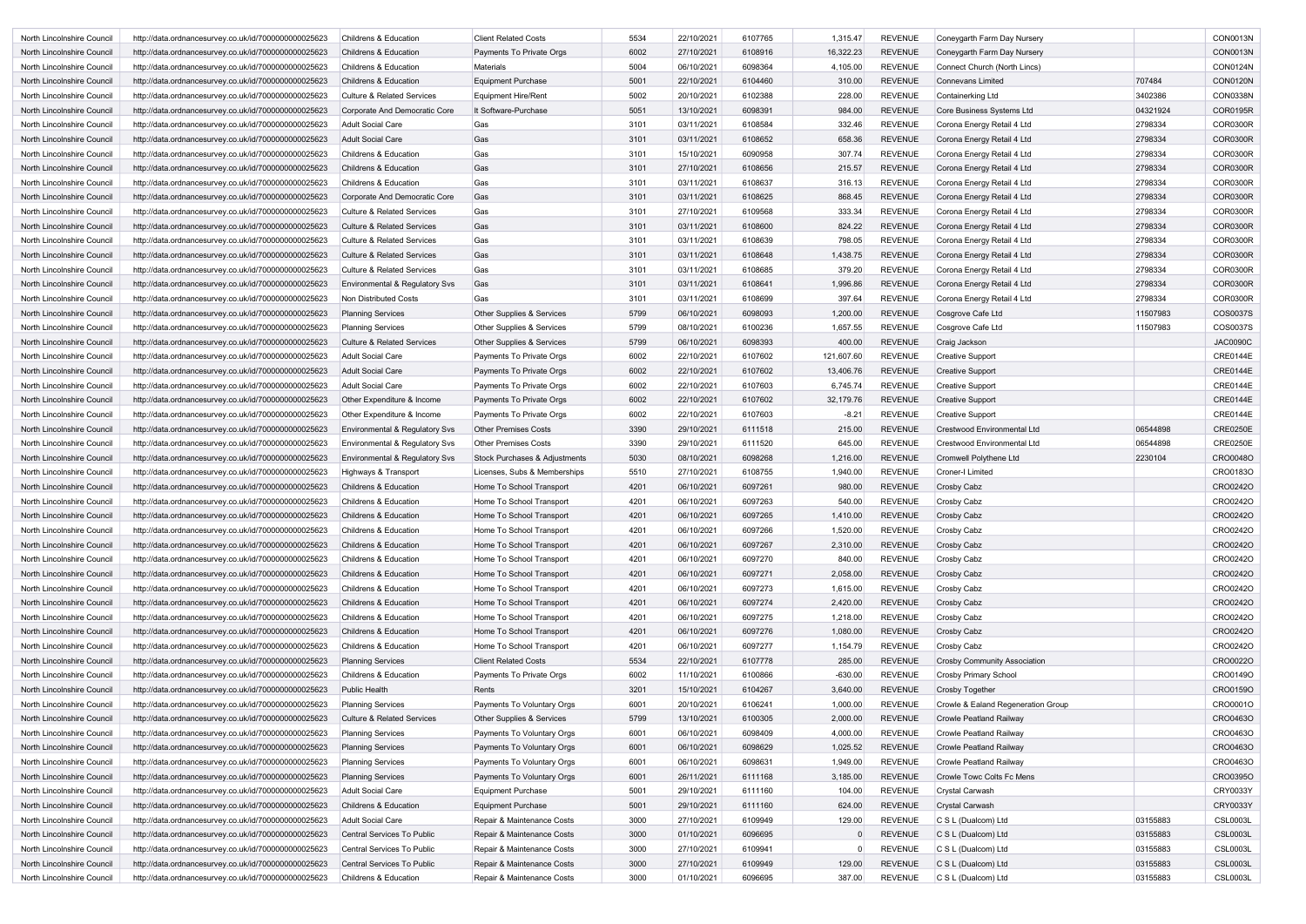| North Lincolnshire Council | http://data.ordnancesurvey.co.uk/id/7000000000025623 | <b>Childrens &amp; Education</b>          | <b>Client Related Costs</b>   | 5534 | 22/10/2021 | 6107765 | 1,315.47   | <b>REVENUE</b> | Coneygarth Farm Day Nursery         |          | CON0013N        |
|----------------------------|------------------------------------------------------|-------------------------------------------|-------------------------------|------|------------|---------|------------|----------------|-------------------------------------|----------|-----------------|
| North Lincolnshire Council | http://data.ordnancesurvey.co.uk/id/7000000000025623 | <b>Childrens &amp; Education</b>          | Payments To Private Orgs      | 6002 | 27/10/2021 | 6108916 | 16,322.23  | <b>REVENUE</b> | Coneygarth Farm Day Nursery         |          | <b>CON0013N</b> |
| North Lincolnshire Council | http://data.ordnancesurvey.co.uk/id/7000000000025623 | <b>Childrens &amp; Education</b>          | <b>Materials</b>              | 5004 | 06/10/2021 | 6098364 | 4,105.00   | <b>REVENUE</b> | Connect Church (North Lincs)        |          | <b>CON0124N</b> |
| North Lincolnshire Council | http://data.ordnancesurvey.co.uk/id/7000000000025623 | <b>Childrens &amp; Education</b>          | <b>Equipment Purchase</b>     | 5001 | 22/10/2021 | 6104460 | 310.00     | <b>REVENUE</b> | Connevans Limited                   | 707484   | <b>CON0120N</b> |
| North Lincolnshire Council | http://data.ordnancesurvey.co.uk/id/7000000000025623 | <b>Culture &amp; Related Services</b>     | <b>Equipment Hire/Rent</b>    | 5002 | 20/10/2021 | 6102388 | 228.00     | <b>REVENUE</b> | Containerking Ltd                   | 3402386  | <b>CON0338N</b> |
| North Lincolnshire Council | http://data.ordnancesurvey.co.uk/id/7000000000025623 | Corporate And Democratic Core             | It Software-Purchase          | 5051 | 13/10/2021 | 6098391 | 984.00     | <b>REVENUE</b> | Core Business Systems Ltd           | 04321924 | <b>COR0195R</b> |
| North Lincolnshire Council | http://data.ordnancesurvey.co.uk/id/7000000000025623 | <b>Adult Social Care</b>                  | Gas                           | 3101 | 03/11/2021 | 6108584 | 332.46     | <b>REVENUE</b> | Corona Energy Retail 4 Ltd          | 2798334  | <b>COR0300R</b> |
| North Lincolnshire Council | http://data.ordnancesurvey.co.uk/id/7000000000025623 | <b>Adult Social Care</b>                  | Gas                           | 3101 | 03/11/2021 | 6108652 | 658.36     | <b>REVENUE</b> | Corona Energy Retail 4 Ltd          | 2798334  | <b>COR0300R</b> |
| North Lincolnshire Council | http://data.ordnancesurvey.co.uk/id/7000000000025623 | <b>Childrens &amp; Education</b>          | Gas                           | 3101 | 15/10/2021 | 6090958 | 307.74     | <b>REVENUE</b> | Corona Energy Retail 4 Ltd          | 2798334  | <b>COR0300R</b> |
| North Lincolnshire Council | http://data.ordnancesurvey.co.uk/id/7000000000025623 | <b>Childrens &amp; Education</b>          | Gas                           | 3101 | 27/10/2021 | 6108656 | 215.57     | <b>REVENUE</b> | Corona Energy Retail 4 Ltd          | 2798334  | <b>COR0300R</b> |
| North Lincolnshire Council |                                                      | <b>Childrens &amp; Education</b>          | Gas                           | 3101 | 03/11/2021 | 6108637 | 316.13     | <b>REVENUE</b> |                                     | 2798334  | <b>COR0300R</b> |
|                            | http://data.ordnancesurvey.co.uk/id/7000000000025623 |                                           |                               |      |            |         |            |                | Corona Energy Retail 4 Ltd          |          |                 |
| North Lincolnshire Council | http://data.ordnancesurvey.co.uk/id/7000000000025623 | Corporate And Democratic Core             | Gas                           | 3101 | 03/11/2021 | 6108625 | 868.45     | <b>REVENUE</b> | Corona Energy Retail 4 Ltd          | 2798334  | <b>COR0300R</b> |
| North Lincolnshire Council | http://data.ordnancesurvey.co.uk/id/7000000000025623 | <b>Culture &amp; Related Services</b>     | Gas                           | 3101 | 27/10/2021 | 6109568 | 333.34     | <b>REVENUE</b> | Corona Energy Retail 4 Ltd          | 2798334  | <b>COR0300R</b> |
| North Lincolnshire Council | http://data.ordnancesurvey.co.uk/id/7000000000025623 | <b>Culture &amp; Related Services</b>     | Gas                           | 3101 | 03/11/2021 | 6108600 | 824.22     | <b>REVENUE</b> | Corona Energy Retail 4 Ltd          | 2798334  | <b>COR0300R</b> |
| North Lincolnshire Council | http://data.ordnancesurvey.co.uk/id/7000000000025623 | <b>Culture &amp; Related Services</b>     | Gas                           | 3101 | 03/11/2021 | 6108639 | 798.05     | <b>REVENUE</b> | Corona Energy Retail 4 Ltd          | 2798334  | <b>COR0300R</b> |
| North Lincolnshire Council | http://data.ordnancesurvey.co.uk/id/7000000000025623 | <b>Culture &amp; Related Services</b>     | Gas                           | 3101 | 03/11/2021 | 6108648 | 1,438.75   | <b>REVENUE</b> | Corona Energy Retail 4 Ltd          | 2798334  | <b>COR0300R</b> |
| North Lincolnshire Council | http://data.ordnancesurvey.co.uk/id/7000000000025623 | <b>Culture &amp; Related Services</b>     | Gas                           | 3101 | 03/11/2021 | 6108685 | 379.20     | <b>REVENUE</b> | Corona Energy Retail 4 Ltd          | 2798334  | <b>COR0300R</b> |
| North Lincolnshire Council | http://data.ordnancesurvey.co.uk/id/7000000000025623 | <b>Environmental &amp; Regulatory Svs</b> | Gas                           | 3101 | 03/11/2021 | 6108641 | 1,996.86   | <b>REVENUE</b> | Corona Energy Retail 4 Ltd          | 2798334  | <b>COR0300R</b> |
| North Lincolnshire Council | http://data.ordnancesurvey.co.uk/id/7000000000025623 | Non Distributed Costs                     | Gas                           | 3101 | 03/11/2021 | 6108699 | 397.64     | <b>REVENUE</b> | Corona Energy Retail 4 Ltd          | 2798334  | <b>COR0300R</b> |
| North Lincolnshire Council | http://data.ordnancesurvey.co.uk/id/7000000000025623 | <b>Planning Services</b>                  | Other Supplies & Services     | 5799 | 06/10/2021 | 6098093 | 1,200.00   | <b>REVENUE</b> | Cosgrove Cafe Ltd                   | 11507983 | COS0037S        |
| North Lincolnshire Council | http://data.ordnancesurvey.co.uk/id/7000000000025623 | <b>Planning Services</b>                  | Other Supplies & Services     | 5799 | 08/10/2021 | 6100236 | 1,657.55   | <b>REVENUE</b> | Cosgrove Cafe Ltd                   | 11507983 | COS0037S        |
| North Lincolnshire Council | http://data.ordnancesurvey.co.uk/id/7000000000025623 | <b>Culture &amp; Related Services</b>     | Other Supplies & Services     | 5799 | 06/10/2021 | 6098393 | 400.00     | <b>REVENUE</b> | Craig Jackson                       |          | <b>JAC0090C</b> |
| North Lincolnshire Council | http://data.ordnancesurvey.co.uk/id/7000000000025623 | <b>Adult Social Care</b>                  | Payments To Private Orgs      | 6002 | 22/10/2021 | 6107602 | 121,607.60 | <b>REVENUE</b> | <b>Creative Support</b>             |          | <b>CRE0144E</b> |
| North Lincolnshire Council | http://data.ordnancesurvey.co.uk/id/7000000000025623 | <b>Adult Social Care</b>                  | Payments To Private Orgs      | 6002 | 22/10/2021 | 6107602 | 13,406.76  | <b>REVENUE</b> | <b>Creative Support</b>             |          | <b>CRE0144E</b> |
| North Lincolnshire Council | http://data.ordnancesurvey.co.uk/id/7000000000025623 | <b>Adult Social Care</b>                  | Payments To Private Orgs      | 6002 | 22/10/2021 | 6107603 | 6,745.74   | <b>REVENUE</b> | <b>Creative Support</b>             |          | <b>CRE0144E</b> |
| North Lincolnshire Council | http://data.ordnancesurvey.co.uk/id/7000000000025623 | Other Expenditure & Income                | Payments To Private Orgs      | 6002 | 22/10/2021 | 6107602 | 32,179.76  | <b>REVENUE</b> | <b>Creative Support</b>             |          | <b>CRE0144E</b> |
| North Lincolnshire Council | http://data.ordnancesurvey.co.uk/id/7000000000025623 | Other Expenditure & Income                | Payments To Private Orgs      | 6002 | 22/10/2021 | 6107603 | $-8.21$    | <b>REVENUE</b> | <b>Creative Support</b>             |          | <b>CRE0144E</b> |
| North Lincolnshire Council | http://data.ordnancesurvey.co.uk/id/7000000000025623 | Environmental & Regulatory Svs            | <b>Other Premises Costs</b>   | 3390 | 29/10/2021 | 6111518 | 215.00     | <b>REVENUE</b> | <b>Crestwood Environmental Ltd</b>  | 06544898 | <b>CRE0250E</b> |
| North Lincolnshire Council | http://data.ordnancesurvey.co.uk/id/7000000000025623 | <b>Environmental &amp; Regulatory Svs</b> | <b>Other Premises Costs</b>   | 3390 | 29/10/2021 | 6111520 | 645.00     | <b>REVENUE</b> | <b>Crestwood Environmental Ltd</b>  | 06544898 | <b>CRE0250E</b> |
| North Lincolnshire Council | http://data.ordnancesurvey.co.uk/id/7000000000025623 | Environmental & Regulatory Svs            | Stock Purchases & Adjustments | 5030 | 08/10/2021 | 6098268 | 1,216.00   | <b>REVENUE</b> | <b>Cromwell Polythene Ltd</b>       | 2230104  | <b>CRO0048C</b> |
| North Lincolnshire Council | http://data.ordnancesurvey.co.uk/id/7000000000025623 | Highways & Transport                      | Licenses, Subs & Memberships  | 5510 | 27/10/2021 | 6108755 | 1,940.00   | <b>REVENUE</b> | Croner-I Limited                    |          | CRO0183O        |
| North Lincolnshire Council | http://data.ordnancesurvey.co.uk/id/7000000000025623 | <b>Childrens &amp; Education</b>          | Home To School Transport      | 4201 | 06/10/2021 | 6097261 | 980.00     | <b>REVENUE</b> | Crosby Cabz                         |          | CRO0242O        |
| North Lincolnshire Council | http://data.ordnancesurvey.co.uk/id/7000000000025623 | <b>Childrens &amp; Education</b>          | Home To School Transport      | 4201 | 06/10/2021 | 6097263 | 540.00     | <b>REVENUE</b> | Crosby Cabz                         |          | CRO0242O        |
| North Lincolnshire Council | http://data.ordnancesurvey.co.uk/id/7000000000025623 | <b>Childrens &amp; Education</b>          | Home To School Transport      | 4201 | 06/10/2021 | 6097265 | 1,410.00   | REVENUE        | Crosby Cabz                         |          | CRO0242O        |
| North Lincolnshire Council | http://data.ordnancesurvey.co.uk/id/7000000000025623 | Childrens & Education                     | Home To School Transport      | 4201 | 06/10/2021 | 6097266 | 1,520.00   | <b>REVENUE</b> | Crosby Cabz                         |          | CRO0242O        |
| North Lincolnshire Council | http://data.ordnancesurvey.co.uk/id/7000000000025623 | <b>Childrens &amp; Education</b>          | Home To School Transport      | 4201 | 06/10/2021 | 6097267 | 2,310.00   | <b>REVENUE</b> | Crosby Cabz                         |          | CRO0242O        |
| North Lincolnshire Council | http://data.ordnancesurvey.co.uk/id/7000000000025623 | Childrens & Education                     | Home To School Transport      | 4201 | 06/10/2021 | 6097270 | 840.00     | <b>REVENUE</b> | Crosby Cabz                         |          | CRO0242O        |
|                            | http://data.ordnancesurvey.co.uk/id/7000000000025623 | Childrens & Education                     |                               | 4201 | 06/10/2021 | 6097271 | 2,058.00   | <b>REVENUE</b> | Crosby Cabz                         |          | CRO0242O        |
| North Lincolnshire Council |                                                      |                                           | Home To School Transport      |      |            |         |            |                |                                     |          |                 |
| North Lincolnshire Council | http://data.ordnancesurvey.co.uk/id/7000000000025623 | Childrens & Education                     | Home To School Transport      | 4201 | 06/10/2021 | 6097273 | 1,615.00   | <b>REVENUE</b> | Crosby Cabz                         |          | CRO0242O        |
| North Lincolnshire Council | http://data.ordnancesurvey.co.uk/id/7000000000025623 | Childrens & Education                     | Home To School Transport      | 4201 | 06/10/2021 | 6097274 | 2,420.00   | <b>REVENUE</b> | Crosby Cabz                         |          | CRO0242O        |
| North Lincolnshire Council | http://data.ordnancesurvey.co.uk/id/7000000000025623 | Childrens & Education                     | Home To School Transport      | 4201 | 06/10/2021 | 6097275 | 1,218.00   | <b>REVENUE</b> | Crosby Cabz                         |          | CRO0242O        |
| North Lincolnshire Council | http://data.ordnancesurvey.co.uk/id/7000000000025623 | <b>Childrens &amp; Education</b>          | Home To School Transport      | 4201 | 06/10/2021 | 6097276 | 1,080.00   | <b>REVENUE</b> | Crosby Cabz                         |          | CRO0242O        |
| North Lincolnshire Council | http://data.ordnancesurvey.co.uk/id/7000000000025623 | Childrens & Education                     | Home To School Transport      | 4201 | 06/10/2021 | 6097277 | 1,154.79   | <b>REVENUE</b> | Crosby Cabz                         |          | CRO0242O        |
| North Lincolnshire Council | http://data.ordnancesurvey.co.uk/id/7000000000025623 | <b>Planning Services</b>                  | <b>Client Related Costs</b>   | 5534 | 22/10/2021 | 6107778 | 285.00     | <b>REVENUE</b> | <b>Crosby Community Association</b> |          | CRO0022O        |
| North Lincolnshire Council | http://data.ordnancesurvey.co.uk/id/7000000000025623 | Childrens & Education                     | Payments To Private Orgs      | 6002 | 11/10/2021 | 6100866 | $-630.00$  | <b>REVENUE</b> | Crosby Primary School               |          | CRO0149O        |
| North Lincolnshire Council | http://data.ordnancesurvey.co.uk/id/7000000000025623 | <b>Public Health</b>                      | Rents                         | 3201 | 15/10/2021 | 6104267 | 3,640.00   | <b>REVENUE</b> | <b>Crosby Together</b>              |          | CRO0159O        |
| North Lincolnshire Council | http://data.ordnancesurvey.co.uk/id/7000000000025623 | <b>Planning Services</b>                  | Payments To Voluntary Orgs    | 6001 | 20/10/2021 | 6106241 | 1,000.00   | <b>REVENUE</b> | Crowle & Ealand Regeneration Group  |          | CRO0001O        |
| North Lincolnshire Council | http://data.ordnancesurvey.co.uk/id/7000000000025623 | <b>Culture &amp; Related Services</b>     | Other Supplies & Services     | 5799 | 13/10/2021 | 6100305 | 2,000.00   | <b>REVENUE</b> | Crowle Peatland Railway             |          | CRO0463O        |
| North Lincolnshire Council | http://data.ordnancesurvey.co.uk/id/7000000000025623 | <b>Planning Services</b>                  | Payments To Voluntary Orgs    | 6001 | 06/10/2021 | 6098409 | 4,000.00   | <b>REVENUE</b> | Crowle Peatland Railway             |          | CRO0463O        |
| North Lincolnshire Council | http://data.ordnancesurvey.co.uk/id/7000000000025623 | <b>Planning Services</b>                  | Payments To Voluntary Orgs    | 6001 | 06/10/2021 | 6098629 | 1,025.52   | <b>REVENUE</b> | Crowle Peatland Railway             |          | CRO0463O        |
| North Lincolnshire Council | http://data.ordnancesurvey.co.uk/id/7000000000025623 | <b>Planning Services</b>                  | Payments To Voluntary Orgs    | 6001 | 06/10/2021 | 6098631 | 1,949.00   | <b>REVENUE</b> | <b>Crowle Peatland Railway</b>      |          | CRO0463O        |
| North Lincolnshire Council | http://data.ordnancesurvey.co.uk/id/7000000000025623 | <b>Planning Services</b>                  | Payments To Voluntary Orgs    | 6001 | 26/11/2021 | 6111168 | 3,185.00   | <b>REVENUE</b> | Crowle Towc Colts Fc Mens           |          | CRO0395O        |
| North Lincolnshire Council | http://data.ordnancesurvey.co.uk/id/7000000000025623 | <b>Adult Social Care</b>                  | <b>Equipment Purchase</b>     | 5001 | 29/10/2021 | 6111160 | 104.00     | <b>REVENUE</b> | <b>Crystal Carwash</b>              |          | CRY0033Y        |
| North Lincolnshire Council | http://data.ordnancesurvey.co.uk/id/7000000000025623 | Childrens & Education                     | <b>Equipment Purchase</b>     | 5001 | 29/10/2021 | 6111160 | 624.00     | <b>REVENUE</b> | <b>Crystal Carwash</b>              |          | <b>CRY0033Y</b> |
| North Lincolnshire Council | http://data.ordnancesurvey.co.uk/id/7000000000025623 | <b>Adult Social Care</b>                  | Repair & Maintenance Costs    | 3000 | 27/10/2021 | 6109949 | 129.00     | <b>REVENUE</b> | C S L (Dualcom) Ltd                 | 03155883 | <b>CSL0003L</b> |
| North Lincolnshire Council | http://data.ordnancesurvey.co.uk/id/7000000000025623 | Central Services To Public                | Repair & Maintenance Costs    | 3000 | 01/10/2021 | 6096695 |            | <b>REVENUE</b> | $ C S L$ (Dualcom) Ltd              | 03155883 | <b>CSL0003L</b> |
| North Lincolnshire Council | http://data.ordnancesurvey.co.uk/id/7000000000025623 | Central Services To Public                | Repair & Maintenance Costs    | 3000 | 27/10/2021 | 6109941 |            | <b>REVENUE</b> | $ C S L$ (Dualcom) Ltd              | 03155883 | <b>CSL0003L</b> |
| North Lincolnshire Council | http://data.ordnancesurvey.co.uk/id/7000000000025623 | Central Services To Public                | Repair & Maintenance Costs    | 3000 | 27/10/2021 | 6109949 | 129.00     | <b>REVENUE</b> | C S L (Dualcom) Ltd                 | 03155883 | <b>CSL0003L</b> |
| North Lincolnshire Council | http://data.ordnancesurvey.co.uk/id/7000000000025623 | Childrens & Education                     | Repair & Maintenance Costs    | 3000 | 01/10/2021 | 6096695 | 387.00     | <b>REVENUE</b> | C S L (Dualcom) Ltd                 | 03155883 | <b>CSL0003L</b> |
|                            |                                                      |                                           |                               |      |            |         |            |                |                                     |          |                 |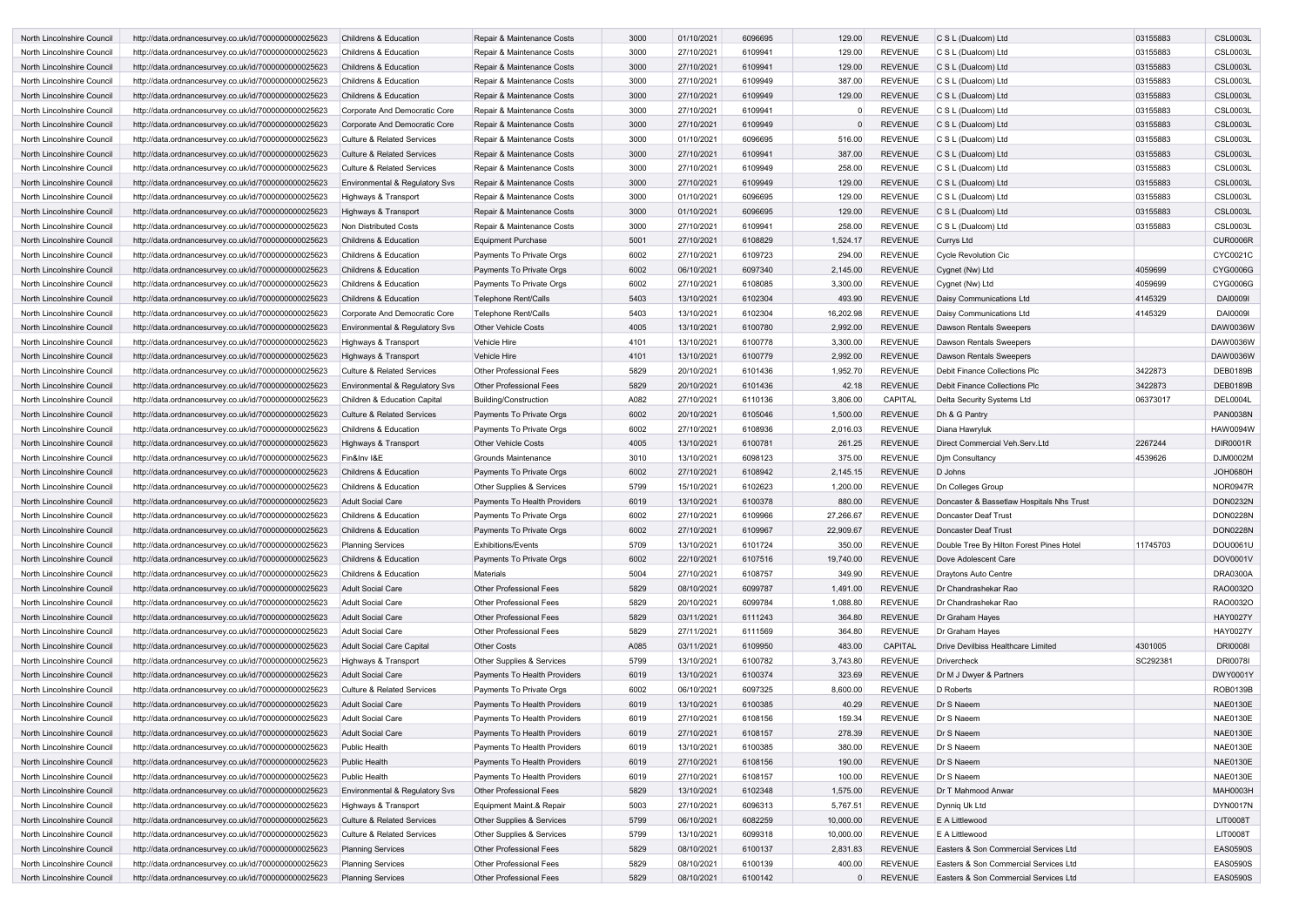| North Lincolnshire Council | http://data.ordnancesurvey.co.uk/id/7000000000025623 | <b>Childrens &amp; Education</b>          | Repair & Maintenance Costs     | 3000 | 01/10/2021 | 6096695 | 129.00    | <b>REVENUE</b> | C S L (Dualcom) Ltd                       | 03155883 | <b>CSL0003L</b> |
|----------------------------|------------------------------------------------------|-------------------------------------------|--------------------------------|------|------------|---------|-----------|----------------|-------------------------------------------|----------|-----------------|
| North Lincolnshire Council | http://data.ordnancesurvey.co.uk/id/7000000000025623 | <b>Childrens &amp; Education</b>          | Repair & Maintenance Costs     | 3000 | 27/10/2021 | 6109941 | 129.00    | <b>REVENUE</b> | C S L (Dualcom) Ltd                       | 03155883 | <b>CSL0003L</b> |
| North Lincolnshire Council | http://data.ordnancesurvey.co.uk/id/7000000000025623 | <b>Childrens &amp; Education</b>          | Repair & Maintenance Costs     | 3000 | 27/10/2021 | 6109941 | 129.00    | <b>REVENUE</b> | C S L (Dualcom) Ltd                       | 03155883 | <b>CSL0003L</b> |
| North Lincolnshire Council | http://data.ordnancesurvey.co.uk/id/7000000000025623 | Childrens & Education                     | Repair & Maintenance Costs     | 3000 | 27/10/2021 | 6109949 | 387.00    | <b>REVENUE</b> | C S L (Dualcom) Ltd                       | 03155883 | <b>CSL0003L</b> |
| North Lincolnshire Council | http://data.ordnancesurvey.co.uk/id/7000000000025623 | <b>Childrens &amp; Education</b>          | Repair & Maintenance Costs     | 3000 | 27/10/2021 | 6109949 | 129.00    | <b>REVENUE</b> | C S L (Dualcom) Ltd                       | 03155883 | <b>CSL0003L</b> |
| North Lincolnshire Council | http://data.ordnancesurvey.co.uk/id/7000000000025623 | Corporate And Democratic Core             | Repair & Maintenance Costs     | 3000 | 27/10/2021 | 6109941 |           | <b>REVENUE</b> | C S L (Dualcom) Ltd                       | 03155883 | <b>CSL0003L</b> |
| North Lincolnshire Council | http://data.ordnancesurvey.co.uk/id/7000000000025623 | Corporate And Democratic Core             | Repair & Maintenance Costs     | 3000 | 27/10/2021 | 6109949 |           | <b>REVENUE</b> | C S L (Dualcom) Ltd                       | 03155883 | <b>CSL0003L</b> |
| North Lincolnshire Council | http://data.ordnancesurvey.co.uk/id/7000000000025623 | <b>Culture &amp; Related Services</b>     | Repair & Maintenance Costs     | 3000 | 01/10/2021 | 6096695 | 516.00    | <b>REVENUE</b> | C S L (Dualcom) Ltd                       | 03155883 | <b>CSL0003L</b> |
| North Lincolnshire Council | http://data.ordnancesurvey.co.uk/id/7000000000025623 | <b>Culture &amp; Related Services</b>     | Repair & Maintenance Costs     | 3000 | 27/10/2021 | 6109941 | 387.00    | <b>REVENUE</b> | C S L (Dualcom) Ltd                       | 03155883 | <b>CSL0003L</b> |
| North Lincolnshire Council | http://data.ordnancesurvey.co.uk/id/7000000000025623 | <b>Culture &amp; Related Services</b>     | Repair & Maintenance Costs     | 3000 | 27/10/2021 | 6109949 | 258.00    | <b>REVENUE</b> | C S L (Dualcom) Ltd                       | 03155883 | <b>CSL0003L</b> |
| North Lincolnshire Council | http://data.ordnancesurvey.co.uk/id/7000000000025623 | <b>Environmental &amp; Regulatory Svs</b> | Repair & Maintenance Costs     | 3000 | 27/10/2021 | 6109949 | 129.00    | <b>REVENUE</b> | C S L (Dualcom) Ltd                       | 03155883 | <b>CSL0003L</b> |
| North Lincolnshire Council | http://data.ordnancesurvey.co.uk/id/7000000000025623 | Highways & Transport                      | Repair & Maintenance Costs     | 3000 | 01/10/2021 | 6096695 | 129.00    | <b>REVENUE</b> | C S L (Dualcom) Ltd                       | 03155883 | <b>CSL0003L</b> |
| North Lincolnshire Council | http://data.ordnancesurvey.co.uk/id/7000000000025623 | Highways & Transport                      | Repair & Maintenance Costs     | 3000 | 01/10/2021 | 6096695 | 129.00    | <b>REVENUE</b> | C S L (Dualcom) Ltd                       | 03155883 | <b>CSL0003L</b> |
| North Lincolnshire Council | http://data.ordnancesurvey.co.uk/id/7000000000025623 | Non Distributed Costs                     | Repair & Maintenance Costs     | 3000 | 27/10/2021 | 6109941 | 258.00    | <b>REVENUE</b> | C S L (Dualcom) Ltd                       | 03155883 | <b>CSL0003L</b> |
| North Lincolnshire Council | http://data.ordnancesurvey.co.uk/id/7000000000025623 | <b>Childrens &amp; Education</b>          | <b>Equipment Purchase</b>      | 5001 | 27/10/2021 | 6108829 | 1,524.17  | <b>REVENUE</b> | Currys Ltd                                |          | <b>CUR0006R</b> |
| North Lincolnshire Council | http://data.ordnancesurvey.co.uk/id/7000000000025623 | <b>Childrens &amp; Education</b>          | Payments To Private Orgs       | 6002 | 27/10/2021 | 6109723 | 294.00    | <b>REVENUE</b> | <b>Cycle Revolution Cic</b>               |          | CYC0021C        |
| North Lincolnshire Council |                                                      | <b>Childrens &amp; Education</b>          |                                | 6002 | 06/10/2021 | 6097340 | 2,145.00  | <b>REVENUE</b> | Cygnet (Nw) Ltd                           | 4059699  | <b>CYG0006G</b> |
|                            | http://data.ordnancesurvey.co.uk/id/7000000000025623 |                                           | Payments To Private Orgs       |      |            |         |           |                |                                           |          |                 |
| North Lincolnshire Council | http://data.ordnancesurvey.co.uk/id/7000000000025623 | Childrens & Education                     | Payments To Private Orgs       | 6002 | 27/10/2021 | 6108085 | 3,300.00  | <b>REVENUE</b> | Cygnet (Nw) Ltd                           | 4059699  | <b>CYG0006G</b> |
| North Lincolnshire Council | http://data.ordnancesurvey.co.uk/id/7000000000025623 | Childrens & Education                     | <b>Telephone Rent/Calls</b>    | 5403 | 13/10/2021 | 6102304 | 493.90    | <b>REVENUE</b> | Daisy Communications Ltd                  | 4145329  | <b>DAI0009I</b> |
| North Lincolnshire Council | http://data.ordnancesurvey.co.uk/id/7000000000025623 | Corporate And Democratic Core             | <b>Telephone Rent/Calls</b>    | 5403 | 13/10/2021 | 6102304 | 16,202.98 | <b>REVENUE</b> | Daisy Communications Ltd                  | 4145329  | <b>DAI0009I</b> |
| North Lincolnshire Council | http://data.ordnancesurvey.co.uk/id/7000000000025623 | Environmental & Regulatory Svs            | <b>Other Vehicle Costs</b>     | 4005 | 13/10/2021 | 6100780 | 2,992.00  | <b>REVENUE</b> | Dawson Rentals Sweepers                   |          | DAW0036W        |
| North Lincolnshire Council | http://data.ordnancesurvey.co.uk/id/7000000000025623 | Highways & Transport                      | <b>Vehicle Hire</b>            | 4101 | 13/10/2021 | 6100778 | 3,300.00  | <b>REVENUE</b> | Dawson Rentals Sweepers                   |          | DAW0036W        |
| North Lincolnshire Council | http://data.ordnancesurvey.co.uk/id/7000000000025623 | Highways & Transport                      | Vehicle Hire                   | 4101 | 13/10/2021 | 6100779 | 2,992.00  | <b>REVENUE</b> | Dawson Rentals Sweepers                   |          | DAW0036W        |
| North Lincolnshire Council | http://data.ordnancesurvey.co.uk/id/7000000000025623 | <b>Culture &amp; Related Services</b>     | <b>Other Professional Fees</b> | 5829 | 20/10/2021 | 6101436 | 1,952.70  | <b>REVENUE</b> | Debit Finance Collections Plc             | 3422873  | <b>DEB0189B</b> |
| North Lincolnshire Council | http://data.ordnancesurvey.co.uk/id/7000000000025623 | Environmental & Regulatory Svs            | <b>Other Professional Fees</b> | 5829 | 20/10/2021 | 6101436 | 42.18     | <b>REVENUE</b> | Debit Finance Collections Plc             | 3422873  | <b>DEB0189B</b> |
| North Lincolnshire Council | http://data.ordnancesurvey.co.uk/id/7000000000025623 | Children & Education Capital              | Building/Construction          | A082 | 27/10/2021 | 6110136 | 3,806.00  | CAPITAL        | Delta Security Systems Ltd                | 06373017 | <b>DEL0004L</b> |
| North Lincolnshire Council | http://data.ordnancesurvey.co.uk/id/7000000000025623 | <b>Culture &amp; Related Services</b>     | Payments To Private Orgs       | 6002 | 20/10/2021 | 6105046 | 1,500.00  | <b>REVENUE</b> | Dh & G Pantry                             |          | <b>PAN0038N</b> |
| North Lincolnshire Council | http://data.ordnancesurvey.co.uk/id/7000000000025623 | <b>Childrens &amp; Education</b>          | Payments To Private Orgs       | 6002 | 27/10/2021 | 6108936 | 2,016.03  | <b>REVENUE</b> | Diana Hawryluk                            |          | <b>HAW0094W</b> |
| North Lincolnshire Council | http://data.ordnancesurvey.co.uk/id/7000000000025623 | Highways & Transport                      | <b>Other Vehicle Costs</b>     | 4005 | 13/10/2021 | 6100781 | 261.25    | <b>REVENUE</b> | Direct Commercial Veh.Serv.Ltd            | 2267244  | <b>DIR0001R</b> |
| North Lincolnshire Council | http://data.ordnancesurvey.co.uk/id/7000000000025623 | Fin&Inv I&E                               | Grounds Maintenance            | 3010 | 13/10/2021 | 6098123 | 375.00    | <b>REVENUE</b> | Dim Consultancy                           | 4539626  | DJM0002M        |
| North Lincolnshire Council | http://data.ordnancesurvey.co.uk/id/7000000000025623 | Childrens & Education                     | Payments To Private Orgs       | 6002 | 27/10/2021 | 6108942 | 2,145.15  | <b>REVENUE</b> | D Johns                                   |          | <b>JOH0680H</b> |
| North Lincolnshire Council | http://data.ordnancesurvey.co.uk/id/7000000000025623 | Childrens & Education                     | Other Supplies & Services      | 5799 | 15/10/2021 | 6102623 | 1,200.00  | <b>REVENUE</b> | Dn Colleges Group                         |          | <b>NOR0947R</b> |
| North Lincolnshire Council | http://data.ordnancesurvey.co.uk/id/7000000000025623 | <b>Adult Social Care</b>                  | Payments To Health Providers   | 6019 | 13/10/2021 | 6100378 | 880.00    | <b>REVENUE</b> | Doncaster & Bassetlaw Hospitals Nhs Trust |          | <b>DON0232N</b> |
| North Lincolnshire Council | http://data.ordnancesurvey.co.uk/id/7000000000025623 | <b>Childrens &amp; Education</b>          | Payments To Private Orgs       | 6002 | 27/10/2021 | 6109966 | 27.266.67 | <b>REVENUE</b> | Doncaster Deaf Trust                      |          | <b>DON0228N</b> |
| North Lincolnshire Council | http://data.ordnancesurvey.co.uk/id/7000000000025623 | Childrens & Education                     | Payments To Private Orgs       | 6002 | 27/10/2021 | 6109967 | 22,909.67 | <b>REVENUE</b> | <b>Doncaster Deaf Trust</b>               |          | <b>DON0228N</b> |
| North Lincolnshire Council | http://data.ordnancesurvey.co.uk/id/7000000000025623 | <b>Planning Services</b>                  | <b>Exhibitions/Events</b>      | 5709 | 13/10/2021 | 6101724 | 350.00    | <b>REVENUE</b> | Double Tree By Hilton Forest Pines Hotel  | 11745703 | DOU0061U        |
| North Lincolnshire Council | http://data.ordnancesurvey.co.uk/id/7000000000025623 | Childrens & Education                     | Payments To Private Orgs       | 6002 | 22/10/2021 | 6107516 | 19,740.00 | <b>REVENUE</b> | Dove Adolescent Care                      |          | DOV0001V        |
| North Lincolnshire Council | http://data.ordnancesurvey.co.uk/id/7000000000025623 | Childrens & Education                     | <b>Materials</b>               | 5004 | 27/10/2021 | 6108757 | 349.90    | <b>REVENUE</b> | Draytons Auto Centre                      |          | <b>DRA0300A</b> |
| North Lincolnshire Council | http://data.ordnancesurvey.co.uk/id/7000000000025623 | <b>Adult Social Care</b>                  | Other Professional Fees        | 5829 | 08/10/2021 | 6099787 | 1,491.00  | <b>REVENUE</b> | Dr Chandrashekar Rao                      |          | RAO0032O        |
| North Lincolnshire Council | http://data.ordnancesurvey.co.uk/id/7000000000025623 | Adult Social Care                         | Other Professional Fees        | 5829 | 20/10/2021 | 6099784 | 1,088.80  | <b>REVENUE</b> | Dr Chandrashekar Rao                      |          | RAO0032C        |
| North Lincolnshire Council | http://data.ordnancesurvey.co.uk/id/7000000000025623 | <b>Adult Social Care</b>                  | <b>Other Professional Fees</b> | 5829 | 03/11/2021 | 6111243 | 364.80    | <b>REVENUE</b> | Dr Graham Hayes                           |          | <b>HAY0027Y</b> |
| North Lincolnshire Council | http://data.ordnancesurvey.co.uk/id/7000000000025623 | <b>Adult Social Care</b>                  | <b>Other Professional Fees</b> | 5829 | 27/11/2021 | 6111569 | 364.80    | <b>REVENUE</b> | Dr Graham Hayes                           |          | <b>HAY0027Y</b> |
| North Lincolnshire Council | http://data.ordnancesurvey.co.uk/id/7000000000025623 | <b>Adult Social Care Capital</b>          | <b>Other Costs</b>             | A085 | 03/11/2021 | 6109950 | 483.00    | <b>CAPITAL</b> | Drive Devilbiss Healthcare Limited        | 4301005  | <b>DRI0008I</b> |
| North Lincolnshire Council | http://data.ordnancesurvey.co.uk/id/7000000000025623 | Highways & Transport                      | Other Supplies & Services      | 5799 | 13/10/2021 | 6100782 | 3,743.80  | <b>REVENUE</b> | <b>Drivercheck</b>                        | SC292381 | <b>DRI0078I</b> |
| North Lincolnshire Council | http://data.ordnancesurvey.co.uk/id/7000000000025623 | <b>Adult Social Care</b>                  | Payments To Health Providers   | 6019 | 13/10/2021 | 6100374 | 323.69    | <b>REVENUE</b> | Dr M J Dwyer & Partners                   |          | DWY0001Y        |
| North Lincolnshire Council | http://data.ordnancesurvey.co.uk/id/7000000000025623 | <b>Culture &amp; Related Services</b>     | Payments To Private Orgs       | 6002 | 06/10/2021 | 6097325 | 8,600.00  | <b>REVENUE</b> | D Roberts                                 |          | <b>ROB0139B</b> |
| North Lincolnshire Council | http://data.ordnancesurvey.co.uk/id/7000000000025623 | <b>Adult Social Care</b>                  | Payments To Health Providers   | 6019 | 13/10/2021 | 6100385 | 40.29     | <b>REVENUE</b> | Dr S Naeem                                |          | <b>NAE0130E</b> |
| North Lincolnshire Council | http://data.ordnancesurvey.co.uk/id/7000000000025623 | <b>Adult Social Care</b>                  | Payments To Health Providers   | 6019 | 27/10/2021 | 6108156 | 159.34    | <b>REVENUE</b> | Dr S Naeem                                |          | <b>NAE0130E</b> |
| North Lincolnshire Council | http://data.ordnancesurvey.co.uk/id/7000000000025623 | <b>Adult Social Care</b>                  | Payments To Health Providers   | 6019 | 27/10/2021 | 6108157 | 278.39    | <b>REVENUE</b> | Dr S Naeem                                |          | <b>NAE0130E</b> |
| North Lincolnshire Council | http://data.ordnancesurvey.co.uk/id/7000000000025623 | Public Health                             | Payments To Health Providers   | 6019 | 13/10/2021 | 6100385 | 380.00    | <b>REVENUE</b> | Dr S Naeem                                |          | <b>NAE0130E</b> |
| North Lincolnshire Council | http://data.ordnancesurvey.co.uk/id/7000000000025623 | <b>Public Health</b>                      | Payments To Health Providers   | 6019 | 27/10/2021 | 6108156 | 190.00    | <b>REVENUE</b> | Dr S Naeem                                |          | <b>NAE0130E</b> |
| North Lincolnshire Council | http://data.ordnancesurvey.co.uk/id/7000000000025623 | Public Health                             | Payments To Health Providers   | 6019 | 27/10/2021 | 6108157 | 100.00    | <b>REVENUE</b> | Dr S Naeem                                |          | NAE0130E        |
| North Lincolnshire Council | http://data.ordnancesurvey.co.uk/id/7000000000025623 | Environmental & Regulatory Svs            | Other Professional Fees        | 5829 | 13/10/2021 | 6102348 | 1,575.00  | <b>REVENUE</b> | Dr T Mahmood Anwar                        |          | <b>MAH0003H</b> |
| North Lincolnshire Council | http://data.ordnancesurvey.co.uk/id/7000000000025623 | Highways & Transport                      | Equipment Maint.& Repair       | 5003 | 27/10/2021 | 6096313 | 5,767.51  | <b>REVENUE</b> | Dynniq Uk Ltd                             |          | <b>DYN0017N</b> |
| North Lincolnshire Council | http://data.ordnancesurvey.co.uk/id/7000000000025623 | <b>Culture &amp; Related Services</b>     | Other Supplies & Services      | 5799 | 06/10/2021 | 6082259 | 10,000.00 | <b>REVENUE</b> | E A Littlewood                            |          | <b>LIT0008T</b> |
| North Lincolnshire Council | http://data.ordnancesurvey.co.uk/id/7000000000025623 | <b>Culture &amp; Related Services</b>     | Other Supplies & Services      | 5799 | 13/10/2021 | 6099318 | 10,000.00 | <b>REVENUE</b> | E A Littlewood                            |          | <b>LIT0008T</b> |
| North Lincolnshire Council |                                                      |                                           | Other Professional Fees        | 5829 | 08/10/2021 | 6100137 | 2,831.83  | <b>REVENUE</b> | Easters & Son Commercial Services Ltd     |          | <b>EAS0590S</b> |
|                            | http://data.ordnancesurvey.co.uk/id/7000000000025623 | <b>Planning Services</b>                  |                                |      |            |         |           |                | Easters & Son Commercial Services Ltd     |          | <b>EAS0590S</b> |
| North Lincolnshire Council | http://data.ordnancesurvey.co.uk/id/7000000000025623 | <b>Planning Services</b>                  | Other Professional Fees        | 5829 | 08/10/2021 | 6100139 | 400.00    | <b>REVENUE</b> |                                           |          |                 |
| North Lincolnshire Council | http://data.ordnancesurvey.co.uk/id/7000000000025623 | <b>Planning Services</b>                  | Other Professional Fees        | 5829 | 08/10/2021 | 6100142 |           | <b>REVENUE</b> | Easters & Son Commercial Services Ltd     |          | <b>EAS0590S</b> |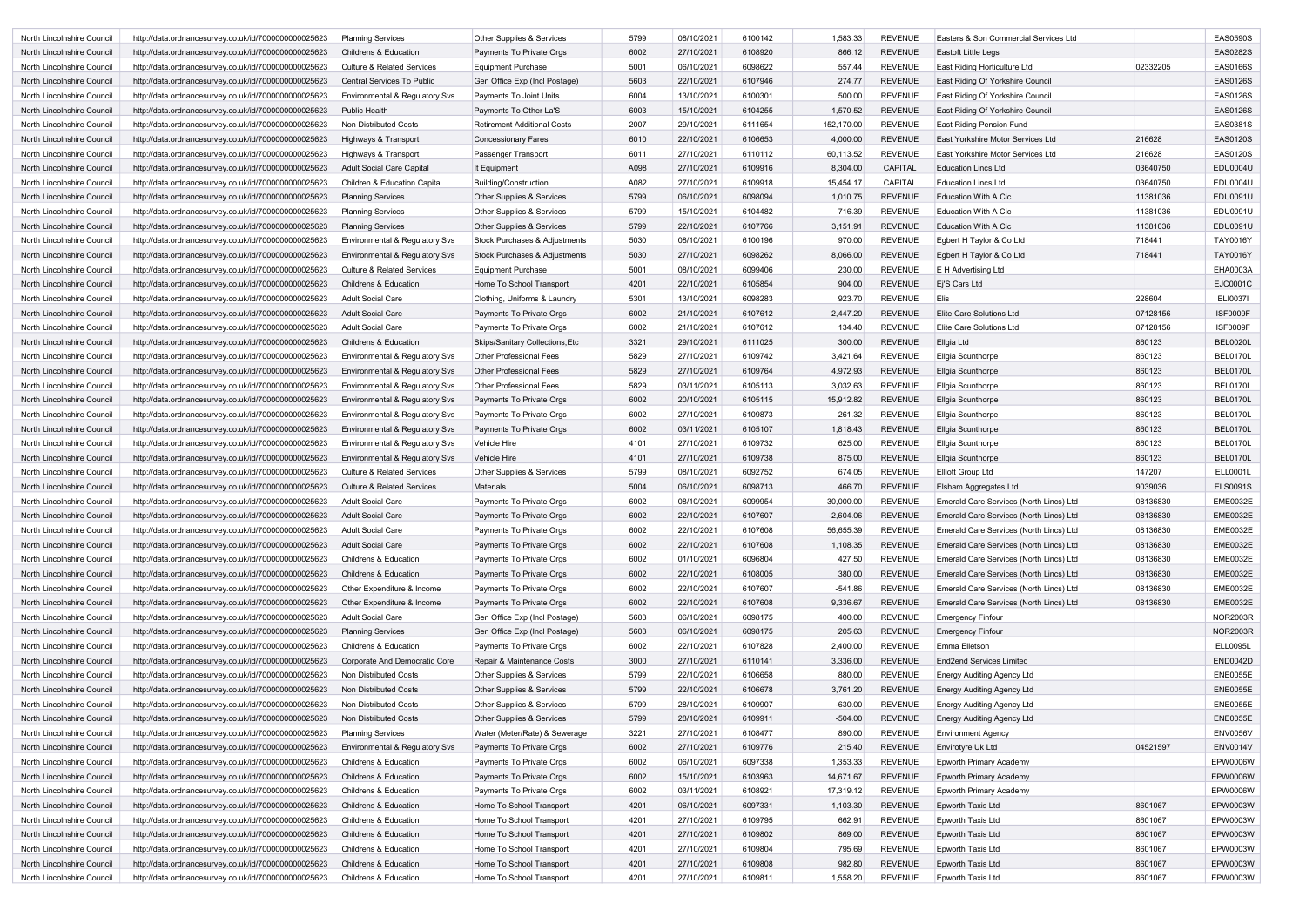| North Lincolnshire Council | http://data.ordnancesurvey.co.uk/id/7000000000025623 | <b>Planning Services</b>                  | Other Supplies & Services          | 5799 | 08/10/2021 | 6100142 | 1,583.33    | <b>REVENUE</b> | Easters & Son Commercial Services Ltd   |          | <b>EAS0590S</b> |
|----------------------------|------------------------------------------------------|-------------------------------------------|------------------------------------|------|------------|---------|-------------|----------------|-----------------------------------------|----------|-----------------|
| North Lincolnshire Council | http://data.ordnancesurvey.co.uk/id/7000000000025623 | <b>Childrens &amp; Education</b>          | Payments To Private Orgs           | 6002 | 27/10/2021 | 6108920 | 866.12      | <b>REVENUE</b> | <b>Eastoft Little Legs</b>              |          | <b>EAS0282S</b> |
| North Lincolnshire Council | http://data.ordnancesurvey.co.uk/id/7000000000025623 | <b>Culture &amp; Related Services</b>     | <b>Equipment Purchase</b>          | 5001 | 06/10/2021 | 6098622 | 557.44      | <b>REVENUE</b> | East Riding Horticulture Ltd            | 02332205 | <b>EAS0166S</b> |
| North Lincolnshire Council | http://data.ordnancesurvey.co.uk/id/7000000000025623 | Central Services To Public                | Gen Office Exp (Incl Postage)      | 5603 | 22/10/2021 | 6107946 | 274.77      | <b>REVENUE</b> | East Riding Of Yorkshire Council        |          | <b>EAS0126S</b> |
| North Lincolnshire Council | http://data.ordnancesurvey.co.uk/id/7000000000025623 | Environmental & Regulatory Svs            | Payments To Joint Units            | 6004 | 13/10/2021 | 6100301 | 500.00      | <b>REVENUE</b> | East Riding Of Yorkshire Council        |          | <b>EAS0126S</b> |
| North Lincolnshire Council | http://data.ordnancesurvey.co.uk/id/7000000000025623 | <b>Public Health</b>                      | Payments To Other La'S             | 6003 | 15/10/2021 | 6104255 | 1,570.52    | <b>REVENUE</b> | East Riding Of Yorkshire Council        |          | <b>EAS0126S</b> |
| North Lincolnshire Council | http://data.ordnancesurvey.co.uk/id/7000000000025623 | Non Distributed Costs                     | <b>Retirement Additional Costs</b> | 2007 | 29/10/2021 | 6111654 | 152,170.00  | <b>REVENUE</b> | <b>East Riding Pension Fund</b>         |          | EAS0381S        |
| North Lincolnshire Council | http://data.ordnancesurvey.co.uk/id/7000000000025623 | Highways & Transport                      | <b>Concessionary Fares</b>         | 6010 | 22/10/2021 | 6106653 | 4,000.00    | <b>REVENUE</b> | East Yorkshire Motor Services Ltd       | 216628   | <b>EAS0120S</b> |
| North Lincolnshire Council | http://data.ordnancesurvey.co.uk/id/7000000000025623 | Highways & Transport                      | Passenger Transport                | 6011 | 27/10/2021 | 6110112 | 60,113.52   | <b>REVENUE</b> | East Yorkshire Motor Services Ltd       | 216628   | <b>EAS0120S</b> |
| North Lincolnshire Council | http://data.ordnancesurvey.co.uk/id/7000000000025623 | <b>Adult Social Care Capital</b>          | It Equipment                       | A098 | 27/10/2021 | 6109916 | 8,304.00    | <b>CAPITAL</b> | <b>Education Lincs Ltd</b>              | 03640750 | <b>EDU0004U</b> |
| North Lincolnshire Council | http://data.ordnancesurvey.co.uk/id/7000000000025623 | Children & Education Capital              | <b>Building/Construction</b>       | A082 | 27/10/2021 | 6109918 | 15,454.17   | <b>CAPITAL</b> | <b>Education Lincs Ltd</b>              | 03640750 | <b>EDU0004U</b> |
| North Lincolnshire Council | http://data.ordnancesurvey.co.uk/id/7000000000025623 | <b>Planning Services</b>                  | Other Supplies & Services          | 5799 | 06/10/2021 | 6098094 | 1,010.75    | <b>REVENUE</b> | <b>Education With A Cic</b>             | 11381036 | EDU0091U        |
| North Lincolnshire Council | http://data.ordnancesurvey.co.uk/id/7000000000025623 | <b>Planning Services</b>                  | Other Supplies & Services          | 5799 | 15/10/2021 | 6104482 | 716.39      | <b>REVENUE</b> | <b>Education With A Cic</b>             | 11381036 | EDU0091U        |
| North Lincolnshire Council | http://data.ordnancesurvey.co.uk/id/7000000000025623 | <b>Planning Services</b>                  | Other Supplies & Services          | 5799 | 22/10/2021 | 6107766 | 3,151.91    | <b>REVENUE</b> | <b>Education With A Cic</b>             | 11381036 | EDU0091U        |
| North Lincolnshire Council | http://data.ordnancesurvey.co.uk/id/7000000000025623 | <b>Environmental &amp; Regulatory Svs</b> | Stock Purchases & Adjustments      | 5030 | 08/10/2021 | 6100196 | 970.00      | <b>REVENUE</b> | Egbert H Taylor & Co Ltd                | 718441   | <b>TAY0016Y</b> |
|                            |                                                      |                                           |                                    |      | 27/10/2021 | 6098262 |             | <b>REVENUE</b> |                                         |          | <b>TAY0016Y</b> |
| North Lincolnshire Council | http://data.ordnancesurvey.co.uk/id/7000000000025623 | Environmental & Regulatory Svs            | Stock Purchases & Adjustments      | 5030 |            |         | 8,066.00    |                | Egbert H Taylor & Co Ltd                | 718441   |                 |
| North Lincolnshire Council | http://data.ordnancesurvey.co.uk/id/7000000000025623 | <b>Culture &amp; Related Services</b>     | <b>Equipment Purchase</b>          | 5001 | 08/10/2021 | 6099406 | 230.00      | <b>REVENUE</b> | <b>E</b> H Advertising Ltd              |          | EHA0003A        |
| North Lincolnshire Council | http://data.ordnancesurvey.co.uk/id/7000000000025623 | <b>Childrens &amp; Education</b>          | Home To School Transport           | 4201 | 22/10/2021 | 6105854 | 904.00      | <b>REVENUE</b> | Ei'S Cars Ltd                           |          | EJC0001C        |
| North Lincolnshire Council | http://data.ordnancesurvey.co.uk/id/7000000000025623 | <b>Adult Social Care</b>                  | Clothing, Uniforms & Laundry       | 5301 | 13/10/2021 | 6098283 | 923.70      | <b>REVENUE</b> | <b>Elis</b>                             | 228604   | <b>ELI0037I</b> |
| North Lincolnshire Council | http://data.ordnancesurvey.co.uk/id/7000000000025623 | <b>Adult Social Care</b>                  | Payments To Private Orgs           | 6002 | 21/10/2021 | 6107612 | 2,447.20    | <b>REVENUE</b> | <b>Elite Care Solutions Ltd</b>         | 07128156 | <b>ISF0009F</b> |
| North Lincolnshire Council | http://data.ordnancesurvey.co.uk/id/7000000000025623 | <b>Adult Social Care</b>                  | Payments To Private Orgs           | 6002 | 21/10/2021 | 6107612 | 134.40      | <b>REVENUE</b> | Elite Care Solutions Ltd                | 07128156 | <b>ISF0009F</b> |
| North Lincolnshire Council | http://data.ordnancesurvey.co.uk/id/7000000000025623 | <b>Childrens &amp; Education</b>          | Skips/Sanitary Collections, Etc    | 3321 | 29/10/2021 | 6111025 | 300.00      | <b>REVENUE</b> | Ellgia Ltd                              | 860123   | BEL0020L        |
| North Lincolnshire Council | http://data.ordnancesurvey.co.uk/id/7000000000025623 | Environmental & Regulatory Svs            | <b>Other Professional Fees</b>     | 5829 | 27/10/2021 | 6109742 | 3,421.64    | <b>REVENUE</b> | Ellgia Scunthorpe                       | 860123   | BEL0170L        |
| North Lincolnshire Council | http://data.ordnancesurvey.co.uk/id/7000000000025623 | Environmental & Regulatory Svs            | <b>Other Professional Fees</b>     | 5829 | 27/10/2021 | 6109764 | 4,972.93    | <b>REVENUE</b> | <b>Ellgia Scunthorpe</b>                | 860123   | BEL0170L        |
| North Lincolnshire Council | http://data.ordnancesurvey.co.uk/id/7000000000025623 | <b>Environmental &amp; Regulatory Svs</b> | Other Professional Fees            | 5829 | 03/11/2021 | 6105113 | 3,032.63    | <b>REVENUE</b> | Ellgia Scunthorpe                       | 860123   | <b>BEL0170L</b> |
| North Lincolnshire Council | http://data.ordnancesurvey.co.uk/id/7000000000025623 | Environmental & Regulatory Svs            | Payments To Private Orgs           | 6002 | 20/10/2021 | 6105115 | 15,912.82   | <b>REVENUE</b> | <b>Ellgia Scunthorpe</b>                | 860123   | <b>BEL0170L</b> |
| North Lincolnshire Council | http://data.ordnancesurvey.co.uk/id/7000000000025623 | Environmental & Regulatory Svs            | Payments To Private Orgs           | 6002 | 27/10/2021 | 6109873 | 261.32      | <b>REVENUE</b> | Ellgia Scunthorpe                       | 860123   | <b>BEL0170L</b> |
| North Lincolnshire Council | http://data.ordnancesurvey.co.uk/id/7000000000025623 | Environmental & Regulatory Svs            | Payments To Private Orgs           | 6002 | 03/11/2021 | 6105107 | 1,818.43    | <b>REVENUE</b> | Ellgia Scunthorpe                       | 860123   | BEL0170L        |
| North Lincolnshire Council | http://data.ordnancesurvey.co.uk/id/7000000000025623 | Environmental & Regulatory Svs            | Vehicle Hire                       | 4101 | 27/10/2021 | 6109732 | 625.00      | <b>REVENUE</b> | Ellgia Scunthorpe                       | 860123   | BEL0170L        |
| North Lincolnshire Council | http://data.ordnancesurvey.co.uk/id/7000000000025623 | Environmental & Regulatory Svs            | Vehicle Hire                       | 4101 | 27/10/2021 | 6109738 | 875.00      | <b>REVENUE</b> | <b>Ellgia Scunthorpe</b>                | 860123   | <b>BEL0170L</b> |
| North Lincolnshire Council | http://data.ordnancesurvey.co.uk/id/7000000000025623 | <b>Culture &amp; Related Services</b>     | Other Supplies & Services          | 5799 | 08/10/2021 | 6092752 | 674.05      | <b>REVENUE</b> | <b>Elliott Group Ltd</b>                | 147207   | <b>ELL0001L</b> |
| North Lincolnshire Council | http://data.ordnancesurvey.co.uk/id/7000000000025623 | <b>Culture &amp; Related Services</b>     | <b>Materials</b>                   | 5004 | 06/10/2021 | 6098713 | 466.70      | <b>REVENUE</b> | Elsham Aggregates Ltd                   | 9039036  | <b>ELS0091S</b> |
| North Lincolnshire Council | http://data.ordnancesurvey.co.uk/id/7000000000025623 | <b>Adult Social Care</b>                  | Payments To Private Orgs           | 6002 | 08/10/2021 | 6099954 | 30,000.00   | <b>REVENUE</b> | Emerald Care Services (North Lincs) Ltd | 08136830 | <b>EME0032E</b> |
| North Lincolnshire Council | http://data.ordnancesurvey.co.uk/id/7000000000025623 | <b>Adult Social Care</b>                  | Payments To Private Orgs           | 6002 | 22/10/2021 | 6107607 | $-2.604.06$ | <b>REVENUE</b> | Emerald Care Services (North Lincs) Ltd | 08136830 | <b>EME0032E</b> |
| North Lincolnshire Council | http://data.ordnancesurvey.co.uk/id/7000000000025623 | Adult Social Care                         | Payments To Private Orgs           | 6002 | 22/10/2021 | 6107608 | 56,655.39   | <b>REVENUE</b> | Emerald Care Services (North Lincs) Ltd | 08136830 | <b>EME0032E</b> |
| North Lincolnshire Council | http://data.ordnancesurvey.co.uk/id/7000000000025623 | <b>Adult Social Care</b>                  | Payments To Private Orgs           | 6002 | 22/10/2021 | 6107608 | 1,108.35    | <b>REVENUE</b> | Emerald Care Services (North Lincs) Ltd | 08136830 | <b>EME0032E</b> |
| North Lincolnshire Council | http://data.ordnancesurvey.co.uk/id/7000000000025623 | Childrens & Education                     | Payments To Private Orgs           | 6002 | 01/10/2021 | 6096804 | 427.50      | <b>REVENUE</b> | Emerald Care Services (North Lincs) Ltd | 08136830 | <b>EME0032E</b> |
| North Lincolnshire Council | http://data.ordnancesurvey.co.uk/id/7000000000025623 | Childrens & Education                     | Payments To Private Orgs           | 6002 | 22/10/2021 | 6108005 | 380.00      | <b>REVENUE</b> | Emerald Care Services (North Lincs) Ltd | 08136830 | <b>EME0032E</b> |
| North Lincolnshire Council | http://data.ordnancesurvey.co.uk/id/7000000000025623 | Other Expenditure & Income                | Payments To Private Orgs           | 6002 | 22/10/2021 | 6107607 | $-541.86$   | <b>REVENUE</b> | Emerald Care Services (North Lincs) Ltd | 08136830 | <b>EME0032E</b> |
| North Lincolnshire Council | http://data.ordnancesurvey.co.uk/id/7000000000025623 | Other Expenditure & Income                | Payments To Private Orgs           | 6002 | 22/10/2021 | 6107608 | 9,336.67    | <b>REVENUE</b> | Emerald Care Services (North Lincs) Ltd | 08136830 | <b>EME0032E</b> |
| North Lincolnshire Council | http://data.ordnancesurvey.co.uk/id/7000000000025623 | <b>Adult Social Care</b>                  | Gen Office Exp (Incl Postage)      | 5603 | 06/10/2021 | 6098175 | 400.00      | <b>REVENUE</b> | <b>Emergency Finfour</b>                |          | <b>NOR2003R</b> |
| North Lincolnshire Council | http://data.ordnancesurvey.co.uk/id/7000000000025623 | <b>Planning Services</b>                  | Gen Office Exp (Incl Postage)      | 5603 | 06/10/2021 | 6098175 | 205.63      | <b>REVENUE</b> | <b>Emergency Finfour</b>                |          | <b>NOR2003R</b> |
| North Lincolnshire Council | http://data.ordnancesurvey.co.uk/id/7000000000025623 | Childrens & Education                     | Payments To Private Orgs           | 6002 | 22/10/2021 | 6107828 | 2,400.00    | <b>REVENUE</b> | Emma Elletson                           |          | <b>ELL0095L</b> |
| North Lincolnshire Council | http://data.ordnancesurvey.co.uk/id/7000000000025623 | Corporate And Democratic Core             | Repair & Maintenance Costs         | 3000 | 27/10/2021 | 6110141 | 3,336.00    | <b>REVENUE</b> | <b>End2end Services Limited</b>         |          | <b>END0042D</b> |
| North Lincolnshire Council | http://data.ordnancesurvey.co.uk/id/7000000000025623 | Non Distributed Costs                     | Other Supplies & Services          | 5799 | 22/10/2021 | 6106658 | 880.00      | <b>REVENUE</b> | <b>Energy Auditing Agency Ltd</b>       |          | <b>ENE0055E</b> |
| North Lincolnshire Council | http://data.ordnancesurvey.co.uk/id/7000000000025623 | Non Distributed Costs                     | Other Supplies & Services          | 5799 | 22/10/2021 | 6106678 | 3,761.20    | <b>REVENUE</b> | <b>Energy Auditing Agency Ltd</b>       |          | <b>ENE0055E</b> |
| North Lincolnshire Council | http://data.ordnancesurvey.co.uk/id/7000000000025623 | Non Distributed Costs                     | Other Supplies & Services          | 5799 | 28/10/2021 | 6109907 | $-630.00$   | <b>REVENUE</b> | Energy Auditing Agency Ltd              |          | <b>ENE0055E</b> |
| North Lincolnshire Council | http://data.ordnancesurvey.co.uk/id/7000000000025623 | Non Distributed Costs                     | Other Supplies & Services          | 5799 | 28/10/2021 | 6109911 | $-504.00$   | <b>REVENUE</b> | Energy Auditing Agency Ltd              |          | <b>ENE0055E</b> |
| North Lincolnshire Council | http://data.ordnancesurvey.co.uk/id/7000000000025623 | <b>Planning Services</b>                  | Water (Meter/Rate) & Sewerage      | 3221 | 27/10/2021 | 6108477 | 890.00      | <b>REVENUE</b> | <b>Environment Agency</b>               |          | <b>ENV0056V</b> |
| North Lincolnshire Council | http://data.ordnancesurvey.co.uk/id/7000000000025623 | Environmental & Regulatory Svs            | Payments To Private Orgs           | 6002 | 27/10/2021 | 6109776 | 215.40      | <b>REVENUE</b> | Envirotyre Uk Ltd                       | 04521597 | <b>ENV0014V</b> |
| North Lincolnshire Council | http://data.ordnancesurvey.co.uk/id/7000000000025623 | Childrens & Education                     | Payments To Private Orgs           | 6002 | 06/10/2021 | 6097338 | 1,353.33    | <b>REVENUE</b> | <b>Epworth Primary Academy</b>          |          | <b>EPW0006W</b> |
| North Lincolnshire Council | http://data.ordnancesurvey.co.uk/id/7000000000025623 | Childrens & Education                     | Payments To Private Orgs           | 6002 | 15/10/2021 | 6103963 | 14,671.67   | <b>REVENUE</b> | <b>Epworth Primary Academy</b>          |          | <b>EPW0006W</b> |
| North Lincolnshire Council | http://data.ordnancesurvey.co.uk/id/7000000000025623 | Childrens & Education                     | Payments To Private Orgs           | 6002 | 03/11/2021 | 6108921 | 17,319.12   | <b>REVENUE</b> | <b>Epworth Primary Academy</b>          |          | EPW0006W        |
| North Lincolnshire Council | http://data.ordnancesurvey.co.uk/id/7000000000025623 | Childrens & Education                     | Home To School Transport           | 4201 | 06/10/2021 | 6097331 | 1,103.30    | <b>REVENUE</b> | Epworth Taxis Ltd                       | 8601067  | EPW0003W        |
| North Lincolnshire Council | http://data.ordnancesurvey.co.uk/id/7000000000025623 | Childrens & Education                     | Home To School Transport           | 4201 | 27/10/2021 | 6109795 | 662.91      | <b>REVENUE</b> | Epworth Taxis Ltd                       | 8601067  | EPW0003W        |
| North Lincolnshire Council | http://data.ordnancesurvey.co.uk/id/7000000000025623 | Childrens & Education                     | Home To School Transport           | 4201 | 27/10/2021 | 6109802 | 869.00      | <b>REVENUE</b> | Epworth Taxis Ltd                       | 8601067  | EPW0003W        |
| North Lincolnshire Council | http://data.ordnancesurvey.co.uk/id/7000000000025623 | Childrens & Education                     | Home To School Transport           | 4201 | 27/10/2021 | 6109804 | 795.69      | <b>REVENUE</b> | Epworth Taxis Ltd                       | 8601067  | EPW0003W        |
| North Lincolnshire Council | http://data.ordnancesurvey.co.uk/id/7000000000025623 | Childrens & Education                     | Home To School Transport           | 4201 | 27/10/2021 | 6109808 | 982.80      | <b>REVENUE</b> | Epworth Taxis Ltd                       | 8601067  | EPW0003W        |
| North Lincolnshire Council | http://data.ordnancesurvey.co.uk/id/7000000000025623 | Childrens & Education                     | Home To School Transport           | 4201 | 27/10/2021 | 6109811 | 1,558.20    | REVENUE        | Epworth Taxis Ltd                       | 8601067  | EPW0003W        |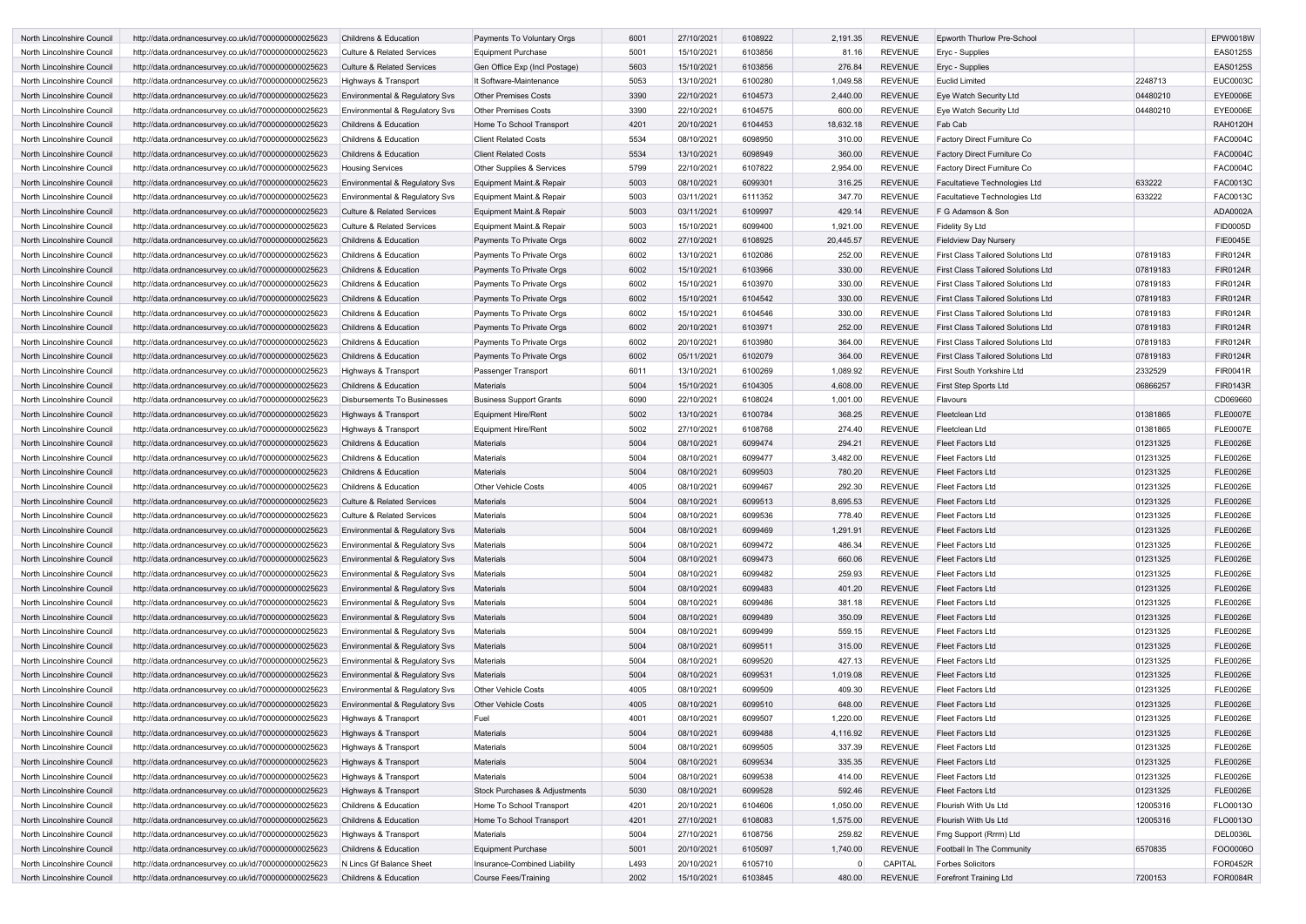| North Lincolnshire Council | http://data.ordnancesurvey.co.uk/id/7000000000025623 | <b>Childrens &amp; Education</b>          | <b>Payments To Voluntary Orgs</b> | 6001 | 27/10/2021 | 6108922 | 2,191.35  | <b>REVENUE</b> | Epworth Thurlow Pre-School                |          | EPW0018W        |
|----------------------------|------------------------------------------------------|-------------------------------------------|-----------------------------------|------|------------|---------|-----------|----------------|-------------------------------------------|----------|-----------------|
| North Lincolnshire Council | http://data.ordnancesurvey.co.uk/id/7000000000025623 | <b>Culture &amp; Related Services</b>     | <b>Equipment Purchase</b>         | 5001 | 15/10/2021 | 6103856 | 81.16     | <b>REVENUE</b> | Eryc - Supplies                           |          | <b>EAS0125S</b> |
| North Lincolnshire Council | http://data.ordnancesurvey.co.uk/id/7000000000025623 | <b>Culture &amp; Related Services</b>     | Gen Office Exp (Incl Postage)     | 5603 | 15/10/2021 | 6103856 | 276.84    | <b>REVENUE</b> | Eryc - Supplies                           |          | <b>EAS0125S</b> |
| North Lincolnshire Council | http://data.ordnancesurvey.co.uk/id/7000000000025623 | Highways & Transport                      | It Software-Maintenance           | 5053 | 13/10/2021 | 6100280 | 1,049.58  | <b>REVENUE</b> | <b>Euclid Limited</b>                     | 2248713  | <b>EUC0003C</b> |
| North Lincolnshire Council | http://data.ordnancesurvey.co.uk/id/7000000000025623 | Environmental & Regulatory Svs            | <b>Other Premises Costs</b>       | 3390 | 22/10/2021 | 6104573 | 2,440.00  | <b>REVENUE</b> | Eye Watch Security Ltd                    | 04480210 | <b>EYE0006E</b> |
| North Lincolnshire Council | http://data.ordnancesurvey.co.uk/id/7000000000025623 | Environmental & Regulatory Svs            | <b>Other Premises Costs</b>       | 3390 | 22/10/2021 | 6104575 | 600.00    | <b>REVENUE</b> | Eye Watch Security Ltd                    | 04480210 | <b>EYE0006E</b> |
| North Lincolnshire Council | http://data.ordnancesurvey.co.uk/id/7000000000025623 | <b>Childrens &amp; Education</b>          | Home To School Transport          | 4201 | 20/10/2021 | 6104453 | 18,632.18 | <b>REVENUE</b> | Fab Cab                                   |          | <b>RAH0120H</b> |
| North Lincolnshire Council | http://data.ordnancesurvey.co.uk/id/7000000000025623 | <b>Childrens &amp; Education</b>          | <b>Client Related Costs</b>       | 5534 | 08/10/2021 | 6098950 | 310.00    | <b>REVENUE</b> | Factory Direct Furniture Co               |          | <b>FAC0004C</b> |
| North Lincolnshire Council | http://data.ordnancesurvey.co.uk/id/7000000000025623 | <b>Childrens &amp; Education</b>          | <b>Client Related Costs</b>       | 5534 | 13/10/2021 | 6098949 | 360.00    | <b>REVENUE</b> | Factory Direct Furniture Co               |          | <b>FAC0004C</b> |
| North Lincolnshire Council | http://data.ordnancesurvey.co.uk/id/7000000000025623 | <b>Housing Services</b>                   | Other Supplies & Services         | 5799 | 22/10/2021 | 6107822 | 2,954.00  | <b>REVENUE</b> | Factory Direct Furniture Co               |          | <b>FAC0004C</b> |
| North Lincolnshire Council | http://data.ordnancesurvey.co.uk/id/7000000000025623 | <b>Environmental &amp; Regulatory Svs</b> | Equipment Maint.& Repair          | 5003 | 08/10/2021 | 6099301 | 316.25    | <b>REVENUE</b> | Facultatieve Technologies Ltd             | 633222   | FAC0013C        |
| North Lincolnshire Council | http://data.ordnancesurvey.co.uk/id/7000000000025623 | Environmental & Regulatory Svs            | Equipment Maint.& Repair          | 5003 | 03/11/2021 | 6111352 | 347.70    | <b>REVENUE</b> | Facultatieve Technologies Ltd             | 633222   | FAC0013C        |
| North Lincolnshire Council | http://data.ordnancesurvey.co.uk/id/7000000000025623 | <b>Culture &amp; Related Services</b>     | Equipment Maint.& Repair          | 5003 | 03/11/2021 | 6109997 | 429.14    | <b>REVENUE</b> | F G Adamson & Son                         |          | ADA0002A        |
| North Lincolnshire Council | http://data.ordnancesurvey.co.uk/id/7000000000025623 | <b>Culture &amp; Related Services</b>     | Equipment Maint.& Repair          | 5003 | 15/10/2021 | 6099400 | 1,921.00  | <b>REVENUE</b> | <b>Fidelity Sy Ltd</b>                    |          | <b>FID0005D</b> |
| North Lincolnshire Council | http://data.ordnancesurvey.co.uk/id/7000000000025623 | <b>Childrens &amp; Education</b>          | Payments To Private Orgs          | 6002 | 27/10/2021 | 6108925 | 20,445.57 | <b>REVENUE</b> | <b>Fieldview Day Nursery</b>              |          | <b>FIE0045E</b> |
| North Lincolnshire Council | http://data.ordnancesurvey.co.uk/id/7000000000025623 | <b>Childrens &amp; Education</b>          | Payments To Private Orgs          | 6002 | 13/10/2021 | 6102086 | 252.00    | <b>REVENUE</b> | <b>First Class Tailored Solutions Ltd</b> | 07819183 | <b>FIR0124R</b> |
| North Lincolnshire Council | http://data.ordnancesurvey.co.uk/id/7000000000025623 | <b>Childrens &amp; Education</b>          | Payments To Private Orgs          | 6002 | 15/10/2021 | 6103966 | 330.00    | <b>REVENUE</b> | <b>First Class Tailored Solutions Ltd</b> | 07819183 | <b>FIR0124R</b> |
|                            |                                                      |                                           |                                   |      |            |         |           | <b>REVENUE</b> |                                           |          |                 |
| North Lincolnshire Council | http://data.ordnancesurvey.co.uk/id/7000000000025623 | <b>Childrens &amp; Education</b>          | Payments To Private Orgs          | 6002 | 15/10/2021 | 6103970 | 330.00    |                | <b>First Class Tailored Solutions Ltd</b> | 07819183 | <b>FIR0124R</b> |
| North Lincolnshire Council | http://data.ordnancesurvey.co.uk/id/7000000000025623 | Childrens & Education                     | Payments To Private Orgs          | 6002 | 15/10/2021 | 6104542 | 330.00    | <b>REVENUE</b> | <b>First Class Tailored Solutions Ltd</b> | 07819183 | <b>FIR0124R</b> |
| North Lincolnshire Council | http://data.ordnancesurvey.co.uk/id/7000000000025623 | <b>Childrens &amp; Education</b>          | Payments To Private Orgs          | 6002 | 15/10/2021 | 6104546 | 330.00    | <b>REVENUE</b> | <b>First Class Tailored Solutions Ltd</b> | 07819183 | <b>FIR0124R</b> |
| North Lincolnshire Council | http://data.ordnancesurvey.co.uk/id/7000000000025623 | <b>Childrens &amp; Education</b>          | Payments To Private Orgs          | 6002 | 20/10/2021 | 6103971 | 252.00    | <b>REVENUE</b> | <b>First Class Tailored Solutions Ltd</b> | 07819183 | <b>FIR0124R</b> |
| North Lincolnshire Council | http://data.ordnancesurvey.co.uk/id/7000000000025623 | <b>Childrens &amp; Education</b>          | Payments To Private Orgs          | 6002 | 20/10/2021 | 6103980 | 364.00    | <b>REVENUE</b> | <b>First Class Tailored Solutions Ltd</b> | 07819183 | <b>FIR0124R</b> |
| North Lincolnshire Council | http://data.ordnancesurvey.co.uk/id/7000000000025623 | <b>Childrens &amp; Education</b>          | Payments To Private Orgs          | 6002 | 05/11/2021 | 6102079 | 364.00    | <b>REVENUE</b> | <b>First Class Tailored Solutions Ltd</b> | 07819183 | <b>FIR0124R</b> |
| North Lincolnshire Council | http://data.ordnancesurvey.co.uk/id/7000000000025623 | Highways & Transport                      | Passenger Transport               | 6011 | 13/10/2021 | 6100269 | 1,089.92  | <b>REVENUE</b> | First South Yorkshire Ltd                 | 2332529  | <b>FIR0041R</b> |
| North Lincolnshire Council | http://data.ordnancesurvey.co.uk/id/7000000000025623 | <b>Childrens &amp; Education</b>          | <b>Materials</b>                  | 5004 | 15/10/2021 | 6104305 | 4,608.00  | <b>REVENUE</b> | First Step Sports Ltd                     | 06866257 | <b>FIR0143R</b> |
| North Lincolnshire Council | http://data.ordnancesurvey.co.uk/id/7000000000025623 | <b>Disbursements To Businesses</b>        | <b>Business Support Grants</b>    | 6090 | 22/10/2021 | 6108024 | 1,001.00  | <b>REVENUE</b> | <b>Flavours</b>                           |          | CD069660        |
| North Lincolnshire Council | http://data.ordnancesurvey.co.uk/id/7000000000025623 | Highways & Transport                      | <b>Equipment Hire/Rent</b>        | 5002 | 13/10/2021 | 6100784 | 368.25    | <b>REVENUE</b> | Fleetclean Ltd                            | 01381865 | <b>FLE0007E</b> |
| North Lincolnshire Council | http://data.ordnancesurvey.co.uk/id/7000000000025623 | Highways & Transport                      | <b>Equipment Hire/Rent</b>        | 5002 | 27/10/2021 | 6108768 | 274.40    | <b>REVENUE</b> | Fleetclean Ltd                            | 01381865 | <b>FLE0007E</b> |
| North Lincolnshire Council | http://data.ordnancesurvey.co.uk/id/7000000000025623 | Childrens & Education                     | <b>Materials</b>                  | 5004 | 08/10/2021 | 6099474 | 294.21    | <b>REVENUE</b> | <b>Fleet Factors Ltd</b>                  | 01231325 | <b>FLE0026E</b> |
| North Lincolnshire Council | http://data.ordnancesurvey.co.uk/id/7000000000025623 | <b>Childrens &amp; Education</b>          | <b>Materials</b>                  | 5004 | 08/10/2021 | 6099477 | 3,482.00  | <b>REVENUE</b> | <b>Fleet Factors Ltd</b>                  | 01231325 | <b>FLE0026E</b> |
| North Lincolnshire Council | http://data.ordnancesurvey.co.uk/id/7000000000025623 | <b>Childrens &amp; Education</b>          | <b>Materials</b>                  | 5004 | 08/10/2021 | 6099503 | 780.20    | <b>REVENUE</b> | <b>Fleet Factors Ltd</b>                  | 01231325 | <b>FLE0026E</b> |
| North Lincolnshire Council | http://data.ordnancesurvey.co.uk/id/7000000000025623 | <b>Childrens &amp; Education</b>          | <b>Other Vehicle Costs</b>        | 4005 | 08/10/2021 | 6099467 | 292.30    | <b>REVENUE</b> | <b>Fleet Factors Ltd</b>                  | 01231325 | <b>FLE0026E</b> |
| North Lincolnshire Council | http://data.ordnancesurvey.co.uk/id/7000000000025623 | <b>Culture &amp; Related Services</b>     | Materials                         | 5004 | 08/10/2021 | 6099513 | 8,695.53  | <b>REVENUE</b> | Fleet Factors Ltd                         | 01231325 | <b>FLE0026E</b> |
| North Lincolnshire Council | http://data.ordnancesurvey.co.uk/id/7000000000025623 | Culture & Related Services                | Materials                         | 5004 | 08/10/2021 | 6099536 | 778.40    | <b>REVENUE</b> | Fleet Factors Ltd                         | 01231325 | <b>FLE0026E</b> |
| North Lincolnshire Council | http://data.ordnancesurvey.co.uk/id/7000000000025623 | <b>Environmental &amp; Regulatory Svs</b> | <b>Materials</b>                  | 5004 | 08/10/2021 | 6099469 | 1,291.91  | <b>REVENUE</b> | <b>Fleet Factors Ltd</b>                  | 01231325 | <b>FLE0026E</b> |
| North Lincolnshire Council | http://data.ordnancesurvey.co.uk/id/7000000000025623 | <b>Environmental &amp; Regulatory Svs</b> | Materials                         | 5004 | 08/10/2021 | 6099472 | 486.34    | <b>REVENUE</b> | <b>Fleet Factors Ltd</b>                  | 01231325 | <b>FLE0026E</b> |
| North Lincolnshire Council | http://data.ordnancesurvey.co.uk/id/7000000000025623 | Environmental & Regulatory Svs            | <b>Materials</b>                  | 5004 | 08/10/2021 | 6099473 | 660.06    | <b>REVENUE</b> | <b>Fleet Factors Ltd</b>                  | 01231325 | <b>FLE0026E</b> |
| North Lincolnshire Council | http://data.ordnancesurvey.co.uk/id/7000000000025623 | Environmental & Regulatory Svs            | <b>Materials</b>                  | 5004 | 08/10/2021 | 6099482 | 259.93    | <b>REVENUE</b> | <b>Fleet Factors Ltd</b>                  | 01231325 | <b>FLE0026E</b> |
| North Lincolnshire Council | http://data.ordnancesurvey.co.uk/id/7000000000025623 | Environmental & Regulatory Svs            | <b>Materials</b>                  | 5004 | 08/10/2021 | 6099483 | 401.20    | <b>REVENUE</b> | <b>Fleet Factors Ltd</b>                  | 01231325 | <b>FLE0026E</b> |
| North Lincolnshire Council | http://data.ordnancesurvey.co.uk/id/7000000000025623 | <b>Environmental &amp; Regulatory Svs</b> | <b>Materials</b>                  | 5004 | 08/10/2021 | 6099486 | 381.18    | <b>REVENUE</b> | Fleet Factors Ltd                         | 01231325 | <b>FLE0026E</b> |
| North Lincolnshire Council | http://data.ordnancesurvey.co.uk/id/7000000000025623 | <b>Environmental &amp; Regulatory Svs</b> | <b>Materials</b>                  | 5004 | 08/10/2021 | 6099489 | 350.09    | <b>REVENUE</b> | <b>Fleet Factors Ltd</b>                  | 01231325 | <b>FLE0026E</b> |
| North Lincolnshire Council | http://data.ordnancesurvey.co.uk/id/7000000000025623 | Environmental & Regulatory Svs            | <b>Materials</b>                  | 5004 | 08/10/2021 | 6099499 | 559.15    | <b>REVENUE</b> | Fleet Factors Ltd                         | 01231325 | <b>FLE0026E</b> |
| North Lincolnshire Council | http://data.ordnancesurvey.co.uk/id/7000000000025623 | Environmental & Regulatory Svs            | <b>Materials</b>                  | 5004 | 08/10/2021 | 6099511 | 315.00    | <b>REVENUE</b> | <b>Fleet Factors Ltd</b>                  | 01231325 | <b>FLE0026E</b> |
| North Lincolnshire Council | http://data.ordnancesurvey.co.uk/id/7000000000025623 | Environmental & Regulatory Svs            | <b>Materials</b>                  | 5004 | 08/10/2021 | 6099520 | 427.13    | <b>REVENUE</b> | Fleet Factors Ltd                         | 01231325 | <b>FLE0026E</b> |
| North Lincolnshire Council | http://data.ordnancesurvey.co.uk/id/7000000000025623 | Environmental & Regulatory Svs            | <b>Materials</b>                  | 5004 | 08/10/2021 | 6099531 | 1,019.08  | <b>REVENUE</b> | <b>Fleet Factors Ltd</b>                  | 01231325 | <b>FLE0026E</b> |
| North Lincolnshire Council | http://data.ordnancesurvey.co.uk/id/7000000000025623 | Environmental & Regulatory Svs            | <b>Other Vehicle Costs</b>        | 4005 | 08/10/2021 | 6099509 | 409.30    | <b>REVENUE</b> | <b>Fleet Factors Ltd</b>                  | 01231325 | <b>FLE0026E</b> |
|                            |                                                      |                                           | <b>Other Vehicle Costs</b>        | 4005 | 08/10/2021 | 6099510 | 648.00    | <b>REVENUE</b> | <b>Fleet Factors Ltd</b>                  | 01231325 | <b>FLE0026E</b> |
| North Lincolnshire Council | http://data.ordnancesurvey.co.uk/id/7000000000025623 | <b>Environmental &amp; Regulatory Svs</b> |                                   |      |            |         |           |                |                                           |          |                 |
| North Lincolnshire Council | http://data.ordnancesurvey.co.uk/id/7000000000025623 | Highways & Transport                      | Fuel                              | 4001 | 08/10/2021 | 6099507 | 1,220.00  | <b>REVENUE</b> | Fleet Factors Ltd                         | 01231325 | <b>FLE0026E</b> |
| North Lincolnshire Council | http://data.ordnancesurvey.co.uk/id/7000000000025623 | Highways & Transport                      | <b>Materials</b>                  | 5004 | 08/10/2021 | 6099488 | 4,116.92  | <b>REVENUE</b> | Fleet Factors Ltd                         | 01231325 | <b>FLE0026E</b> |
| North Lincolnshire Council | http://data.ordnancesurvey.co.uk/id/7000000000025623 | Highways & Transport                      | Materials                         | 5004 | 08/10/2021 | 6099505 | 337.39    | <b>REVENUE</b> | Fleet Factors Ltd                         | 01231325 | <b>FLE0026E</b> |
| North Lincolnshire Council | http://data.ordnancesurvey.co.uk/id/7000000000025623 | Highways & Transport                      | <b>Materials</b>                  | 5004 | 08/10/2021 | 6099534 | 335.35    | <b>REVENUE</b> | <b>Fleet Factors Ltd</b>                  | 01231325 | <b>FLE0026E</b> |
| North Lincolnshire Council | http://data.ordnancesurvey.co.uk/id/7000000000025623 | Highways & Transport                      | Materials                         | 5004 | 08/10/2021 | 6099538 | 414.00    | <b>REVENUE</b> | Fleet Factors Ltd                         | 01231325 | <b>FLE0026E</b> |
| North Lincolnshire Council | http://data.ordnancesurvey.co.uk/id/7000000000025623 | Highways & Transport                      | Stock Purchases & Adjustments     | 5030 | 08/10/2021 | 6099528 | 592.46    | <b>REVENUE</b> | Fleet Factors Ltd                         | 01231325 | <b>FLE0026E</b> |
| North Lincolnshire Council | http://data.ordnancesurvey.co.uk/id/7000000000025623 | Childrens & Education                     | Home To School Transport          | 4201 | 20/10/2021 | 6104606 | 1,050.00  | <b>REVENUE</b> | Flourish With Us Ltd                      | 12005316 | FLO0013O        |
| North Lincolnshire Council | http://data.ordnancesurvey.co.uk/id/7000000000025623 | Childrens & Education                     | Home To School Transport          | 4201 | 27/10/2021 | 6108083 | 1,575.00  | <b>REVENUE</b> | Flourish With Us Ltd                      | 12005316 | FLO0013O        |
| North Lincolnshire Council | http://data.ordnancesurvey.co.uk/id/7000000000025623 | <b>Highways &amp; Transport</b>           | Materials                         | 5004 | 27/10/2021 | 6108756 | 259.82    | <b>REVENUE</b> | Fmg Support (Rrrm) Ltd                    |          | <b>DEL0036L</b> |
| North Lincolnshire Council | http://data.ordnancesurvey.co.uk/id/7000000000025623 | Childrens & Education                     | <b>Equipment Purchase</b>         | 5001 | 20/10/2021 | 6105097 | 1,740.00  | <b>REVENUE</b> | Football In The Community                 | 6570835  | FOO0006O        |
| North Lincolnshire Council | http://data.ordnancesurvey.co.uk/id/7000000000025623 | N Lincs Gf Balance Sheet                  | Insurance-Combined Liability      | L493 | 20/10/2021 | 6105710 |           | <b>CAPITAL</b> | <b>Forbes Solicitors</b>                  |          | <b>FOR0452R</b> |
| North Lincolnshire Council | http://data.ordnancesurvey.co.uk/id/7000000000025623 | <b>Childrens &amp; Education</b>          | <b>Course Fees/Training</b>       | 2002 | 15/10/2021 | 6103845 | 480.00    | <b>REVENUE</b> | <b>Forefront Training Ltd</b>             | 7200153  | FOR0084R        |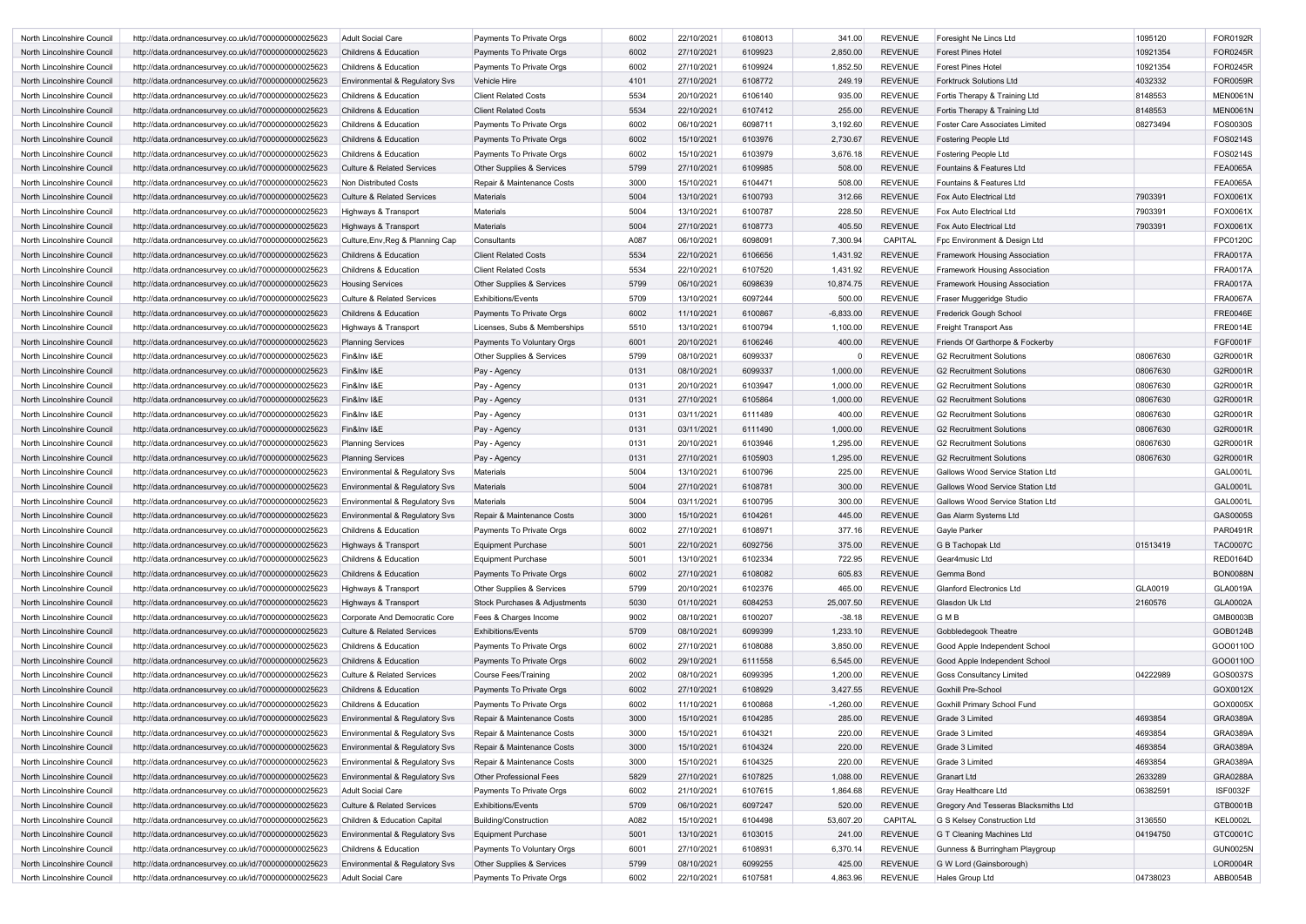| North Lincolnshire Council        | http://data.ordnancesurvey.co.uk/id/7000000000025623 | <b>Adult Social Care</b>                  | Payments To Private Orgs             | 6002 | 22/10/2021 | 6108013 | 341.00      | <b>REVENUE</b> | Foresight Ne Lincs Ltd                  | 1095120  | FOR0192R        |
|-----------------------------------|------------------------------------------------------|-------------------------------------------|--------------------------------------|------|------------|---------|-------------|----------------|-----------------------------------------|----------|-----------------|
| North Lincolnshire Council        | http://data.ordnancesurvey.co.uk/id/7000000000025623 | <b>Childrens &amp; Education</b>          | Payments To Private Orgs             | 6002 | 27/10/2021 | 6109923 | 2,850.00    | <b>REVENUE</b> | <b>Forest Pines Hotel</b>               | 10921354 | <b>FOR0245R</b> |
| North Lincolnshire Council        | http://data.ordnancesurvey.co.uk/id/7000000000025623 | Childrens & Education                     | Payments To Private Orgs             | 6002 | 27/10/2021 | 6109924 | 1,852.50    | <b>REVENUE</b> | <b>Forest Pines Hotel</b>               | 10921354 | FOR0245R        |
| North Lincolnshire Council        | http://data.ordnancesurvey.co.uk/id/7000000000025623 | Environmental & Regulatory Svs            | Vehicle Hire                         | 4101 | 27/10/2021 | 6108772 | 249.19      | <b>REVENUE</b> | <b>Forktruck Solutions Ltd</b>          | 4032332  | FOR0059R        |
| North Lincolnshire Council        | http://data.ordnancesurvey.co.uk/id/7000000000025623 | Childrens & Education                     | <b>Client Related Costs</b>          | 5534 | 20/10/2021 | 6106140 | 935.00      | <b>REVENUE</b> | Fortis Therapy & Training Ltd           | 8148553  | <b>MEN0061N</b> |
| North Lincolnshire Council        | http://data.ordnancesurvey.co.uk/id/7000000000025623 | <b>Childrens &amp; Education</b>          | <b>Client Related Costs</b>          | 5534 | 22/10/2021 | 6107412 | 255.00      | <b>REVENUE</b> | Fortis Therapy & Training Ltd           | 8148553  | <b>MEN0061N</b> |
| North Lincolnshire Council        | http://data.ordnancesurvey.co.uk/id/7000000000025623 | <b>Childrens &amp; Education</b>          | Payments To Private Orgs             | 6002 | 06/10/2021 | 6098711 | 3,192.60    | <b>REVENUE</b> | <b>Foster Care Associates Limited</b>   | 08273494 | FOS0030S        |
| North Lincolnshire Council        | http://data.ordnancesurvey.co.uk/id/7000000000025623 | <b>Childrens &amp; Education</b>          | Payments To Private Orgs             | 6002 | 15/10/2021 | 6103976 | 2,730.67    | <b>REVENUE</b> | <b>Fostering People Ltd</b>             |          | FOS0214S        |
| North Lincolnshire Council        | http://data.ordnancesurvey.co.uk/id/7000000000025623 | <b>Childrens &amp; Education</b>          | Payments To Private Orgs             | 6002 | 15/10/2021 | 6103979 | 3,676.18    | <b>REVENUE</b> | Fostering People Ltd                    |          | FOS0214S        |
| North Lincolnshire Council        | http://data.ordnancesurvey.co.uk/id/7000000000025623 | <b>Culture &amp; Related Services</b>     | <b>Other Supplies &amp; Services</b> | 5799 | 27/10/2021 | 6109985 | 508.00      | <b>REVENUE</b> | Fountains & Features Ltd                |          | <b>FEA0065A</b> |
|                                   |                                                      | Non Distributed Costs                     |                                      | 3000 | 15/10/2021 | 6104471 | 508.00      | <b>REVENUE</b> | Fountains & Features Ltd                |          | <b>FEA0065A</b> |
| North Lincolnshire Council        | http://data.ordnancesurvey.co.uk/id/7000000000025623 |                                           | Repair & Maintenance Costs           |      |            |         |             |                |                                         |          |                 |
| North Lincolnshire Council        | http://data.ordnancesurvey.co.uk/id/7000000000025623 | <b>Culture &amp; Related Services</b>     | <b>Materials</b>                     | 5004 | 13/10/2021 | 6100793 | 312.66      | <b>REVENUE</b> | <b>Fox Auto Electrical Ltd</b>          | 7903391  | FOX0061X        |
| North Lincolnshire Council        | http://data.ordnancesurvey.co.uk/id/7000000000025623 | Highways & Transport                      | Materials                            | 5004 | 13/10/2021 | 6100787 | 228.50      | <b>REVENUE</b> | <b>Fox Auto Electrical Ltd</b>          | 7903391  | FOX0061X        |
| North Lincolnshire Council        | http://data.ordnancesurvey.co.uk/id/7000000000025623 | Highways & Transport                      | <b>Materials</b>                     | 5004 | 27/10/2021 | 6108773 | 405.50      | <b>REVENUE</b> | Fox Auto Electrical Ltd                 | 7903391  | FOX0061X        |
| North Lincolnshire Council        | http://data.ordnancesurvey.co.uk/id/7000000000025623 | Culture, Env, Reg & Planning Cap          | Consultants                          | A087 | 06/10/2021 | 6098091 | 7,300.94    | <b>CAPITAL</b> | Fpc Environment & Design Ltd            |          | FPC0120C        |
| North Lincolnshire Council        | http://data.ordnancesurvey.co.uk/id/7000000000025623 | <b>Childrens &amp; Education</b>          | <b>Client Related Costs</b>          | 5534 | 22/10/2021 | 6106656 | 1,431.92    | <b>REVENUE</b> | Framework Housing Association           |          | <b>FRA0017A</b> |
| North Lincolnshire Council        | http://data.ordnancesurvey.co.uk/id/7000000000025623 | <b>Childrens &amp; Education</b>          | <b>Client Related Costs</b>          | 5534 | 22/10/2021 | 6107520 | 1,431.92    | <b>REVENUE</b> | <b>Framework Housing Association</b>    |          | <b>FRA0017A</b> |
| North Lincolnshire Council        | http://data.ordnancesurvey.co.uk/id/7000000000025623 | <b>Housing Services</b>                   | <b>Other Supplies &amp; Services</b> | 5799 | 06/10/2021 | 6098639 | 10,874.75   | <b>REVENUE</b> | <b>Framework Housing Association</b>    |          | <b>FRA0017A</b> |
| North Lincolnshire Council        | http://data.ordnancesurvey.co.uk/id/7000000000025623 | <b>Culture &amp; Related Services</b>     | <b>Exhibitions/Events</b>            | 5709 | 13/10/2021 | 6097244 | 500.00      | <b>REVENUE</b> | Fraser Muggeridge Studio                |          | <b>FRA0067A</b> |
| North Lincolnshire Council        | http://data.ordnancesurvey.co.uk/id/7000000000025623 | <b>Childrens &amp; Education</b>          | Payments To Private Orgs             | 6002 | 11/10/2021 | 6100867 | $-6,833.00$ | <b>REVENUE</b> | Frederick Gough School                  |          | <b>FRE0046E</b> |
| North Lincolnshire Council        | http://data.ordnancesurvey.co.uk/id/7000000000025623 | Highways & Transport                      | Licenses, Subs & Memberships         | 5510 | 13/10/2021 | 6100794 | 1,100.00    | <b>REVENUE</b> | <b>Freight Transport Ass</b>            |          | <b>FRE0014E</b> |
|                                   |                                                      |                                           |                                      |      |            |         |             |                |                                         |          |                 |
| North Lincolnshire Council        | http://data.ordnancesurvey.co.uk/id/7000000000025623 | <b>Planning Services</b>                  | Payments To Voluntary Orgs           | 6001 | 20/10/2021 | 6106246 | 400.00      | <b>REVENUE</b> | Friends Of Garthorpe & Fockerby         |          | FGF0001F        |
| North Lincolnshire Council        | http://data.ordnancesurvey.co.uk/id/7000000000025623 | Fin&Inv I&E                               | Other Supplies & Services            | 5799 | 08/10/2021 | 6099337 |             | <b>REVENUE</b> | G2 Recruitment Solutions                | 08067630 | G2R0001R        |
| North Lincolnshire Council        | http://data.ordnancesurvey.co.uk/id/7000000000025623 | Fin&Inv I&E                               | Pay - Agency                         | 0131 | 08/10/2021 | 6099337 | 1,000.00    | <b>REVENUE</b> | G2 Recruitment Solutions                | 08067630 | G2R0001R        |
| North Lincolnshire Council        | http://data.ordnancesurvey.co.uk/id/7000000000025623 | Fin&Inv I&E                               | Pay - Agency                         | 0131 | 20/10/2021 | 6103947 | 1,000.00    | <b>REVENUE</b> | <b>G2 Recruitment Solutions</b>         | 08067630 | G2R0001R        |
| North Lincolnshire Council        | http://data.ordnancesurvey.co.uk/id/7000000000025623 | Fin&Inv I&E                               | Pay - Agency                         | 0131 | 27/10/2021 | 6105864 | 1,000.00    | <b>REVENUE</b> | <b>G2 Recruitment Solutions</b>         | 08067630 | G2R0001R        |
| North Lincolnshire Council        | http://data.ordnancesurvey.co.uk/id/7000000000025623 | Fin&Inv I&E                               | Pay - Agency                         | 0131 | 03/11/2021 | 6111489 | 400.00      | <b>REVENUE</b> | <b>G2 Recruitment Solutions</b>         | 08067630 | G2R0001R        |
| North Lincolnshire Council        | http://data.ordnancesurvey.co.uk/id/7000000000025623 | Fin&Inv I&E                               | Pay - Agency                         | 0131 | 03/11/2021 | 6111490 | 1,000.00    | <b>REVENUE</b> | <b>G2 Recruitment Solutions</b>         | 08067630 | G2R0001R        |
| North Lincolnshire Council        | http://data.ordnancesurvey.co.uk/id/7000000000025623 | <b>Planning Services</b>                  | Pay - Agency                         | 0131 | 20/10/2021 | 6103946 | 1,295.00    | <b>REVENUE</b> | G2 Recruitment Solutions                | 08067630 | G2R0001R        |
| North Lincolnshire Council        | http://data.ordnancesurvey.co.uk/id/7000000000025623 | <b>Planning Services</b>                  | Pay - Agency                         | 0131 | 27/10/2021 | 6105903 | 1,295.00    | <b>REVENUE</b> | <b>G2 Recruitment Solutions</b>         | 08067630 | G2R0001R        |
| North Lincolnshire Council        | http://data.ordnancesurvey.co.uk/id/7000000000025623 | Environmental & Regulatory Svs            | Materials                            | 5004 | 13/10/2021 | 6100796 | 225.00      | <b>REVENUE</b> | <b>Gallows Wood Service Station Ltd</b> |          | GAL0001L        |
| North Lincolnshire Council        | http://data.ordnancesurvey.co.uk/id/7000000000025623 | Environmental & Regulatory Svs            | <b>Materials</b>                     | 5004 | 27/10/2021 | 6108781 | 300.00      | <b>REVENUE</b> | Gallows Wood Service Station Ltd        |          | <b>GAL0001L</b> |
| North Lincolnshire Council        |                                                      |                                           | <b>Materials</b>                     | 5004 | 03/11/2021 | 6100795 | 300.00      | <b>REVENUE</b> | Gallows Wood Service Station Ltd        |          | GAL0001L        |
|                                   | http://data.ordnancesurvey.co.uk/id/7000000000025623 | Environmental & Regulatory Svs            |                                      |      |            |         |             |                |                                         |          |                 |
| <b>North Lincolnshire Council</b> | http://data.ordnancesurvey.co.uk/id/7000000000025623 | Environmental & Regulatory Svs            | Repair & Maintenance Costs           | 3000 | 15/10/2021 | 6104261 | 445.00      | <b>REVENUE</b> | Gas Alarm Systems Ltd                   |          | GAS0005S        |
| North Lincolnshire Council        | http://data.ordnancesurvey.co.uk/id/7000000000025623 | Childrens & Education                     | Payments To Private Orgs             | 6002 | 27/10/2021 | 6108971 | 377.16      | <b>REVENUE</b> | Gayle Parker                            |          | PAR0491R        |
| North Lincolnshire Council        | http://data.ordnancesurvey.co.uk/id/7000000000025623 | Highways & Transport                      | <b>Equipment Purchase</b>            | 5001 | 22/10/2021 | 6092756 | 375.00      | <b>REVENUE</b> | G B Tachopak Ltd                        | 01513419 | <b>TAC0007C</b> |
| North Lincolnshire Council        | http://data.ordnancesurvey.co.uk/id/7000000000025623 | Childrens & Education                     | <b>Equipment Purchase</b>            | 5001 | 13/10/2021 | 6102334 | 722.95      | <b>REVENUE</b> | Gear4music Ltd                          |          | RED0164D        |
| North Lincolnshire Council        | http://data.ordnancesurvey.co.uk/id/7000000000025623 | Childrens & Education                     | Payments To Private Orgs             | 6002 | 27/10/2021 | 6108082 | 605.83      | <b>REVENUE</b> | Gemma Bond                              |          | <b>BON0088N</b> |
| North Lincolnshire Council        | http://data.ordnancesurvey.co.uk/id/7000000000025623 | Highways & Transport                      | Other Supplies & Services            | 5799 | 20/10/2021 | 6102376 | 465.00      | <b>REVENUE</b> | <b>Glanford Electronics Ltd</b>         | GLA0019  | GLA0019A        |
| North Lincolnshire Council        | http://data.ordnancesurvey.co.uk/id/7000000000025623 | Highways & Transport                      | Stock Purchases & Adjustments        | 5030 | 01/10/2021 | 6084253 | 25,007.50   | <b>REVENUE</b> | Glasdon Uk Ltd                          | 2160576  | <b>GLA0002A</b> |
| North Lincolnshire Council        | http://data.ordnancesurvey.co.uk/id/7000000000025623 | Corporate And Democratic Core             | Fees & Charges Income                | 9002 | 08/10/2021 | 6100207 | $-38.18$    | <b>REVENUE</b> | GMB                                     |          | GMB0003B        |
| North Lincolnshire Council        | http://data.ordnancesurvey.co.uk/id/7000000000025623 | <b>Culture &amp; Related Services</b>     | <b>Exhibitions/Events</b>            | 5709 | 08/10/2021 | 6099399 | 1,233.10    | <b>REVENUE</b> | Gobbledegook Theatre                    |          | GOB0124B        |
| North Lincolnshire Council        | http://data.ordnancesurvey.co.uk/id/7000000000025623 | Childrens & Education                     | Payments To Private Orgs             | 6002 | 27/10/2021 | 6108088 | 3,850.00    | <b>REVENUE</b> | Good Apple Independent School           |          | GO001100        |
| North Lincolnshire Council        | http://data.ordnancesurvey.co.uk/id/7000000000025623 | <b>Childrens &amp; Education</b>          | Payments To Private Orgs             | 6002 | 29/10/2021 | 6111558 | 6,545.00    | <b>REVENUE</b> | Good Apple Independent School           |          | GO001100        |
| North Lincolnshire Council        | http://data.ordnancesurvey.co.uk/id/7000000000025623 | <b>Culture &amp; Related Services</b>     | <b>Course Fees/Training</b>          | 2002 | 08/10/2021 | 6099395 | 1,200.00    | <b>REVENUE</b> | <b>Goss Consultancy Limited</b>         | 04222989 | GOS0037S        |
|                                   |                                                      |                                           |                                      |      | 27/10/2021 |         |             | <b>REVENUE</b> |                                         |          | GOX0012X        |
| North Lincolnshire Council        | http://data.ordnancesurvey.co.uk/id/7000000000025623 | Childrens & Education                     | Payments To Private Orgs             | 6002 |            | 6108929 | 3,427.55    |                | <b>Goxhill Pre-School</b>               |          |                 |
| North Lincolnshire Council        | http://data.ordnancesurvey.co.uk/id/7000000000025623 | Childrens & Education                     | Payments To Private Orgs             | 6002 | 11/10/2021 | 6100868 | $-1,260.00$ | <b>REVENUE</b> | <b>Goxhill Primary School Fund</b>      |          | GOX0005X        |
| North Lincolnshire Council        | http://data.ordnancesurvey.co.uk/id/7000000000025623 | Environmental & Regulatory Svs            | Repair & Maintenance Costs           | 3000 | 15/10/2021 | 6104285 | 285.00      | <b>REVENUE</b> | Grade 3 Limited                         | 4693854  | <b>GRA0389A</b> |
| North Lincolnshire Council        | http://data.ordnancesurvey.co.uk/id/7000000000025623 | Environmental & Regulatory Svs            | Repair & Maintenance Costs           | 3000 | 15/10/2021 | 6104321 | 220.00      | <b>REVENUE</b> | Grade 3 Limited                         | 4693854  | GRA0389A        |
| North Lincolnshire Council        | http://data.ordnancesurvey.co.uk/id/7000000000025623 | <b>Environmental &amp; Regulatory Svs</b> | Repair & Maintenance Costs           | 3000 | 15/10/2021 | 6104324 | 220.00      | <b>REVENUE</b> | Grade 3 Limited                         | 4693854  | <b>GRA0389A</b> |
| North Lincolnshire Council        | http://data.ordnancesurvey.co.uk/id/7000000000025623 | Environmental & Regulatory Svs            | Repair & Maintenance Costs           | 3000 | 15/10/2021 | 6104325 | 220.00      | <b>REVENUE</b> | Grade 3 Limited                         | 4693854  | GRA0389A        |
| North Lincolnshire Council        | http://data.ordnancesurvey.co.uk/id/7000000000025623 | <b>Environmental &amp; Regulatory Svs</b> | <b>Other Professional Fees</b>       | 5829 | 27/10/2021 | 6107825 | 1,088.00    | <b>REVENUE</b> | <b>Granart Ltd</b>                      | 2633289  | <b>GRA0288A</b> |
| North Lincolnshire Council        | http://data.ordnancesurvey.co.uk/id/7000000000025623 | <b>Adult Social Care</b>                  | Payments To Private Orgs             | 6002 | 21/10/2021 | 6107615 | 1,864.68    | <b>REVENUE</b> | Gray Healthcare Ltd                     | 06382591 | <b>ISF0032F</b> |
| North Lincolnshire Council        | http://data.ordnancesurvey.co.uk/id/7000000000025623 | <b>Culture &amp; Related Services</b>     | <b>Exhibitions/Events</b>            | 5709 | 06/10/2021 | 6097247 | 520.00      | <b>REVENUE</b> | Gregory And Tesseras Blacksmiths Ltd    |          | GTB0001B        |
| North Lincolnshire Council        | http://data.ordnancesurvey.co.uk/id/7000000000025623 | Children & Education Capital              | Building/Construction                | A082 | 15/10/2021 | 6104498 | 53,607.20   | CAPITAL        | G S Kelsey Construction Ltd             | 3136550  | <b>KEL0002L</b> |
| North Lincolnshire Council        | http://data.ordnancesurvey.co.uk/id/7000000000025623 | <b>Environmental &amp; Regulatory Svs</b> | Equipment Purchase                   | 5001 | 13/10/2021 | 6103015 | 241.00      | <b>REVENUE</b> | G T Cleaning Machines Ltd               | 04194750 | GTC0001C        |
|                                   |                                                      | Childrens & Education                     | Payments To Voluntary Orgs           | 6001 | 27/10/2021 | 6108931 | 6,370.14    | <b>REVENUE</b> | Gunness & Burringham Playgroup          |          | <b>GUN0025N</b> |
| North Lincolnshire Council        | http://data.ordnancesurvey.co.uk/id/7000000000025623 |                                           |                                      |      |            |         |             |                |                                         |          |                 |
| North Lincolnshire Council        | http://data.ordnancesurvey.co.uk/id/7000000000025623 | Environmental & Regulatory Svs            | Other Supplies & Services            | 5799 | 08/10/2021 | 6099255 | 425.00      | <b>REVENUE</b> | G W Lord (Gainsborough)                 |          | <b>LOR0004R</b> |
| North Lincolnshire Council        | http://data.ordnancesurvey.co.uk/id/7000000000025623 | <b>Adult Social Care</b>                  | Payments To Private Orgs             | 6002 | 22/10/2021 | 6107581 | 4,863.96    | <b>REVENUE</b> | Hales Group Ltd                         | 04738023 | ABB0054B        |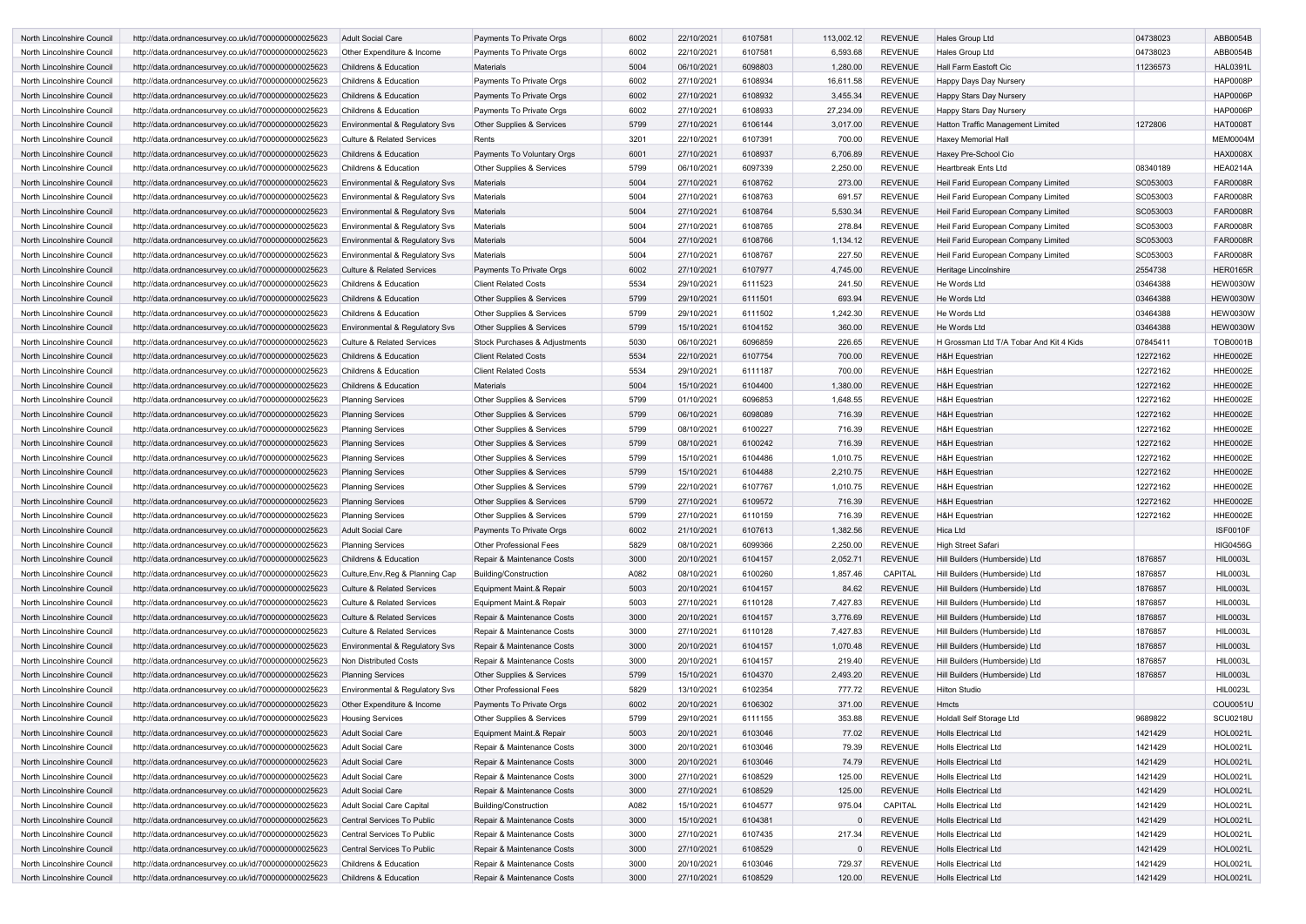| North Lincolnshire Council | http://data.ordnancesurvey.co.uk/id/7000000000025623 | Adult Social Care                         | Payments To Private Orgs             | 6002         | 22/10/2021 | 6107581            | 113,002.12         | <b>REVENUE</b> | Hales Group Ltd                         | 04738023             | ABB0054B        |
|----------------------------|------------------------------------------------------|-------------------------------------------|--------------------------------------|--------------|------------|--------------------|--------------------|----------------|-----------------------------------------|----------------------|-----------------|
| North Lincolnshire Council | http://data.ordnancesurvey.co.uk/id/7000000000025623 | Other Expenditure & Income                | Payments To Private Orgs             | 6002         | 22/10/2021 | 6107581            | 6,593.68           | <b>REVENUE</b> | Hales Group Ltd                         | 04738023             | ABB0054B        |
| North Lincolnshire Council | http://data.ordnancesurvey.co.uk/id/7000000000025623 | <b>Childrens &amp; Education</b>          | Materials                            | 5004         | 06/10/2021 | 6098803            | 1,280.00           | <b>REVENUE</b> | <b>Hall Farm Eastoft Cic</b>            | 11236573             | <b>HAL0391L</b> |
| North Lincolnshire Council | http://data.ordnancesurvey.co.uk/id/7000000000025623 | <b>Childrens &amp; Education</b>          | Payments To Private Orgs             | 6002         | 27/10/2021 | 6108934            | 16,611.58          | <b>REVENUE</b> | Happy Days Day Nursery                  |                      | <b>HAP0008P</b> |
| North Lincolnshire Council | http://data.ordnancesurvey.co.uk/id/7000000000025623 | <b>Childrens &amp; Education</b>          | Payments To Private Orgs             | 6002         | 27/10/2021 | 6108932            | 3,455.34           | <b>REVENUE</b> | Happy Stars Day Nursery                 |                      | <b>HAP0006P</b> |
| North Lincolnshire Council | http://data.ordnancesurvey.co.uk/id/7000000000025623 | <b>Childrens &amp; Education</b>          | Payments To Private Orgs             | 6002         | 27/10/2021 | 6108933            | 27,234.09          | <b>REVENUE</b> | Happy Stars Day Nursery                 |                      | <b>HAP0006F</b> |
| North Lincolnshire Council | http://data.ordnancesurvey.co.uk/id/7000000000025623 | Environmental & Regulatory Svs            | Other Supplies & Services            | 5799         | 27/10/2021 | 6106144            | 3,017.00           | <b>REVENUE</b> | Hatton Traffic Management Limited       | 1272806              | <b>HAT0008T</b> |
| North Lincolnshire Council | http://data.ordnancesurvey.co.uk/id/7000000000025623 | <b>Culture &amp; Related Services</b>     | Rents                                | 3201         | 22/10/2021 | 6107391            | 700.00             | <b>REVENUE</b> | Haxey Memorial Hall                     |                      | MEM0004M        |
| North Lincolnshire Council | http://data.ordnancesurvey.co.uk/id/7000000000025623 | <b>Childrens &amp; Education</b>          | Payments To Voluntary Orgs           | 6001         | 27/10/2021 | 6108937            | 6,706.89           | <b>REVENUE</b> | Haxey Pre-School Cio                    |                      | <b>HAX0008X</b> |
| North Lincolnshire Council | http://data.ordnancesurvey.co.uk/id/7000000000025623 | <b>Childrens &amp; Education</b>          | <b>Other Supplies &amp; Services</b> | 5799         | 06/10/2021 | 6097339            | 2,250.00           | <b>REVENUE</b> | Heartbreak Ents Ltd                     | 08340189             | <b>HEA0214A</b> |
| North Lincolnshire Council | http://data.ordnancesurvey.co.uk/id/7000000000025623 | Environmental & Regulatory Svs            | <b>Materials</b>                     | 5004         | 27/10/2021 | 6108762            | 273.00             | <b>REVENUE</b> | Heil Farid European Company Limited     | SC053003             | <b>FAR0008R</b> |
| North Lincolnshire Council | http://data.ordnancesurvey.co.uk/id/7000000000025623 | Environmental & Regulatory Svs            | Materials                            | 5004         | 27/10/2021 | 6108763            | 691.57             | <b>REVENUE</b> | Heil Farid European Company Limited     | SC053003             | <b>FAR0008R</b> |
| North Lincolnshire Council | http://data.ordnancesurvey.co.uk/id/7000000000025623 | <b>Environmental &amp; Regulatory Svs</b> | <b>Materials</b>                     | 5004         | 27/10/2021 | 6108764            | 5,530.34           | <b>REVENUE</b> | Heil Farid European Company Limited     | SC053003             | <b>FAR0008R</b> |
| North Lincolnshire Council | http://data.ordnancesurvey.co.uk/id/7000000000025623 | <b>Environmental &amp; Regulatory Svs</b> | Materials                            | 5004         | 27/10/2021 | 6108765            | 278.84             | <b>REVENUE</b> | Heil Farid European Company Limited     | SC053003             | <b>FAR0008R</b> |
| North Lincolnshire Council | http://data.ordnancesurvey.co.uk/id/7000000000025623 | Environmental & Regulatory Svs            | Materials                            | 5004         | 27/10/2021 | 6108766            | 1,134.12           | <b>REVENUE</b> | Heil Farid European Company Limited     | SC053003             | <b>FAR0008R</b> |
| North Lincolnshire Council | http://data.ordnancesurvey.co.uk/id/7000000000025623 | Environmental & Regulatory Svs            | Materials                            | 5004         | 27/10/2021 | 6108767            | 227.50             | <b>REVENUE</b> | Heil Farid European Company Limited     | SC053003             | <b>FAR0008R</b> |
| North Lincolnshire Council | http://data.ordnancesurvey.co.uk/id/7000000000025623 | <b>Culture &amp; Related Services</b>     | Payments To Private Orgs             | 6002         | 27/10/2021 | 6107977            | 4,745.00           | <b>REVENUE</b> | Heritage Lincolnshire                   | 2554738              | <b>HER0165R</b> |
| North Lincolnshire Council | http://data.ordnancesurvey.co.uk/id/7000000000025623 | <b>Childrens &amp; Education</b>          | <b>Client Related Costs</b>          | 5534         | 29/10/2021 | 6111523            | 241.50             | <b>REVENUE</b> | He Words Ltd                            | 03464388             | <b>HEW0030W</b> |
| North Lincolnshire Council | http://data.ordnancesurvey.co.uk/id/7000000000025623 | <b>Childrens &amp; Education</b>          | <b>Other Supplies &amp; Services</b> | 5799         | 29/10/2021 | 6111501            | 693.94             | <b>REVENUE</b> | He Words Ltd                            | 03464388             | <b>HEW0030W</b> |
| North Lincolnshire Council | http://data.ordnancesurvey.co.uk/id/7000000000025623 | <b>Childrens &amp; Education</b>          | Other Supplies & Services            | 5799         | 29/10/2021 | 6111502            | 1,242.30           | <b>REVENUE</b> | He Words Ltd                            | 03464388             | <b>HEW0030W</b> |
| North Lincolnshire Council | http://data.ordnancesurvey.co.uk/id/7000000000025623 | Environmental & Regulatory Svs            | Other Supplies & Services            | 5799         | 15/10/2021 | 6104152            | 360.00             | <b>REVENUE</b> | He Words Ltd                            | 03464388             | <b>HEW0030V</b> |
| North Lincolnshire Council | http://data.ordnancesurvey.co.uk/id/7000000000025623 | <b>Culture &amp; Related Services</b>     | Stock Purchases & Adjustments        | 5030         | 06/10/2021 | 6096859            | 226.65             | <b>REVENUE</b> | H Grossman Ltd T/A Tobar And Kit 4 Kids | 07845411             | <b>TOB0001B</b> |
| North Lincolnshire Council | http://data.ordnancesurvey.co.uk/id/7000000000025623 | <b>Childrens &amp; Education</b>          | <b>Client Related Costs</b>          | 5534         | 22/10/2021 | 6107754            | 700.00             | <b>REVENUE</b> | <b>H&amp;H Equestrian</b>               | 12272162             | <b>HHE0002E</b> |
| North Lincolnshire Council | http://data.ordnancesurvey.co.uk/id/7000000000025623 | <b>Childrens &amp; Education</b>          | <b>Client Related Costs</b>          | 5534         | 29/10/2021 | 6111187            | 700.00             | <b>REVENUE</b> | <b>H&amp;H Equestrian</b>               | 12272162             | <b>HHE0002E</b> |
|                            |                                                      |                                           | <b>Materials</b>                     |              |            | 6104400            |                    | <b>REVENUE</b> |                                         |                      | <b>HHE0002E</b> |
| North Lincolnshire Council | http://data.ordnancesurvey.co.uk/id/7000000000025623 | <b>Childrens &amp; Education</b>          |                                      | 5004<br>5799 | 15/10/2021 |                    | 1,380.00           | <b>REVENUE</b> | <b>H&amp;H Equestrian</b>               | 12272162             |                 |
| North Lincolnshire Council | http://data.ordnancesurvey.co.uk/id/7000000000025623 | <b>Planning Services</b>                  | Other Supplies & Services            | 5799         | 01/10/2021 | 6096853            | 1,648.55<br>716.39 | <b>REVENUE</b> | <b>H&amp;H</b> Equestrian               | 12272162<br>12272162 | <b>HHE0002E</b> |
| North Lincolnshire Council | http://data.ordnancesurvey.co.uk/id/7000000000025623 | <b>Planning Services</b>                  | Other Supplies & Services            |              | 06/10/2021 | 6098089<br>6100227 |                    |                | <b>H&amp;H</b> Equestrian               |                      | <b>HHE0002E</b> |
| North Lincolnshire Council | http://data.ordnancesurvey.co.uk/id/7000000000025623 | <b>Planning Services</b>                  | Other Supplies & Services            | 5799         | 08/10/2021 |                    | 716.39             | <b>REVENUE</b> | <b>H&amp;H Equestrian</b>               | 12272162             | <b>HHE0002E</b> |
| North Lincolnshire Council | http://data.ordnancesurvey.co.uk/id/7000000000025623 | <b>Planning Services</b>                  | Other Supplies & Services            | 5799         | 08/10/2021 | 6100242            | 716.39             | <b>REVENUE</b> | <b>H&amp;H Equestrian</b>               | 12272162             | <b>HHE0002E</b> |
| North Lincolnshire Council | http://data.ordnancesurvey.co.uk/id/7000000000025623 | <b>Planning Services</b>                  | Other Supplies & Services            | 5799         | 15/10/2021 | 6104486            | 1,010.75           | <b>REVENUE</b> | <b>H&amp;H Equestrian</b>               | 12272162             | <b>HHE0002E</b> |
| North Lincolnshire Council | http://data.ordnancesurvey.co.uk/id/7000000000025623 | <b>Planning Services</b>                  | Other Supplies & Services            | 5799         | 15/10/2021 | 6104488            | 2,210.75           | <b>REVENUE</b> | <b>H&amp;H</b> Equestrian               | 12272162             | <b>HHE0002E</b> |
| North Lincolnshire Council | http://data.ordnancesurvey.co.uk/id/7000000000025623 | <b>Planning Services</b>                  | Other Supplies & Services            | 5799         | 22/10/2021 | 6107767            | 1,010.75           | <b>REVENUE</b> | <b>H&amp;H Equestrian</b>               | 12272162             | HHE0002E        |
| North Lincolnshire Council | http://data.ordnancesurvey.co.uk/id/7000000000025623 | <b>Planning Services</b>                  | Other Supplies & Services            | 5799         | 27/10/2021 | 6109572            | 716.39             | <b>REVENUE</b> | <b>H&amp;H Equestrian</b>               | 12272162             | <b>HHE0002E</b> |
| North Lincolnshire Council | http://data.ordnancesurvey.co.uk/id/7000000000025623 | <b>Planning Services</b>                  | Other Supplies & Services            | 5799         | 27/10/2021 | 6110159            | 716.39             | <b>REVENUE</b> | <b>H&amp;H Equestrian</b>               | 12272162             | <b>HHE0002E</b> |
| North Lincolnshire Council | http://data.ordnancesurvey.co.uk/id/7000000000025623 | <b>Adult Social Care</b>                  | Payments To Private Orgs             | 6002         | 21/10/2021 | 6107613            | 1,382.56           | <b>REVENUE</b> | Hica Ltd                                |                      | <b>ISF0010F</b> |
| North Lincolnshire Council | http://data.ordnancesurvey.co.uk/id/7000000000025623 | <b>Planning Services</b>                  | Other Professional Fees              | 5829         | 08/10/2021 | 6099366            | 2,250.00           | <b>REVENUE</b> | High Street Safari                      |                      | <b>HIG0456G</b> |
| North Lincolnshire Council | http://data.ordnancesurvey.co.uk/id/7000000000025623 | Childrens & Education                     | Repair & Maintenance Costs           | 3000         | 20/10/2021 | 6104157            | 2,052.71           | <b>REVENUE</b> | Hill Builders (Humberside) Ltd          | 1876857              | <b>HIL0003L</b> |
| North Lincolnshire Council | http://data.ordnancesurvey.co.uk/id/7000000000025623 | Culture, Env, Reg & Planning Cap          | Building/Construction                | A082         | 08/10/2021 | 6100260            | 1,857.46           | CAPITAL        | Hill Builders (Humberside) Ltd          | 1876857              | <b>HIL0003L</b> |
| North Lincolnshire Council | http://data.ordnancesurvey.co.uk/id/7000000000025623 | <b>Culture &amp; Related Services</b>     | Equipment Maint.& Repair             | 5003         | 20/10/2021 | 6104157            | 84.62              | <b>REVENUE</b> | Hill Builders (Humberside) Ltd          | 1876857              | <b>HIL0003L</b> |
| North Lincolnshire Council | http://data.ordnancesurvey.co.uk/id/7000000000025623 | <b>Culture &amp; Related Services</b>     | Equipment Maint.& Repair             | 5003         | 27/10/2021 | 6110128            | 7,427.83           | <b>REVENUE</b> | Hill Builders (Humberside) Ltd          | 1876857              | <b>HIL0003L</b> |
| North Lincolnshire Council | http://data.ordnancesurvey.co.uk/id/7000000000025623 | <b>Culture &amp; Related Services</b>     | Repair & Maintenance Costs           | 3000         | 20/10/2021 | 6104157            | 3,776.69           | <b>REVENUE</b> | Hill Builders (Humberside) Ltd          | 1876857              | <b>HIL0003L</b> |
| North Lincolnshire Council | http://data.ordnancesurvey.co.uk/id/7000000000025623 | <b>Culture &amp; Related Services</b>     | Repair & Maintenance Costs           | 3000         | 27/10/2021 | 6110128            | 7,427.83           | <b>REVENUE</b> | Hill Builders (Humberside) Ltd          | 1876857              | <b>HIL0003L</b> |
| North Lincolnshire Council | http://data.ordnancesurvey.co.uk/id/7000000000025623 | <b>Environmental &amp; Regulatory Svs</b> | Repair & Maintenance Costs           | 3000         | 20/10/2021 | 6104157            | 1,070.48           | <b>REVENUE</b> | Hill Builders (Humberside) Ltd          | 1876857              | <b>HIL0003L</b> |
| North Lincolnshire Council | http://data.ordnancesurvey.co.uk/id/7000000000025623 | Non Distributed Costs                     | Repair & Maintenance Costs           | 3000         | 20/10/2021 | 6104157            | 219.40             | <b>REVENUE</b> | Hill Builders (Humberside) Ltd          | 1876857              | <b>HIL0003L</b> |
| North Lincolnshire Council | http://data.ordnancesurvey.co.uk/id/7000000000025623 | <b>Planning Services</b>                  | Other Supplies & Services            | 5799         | 15/10/2021 | 6104370            | 2,493.20           | <b>REVENUE</b> | Hill Builders (Humberside) Ltd          | 1876857              | <b>HIL0003L</b> |
| North Lincolnshire Council | http://data.ordnancesurvey.co.uk/id/7000000000025623 | Environmental & Regulatory Svs            | <b>Other Professional Fees</b>       | 5829         | 13/10/2021 | 6102354            | 777.72             | <b>REVENUE</b> | Hilton Studio                           |                      | <b>HIL0023L</b> |
| North Lincolnshire Council | http://data.ordnancesurvey.co.uk/id/7000000000025623 | Other Expenditure & Income                | Payments To Private Orgs             | 6002         | 20/10/2021 | 6106302            | 371.00             | <b>REVENUE</b> | <b>Hmcts</b>                            |                      | COU0051U        |
| North Lincolnshire Council | http://data.ordnancesurvey.co.uk/id/7000000000025623 | <b>Housing Services</b>                   | Other Supplies & Services            | 5799         | 29/10/2021 | 6111155            | 353.88             | <b>REVENUE</b> | Holdall Self Storage Ltd                | 9689822              | <b>SCU0218U</b> |
| North Lincolnshire Council | http://data.ordnancesurvey.co.uk/id/7000000000025623 | <b>Adult Social Care</b>                  | Equipment Maint.& Repair             | 5003         | 20/10/2021 | 6103046            | 77.02              | <b>REVENUE</b> | <b>Holls Electrical Ltd</b>             | 1421429              | <b>HOL0021L</b> |
| North Lincolnshire Council | http://data.ordnancesurvey.co.uk/id/7000000000025623 | Adult Social Care                         | Repair & Maintenance Costs           | 3000         | 20/10/2021 | 6103046            | 79.39              | <b>REVENUE</b> | <b>Holls Electrical Ltd</b>             | 1421429              | <b>HOL0021L</b> |
| North Lincolnshire Council | http://data.ordnancesurvey.co.uk/id/7000000000025623 | <b>Adult Social Care</b>                  | Repair & Maintenance Costs           | 3000         | 20/10/2021 | 6103046            | 74.79              | <b>REVENUE</b> | <b>Holls Electrical Ltd</b>             | 1421429              | <b>HOL0021L</b> |
| North Lincolnshire Council | http://data.ordnancesurvey.co.uk/id/7000000000025623 | <b>Adult Social Care</b>                  | Repair & Maintenance Costs           | 3000         | 27/10/2021 | 6108529            | 125.00             | <b>REVENUE</b> | <b>Holls Electrical Ltd</b>             | 1421429              | <b>HOL0021L</b> |
| North Lincolnshire Council | http://data.ordnancesurvey.co.uk/id/7000000000025623 | <b>Adult Social Care</b>                  | Repair & Maintenance Costs           | 3000         | 27/10/2021 | 6108529            | 125.00             | <b>REVENUE</b> | <b>Holls Electrical Ltd</b>             | 1421429              | <b>HOL0021L</b> |
|                            |                                                      |                                           |                                      |              |            |                    |                    | CAPITAL        |                                         | 1421429              | <b>HOL0021L</b> |
| North Lincolnshire Council | http://data.ordnancesurvey.co.uk/id/7000000000025623 | <b>Adult Social Care Capital</b>          | Building/Construction                | A082         | 15/10/2021 | 6104577            | 975.04             |                | <b>Holls Electrical Ltd</b>             |                      |                 |
| North Lincolnshire Council | http://data.ordnancesurvey.co.uk/id/7000000000025623 | Central Services To Public                | Repair & Maintenance Costs           | 3000         | 15/10/2021 | 6104381            |                    | <b>REVENUE</b> | <b>Holls Electrical Ltd</b>             | 1421429              | <b>HOL0021L</b> |
| North Lincolnshire Council | http://data.ordnancesurvey.co.uk/id/7000000000025623 | Central Services To Public                | Repair & Maintenance Costs           | 3000         | 27/10/2021 | 6107435            | 217.34             | <b>REVENUE</b> | <b>Holls Electrical Ltd</b>             | 1421429              | <b>HOL0021L</b> |
| North Lincolnshire Council | http://data.ordnancesurvey.co.uk/id/7000000000025623 | Central Services To Public                | Repair & Maintenance Costs           | 3000         | 27/10/2021 | 6108529            |                    | <b>REVENUE</b> | <b>Holls Electrical Ltd</b>             | 1421429              | <b>HOL0021L</b> |
| North Lincolnshire Council | http://data.ordnancesurvey.co.uk/id/7000000000025623 | Childrens & Education                     | Repair & Maintenance Costs           | 3000         | 20/10/2021 | 6103046            | 729.37             | <b>REVENUE</b> | Holls Electrical Ltd                    | 1421429              | <b>HOL0021L</b> |
| North Lincolnshire Council | http://data.ordnancesurvey.co.uk/id/7000000000025623 | Childrens & Education                     | Repair & Maintenance Costs           | 3000         | 27/10/2021 | 6108529            | 120.00             | <b>REVENUE</b> | <b>Holls Electrical Ltd</b>             | 1421429              | <b>HOL0021L</b> |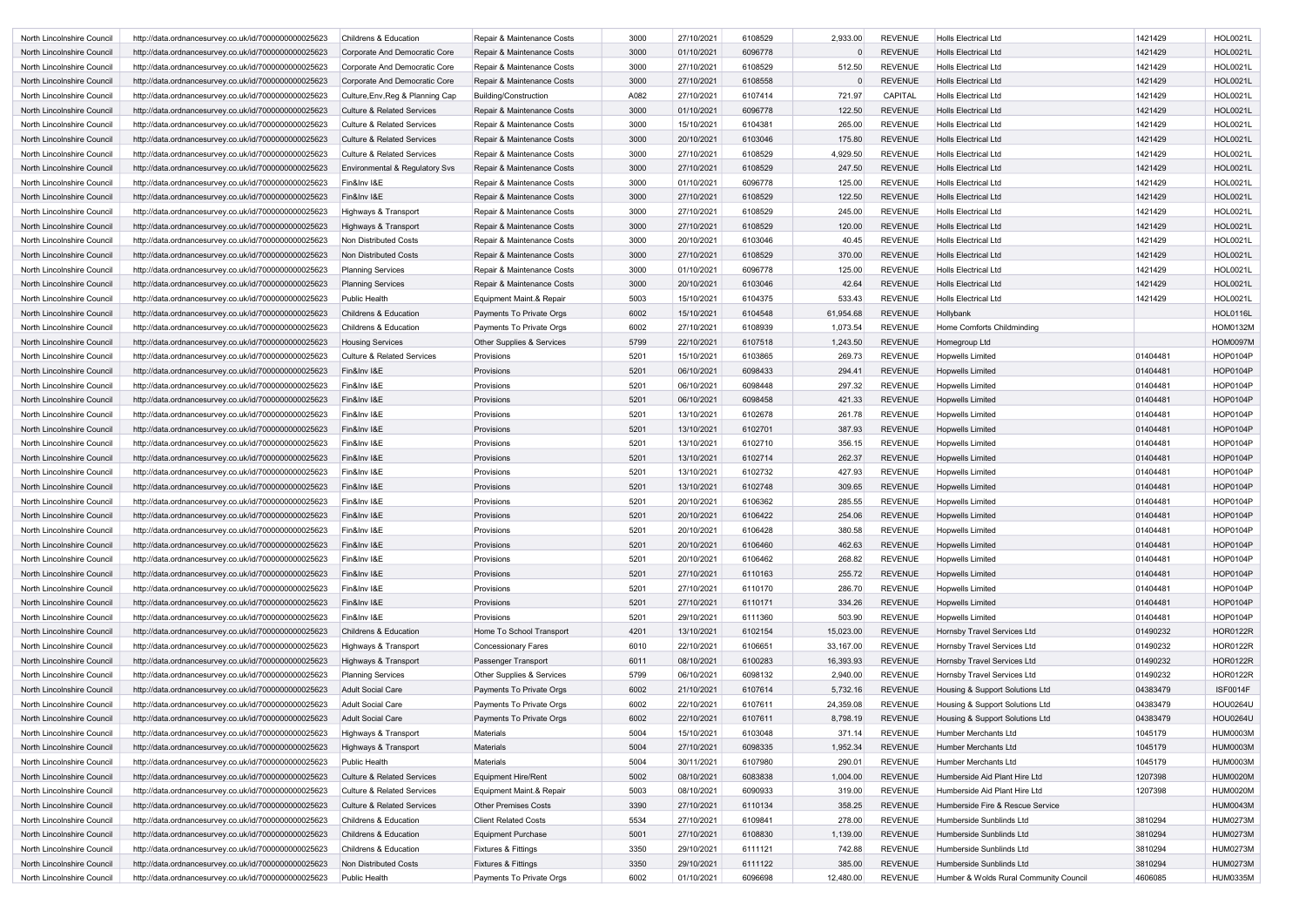| North Lincolnshire Council                               | http://data.ordnancesurvey.co.uk/id/7000000000025623                                                         | <b>Childrens &amp; Education</b>                                    | Repair & Maintenance Costs                              | 3000         | 27/10/2021               | 6108529            | 2,933.00           | <b>REVENUE</b>                   | <b>Holls Electrical Ltd</b>                        | 1421429              | <b>HOL0021L</b>                    |
|----------------------------------------------------------|--------------------------------------------------------------------------------------------------------------|---------------------------------------------------------------------|---------------------------------------------------------|--------------|--------------------------|--------------------|--------------------|----------------------------------|----------------------------------------------------|----------------------|------------------------------------|
| North Lincolnshire Council                               | http://data.ordnancesurvey.co.uk/id/7000000000025623                                                         | Corporate And Democratic Core                                       | Repair & Maintenance Costs                              | 3000         | 01/10/2021               | 6096778            |                    | <b>REVENUE</b>                   | <b>Holls Electrical Ltd</b>                        | 1421429              | <b>HOL0021L</b>                    |
| North Lincolnshire Council                               | http://data.ordnancesurvey.co.uk/id/7000000000025623                                                         | Corporate And Democratic Core                                       | Repair & Maintenance Costs                              | 3000         | 27/10/2021               | 6108529            | 512.50             | <b>REVENUE</b>                   | <b>Holls Electrical Ltd</b>                        | 1421429              | <b>HOL0021L</b>                    |
| North Lincolnshire Council                               | http://data.ordnancesurvey.co.uk/id/7000000000025623                                                         | Corporate And Democratic Core                                       | Repair & Maintenance Costs                              | 3000         | 27/10/2021               | 6108558            |                    | <b>REVENUE</b>                   | <b>Holls Electrical Ltd</b>                        | 1421429              | <b>HOL0021L</b>                    |
| North Lincolnshire Council                               | http://data.ordnancesurvey.co.uk/id/7000000000025623                                                         | Culture, Env, Reg & Planning Cap                                    | Building/Construction                                   | A082         | 27/10/2021               | 6107414            | 721.97             | <b>CAPITAL</b>                   | <b>Holls Electrical Ltd</b>                        | 1421429              | <b>HOL0021L</b>                    |
| North Lincolnshire Council                               | http://data.ordnancesurvey.co.uk/id/7000000000025623                                                         | <b>Culture &amp; Related Services</b>                               | Repair & Maintenance Costs                              | 3000         | 01/10/2021               | 6096778            | 122.50             | <b>REVENUE</b>                   | <b>Holls Electrical Ltd</b>                        | 1421429              | <b>HOL0021L</b>                    |
| North Lincolnshire Council                               | http://data.ordnancesurvey.co.uk/id/7000000000025623                                                         | <b>Culture &amp; Related Services</b>                               | Repair & Maintenance Costs                              | 3000         | 15/10/2021               | 6104381            | 265.00             | <b>REVENUE</b>                   | <b>Holls Electrical Ltd</b>                        | 1421429              | <b>HOL0021L</b>                    |
| North Lincolnshire Council                               | http://data.ordnancesurvey.co.uk/id/7000000000025623                                                         | <b>Culture &amp; Related Services</b>                               | Repair & Maintenance Costs                              | 3000         | 20/10/2021               | 6103046            | 175.80             | <b>REVENUE</b>                   | <b>Holls Electrical Ltd</b>                        | 1421429              | <b>HOL0021L</b>                    |
| North Lincolnshire Council                               | http://data.ordnancesurvey.co.uk/id/7000000000025623                                                         | <b>Culture &amp; Related Services</b>                               | Repair & Maintenance Costs                              | 3000         | 27/10/2021               | 6108529            | 4,929.50           | <b>REVENUE</b>                   | <b>Holls Electrical Ltd</b>                        | 1421429              | <b>HOL0021L</b>                    |
| North Lincolnshire Council                               | http://data.ordnancesurvey.co.uk/id/7000000000025623                                                         | <b>Environmental &amp; Regulatory Svs</b>                           | Repair & Maintenance Costs                              | 3000         | 27/10/2021               | 6108529            | 247.50             | <b>REVENUE</b>                   | <b>Holls Electrical Ltd</b>                        | 1421429              | <b>HOL0021L</b>                    |
| North Lincolnshire Council                               | http://data.ordnancesurvey.co.uk/id/7000000000025623                                                         | Fin&Inv I&E                                                         | Repair & Maintenance Costs                              | 3000         | 01/10/2021               | 6096778            | 125.00             | <b>REVENUE</b>                   | <b>Holls Electrical Ltd</b>                        | 1421429              | <b>HOL0021L</b>                    |
| North Lincolnshire Council                               | http://data.ordnancesurvey.co.uk/id/7000000000025623                                                         | Fin&Inv I&E                                                         | Repair & Maintenance Costs                              | 3000         | 27/10/2021               | 6108529            | 122.50             | <b>REVENUE</b>                   | <b>Holls Electrical Ltd</b>                        | 1421429              | <b>HOL0021L</b>                    |
| North Lincolnshire Council                               | http://data.ordnancesurvey.co.uk/id/7000000000025623                                                         | Highways & Transport                                                | Repair & Maintenance Costs                              | 3000         | 27/10/2021               | 6108529            | 245.00             | <b>REVENUE</b>                   | <b>Holls Electrical Ltd</b>                        | 1421429              | <b>HOL0021L</b>                    |
| North Lincolnshire Council                               | http://data.ordnancesurvey.co.uk/id/7000000000025623                                                         | Highways & Transport                                                | Repair & Maintenance Costs                              | 3000         | 27/10/2021               | 6108529            | 120.00             | <b>REVENUE</b>                   | <b>Holls Electrical Ltd</b>                        | 1421429              | <b>HOL0021L</b>                    |
| North Lincolnshire Council                               | http://data.ordnancesurvey.co.uk/id/7000000000025623                                                         | <b>Non Distributed Costs</b>                                        | Repair & Maintenance Costs                              | 3000         | 20/10/2021               | 6103046            | 40.45              | <b>REVENUE</b>                   | <b>Holls Electrical Ltd</b>                        | 1421429              | <b>HOL0021L</b>                    |
| North Lincolnshire Council                               | http://data.ordnancesurvey.co.uk/id/7000000000025623                                                         | Non Distributed Costs                                               | Repair & Maintenance Costs                              | 3000         | 27/10/2021               | 6108529            | 370.00             | <b>REVENUE</b>                   | <b>Holls Electrical Ltd</b>                        | 1421429              | <b>HOL0021L</b>                    |
| North Lincolnshire Council                               | http://data.ordnancesurvey.co.uk/id/7000000000025623                                                         | <b>Planning Services</b>                                            | Repair & Maintenance Costs                              | 3000         | 01/10/2021               | 6096778            | 125.00             | <b>REVENUE</b>                   | <b>Holls Electrical Ltd</b>                        | 1421429              | <b>HOL0021L</b>                    |
| North Lincolnshire Council                               | http://data.ordnancesurvey.co.uk/id/7000000000025623                                                         | <b>Planning Services</b>                                            | Repair & Maintenance Costs                              | 3000         | 20/10/2021               | 6103046            | 42.64              | <b>REVENUE</b>                   | <b>Holls Electrical Ltd</b>                        | 1421429              | <b>HOL0021L</b>                    |
| North Lincolnshire Council                               | http://data.ordnancesurvey.co.uk/id/7000000000025623                                                         | <b>Public Health</b>                                                | Equipment Maint.& Repair                                | 5003         | 15/10/2021               | 6104375            | 533.43             | <b>REVENUE</b>                   | <b>Holls Electrical Ltd</b>                        | 1421429              | <b>HOL0021L</b>                    |
| North Lincolnshire Council                               | http://data.ordnancesurvey.co.uk/id/7000000000025623                                                         | <b>Childrens &amp; Education</b>                                    | Payments To Private Orgs                                | 6002         | 15/10/2021               | 6104548            | 61,954.68          | <b>REVENUE</b>                   | Hollybank                                          |                      | <b>HOL0116L</b>                    |
| North Lincolnshire Council                               |                                                                                                              | <b>Childrens &amp; Education</b>                                    |                                                         | 6002         | 27/10/2021               | 6108939            | 1,073.54           | <b>REVENUE</b>                   | Home Comforts Childminding                         |                      | <b>HOM0132M</b>                    |
| North Lincolnshire Council                               | http://data.ordnancesurvey.co.uk/id/7000000000025623<br>http://data.ordnancesurvey.co.uk/id/7000000000025623 | <b>Housing Services</b>                                             | Payments To Private Orgs<br>Other Supplies & Services   | 5799         | 22/10/2021               | 6107518            | 1,243.50           | <b>REVENUE</b>                   |                                                    |                      | <b>HOM0097M</b>                    |
|                                                          |                                                                                                              | <b>Culture &amp; Related Services</b>                               |                                                         | 5201         | 15/10/2021               | 6103865            | 269.73             | <b>REVENUE</b>                   | Homegroup Ltd                                      | 01404481             | <b>HOP0104P</b>                    |
| North Lincolnshire Council                               | http://data.ordnancesurvey.co.uk/id/7000000000025623                                                         |                                                                     | Provisions                                              | 5201         | 06/10/2021               |                    |                    |                                  | Hopwells Limited                                   |                      | <b>HOP0104P</b>                    |
| North Lincolnshire Council                               | http://data.ordnancesurvey.co.uk/id/7000000000025623                                                         | Fin&Inv I&E                                                         | Provisions                                              |              |                          | 6098433            | 294.41             | <b>REVENUE</b>                   | Hopwells Limited                                   | 01404481             |                                    |
| North Lincolnshire Council                               | http://data.ordnancesurvey.co.uk/id/7000000000025623                                                         | Fin&Inv I&E                                                         | Provisions                                              | 5201         | 06/10/2021               | 6098448            | 297.32             | <b>REVENUE</b>                   | <b>Hopwells Limited</b>                            | 01404481             | <b>HOP0104P</b>                    |
| North Lincolnshire Council                               | http://data.ordnancesurvey.co.uk/id/7000000000025623                                                         | Fin&Inv I&E                                                         | Provisions                                              | 5201         | 06/10/2021               | 6098458            | 421.33             | <b>REVENUE</b>                   | <b>Hopwells Limited</b>                            | 01404481             | <b>HOP0104P</b>                    |
| North Lincolnshire Council                               | http://data.ordnancesurvey.co.uk/id/7000000000025623                                                         | Fin&Inv I&E                                                         | Provisions<br>Provisions                                | 5201<br>5201 | 13/10/2021<br>13/10/2021 | 6102678<br>6102701 | 261.78<br>387.93   | <b>REVENUE</b><br><b>REVENUE</b> | <b>Hopwells Limited</b>                            | 01404481             | <b>HOP0104P</b><br><b>HOP0104P</b> |
| North Lincolnshire Council                               | http://data.ordnancesurvey.co.uk/id/7000000000025623                                                         | Fin&Inv I&E                                                         | Provisions                                              | 5201         | 13/10/2021               | 6102710            | 356.15             | <b>REVENUE</b>                   | <b>Hopwells Limited</b>                            | 01404481<br>01404481 | <b>HOP0104P</b>                    |
| North Lincolnshire Council                               | http://data.ordnancesurvey.co.uk/id/7000000000025623                                                         | Fin&Inv I&E                                                         |                                                         | 5201         |                          |                    |                    | <b>REVENUE</b>                   | <b>Hopwells Limited</b>                            |                      | <b>HOP0104P</b>                    |
| North Lincolnshire Council<br>North Lincolnshire Council | http://data.ordnancesurvey.co.uk/id/7000000000025623                                                         | Fin&Inv I&E                                                         | Provisions                                              | 5201         | 13/10/2021               | 6102714            | 262.37<br>427.93   |                                  | Hopwells Limited                                   | 01404481             |                                    |
|                                                          | http://data.ordnancesurvey.co.uk/id/7000000000025623                                                         | Fin&Inv I&E                                                         | Provisions                                              |              | 13/10/2021               | 6102732            |                    | <b>REVENUE</b>                   | <b>Hopwells Limited</b>                            | 01404481             | <b>HOP0104P</b>                    |
| North Lincolnshire Council                               | http://data.ordnancesurvey.co.uk/id/7000000000025623                                                         | Fin&Inv I&E<br>Fin&Inv I&E                                          | Provisions                                              | 5201<br>5201 | 13/10/2021<br>20/10/2021 | 6102748<br>6106362 | 309.65<br>285.55   | <b>REVENUE</b><br><b>REVENUE</b> | <b>Hopwells Limited</b><br><b>Hopwells Limited</b> | 01404481<br>01404481 | <b>HOP0104P</b><br>HOP0104P        |
| North Lincolnshire Council                               | http://data.ordnancesurvey.co.uk/id/7000000000025623<br>http://data.ordnancesurvey.co.uk/id/7000000000025623 |                                                                     | Provisions                                              | 5201         | 20/10/2021               | 6106422            | 254.06             | <b>REVENUE</b>                   |                                                    | 01404481             | HOP0104P                           |
| North Lincolnshire Council<br>North Lincolnshire Council | http://data.ordnancesurvey.co.uk/id/7000000000025623                                                         | Fin&Inv I&E<br>Fin&Inv I&E                                          | Provisions<br>Provisions                                | 5201         | 20/10/2021               | 6106428            | 380.58             | <b>REVENUE</b>                   | <b>Hopwells Limited</b><br><b>Hopwells Limited</b> | 01404481             | HOP0104P                           |
| North Lincolnshire Council                               |                                                                                                              | Fin&Inv I&E                                                         | Provisions                                              | 5201         | 20/10/2021               | 6106460            | 462.63             | <b>REVENUE</b>                   | <b>Hopwells Limited</b>                            | 01404481             | HOP0104P                           |
| North Lincolnshire Council                               | http://data.ordnancesurvey.co.uk/id/7000000000025623<br>http://data.ordnancesurvey.co.uk/id/7000000000025623 | Fin&Inv I&E                                                         | Provisions                                              | 5201         | 20/10/2021               | 6106462            | 268.82             | <b>REVENUE</b>                   | <b>Hopwells Limited</b>                            | 01404481             | HOP0104P                           |
| North Lincolnshire Council                               | http://data.ordnancesurvey.co.uk/id/7000000000025623                                                         | Fin&Inv I&E                                                         | Provisions                                              | 5201         | 27/10/2021               | 6110163            | 255.72             | <b>REVENUE</b>                   | <b>Hopwells Limited</b>                            | 01404481             | HOP0104P                           |
| North Lincolnshire Council                               | http://data.ordnancesurvey.co.uk/id/7000000000025623                                                         | Fin&Inv I&E                                                         | Provisions                                              | 5201         | 27/10/2021               | 6110170            | 286.70             | <b>REVENUE</b>                   | <b>Hopwells Limited</b>                            | 01404481             | HOP0104P                           |
| North Lincolnshire Council                               | http://data.ordnancesurvey.co.uk/id/7000000000025623                                                         | Fin&Inv I&E                                                         | Provisions                                              | 5201         | 27/10/2021               | 6110171            | 334.26             | <b>REVENUE</b>                   | <b>Hopwells Limited</b>                            | 01404481             | HOP0104P                           |
| North Lincolnshire Council                               | http://data.ordnancesurvey.co.uk/id/7000000000025623                                                         | Fin&Inv I&E                                                         | Provisions                                              | 5201         | 29/10/2021               | 6111360            | 503.90             | <b>REVENUE</b>                   | <b>Hopwells Limited</b>                            | 01404481             | <b>HOP0104P</b>                    |
| North Lincolnshire Council                               | http://data.ordnancesurvey.co.uk/id/7000000000025623                                                         | Childrens & Education                                               | Home To School Transport                                | 4201         | 13/10/2021               | 6102154            | 15,023.00          | <b>REVENUE</b>                   | <b>Hornsby Travel Services Ltd</b>                 | 01490232             | <b>HOR0122R</b>                    |
| North Lincolnshire Council                               | http://data.ordnancesurvey.co.uk/id/7000000000025623                                                         | Highways & Transport                                                | <b>Concessionary Fares</b>                              | 6010         | 22/10/2021               | 6106651            | 33,167.00          | <b>REVENUE</b>                   | Hornsby Travel Services Ltd                        | 01490232             | HOR0122R                           |
| North Lincolnshire Council                               | http://data.ordnancesurvey.co.uk/id/7000000000025623                                                         | Highways & Transport                                                | Passenger Transport                                     | 6011         | 08/10/2021               | 6100283            | 16,393.93          | <b>REVENUE</b>                   | Hornsby Travel Services Ltd                        | 01490232             | <b>HOR0122R</b>                    |
|                                                          |                                                                                                              | <b>Planning Services</b>                                            | Other Supplies & Services                               | 5799         | 06/10/2021               | 6098132            | 2,940.00           | <b>REVENUE</b>                   | Hornsby Travel Services Ltd                        | 01490232             | HOR0122R                           |
| North Lincolnshire Council                               | http://data.ordnancesurvey.co.uk/id/7000000000025623                                                         |                                                                     | Payments To Private Orgs                                | 6002         | 21/10/2021               | 6107614            | 5,732.16           | <b>REVENUE</b>                   | Housing & Support Solutions Ltd                    | 04383479             | <b>ISF0014F</b>                    |
| North Lincolnshire Council<br>North Lincolnshire Council | http://data.ordnancesurvey.co.uk/id/7000000000025623                                                         | <b>Adult Social Care</b><br><b>Adult Social Care</b>                | Payments To Private Orgs                                | 6002         | 22/10/2021               | 6107611            | 24,359.08          | <b>REVENUE</b>                   | Housing & Support Solutions Ltd                    | 04383479             | <b>HOU0264U</b>                    |
|                                                          | http://data.ordnancesurvey.co.uk/id/7000000000025623                                                         | <b>Adult Social Care</b>                                            | Payments To Private Orgs                                | 6002         | 22/10/2021               | 6107611            | 8,798.19           | <b>REVENUE</b>                   | Housing & Support Solutions Ltd                    | 04383479             | <b>HOU0264U</b>                    |
| North Lincolnshire Council                               | http://data.ordnancesurvey.co.uk/id/7000000000025623                                                         |                                                                     |                                                         |              |                          |                    |                    |                                  |                                                    |                      |                                    |
| North Lincolnshire Council<br>North Lincolnshire Council | http://data.ordnancesurvey.co.uk/id/7000000000025623                                                         | Highways & Transport                                                | Materials<br><b>Materials</b>                           | 5004<br>5004 | 15/10/2021<br>27/10/2021 | 6103048            | 371.14<br>1,952.34 | <b>REVENUE</b><br><b>REVENUE</b> | Humber Merchants Ltd<br>Humber Merchants Ltd       | 1045179              | <b>HUM0003M</b><br><b>HUM0003M</b> |
| North Lincolnshire Council                               | http://data.ordnancesurvey.co.uk/id/7000000000025623                                                         | Highways & Transport<br>Public Health                               | <b>Materials</b>                                        | 5004         | 30/11/2021               | 6098335<br>6107980 | 290.01             | <b>REVENUE</b>                   | Humber Merchants Ltd                               | 1045179<br>1045179   | <b>HUM0003M</b>                    |
| North Lincolnshire Council                               | http://data.ordnancesurvey.co.uk/id/7000000000025623                                                         | <b>Culture &amp; Related Services</b>                               | <b>Equipment Hire/Rent</b>                              | 5002         | 08/10/2021               | 6083838            | 1,004.00           | <b>REVENUE</b>                   | Humberside Aid Plant Hire Ltd                      | 1207398              | <b>HUM0020M</b>                    |
|                                                          | http://data.ordnancesurvey.co.uk/id/7000000000025623                                                         |                                                                     |                                                         | 5003         | 08/10/2021               | 6090933            | 319.00             | <b>REVENUE</b>                   | Humberside Aid Plant Hire Ltd                      | 1207398              | <b>HUM0020M</b>                    |
| North Lincolnshire Council<br>North Lincolnshire Council | http://data.ordnancesurvey.co.uk/id/7000000000025623<br>http://data.ordnancesurvey.co.uk/id/7000000000025623 | Culture & Related Services<br><b>Culture &amp; Related Services</b> | Equipment Maint.& Repair<br><b>Other Premises Costs</b> | 3390         | 27/10/2021               | 6110134            | 358.25             | <b>REVENUE</b>                   | Humberside Fire & Rescue Service                   |                      | <b>HUM0043M</b>                    |
| North Lincolnshire Council                               | http://data.ordnancesurvey.co.uk/id/7000000000025623                                                         | Childrens & Education                                               | <b>Client Related Costs</b>                             | 5534         | 27/10/2021               | 6109841            | 278.00             | <b>REVENUE</b>                   | Humberside Sunblinds Ltd                           | 3810294              | <b>HUM0273M</b>                    |
| North Lincolnshire Council                               | http://data.ordnancesurvey.co.uk/id/7000000000025623                                                         | Childrens & Education                                               | <b>Equipment Purchase</b>                               | 5001         | 27/10/2021               | 6108830            | 1,139.00           | <b>REVENUE</b>                   | Humberside Sunblinds Ltd                           | 3810294              | <b>HUM0273M</b>                    |
| North Lincolnshire Council                               | http://data.ordnancesurvey.co.uk/id/7000000000025623                                                         | Childrens & Education                                               | <b>Fixtures &amp; Fittings</b>                          | 3350         | 29/10/2021               | 6111121            | 742.88             | <b>REVENUE</b>                   | Humberside Sunblinds Ltd                           | 3810294              | <b>HUM0273M</b>                    |
| North Lincolnshire Council                               | http://data.ordnancesurvey.co.uk/id/7000000000025623                                                         | Non Distributed Costs                                               | Fixtures & Fittings                                     | 3350         | 29/10/2021               | 6111122            | 385.00             | <b>REVENUE</b>                   | Humberside Sunblinds Ltd                           | 3810294              | <b>HUM0273M</b>                    |
| North Lincolnshire Council                               | http://data.ordnancesurvey.co.uk/id/7000000000025623                                                         | Public Health                                                       | Payments To Private Orgs                                | 6002         | 01/10/2021               | 6096698            | 12,480.00          | <b>REVENUE</b>                   | Humber & Wolds Rural Community Council             | 4606085              | <b>HUM0335M</b>                    |
|                                                          |                                                                                                              |                                                                     |                                                         |              |                          |                    |                    |                                  |                                                    |                      |                                    |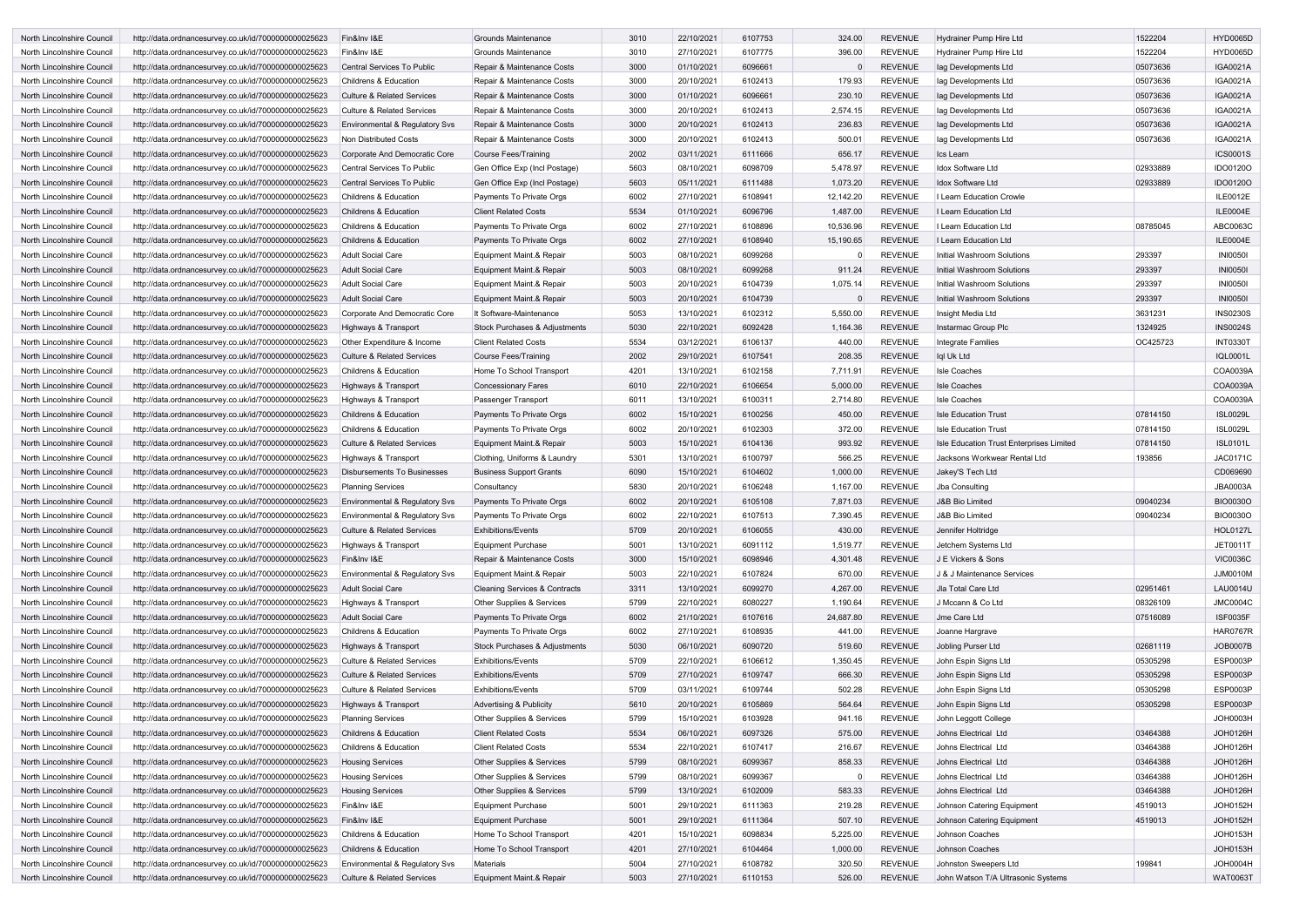| North Lincolnshire Council | http://data.ordnancesurvey.co.uk/id/7000000000025623 | Fin&Inv I&E                               | Grounds Maintenance                      | 3010 | 22/10/2021 | 6107753 | 324.00    | <b>REVENUE</b> | Hydrainer Pump Hire Ltd                  | 1522204  | <b>HYD0065D</b> |
|----------------------------|------------------------------------------------------|-------------------------------------------|------------------------------------------|------|------------|---------|-----------|----------------|------------------------------------------|----------|-----------------|
| North Lincolnshire Council | http://data.ordnancesurvey.co.uk/id/7000000000025623 | Fin&Inv I&E                               | Grounds Maintenance                      | 3010 | 27/10/2021 | 6107775 | 396.00    | <b>REVENUE</b> | <b>Hydrainer Pump Hire Ltd</b>           | 1522204  | <b>HYD0065D</b> |
| North Lincolnshire Council | http://data.ordnancesurvey.co.uk/id/7000000000025623 | Central Services To Public                | Repair & Maintenance Costs               | 3000 | 01/10/2021 | 6096661 |           | <b>REVENUE</b> | lag Developments Ltd                     | 05073636 | <b>IGA0021A</b> |
| North Lincolnshire Council | http://data.ordnancesurvey.co.uk/id/7000000000025623 | <b>Childrens &amp; Education</b>          | Repair & Maintenance Costs               | 3000 | 20/10/2021 | 6102413 | 179.93    | <b>REVENUE</b> | lag Developments Ltd                     | 05073636 | IGA0021A        |
| North Lincolnshire Council | http://data.ordnancesurvey.co.uk/id/7000000000025623 | <b>Culture &amp; Related Services</b>     | Repair & Maintenance Costs               | 3000 | 01/10/2021 | 6096661 | 230.10    | <b>REVENUE</b> | lag Developments Ltd                     | 05073636 | <b>IGA0021A</b> |
| North Lincolnshire Council | http://data.ordnancesurvey.co.uk/id/7000000000025623 | <b>Culture &amp; Related Services</b>     | Repair & Maintenance Costs               | 3000 | 20/10/2021 | 6102413 | 2,574.15  | <b>REVENUE</b> | lag Developments Ltd                     | 05073636 | <b>IGA0021A</b> |
| North Lincolnshire Council | http://data.ordnancesurvey.co.uk/id/7000000000025623 | Environmental & Regulatory Svs            | Repair & Maintenance Costs               | 3000 | 20/10/2021 | 6102413 | 236.83    | <b>REVENUE</b> | lag Developments Ltd                     | 05073636 | <b>IGA0021A</b> |
| North Lincolnshire Council | http://data.ordnancesurvey.co.uk/id/7000000000025623 | Non Distributed Costs                     | Repair & Maintenance Costs               | 3000 | 20/10/2021 | 6102413 | 500.01    | <b>REVENUE</b> | Iag Developments Ltd                     | 05073636 | IGA0021A        |
| North Lincolnshire Council | http://data.ordnancesurvey.co.uk/id/7000000000025623 | Corporate And Democratic Core             | Course Fees/Training                     | 2002 | 03/11/2021 | 6111666 | 656.17    | <b>REVENUE</b> | Ics Learn                                |          | <b>ICS0001S</b> |
| North Lincolnshire Council | http://data.ordnancesurvey.co.uk/id/7000000000025623 | Central Services To Public                | Gen Office Exp (Incl Postage)            | 5603 | 08/10/2021 | 6098709 | 5,478.97  | <b>REVENUE</b> | Idox Software Ltd                        | 02933889 | <b>IDO0120O</b> |
| North Lincolnshire Council | http://data.ordnancesurvey.co.uk/id/7000000000025623 | Central Services To Public                | Gen Office Exp (Incl Postage)            | 5603 | 05/11/2021 | 6111488 | 1,073.20  | <b>REVENUE</b> | <b>Idox Software Ltd</b>                 | 02933889 | <b>IDO0120O</b> |
| North Lincolnshire Council | http://data.ordnancesurvey.co.uk/id/7000000000025623 | <b>Childrens &amp; Education</b>          | Payments To Private Orgs                 | 6002 | 27/10/2021 | 6108941 | 12,142.20 | <b>REVENUE</b> | I Learn Education Crowle                 |          | <b>ILE0012E</b> |
| North Lincolnshire Council | http://data.ordnancesurvey.co.uk/id/7000000000025623 | <b>Childrens &amp; Education</b>          | <b>Client Related Costs</b>              | 5534 | 01/10/2021 | 6096796 | 1,487.00  | <b>REVENUE</b> | I Learn Education Ltd                    |          | ILE0004E        |
| North Lincolnshire Council | http://data.ordnancesurvey.co.uk/id/7000000000025623 | <b>Childrens &amp; Education</b>          | Payments To Private Orgs                 | 6002 | 27/10/2021 | 6108896 | 10,536.96 | <b>REVENUE</b> | I Learn Education Ltd                    | 08785045 | ABC0063C        |
| North Lincolnshire Council | http://data.ordnancesurvey.co.uk/id/7000000000025623 | <b>Childrens &amp; Education</b>          | Payments To Private Orgs                 | 6002 | 27/10/2021 | 6108940 | 15,190.65 | <b>REVENUE</b> | I Learn Education Ltd                    |          | <b>ILE0004E</b> |
| North Lincolnshire Council | http://data.ordnancesurvey.co.uk/id/7000000000025623 | <b>Adult Social Care</b>                  | Equipment Maint.& Repair                 | 5003 | 08/10/2021 | 6099268 |           | <b>REVENUE</b> | Initial Washroom Solutions               | 293397   | <b>INI00501</b> |
| North Lincolnshire Council | http://data.ordnancesurvey.co.uk/id/7000000000025623 | Adult Social Care                         | Equipment Maint.& Repair                 | 5003 | 08/10/2021 | 6099268 | 911.24    | <b>REVENUE</b> | Initial Washroom Solutions               | 293397   | <b>INI00501</b> |
| North Lincolnshire Council | http://data.ordnancesurvey.co.uk/id/7000000000025623 | <b>Adult Social Care</b>                  | Equipment Maint.& Repair                 | 5003 | 20/10/2021 | 6104739 | 1,075.14  | <b>REVENUE</b> | Initial Washroom Solutions               | 293397   | <b>INI00501</b> |
| North Lincolnshire Council | http://data.ordnancesurvey.co.uk/id/7000000000025623 | <b>Adult Social Care</b>                  | Equipment Maint.& Repair                 | 5003 | 20/10/2021 | 6104739 |           | <b>REVENUE</b> | Initial Washroom Solutions               | 293397   | <b>INI00501</b> |
|                            |                                                      |                                           |                                          |      |            |         |           |                |                                          |          |                 |
| North Lincolnshire Council | http://data.ordnancesurvey.co.uk/id/7000000000025623 | Corporate And Democratic Core             | It Software-Maintenance                  | 5053 | 13/10/2021 | 6102312 | 5,550.00  | <b>REVENUE</b> | Insight Media Ltd                        | 3631231  | <b>INS0230S</b> |
| North Lincolnshire Council | http://data.ordnancesurvey.co.uk/id/7000000000025623 | Highways & Transport                      | <b>Stock Purchases &amp; Adjustments</b> | 5030 | 22/10/2021 | 6092428 | 1,164.36  | <b>REVENUE</b> | Instarmac Group Plc                      | 1324925  | <b>INS0024S</b> |
| North Lincolnshire Council | http://data.ordnancesurvey.co.uk/id/7000000000025623 | Other Expenditure & Income                | <b>Client Related Costs</b>              | 5534 | 03/12/2021 | 6106137 | 440.00    | <b>REVENUE</b> | Integrate Families                       | OC425723 | <b>INT0330T</b> |
| North Lincolnshire Council | http://data.ordnancesurvey.co.uk/id/7000000000025623 | <b>Culture &amp; Related Services</b>     | Course Fees/Training                     | 2002 | 29/10/2021 | 6107541 | 208.35    | <b>REVENUE</b> | Iql Uk Ltd                               |          | <b>IQL0001L</b> |
| North Lincolnshire Council | http://data.ordnancesurvey.co.uk/id/7000000000025623 | <b>Childrens &amp; Education</b>          | Home To School Transport                 | 4201 | 13/10/2021 | 6102158 | 7,711.91  | <b>REVENUE</b> | <b>Isle Coaches</b>                      |          | COA0039A        |
| North Lincolnshire Council | http://data.ordnancesurvey.co.uk/id/7000000000025623 | Highways & Transport                      | <b>Concessionary Fares</b>               | 6010 | 22/10/2021 | 6106654 | 5,000.00  | <b>REVENUE</b> | <b>Isle Coaches</b>                      |          | COA0039A        |
| North Lincolnshire Council | http://data.ordnancesurvey.co.uk/id/7000000000025623 | Highways & Transport                      | Passenger Transport                      | 6011 | 13/10/2021 | 6100311 | 2,714.80  | <b>REVENUE</b> | <b>Isle Coaches</b>                      |          | COA0039A        |
| North Lincolnshire Council | http://data.ordnancesurvey.co.uk/id/7000000000025623 | <b>Childrens &amp; Education</b>          | Payments To Private Orgs                 | 6002 | 15/10/2021 | 6100256 | 450.00    | <b>REVENUE</b> | <b>Isle Education Trust</b>              | 07814150 | <b>ISL0029L</b> |
| North Lincolnshire Council | http://data.ordnancesurvey.co.uk/id/7000000000025623 | Childrens & Education                     | Payments To Private Orgs                 | 6002 | 20/10/2021 | 6102303 | 372.00    | <b>REVENUE</b> | <b>Isle Education Trust</b>              | 07814150 | <b>ISL0029L</b> |
| North Lincolnshire Council | http://data.ordnancesurvey.co.uk/id/7000000000025623 | <b>Culture &amp; Related Services</b>     | Equipment Maint.& Repair                 | 5003 | 15/10/2021 | 6104136 | 993.92    | <b>REVENUE</b> | Isle Education Trust Enterprises Limited | 07814150 | <b>ISL0101L</b> |
| North Lincolnshire Council | http://data.ordnancesurvey.co.uk/id/7000000000025623 | Highways & Transport                      | Clothing, Uniforms & Laundry             | 5301 | 13/10/2021 | 6100797 | 566.25    | <b>REVENUE</b> | Jacksons Workwear Rental Ltd             | 193856   | <b>JAC0171C</b> |
| North Lincolnshire Council | http://data.ordnancesurvey.co.uk/id/7000000000025623 | Disbursements To Businesses               | <b>Business Support Grants</b>           | 6090 | 15/10/2021 | 6104602 | 1,000.00  | <b>REVENUE</b> | Jakey'S Tech Ltd                         |          | CD069690        |
| North Lincolnshire Council | http://data.ordnancesurvey.co.uk/id/7000000000025623 | <b>Planning Services</b>                  | Consultancy                              | 5830 | 20/10/2021 | 6106248 | 1,167.00  | <b>REVENUE</b> | Jba Consulting                           |          | <b>JBA0003A</b> |
| North Lincolnshire Council | http://data.ordnancesurvey.co.uk/id/7000000000025623 | Environmental & Regulatory Svs            | Payments To Private Orgs                 | 6002 | 20/10/2021 | 6105108 | 7,871.03  | <b>REVENUE</b> | <b>J&amp;B Bio Limited</b>               | 09040234 | <b>BIO0030O</b> |
| North Lincolnshire Council | http://data.ordnancesurvey.co.uk/id/7000000000025623 | Environmental & Regulatory Svs            | Payments To Private Orgs                 | 6002 | 22/10/2021 | 6107513 | 7.390.45  | <b>REVENUE</b> | <b>J&amp;B Bio Limited</b>               | 09040234 | <b>BIO0030O</b> |
| North Lincolnshire Council | http://data.ordnancesurvey.co.uk/id/7000000000025623 | Culture & Related Services                | <b>Exhibitions/Events</b>                | 5709 | 20/10/2021 | 6106055 | 430.00    | <b>REVENUE</b> | Jennifer Holtridge                       |          | <b>HOL0127L</b> |
| North Lincolnshire Council | http://data.ordnancesurvey.co.uk/id/7000000000025623 | Highways & Transport                      | <b>Equipment Purchase</b>                | 5001 | 13/10/2021 | 6091112 | 1,519.77  | <b>REVENUE</b> | Jetchem Systems Ltd                      |          | JET0011T        |
| North Lincolnshire Council | http://data.ordnancesurvey.co.uk/id/7000000000025623 | Fin&Inv I&E                               | Repair & Maintenance Costs               | 3000 | 15/10/2021 | 6098946 | 4,301.48  | <b>REVENUE</b> | J E Vickers & Sons                       |          | <b>VIC0036C</b> |
| North Lincolnshire Council | http://data.ordnancesurvey.co.uk/id/7000000000025623 | <b>Environmental &amp; Regulatory Svs</b> | Equipment Maint.& Repair                 | 5003 | 22/10/2021 | 6107824 | 670.00    | <b>REVENUE</b> | J & J Maintenance Services               |          | <b>JJM0010M</b> |
| North Lincolnshire Council | http://data.ordnancesurvey.co.uk/id/7000000000025623 | <b>Adult Social Care</b>                  | <b>Cleaning Services &amp; Contracts</b> | 3311 | 13/10/2021 | 6099270 | 4,267.00  | <b>REVENUE</b> | Jla Total Care Ltd                       | 02951461 | <b>LAU0014U</b> |
| North Lincolnshire Council | http://data.ordnancesurvey.co.uk/id/7000000000025623 | Highways & Transport                      | Other Supplies & Services                | 5799 | 22/10/2021 | 6080227 | 1,190.64  | <b>REVENUE</b> | J Mccann & Co Ltd                        | 08326109 | <b>JMC0004C</b> |
| North Lincolnshire Council | http://data.ordnancesurvey.co.uk/id/7000000000025623 | <b>Adult Social Care</b>                  | Payments To Private Orgs                 | 6002 | 21/10/2021 | 6107616 | 24,687.80 | <b>REVENUE</b> | Jme Care Ltd                             | 07516089 | <b>ISF0035F</b> |
| North Lincolnshire Council | http://data.ordnancesurvey.co.uk/id/7000000000025623 | Childrens & Education                     | Payments To Private Orgs                 | 6002 | 27/10/2021 | 6108935 | 441.00    | <b>REVENUE</b> | Joanne Hargrave                          |          | <b>HAR0767R</b> |
| North Lincolnshire Council | http://data.ordnancesurvey.co.uk/id/7000000000025623 | Highways & Transport                      | Stock Purchases & Adjustments            | 5030 | 06/10/2021 | 6090720 | 519.60    | <b>REVENUE</b> | Jobling Purser Ltd                       | 02681119 | <b>JOB0007B</b> |
| North Lincolnshire Council | http://data.ordnancesurvey.co.uk/id/7000000000025623 | <b>Culture &amp; Related Services</b>     | <b>Exhibitions/Events</b>                | 5709 | 22/10/2021 | 6106612 | 1,350.45  | <b>REVENUE</b> | John Espin Signs Ltd                     | 05305298 | <b>ESP0003P</b> |
| North Lincolnshire Council | http://data.ordnancesurvey.co.uk/id/7000000000025623 | <b>Culture &amp; Related Services</b>     | <b>Exhibitions/Events</b>                | 5709 | 27/10/2021 | 6109747 | 666.30    | <b>REVENUE</b> | John Espin Signs Ltd                     | 05305298 | ESP0003P        |
|                            |                                                      |                                           |                                          | 5709 | 03/11/2021 | 6109744 | 502.28    | <b>REVENUE</b> |                                          | 05305298 | ESP0003P        |
| North Lincolnshire Council | http://data.ordnancesurvey.co.uk/id/7000000000025623 | <b>Culture &amp; Related Services</b>     | <b>Exhibitions/Events</b>                |      |            | 6105869 | 564.64    |                | John Espin Signs Ltd                     | 05305298 |                 |
| North Lincolnshire Council | http://data.ordnancesurvey.co.uk/id/7000000000025623 | Highways & Transport                      | <b>Advertising &amp; Publicity</b>       | 5610 | 20/10/2021 |         |           | <b>REVENUE</b> | John Espin Signs Ltd                     |          | <b>ESP0003P</b> |
| North Lincolnshire Council | http://data.ordnancesurvey.co.uk/id/7000000000025623 | <b>Planning Services</b>                  | Other Supplies & Services                | 5799 | 15/10/2021 | 6103928 | 941.16    | <b>REVENUE</b> | John Leggott College                     |          | JOH0003H        |
| North Lincolnshire Council | http://data.ordnancesurvey.co.uk/id/7000000000025623 | Childrens & Education                     | <b>Client Related Costs</b>              | 5534 | 06/10/2021 | 6097326 | 575.00    | <b>REVENUE</b> | Johns Electrical Ltd                     | 03464388 | JOH0126H        |
| North Lincolnshire Council | http://data.ordnancesurvey.co.uk/id/7000000000025623 | Childrens & Education                     | <b>Client Related Costs</b>              | 5534 | 22/10/2021 | 6107417 | 216.67    | <b>REVENUE</b> | Johns Electrical Ltd                     | 03464388 | JOH0126H        |
| North Lincolnshire Council | http://data.ordnancesurvey.co.uk/id/7000000000025623 | <b>Housing Services</b>                   | Other Supplies & Services                | 5799 | 08/10/2021 | 6099367 | 858.33    | <b>REVENUE</b> | Johns Electrical Ltd                     | 03464388 | JOH0126H        |
| North Lincolnshire Council | http://data.ordnancesurvey.co.uk/id/7000000000025623 | <b>Housing Services</b>                   | Other Supplies & Services                | 5799 | 08/10/2021 | 6099367 |           | <b>REVENUE</b> | Johns Electrical Ltd                     | 03464388 | JOH0126H        |
| North Lincolnshire Council | http://data.ordnancesurvey.co.uk/id/7000000000025623 | <b>Housing Services</b>                   | Other Supplies & Services                | 5799 | 13/10/2021 | 6102009 | 583.33    | <b>REVENUE</b> | Johns Electrical Ltd                     | 03464388 | JOH0126H        |
| North Lincolnshire Council | http://data.ordnancesurvey.co.uk/id/7000000000025623 | Fin&Inv I&E                               | <b>Equipment Purchase</b>                | 5001 | 29/10/2021 | 6111363 | 219.28    | <b>REVENUE</b> | Johnson Catering Equipment               | 4519013  | JOH0152H        |
| North Lincolnshire Council | http://data.ordnancesurvey.co.uk/id/7000000000025623 | Fin&Inv I&E                               | <b>Equipment Purchase</b>                | 5001 | 29/10/2021 | 6111364 | 507.10    | <b>REVENUE</b> | Johnson Catering Equipment               | 4519013  | JOH0152H        |
| North Lincolnshire Council | http://data.ordnancesurvey.co.uk/id/7000000000025623 | Childrens & Education                     | Home To School Transport                 | 4201 | 15/10/2021 | 6098834 | 5,225.00  | <b>REVENUE</b> | Johnson Coaches                          |          | <b>JOH0153H</b> |
| North Lincolnshire Council | http://data.ordnancesurvey.co.uk/id/7000000000025623 | Childrens & Education                     | Home To School Transport                 | 4201 | 27/10/2021 | 6104464 | 1,000.00  | <b>REVENUE</b> | <b>Johnson Coaches</b>                   |          | <b>JOH0153H</b> |
| North Lincolnshire Council | http://data.ordnancesurvey.co.uk/id/7000000000025623 | Environmental & Regulatory Svs            | <b>Materials</b>                         | 5004 | 27/10/2021 | 6108782 | 320.50    | <b>REVENUE</b> | Johnston Sweepers Ltd                    | 199841   | <b>JOH0004H</b> |
| North Lincolnshire Council | http://data.ordnancesurvey.co.uk/id/7000000000025623 | <b>Culture &amp; Related Services</b>     | Equipment Maint.& Repair                 | 5003 | 27/10/2021 | 6110153 | 526.00    | <b>REVENUE</b> | John Watson T/A Ultrasonic Systems       |          | <b>WAT0063T</b> |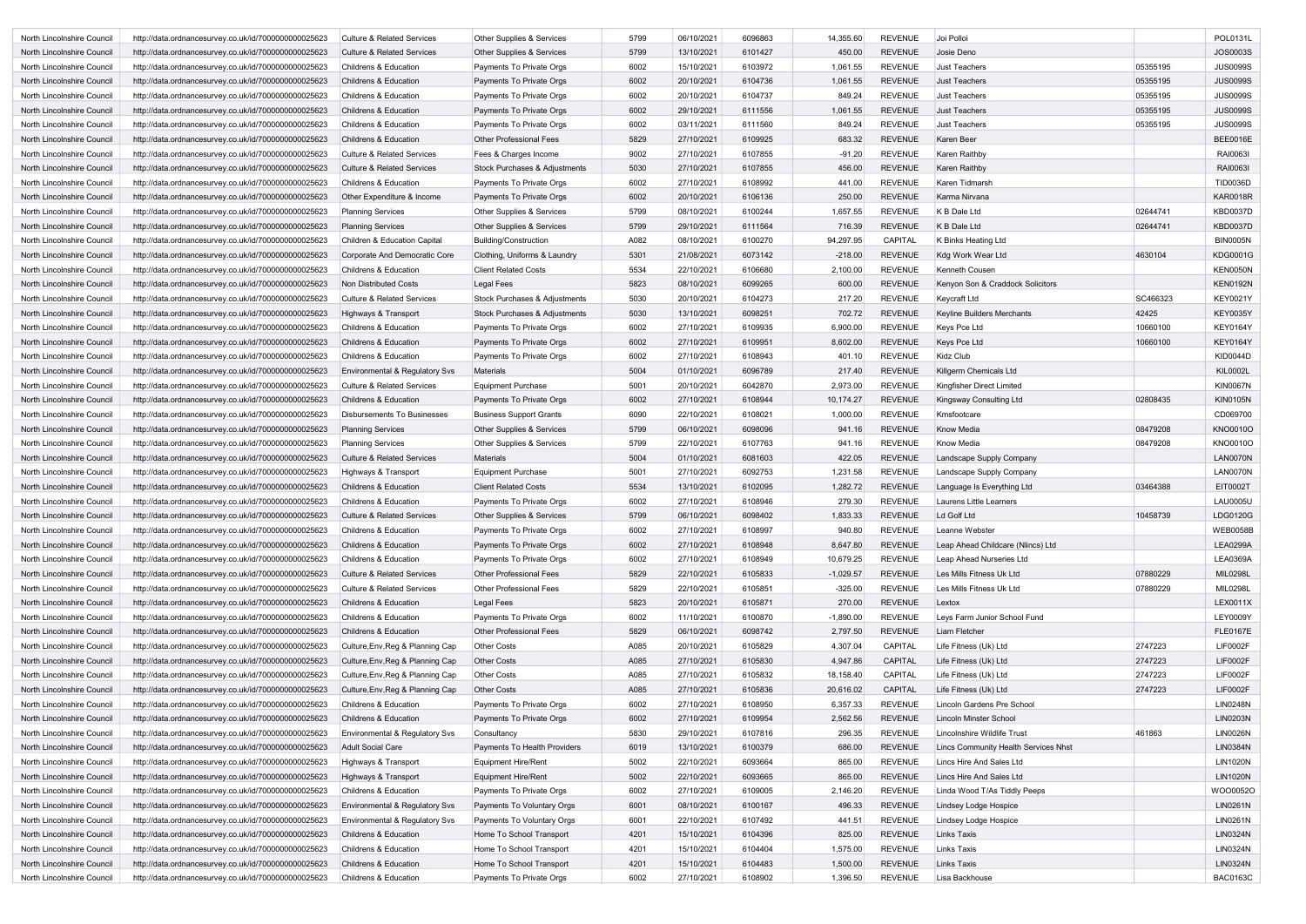| North Lincolnshire Council                               | http://data.ordnancesurvey.co.uk/id/7000000000025623                                                         | <b>Culture &amp; Related Services</b>                              | Other Supplies & Services                              | 5799         | 06/10/2021               | 6096863            | 14,355.60          | <b>REVENUE</b>                   | Joi Polloi                                            |          | POL0131L                    |
|----------------------------------------------------------|--------------------------------------------------------------------------------------------------------------|--------------------------------------------------------------------|--------------------------------------------------------|--------------|--------------------------|--------------------|--------------------|----------------------------------|-------------------------------------------------------|----------|-----------------------------|
| North Lincolnshire Council                               | http://data.ordnancesurvey.co.uk/id/7000000000025623                                                         | <b>Culture &amp; Related Services</b>                              | Other Supplies & Services                              | 5799         | 13/10/2021               | 6101427            | 450.00             | <b>REVENUE</b>                   | Josie Deno                                            |          | <b>JOS0003S</b>             |
| North Lincolnshire Council                               | http://data.ordnancesurvey.co.uk/id/7000000000025623                                                         | <b>Childrens &amp; Education</b>                                   | Payments To Private Orgs                               | 6002         | 15/10/2021               | 6103972            | 1,061.55           | <b>REVENUE</b>                   | Just Teachers                                         | 05355195 | <b>JUS0099S</b>             |
| North Lincolnshire Council                               | http://data.ordnancesurvey.co.uk/id/7000000000025623                                                         | <b>Childrens &amp; Education</b>                                   | Payments To Private Orgs                               | 6002         | 20/10/2021               | 6104736            | 1,061.55           | <b>REVENUE</b>                   | <b>Just Teachers</b>                                  | 05355195 | <b>JUS0099S</b>             |
| North Lincolnshire Council                               | http://data.ordnancesurvey.co.uk/id/7000000000025623                                                         | <b>Childrens &amp; Education</b>                                   | Payments To Private Orgs                               | 6002         | 20/10/2021               | 6104737            | 849.24             | <b>REVENUE</b>                   | <b>Just Teachers</b>                                  | 05355195 | <b>JUS0099S</b>             |
| North Lincolnshire Council                               | http://data.ordnancesurvey.co.uk/id/7000000000025623                                                         | <b>Childrens &amp; Education</b>                                   | Payments To Private Orgs                               | 6002         | 29/10/2021               | 6111556            | 1,061.55           | <b>REVENUE</b>                   | <b>Just Teachers</b>                                  | 05355195 | <b>JUS0099S</b>             |
| North Lincolnshire Council                               | http://data.ordnancesurvey.co.uk/id/7000000000025623                                                         | <b>Childrens &amp; Education</b>                                   | Payments To Private Orgs                               | 6002         | 03/11/2021               | 6111560            | 849.24             | <b>REVENUE</b>                   | Just Teachers                                         | 05355195 | <b>JUS0099S</b>             |
| North Lincolnshire Council                               | http://data.ordnancesurvey.co.uk/id/7000000000025623                                                         | <b>Childrens &amp; Education</b>                                   | <b>Other Professional Fees</b>                         | 5829         | 27/10/2021               | 6109925            | 683.32             | <b>REVENUE</b>                   | Karen Beer                                            |          | <b>BEE0016E</b>             |
| North Lincolnshire Council                               | http://data.ordnancesurvey.co.uk/id/7000000000025623                                                         | <b>Culture &amp; Related Services</b>                              | Fees & Charges Income                                  | 9002         | 27/10/2021               | 6107855            | $-91.20$           | <b>REVENUE</b>                   | Karen Raithby                                         |          | RAI0063I                    |
| North Lincolnshire Council                               | http://data.ordnancesurvey.co.uk/id/7000000000025623                                                         | <b>Culture &amp; Related Services</b>                              | Stock Purchases & Adjustments                          | 5030         | 27/10/2021               | 6107855            | 456.00             | <b>REVENUE</b>                   | Karen Raithby                                         |          | RAI00631                    |
| North Lincolnshire Council                               | http://data.ordnancesurvey.co.uk/id/7000000000025623                                                         | <b>Childrens &amp; Education</b>                                   | Payments To Private Orgs                               | 6002         | 27/10/2021               | 6108992            | 441.00             | <b>REVENUE</b>                   | Karen Tidmarsh                                        |          | <b>TID0036D</b>             |
| North Lincolnshire Council                               | http://data.ordnancesurvey.co.uk/id/7000000000025623                                                         | Other Expenditure & Income                                         | Payments To Private Orgs                               | 6002         | 20/10/2021               | 6106136            | 250.00             | <b>REVENUE</b>                   | Karma Nirvana                                         |          | <b>KAR0018R</b>             |
| North Lincolnshire Council                               | http://data.ordnancesurvey.co.uk/id/7000000000025623                                                         | <b>Planning Services</b>                                           | Other Supplies & Services                              | 5799         | 08/10/2021               | 6100244            | 1,657.55           | <b>REVENUE</b>                   | K B Dale Ltd                                          | 02644741 | <b>KBD0037D</b>             |
| North Lincolnshire Council                               | http://data.ordnancesurvey.co.uk/id/7000000000025623                                                         | <b>Planning Services</b>                                           | Other Supplies & Services                              | 5799         | 29/10/2021               | 6111564            | 716.39             | <b>REVENUE</b>                   | K B Dale Ltd                                          | 02644741 | <b>KBD0037D</b>             |
| North Lincolnshire Council                               | http://data.ordnancesurvey.co.uk/id/7000000000025623                                                         | Children & Education Capital                                       | Building/Construction                                  | A082         | 08/10/2021               | 6100270            | 94,297.95          | CAPITAL                          | K Binks Heating Ltd                                   |          | <b>BIN0005N</b>             |
| North Lincolnshire Council                               | http://data.ordnancesurvey.co.uk/id/7000000000025623                                                         | Corporate And Democratic Core                                      | Clothing, Uniforms & Laundry                           | 5301         | 21/08/2021               | 6073142            | $-218.00$          | <b>REVENUE</b>                   | Kdg Work Wear Ltd                                     | 4630104  | <b>KDG0001G</b>             |
| North Lincolnshire Council                               | http://data.ordnancesurvey.co.uk/id/7000000000025623                                                         | <b>Childrens &amp; Education</b>                                   | <b>Client Related Costs</b>                            | 5534         | 22/10/2021               | 6106680            | 2,100.00           | <b>REVENUE</b>                   | Kenneth Cousen                                        |          | <b>KEN0050N</b>             |
| North Lincolnshire Council                               | http://data.ordnancesurvey.co.uk/id/7000000000025623                                                         | Non Distributed Costs                                              | Legal Fees                                             | 5823         | 08/10/2021               | 6099265            | 600.00             | <b>REVENUE</b>                   | Kenyon Son & Craddock Solicitors                      |          | <b>KEN0192N</b>             |
| North Lincolnshire Council                               | http://data.ordnancesurvey.co.uk/id/7000000000025623                                                         | <b>Culture &amp; Related Services</b>                              | Stock Purchases & Adjustments                          | 5030         | 20/10/2021               | 6104273            | 217.20             | <b>REVENUE</b>                   | <b>Keycraft Ltd</b>                                   | SC466323 | <b>KEY0021Y</b>             |
| North Lincolnshire Council                               | http://data.ordnancesurvey.co.uk/id/7000000000025623                                                         | Highways & Transport                                               | Stock Purchases & Adjustments                          | 5030         | 13/10/2021               | 6098251            | 702.72             | <b>REVENUE</b>                   | Keyline Builders Merchants                            | 42425    | <b>KEY0035Y</b>             |
| North Lincolnshire Council                               | http://data.ordnancesurvey.co.uk/id/7000000000025623                                                         | <b>Childrens &amp; Education</b>                                   | Payments To Private Orgs                               | 6002         | 27/10/2021               | 6109935            | 6,900.00           | <b>REVENUE</b>                   | Keys Pce Ltd                                          | 10660100 | <b>KEY0164Y</b>             |
| North Lincolnshire Council                               | http://data.ordnancesurvey.co.uk/id/7000000000025623                                                         | <b>Childrens &amp; Education</b>                                   | Payments To Private Orgs                               | 6002         | 27/10/2021               | 6109951            | 8,602.00           | <b>REVENUE</b>                   | Keys Pce Ltd                                          | 10660100 | <b>KEY0164Y</b>             |
| North Lincolnshire Council                               | http://data.ordnancesurvey.co.uk/id/7000000000025623                                                         | <b>Childrens &amp; Education</b>                                   | Payments To Private Orgs                               | 6002         | 27/10/2021               | 6108943            | 401.10             | <b>REVENUE</b>                   | Kidz Club                                             |          | <b>KID0044D</b>             |
| North Lincolnshire Council                               | http://data.ordnancesurvey.co.uk/id/7000000000025623                                                         | Environmental & Regulatory Svs                                     | <b>Materials</b>                                       | 5004         | 01/10/2021               | 6096789            | 217.40             | <b>REVENUE</b>                   | Killgerm Chemicals Ltd                                |          | <b>KIL0002L</b>             |
| North Lincolnshire Council                               | http://data.ordnancesurvey.co.uk/id/7000000000025623                                                         | <b>Culture &amp; Related Services</b>                              | <b>Equipment Purchase</b>                              | 5001         | 20/10/2021               | 6042870            | 2,973.00           | <b>REVENUE</b>                   | Kingfisher Direct Limited                             |          | <b>KIN0067N</b>             |
| North Lincolnshire Council                               | http://data.ordnancesurvey.co.uk/id/7000000000025623                                                         | <b>Childrens &amp; Education</b>                                   | Payments To Private Orgs                               | 6002         | 27/10/2021               | 6108944            | 10,174.27          | <b>REVENUE</b>                   | Kingsway Consulting Ltd                               | 02808435 | <b>KIN0105N</b>             |
| North Lincolnshire Council                               | http://data.ordnancesurvey.co.uk/id/7000000000025623                                                         | <b>Disbursements To Businesses</b>                                 | <b>Business Support Grants</b>                         | 6090         | 22/10/2021               | 6108021            | 1,000.00           | <b>REVENUE</b>                   | Kmsfootcare                                           |          | CD069700                    |
| North Lincolnshire Council                               | http://data.ordnancesurvey.co.uk/id/7000000000025623                                                         | <b>Planning Services</b>                                           | Other Supplies & Services                              | 5799         | 06/10/2021               | 6098096            | 941.16             | <b>REVENUE</b>                   | Know Media                                            | 08479208 | KNO0010O                    |
| North Lincolnshire Council                               | http://data.ordnancesurvey.co.uk/id/7000000000025623                                                         | <b>Planning Services</b>                                           | Other Supplies & Services                              | 5799         | 22/10/2021               | 6107763            | 941.16             | <b>REVENUE</b>                   | <b>Know Media</b>                                     | 08479208 | <b>KNO0010O</b>             |
| North Lincolnshire Council                               | http://data.ordnancesurvey.co.uk/id/7000000000025623                                                         | Culture & Related Services                                         | Materials                                              | 5004         | 01/10/2021               | 6081603            | 422.05             | <b>REVENUE</b>                   | Landscape Supply Company                              |          | <b>LAN0070N</b>             |
| North Lincolnshire Council                               | http://data.ordnancesurvey.co.uk/id/7000000000025623                                                         | Highways & Transport                                               | <b>Equipment Purchase</b>                              | 5001         | 27/10/2021               | 6092753            | 1,231.58           | <b>REVENUE</b>                   | Landscape Supply Company                              |          | <b>LAN0070N</b>             |
| North Lincolnshire Council                               | http://data.ordnancesurvey.co.uk/id/7000000000025623                                                         | <b>Childrens &amp; Education</b>                                   | <b>Client Related Costs</b>                            | 5534         | 13/10/2021               | 6102095            | 1,282.72           | <b>REVENUE</b>                   | Language Is Everything Ltd                            | 03464388 | EIT0002T                    |
| North Lincolnshire Council                               | http://data.ordnancesurvey.co.uk/id/7000000000025623                                                         | <b>Childrens &amp; Education</b>                                   | Payments To Private Orgs                               | 6002         | 27/10/2021               | 6108946            | 279.30             | <b>REVENUE</b>                   | Laurens Little Learners                               |          | <b>LAU0005U</b>             |
| North Lincolnshire Council                               | http://data.ordnancesurvey.co.uk/id/7000000000025623                                                         | Culture & Related Services                                         | Other Supplies & Services                              | 5799         | 06/10/2021               | 6098402            | 1,833.33           | REVENUE                          | Ld Golf Ltd                                           | 10458739 | LDG0120G                    |
| North Lincolnshire Council                               | http://data.ordnancesurvey.co.uk/id/7000000000025623                                                         | Childrens & Education                                              | Payments To Private Orgs                               | 6002         | 27/10/2021               | 6108997            | 940.80             | <b>REVENUE</b>                   | Leanne Webster                                        |          | <b>WEB0058B</b>             |
| North Lincolnshire Council                               | http://data.ordnancesurvey.co.uk/id/7000000000025623                                                         | Childrens & Education                                              | Payments To Private Orgs                               | 6002         | 27/10/2021               | 6108948            | 8,647.80           | <b>REVENUE</b>                   | Leap Ahead Childcare (Nlincs) Ltd                     |          | <b>LEA0299A</b>             |
| North Lincolnshire Council                               | http://data.ordnancesurvey.co.uk/id/7000000000025623                                                         | Childrens & Education                                              | Payments To Private Orgs                               | 6002         | 27/10/2021               | 6108949            | 10,679.25          | <b>REVENUE</b>                   | Leap Ahead Nurseries Ltd                              |          | <b>LEA0369A</b>             |
| North Lincolnshire Council                               | http://data.ordnancesurvey.co.uk/id/7000000000025623                                                         | Culture & Related Services                                         | Other Professional Fees                                | 5829         | 22/10/2021               | 6105833            | $-1,029.57$        | <b>REVENUE</b>                   | Les Mills Fitness Uk Ltd                              | 07880229 | MIL0298L                    |
| North Lincolnshire Council                               | http://data.ordnancesurvey.co.uk/id/7000000000025623                                                         | <b>Culture &amp; Related Services</b>                              | <b>Other Professional Fees</b>                         | 5829         | 22/10/2021               | 6105851            | $-325.00$          | <b>REVENUE</b>                   | Les Mills Fitness Uk Ltd                              | 07880229 | <b>MIL0298L</b>             |
| North Lincolnshire Council                               | http://data.ordnancesurvey.co.uk/id/7000000000025623                                                         | Childrens & Education                                              | Legal Fees                                             | 5823         | 20/10/2021               | 6105871            | 270.00             | <b>REVENUE</b>                   | Lextox                                                |          | LEX0011X                    |
| North Lincolnshire Council                               | http://data.ordnancesurvey.co.uk/id/7000000000025623                                                         | Childrens & Education                                              | Payments To Private Orgs                               | 6002         | 11/10/2021               | 6100870            | $-1,890.00$        | <b>REVENUE</b>                   | Leys Farm Junior School Fund                          |          | <b>LEY0009Y</b>             |
| North Lincolnshire Council                               | http://data.ordnancesurvey.co.uk/id/7000000000025623                                                         | Childrens & Education                                              | Other Professional Fees                                | 5829         | 06/10/2021               | 6098742            | 2,797.50           | <b>REVENUE</b>                   | Liam Fletcher                                         |          | <b>FLE0167E</b>             |
| North Lincolnshire Council                               | http://data.ordnancesurvey.co.uk/id/7000000000025623                                                         | Culture, Env, Reg & Planning Cap                                   | <b>Other Costs</b>                                     | A085         | 20/10/2021               | 6105829            | 4,307.04           | CAPITAL                          | Life Fitness (Uk) Ltd                                 | 2747223  | <b>LIF0002F</b>             |
| North Lincolnshire Council                               | http://data.ordnancesurvey.co.uk/id/7000000000025623                                                         | Culture, Env, Reg & Planning Cap                                   | <b>Other Costs</b>                                     | A085         | 27/10/2021               | 6105830            | 4,947.86           | <b>CAPITAL</b>                   | Life Fitness (Uk) Ltd                                 | 2747223  | <b>LIF0002F</b>             |
| North Lincolnshire Council                               | http://data.ordnancesurvey.co.uk/id/7000000000025623                                                         | Culture, Env, Reg & Planning Cap                                   | <b>Other Costs</b>                                     | A085         | 27/10/2021               | 6105832            | 18,158.40          | CAPITAL                          | Life Fitness (Uk) Ltd                                 | 2747223  | <b>LIF0002F</b>             |
| North Lincolnshire Council                               | http://data.ordnancesurvey.co.uk/id/7000000000025623                                                         | Culture, Env, Reg & Planning Cap                                   | <b>Other Costs</b>                                     | A085         | 27/10/2021               | 6105836            | 20,616.02          | <b>CAPITAL</b>                   | Life Fitness (Uk) Ltd                                 | 2747223  | <b>LIF0002F</b>             |
| North Lincolnshire Council                               | http://data.ordnancesurvey.co.uk/id/7000000000025623                                                         | Childrens & Education                                              | Payments To Private Orgs                               | 6002         | 27/10/2021               | 6108950            | 6,357.33           | <b>REVENUE</b>                   | Lincoln Gardens Pre School                            |          | <b>LIN0248N</b>             |
| North Lincolnshire Council                               | http://data.ordnancesurvey.co.uk/id/7000000000025623                                                         | Childrens & Education                                              | Payments To Private Orgs                               | 6002         | 27/10/2021               | 6109954            | 2,562.56           | <b>REVENUE</b>                   | Lincoln Minster School                                |          | <b>LIN0203N</b>             |
| North Lincolnshire Council                               | http://data.ordnancesurvey.co.uk/id/7000000000025623                                                         | Environmental & Regulatory Svs                                     | Consultancy                                            | 5830         | 29/10/2021               | 6107816            | 296.35             | <b>REVENUE</b>                   | Lincolnshire Wildlife Trust                           | 461863   | <b>LIN0026N</b>             |
| North Lincolnshire Council                               | http://data.ordnancesurvey.co.uk/id/7000000000025623                                                         | <b>Adult Social Care</b>                                           | Payments To Health Providers                           | 6019         | 13/10/2021               | 6100379            | 686.00             | <b>REVENUE</b>                   | Lincs Community Health Services Nhst                  |          | <b>LIN0384N</b>             |
| North Lincolnshire Council                               | http://data.ordnancesurvey.co.uk/id/7000000000025623                                                         | Highways & Transport                                               | Equipment Hire/Rent                                    | 5002         | 22/10/2021               | 6093664            | 865.00             | <b>REVENUE</b><br><b>REVENUE</b> | Lincs Hire And Sales Ltd                              |          | <b>LIN1020N</b>             |
| North Lincolnshire Council                               | http://data.ordnancesurvey.co.uk/id/7000000000025623                                                         | Highways & Transport                                               | <b>Equipment Hire/Rent</b>                             | 5002         | 22/10/2021<br>27/10/2021 | 6093665            | 865.00             |                                  | Lincs Hire And Sales Ltd                              |          | <b>LIN1020N</b><br>WOO0052O |
| North Lincolnshire Council                               | http://data.ordnancesurvey.co.uk/id/7000000000025623<br>http://data.ordnancesurvey.co.uk/id/7000000000025623 | Childrens & Education<br><b>Environmental &amp; Regulatory Svs</b> | Payments To Private Orgs<br>Payments To Voluntary Orgs | 6002<br>6001 | 08/10/2021               | 6109005<br>6100167 | 2,146.20<br>496.33 | <b>REVENUE</b><br><b>REVENUE</b> | Linda Wood T/As Tiddly Peeps<br>Lindsey Lodge Hospice |          | <b>LIN0261N</b>             |
| North Lincolnshire Council<br>North Lincolnshire Council | http://data.ordnancesurvey.co.uk/id/7000000000025623                                                         | Environmental & Regulatory Svs                                     | Payments To Voluntary Orgs                             | 6001         | 22/10/2021               | 6107492            | 441.51             | <b>REVENUE</b>                   | Lindsey Lodge Hospice                                 |          | <b>LIN0261N</b>             |
| North Lincolnshire Council                               | http://data.ordnancesurvey.co.uk/id/7000000000025623                                                         | Childrens & Education                                              | Home To School Transport                               | 4201         | 15/10/2021               | 6104396            | 825.00             | <b>REVENUE</b>                   | <b>Links Taxis</b>                                    |          | <b>LIN0324N</b>             |
| North Lincolnshire Council                               | http://data.ordnancesurvey.co.uk/id/7000000000025623                                                         | Childrens & Education                                              | Home To School Transport                               | 4201         | 15/10/2021               | 6104404            | 1,575.00           | <b>REVENUE</b>                   | Links Taxis                                           |          | <b>LIN0324N</b>             |
| North Lincolnshire Council                               | http://data.ordnancesurvey.co.uk/id/7000000000025623                                                         | Childrens & Education                                              | Home To School Transport                               | 4201         | 15/10/2021               | 6104483            | 1,500.00           | <b>REVENUE</b>                   | Links Taxis                                           |          | <b>LIN0324N</b>             |
| North Lincolnshire Council                               | http://data.ordnancesurvey.co.uk/id/7000000000025623                                                         | Childrens & Education                                              | Payments To Private Orgs                               | 6002         | 27/10/2021               | 6108902            | 1,396.50           | <b>REVENUE</b>                   | Lisa Backhouse                                        |          | <b>BAC0163C</b>             |
|                                                          |                                                                                                              |                                                                    |                                                        |              |                          |                    |                    |                                  |                                                       |          |                             |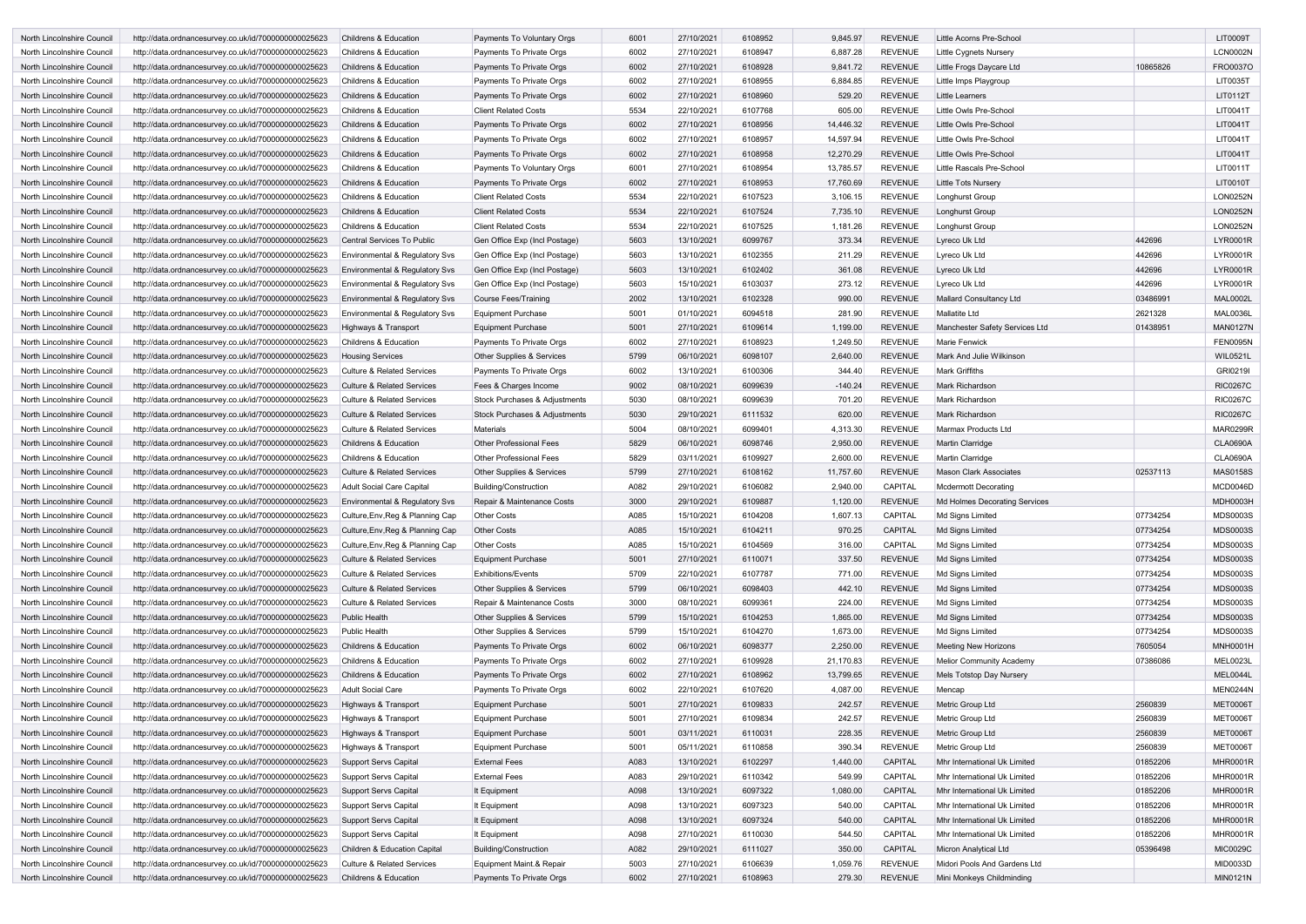| North Lincolnshire Council | http://data.ordnancesurvey.co.uk/id/7000000000025623 | <b>Childrens &amp; Education</b>          | Payments To Voluntary Orgs           | 6001 | 27/10/2021 | 6108952 | 9,845.97  | <b>REVENUE</b> | Little Acorns Pre-School        |          | <b>LIT0009T</b> |
|----------------------------|------------------------------------------------------|-------------------------------------------|--------------------------------------|------|------------|---------|-----------|----------------|---------------------------------|----------|-----------------|
| North Lincolnshire Council | http://data.ordnancesurvey.co.uk/id/7000000000025623 | <b>Childrens &amp; Education</b>          | Payments To Private Orgs             | 6002 | 27/10/2021 | 6108947 | 6,887.28  | <b>REVENUE</b> | Little Cygnets Nursery          |          | <b>LCN0002N</b> |
| North Lincolnshire Council | http://data.ordnancesurvey.co.uk/id/7000000000025623 | <b>Childrens &amp; Education</b>          | Payments To Private Orgs             | 6002 | 27/10/2021 | 6108928 | 9,841.72  | <b>REVENUE</b> | Little Frogs Daycare Ltd        | 10865826 | FRO0037O        |
| North Lincolnshire Council | http://data.ordnancesurvey.co.uk/id/7000000000025623 | <b>Childrens &amp; Education</b>          | Payments To Private Orgs             | 6002 | 27/10/2021 | 6108955 | 6,884.85  | <b>REVENUE</b> | Little Imps Playgroup           |          | LIT0035T        |
| North Lincolnshire Council | http://data.ordnancesurvey.co.uk/id/7000000000025623 | <b>Childrens &amp; Education</b>          | Payments To Private Orgs             | 6002 | 27/10/2021 | 6108960 | 529.20    | <b>REVENUE</b> | Little Learners                 |          | LIT0112T        |
| North Lincolnshire Council | http://data.ordnancesurvey.co.uk/id/7000000000025623 | <b>Childrens &amp; Education</b>          | <b>Client Related Costs</b>          | 5534 | 22/10/2021 | 6107768 | 605.00    | <b>REVENUE</b> | Little Owls Pre-School          |          | LIT0041T        |
| North Lincolnshire Council | http://data.ordnancesurvey.co.uk/id/7000000000025623 | <b>Childrens &amp; Education</b>          | Payments To Private Orgs             | 6002 | 27/10/2021 | 6108956 | 14,446.32 | <b>REVENUE</b> | Little Owls Pre-School          |          | LIT0041T        |
| North Lincolnshire Council | http://data.ordnancesurvey.co.uk/id/7000000000025623 | <b>Childrens &amp; Education</b>          | Payments To Private Orgs             | 6002 | 27/10/2021 | 6108957 | 14,597.94 | <b>REVENUE</b> | Little Owls Pre-School          |          | LIT0041T        |
| North Lincolnshire Council | http://data.ordnancesurvey.co.uk/id/7000000000025623 | <b>Childrens &amp; Education</b>          | Payments To Private Orgs             | 6002 | 27/10/2021 | 6108958 | 12,270.29 | <b>REVENUE</b> | Little Owls Pre-School          |          | LIT0041T        |
| North Lincolnshire Council | http://data.ordnancesurvey.co.uk/id/7000000000025623 | <b>Childrens &amp; Education</b>          | Payments To Voluntary Orgs           | 6001 | 27/10/2021 | 6108954 | 13,785.57 | <b>REVENUE</b> | Little Rascals Pre-School       |          | LIT0011T        |
| North Lincolnshire Council | http://data.ordnancesurvey.co.uk/id/7000000000025623 | <b>Childrens &amp; Education</b>          | Payments To Private Orgs             | 6002 | 27/10/2021 | 6108953 | 17,760.69 | <b>REVENUE</b> | Little Tots Nursery             |          | LIT0010T        |
| North Lincolnshire Council | http://data.ordnancesurvey.co.uk/id/7000000000025623 | <b>Childrens &amp; Education</b>          | <b>Client Related Costs</b>          | 5534 | 22/10/2021 | 6107523 | 3,106.15  | <b>REVENUE</b> | Longhurst Group                 |          | <b>LON0252N</b> |
| North Lincolnshire Council | http://data.ordnancesurvey.co.uk/id/7000000000025623 | <b>Childrens &amp; Education</b>          | <b>Client Related Costs</b>          | 5534 | 22/10/2021 | 6107524 | 7,735.10  | <b>REVENUE</b> | Longhurst Group                 |          | <b>LON0252N</b> |
| North Lincolnshire Council | http://data.ordnancesurvey.co.uk/id/7000000000025623 | <b>Childrens &amp; Education</b>          | <b>Client Related Costs</b>          | 5534 | 22/10/2021 | 6107525 | 1,181.26  | <b>REVENUE</b> | Longhurst Group                 |          | <b>LON0252N</b> |
| North Lincolnshire Council | http://data.ordnancesurvey.co.uk/id/7000000000025623 | Central Services To Public                | Gen Office Exp (Incl Postage)        | 5603 | 13/10/2021 | 6099767 | 373.34    | <b>REVENUE</b> | Lyreco Uk Ltd                   | 442696   | <b>LYR0001R</b> |
|                            |                                                      |                                           |                                      | 5603 |            | 6102355 |           | <b>REVENUE</b> |                                 | 442696   | <b>LYR0001R</b> |
| North Lincolnshire Council | http://data.ordnancesurvey.co.uk/id/7000000000025623 | Environmental & Regulatory Svs            | Gen Office Exp (Incl Postage)        |      | 13/10/2021 |         | 211.29    |                | Lyreco Uk Ltd                   |          |                 |
| North Lincolnshire Council | http://data.ordnancesurvey.co.uk/id/7000000000025623 | Environmental & Regulatory Svs            | Gen Office Exp (Incl Postage)        | 5603 | 13/10/2021 | 6102402 | 361.08    | <b>REVENUE</b> | Lyreco Uk Ltd                   | 442696   | <b>LYR0001R</b> |
| North Lincolnshire Council | http://data.ordnancesurvey.co.uk/id/7000000000025623 | Environmental & Regulatory Svs            | Gen Office Exp (Incl Postage)        | 5603 | 15/10/2021 | 6103037 | 273.12    | <b>REVENUE</b> | Lyreco Uk Ltd                   | 442696   | LYR0001R        |
| North Lincolnshire Council | http://data.ordnancesurvey.co.uk/id/7000000000025623 | Environmental & Regulatory Svs            | Course Fees/Training                 | 2002 | 13/10/2021 | 6102328 | 990.00    | <b>REVENUE</b> | <b>Mallard Consultancy Ltd</b>  | 03486991 | <b>MAL0002L</b> |
| North Lincolnshire Council | http://data.ordnancesurvey.co.uk/id/7000000000025623 | Environmental & Regulatory Svs            | <b>Equipment Purchase</b>            | 5001 | 01/10/2021 | 6094518 | 281.90    | <b>REVENUE</b> | Mallatite Ltd                   | 2621328  | <b>MAL0036L</b> |
| North Lincolnshire Council | http://data.ordnancesurvey.co.uk/id/7000000000025623 | Highways & Transport                      | Equipment Purchase                   | 5001 | 27/10/2021 | 6109614 | 1,199.00  | <b>REVENUE</b> | Manchester Safety Services Ltd  | 01438951 | <b>MAN0127N</b> |
| North Lincolnshire Council | http://data.ordnancesurvey.co.uk/id/7000000000025623 | <b>Childrens &amp; Education</b>          | Payments To Private Orgs             | 6002 | 27/10/2021 | 6108923 | 1,249.50  | <b>REVENUE</b> | Marie Fenwick                   |          | <b>FEN0095N</b> |
| North Lincolnshire Council | http://data.ordnancesurvey.co.uk/id/7000000000025623 | <b>Housing Services</b>                   | Other Supplies & Services            | 5799 | 06/10/2021 | 6098107 | 2,640.00  | <b>REVENUE</b> | Mark And Julie Wilkinson        |          | <b>WIL0521L</b> |
| North Lincolnshire Council | http://data.ordnancesurvey.co.uk/id/7000000000025623 | <b>Culture &amp; Related Services</b>     | Payments To Private Orgs             | 6002 | 13/10/2021 | 6100306 | 344.40    | <b>REVENUE</b> | <b>Mark Griffiths</b>           |          | GRI0219I        |
| North Lincolnshire Council | http://data.ordnancesurvey.co.uk/id/7000000000025623 | <b>Culture &amp; Related Services</b>     | Fees & Charges Income                | 9002 | 08/10/2021 | 6099639 | $-140.24$ | <b>REVENUE</b> | Mark Richardson                 |          | <b>RIC0267C</b> |
| North Lincolnshire Council | http://data.ordnancesurvey.co.uk/id/7000000000025623 | <b>Culture &amp; Related Services</b>     | Stock Purchases & Adjustments        | 5030 | 08/10/2021 | 6099639 | 701.20    | <b>REVENUE</b> | Mark Richardson                 |          | <b>RIC0267C</b> |
| North Lincolnshire Council | http://data.ordnancesurvey.co.uk/id/7000000000025623 | <b>Culture &amp; Related Services</b>     | Stock Purchases & Adjustments        | 5030 | 29/10/2021 | 6111532 | 620.00    | <b>REVENUE</b> | <b>Mark Richardson</b>          |          | <b>RIC0267C</b> |
| North Lincolnshire Council | http://data.ordnancesurvey.co.uk/id/7000000000025623 | <b>Culture &amp; Related Services</b>     | Materials                            | 5004 | 08/10/2021 | 6099401 | 4,313.30  | <b>REVENUE</b> | <b>Marmax Products Ltd</b>      |          | <b>MAR0299R</b> |
| North Lincolnshire Council | http://data.ordnancesurvey.co.uk/id/7000000000025623 | <b>Childrens &amp; Education</b>          | <b>Other Professional Fees</b>       | 5829 | 06/10/2021 | 6098746 | 2,950.00  | <b>REVENUE</b> | <b>Martin Clarridge</b>         |          | <b>CLA0690A</b> |
| North Lincolnshire Council | http://data.ordnancesurvey.co.uk/id/7000000000025623 | <b>Childrens &amp; Education</b>          | <b>Other Professional Fees</b>       | 5829 | 03/11/2021 | 6109927 | 2,600.00  | <b>REVENUE</b> | Martin Clarridge                |          | <b>CLA0690A</b> |
| North Lincolnshire Council | http://data.ordnancesurvey.co.uk/id/7000000000025623 | <b>Culture &amp; Related Services</b>     | Other Supplies & Services            | 5799 | 27/10/2021 | 6108162 | 11,757.60 | <b>REVENUE</b> | <b>Mason Clark Associates</b>   | 02537113 | <b>MAS0158S</b> |
| North Lincolnshire Council | http://data.ordnancesurvey.co.uk/id/7000000000025623 | <b>Adult Social Care Capital</b>          | Building/Construction                | A082 | 29/10/2021 | 6106082 | 2,940.00  | <b>CAPITAL</b> | <b>Mcdermott Decorating</b>     |          | MCD0046D        |
| North Lincolnshire Council | http://data.ordnancesurvey.co.uk/id/7000000000025623 | <b>Environmental &amp; Regulatory Svs</b> | Repair & Maintenance Costs           | 3000 | 29/10/2021 | 6109887 | 1,120.00  | <b>REVENUE</b> | Md Holmes Decorating Services   |          | MDH0003H        |
| North Lincolnshire Council | http://data.ordnancesurvey.co.uk/id/7000000000025623 | Culture, Env, Reg & Planning Cap          | <b>Other Costs</b>                   | A085 | 15/10/2021 | 6104208 | 1.607.13  | <b>CAPITAL</b> | Md Signs Limited                | 07734254 | MDS0003S        |
| North Lincolnshire Council | http://data.ordnancesurvey.co.uk/id/7000000000025623 | Culture, Env, Reg & Planning Cap          | <b>Other Costs</b>                   | A085 | 15/10/2021 | 6104211 | 970.25    | <b>CAPITAL</b> | Md Signs Limited                | 07734254 | MDS0003S        |
| North Lincolnshire Council | http://data.ordnancesurvey.co.uk/id/7000000000025623 | Culture, Env, Reg & Planning Cap          | <b>Other Costs</b>                   | A085 | 15/10/2021 | 6104569 | 316.00    | <b>CAPITAL</b> | Md Signs Limited                | 07734254 | MDS0003S        |
| North Lincolnshire Council | http://data.ordnancesurvey.co.uk/id/7000000000025623 | <b>Culture &amp; Related Services</b>     | <b>Equipment Purchase</b>            | 5001 | 27/10/2021 | 6110071 | 337.50    | <b>REVENUE</b> | Md Signs Limited                | 07734254 | MDS0003S        |
| North Lincolnshire Council | http://data.ordnancesurvey.co.uk/id/7000000000025623 | Culture & Related Services                | <b>Exhibitions/Events</b>            | 5709 | 22/10/2021 | 6107787 | 771.00    | <b>REVENUE</b> | Md Signs Limited                | 07734254 | <b>MDS0003S</b> |
| North Lincolnshire Council | http://data.ordnancesurvey.co.uk/id/7000000000025623 | <b>Culture &amp; Related Services</b>     | <b>Other Supplies &amp; Services</b> | 5799 | 06/10/2021 | 6098403 | 442.10    | <b>REVENUE</b> | Md Signs Limited                | 07734254 | <b>MDS0003S</b> |
| North Lincolnshire Council | http://data.ordnancesurvey.co.uk/id/7000000000025623 | <b>Culture &amp; Related Services</b>     | Repair & Maintenance Costs           | 3000 | 08/10/2021 | 6099361 | 224.00    | <b>REVENUE</b> | Md Signs Limited                | 07734254 | <b>MDS0003S</b> |
| North Lincolnshire Council | http://data.ordnancesurvey.co.uk/id/7000000000025623 | Public Health                             | Other Supplies & Services            | 5799 | 15/10/2021 | 6104253 | 1,865.00  | <b>REVENUE</b> | Md Signs Limited                | 07734254 | <b>MDS0003S</b> |
| North Lincolnshire Council | http://data.ordnancesurvey.co.uk/id/7000000000025623 | Public Health                             | Other Supplies & Services            | 5799 | 15/10/2021 | 6104270 | 1,673.00  | <b>REVENUE</b> | Md Signs Limited                | 07734254 | MDS0003S        |
| North Lincolnshire Council | http://data.ordnancesurvey.co.uk/id/7000000000025623 | Childrens & Education                     | Payments To Private Orgs             | 6002 | 06/10/2021 | 6098377 | 2,250.00  | <b>REVENUE</b> | <b>Meeting New Horizons</b>     | 7605054  | <b>MNH0001H</b> |
| North Lincolnshire Council | http://data.ordnancesurvey.co.uk/id/7000000000025623 | Childrens & Education                     | Payments To Private Orgs             | 6002 | 27/10/2021 | 6109928 | 21,170.83 | <b>REVENUE</b> | <b>Melior Community Academy</b> | 07386086 | MEL0023L        |
| North Lincolnshire Council | http://data.ordnancesurvey.co.uk/id/7000000000025623 | Childrens & Education                     | Payments To Private Orgs             | 6002 | 27/10/2021 | 6108962 | 13,799.65 | <b>REVENUE</b> | Mels Totstop Day Nursery        |          | MEL0044L        |
| North Lincolnshire Council | http://data.ordnancesurvey.co.uk/id/7000000000025623 | <b>Adult Social Care</b>                  | Payments To Private Orgs             | 6002 | 22/10/2021 | 6107620 | 4,087.00  | <b>REVENUE</b> | Mencap                          |          | MEN0244N        |
| North Lincolnshire Council | http://data.ordnancesurvey.co.uk/id/7000000000025623 | Highways & Transport                      | <b>Equipment Purchase</b>            | 5001 | 27/10/2021 | 6109833 | 242.57    | <b>REVENUE</b> | Metric Group Ltd                | 2560839  | <b>MET0006T</b> |
| North Lincolnshire Council | http://data.ordnancesurvey.co.uk/id/7000000000025623 | Highways & Transport                      | <b>Equipment Purchase</b>            | 5001 | 27/10/2021 | 6109834 | 242.57    | <b>REVENUE</b> | Metric Group Ltd                | 2560839  | <b>MET0006T</b> |
| North Lincolnshire Council | http://data.ordnancesurvey.co.uk/id/7000000000025623 | Highways & Transport                      | <b>Equipment Purchase</b>            | 5001 | 03/11/2021 | 6110031 | 228.35    | <b>REVENUE</b> | Metric Group Ltd                | 2560839  | <b>MET0006T</b> |
| North Lincolnshire Council | http://data.ordnancesurvey.co.uk/id/7000000000025623 | Highways & Transport                      | <b>Equipment Purchase</b>            | 5001 | 05/11/2021 | 6110858 | 390.34    | <b>REVENUE</b> | Metric Group Ltd                | 2560839  | <b>MET0006T</b> |
| North Lincolnshire Council | http://data.ordnancesurvey.co.uk/id/7000000000025623 | Support Servs Capital                     | <b>External Fees</b>                 | A083 | 13/10/2021 | 6102297 | 1,440.00  | <b>CAPITAL</b> | Mhr International Uk Limited    | 01852206 | <b>MHR0001R</b> |
|                            |                                                      |                                           | <b>External Fees</b>                 | A083 | 29/10/2021 | 6110342 | 549.99    | CAPITAL        | Mhr International Uk Limited    | 01852206 | <b>MHR0001R</b> |
| North Lincolnshire Council | http://data.ordnancesurvey.co.uk/id/7000000000025623 | Support Servs Capital                     |                                      |      |            |         |           |                |                                 |          |                 |
| North Lincolnshire Council | http://data.ordnancesurvey.co.uk/id/7000000000025623 | Support Servs Capital                     | It Equipment                         | A098 | 13/10/2021 | 6097322 | 1,080.00  | <b>CAPITAL</b> | Mhr International Uk Limited    | 01852206 | <b>MHR0001R</b> |
| North Lincolnshire Council | http://data.ordnancesurvey.co.uk/id/7000000000025623 | Support Servs Capital                     | It Equipment                         | A098 | 13/10/2021 | 6097323 | 540.00    | CAPITAL        | Mhr International Uk Limited    | 01852206 | <b>MHR0001R</b> |
| North Lincolnshire Council | http://data.ordnancesurvey.co.uk/id/7000000000025623 | Support Servs Capital                     | It Equipment                         | A098 | 13/10/2021 | 6097324 | 540.00    | <b>CAPITAL</b> | Mhr International Uk Limited    | 01852206 | <b>MHR0001R</b> |
| North Lincolnshire Council | http://data.ordnancesurvey.co.uk/id/7000000000025623 | Support Servs Capital                     | It Equipment                         | A098 | 27/10/2021 | 6110030 | 544.50    | CAPITAL        | Mhr International Uk Limited    | 01852206 | <b>MHR0001R</b> |
| North Lincolnshire Council | http://data.ordnancesurvey.co.uk/id/7000000000025623 | Children & Education Capital              | Building/Construction                | A082 | 29/10/2021 | 6111027 | 350.00    | CAPITAL        | Micron Analytical Ltd           | 05396498 | <b>MIC0029C</b> |
| North Lincolnshire Council | http://data.ordnancesurvey.co.uk/id/7000000000025623 | <b>Culture &amp; Related Services</b>     | Equipment Maint.& Repair             | 5003 | 27/10/2021 | 6106639 | 1,059.76  | <b>REVENUE</b> | Midori Pools And Gardens Ltd    |          | MID0033D        |
| North Lincolnshire Council | http://data.ordnancesurvey.co.uk/id/7000000000025623 | Childrens & Education                     | Payments To Private Orgs             | 6002 | 27/10/2021 | 6108963 | 279.30    | <b>REVENUE</b> | Mini Monkeys Childminding       |          | <b>MIN0121N</b> |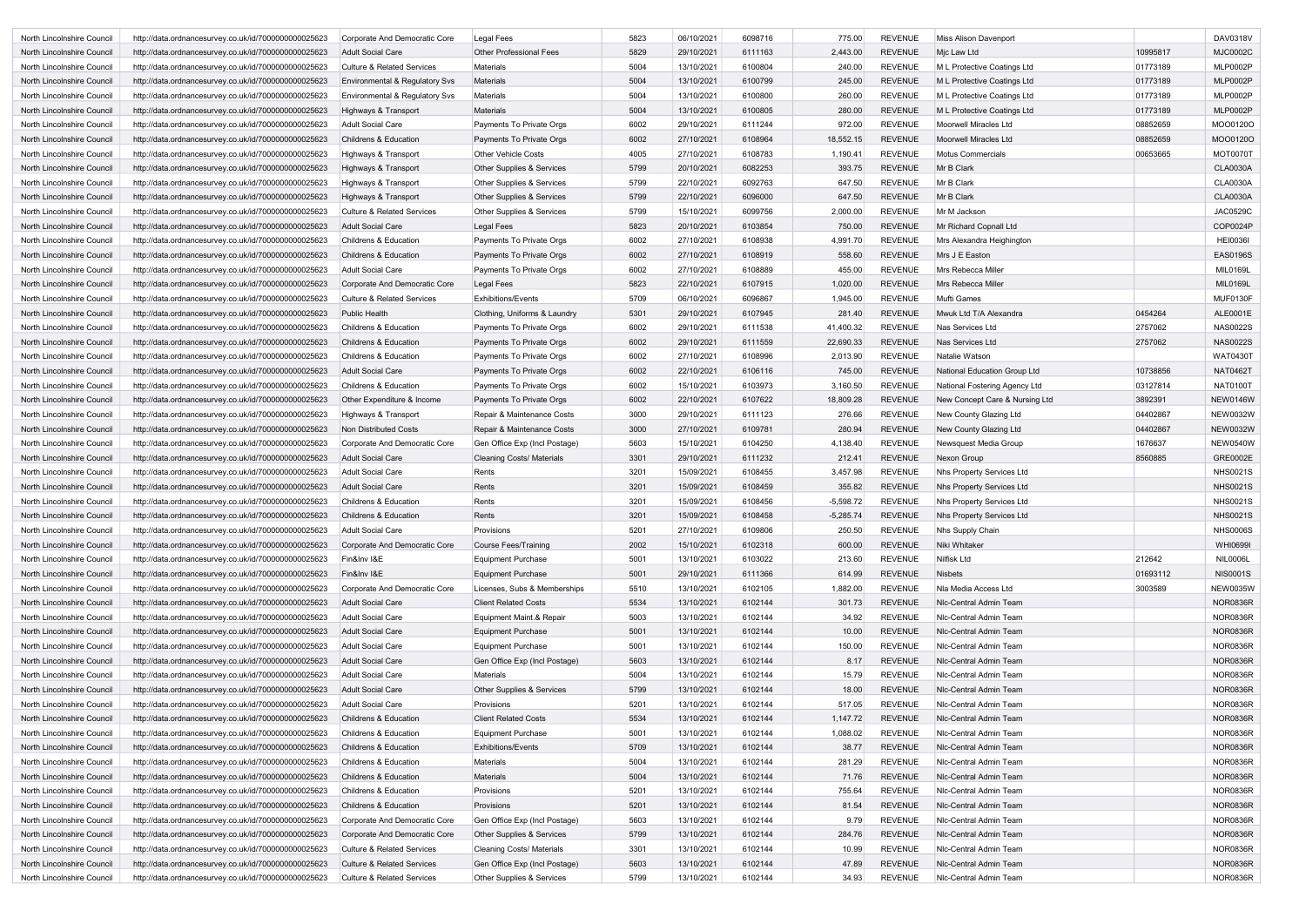| North Lincolnshire Council | http://data.ordnancesurvey.co.uk/id/7000000000025623 | Corporate And Democratic Core         | Legal Fees                           | 5823 | 06/10/2021 | 6098716 | 775.00      | <b>REVENUE</b> | Miss Alison Davenport               |          | DAV0318V        |
|----------------------------|------------------------------------------------------|---------------------------------------|--------------------------------------|------|------------|---------|-------------|----------------|-------------------------------------|----------|-----------------|
| North Lincolnshire Council | http://data.ordnancesurvey.co.uk/id/7000000000025623 | <b>Adult Social Care</b>              | <b>Other Professional Fees</b>       | 5829 | 29/10/2021 | 6111163 | 2,443.00    | <b>REVENUE</b> | Mic Law Ltd                         | 10995817 | <b>MJC0002C</b> |
| North Lincolnshire Council | http://data.ordnancesurvey.co.uk/id/7000000000025623 | <b>Culture &amp; Related Services</b> | Materials                            | 5004 | 13/10/2021 | 6100804 | 240.00      | <b>REVENUE</b> | M L Protective Coatings Ltd         | 01773189 | <b>MLP0002P</b> |
| North Lincolnshire Council | http://data.ordnancesurvey.co.uk/id/7000000000025623 | Environmental & Regulatory Svs        | <b>Materials</b>                     | 5004 | 13/10/2021 | 6100799 | 245.00      | <b>REVENUE</b> | M L Protective Coatings Ltd         | 01773189 | <b>MLP0002P</b> |
| North Lincolnshire Council | http://data.ordnancesurvey.co.uk/id/7000000000025623 | Environmental & Regulatory Svs        | Materials                            | 5004 | 13/10/2021 | 6100800 | 260.00      | <b>REVENUE</b> | M L Protective Coatings Ltd         | 01773189 | <b>MLP0002P</b> |
| North Lincolnshire Council | http://data.ordnancesurvey.co.uk/id/7000000000025623 | Highways & Transport                  | Materials                            | 5004 | 13/10/2021 | 6100805 | 280.00      | <b>REVENUE</b> | M L Protective Coatings Ltd         | 01773189 | <b>MLP0002P</b> |
| North Lincolnshire Council | http://data.ordnancesurvey.co.uk/id/7000000000025623 | <b>Adult Social Care</b>              | Payments To Private Orgs             | 6002 | 29/10/2021 | 6111244 | 972.00      | <b>REVENUE</b> | Moorwell Miracles Ltd               | 08852659 | MOO0120C        |
| North Lincolnshire Council | http://data.ordnancesurvey.co.uk/id/7000000000025623 | <b>Childrens &amp; Education</b>      | Payments To Private Orgs             | 6002 | 27/10/2021 | 6108964 | 18,552.15   | <b>REVENUE</b> | <b>Moorwell Miracles Ltd</b>        | 08852659 | MOO0120O        |
| North Lincolnshire Council | http://data.ordnancesurvey.co.uk/id/7000000000025623 | Highways & Transport                  | <b>Other Vehicle Costs</b>           | 4005 | 27/10/2021 | 6108783 | 1,190.41    | <b>REVENUE</b> | <b>Motus Commercials</b>            | 00653665 | <b>MOT0070T</b> |
| North Lincolnshire Council | http://data.ordnancesurvey.co.uk/id/7000000000025623 | Highways & Transport                  | <b>Other Supplies &amp; Services</b> | 5799 | 20/10/2021 | 6082253 | 393.75      | <b>REVENUE</b> | Mr B Clark                          |          | <b>CLA0030A</b> |
| North Lincolnshire Council | http://data.ordnancesurvey.co.uk/id/7000000000025623 | Highways & Transport                  | <b>Other Supplies &amp; Services</b> | 5799 | 22/10/2021 | 6092763 | 647.50      | <b>REVENUE</b> | Mr B Clark                          |          | <b>CLA0030A</b> |
| North Lincolnshire Council | http://data.ordnancesurvey.co.uk/id/7000000000025623 | Highways & Transport                  | Other Supplies & Services            | 5799 | 22/10/2021 | 6096000 | 647.50      | <b>REVENUE</b> | Mr B Clark                          |          | <b>CLA0030A</b> |
| North Lincolnshire Council | http://data.ordnancesurvey.co.uk/id/7000000000025623 | <b>Culture &amp; Related Services</b> | Other Supplies & Services            | 5799 | 15/10/2021 | 6099756 | 2,000.00    | <b>REVENUE</b> | Mr M Jackson                        |          | <b>JAC0529C</b> |
| North Lincolnshire Council | http://data.ordnancesurvey.co.uk/id/7000000000025623 | <b>Adult Social Care</b>              | Legal Fees                           | 5823 | 20/10/2021 | 6103854 | 750.00      | <b>REVENUE</b> | Mr Richard Copnall Ltd              |          | COP0024P        |
|                            |                                                      |                                       |                                      |      |            |         |             |                |                                     |          |                 |
| North Lincolnshire Council | http://data.ordnancesurvey.co.uk/id/7000000000025623 | <b>Childrens &amp; Education</b>      | Payments To Private Orgs             | 6002 | 27/10/2021 | 6108938 | 4,991.70    | <b>REVENUE</b> | Mrs Alexandra Heighington           |          | <b>HEI0036I</b> |
| North Lincolnshire Council | http://data.ordnancesurvey.co.uk/id/7000000000025623 | <b>Childrens &amp; Education</b>      | Payments To Private Orgs             | 6002 | 27/10/2021 | 6108919 | 558.60      | <b>REVENUE</b> | Mrs J E Easton                      |          | <b>EAS0196S</b> |
| North Lincolnshire Council | http://data.ordnancesurvey.co.uk/id/7000000000025623 | Adult Social Care                     | Payments To Private Orgs             | 6002 | 27/10/2021 | 6108889 | 455.00      | <b>REVENUE</b> | Mrs Rebecca Miller                  |          | <b>MIL0169L</b> |
| North Lincolnshire Council | http://data.ordnancesurvey.co.uk/id/7000000000025623 | Corporate And Democratic Core         | Legal Fees                           | 5823 | 22/10/2021 | 6107915 | 1,020.00    | <b>REVENUE</b> | Mrs Rebecca Miller                  |          | <b>MIL0169L</b> |
| North Lincolnshire Council | http://data.ordnancesurvey.co.uk/id/7000000000025623 | <b>Culture &amp; Related Services</b> | <b>Exhibitions/Events</b>            | 5709 | 06/10/2021 | 6096867 | 1,945.00    | <b>REVENUE</b> | Mufti Games                         |          | MUF0130F        |
| North Lincolnshire Council | http://data.ordnancesurvey.co.uk/id/7000000000025623 | <b>Public Health</b>                  | Clothing, Uniforms & Laundry         | 5301 | 29/10/2021 | 6107945 | 281.40      | <b>REVENUE</b> | Mwuk Ltd T/A Alexandra              | 0454264  | ALE0001E        |
| North Lincolnshire Council | http://data.ordnancesurvey.co.uk/id/7000000000025623 | <b>Childrens &amp; Education</b>      | Payments To Private Orgs             | 6002 | 29/10/2021 | 6111538 | 41,400.32   | <b>REVENUE</b> | Nas Services Ltd                    | 2757062  | <b>NAS0022S</b> |
| North Lincolnshire Council | http://data.ordnancesurvey.co.uk/id/7000000000025623 | <b>Childrens &amp; Education</b>      | Payments To Private Orgs             | 6002 | 29/10/2021 | 6111559 | 22,690.33   | <b>REVENUE</b> | Nas Services Ltd                    | 2757062  | <b>NAS0022S</b> |
| North Lincolnshire Council | http://data.ordnancesurvey.co.uk/id/7000000000025623 | <b>Childrens &amp; Education</b>      | Payments To Private Orgs             | 6002 | 27/10/2021 | 6108996 | 2,013.90    | <b>REVENUE</b> | Natalie Watson                      |          | WAT04301        |
| North Lincolnshire Council | http://data.ordnancesurvey.co.uk/id/7000000000025623 | <b>Adult Social Care</b>              | Payments To Private Orgs             | 6002 | 22/10/2021 | 6106116 | 745.00      | <b>REVENUE</b> | <b>National Education Group Ltd</b> | 10738856 | <b>NAT0462T</b> |
| North Lincolnshire Council | http://data.ordnancesurvey.co.uk/id/7000000000025623 | <b>Childrens &amp; Education</b>      | Payments To Private Orgs             | 6002 | 15/10/2021 | 6103973 | 3,160.50    | <b>REVENUE</b> | National Fostering Agency Ltd       | 03127814 | <b>NAT0100T</b> |
| North Lincolnshire Council | http://data.ordnancesurvey.co.uk/id/7000000000025623 | Other Expenditure & Income            | Payments To Private Orgs             | 6002 | 22/10/2021 | 6107622 | 18,809.28   | <b>REVENUE</b> | New Concept Care & Nursing Ltd      | 3892391  | <b>NEW0146W</b> |
| North Lincolnshire Council | http://data.ordnancesurvey.co.uk/id/7000000000025623 | Highways & Transport                  | Repair & Maintenance Costs           | 3000 | 29/10/2021 | 6111123 | 276.66      | <b>REVENUE</b> | New County Glazing Ltd              | 04402867 | <b>NEW0032W</b> |
| North Lincolnshire Council | http://data.ordnancesurvey.co.uk/id/7000000000025623 | Non Distributed Costs                 | Repair & Maintenance Costs           | 3000 | 27/10/2021 | 6109781 | 280.94      | <b>REVENUE</b> | New County Glazing Ltd              | 04402867 | <b>NEW0032W</b> |
| North Lincolnshire Council | http://data.ordnancesurvey.co.uk/id/7000000000025623 | Corporate And Democratic Core         | Gen Office Exp (Incl Postage)        | 5603 | 15/10/2021 | 6104250 | 4,138.40    | <b>REVENUE</b> | Newsquest Media Group               | 1676637  | <b>NEW0540W</b> |
| North Lincolnshire Council | http://data.ordnancesurvey.co.uk/id/7000000000025623 | <b>Adult Social Care</b>              | <b>Cleaning Costs/ Materials</b>     | 3301 | 29/10/2021 | 6111232 | 212.41      | <b>REVENUE</b> | Nexon Group                         | 8560885  | <b>GRE0002E</b> |
| North Lincolnshire Council | http://data.ordnancesurvey.co.uk/id/7000000000025623 | <b>Adult Social Care</b>              | Rents                                | 3201 | 15/09/2021 | 6108455 | 3,457.98    | <b>REVENUE</b> | <b>Nhs Property Services Ltd</b>    |          | <b>NHS0021S</b> |
| North Lincolnshire Council | http://data.ordnancesurvey.co.uk/id/7000000000025623 | <b>Adult Social Care</b>              | Rents                                | 3201 | 15/09/2021 | 6108459 | 355.82      | <b>REVENUE</b> | Nhs Property Services Ltd           |          | <b>NHS0021S</b> |
| North Lincolnshire Council | http://data.ordnancesurvey.co.uk/id/7000000000025623 | <b>Childrens &amp; Education</b>      | Rents                                | 3201 | 15/09/2021 | 6108456 | $-5,598.72$ | <b>REVENUE</b> | <b>Nhs Property Services Ltd</b>    |          | <b>NHS0021S</b> |
| North Lincolnshire Council | http://data.ordnancesurvey.co.uk/id/7000000000025623 | <b>Childrens &amp; Education</b>      | Rents                                | 3201 | 15/09/2021 | 6108458 | $-5.285.74$ | <b>REVENUE</b> | Nhs Property Services Ltd           |          | <b>NHS0021S</b> |
| North Lincolnshire Council | http://data.ordnancesurvey.co.uk/id/7000000000025623 | <b>Adult Social Care</b>              | Provisions                           | 5201 | 27/10/2021 | 6109806 | 250.50      | <b>REVENUE</b> | Nhs Supply Chain                    |          | <b>NHS0006S</b> |
| North Lincolnshire Council | http://data.ordnancesurvey.co.uk/id/7000000000025623 | Corporate And Democratic Core         | Course Fees/Training                 | 2002 | 15/10/2021 | 6102318 | 600.00      | <b>REVENUE</b> | Niki Whitaker                       |          | <b>WHI0699I</b> |
| North Lincolnshire Council | http://data.ordnancesurvey.co.uk/id/7000000000025623 | Fin&Inv I&E                           | <b>Equipment Purchase</b>            | 5001 | 13/10/2021 | 6103022 | 213.60      | <b>REVENUE</b> | Nilfisk Ltd                         | 212642   | <b>NIL0006L</b> |
| North Lincolnshire Council | http://data.ordnancesurvey.co.uk/id/7000000000025623 | Fin&Inv I&E                           | <b>Equipment Purchase</b>            | 5001 | 29/10/2021 | 6111366 | 614.99      | <b>REVENUE</b> | <b>Nisbets</b>                      | 01693112 | <b>NIS0001S</b> |
| North Lincolnshire Council | http://data.ordnancesurvey.co.uk/id/7000000000025623 | Corporate And Democratic Core         | Licenses, Subs & Memberships         | 5510 | 13/10/2021 | 6102105 | 1,882.00    | <b>REVENUE</b> | Nla Media Access Ltd                | 3003589  | <b>NEW0035W</b> |
| North Lincolnshire Council | http://data.ordnancesurvey.co.uk/id/7000000000025623 | <b>Adult Social Care</b>              | <b>Client Related Costs</b>          | 5534 | 13/10/2021 | 6102144 | 301.73      | <b>REVENUE</b> | Nic-Central Admin Team              |          | <b>NOR0836R</b> |
| North Lincolnshire Council | http://data.ordnancesurvey.co.uk/id/7000000000025623 | <b>Adult Social Care</b>              | Equipment Maint.& Repair             | 5003 | 13/10/2021 | 6102144 | 34.92       | <b>REVENUE</b> | Nic-Central Admin Team              |          | <b>NOR0836R</b> |
| North Lincolnshire Council | http://data.ordnancesurvey.co.uk/id/7000000000025623 | <b>Adult Social Care</b>              | <b>Equipment Purchase</b>            | 5001 | 13/10/2021 | 6102144 | 10.00       | <b>REVENUE</b> | Nic-Central Admin Team              |          | <b>NOR0836R</b> |
| North Lincolnshire Council | http://data.ordnancesurvey.co.uk/id/7000000000025623 | <b>Adult Social Care</b>              | <b>Equipment Purchase</b>            | 5001 | 13/10/2021 | 6102144 | 150.00      | <b>REVENUE</b> | Nic-Central Admin Team              |          | <b>NOR0836R</b> |
| North Lincolnshire Council | http://data.ordnancesurvey.co.uk/id/7000000000025623 | <b>Adult Social Care</b>              | Gen Office Exp (Incl Postage)        | 5603 | 13/10/2021 | 6102144 | 8.17        | <b>REVENUE</b> | Nic-Central Admin Team              |          | <b>NOR0836R</b> |
| North Lincolnshire Council | http://data.ordnancesurvey.co.uk/id/7000000000025623 | <b>Adult Social Care</b>              | <b>Materials</b>                     | 5004 | 13/10/2021 | 6102144 | 15.79       | <b>REVENUE</b> | NIc-Central Admin Team              |          | <b>NOR0836R</b> |
| North Lincolnshire Council | http://data.ordnancesurvey.co.uk/id/7000000000025623 | <b>Adult Social Care</b>              | Other Supplies & Services            | 5799 | 13/10/2021 | 6102144 | 18.00       | <b>REVENUE</b> | Nic-Central Admin Team              |          | <b>NOR0836R</b> |
|                            |                                                      | <b>Adult Social Care</b>              | Provisions                           | 5201 | 13/10/2021 | 6102144 | 517.05      | <b>REVENUE</b> | Nic-Central Admin Team              |          | <b>NOR0836R</b> |
| North Lincolnshire Council | http://data.ordnancesurvey.co.uk/id/7000000000025623 | <b>Childrens &amp; Education</b>      | <b>Client Related Costs</b>          | 5534 | 13/10/2021 | 6102144 |             |                | Nic-Central Admin Team              |          | <b>NOR0836R</b> |
| North Lincolnshire Council | http://data.ordnancesurvey.co.uk/id/7000000000025623 |                                       |                                      |      |            |         | 1,147.72    | <b>REVENUE</b> |                                     |          |                 |
| North Lincolnshire Council | http://data.ordnancesurvey.co.uk/id/7000000000025623 | Childrens & Education                 | <b>Equipment Purchase</b>            | 5001 | 13/10/2021 | 6102144 | 1,088.02    | <b>REVENUE</b> | Nic-Central Admin Team              |          | <b>NOR0836R</b> |
| North Lincolnshire Council | http://data.ordnancesurvey.co.uk/id/7000000000025623 | Childrens & Education                 | <b>Exhibitions/Events</b>            | 5709 | 13/10/2021 | 6102144 | 38.77       | <b>REVENUE</b> | Nlc-Central Admin Team              |          | <b>NOR0836R</b> |
| North Lincolnshire Council | http://data.ordnancesurvey.co.uk/id/7000000000025623 | Childrens & Education                 | <b>Materials</b>                     | 5004 | 13/10/2021 | 6102144 | 281.29      | <b>REVENUE</b> | Nlc-Central Admin Team              |          | <b>NOR0836R</b> |
| North Lincolnshire Council | http://data.ordnancesurvey.co.uk/id/7000000000025623 | <b>Childrens &amp; Education</b>      | <b>Materials</b>                     | 5004 | 13/10/2021 | 6102144 | 71.76       | <b>REVENUE</b> | Nic-Central Admin Team              |          | <b>NOR0836R</b> |
| North Lincolnshire Council | http://data.ordnancesurvey.co.uk/id/7000000000025623 | Childrens & Education                 | Provisions                           | 5201 | 13/10/2021 | 6102144 | 755.64      | <b>REVENUE</b> | Nic-Central Admin Team              |          | <b>NOR0836R</b> |
| North Lincolnshire Council | http://data.ordnancesurvey.co.uk/id/7000000000025623 | Childrens & Education                 | Provisions                           | 5201 | 13/10/2021 | 6102144 | 81.54       | <b>REVENUE</b> | Nic-Central Admin Team              |          | <b>NOR0836R</b> |
| North Lincolnshire Council | http://data.ordnancesurvey.co.uk/id/7000000000025623 | Corporate And Democratic Core         | Gen Office Exp (Incl Postage)        | 5603 | 13/10/2021 | 6102144 | 9.79        | <b>REVENUE</b> | Nic-Central Admin Team              |          | <b>NOR0836R</b> |
| North Lincolnshire Council | http://data.ordnancesurvey.co.uk/id/7000000000025623 | Corporate And Democratic Core         | Other Supplies & Services            | 5799 | 13/10/2021 | 6102144 | 284.76      | <b>REVENUE</b> | Nic-Central Admin Team              |          | <b>NOR0836R</b> |
| North Lincolnshire Council | http://data.ordnancesurvey.co.uk/id/7000000000025623 | <b>Culture &amp; Related Services</b> | <b>Cleaning Costs/ Materials</b>     | 3301 | 13/10/2021 | 6102144 | 10.99       | <b>REVENUE</b> | Nic-Central Admin Team              |          | <b>NOR0836R</b> |
| North Lincolnshire Council | http://data.ordnancesurvey.co.uk/id/7000000000025623 | <b>Culture &amp; Related Services</b> | Gen Office Exp (Incl Postage)        | 5603 | 13/10/2021 | 6102144 | 47.89       | <b>REVENUE</b> | Nic-Central Admin Team              |          | <b>NOR0836R</b> |
| North Lincolnshire Council | http://data.ordnancesurvey.co.uk/id/7000000000025623 | <b>Culture &amp; Related Services</b> | Other Supplies & Services            | 5799 | 13/10/2021 | 6102144 | 34.93       | <b>REVENUE</b> | Nic-Central Admin Team              |          | <b>NOR0836R</b> |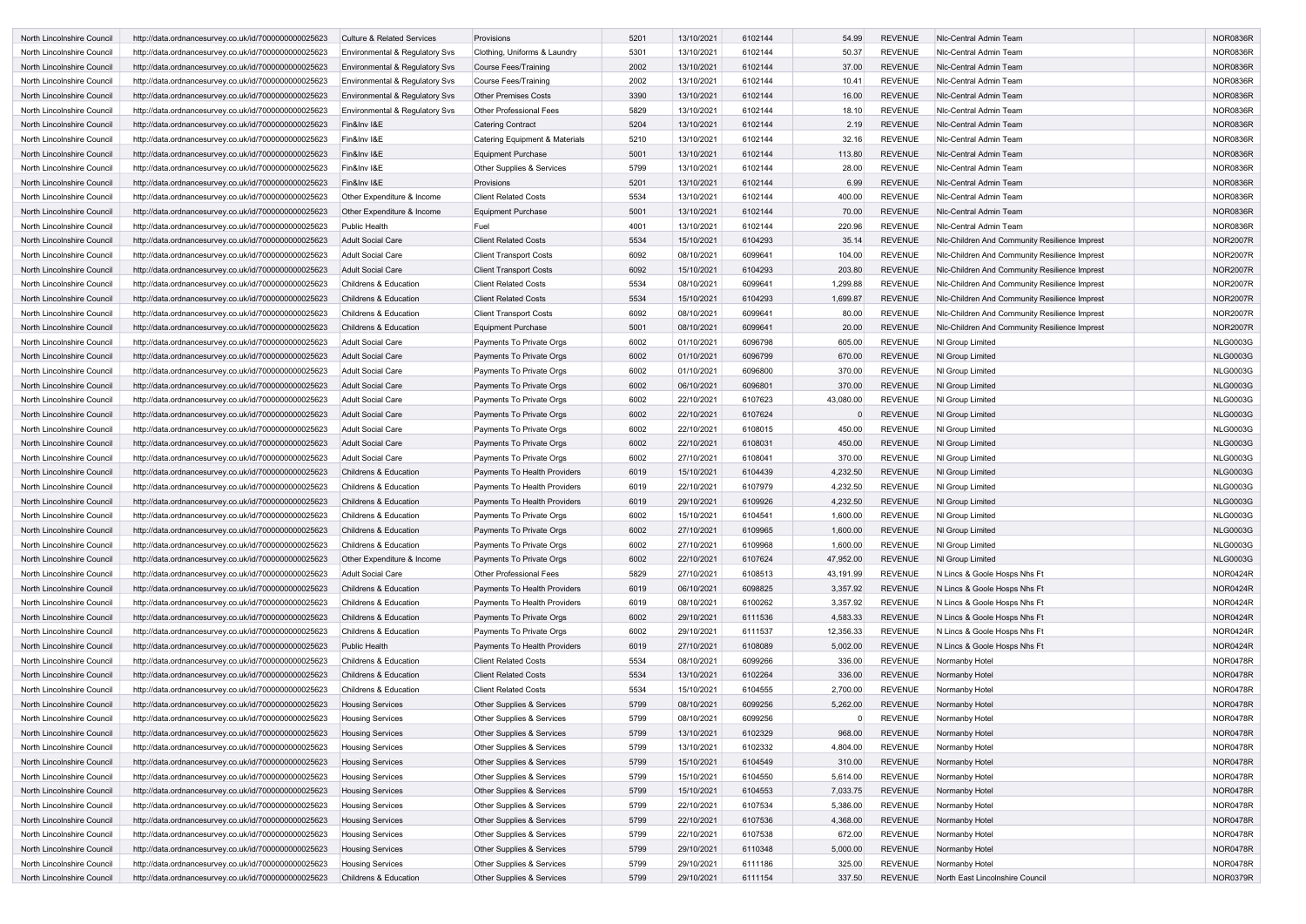| North Lincolnshire Council | http://data.ordnancesurvey.co.uk/id/7000000000025623 | Culture & Related Services       | Provisions                          | 5201 | 13/10/2021 | 6102144 | 54.99     | <b>REVENUE</b> | Nic-Central Admin Team                        | <b>NOR0836R</b> |
|----------------------------|------------------------------------------------------|----------------------------------|-------------------------------------|------|------------|---------|-----------|----------------|-----------------------------------------------|-----------------|
| North Lincolnshire Council | http://data.ordnancesurvey.co.uk/id/7000000000025623 | Environmental & Regulatory Svs   | Clothing, Uniforms & Laundry        | 5301 | 13/10/2021 | 6102144 | 50.37     | <b>REVENUE</b> | Nic-Central Admin Team                        | <b>NOR0836R</b> |
| North Lincolnshire Council | http://data.ordnancesurvey.co.uk/id/7000000000025623 | Environmental & Regulatory Svs   | Course Fees/Training                | 2002 | 13/10/2021 | 6102144 | 37.00     | <b>REVENUE</b> | Nic-Central Admin Team                        | <b>NOR0836R</b> |
| North Lincolnshire Council | http://data.ordnancesurvey.co.uk/id/7000000000025623 | Environmental & Regulatory Svs   | Course Fees/Training                | 2002 | 13/10/2021 | 6102144 | 10.41     | <b>REVENUE</b> | NIc-Central Admin Team                        | <b>NOR0836R</b> |
| North Lincolnshire Council | http://data.ordnancesurvey.co.uk/id/7000000000025623 | Environmental & Regulatory Svs   | <b>Other Premises Costs</b>         | 3390 | 13/10/2021 | 6102144 | 16.00     | <b>REVENUE</b> | NIc-Central Admin Team                        | <b>NOR0836R</b> |
| North Lincolnshire Council | http://data.ordnancesurvey.co.uk/id/7000000000025623 | Environmental & Regulatory Svs   | <b>Other Professional Fees</b>      | 5829 | 13/10/2021 | 6102144 | 18.10     | <b>REVENUE</b> | Nic-Central Admin Team                        | <b>NOR0836R</b> |
| North Lincolnshire Council | http://data.ordnancesurvey.co.uk/id/7000000000025623 | Fin&Inv I&E                      | <b>Catering Contract</b>            | 5204 | 13/10/2021 | 6102144 | 2.19      | <b>REVENUE</b> | Nic-Central Admin Team                        | <b>NOR0836R</b> |
| North Lincolnshire Council | http://data.ordnancesurvey.co.uk/id/7000000000025623 | Fin&Inv I&E                      | Catering Equipment & Materials      | 5210 | 13/10/2021 | 6102144 | 32.16     | <b>REVENUE</b> | Nlc-Central Admin Team                        | <b>NOR0836R</b> |
| North Lincolnshire Council | http://data.ordnancesurvey.co.uk/id/7000000000025623 | Fin&Inv I&E                      | <b>Equipment Purchase</b>           | 5001 | 13/10/2021 | 6102144 | 113.80    | <b>REVENUE</b> | Nic-Central Admin Team                        | <b>NOR0836R</b> |
| North Lincolnshire Council | http://data.ordnancesurvey.co.uk/id/7000000000025623 | Fin&Inv I&E                      | Other Supplies & Services           | 5799 | 13/10/2021 | 6102144 | 28.00     | <b>REVENUE</b> | NIc-Central Admin Team                        | <b>NOR0836R</b> |
| North Lincolnshire Council | http://data.ordnancesurvey.co.uk/id/7000000000025623 | Fin&Inv I&E                      | Provisions                          | 5201 | 13/10/2021 | 6102144 | 6.99      | <b>REVENUE</b> | Nic-Central Admin Team                        | <b>NOR0836R</b> |
| North Lincolnshire Council | http://data.ordnancesurvey.co.uk/id/7000000000025623 | Other Expenditure & Income       | <b>Client Related Costs</b>         | 5534 | 13/10/2021 | 6102144 | 400.00    | <b>REVENUE</b> | Nic-Central Admin Team                        | <b>NOR0836R</b> |
| North Lincolnshire Council | http://data.ordnancesurvey.co.uk/id/7000000000025623 | Other Expenditure & Income       | <b>Equipment Purchase</b>           | 5001 | 13/10/2021 | 6102144 | 70.00     | <b>REVENUE</b> | Nic-Central Admin Team                        | <b>NOR0836R</b> |
| North Lincolnshire Council | http://data.ordnancesurvey.co.uk/id/7000000000025623 | <b>Public Health</b>             | Fuel                                | 4001 | 13/10/2021 | 6102144 | 220.96    | <b>REVENUE</b> | Nlc-Central Admin Team                        | <b>NOR0836R</b> |
| North Lincolnshire Council | http://data.ordnancesurvey.co.uk/id/7000000000025623 | <b>Adult Social Care</b>         | <b>Client Related Costs</b>         | 5534 | 15/10/2021 | 6104293 | 35.14     | <b>REVENUE</b> | NIc-Children And Community Resilience Imprest | <b>NOR2007R</b> |
|                            |                                                      | <b>Adult Social Care</b>         |                                     | 6092 |            | 6099641 | 104.00    | <b>REVENUE</b> |                                               | <b>NOR2007R</b> |
| North Lincolnshire Council | http://data.ordnancesurvey.co.uk/id/7000000000025623 |                                  | <b>Client Transport Costs</b>       |      | 08/10/2021 |         |           |                | NIc-Children And Community Resilience Imprest |                 |
| North Lincolnshire Council | http://data.ordnancesurvey.co.uk/id/7000000000025623 | <b>Adult Social Care</b>         | <b>Client Transport Costs</b>       | 6092 | 15/10/2021 | 6104293 | 203.80    | <b>REVENUE</b> | NIc-Children And Community Resilience Imprest | <b>NOR2007R</b> |
| North Lincolnshire Council | http://data.ordnancesurvey.co.uk/id/7000000000025623 | <b>Childrens &amp; Education</b> | <b>Client Related Costs</b>         | 5534 | 08/10/2021 | 6099641 | 1,299.88  | <b>REVENUE</b> | NIc-Children And Community Resilience Imprest | <b>NOR2007R</b> |
| North Lincolnshire Council | http://data.ordnancesurvey.co.uk/id/7000000000025623 | <b>Childrens &amp; Education</b> | <b>Client Related Costs</b>         | 5534 | 15/10/2021 | 6104293 | 1,699.87  | <b>REVENUE</b> | NIc-Children And Community Resilience Imprest | <b>NOR2007R</b> |
| North Lincolnshire Council | http://data.ordnancesurvey.co.uk/id/7000000000025623 | <b>Childrens &amp; Education</b> | <b>Client Transport Costs</b>       | 6092 | 08/10/2021 | 6099641 | 80.00     | <b>REVENUE</b> | Nic-Children And Community Resilience Imprest | <b>NOR2007R</b> |
| North Lincolnshire Council | http://data.ordnancesurvey.co.uk/id/7000000000025623 | <b>Childrens &amp; Education</b> | <b>Equipment Purchase</b>           | 5001 | 08/10/2021 | 6099641 | 20.00     | <b>REVENUE</b> | NIc-Children And Community Resilience Imprest | <b>NOR2007R</b> |
| North Lincolnshire Council | http://data.ordnancesurvey.co.uk/id/7000000000025623 | <b>Adult Social Care</b>         | Payments To Private Orgs            | 6002 | 01/10/2021 | 6096798 | 605.00    | <b>REVENUE</b> | NI Group Limited                              | <b>NLG0003G</b> |
| North Lincolnshire Council | http://data.ordnancesurvey.co.uk/id/7000000000025623 | <b>Adult Social Care</b>         | Payments To Private Orgs            | 6002 | 01/10/2021 | 6096799 | 670.00    | <b>REVENUE</b> | NI Group Limited                              | <b>NLG0003G</b> |
| North Lincolnshire Council | http://data.ordnancesurvey.co.uk/id/7000000000025623 | <b>Adult Social Care</b>         | Payments To Private Orgs            | 6002 | 01/10/2021 | 6096800 | 370.00    | <b>REVENUE</b> | NI Group Limited                              | <b>NLG0003G</b> |
| North Lincolnshire Council | http://data.ordnancesurvey.co.uk/id/7000000000025623 | <b>Adult Social Care</b>         | Payments To Private Orgs            | 6002 | 06/10/2021 | 6096801 | 370.00    | <b>REVENUE</b> | NI Group Limited                              | <b>NLG0003G</b> |
| North Lincolnshire Council | http://data.ordnancesurvey.co.uk/id/7000000000025623 | <b>Adult Social Care</b>         | Payments To Private Orgs            | 6002 | 22/10/2021 | 6107623 | 43,080.00 | <b>REVENUE</b> | NI Group Limited                              | <b>NLG0003G</b> |
| North Lincolnshire Council | http://data.ordnancesurvey.co.uk/id/7000000000025623 | <b>Adult Social Care</b>         | Payments To Private Orgs            | 6002 | 22/10/2021 | 6107624 |           | <b>REVENUE</b> | NI Group Limited                              | <b>NLG0003G</b> |
| North Lincolnshire Council | http://data.ordnancesurvey.co.uk/id/7000000000025623 | <b>Adult Social Care</b>         | Payments To Private Orgs            | 6002 | 22/10/2021 | 6108015 | 450.00    | <b>REVENUE</b> | NI Group Limited                              | <b>NLG0003G</b> |
| North Lincolnshire Council | http://data.ordnancesurvey.co.uk/id/7000000000025623 | <b>Adult Social Care</b>         | Payments To Private Orgs            | 6002 | 22/10/2021 | 6108031 | 450.00    | <b>REVENUE</b> | NI Group Limited                              | <b>NLG0003G</b> |
| North Lincolnshire Council | http://data.ordnancesurvey.co.uk/id/7000000000025623 | <b>Adult Social Care</b>         | Payments To Private Orgs            | 6002 | 27/10/2021 | 6108041 | 370.00    | <b>REVENUE</b> | NI Group Limited                              | <b>NLG0003G</b> |
| North Lincolnshire Council | http://data.ordnancesurvey.co.uk/id/7000000000025623 | <b>Childrens &amp; Education</b> | Payments To Health Providers        | 6019 | 15/10/2021 | 6104439 | 4,232.50  | <b>REVENUE</b> | NI Group Limited                              | <b>NLG0003G</b> |
| North Lincolnshire Council | http://data.ordnancesurvey.co.uk/id/7000000000025623 | Childrens & Education            | <b>Payments To Health Providers</b> | 6019 | 22/10/2021 | 6107979 | 4,232.50  | <b>REVENUE</b> | NI Group Limited                              | <b>NLG0003G</b> |
| North Lincolnshire Council | http://data.ordnancesurvey.co.uk/id/7000000000025623 | <b>Childrens &amp; Education</b> | Payments To Health Providers        | 6019 | 29/10/2021 | 6109926 | 4,232.50  | <b>REVENUE</b> | NI Group Limited                              | <b>NLG0003G</b> |
| North Lincolnshire Council | http://data.ordnancesurvey.co.uk/id/7000000000025623 | Childrens & Education            | Payments To Private Orgs            | 6002 | 15/10/2021 | 6104541 | 1,600.00  | <b>REVENUE</b> | NI Group Limited                              | <b>NLG0003G</b> |
| North Lincolnshire Council | http://data.ordnancesurvey.co.uk/id/7000000000025623 | <b>Childrens &amp; Education</b> | Payments To Private Orgs            | 6002 | 27/10/2021 | 6109965 | 1,600.00  | <b>REVENUE</b> | NI Group Limited                              | <b>NLG0003G</b> |
| North Lincolnshire Council | http://data.ordnancesurvey.co.uk/id/7000000000025623 | <b>Childrens &amp; Education</b> | Payments To Private Orgs            | 6002 | 27/10/2021 | 6109968 | 1,600.00  | <b>REVENUE</b> | NI Group Limited                              | <b>NLG0003G</b> |
| North Lincolnshire Council | http://data.ordnancesurvey.co.uk/id/7000000000025623 | Other Expenditure & Income       | Payments To Private Orgs            | 6002 | 22/10/2021 | 6107624 | 47,952.00 | <b>REVENUE</b> | NI Group Limited                              | <b>NLG0003G</b> |
| North Lincolnshire Council | http://data.ordnancesurvey.co.uk/id/7000000000025623 | <b>Adult Social Care</b>         | <b>Other Professional Fees</b>      | 5829 | 27/10/2021 | 6108513 | 43,191.99 | <b>REVENUE</b> | N Lincs & Goole Hosps Nhs Ft                  | <b>NOR0424R</b> |
| North Lincolnshire Council | http://data.ordnancesurvey.co.uk/id/7000000000025623 | <b>Childrens &amp; Education</b> | Payments To Health Providers        | 6019 | 06/10/2021 | 6098825 | 3,357.92  | <b>REVENUE</b> | N Lincs & Goole Hosps Nhs Ft                  | <b>NOR0424R</b> |
| North Lincolnshire Council | http://data.ordnancesurvey.co.uk/id/7000000000025623 | <b>Childrens &amp; Education</b> | Payments To Health Providers        | 6019 | 08/10/2021 | 6100262 | 3,357.92  | <b>REVENUE</b> | N Lincs & Goole Hosps Nhs Ft                  | <b>NOR0424R</b> |
| North Lincolnshire Council | http://data.ordnancesurvey.co.uk/id/7000000000025623 | <b>Childrens &amp; Education</b> | Payments To Private Orgs            | 6002 | 29/10/2021 | 6111536 | 4,583.33  | <b>REVENUE</b> | N Lincs & Goole Hosps Nhs Ft                  | <b>NOR0424R</b> |
| North Lincolnshire Council | http://data.ordnancesurvey.co.uk/id/7000000000025623 | <b>Childrens &amp; Education</b> | Payments To Private Orgs            | 6002 | 29/10/2021 | 6111537 | 12,356.33 | <b>REVENUE</b> | N Lincs & Goole Hosps Nhs Ft                  | <b>NOR0424R</b> |
| North Lincolnshire Council | http://data.ordnancesurvey.co.uk/id/7000000000025623 | Public Health                    | Payments To Health Providers        | 6019 | 27/10/2021 | 6108089 | 5,002.00  | <b>REVENUE</b> | N Lincs & Goole Hosps Nhs Ft                  | <b>NOR0424R</b> |
| North Lincolnshire Council | http://data.ordnancesurvey.co.uk/id/7000000000025623 | <b>Childrens &amp; Education</b> | <b>Client Related Costs</b>         | 5534 | 08/10/2021 | 6099266 | 336.00    | <b>REVENUE</b> | Normanby Hotel                                | <b>NOR0478R</b> |
|                            |                                                      |                                  |                                     |      |            |         |           | <b>REVENUE</b> |                                               | <b>NOR0478R</b> |
| North Lincolnshire Council | http://data.ordnancesurvey.co.uk/id/7000000000025623 | <b>Childrens &amp; Education</b> | <b>Client Related Costs</b>         | 5534 | 13/10/2021 | 6102264 | 336.00    |                | Normanby Hotel                                |                 |
| North Lincolnshire Council | http://data.ordnancesurvey.co.uk/id/7000000000025623 | <b>Childrens &amp; Education</b> | <b>Client Related Costs</b>         | 5534 | 15/10/2021 | 6104555 | 2,700.00  | <b>REVENUE</b> | Normanby Hotel                                | <b>NOR0478R</b> |
| North Lincolnshire Council | http://data.ordnancesurvey.co.uk/id/7000000000025623 | <b>Housing Services</b>          | Other Supplies & Services           | 5799 | 08/10/2021 | 6099256 | 5,262.00  | <b>REVENUE</b> | Normanby Hotel                                | <b>NOR0478R</b> |
| North Lincolnshire Council | http://data.ordnancesurvey.co.uk/id/7000000000025623 | <b>Housing Services</b>          | Other Supplies & Services           | 5799 | 08/10/2021 | 6099256 |           | <b>REVENUE</b> | Normanby Hotel                                | <b>NOR0478R</b> |
| North Lincolnshire Council | http://data.ordnancesurvey.co.uk/id/7000000000025623 | <b>Housing Services</b>          | Other Supplies & Services           | 5799 | 13/10/2021 | 6102329 | 968.00    | <b>REVENUE</b> | Normanby Hotel                                | <b>NOR0478R</b> |
| North Lincolnshire Council | http://data.ordnancesurvey.co.uk/id/7000000000025623 | <b>Housing Services</b>          | Other Supplies & Services           | 5799 | 13/10/2021 | 6102332 | 4,804.00  | <b>REVENUE</b> | Normanby Hotel                                | <b>NOR0478R</b> |
| North Lincolnshire Council | http://data.ordnancesurvey.co.uk/id/7000000000025623 | <b>Housing Services</b>          | Other Supplies & Services           | 5799 | 15/10/2021 | 6104549 | 310.00    | <b>REVENUE</b> | Normanby Hotel                                | <b>NOR0478R</b> |
| North Lincolnshire Council | http://data.ordnancesurvey.co.uk/id/7000000000025623 | <b>Housing Services</b>          | Other Supplies & Services           | 5799 | 15/10/2021 | 6104550 | 5,614.00  | <b>REVENUE</b> | Normanby Hotel                                | <b>NOR0478R</b> |
| North Lincolnshire Council | http://data.ordnancesurvey.co.uk/id/7000000000025623 | <b>Housing Services</b>          | Other Supplies & Services           | 5799 | 15/10/2021 | 6104553 | 7,033.75  | <b>REVENUE</b> | Normanby Hotel                                | <b>NOR0478R</b> |
| North Lincolnshire Council | http://data.ordnancesurvey.co.uk/id/7000000000025623 | <b>Housing Services</b>          | Other Supplies & Services           | 5799 | 22/10/2021 | 6107534 | 5,386.00  | <b>REVENUE</b> | Normanby Hotel                                | <b>NOR0478R</b> |
| North Lincolnshire Council | http://data.ordnancesurvey.co.uk/id/7000000000025623 | <b>Housing Services</b>          | Other Supplies & Services           | 5799 | 22/10/2021 | 6107536 | 4,368.00  | <b>REVENUE</b> | Normanby Hotel                                | <b>NOR0478R</b> |
| North Lincolnshire Council | http://data.ordnancesurvey.co.uk/id/7000000000025623 | <b>Housing Services</b>          | Other Supplies & Services           | 5799 | 22/10/2021 | 6107538 | 672.00    | <b>REVENUE</b> | Normanby Hotel                                | <b>NOR0478R</b> |
| North Lincolnshire Council | http://data.ordnancesurvey.co.uk/id/7000000000025623 | <b>Housing Services</b>          | Other Supplies & Services           | 5799 | 29/10/2021 | 6110348 | 5,000.00  | <b>REVENUE</b> | Normanby Hotel                                | <b>NOR0478R</b> |
| North Lincolnshire Council | http://data.ordnancesurvey.co.uk/id/7000000000025623 | <b>Housing Services</b>          | Other Supplies & Services           | 5799 | 29/10/2021 | 6111186 | 325.00    | <b>REVENUE</b> | Normanby Hotel                                | <b>NOR0478R</b> |
| North Lincolnshire Council | http://data.ordnancesurvey.co.uk/id/7000000000025623 | <b>Childrens &amp; Education</b> | Other Supplies & Services           | 5799 | 29/10/2021 | 6111154 | 337.50    | <b>REVENUE</b> | North East Lincolnshire Council               | NOR0379R        |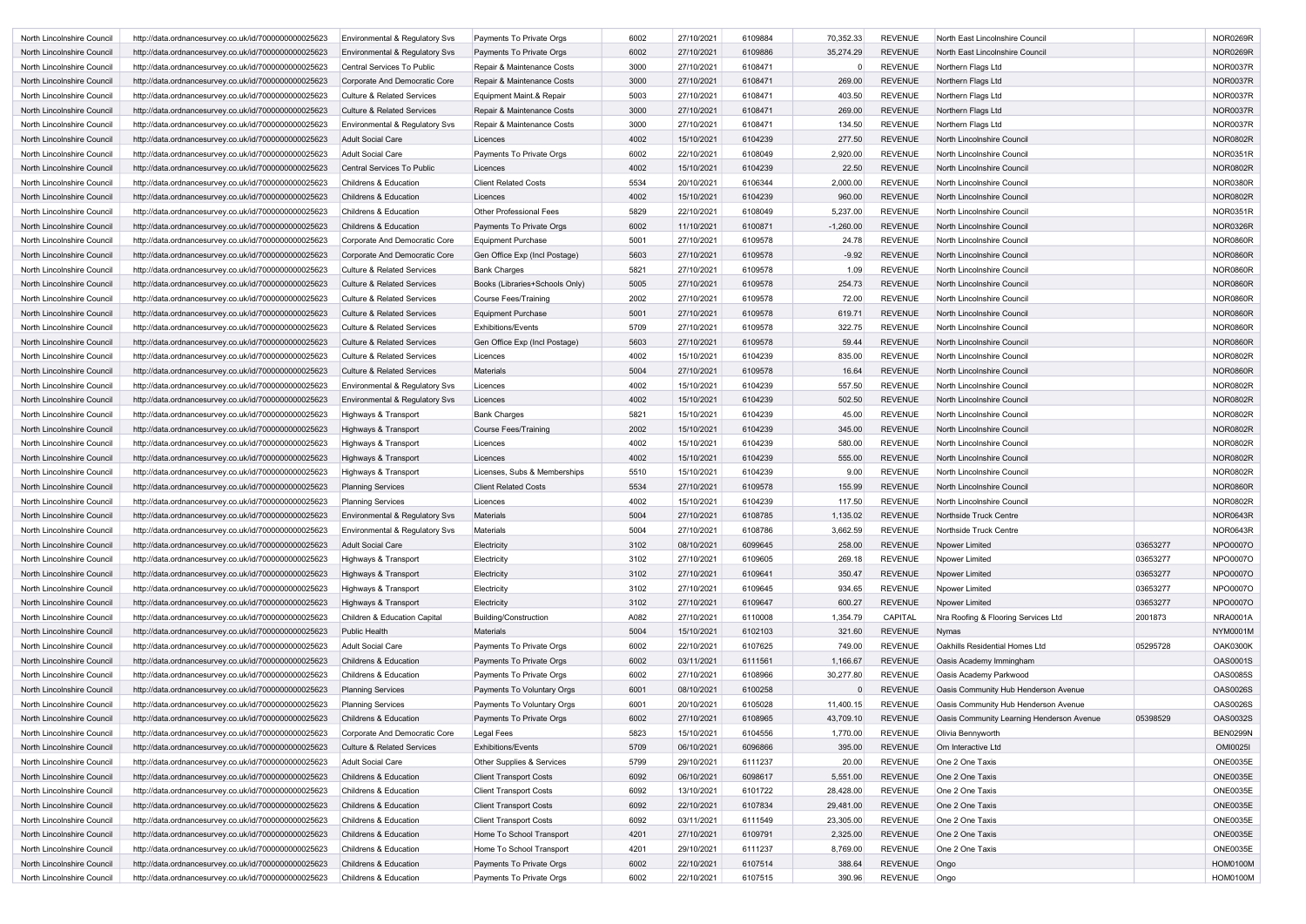| North Lincolnshire Council | http://data.ordnancesurvey.co.uk/id/7000000000025623 | <b>Environmental &amp; Regulatory Svs</b> | Payments To Private Orgs       | 6002 | 27/10/2021 | 6109884 | 70,352.33   | <b>REVENUE</b> | North East Lincolnshire Council           |          | NOR0269R        |
|----------------------------|------------------------------------------------------|-------------------------------------------|--------------------------------|------|------------|---------|-------------|----------------|-------------------------------------------|----------|-----------------|
| North Lincolnshire Council | http://data.ordnancesurvey.co.uk/id/7000000000025623 | Environmental & Regulatory Svs            | Payments To Private Orgs       | 6002 | 27/10/2021 | 6109886 | 35,274.29   | <b>REVENUE</b> | North East Lincolnshire Council           |          | <b>NOR0269R</b> |
| North Lincolnshire Council | http://data.ordnancesurvey.co.uk/id/7000000000025623 | Central Services To Public                | Repair & Maintenance Costs     | 3000 | 27/10/2021 | 6108471 |             | <b>REVENUE</b> | Northern Flags Ltd                        |          | <b>NOR0037R</b> |
| North Lincolnshire Council | http://data.ordnancesurvey.co.uk/id/7000000000025623 | Corporate And Democratic Core             | Repair & Maintenance Costs     | 3000 | 27/10/2021 | 6108471 | 269.00      | <b>REVENUE</b> | Northern Flags Ltd                        |          | <b>NOR0037R</b> |
| North Lincolnshire Council | http://data.ordnancesurvey.co.uk/id/7000000000025623 | <b>Culture &amp; Related Services</b>     | Equipment Maint.& Repair       | 5003 | 27/10/2021 | 6108471 | 403.50      | <b>REVENUE</b> | Northern Flags Ltd                        |          | <b>NOR0037R</b> |
| North Lincolnshire Council | http://data.ordnancesurvey.co.uk/id/7000000000025623 | <b>Culture &amp; Related Services</b>     | Repair & Maintenance Costs     | 3000 | 27/10/2021 | 6108471 | 269.00      | <b>REVENUE</b> | Northern Flags Ltd                        |          | <b>NOR0037R</b> |
| North Lincolnshire Council | http://data.ordnancesurvey.co.uk/id/7000000000025623 | <b>Environmental &amp; Regulatory Svs</b> | Repair & Maintenance Costs     | 3000 | 27/10/2021 | 6108471 | 134.50      | <b>REVENUE</b> | Northern Flags Ltd                        |          | <b>NOR0037R</b> |
| North Lincolnshire Council | http://data.ordnancesurvey.co.uk/id/7000000000025623 | <b>Adult Social Care</b>                  | Licences                       | 4002 | 15/10/2021 | 6104239 | 277.50      | <b>REVENUE</b> | North Lincolnshire Council                |          | <b>NOR0802R</b> |
| North Lincolnshire Council | http://data.ordnancesurvey.co.uk/id/7000000000025623 | <b>Adult Social Care</b>                  | Payments To Private Orgs       | 6002 | 22/10/2021 | 6108049 | 2,920.00    | <b>REVENUE</b> | North Lincolnshire Council                |          | <b>NOR0351R</b> |
| North Lincolnshire Council | http://data.ordnancesurvey.co.uk/id/7000000000025623 | <b>Central Services To Public</b>         | Licences                       | 4002 | 15/10/2021 | 6104239 | 22.50       | <b>REVENUE</b> | North Lincolnshire Council                |          | <b>NOR0802R</b> |
| North Lincolnshire Council | http://data.ordnancesurvey.co.uk/id/7000000000025623 | <b>Childrens &amp; Education</b>          | <b>Client Related Costs</b>    | 5534 | 20/10/2021 | 6106344 | 2,000.00    | <b>REVENUE</b> | North Lincolnshire Council                |          | <b>NOR0380R</b> |
| North Lincolnshire Council | http://data.ordnancesurvey.co.uk/id/7000000000025623 | <b>Childrens &amp; Education</b>          | Licences                       | 4002 | 15/10/2021 | 6104239 | 960.00      | <b>REVENUE</b> | North Lincolnshire Council                |          | <b>NOR0802R</b> |
|                            |                                                      |                                           | <b>Other Professional Fees</b> | 5829 | 22/10/2021 | 6108049 | 5,237.00    | <b>REVENUE</b> | North Lincolnshire Council                |          | <b>NOR0351R</b> |
| North Lincolnshire Council | http://data.ordnancesurvey.co.uk/id/7000000000025623 | <b>Childrens &amp; Education</b>          |                                |      |            |         |             |                |                                           |          | <b>NOR0326R</b> |
| North Lincolnshire Council | http://data.ordnancesurvey.co.uk/id/7000000000025623 | <b>Childrens &amp; Education</b>          | Payments To Private Orgs       | 6002 | 11/10/2021 | 6100871 | $-1,260.00$ | <b>REVENUE</b> | North Lincolnshire Council                |          |                 |
| North Lincolnshire Council | http://data.ordnancesurvey.co.uk/id/7000000000025623 | Corporate And Democratic Core             | <b>Equipment Purchase</b>      | 5001 | 27/10/2021 | 6109578 | 24.78       | <b>REVENUE</b> | North Lincolnshire Council                |          | <b>NOR0860R</b> |
| North Lincolnshire Council | http://data.ordnancesurvey.co.uk/id/7000000000025623 | Corporate And Democratic Core             | Gen Office Exp (Incl Postage)  | 5603 | 27/10/2021 | 6109578 | $-9.92$     | <b>REVENUE</b> | North Lincolnshire Council                |          | <b>NOR0860R</b> |
| North Lincolnshire Council | http://data.ordnancesurvey.co.uk/id/7000000000025623 | Culture & Related Services                | <b>Bank Charges</b>            | 5821 | 27/10/2021 | 6109578 | 1.09        | <b>REVENUE</b> | North Lincolnshire Council                |          | <b>NOR0860R</b> |
| North Lincolnshire Council | http://data.ordnancesurvey.co.uk/id/7000000000025623 | <b>Culture &amp; Related Services</b>     | Books (Libraries+Schools Only) | 5005 | 27/10/2021 | 6109578 | 254.73      | <b>REVENUE</b> | North Lincolnshire Council                |          | <b>NOR0860R</b> |
| North Lincolnshire Council | http://data.ordnancesurvey.co.uk/id/7000000000025623 | Culture & Related Services                | Course Fees/Training           | 2002 | 27/10/2021 | 6109578 | 72.00       | <b>REVENUE</b> | North Lincolnshire Council                |          | <b>NOR0860R</b> |
| North Lincolnshire Council | http://data.ordnancesurvey.co.uk/id/7000000000025623 | <b>Culture &amp; Related Services</b>     | <b>Equipment Purchase</b>      | 5001 | 27/10/2021 | 6109578 | 619.71      | <b>REVENUE</b> | North Lincolnshire Council                |          | <b>NOR0860R</b> |
| North Lincolnshire Council | http://data.ordnancesurvey.co.uk/id/7000000000025623 | Culture & Related Services                | <b>Exhibitions/Events</b>      | 5709 | 27/10/2021 | 6109578 | 322.75      | <b>REVENUE</b> | North Lincolnshire Council                |          | <b>NOR0860R</b> |
| North Lincolnshire Council | http://data.ordnancesurvey.co.uk/id/7000000000025623 | Culture & Related Services                | Gen Office Exp (Incl Postage)  | 5603 | 27/10/2021 | 6109578 | 59.44       | <b>REVENUE</b> | North Lincolnshire Council                |          | <b>NOR0860R</b> |
| North Lincolnshire Council | http://data.ordnancesurvey.co.uk/id/7000000000025623 | <b>Culture &amp; Related Services</b>     | Licences                       | 4002 | 15/10/2021 | 6104239 | 835.00      | <b>REVENUE</b> | North Lincolnshire Council                |          | NOR0802R        |
| North Lincolnshire Council | http://data.ordnancesurvey.co.uk/id/7000000000025623 | <b>Culture &amp; Related Services</b>     | <b>Materials</b>               | 5004 | 27/10/2021 | 6109578 | 16.64       | <b>REVENUE</b> | North Lincolnshire Council                |          | <b>NOR0860R</b> |
| North Lincolnshire Council | http://data.ordnancesurvey.co.uk/id/7000000000025623 | Environmental & Regulatory Svs            | Licences                       | 4002 | 15/10/2021 | 6104239 | 557.50      | <b>REVENUE</b> | North Lincolnshire Council                |          | <b>NOR0802R</b> |
| North Lincolnshire Council | http://data.ordnancesurvey.co.uk/id/7000000000025623 | <b>Environmental &amp; Regulatory Svs</b> | Licences                       | 4002 | 15/10/2021 | 6104239 | 502.50      | <b>REVENUE</b> | North Lincolnshire Council                |          | <b>NOR0802R</b> |
| North Lincolnshire Council | http://data.ordnancesurvey.co.uk/id/7000000000025623 | Highways & Transport                      | <b>Bank Charges</b>            | 5821 | 15/10/2021 | 6104239 | 45.00       | <b>REVENUE</b> | North Lincolnshire Council                |          | <b>NOR0802R</b> |
| North Lincolnshire Council | http://data.ordnancesurvey.co.uk/id/7000000000025623 | Highways & Transport                      | <b>Course Fees/Training</b>    | 2002 | 15/10/2021 | 6104239 | 345.00      | <b>REVENUE</b> | North Lincolnshire Council                |          | <b>NOR0802R</b> |
| North Lincolnshire Council | http://data.ordnancesurvey.co.uk/id/7000000000025623 | Highways & Transport                      | Licences                       | 4002 | 15/10/2021 | 6104239 | 580.00      | <b>REVENUE</b> | North Lincolnshire Council                |          | <b>NOR0802R</b> |
| North Lincolnshire Council | http://data.ordnancesurvey.co.uk/id/7000000000025623 | Highways & Transport                      | Licences                       | 4002 | 15/10/2021 | 6104239 | 555.00      | <b>REVENUE</b> | North Lincolnshire Council                |          | <b>NOR0802R</b> |
| North Lincolnshire Council | http://data.ordnancesurvey.co.uk/id/7000000000025623 | Highways & Transport                      | Licenses, Subs & Memberships   | 5510 | 15/10/2021 | 6104239 | 9.00        | <b>REVENUE</b> | North Lincolnshire Council                |          | <b>NOR0802R</b> |
| North Lincolnshire Council | http://data.ordnancesurvey.co.uk/id/7000000000025623 | <b>Planning Services</b>                  | <b>Client Related Costs</b>    | 5534 | 27/10/2021 | 6109578 | 155.99      | <b>REVENUE</b> | North Lincolnshire Council                |          | <b>NOR0860R</b> |
| North Lincolnshire Council | http://data.ordnancesurvey.co.uk/id/7000000000025623 | <b>Planning Services</b>                  | Licences                       | 4002 | 15/10/2021 | 6104239 | 117.50      | <b>REVENUE</b> | North Lincolnshire Council                |          | NOR0802R        |
| North Lincolnshire Council | http://data.ordnancesurvey.co.uk/id/7000000000025623 | <b>Environmental &amp; Regulatory Svs</b> | <b>Materials</b>               | 5004 | 27/10/2021 | 6108785 | 1,135.02    | <b>REVENUE</b> | Northside Truck Centre                    |          | <b>NOR0643R</b> |
| North Lincolnshire Council | http://data.ordnancesurvey.co.uk/id/7000000000025623 | Environmental & Regulatory Svs            | Materials                      | 5004 | 27/10/2021 | 6108786 | 3,662.59    | <b>REVENUE</b> | Northside Truck Centre                    |          | <b>NOR0643R</b> |
| North Lincolnshire Council |                                                      | <b>Adult Social Care</b>                  | Electricity                    | 3102 | 08/10/2021 | 6099645 | 258.00      | <b>REVENUE</b> | Npower Limited                            | 03653277 | NPO0007O        |
|                            | http://data.ordnancesurvey.co.uk/id/7000000000025623 |                                           |                                | 3102 | 27/10/2021 |         | 269.18      | <b>REVENUE</b> |                                           | 03653277 | NPO0007O        |
| North Lincolnshire Council | http://data.ordnancesurvey.co.uk/id/7000000000025623 | Highways & Transport                      | Electricity                    |      |            | 6109605 |             |                | Npower Limited                            |          |                 |
| North Lincolnshire Council | http://data.ordnancesurvey.co.uk/id/7000000000025623 | Highways & Transport                      | Electricity                    | 3102 | 27/10/2021 | 6109641 | 350.47      | <b>REVENUE</b> | Npower Limited                            | 03653277 | NPO0007O        |
| North Lincolnshire Council | http://data.ordnancesurvey.co.uk/id/7000000000025623 | Highways & Transport                      | Electricity                    | 3102 | 27/10/2021 | 6109645 | 934.65      | <b>REVENUE</b> | Npower Limited                            | 03653277 | NPO0007O        |
| North Lincolnshire Council | http://data.ordnancesurvey.co.uk/id/7000000000025623 | Highways & Transport                      | Electricity                    | 3102 | 27/10/2021 | 6109647 | 600.27      | <b>REVENUE</b> | Npower Limited                            | 03653277 | <b>NPO0007O</b> |
| North Lincolnshire Council | http://data.ordnancesurvey.co.uk/id/7000000000025623 | Children & Education Capital              | <b>Building/Construction</b>   | A082 | 27/10/2021 | 6110008 | 1,354.79    | CAPITAL        | Nra Roofing & Flooring Services Ltd       | 2001873  | <b>NRA0001A</b> |
| North Lincolnshire Council | http://data.ordnancesurvey.co.uk/id/7000000000025623 | <b>Public Health</b>                      | <b>Materials</b>               | 5004 | 15/10/2021 | 6102103 | 321.60      | <b>REVENUE</b> | <b>Nymas</b>                              |          | <b>NYM0001M</b> |
| North Lincolnshire Council | http://data.ordnancesurvey.co.uk/id/7000000000025623 | <b>Adult Social Care</b>                  | Payments To Private Orgs       | 6002 | 22/10/2021 | 6107625 | 749.00      | <b>REVENUE</b> | Oakhills Residential Homes Ltd            | 05295728 | <b>OAK0300K</b> |
| North Lincolnshire Council | http://data.ordnancesurvey.co.uk/id/7000000000025623 | Childrens & Education                     | Payments To Private Orgs       | 6002 | 03/11/2021 | 6111561 | 1,166.67    | <b>REVENUE</b> | Oasis Academy Immingham                   |          | <b>OAS0001S</b> |
| North Lincolnshire Council | http://data.ordnancesurvey.co.uk/id/7000000000025623 | Childrens & Education                     | Payments To Private Orgs       | 6002 | 27/10/2021 | 6108966 | 30,277.80   | <b>REVENUE</b> | Oasis Academy Parkwood                    |          | <b>OAS0085S</b> |
| North Lincolnshire Council | http://data.ordnancesurvey.co.uk/id/7000000000025623 | <b>Planning Services</b>                  | Payments To Voluntary Orgs     | 6001 | 08/10/2021 | 6100258 |             | <b>REVENUE</b> | Oasis Community Hub Henderson Avenue      |          | <b>OAS0026S</b> |
| North Lincolnshire Council | http://data.ordnancesurvey.co.uk/id/7000000000025623 | <b>Planning Services</b>                  | Payments To Voluntary Orgs     | 6001 | 20/10/2021 | 6105028 | 11,400.15   | <b>REVENUE</b> | Oasis Community Hub Henderson Avenue      |          | <b>OAS0026S</b> |
| North Lincolnshire Council | http://data.ordnancesurvey.co.uk/id/7000000000025623 | Childrens & Education                     | Payments To Private Orgs       | 6002 | 27/10/2021 | 6108965 | 43,709.10   | <b>REVENUE</b> | Oasis Community Learning Henderson Avenue | 05398529 | <b>OAS0032S</b> |
| North Lincolnshire Council | http://data.ordnancesurvey.co.uk/id/7000000000025623 | Corporate And Democratic Core             | Legal Fees                     | 5823 | 15/10/2021 | 6104556 | 1,770.00    | <b>REVENUE</b> | Olivia Bennyworth                         |          | <b>BEN0299N</b> |
| North Lincolnshire Council | http://data.ordnancesurvey.co.uk/id/7000000000025623 | Culture & Related Services                | <b>Exhibitions/Events</b>      | 5709 | 06/10/2021 | 6096866 | 395.00      | <b>REVENUE</b> | Om Interactive Ltd                        |          | <b>OMI0025I</b> |
| North Lincolnshire Council | http://data.ordnancesurvey.co.uk/id/7000000000025623 | <b>Adult Social Care</b>                  | Other Supplies & Services      | 5799 | 29/10/2021 | 6111237 | 20.00       | <b>REVENUE</b> | One 2 One Taxis                           |          | <b>ONE0035E</b> |
| North Lincolnshire Council | http://data.ordnancesurvey.co.uk/id/7000000000025623 | <b>Childrens &amp; Education</b>          | <b>Client Transport Costs</b>  | 6092 | 06/10/2021 | 6098617 | 5,551.00    | <b>REVENUE</b> | One 2 One Taxis                           |          | <b>ONE0035E</b> |
| North Lincolnshire Council | http://data.ordnancesurvey.co.uk/id/7000000000025623 | Childrens & Education                     | <b>Client Transport Costs</b>  | 6092 | 13/10/2021 | 6101722 | 28,428.00   | <b>REVENUE</b> | One 2 One Taxis                           |          | <b>ONE0035E</b> |
| North Lincolnshire Council | http://data.ordnancesurvey.co.uk/id/7000000000025623 | Childrens & Education                     | <b>Client Transport Costs</b>  | 6092 | 22/10/2021 | 6107834 | 29,481.00   | <b>REVENUE</b> | One 2 One Taxis                           |          | <b>ONE0035E</b> |
| North Lincolnshire Council | http://data.ordnancesurvey.co.uk/id/7000000000025623 | Childrens & Education                     | <b>Client Transport Costs</b>  | 6092 | 03/11/2021 | 6111549 | 23,305.00   | <b>REVENUE</b> | One 2 One Taxis                           |          | <b>ONE0035E</b> |
| North Lincolnshire Council | http://data.ordnancesurvey.co.uk/id/7000000000025623 | <b>Childrens &amp; Education</b>          | Home To School Transport       | 4201 | 27/10/2021 | 6109791 | 2,325.00    | <b>REVENUE</b> | One 2 One Taxis                           |          | <b>ONE0035E</b> |
| North Lincolnshire Council | http://data.ordnancesurvey.co.uk/id/7000000000025623 | Childrens & Education                     | Home To School Transport       | 4201 | 29/10/2021 | 6111237 | 8,769.00    | <b>REVENUE</b> | One 2 One Taxis                           |          | <b>ONE0035E</b> |
| North Lincolnshire Council | http://data.ordnancesurvey.co.uk/id/7000000000025623 | Childrens & Education                     | Payments To Private Orgs       | 6002 | 22/10/2021 | 6107514 | 388.64      | <b>REVENUE</b> | Ongo                                      |          | <b>HOM0100M</b> |
| North Lincolnshire Council | http://data.ordnancesurvey.co.uk/id/7000000000025623 | Childrens & Education                     | Payments To Private Orgs       | 6002 | 22/10/2021 | 6107515 | 390.96      | <b>REVENUE</b> | Ongo                                      |          | <b>HOM0100M</b> |
|                            |                                                      |                                           |                                |      |            |         |             |                |                                           |          |                 |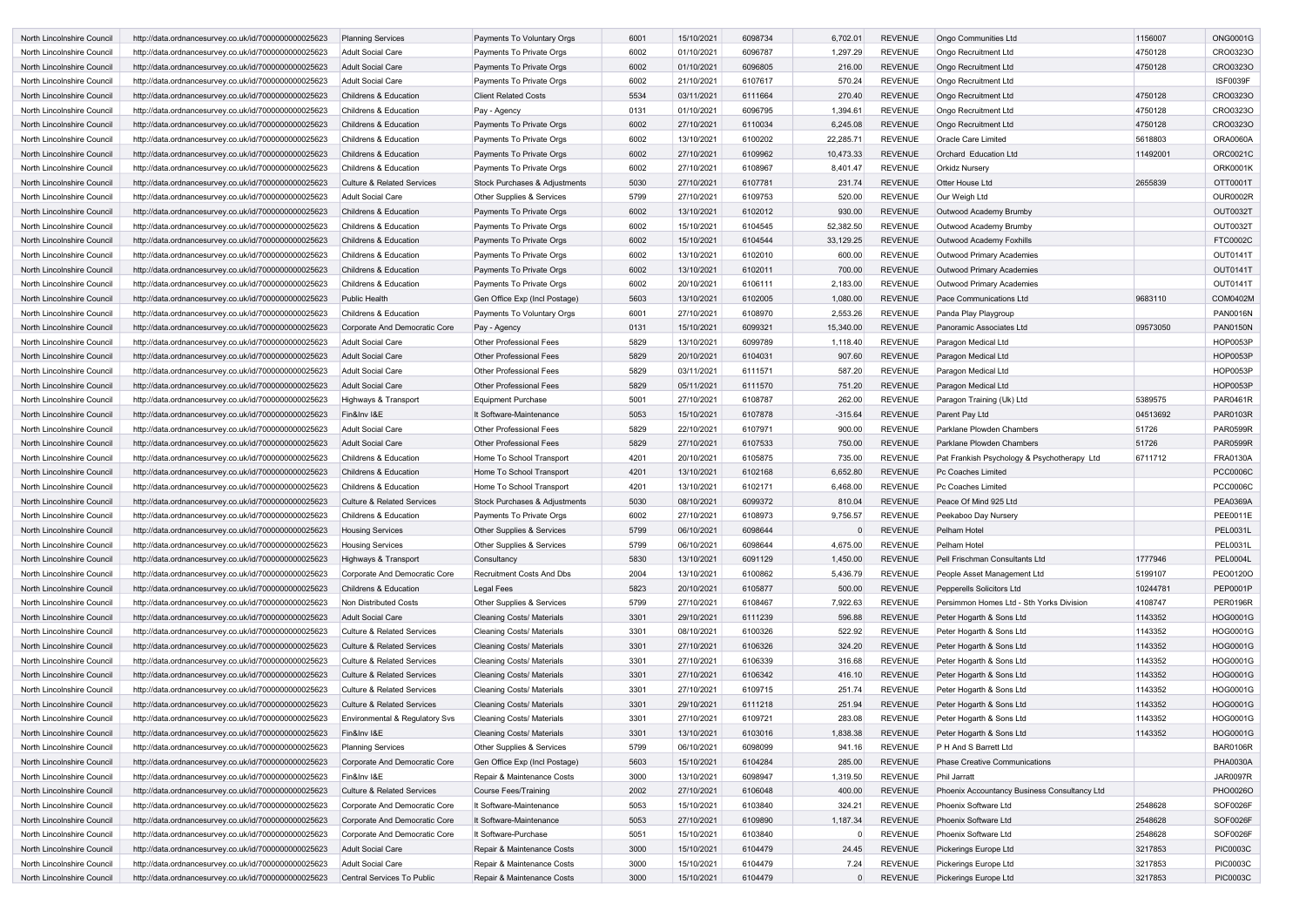| North Lincolnshire Council | http://data.ordnancesurvey.co.uk/id/7000000000025623 | <b>Planning Services</b>              | Payments To Voluntary Orgs               | 6001 | 15/10/2021 | 6098734 | 6,702.01         | <b>REVENUE</b> | Ongo Communities Ltd                         | 1156007  | <b>ONG0001G</b> |
|----------------------------|------------------------------------------------------|---------------------------------------|------------------------------------------|------|------------|---------|------------------|----------------|----------------------------------------------|----------|-----------------|
| North Lincolnshire Council | http://data.ordnancesurvey.co.uk/id/7000000000025623 | <b>Adult Social Care</b>              | Payments To Private Orgs                 | 6002 | 01/10/2021 | 6096787 | 1,297.29         | <b>REVENUE</b> | Ongo Recruitment Ltd                         | 4750128  | CRO0323O        |
| North Lincolnshire Council | http://data.ordnancesurvey.co.uk/id/7000000000025623 | <b>Adult Social Care</b>              | Payments To Private Orgs                 | 6002 | 01/10/2021 | 6096805 | 216.00           | <b>REVENUE</b> | Ongo Recruitment Ltd                         | 4750128  | CRO0323O        |
| North Lincolnshire Council | http://data.ordnancesurvey.co.uk/id/7000000000025623 | <b>Adult Social Care</b>              | Payments To Private Orgs                 | 6002 | 21/10/2021 | 6107617 | 570.24           | <b>REVENUE</b> | <b>Ongo Recruitment Ltd</b>                  |          | <b>ISF0039F</b> |
| North Lincolnshire Council | http://data.ordnancesurvey.co.uk/id/7000000000025623 | <b>Childrens &amp; Education</b>      | <b>Client Related Costs</b>              | 5534 | 03/11/2021 | 6111664 | 270.40           | <b>REVENUE</b> | Ongo Recruitment Ltd                         | 4750128  | CRO0323O        |
| North Lincolnshire Council | http://data.ordnancesurvey.co.uk/id/7000000000025623 | <b>Childrens &amp; Education</b>      | Pay - Agency                             | 0131 | 01/10/2021 | 6096795 | 1,394.61         | <b>REVENUE</b> | Ongo Recruitment Ltd                         | 4750128  | CRO0323O        |
| North Lincolnshire Council | http://data.ordnancesurvey.co.uk/id/7000000000025623 | <b>Childrens &amp; Education</b>      | Payments To Private Orgs                 | 6002 | 27/10/2021 | 6110034 | 6,245.08         | <b>REVENUE</b> | Ongo Recruitment Ltd                         | 4750128  | CRO0323O        |
| North Lincolnshire Council | http://data.ordnancesurvey.co.uk/id/7000000000025623 | <b>Childrens &amp; Education</b>      | Payments To Private Orgs                 | 6002 | 13/10/2021 | 6100202 | 22,285.71        | <b>REVENUE</b> | Oracle Care Limited                          | 5618803  | <b>ORA0060A</b> |
| North Lincolnshire Council | http://data.ordnancesurvey.co.uk/id/7000000000025623 | <b>Childrens &amp; Education</b>      | Payments To Private Orgs                 | 6002 | 27/10/2021 | 6109962 | 10,473.33        | <b>REVENUE</b> | Orchard Education Ltd                        | 11492001 | <b>ORC0021C</b> |
| North Lincolnshire Council | http://data.ordnancesurvey.co.uk/id/7000000000025623 | <b>Childrens &amp; Education</b>      | Payments To Private Orgs                 | 6002 | 27/10/2021 | 6108967 | 8,401.47         | <b>REVENUE</b> | <b>Orkidz Nursery</b>                        |          | <b>ORK0001K</b> |
| North Lincolnshire Council | http://data.ordnancesurvey.co.uk/id/7000000000025623 | <b>Culture &amp; Related Services</b> | <b>Stock Purchases &amp; Adjustments</b> | 5030 | 27/10/2021 | 6107781 | 231.74           | <b>REVENUE</b> | <b>Otter House Ltd</b>                       | 2655839  | OTT0001T        |
| North Lincolnshire Council | http://data.ordnancesurvey.co.uk/id/7000000000025623 | <b>Adult Social Care</b>              | <b>Other Supplies &amp; Services</b>     | 5799 | 27/10/2021 | 6109753 | 520.00           | <b>REVENUE</b> | Our Weigh Ltd                                |          | <b>OUR0002R</b> |
| North Lincolnshire Council | http://data.ordnancesurvey.co.uk/id/7000000000025623 | <b>Childrens &amp; Education</b>      | Payments To Private Orgs                 | 6002 | 13/10/2021 | 6102012 | 930.00           | <b>REVENUE</b> | Outwood Academy Brumby                       |          | OUT0032T        |
| North Lincolnshire Council | http://data.ordnancesurvey.co.uk/id/7000000000025623 | <b>Childrens &amp; Education</b>      | Payments To Private Orgs                 | 6002 | 15/10/2021 | 6104545 | 52,382.50        | <b>REVENUE</b> | Outwood Academy Brumby                       |          | OUT0032T        |
| North Lincolnshire Council | http://data.ordnancesurvey.co.uk/id/7000000000025623 | <b>Childrens &amp; Education</b>      | Payments To Private Orgs                 | 6002 | 15/10/2021 | 6104544 | 33,129.25        | <b>REVENUE</b> | Outwood Academy Foxhills                     |          | FTC0002C        |
|                            |                                                      |                                       |                                          | 6002 |            | 6102010 |                  | <b>REVENUE</b> |                                              |          | OUT0141T        |
| North Lincolnshire Council | http://data.ordnancesurvey.co.uk/id/7000000000025623 | <b>Childrens &amp; Education</b>      | Payments To Private Orgs                 | 6002 | 13/10/2021 |         | 600.00<br>700.00 | <b>REVENUE</b> | <b>Outwood Primary Academies</b>             |          | OUT0141T        |
| North Lincolnshire Council | http://data.ordnancesurvey.co.uk/id/7000000000025623 | <b>Childrens &amp; Education</b>      | Payments To Private Orgs                 |      | 13/10/2021 | 6102011 |                  |                | Outwood Primary Academies                    |          |                 |
| North Lincolnshire Council | http://data.ordnancesurvey.co.uk/id/7000000000025623 | <b>Childrens &amp; Education</b>      | Payments To Private Orgs                 | 6002 | 20/10/2021 | 6106111 | 2,183.00         | <b>REVENUE</b> | <b>Outwood Primary Academies</b>             |          | <b>OUT0141T</b> |
| North Lincolnshire Council | http://data.ordnancesurvey.co.uk/id/7000000000025623 | <b>Public Health</b>                  | Gen Office Exp (Incl Postage)            | 5603 | 13/10/2021 | 6102005 | 1,080.00         | <b>REVENUE</b> | Pace Communications Ltd                      | 9683110  | <b>COM0402M</b> |
| North Lincolnshire Council | http://data.ordnancesurvey.co.uk/id/7000000000025623 | <b>Childrens &amp; Education</b>      | Payments To Voluntary Orgs               | 6001 | 27/10/2021 | 6108970 | 2,553.26         | <b>REVENUE</b> | Panda Play Playgroup                         |          | <b>PAN0016N</b> |
| North Lincolnshire Council | http://data.ordnancesurvey.co.uk/id/7000000000025623 | Corporate And Democratic Core         | Pay - Agency                             | 0131 | 15/10/2021 | 6099321 | 15,340.00        | <b>REVENUE</b> | Panoramic Associates Ltd                     | 09573050 | <b>PAN0150N</b> |
| North Lincolnshire Council | http://data.ordnancesurvey.co.uk/id/7000000000025623 | Adult Social Care                     | <b>Other Professional Fees</b>           | 5829 | 13/10/2021 | 6099789 | 1,118.40         | <b>REVENUE</b> | Paragon Medical Ltd                          |          | <b>HOP0053P</b> |
| North Lincolnshire Council | http://data.ordnancesurvey.co.uk/id/7000000000025623 | <b>Adult Social Care</b>              | <b>Other Professional Fees</b>           | 5829 | 20/10/2021 | 6104031 | 907.60           | <b>REVENUE</b> | Paragon Medical Ltd                          |          | HOP0053P        |
| North Lincolnshire Council | http://data.ordnancesurvey.co.uk/id/7000000000025623 | Adult Social Care                     | <b>Other Professional Fees</b>           | 5829 | 03/11/2021 | 6111571 | 587.20           | <b>REVENUE</b> | Paragon Medical Ltd                          |          | <b>HOP0053P</b> |
| North Lincolnshire Council | http://data.ordnancesurvey.co.uk/id/7000000000025623 | <b>Adult Social Care</b>              | <b>Other Professional Fees</b>           | 5829 | 05/11/2021 | 6111570 | 751.20           | <b>REVENUE</b> | Paragon Medical Ltd                          |          | <b>HOP0053P</b> |
| North Lincolnshire Council | http://data.ordnancesurvey.co.uk/id/7000000000025623 | Highways & Transport                  | <b>Equipment Purchase</b>                | 5001 | 27/10/2021 | 6108787 | 262.00           | <b>REVENUE</b> | Paragon Training (Uk) Ltd                    | 5389575  | PAR0461R        |
| North Lincolnshire Council | http://data.ordnancesurvey.co.uk/id/7000000000025623 | Fin&Inv I&E                           | It Software-Maintenance                  | 5053 | 15/10/2021 | 6107878 | $-315.64$        | <b>REVENUE</b> | Parent Pay Ltd                               | 04513692 | PAR0103R        |
| North Lincolnshire Council | http://data.ordnancesurvey.co.uk/id/7000000000025623 | <b>Adult Social Care</b>              | <b>Other Professional Fees</b>           | 5829 | 22/10/2021 | 6107971 | 900.00           | <b>REVENUE</b> | Parklane Plowden Chambers                    | 51726    | <b>PAR0599R</b> |
| North Lincolnshire Council | http://data.ordnancesurvey.co.uk/id/7000000000025623 | <b>Adult Social Care</b>              | <b>Other Professional Fees</b>           | 5829 | 27/10/2021 | 6107533 | 750.00           | <b>REVENUE</b> | Parklane Plowden Chambers                    | 51726    | <b>PAR0599R</b> |
| North Lincolnshire Council | http://data.ordnancesurvey.co.uk/id/7000000000025623 | <b>Childrens &amp; Education</b>      | Home To School Transport                 | 4201 | 20/10/2021 | 6105875 | 735.00           | <b>REVENUE</b> | Pat Frankish Psychology & Psychotherapy Ltd  | 6711712  | <b>FRA0130A</b> |
| North Lincolnshire Council | http://data.ordnancesurvey.co.uk/id/7000000000025623 | <b>Childrens &amp; Education</b>      | Home To School Transport                 | 4201 | 13/10/2021 | 6102168 | 6,652.80         | <b>REVENUE</b> | <b>Pc Coaches Limited</b>                    |          | <b>PCC0006C</b> |
| North Lincolnshire Council | http://data.ordnancesurvey.co.uk/id/7000000000025623 | Childrens & Education                 | Home To School Transport                 | 4201 | 13/10/2021 | 6102171 | 6,468.00         | <b>REVENUE</b> | <b>Pc Coaches Limited</b>                    |          | <b>PCC0006C</b> |
| North Lincolnshire Council | http://data.ordnancesurvey.co.uk/id/7000000000025623 | <b>Culture &amp; Related Services</b> | Stock Purchases & Adjustments            | 5030 | 08/10/2021 | 6099372 | 810.04           | <b>REVENUE</b> | Peace Of Mind 925 Ltd                        |          | <b>PEA0369A</b> |
| North Lincolnshire Council | http://data.ordnancesurvey.co.uk/id/7000000000025623 | Childrens & Education                 | Payments To Private Orgs                 | 6002 | 27/10/2021 | 6108973 | 9,756.57         | <b>REVENUE</b> | Peekaboo Day Nursery                         |          | PEE0011E        |
| North Lincolnshire Council | http://data.ordnancesurvey.co.uk/id/7000000000025623 | <b>Housing Services</b>               | <b>Other Supplies &amp; Services</b>     | 5799 | 06/10/2021 | 6098644 |                  | <b>REVENUE</b> | Pelham Hotel                                 |          | <b>PEL0031L</b> |
| North Lincolnshire Council | http://data.ordnancesurvey.co.uk/id/7000000000025623 | <b>Housing Services</b>               | Other Supplies & Services                | 5799 | 06/10/2021 | 6098644 | 4,675.00         | <b>REVENUE</b> | Pelham Hotel                                 |          | <b>PEL0031L</b> |
| North Lincolnshire Council | http://data.ordnancesurvey.co.uk/id/7000000000025623 | Highways & Transport                  | Consultancy                              | 5830 | 13/10/2021 | 6091129 | 1,450.00         | <b>REVENUE</b> | Pell Frischman Consultants Ltd               | 1777946  | <b>PEL0004L</b> |
| North Lincolnshire Council | http://data.ordnancesurvey.co.uk/id/7000000000025623 | Corporate And Democratic Core         | <b>Recruitment Costs And Dbs</b>         | 2004 | 13/10/2021 | 6100862 | 5,436.79         | <b>REVENUE</b> | People Asset Management Ltd                  | 5199107  | PEO0120O        |
| North Lincolnshire Council | http://data.ordnancesurvey.co.uk/id/7000000000025623 | Childrens & Education                 | Legal Fees                               | 5823 | 20/10/2021 | 6105877 | 500.00           | <b>REVENUE</b> | Pepperells Solicitors Ltd                    | 10244781 | <b>PEP0001P</b> |
| North Lincolnshire Council | http://data.ordnancesurvey.co.uk/id/7000000000025623 | Non Distributed Costs                 | Other Supplies & Services                | 5799 | 27/10/2021 | 6108467 | 7,922.63         | <b>REVENUE</b> | Persimmon Homes Ltd - Sth Yorks Division     | 4108747  | <b>PER0196R</b> |
| North Lincolnshire Council | http://data.ordnancesurvey.co.uk/id/7000000000025623 | <b>Adult Social Care</b>              | <b>Cleaning Costs/ Materials</b>         | 3301 | 29/10/2021 | 6111239 | 596.88           | <b>REVENUE</b> | Peter Hogarth & Sons Ltd                     | 1143352  | <b>HOG0001G</b> |
| North Lincolnshire Council | http://data.ordnancesurvey.co.uk/id/7000000000025623 | <b>Culture &amp; Related Services</b> | <b>Cleaning Costs/ Materials</b>         | 3301 | 08/10/2021 | 6100326 | 522.92           | <b>REVENUE</b> | Peter Hogarth & Sons Ltd                     | 1143352  | <b>HOG0001G</b> |
| North Lincolnshire Council | http://data.ordnancesurvey.co.uk/id/7000000000025623 | <b>Culture &amp; Related Services</b> | <b>Cleaning Costs/ Materials</b>         | 3301 | 27/10/2021 | 6106326 | 324.20           | <b>REVENUE</b> | Peter Hogarth & Sons Ltd                     | 1143352  | HOG0001G        |
| North Lincolnshire Council | http://data.ordnancesurvey.co.uk/id/7000000000025623 | <b>Culture &amp; Related Services</b> | <b>Cleaning Costs/ Materials</b>         | 3301 | 27/10/2021 | 6106339 | 316.68           | <b>REVENUE</b> | Peter Hogarth & Sons Ltd                     | 1143352  | HOG0001G        |
| North Lincolnshire Council | http://data.ordnancesurvey.co.uk/id/7000000000025623 | <b>Culture &amp; Related Services</b> | <b>Cleaning Costs/ Materials</b>         | 3301 | 27/10/2021 | 6106342 | 416.10           | <b>REVENUE</b> | Peter Hogarth & Sons Ltd                     | 1143352  | <b>HOG0001G</b> |
| North Lincolnshire Council | http://data.ordnancesurvey.co.uk/id/7000000000025623 | <b>Culture &amp; Related Services</b> | <b>Cleaning Costs/ Materials</b>         | 3301 | 27/10/2021 | 6109715 | 251.74           | <b>REVENUE</b> | Peter Hogarth & Sons Ltd                     | 1143352  | <b>HOG0001G</b> |
| North Lincolnshire Council | http://data.ordnancesurvey.co.uk/id/7000000000025623 | <b>Culture &amp; Related Services</b> | <b>Cleaning Costs/ Materials</b>         | 3301 | 29/10/2021 | 6111218 | 251.94           | <b>REVENUE</b> | Peter Hogarth & Sons Ltd                     | 1143352  | HOG0001G        |
| North Lincolnshire Council | http://data.ordnancesurvey.co.uk/id/7000000000025623 | Environmental & Regulatory Svs        | <b>Cleaning Costs/ Materials</b>         | 3301 | 27/10/2021 | 6109721 | 283.08           | <b>REVENUE</b> | Peter Hogarth & Sons Ltd                     | 1143352  | HOG0001G        |
| North Lincolnshire Council | http://data.ordnancesurvey.co.uk/id/7000000000025623 | Fin&Inv I&E                           | <b>Cleaning Costs/ Materials</b>         | 3301 | 13/10/2021 | 6103016 | 1,838.38         | <b>REVENUE</b> | Peter Hogarth & Sons Ltd                     | 1143352  | HOG0001G        |
| North Lincolnshire Council | http://data.ordnancesurvey.co.uk/id/7000000000025623 | <b>Planning Services</b>              | Other Supplies & Services                | 5799 | 06/10/2021 | 6098099 | 941.16           | <b>REVENUE</b> | P H And S Barrett Ltd                        |          | <b>BAR0106R</b> |
| North Lincolnshire Council | http://data.ordnancesurvey.co.uk/id/7000000000025623 | Corporate And Democratic Core         | Gen Office Exp (Incl Postage)            | 5603 | 15/10/2021 | 6104284 | 285.00           | <b>REVENUE</b> | <b>Phase Creative Communications</b>         |          | <b>PHA0030A</b> |
| North Lincolnshire Council | http://data.ordnancesurvey.co.uk/id/7000000000025623 | Fin&Inv I&E                           | Repair & Maintenance Costs               | 3000 | 13/10/2021 | 6098947 | 1,319.50         | <b>REVENUE</b> | Phil Jarratt                                 |          | <b>JAR0097R</b> |
| North Lincolnshire Council | http://data.ordnancesurvey.co.uk/id/7000000000025623 | <b>Culture &amp; Related Services</b> | <b>Course Fees/Training</b>              | 2002 | 27/10/2021 | 6106048 | 400.00           | <b>REVENUE</b> | Phoenix Accountancy Business Consultancy Ltd |          | PHO0026O        |
| North Lincolnshire Council | http://data.ordnancesurvey.co.uk/id/7000000000025623 | Corporate And Democratic Core         | It Software-Maintenance                  | 5053 | 15/10/2021 | 6103840 | 324.21           | <b>REVENUE</b> | Phoenix Software Ltd                         | 2548628  | SOF0026F        |
| North Lincolnshire Council | http://data.ordnancesurvey.co.uk/id/7000000000025623 | Corporate And Democratic Core         | It Software-Maintenance                  | 5053 | 27/10/2021 | 6109890 | 1,187.34         | <b>REVENUE</b> | Phoenix Software Ltd                         | 2548628  | SOF0026F        |
| North Lincolnshire Council | http://data.ordnancesurvey.co.uk/id/7000000000025623 | Corporate And Democratic Core         | It Software-Purchase                     | 5051 | 15/10/2021 | 6103840 |                  | <b>REVENUE</b> | Phoenix Software Ltd                         | 2548628  | SOF0026F        |
| North Lincolnshire Council | http://data.ordnancesurvey.co.uk/id/7000000000025623 | <b>Adult Social Care</b>              | Repair & Maintenance Costs               | 3000 | 15/10/2021 | 6104479 | 24.45            | <b>REVENUE</b> | Pickerings Europe Ltd                        | 3217853  | <b>PIC0003C</b> |
| North Lincolnshire Council | http://data.ordnancesurvey.co.uk/id/7000000000025623 | <b>Adult Social Care</b>              | Repair & Maintenance Costs               | 3000 | 15/10/2021 | 6104479 | 7.24             | <b>REVENUE</b> | Pickerings Europe Ltd                        | 3217853  | <b>PIC0003C</b> |
| North Lincolnshire Council | http://data.ordnancesurvey.co.uk/id/7000000000025623 | Central Services To Public            | Repair & Maintenance Costs               | 3000 | 15/10/2021 | 6104479 |                  | <b>REVENUE</b> | Pickerings Europe Ltd                        | 3217853  | <b>PIC0003C</b> |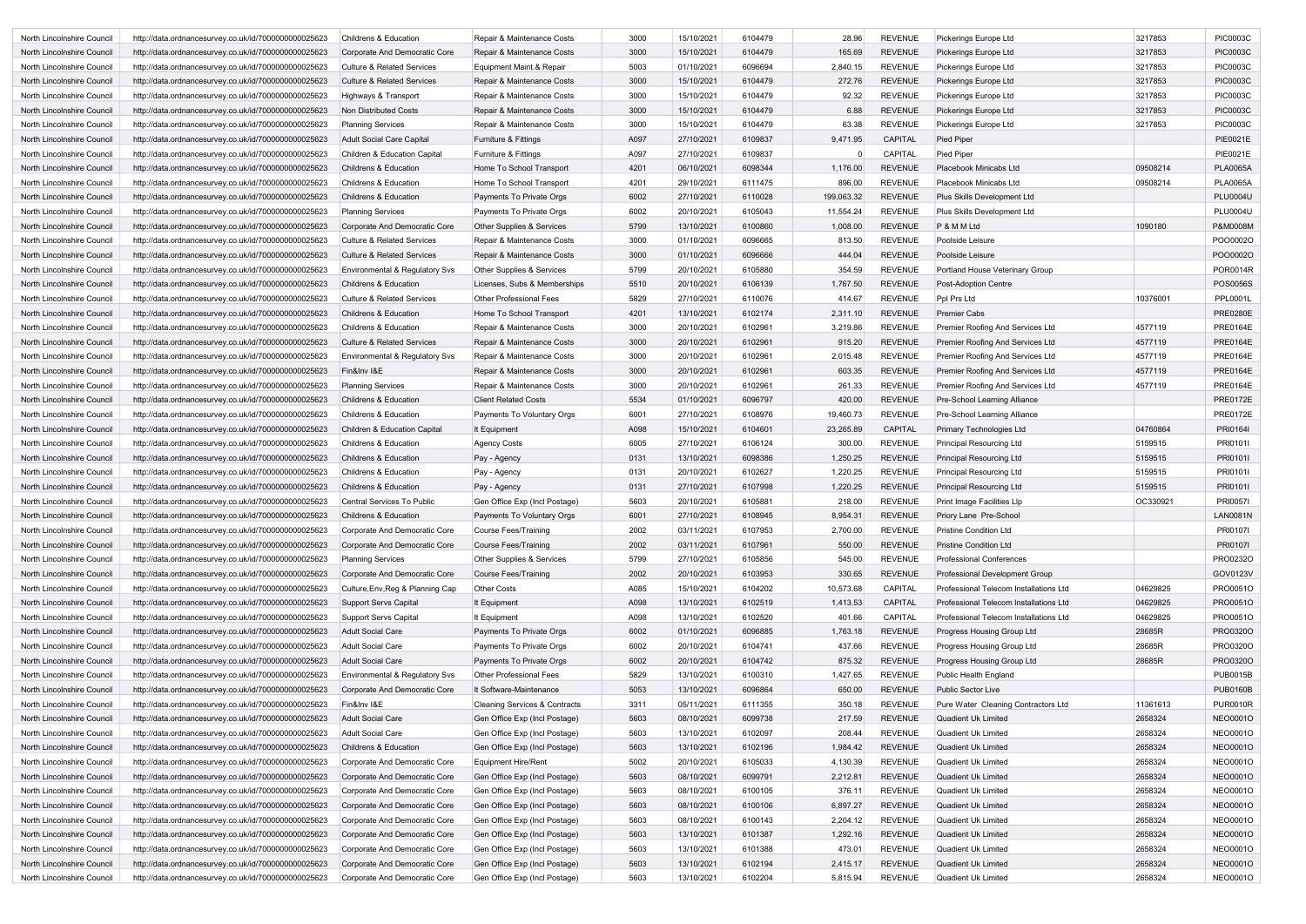| North Lincolnshire Council | http://data.ordnancesurvey.co.uk/id/7000000000025623 | <b>Childrens &amp; Education</b>      | Repair & Maintenance Costs               | 3000 | 15/10/2021 | 6104479 | 28.96      | <b>REVENUE</b> | Pickerings Europe Ltd                  | 3217853  | <b>PIC0003C</b> |
|----------------------------|------------------------------------------------------|---------------------------------------|------------------------------------------|------|------------|---------|------------|----------------|----------------------------------------|----------|-----------------|
| North Lincolnshire Council | http://data.ordnancesurvey.co.uk/id/7000000000025623 | Corporate And Democratic Core         | Repair & Maintenance Costs               | 3000 | 15/10/2021 | 6104479 | 165.69     | <b>REVENUE</b> | Pickerings Europe Ltd                  | 3217853  | <b>PIC0003C</b> |
| North Lincolnshire Council | http://data.ordnancesurvey.co.uk/id/7000000000025623 | <b>Culture &amp; Related Services</b> | Equipment Maint.& Repair                 | 5003 | 01/10/2021 | 6096694 | 2,840.15   | <b>REVENUE</b> | Pickerings Europe Ltd                  | 3217853  | <b>PIC0003C</b> |
| North Lincolnshire Council | http://data.ordnancesurvey.co.uk/id/7000000000025623 | <b>Culture &amp; Related Services</b> | Repair & Maintenance Costs               | 3000 | 15/10/2021 | 6104479 | 272.76     | <b>REVENUE</b> | Pickerings Europe Ltd                  | 3217853  | <b>PIC0003C</b> |
| North Lincolnshire Council | http://data.ordnancesurvey.co.uk/id/7000000000025623 | Highways & Transport                  | Repair & Maintenance Costs               | 3000 | 15/10/2021 | 6104479 | 92.32      | <b>REVENUE</b> | Pickerings Europe Ltd                  | 3217853  | <b>PIC0003C</b> |
| North Lincolnshire Council | http://data.ordnancesurvey.co.uk/id/7000000000025623 | Non Distributed Costs                 | Repair & Maintenance Costs               | 3000 | 15/10/2021 | 6104479 | 6.88       | <b>REVENUE</b> | Pickerings Europe Ltd                  | 3217853  | <b>PIC0003C</b> |
| North Lincolnshire Council | http://data.ordnancesurvey.co.uk/id/7000000000025623 | <b>Planning Services</b>              | Repair & Maintenance Costs               | 3000 | 15/10/2021 | 6104479 | 63.38      | <b>REVENUE</b> | Pickerings Europe Ltd                  | 3217853  | <b>PIC0003C</b> |
| North Lincolnshire Council | http://data.ordnancesurvey.co.uk/id/7000000000025623 | <b>Adult Social Care Capital</b>      | Furniture & Fittings                     | A097 | 27/10/2021 | 6109837 | 9,471.95   | <b>CAPITAL</b> | <b>Pied Piper</b>                      |          | <b>PIE0021E</b> |
| North Lincolnshire Council | http://data.ordnancesurvey.co.uk/id/7000000000025623 | Children & Education Capital          | Furniture & Fittings                     | A097 | 27/10/2021 | 6109837 |            | <b>CAPITAL</b> | <b>Pied Piper</b>                      |          | <b>PIE0021E</b> |
| North Lincolnshire Council | http://data.ordnancesurvey.co.uk/id/7000000000025623 | <b>Childrens &amp; Education</b>      | Home To School Transport                 | 4201 | 06/10/2021 | 6098344 | 1,176.00   | <b>REVENUE</b> | Placebook Minicabs Ltd                 | 09508214 | <b>PLA0065A</b> |
| North Lincolnshire Council | http://data.ordnancesurvey.co.uk/id/7000000000025623 | <b>Childrens &amp; Education</b>      | Home To School Transport                 | 4201 | 29/10/2021 | 6111475 | 896.00     | <b>REVENUE</b> | Placebook Minicabs Ltd                 | 09508214 | <b>PLA0065A</b> |
|                            |                                                      |                                       |                                          |      | 27/10/2021 | 6110028 | 199,063.32 | <b>REVENUE</b> |                                        |          | <b>PLU0004U</b> |
| North Lincolnshire Council | http://data.ordnancesurvey.co.uk/id/7000000000025623 | <b>Childrens &amp; Education</b>      | Payments To Private Orgs                 | 6002 |            |         |            |                | Plus Skills Development Ltd            |          |                 |
| North Lincolnshire Council | http://data.ordnancesurvey.co.uk/id/7000000000025623 | <b>Planning Services</b>              | Payments To Private Orgs                 | 6002 | 20/10/2021 | 6105043 | 11,554.24  | <b>REVENUE</b> | Plus Skills Development Ltd            |          | <b>PLU0004U</b> |
| North Lincolnshire Council | http://data.ordnancesurvey.co.uk/id/7000000000025623 | Corporate And Democratic Core         | Other Supplies & Services                | 5799 | 13/10/2021 | 6100860 | 1,008.00   | <b>REVENUE</b> | P & M M Ltd                            | 1090180  | P&M0008M        |
| North Lincolnshire Council | http://data.ordnancesurvey.co.uk/id/7000000000025623 | <b>Culture &amp; Related Services</b> | Repair & Maintenance Costs               | 3000 | 01/10/2021 | 6096665 | 813.50     | <b>REVENUE</b> | Poolside Leisure                       |          | PO00002C        |
| North Lincolnshire Council | http://data.ordnancesurvey.co.uk/id/7000000000025623 | <b>Culture &amp; Related Services</b> | Repair & Maintenance Costs               | 3000 | 01/10/2021 | 6096666 | 444.04     | <b>REVENUE</b> | Poolside Leisure                       |          | POO0002C        |
| North Lincolnshire Council | http://data.ordnancesurvey.co.uk/id/7000000000025623 | Environmental & Regulatory Svs        | Other Supplies & Services                | 5799 | 20/10/2021 | 6105880 | 354.59     | <b>REVENUE</b> | Portland House Veterinary Group        |          | POR0014R        |
| North Lincolnshire Council | http://data.ordnancesurvey.co.uk/id/7000000000025623 | Childrens & Education                 | Licenses, Subs & Memberships             | 5510 | 20/10/2021 | 6106139 | 1,767.50   | <b>REVENUE</b> | <b>Post-Adoption Centre</b>            |          | <b>POS0056S</b> |
| North Lincolnshire Council | http://data.ordnancesurvey.co.uk/id/7000000000025623 | <b>Culture &amp; Related Services</b> | <b>Other Professional Fees</b>           | 5829 | 27/10/2021 | 6110076 | 414.67     | <b>REVENUE</b> | Ppl Prs Ltd                            | 10376001 | <b>PPL0001L</b> |
| North Lincolnshire Council | http://data.ordnancesurvey.co.uk/id/7000000000025623 | <b>Childrens &amp; Education</b>      | Home To School Transport                 | 4201 | 13/10/2021 | 6102174 | 2,311.10   | <b>REVENUE</b> | <b>Premier Cabs</b>                    |          | <b>PRE0280E</b> |
| North Lincolnshire Council | http://data.ordnancesurvey.co.uk/id/7000000000025623 | <b>Childrens &amp; Education</b>      | Repair & Maintenance Costs               | 3000 | 20/10/2021 | 6102961 | 3,219.86   | <b>REVENUE</b> | Premier Roofing And Services Ltd       | 4577119  | <b>PRE0164E</b> |
| North Lincolnshire Council | http://data.ordnancesurvey.co.uk/id/7000000000025623 | <b>Culture &amp; Related Services</b> | Repair & Maintenance Costs               | 3000 | 20/10/2021 | 6102961 | 915.20     | <b>REVENUE</b> | Premier Roofing And Services Ltd       | 4577119  | <b>PRE0164E</b> |
| North Lincolnshire Council | http://data.ordnancesurvey.co.uk/id/7000000000025623 | Environmental & Regulatory Svs        | Repair & Maintenance Costs               | 3000 | 20/10/2021 | 6102961 | 2,015.48   | <b>REVENUE</b> | Premier Roofing And Services Ltd       | 4577119  | <b>PRE0164E</b> |
| North Lincolnshire Council | http://data.ordnancesurvey.co.uk/id/7000000000025623 | Fin&Inv I&E                           | Repair & Maintenance Costs               | 3000 | 20/10/2021 | 6102961 | 603.35     | <b>REVENUE</b> | Premier Roofing And Services Ltd       | 4577119  | <b>PRE0164E</b> |
| North Lincolnshire Council | http://data.ordnancesurvey.co.uk/id/7000000000025623 | <b>Planning Services</b>              | Repair & Maintenance Costs               | 3000 | 20/10/2021 | 6102961 | 261.33     | <b>REVENUE</b> | Premier Roofing And Services Ltd       | 4577119  | <b>PRE0164E</b> |
| North Lincolnshire Council | http://data.ordnancesurvey.co.uk/id/7000000000025623 | <b>Childrens &amp; Education</b>      | <b>Client Related Costs</b>              | 5534 | 01/10/2021 | 6096797 | 420.00     | <b>REVENUE</b> | Pre-School Learning Alliance           |          | <b>PRE0172E</b> |
| North Lincolnshire Council | http://data.ordnancesurvey.co.uk/id/7000000000025623 | <b>Childrens &amp; Education</b>      | Payments To Voluntary Orgs               | 6001 | 27/10/2021 | 6108976 | 19,460.73  | <b>REVENUE</b> | Pre-School Learning Alliance           |          | <b>PRE0172E</b> |
| North Lincolnshire Council | http://data.ordnancesurvey.co.uk/id/7000000000025623 | Children & Education Capital          | It Equipment                             | A098 | 15/10/2021 | 6104601 | 23,265.89  | <b>CAPITAL</b> | <b>Primary Technologies Ltd</b>        | 04760864 | PRI0164I        |
| North Lincolnshire Council | http://data.ordnancesurvey.co.uk/id/7000000000025623 | <b>Childrens &amp; Education</b>      | <b>Agency Costs</b>                      | 6005 | 27/10/2021 | 6106124 | 300.00     | <b>REVENUE</b> | Principal Resourcing Ltd               | 5159515  | PRI01011        |
| North Lincolnshire Council | http://data.ordnancesurvey.co.uk/id/7000000000025623 | <b>Childrens &amp; Education</b>      | Pay - Agency                             | 0131 | 13/10/2021 | 6098386 | 1,250.25   | <b>REVENUE</b> | <b>Principal Resourcing Ltd</b>        | 5159515  | PRI01011        |
| North Lincolnshire Council | http://data.ordnancesurvey.co.uk/id/7000000000025623 | <b>Childrens &amp; Education</b>      | Pay - Agency                             | 0131 | 20/10/2021 | 6102627 | 1,220.25   | <b>REVENUE</b> | <b>Principal Resourcing Ltd</b>        | 5159515  | PRI01011        |
| North Lincolnshire Council | http://data.ordnancesurvey.co.uk/id/7000000000025623 | <b>Childrens &amp; Education</b>      | Pay - Agency                             | 0131 | 27/10/2021 | 6107998 | 1,220.25   | <b>REVENUE</b> | <b>Principal Resourcing Ltd</b>        | 5159515  | PRI01011        |
| North Lincolnshire Council | http://data.ordnancesurvey.co.uk/id/7000000000025623 | <b>Central Services To Public</b>     | Gen Office Exp (Incl Postage)            | 5603 | 20/10/2021 | 6105881 | 218.00     | <b>REVENUE</b> | <b>Print Image Facilities LIp</b>      | OC330921 | <b>PRI00571</b> |
| North Lincolnshire Council | http://data.ordnancesurvey.co.uk/id/7000000000025623 | <b>Childrens &amp; Education</b>      | Payments To Voluntary Orgs               | 6001 | 27/10/2021 | 6108945 | 8.954.31   | <b>REVENUE</b> | Priory Lane Pre-School                 |          | <b>LAN0081N</b> |
| North Lincolnshire Council | http://data.ordnancesurvey.co.uk/id/7000000000025623 | Corporate And Democratic Core         | <b>Course Fees/Training</b>              | 2002 | 03/11/2021 | 6107953 | 2,700.00   | <b>REVENUE</b> | <b>Pristine Condition Ltd</b>          |          | <b>PRI01071</b> |
| North Lincolnshire Council | http://data.ordnancesurvey.co.uk/id/7000000000025623 | Corporate And Democratic Core         | <b>Course Fees/Training</b>              | 2002 | 03/11/2021 | 6107961 | 550.00     | <b>REVENUE</b> | <b>Pristine Condition Ltd</b>          |          | <b>PRI01071</b> |
| North Lincolnshire Council |                                                      | <b>Planning Services</b>              | Other Supplies & Services                | 5799 | 27/10/2021 | 6105856 | 545.00     | <b>REVENUE</b> | <b>Professional Conferences</b>        |          | PRO0232O        |
|                            | http://data.ordnancesurvey.co.uk/id/7000000000025623 |                                       |                                          |      |            |         |            |                |                                        |          |                 |
| North Lincolnshire Council | http://data.ordnancesurvey.co.uk/id/7000000000025623 | Corporate And Democratic Core         | Course Fees/Training                     | 2002 | 20/10/2021 | 6103953 | 330.65     | <b>REVENUE</b> | Professional Development Group         |          | GOV0123V        |
| North Lincolnshire Council | http://data.ordnancesurvey.co.uk/id/7000000000025623 | Culture, Env, Reg & Planning Cap      | <b>Other Costs</b>                       | A085 | 15/10/2021 | 6104202 | 10,573.68  | CAPITAL        | Professional Telecom Installations Ltd | 04629825 | PRO0051O        |
| North Lincolnshire Council | http://data.ordnancesurvey.co.uk/id/7000000000025623 | Support Servs Capital                 | It Equipment                             | A098 | 13/10/2021 | 6102519 | 1,413.53   | <b>CAPITAL</b> | Professional Telecom Installations Ltd | 04629825 | PRO0051O        |
| North Lincolnshire Council | http://data.ordnancesurvey.co.uk/id/7000000000025623 | Support Servs Capital                 | It Equipment                             | A098 | 13/10/2021 | 6102520 | 401.66     | CAPITAL        | Professional Telecom Installations Ltd | 04629825 | PRO0051O        |
| North Lincolnshire Council | http://data.ordnancesurvey.co.uk/id/7000000000025623 | <b>Adult Social Care</b>              | Payments To Private Orgs                 | 6002 | 01/10/2021 | 6096885 | 1,763.18   | <b>REVENUE</b> | <b>Progress Housing Group Ltd</b>      | 28685R   | PRO0320O        |
| North Lincolnshire Council | http://data.ordnancesurvey.co.uk/id/7000000000025623 | <b>Adult Social Care</b>              | Payments To Private Orgs                 | 6002 | 20/10/2021 | 6104741 | 437.66     | <b>REVENUE</b> | Progress Housing Group Ltd             | 28685R   | PRO0320O        |
| North Lincolnshire Council | http://data.ordnancesurvey.co.uk/id/7000000000025623 | <b>Adult Social Care</b>              | Payments To Private Orgs                 | 6002 | 20/10/2021 | 6104742 | 875.32     | <b>REVENUE</b> | Progress Housing Group Ltd             | 28685R   | PRO0320O        |
| North Lincolnshire Council | http://data.ordnancesurvey.co.uk/id/7000000000025623 | Environmental & Regulatory Svs        | Other Professional Fees                  | 5829 | 13/10/2021 | 6100310 | 1,427.65   | <b>REVENUE</b> | Public Health England                  |          | <b>PUB0015B</b> |
| North Lincolnshire Council | http://data.ordnancesurvey.co.uk/id/7000000000025623 | Corporate And Democratic Core         | It Software-Maintenance                  | 5053 | 13/10/2021 | 6096864 | 650.00     | <b>REVENUE</b> | Public Sector Live                     |          | <b>PUB0160B</b> |
| North Lincolnshire Council | http://data.ordnancesurvey.co.uk/id/7000000000025623 | Fin&Inv I&E                           | <b>Cleaning Services &amp; Contracts</b> | 3311 | 05/11/2021 | 6111355 | 350.18     | <b>REVENUE</b> | Pure Water Cleaning Contractors Ltd    | 11361613 | <b>PUR0010R</b> |
| North Lincolnshire Council | http://data.ordnancesurvey.co.uk/id/7000000000025623 | <b>Adult Social Care</b>              | Gen Office Exp (Incl Postage)            | 5603 | 08/10/2021 | 6099738 | 217.59     | <b>REVENUE</b> | Quadient Uk Limited                    | 2658324  | <b>NEO0001O</b> |
| North Lincolnshire Council | http://data.ordnancesurvey.co.uk/id/7000000000025623 | <b>Adult Social Care</b>              | Gen Office Exp (Incl Postage)            | 5603 | 13/10/2021 | 6102097 | 208.44     | <b>REVENUE</b> | <b>Quadient Uk Limited</b>             | 2658324  | <b>NEO0001O</b> |
| North Lincolnshire Council | http://data.ordnancesurvey.co.uk/id/7000000000025623 | Childrens & Education                 | Gen Office Exp (Incl Postage)            | 5603 | 13/10/2021 | 6102196 | 1,984.42   | <b>REVENUE</b> | Quadient Uk Limited                    | 2658324  | <b>NEO0001O</b> |
| North Lincolnshire Council | http://data.ordnancesurvey.co.uk/id/7000000000025623 | Corporate And Democratic Core         | <b>Equipment Hire/Rent</b>               | 5002 | 20/10/2021 | 6105033 | 4,130.39   | <b>REVENUE</b> | Quadient Uk Limited                    | 2658324  | <b>NEO0001O</b> |
| North Lincolnshire Council | http://data.ordnancesurvey.co.uk/id/7000000000025623 | Corporate And Democratic Core         | Gen Office Exp (Incl Postage)            | 5603 | 08/10/2021 | 6099791 | 2,212.81   | <b>REVENUE</b> | Quadient Uk Limited                    | 2658324  | <b>NEO0001O</b> |
| North Lincolnshire Council | http://data.ordnancesurvey.co.uk/id/7000000000025623 | Corporate And Democratic Core         | Gen Office Exp (Incl Postage)            | 5603 | 08/10/2021 | 6100105 | 376.11     | <b>REVENUE</b> | Quadient Uk Limited                    | 2658324  | <b>NEO0001O</b> |
| North Lincolnshire Council | http://data.ordnancesurvey.co.uk/id/7000000000025623 | Corporate And Democratic Core         | Gen Office Exp (Incl Postage)            | 5603 | 08/10/2021 | 6100106 | 6,897.27   | <b>REVENUE</b> | Quadient Uk Limited                    | 2658324  | <b>NEO0001O</b> |
| North Lincolnshire Council | http://data.ordnancesurvey.co.uk/id/7000000000025623 | Corporate And Democratic Core         | Gen Office Exp (Incl Postage)            | 5603 | 08/10/2021 | 6100143 | 2,204.12   | <b>REVENUE</b> | Quadient Uk Limited                    | 2658324  | <b>NEO0001O</b> |
| North Lincolnshire Council | http://data.ordnancesurvey.co.uk/id/7000000000025623 | Corporate And Democratic Core         | Gen Office Exp (Incl Postage)            | 5603 | 13/10/2021 | 6101387 | 1,292.16   | <b>REVENUE</b> | Quadient Uk Limited                    | 2658324  | <b>NEO0001O</b> |
| North Lincolnshire Council | http://data.ordnancesurvey.co.uk/id/7000000000025623 | Corporate And Democratic Core         | Gen Office Exp (Incl Postage)            | 5603 | 13/10/2021 | 6101388 | 473.01     | <b>REVENUE</b> | Quadient Uk Limited                    | 2658324  | <b>NEO0001O</b> |
| North Lincolnshire Council | http://data.ordnancesurvey.co.uk/id/7000000000025623 | Corporate And Democratic Core         | Gen Office Exp (Incl Postage)            | 5603 | 13/10/2021 | 6102194 | 2,415.17   | <b>REVENUE</b> | Quadient Uk Limited                    | 2658324  | <b>NEO0001O</b> |
| North Lincolnshire Council | http://data.ordnancesurvey.co.uk/id/7000000000025623 | Corporate And Democratic Core         | Gen Office Exp (Incl Postage)            | 5603 | 13/10/2021 | 6102204 | 5,815.94   | <b>REVENUE</b> | Quadient Uk Limited                    | 2658324  | <b>NEO0001O</b> |
|                            |                                                      |                                       |                                          |      |            |         |            |                |                                        |          |                 |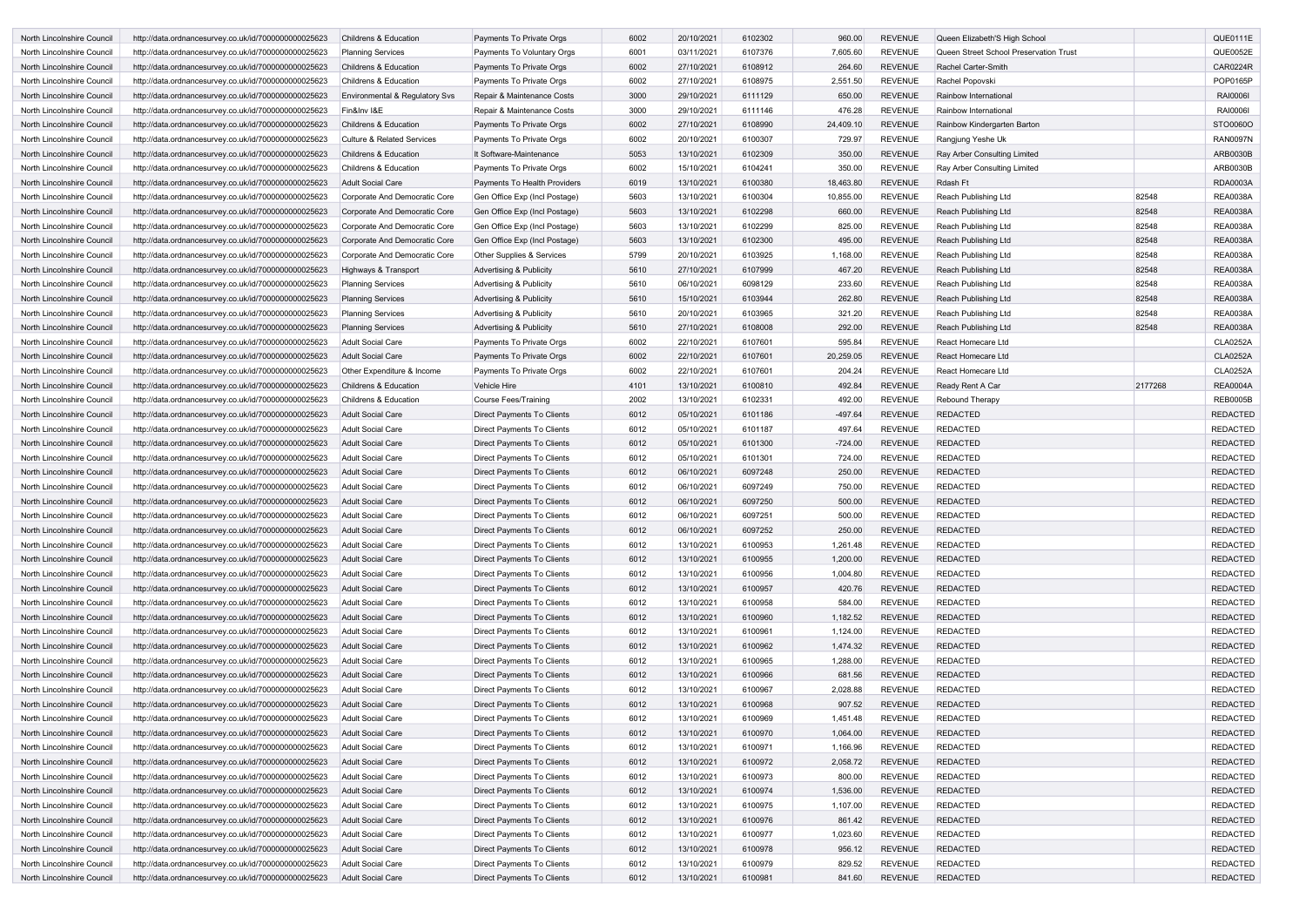| North Lincolnshire Council | http://data.ordnancesurvey.co.uk/id/7000000000025623 | <b>Childrens &amp; Education</b>          | Payments To Private Orgs           | 6002 | 20/10/2021 | 6102302 | 960.00    | <b>REVENUE</b> | Queen Elizabeth'S High School          |         | QUE0111E        |
|----------------------------|------------------------------------------------------|-------------------------------------------|------------------------------------|------|------------|---------|-----------|----------------|----------------------------------------|---------|-----------------|
| North Lincolnshire Council | http://data.ordnancesurvey.co.uk/id/7000000000025623 | <b>Planning Services</b>                  | Payments To Voluntary Orgs         | 6001 | 03/11/2021 | 6107376 | 7,605.60  | <b>REVENUE</b> | Queen Street School Preservation Trust |         | QUE0052E        |
| North Lincolnshire Council |                                                      |                                           |                                    |      |            |         |           |                |                                        |         |                 |
|                            | http://data.ordnancesurvey.co.uk/id/7000000000025623 | <b>Childrens &amp; Education</b>          | Payments To Private Orgs           | 6002 | 27/10/2021 | 6108912 | 264.60    | <b>REVENUE</b> | Rachel Carter-Smith                    |         | <b>CAR0224R</b> |
| North Lincolnshire Council | http://data.ordnancesurvey.co.uk/id/7000000000025623 | <b>Childrens &amp; Education</b>          | Payments To Private Orgs           | 6002 | 27/10/2021 | 6108975 | 2,551.50  | <b>REVENUE</b> | Rachel Popovski                        |         | POP0165P        |
| North Lincolnshire Council | http://data.ordnancesurvey.co.uk/id/7000000000025623 | <b>Environmental &amp; Regulatory Svs</b> | Repair & Maintenance Costs         | 3000 | 29/10/2021 | 6111129 | 650.00    | <b>REVENUE</b> | Rainbow International                  |         | <b>RAI0006I</b> |
| North Lincolnshire Council | http://data.ordnancesurvey.co.uk/id/7000000000025623 | Fin&Inv I&E                               | Repair & Maintenance Costs         | 3000 | 29/10/2021 | 6111146 | 476.28    | <b>REVENUE</b> | Rainbow International                  |         | <b>RAI0006I</b> |
| North Lincolnshire Council | http://data.ordnancesurvey.co.uk/id/7000000000025623 | <b>Childrens &amp; Education</b>          | Payments To Private Orgs           | 6002 | 27/10/2021 | 6108990 | 24,409.10 | <b>REVENUE</b> | Rainbow Kindergarten Barton            |         | STO0060O        |
| North Lincolnshire Council | http://data.ordnancesurvey.co.uk/id/7000000000025623 | <b>Culture &amp; Related Services</b>     | Payments To Private Orgs           | 6002 | 20/10/2021 | 6100307 | 729.97    | <b>REVENUE</b> | Rangjung Yeshe Uk                      |         | <b>RAN0097N</b> |
| North Lincolnshire Council | http://data.ordnancesurvey.co.uk/id/7000000000025623 | <b>Childrens &amp; Education</b>          | It Software-Maintenance            | 5053 | 13/10/2021 | 6102309 | 350.00    | <b>REVENUE</b> | Ray Arber Consulting Limited           |         | ARB0030B        |
| North Lincolnshire Council | http://data.ordnancesurvey.co.uk/id/7000000000025623 | Childrens & Education                     | Payments To Private Orgs           | 6002 | 15/10/2021 | 6104241 | 350.00    | <b>REVENUE</b> | Ray Arber Consulting Limited           |         | ARB0030B        |
| North Lincolnshire Council | http://data.ordnancesurvey.co.uk/id/7000000000025623 | <b>Adult Social Care</b>                  | Payments To Health Providers       | 6019 | 13/10/2021 | 6100380 | 18,463.80 | <b>REVENUE</b> | Rdash Ft                               |         | <b>RDA0003A</b> |
| North Lincolnshire Council | http://data.ordnancesurvey.co.uk/id/7000000000025623 | Corporate And Democratic Core             | Gen Office Exp (Incl Postage)      | 5603 | 13/10/2021 | 6100304 | 10,855.00 | <b>REVENUE</b> | Reach Publishing Ltd                   | 82548   | <b>REA0038A</b> |
| North Lincolnshire Council | http://data.ordnancesurvey.co.uk/id/7000000000025623 | Corporate And Democratic Core             | Gen Office Exp (Incl Postage)      | 5603 | 13/10/2021 | 6102298 | 660.00    | <b>REVENUE</b> | Reach Publishing Ltd                   | 82548   | <b>REA0038A</b> |
| North Lincolnshire Council | http://data.ordnancesurvey.co.uk/id/7000000000025623 | Corporate And Democratic Core             | Gen Office Exp (Incl Postage)      | 5603 | 13/10/2021 | 6102299 | 825.00    | <b>REVENUE</b> | Reach Publishing Ltd                   | 82548   | <b>REA0038A</b> |
| North Lincolnshire Council | http://data.ordnancesurvey.co.uk/id/7000000000025623 | Corporate And Democratic Core             | Gen Office Exp (Incl Postage)      | 5603 | 13/10/2021 | 6102300 | 495.00    | <b>REVENUE</b> | Reach Publishing Ltd                   | 82548   | <b>REA0038A</b> |
| North Lincolnshire Council | http://data.ordnancesurvey.co.uk/id/7000000000025623 | Corporate And Democratic Core             | Other Supplies & Services          | 5799 | 20/10/2021 | 6103925 | 1,168.00  | <b>REVENUE</b> | Reach Publishing Ltd                   | 82548   | <b>REA0038A</b> |
| North Lincolnshire Council | http://data.ordnancesurvey.co.uk/id/7000000000025623 | Highways & Transport                      | <b>Advertising &amp; Publicity</b> | 5610 | 27/10/2021 | 6107999 | 467.20    | <b>REVENUE</b> | Reach Publishing Ltd                   | 82548   | <b>REA0038A</b> |
|                            |                                                      |                                           |                                    |      |            |         |           |                |                                        |         |                 |
| North Lincolnshire Council | http://data.ordnancesurvey.co.uk/id/7000000000025623 | <b>Planning Services</b>                  | <b>Advertising &amp; Publicity</b> | 5610 | 06/10/2021 | 6098129 | 233.60    | <b>REVENUE</b> | Reach Publishing Ltd                   | 82548   | <b>REA0038A</b> |
| North Lincolnshire Council | http://data.ordnancesurvey.co.uk/id/7000000000025623 | <b>Planning Services</b>                  | <b>Advertising &amp; Publicity</b> | 5610 | 15/10/2021 | 6103944 | 262.80    | <b>REVENUE</b> | Reach Publishing Ltd                   | 82548   | <b>REA0038A</b> |
| North Lincolnshire Council | http://data.ordnancesurvey.co.uk/id/7000000000025623 | <b>Planning Services</b>                  | <b>Advertising &amp; Publicity</b> | 5610 | 20/10/2021 | 6103965 | 321.20    | <b>REVENUE</b> | Reach Publishing Ltd                   | 82548   | <b>REA0038A</b> |
| North Lincolnshire Council | http://data.ordnancesurvey.co.uk/id/7000000000025623 | <b>Planning Services</b>                  | <b>Advertising &amp; Publicity</b> | 5610 | 27/10/2021 | 6108008 | 292.00    | <b>REVENUE</b> | Reach Publishing Ltd                   | 82548   | <b>REA0038A</b> |
| North Lincolnshire Council | http://data.ordnancesurvey.co.uk/id/7000000000025623 | Adult Social Care                         | Payments To Private Orgs           | 6002 | 22/10/2021 | 6107601 | 595.84    | <b>REVENUE</b> | React Homecare Ltd                     |         | <b>CLA0252A</b> |
| North Lincolnshire Council | http://data.ordnancesurvey.co.uk/id/7000000000025623 | <b>Adult Social Care</b>                  | Payments To Private Orgs           | 6002 | 22/10/2021 | 6107601 | 20,259.05 | <b>REVENUE</b> | React Homecare Ltd                     |         | <b>CLA0252A</b> |
| North Lincolnshire Council | http://data.ordnancesurvey.co.uk/id/7000000000025623 | Other Expenditure & Income                | Payments To Private Orgs           | 6002 | 22/10/2021 | 6107601 | 204.24    | <b>REVENUE</b> | React Homecare Ltd                     |         | <b>CLA0252A</b> |
| North Lincolnshire Council | http://data.ordnancesurvey.co.uk/id/7000000000025623 | <b>Childrens &amp; Education</b>          | <b>Vehicle Hire</b>                | 4101 | 13/10/2021 | 6100810 | 492.84    | <b>REVENUE</b> | Ready Rent A Car                       | 2177268 | <b>REA0004A</b> |
| North Lincolnshire Council | http://data.ordnancesurvey.co.uk/id/7000000000025623 | <b>Childrens &amp; Education</b>          | Course Fees/Training               | 2002 | 13/10/2021 | 6102331 | 492.00    | <b>REVENUE</b> | Rebound Therapy                        |         | <b>REB0005B</b> |
| North Lincolnshire Council | http://data.ordnancesurvey.co.uk/id/7000000000025623 | Adult Social Care                         | Direct Payments To Clients         | 6012 | 05/10/2021 | 6101186 | -497.64   | <b>REVENUE</b> | <b>REDACTED</b>                        |         | <b>REDACTED</b> |
| North Lincolnshire Council | http://data.ordnancesurvey.co.uk/id/7000000000025623 | Adult Social Care                         | Direct Payments To Clients         | 6012 | 05/10/2021 | 6101187 | 497.64    | <b>REVENUE</b> | <b>REDACTED</b>                        |         | <b>REDACTED</b> |
| North Lincolnshire Council | http://data.ordnancesurvey.co.uk/id/7000000000025623 | Adult Social Care                         | Direct Payments To Clients         | 6012 | 05/10/2021 | 6101300 | $-724.00$ | <b>REVENUE</b> | <b>REDACTED</b>                        |         | <b>REDACTED</b> |
| North Lincolnshire Council | http://data.ordnancesurvey.co.uk/id/7000000000025623 | <b>Adult Social Care</b>                  |                                    | 6012 | 05/10/2021 | 6101301 | 724.00    | <b>REVENUE</b> | <b>REDACTED</b>                        |         | <b>REDACTED</b> |
|                            |                                                      |                                           | Direct Payments To Clients         |      |            |         |           |                |                                        |         |                 |
| North Lincolnshire Council | http://data.ordnancesurvey.co.uk/id/7000000000025623 | <b>Adult Social Care</b>                  | Direct Payments To Clients         | 6012 | 06/10/2021 | 6097248 | 250.00    | <b>REVENUE</b> | <b>REDACTED</b>                        |         | <b>REDACTED</b> |
| North Lincolnshire Council | http://data.ordnancesurvey.co.uk/id/7000000000025623 | Adult Social Care                         | Direct Payments To Clients         | 6012 | 06/10/2021 | 6097249 | 750.00    | <b>REVENUE</b> | <b>REDACTED</b>                        |         | <b>REDACTED</b> |
| North Lincolnshire Council | http://data.ordnancesurvey.co.uk/id/7000000000025623 | <b>Adult Social Care</b>                  | Direct Payments To Clients         | 6012 | 06/10/2021 | 6097250 | 500.00    | <b>REVENUE</b> | <b>REDACTED</b>                        |         | <b>REDACTED</b> |
| North Lincolnshire Council | http://data.ordnancesurvey.co.uk/id/7000000000025623 | <b>Adult Social Care</b>                  | Direct Payments To Clients         | 6012 | 06/10/2021 | 6097251 | 500.00    | <b>REVENUE</b> | <b>REDACTED</b>                        |         | <b>REDACTED</b> |
| North Lincolnshire Council | http://data.ordnancesurvey.co.uk/id/7000000000025623 | <b>Adult Social Care</b>                  | Direct Payments To Clients         | 6012 | 06/10/2021 | 6097252 | 250.00    | <b>REVENUE</b> | <b>REDACTED</b>                        |         | <b>REDACTED</b> |
| North Lincolnshire Council | http://data.ordnancesurvey.co.uk/id/7000000000025623 | <b>Adult Social Care</b>                  | Direct Payments To Clients         | 6012 | 13/10/2021 | 6100953 | 1,261.48  | <b>REVENUE</b> | <b>REDACTED</b>                        |         | <b>REDACTED</b> |
| North Lincolnshire Council | http://data.ordnancesurvey.co.uk/id/7000000000025623 | <b>Adult Social Care</b>                  | Direct Payments To Clients         | 6012 | 13/10/2021 | 6100955 | 1,200.00  | <b>REVENUE</b> | <b>REDACTED</b>                        |         | <b>REDACTED</b> |
| North Lincolnshire Council | http://data.ordnancesurvey.co.uk/id/7000000000025623 | <b>Adult Social Care</b>                  | <b>Direct Payments To Clients</b>  | 6012 | 13/10/2021 | 6100956 | 1,004.80  | <b>REVENUE</b> | <b>REDACTED</b>                        |         | <b>REDACTED</b> |
| North Lincolnshire Council | http://data.ordnancesurvey.co.uk/id/7000000000025623 | <b>Adult Social Care</b>                  | Direct Payments To Clients         | 6012 | 13/10/2021 | 6100957 | 420.76    | <b>REVENUE</b> | <b>REDACTED</b>                        |         | <b>REDACTED</b> |
| North Lincolnshire Council | http://data.ordnancesurvey.co.uk/id/7000000000025623 | <b>Adult Social Care</b>                  | Direct Payments To Clients         | 6012 | 13/10/2021 | 6100958 | 584.00    | <b>REVENUE</b> | <b>REDACTED</b>                        |         | <b>REDACTED</b> |
| North Lincolnshire Council | http://data.ordnancesurvey.co.uk/id/7000000000025623 | <b>Adult Social Care</b>                  | Direct Payments To Clients         | 6012 | 13/10/2021 | 6100960 | 1,182.52  | <b>REVENUE</b> | <b>REDACTED</b>                        |         | <b>REDACTED</b> |
| North Lincolnshire Council | http://data.ordnancesurvey.co.uk/id/7000000000025623 | Adult Social Care                         | Direct Payments To Clients         | 6012 | 13/10/2021 | 6100961 | 1,124.00  | <b>REVENUE</b> | <b>REDACTED</b>                        |         | <b>REDACTED</b> |
| North Lincolnshire Council | http://data.ordnancesurvey.co.uk/id/7000000000025623 | <b>Adult Social Care</b>                  | Direct Payments To Clients         | 6012 | 13/10/2021 | 6100962 | 1,474.32  | <b>REVENUE</b> | <b>REDACTED</b>                        |         | <b>REDACTED</b> |
| North Lincolnshire Council | http://data.ordnancesurvey.co.uk/id/7000000000025623 | <b>Adult Social Care</b>                  | Direct Payments To Clients         | 6012 | 13/10/2021 | 6100965 | 1,288.00  | <b>REVENUE</b> | <b>REDACTED</b>                        |         | <b>REDACTED</b> |
|                            |                                                      |                                           |                                    |      |            |         |           |                |                                        |         |                 |
| North Lincolnshire Council | http://data.ordnancesurvey.co.uk/id/7000000000025623 | <b>Adult Social Care</b>                  | Direct Payments To Clients         | 6012 | 13/10/2021 | 6100966 | 681.56    | <b>REVENUE</b> | <b>REDACTED</b>                        |         | <b>REDACTED</b> |
| North Lincolnshire Council | http://data.ordnancesurvey.co.uk/id/7000000000025623 | <b>Adult Social Care</b>                  | Direct Payments To Clients         | 6012 | 13/10/2021 | 6100967 | 2,028.88  | <b>REVENUE</b> | <b>REDACTED</b>                        |         | <b>REDACTED</b> |
| North Lincolnshire Council | http://data.ordnancesurvey.co.uk/id/7000000000025623 | <b>Adult Social Care</b>                  | Direct Payments To Clients         | 6012 | 13/10/2021 | 6100968 | 907.52    | <b>REVENUE</b> | <b>REDACTED</b>                        |         | <b>REDACTED</b> |
| North Lincolnshire Council | http://data.ordnancesurvey.co.uk/id/7000000000025623 | <b>Adult Social Care</b>                  | Direct Payments To Clients         | 6012 | 13/10/2021 | 6100969 | 1,451.48  | <b>REVENUE</b> | <b>REDACTED</b>                        |         | <b>REDACTED</b> |
| North Lincolnshire Council | http://data.ordnancesurvey.co.uk/id/7000000000025623 | <b>Adult Social Care</b>                  | Direct Payments To Clients         | 6012 | 13/10/2021 | 6100970 | 1,064.00  | <b>REVENUE</b> | <b>REDACTED</b>                        |         | <b>REDACTED</b> |
| North Lincolnshire Council | http://data.ordnancesurvey.co.uk/id/7000000000025623 | <b>Adult Social Care</b>                  | Direct Payments To Clients         | 6012 | 13/10/2021 | 6100971 | 1,166.96  | <b>REVENUE</b> | <b>REDACTED</b>                        |         | <b>REDACTED</b> |
| North Lincolnshire Council | http://data.ordnancesurvey.co.uk/id/7000000000025623 | <b>Adult Social Care</b>                  | Direct Payments To Clients         | 6012 | 13/10/2021 | 6100972 | 2,058.72  | <b>REVENUE</b> | <b>REDACTED</b>                        |         | <b>REDACTED</b> |
| North Lincolnshire Council | http://data.ordnancesurvey.co.uk/id/7000000000025623 | Adult Social Care                         | Direct Payments To Clients         | 6012 | 13/10/2021 | 6100973 | 800.00    | <b>REVENUE</b> | <b>REDACTED</b>                        |         | <b>REDACTED</b> |
| North Lincolnshire Council | http://data.ordnancesurvey.co.uk/id/7000000000025623 | <b>Adult Social Care</b>                  | Direct Payments To Clients         | 6012 | 13/10/2021 | 6100974 | 1,536.00  | <b>REVENUE</b> | <b>REDACTED</b>                        |         | <b>REDACTED</b> |
| North Lincolnshire Council | http://data.ordnancesurvey.co.uk/id/7000000000025623 | <b>Adult Social Care</b>                  | Direct Payments To Clients         | 6012 | 13/10/2021 | 6100975 | 1,107.00  | <b>REVENUE</b> | <b>REDACTED</b>                        |         | <b>REDACTED</b> |
| North Lincolnshire Council | http://data.ordnancesurvey.co.uk/id/7000000000025623 | <b>Adult Social Care</b>                  | Direct Payments To Clients         | 6012 | 13/10/2021 | 6100976 | 861.42    | <b>REVENUE</b> | <b>REDACTED</b>                        |         | <b>REDACTED</b> |
| North Lincolnshire Council | http://data.ordnancesurvey.co.uk/id/7000000000025623 | <b>Adult Social Care</b>                  | Direct Payments To Clients         | 6012 | 13/10/2021 | 6100977 | 1,023.60  | <b>REVENUE</b> | <b>REDACTED</b>                        |         | <b>REDACTED</b> |
| North Lincolnshire Council | http://data.ordnancesurvey.co.uk/id/7000000000025623 | <b>Adult Social Care</b>                  | Direct Payments To Clients         | 6012 | 13/10/2021 | 6100978 | 956.12    | <b>REVENUE</b> | <b>REDACTED</b>                        |         | <b>REDACTED</b> |
|                            |                                                      |                                           |                                    | 6012 |            |         |           |                |                                        |         |                 |
| North Lincolnshire Council | http://data.ordnancesurvey.co.uk/id/7000000000025623 | <b>Adult Social Care</b>                  | Direct Payments To Clients         |      | 13/10/2021 | 6100979 | 829.52    | <b>REVENUE</b> | <b>REDACTED</b>                        |         | <b>REDACTED</b> |
| North Lincolnshire Council | http://data.ordnancesurvey.co.uk/id/7000000000025623 | Adult Social Care                         | Direct Payments To Clients         | 6012 | 13/10/2021 | 6100981 | 841.60    | <b>REVENUE</b> | <b>REDACTED</b>                        |         | <b>REDACTED</b> |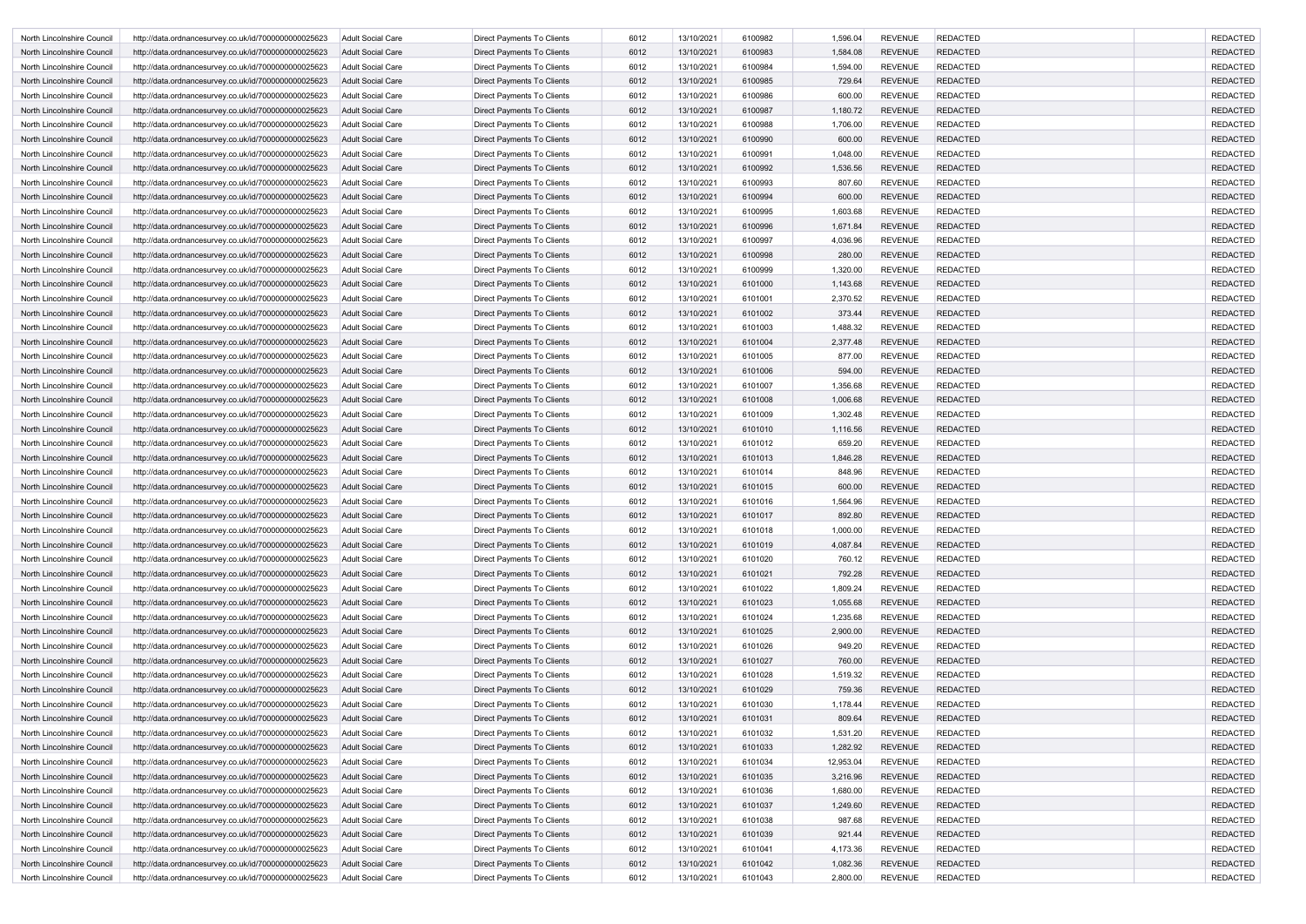| North Lincolnshire Council | http://data.ordnancesurvey.co.uk/id/7000000000025623 | <b>Adult Social Care</b> | Direct Payments To Clients        | 6012 | 13/10/2021 | 6100982 | 1,596.04  | <b>REVENUE</b> | <b>REDACTED</b> | <b>REDACTED</b> |
|----------------------------|------------------------------------------------------|--------------------------|-----------------------------------|------|------------|---------|-----------|----------------|-----------------|-----------------|
| North Lincolnshire Council | http://data.ordnancesurvey.co.uk/id/7000000000025623 | <b>Adult Social Care</b> | Direct Payments To Clients        | 6012 | 13/10/2021 | 6100983 | 1,584.08  | <b>REVENUE</b> | <b>REDACTED</b> | <b>REDACTED</b> |
| North Lincolnshire Council | http://data.ordnancesurvey.co.uk/id/7000000000025623 | Adult Social Care        | Direct Payments To Clients        | 6012 | 13/10/2021 | 6100984 | 1,594.00  | <b>REVENUE</b> | <b>REDACTED</b> | <b>REDACTED</b> |
| North Lincolnshire Council | http://data.ordnancesurvey.co.uk/id/7000000000025623 | Adult Social Care        | Direct Payments To Clients        | 6012 | 13/10/2021 | 6100985 | 729.64    | <b>REVENUE</b> | <b>REDACTED</b> | <b>REDACTED</b> |
| North Lincolnshire Council | http://data.ordnancesurvey.co.uk/id/7000000000025623 | <b>Adult Social Care</b> | <b>Direct Payments To Clients</b> | 6012 | 13/10/2021 | 6100986 | 600.00    | <b>REVENUE</b> | <b>REDACTED</b> | <b>REDACTED</b> |
| North Lincolnshire Council | http://data.ordnancesurvey.co.uk/id/7000000000025623 | Adult Social Care        | Direct Payments To Clients        | 6012 | 13/10/2021 | 6100987 | 1,180.72  | <b>REVENUE</b> | <b>REDACTED</b> | <b>REDACTED</b> |
| North Lincolnshire Council | http://data.ordnancesurvey.co.uk/id/7000000000025623 | <b>Adult Social Care</b> | <b>Direct Payments To Clients</b> | 6012 | 13/10/2021 | 6100988 | 1,706.00  | <b>REVENUE</b> | <b>REDACTED</b> | <b>REDACTED</b> |
| North Lincolnshire Council | http://data.ordnancesurvey.co.uk/id/7000000000025623 | Adult Social Care        | Direct Payments To Clients        | 6012 | 13/10/2021 | 6100990 | 600.00    | <b>REVENUE</b> | <b>REDACTED</b> | <b>REDACTED</b> |
| North Lincolnshire Council | http://data.ordnancesurvey.co.uk/id/7000000000025623 | <b>Adult Social Care</b> | Direct Payments To Clients        | 6012 | 13/10/2021 | 6100991 | 1,048.00  | <b>REVENUE</b> | <b>REDACTED</b> | <b>REDACTED</b> |
| North Lincolnshire Council | http://data.ordnancesurvey.co.uk/id/7000000000025623 | <b>Adult Social Care</b> | Direct Payments To Clients        | 6012 | 13/10/2021 | 6100992 | 1,536.56  | <b>REVENUE</b> | <b>REDACTED</b> | <b>REDACTED</b> |
| North Lincolnshire Council | http://data.ordnancesurvey.co.uk/id/7000000000025623 | <b>Adult Social Care</b> | Direct Payments To Clients        | 6012 | 13/10/2021 | 6100993 | 807.60    | <b>REVENUE</b> | <b>REDACTED</b> | <b>REDACTED</b> |
| North Lincolnshire Council | http://data.ordnancesurvey.co.uk/id/7000000000025623 | <b>Adult Social Care</b> | Direct Payments To Clients        | 6012 | 13/10/2021 | 6100994 | 600.00    | <b>REVENUE</b> | <b>REDACTED</b> | <b>REDACTED</b> |
| North Lincolnshire Council | http://data.ordnancesurvey.co.uk/id/7000000000025623 | <b>Adult Social Care</b> | Direct Payments To Clients        | 6012 | 13/10/2021 | 6100995 | 1,603.68  | <b>REVENUE</b> | <b>REDACTED</b> | <b>REDACTED</b> |
| North Lincolnshire Council | http://data.ordnancesurvey.co.uk/id/7000000000025623 | Adult Social Care        | Direct Payments To Clients        | 6012 | 13/10/2021 | 6100996 | 1,671.84  | <b>REVENUE</b> | <b>REDACTED</b> | <b>REDACTED</b> |
| North Lincolnshire Council | http://data.ordnancesurvey.co.uk/id/7000000000025623 | <b>Adult Social Care</b> | <b>Direct Payments To Clients</b> | 6012 | 13/10/2021 | 6100997 | 4,036.96  | <b>REVENUE</b> | <b>REDACTED</b> | <b>REDACTED</b> |
| North Lincolnshire Council | http://data.ordnancesurvey.co.uk/id/7000000000025623 | Adult Social Care        | <b>Direct Payments To Clients</b> | 6012 | 13/10/2021 | 6100998 | 280.00    | <b>REVENUE</b> | <b>REDACTED</b> | <b>REDACTED</b> |
| North Lincolnshire Council |                                                      | <b>Adult Social Care</b> | <b>Direct Payments To Clients</b> | 6012 | 13/10/2021 | 6100999 | 1,320.00  | <b>REVENUE</b> | <b>REDACTED</b> | <b>REDACTED</b> |
|                            | http://data.ordnancesurvey.co.uk/id/7000000000025623 |                          |                                   |      |            |         |           | <b>REVENUE</b> | <b>REDACTED</b> | <b>REDACTED</b> |
| North Lincolnshire Council | http://data.ordnancesurvey.co.uk/id/7000000000025623 | Adult Social Care        | Direct Payments To Clients        | 6012 | 13/10/2021 | 6101000 | 1,143.68  |                |                 |                 |
| North Lincolnshire Council | http://data.ordnancesurvey.co.uk/id/7000000000025623 | <b>Adult Social Care</b> | Direct Payments To Clients        | 6012 | 13/10/2021 | 6101001 | 2,370.52  | <b>REVENUE</b> | <b>REDACTED</b> | <b>REDACTED</b> |
| North Lincolnshire Council | http://data.ordnancesurvey.co.uk/id/7000000000025623 | Adult Social Care        | Direct Payments To Clients        | 6012 | 13/10/2021 | 6101002 | 373.44    | <b>REVENUE</b> | <b>REDACTED</b> | <b>REDACTED</b> |
| North Lincolnshire Council | http://data.ordnancesurvey.co.uk/id/7000000000025623 | <b>Adult Social Care</b> | Direct Payments To Clients        | 6012 | 13/10/2021 | 6101003 | 1,488.32  | <b>REVENUE</b> | <b>REDACTED</b> | <b>REDACTED</b> |
| North Lincolnshire Council | http://data.ordnancesurvey.co.uk/id/7000000000025623 | <b>Adult Social Care</b> | Direct Payments To Clients        | 6012 | 13/10/2021 | 6101004 | 2,377.48  | <b>REVENUE</b> | <b>REDACTED</b> | <b>REDACTED</b> |
| North Lincolnshire Council | http://data.ordnancesurvey.co.uk/id/7000000000025623 | Adult Social Care        | Direct Payments To Clients        | 6012 | 13/10/2021 | 6101005 | 877.00    | <b>REVENUE</b> | <b>REDACTED</b> | <b>REDACTED</b> |
| North Lincolnshire Council | http://data.ordnancesurvey.co.uk/id/7000000000025623 | Adult Social Care        | Direct Payments To Clients        | 6012 | 13/10/2021 | 6101006 | 594.00    | <b>REVENUE</b> | <b>REDACTED</b> | <b>REDACTED</b> |
| North Lincolnshire Council | http://data.ordnancesurvey.co.uk/id/7000000000025623 | <b>Adult Social Care</b> | <b>Direct Payments To Clients</b> | 6012 | 13/10/2021 | 6101007 | 1,356.68  | <b>REVENUE</b> | <b>REDACTED</b> | <b>REDACTED</b> |
| North Lincolnshire Council | http://data.ordnancesurvey.co.uk/id/7000000000025623 | Adult Social Care        | Direct Payments To Clients        | 6012 | 13/10/2021 | 6101008 | 1,006.68  | <b>REVENUE</b> | <b>REDACTED</b> | <b>REDACTED</b> |
| North Lincolnshire Council | http://data.ordnancesurvey.co.uk/id/7000000000025623 | <b>Adult Social Care</b> | Direct Payments To Clients        | 6012 | 13/10/2021 | 6101009 | 1,302.48  | <b>REVENUE</b> | <b>REDACTED</b> | <b>REDACTED</b> |
| North Lincolnshire Council | http://data.ordnancesurvey.co.uk/id/7000000000025623 | Adult Social Care        | Direct Payments To Clients        | 6012 | 13/10/2021 | 6101010 | 1,116.56  | <b>REVENUE</b> | <b>REDACTED</b> | <b>REDACTED</b> |
| North Lincolnshire Council | http://data.ordnancesurvey.co.uk/id/7000000000025623 | <b>Adult Social Care</b> | Direct Payments To Clients        | 6012 | 13/10/2021 | 6101012 | 659.20    | <b>REVENUE</b> | <b>REDACTED</b> | <b>REDACTED</b> |
| North Lincolnshire Council | http://data.ordnancesurvey.co.uk/id/7000000000025623 | Adult Social Care        | Direct Payments To Clients        | 6012 | 13/10/2021 | 6101013 | 1,846.28  | <b>REVENUE</b> | <b>REDACTED</b> | <b>REDACTED</b> |
| North Lincolnshire Council | http://data.ordnancesurvey.co.uk/id/7000000000025623 | Adult Social Care        | <b>Direct Payments To Clients</b> | 6012 | 13/10/2021 | 6101014 | 848.96    | <b>REVENUE</b> | <b>REDACTED</b> | <b>REDACTED</b> |
| North Lincolnshire Council | http://data.ordnancesurvey.co.uk/id/7000000000025623 | <b>Adult Social Care</b> | Direct Payments To Clients        | 6012 | 13/10/2021 | 6101015 | 600.00    | <b>REVENUE</b> | <b>REDACTED</b> | <b>REDACTED</b> |
| North Lincolnshire Council | http://data.ordnancesurvey.co.uk/id/7000000000025623 | Adult Social Care        | Direct Payments To Clients        | 6012 | 13/10/2021 | 6101016 | 1,564.96  | <b>REVENUE</b> | <b>REDACTED</b> | <b>REDACTED</b> |
| North Lincolnshire Council | http://data.ordnancesurvey.co.uk/id/7000000000025623 | <b>Adult Social Care</b> | Direct Payments To Clients        | 6012 | 13/10/2021 | 6101017 | 892.80    | <b>REVENUE</b> | <b>REDACTED</b> | <b>REDACTED</b> |
| North Lincolnshire Council | http://data.ordnancesurvey.co.uk/id/7000000000025623 | Adult Social Care        | <b>Direct Payments To Clients</b> | 6012 | 13/10/2021 | 6101018 | 1,000.00  | <b>REVENUE</b> | <b>REDACTED</b> | <b>REDACTED</b> |
| North Lincolnshire Council | http://data.ordnancesurvey.co.uk/id/7000000000025623 | <b>Adult Social Care</b> | Direct Payments To Clients        | 6012 | 13/10/2021 | 6101019 | 4,087.84  | <b>REVENUE</b> | <b>REDACTED</b> | <b>REDACTED</b> |
| North Lincolnshire Council | http://data.ordnancesurvey.co.uk/id/7000000000025623 | <b>Adult Social Care</b> | Direct Payments To Clients        | 6012 | 13/10/2021 | 6101020 | 760.12    | <b>REVENUE</b> | <b>REDACTED</b> | <b>REDACTED</b> |
| North Lincolnshire Council | http://data.ordnancesurvey.co.uk/id/7000000000025623 | <b>Adult Social Care</b> | Direct Payments To Clients        | 6012 | 13/10/2021 | 6101021 | 792.28    | <b>REVENUE</b> | <b>REDACTED</b> | <b>REDACTED</b> |
| North Lincolnshire Council | http://data.ordnancesurvey.co.uk/id/7000000000025623 | Adult Social Care        | Direct Payments To Clients        | 6012 | 13/10/2021 | 6101022 | 1,809.24  | <b>REVENUE</b> | <b>REDACTED</b> | <b>REDACTED</b> |
| North Lincolnshire Council | http://data.ordnancesurvey.co.uk/id/7000000000025623 | <b>Adult Social Care</b> | Direct Payments To Clients        | 6012 | 13/10/2021 | 6101023 | 1,055.68  | <b>REVENUE</b> | <b>REDACTED</b> | <b>REDACTED</b> |
| North Lincolnshire Council | http://data.ordnancesurvey.co.uk/id/7000000000025623 | Adult Social Care        | Direct Payments To Clients        | 6012 | 13/10/2021 | 6101024 | 1,235.68  | <b>REVENUE</b> | <b>REDACTED</b> | <b>REDACTED</b> |
| North Lincolnshire Council | http://data.ordnancesurvey.co.uk/id/7000000000025623 | <b>Adult Social Care</b> | <b>Direct Payments To Clients</b> | 6012 | 13/10/2021 | 6101025 | 2,900.00  | <b>REVENUE</b> | <b>REDACTED</b> | <b>REDACTED</b> |
| North Lincolnshire Council | http://data.ordnancesurvey.co.uk/id/7000000000025623 | <b>Adult Social Care</b> | Direct Payments To Clients        | 6012 | 13/10/2021 | 6101026 | 949.20    | <b>REVENUE</b> | <b>REDACTED</b> | <b>REDACTED</b> |
| North Lincolnshire Council | http://data.ordnancesurvey.co.uk/id/7000000000025623 | <b>Adult Social Care</b> | Direct Payments To Clients        | 6012 | 13/10/2021 | 6101027 | 760.00    | <b>REVENUE</b> | <b>REDACTED</b> | <b>REDACTED</b> |
| North Lincolnshire Council | http://data.ordnancesurvey.co.uk/id/7000000000025623 | Adult Social Care        | Direct Payments To Clients        | 6012 | 13/10/2021 | 6101028 | 1,519.32  | <b>REVENUE</b> | <b>REDACTED</b> | <b>REDACTED</b> |
| North Lincolnshire Council | http://data.ordnancesurvey.co.uk/id/7000000000025623 | <b>Adult Social Care</b> | Direct Payments To Clients        | 6012 | 13/10/2021 | 6101029 | 759.36    | <b>REVENUE</b> | <b>REDACTED</b> | <b>REDACTED</b> |
| North Lincolnshire Council | http://data.ordnancesurvey.co.uk/id/7000000000025623 | Adult Social Care        | Direct Payments To Clients        | 6012 | 13/10/2021 | 6101030 | 1,178.44  | <b>REVENUE</b> | <b>REDACTED</b> | <b>REDACTED</b> |
| North Lincolnshire Council | http://data.ordnancesurvey.co.uk/id/7000000000025623 | <b>Adult Social Care</b> | Direct Payments To Clients        | 6012 | 13/10/2021 | 6101031 | 809.64    | <b>REVENUE</b> | <b>REDACTED</b> | <b>REDACTED</b> |
| North Lincolnshire Council | http://data.ordnancesurvey.co.uk/id/7000000000025623 | Adult Social Care        | Direct Payments To Clients        | 6012 | 13/10/2021 | 6101032 | 1,531.20  | <b>REVENUE</b> | <b>REDACTED</b> | <b>REDACTED</b> |
| North Lincolnshire Council | http://data.ordnancesurvey.co.uk/id/7000000000025623 | <b>Adult Social Care</b> | Direct Payments To Clients        | 6012 | 13/10/2021 | 6101033 | 1,282.92  | <b>REVENUE</b> | <b>REDACTED</b> | <b>REDACTED</b> |
| North Lincolnshire Council | http://data.ordnancesurvey.co.uk/id/7000000000025623 | Adult Social Care        | Direct Payments To Clients        | 6012 | 13/10/2021 | 6101034 | 12,953.04 | <b>REVENUE</b> | <b>REDACTED</b> | <b>REDACTED</b> |
| North Lincolnshire Council | http://data.ordnancesurvey.co.uk/id/7000000000025623 | <b>Adult Social Care</b> | Direct Payments To Clients        | 6012 | 13/10/2021 | 6101035 | 3,216.96  | <b>REVENUE</b> | <b>REDACTED</b> | <b>REDACTED</b> |
| North Lincolnshire Council | http://data.ordnancesurvey.co.uk/id/7000000000025623 | <b>Adult Social Care</b> | Direct Payments To Clients        | 6012 | 13/10/2021 | 6101036 | 1,680.00  | <b>REVENUE</b> | <b>REDACTED</b> | <b>REDACTED</b> |
| North Lincolnshire Council | http://data.ordnancesurvey.co.uk/id/7000000000025623 | <b>Adult Social Care</b> | Direct Payments To Clients        | 6012 | 13/10/2021 | 6101037 | 1,249.60  | <b>REVENUE</b> | <b>REDACTED</b> | <b>REDACTED</b> |
| North Lincolnshire Council | http://data.ordnancesurvey.co.uk/id/7000000000025623 | <b>Adult Social Care</b> | Direct Payments To Clients        | 6012 | 13/10/2021 | 6101038 | 987.68    | <b>REVENUE</b> | <b>REDACTED</b> | <b>REDACTED</b> |
| North Lincolnshire Council | http://data.ordnancesurvey.co.uk/id/7000000000025623 | <b>Adult Social Care</b> | Direct Payments To Clients        | 6012 | 13/10/2021 | 6101039 | 921.44    | <b>REVENUE</b> | <b>REDACTED</b> | <b>REDACTED</b> |
| North Lincolnshire Council | http://data.ordnancesurvey.co.uk/id/7000000000025623 | <b>Adult Social Care</b> | Direct Payments To Clients        | 6012 | 13/10/2021 | 6101041 | 4,173.36  | <b>REVENUE</b> | <b>REDACTED</b> | <b>REDACTED</b> |
| North Lincolnshire Council | http://data.ordnancesurvey.co.uk/id/7000000000025623 | Adult Social Care        | Direct Payments To Clients        | 6012 | 13/10/2021 | 6101042 | 1,082.36  | <b>REVENUE</b> | <b>REDACTED</b> | <b>REDACTED</b> |
| North Lincolnshire Council | http://data.ordnancesurvey.co.uk/id/7000000000025623 | Adult Social Care        | <b>Direct Payments To Clients</b> | 6012 | 13/10/2021 | 6101043 | 2,800.00  | <b>REVENUE</b> | <b>REDACTED</b> | <b>REDACTED</b> |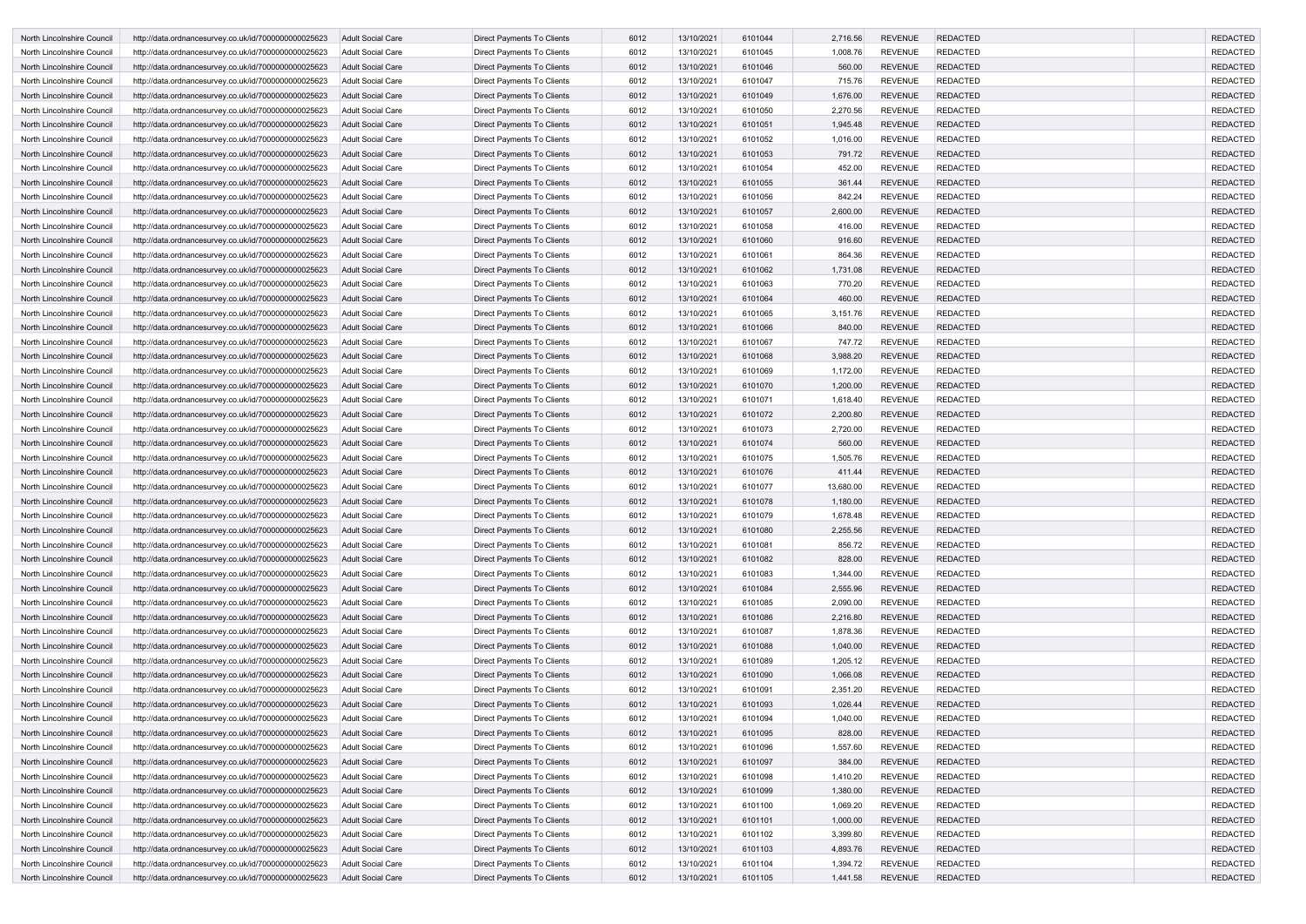| North Lincolnshire Council        | http://data.ordnancesurvey.co.uk/id/7000000000025623 | Adult Social Care        | Direct Payments To Clients        | 6012 | 13/10/2021 | 6101044 | 2,716.56  | <b>REVENUE</b> | <b>REDACTED</b> | <b>REDACTED</b> |
|-----------------------------------|------------------------------------------------------|--------------------------|-----------------------------------|------|------------|---------|-----------|----------------|-----------------|-----------------|
| North Lincolnshire Council        | http://data.ordnancesurvey.co.uk/id/7000000000025623 | Adult Social Care        | <b>Direct Payments To Clients</b> | 6012 | 13/10/2021 | 6101045 | 1,008.76  | <b>REVENUE</b> | <b>REDACTED</b> | <b>REDACTED</b> |
| North Lincolnshire Council        | http://data.ordnancesurvey.co.uk/id/7000000000025623 | Adult Social Care        | Direct Payments To Clients        | 6012 | 13/10/2021 | 6101046 | 560.00    | <b>REVENUE</b> | <b>REDACTED</b> | <b>REDACTED</b> |
| North Lincolnshire Council        | http://data.ordnancesurvey.co.uk/id/7000000000025623 | <b>Adult Social Care</b> | Direct Payments To Clients        | 6012 | 13/10/2021 | 6101047 | 715.76    | <b>REVENUE</b> | <b>REDACTED</b> | <b>REDACTED</b> |
| North Lincolnshire Council        | http://data.ordnancesurvey.co.uk/id/7000000000025623 | Adult Social Care        | Direct Payments To Clients        | 6012 | 13/10/2021 | 6101049 | 1,676.00  | <b>REVENUE</b> | <b>REDACTED</b> | <b>REDACTED</b> |
| North Lincolnshire Council        | http://data.ordnancesurvey.co.uk/id/7000000000025623 | <b>Adult Social Care</b> | Direct Payments To Clients        | 6012 | 13/10/2021 | 6101050 | 2,270.56  | <b>REVENUE</b> | <b>REDACTED</b> | <b>REDACTED</b> |
| North Lincolnshire Council        | http://data.ordnancesurvey.co.uk/id/7000000000025623 | <b>Adult Social Care</b> | Direct Payments To Clients        | 6012 | 13/10/2021 | 6101051 | 1,945.48  | <b>REVENUE</b> | <b>REDACTED</b> | <b>REDACTED</b> |
| North Lincolnshire Council        | http://data.ordnancesurvey.co.uk/id/7000000000025623 | <b>Adult Social Care</b> | Direct Payments To Clients        | 6012 | 13/10/2021 | 6101052 | 1,016.00  | <b>REVENUE</b> | <b>REDACTED</b> | <b>REDACTED</b> |
| North Lincolnshire Council        | http://data.ordnancesurvey.co.uk/id/7000000000025623 | <b>Adult Social Care</b> | Direct Payments To Clients        | 6012 | 13/10/2021 | 6101053 | 791.72    | <b>REVENUE</b> | <b>REDACTED</b> | <b>REDACTED</b> |
| North Lincolnshire Council        | http://data.ordnancesurvey.co.uk/id/7000000000025623 | <b>Adult Social Care</b> | Direct Payments To Clients        | 6012 | 13/10/2021 | 6101054 | 452.00    | <b>REVENUE</b> | <b>REDACTED</b> | <b>REDACTED</b> |
| North Lincolnshire Council        | http://data.ordnancesurvey.co.uk/id/7000000000025623 | <b>Adult Social Care</b> | Direct Payments To Clients        | 6012 | 13/10/2021 | 6101055 | 361.44    | <b>REVENUE</b> | <b>REDACTED</b> | <b>REDACTED</b> |
| North Lincolnshire Council        | http://data.ordnancesurvey.co.uk/id/7000000000025623 | Adult Social Care        | Direct Payments To Clients        | 6012 | 13/10/2021 | 6101056 | 842.24    | <b>REVENUE</b> | <b>REDACTED</b> | <b>REDACTED</b> |
| North Lincolnshire Council        | http://data.ordnancesurvey.co.uk/id/7000000000025623 | <b>Adult Social Care</b> | Direct Payments To Clients        | 6012 | 13/10/2021 | 6101057 | 2,600.00  | <b>REVENUE</b> | <b>REDACTED</b> | <b>REDACTED</b> |
| North Lincolnshire Council        | http://data.ordnancesurvey.co.uk/id/7000000000025623 | <b>Adult Social Care</b> | Direct Payments To Clients        | 6012 | 13/10/2021 | 6101058 | 416.00    | <b>REVENUE</b> | <b>REDACTED</b> | <b>REDACTED</b> |
| North Lincolnshire Council        | http://data.ordnancesurvey.co.uk/id/7000000000025623 | Adult Social Care        | Direct Payments To Clients        | 6012 | 13/10/2021 | 6101060 | 916.60    | <b>REVENUE</b> | <b>REDACTED</b> | <b>REDACTED</b> |
| North Lincolnshire Council        | http://data.ordnancesurvey.co.uk/id/7000000000025623 | <b>Adult Social Care</b> | Direct Payments To Clients        | 6012 | 13/10/2021 | 6101061 | 864.36    | <b>REVENUE</b> | <b>REDACTED</b> | <b>REDACTED</b> |
| <b>North Lincolnshire Council</b> | http://data.ordnancesurvey.co.uk/id/7000000000025623 | <b>Adult Social Care</b> | Direct Payments To Clients        | 6012 | 13/10/2021 | 6101062 | 1,731.08  | <b>REVENUE</b> | <b>REDACTED</b> | <b>REDACTED</b> |
| North Lincolnshire Council        | http://data.ordnancesurvey.co.uk/id/7000000000025623 | <b>Adult Social Care</b> | Direct Payments To Clients        | 6012 | 13/10/2021 | 6101063 | 770.20    | <b>REVENUE</b> | <b>REDACTED</b> | <b>REDACTED</b> |
| North Lincolnshire Council        | http://data.ordnancesurvey.co.uk/id/7000000000025623 | Adult Social Care        | Direct Payments To Clients        | 6012 | 13/10/2021 | 6101064 | 460.00    | <b>REVENUE</b> | <b>REDACTED</b> | <b>REDACTED</b> |
| North Lincolnshire Council        | http://data.ordnancesurvey.co.uk/id/7000000000025623 | <b>Adult Social Care</b> | Direct Payments To Clients        | 6012 | 13/10/2021 | 6101065 | 3,151.76  | <b>REVENUE</b> | <b>REDACTED</b> | <b>REDACTED</b> |
| North Lincolnshire Council        | http://data.ordnancesurvey.co.uk/id/7000000000025623 | Adult Social Care        | Direct Payments To Clients        | 6012 | 13/10/2021 | 6101066 | 840.00    | <b>REVENUE</b> | <b>REDACTED</b> | <b>REDACTED</b> |
| North Lincolnshire Council        | http://data.ordnancesurvey.co.uk/id/7000000000025623 | Adult Social Care        | Direct Payments To Clients        | 6012 | 13/10/2021 | 6101067 | 747.72    | <b>REVENUE</b> | <b>REDACTED</b> | <b>REDACTED</b> |
| North Lincolnshire Council        | http://data.ordnancesurvey.co.uk/id/7000000000025623 | <b>Adult Social Care</b> | Direct Payments To Clients        | 6012 | 13/10/2021 | 6101068 | 3,988.20  | <b>REVENUE</b> | <b>REDACTED</b> | <b>REDACTED</b> |
| North Lincolnshire Council        | http://data.ordnancesurvey.co.uk/id/7000000000025623 | <b>Adult Social Care</b> | Direct Payments To Clients        | 6012 | 13/10/2021 | 6101069 | 1,172.00  | <b>REVENUE</b> | <b>REDACTED</b> | <b>REDACTED</b> |
| North Lincolnshire Council        | http://data.ordnancesurvey.co.uk/id/7000000000025623 | <b>Adult Social Care</b> | Direct Payments To Clients        | 6012 | 13/10/2021 | 6101070 | 1,200.00  | <b>REVENUE</b> | <b>REDACTED</b> | <b>REDACTED</b> |
| North Lincolnshire Council        | http://data.ordnancesurvey.co.uk/id/7000000000025623 | Adult Social Care        | Direct Payments To Clients        | 6012 | 13/10/2021 | 6101071 | 1,618.40  | <b>REVENUE</b> | <b>REDACTED</b> | <b>REDACTED</b> |
| North Lincolnshire Council        | http://data.ordnancesurvey.co.uk/id/7000000000025623 | <b>Adult Social Care</b> | Direct Payments To Clients        | 6012 | 13/10/2021 | 6101072 | 2,200.80  | <b>REVENUE</b> | <b>REDACTED</b> | <b>REDACTED</b> |
| North Lincolnshire Council        | http://data.ordnancesurvey.co.uk/id/7000000000025623 | <b>Adult Social Care</b> | Direct Payments To Clients        | 6012 | 13/10/2021 | 6101073 | 2,720.00  | <b>REVENUE</b> | <b>REDACTED</b> | <b>REDACTED</b> |
| North Lincolnshire Council        | http://data.ordnancesurvey.co.uk/id/7000000000025623 | Adult Social Care        | Direct Payments To Clients        | 6012 | 13/10/2021 | 6101074 | 560.00    | <b>REVENUE</b> | <b>REDACTED</b> | <b>REDACTED</b> |
| North Lincolnshire Council        | http://data.ordnancesurvey.co.uk/id/7000000000025623 | <b>Adult Social Care</b> | Direct Payments To Clients        | 6012 | 13/10/2021 | 6101075 | 1,505.76  | <b>REVENUE</b> | <b>REDACTED</b> | <b>REDACTED</b> |
| North Lincolnshire Council        | http://data.ordnancesurvey.co.uk/id/7000000000025623 | Adult Social Care        | Direct Payments To Clients        | 6012 | 13/10/2021 | 6101076 | 411.44    | <b>REVENUE</b> | <b>REDACTED</b> | <b>REDACTED</b> |
| North Lincolnshire Council        | http://data.ordnancesurvey.co.uk/id/7000000000025623 | Adult Social Care        | Direct Payments To Clients        | 6012 | 13/10/2021 | 6101077 | 13,680.00 | <b>REVENUE</b> | <b>REDACTED</b> | <b>REDACTED</b> |
| North Lincolnshire Council        | http://data.ordnancesurvey.co.uk/id/7000000000025623 | Adult Social Care        | Direct Payments To Clients        | 6012 | 13/10/2021 | 6101078 | 1,180.00  | <b>REVENUE</b> | <b>REDACTED</b> | <b>REDACTED</b> |
| North Lincolnshire Council        | http://data.ordnancesurvey.co.uk/id/7000000000025623 | <b>Adult Social Care</b> | <b>Direct Payments To Clients</b> | 6012 | 13/10/2021 | 6101079 | 1,678.48  | <b>REVENUE</b> | <b>REDACTED</b> | <b>REDACTED</b> |
| North Lincolnshire Council        | http://data.ordnancesurvey.co.uk/id/7000000000025623 | <b>Adult Social Care</b> | <b>Direct Payments To Clients</b> | 6012 | 13/10/2021 | 6101080 | 2,255.56  | <b>REVENUE</b> | <b>REDACTED</b> | <b>REDACTED</b> |
| North Lincolnshire Council        | http://data.ordnancesurvey.co.uk/id/7000000000025623 | Adult Social Care        | Direct Payments To Clients        | 6012 | 13/10/2021 | 6101081 | 856.72    | <b>REVENUE</b> | <b>REDACTED</b> | <b>REDACTED</b> |
| North Lincolnshire Council        | http://data.ordnancesurvey.co.uk/id/7000000000025623 | <b>Adult Social Care</b> | Direct Payments To Clients        | 6012 | 13/10/2021 | 6101082 | 828.00    | <b>REVENUE</b> | <b>REDACTED</b> | <b>REDACTED</b> |
| North Lincolnshire Council        | http://data.ordnancesurvey.co.uk/id/7000000000025623 | <b>Adult Social Care</b> | Direct Payments To Clients        | 6012 | 13/10/2021 | 6101083 | 1,344.00  | <b>REVENUE</b> | <b>REDACTED</b> | <b>REDACTED</b> |
| North Lincolnshire Council        | http://data.ordnancesurvey.co.uk/id/7000000000025623 | <b>Adult Social Care</b> | Direct Payments To Clients        | 6012 | 13/10/2021 | 6101084 | 2,555.96  | <b>REVENUE</b> | <b>REDACTED</b> | <b>REDACTED</b> |
| North Lincolnshire Council        | http://data.ordnancesurvey.co.uk/id/7000000000025623 | <b>Adult Social Care</b> | Direct Payments To Clients        | 6012 | 13/10/2021 | 6101085 | 2,090.00  | <b>REVENUE</b> | <b>REDACTED</b> | <b>REDACTED</b> |
| North Lincolnshire Council        | http://data.ordnancesurvey.co.uk/id/7000000000025623 | <b>Adult Social Care</b> | Direct Payments To Clients        | 6012 | 13/10/2021 | 6101086 | 2,216.80  | <b>REVENUE</b> | <b>REDACTED</b> | <b>REDACTED</b> |
| North Lincolnshire Council        | http://data.ordnancesurvey.co.uk/id/7000000000025623 | Adult Social Care        | Direct Payments To Clients        | 6012 | 13/10/2021 | 6101087 | 1,878.36  | <b>REVENUE</b> | <b>REDACTED</b> | <b>REDACTED</b> |
| North Lincolnshire Council        | http://data.ordnancesurvey.co.uk/id/7000000000025623 | <b>Adult Social Care</b> | <b>Direct Payments To Clients</b> | 6012 | 13/10/2021 | 6101088 | 1,040.00  | <b>REVENUE</b> | <b>REDACTED</b> | <b>REDACTED</b> |
| North Lincolnshire Council        | http://data.ordnancesurvey.co.uk/id/7000000000025623 | <b>Adult Social Care</b> | Direct Payments To Clients        | 6012 | 13/10/2021 | 6101089 | 1,205.12  | <b>REVENUE</b> | <b>REDACTED</b> | <b>REDACTED</b> |
| North Lincolnshire Council        | http://data.ordnancesurvey.co.uk/id/7000000000025623 | <b>Adult Social Care</b> | Direct Payments To Clients        | 6012 | 13/10/2021 | 6101090 | 1,066.08  | <b>REVENUE</b> | <b>REDACTED</b> | <b>REDACTED</b> |
| North Lincolnshire Council        | http://data.ordnancesurvey.co.uk/id/7000000000025623 | <b>Adult Social Care</b> | Direct Payments To Clients        | 6012 | 13/10/2021 | 6101091 | 2,351.20  | <b>REVENUE</b> | <b>REDACTED</b> | <b>REDACTED</b> |
| North Lincolnshire Council        | http://data.ordnancesurvey.co.uk/id/7000000000025623 | <b>Adult Social Care</b> | Direct Payments To Clients        | 6012 | 13/10/2021 | 6101093 | 1,026.44  | <b>REVENUE</b> | <b>REDACTED</b> | <b>REDACTED</b> |
| North Lincolnshire Council        | http://data.ordnancesurvey.co.uk/id/7000000000025623 | <b>Adult Social Care</b> | Direct Payments To Clients        | 6012 | 13/10/2021 | 6101094 | 1,040.00  | <b>REVENUE</b> | <b>REDACTED</b> | <b>REDACTED</b> |
| North Lincolnshire Council        | http://data.ordnancesurvey.co.uk/id/7000000000025623 | <b>Adult Social Care</b> | Direct Payments To Clients        | 6012 | 13/10/2021 | 6101095 | 828.00    | <b>REVENUE</b> | <b>REDACTED</b> | <b>REDACTED</b> |
| North Lincolnshire Council        | http://data.ordnancesurvey.co.uk/id/7000000000025623 | <b>Adult Social Care</b> | Direct Payments To Clients        | 6012 | 13/10/2021 | 6101096 | 1,557.60  | <b>REVENUE</b> | <b>REDACTED</b> | <b>REDACTED</b> |
| North Lincolnshire Council        | http://data.ordnancesurvey.co.uk/id/7000000000025623 | <b>Adult Social Care</b> | Direct Payments To Clients        | 6012 | 13/10/2021 | 6101097 | 384.00    | <b>REVENUE</b> | <b>REDACTED</b> | <b>REDACTED</b> |
| North Lincolnshire Council        | http://data.ordnancesurvey.co.uk/id/7000000000025623 | Adult Social Care        | Direct Payments To Clients        | 6012 | 13/10/2021 | 6101098 | 1,410.20  | <b>REVENUE</b> | <b>REDACTED</b> | <b>REDACTED</b> |
| North Lincolnshire Council        | http://data.ordnancesurvey.co.uk/id/7000000000025623 | <b>Adult Social Care</b> | <b>Direct Payments To Clients</b> | 6012 | 13/10/2021 | 6101099 | 1,380.00  | <b>REVENUE</b> | <b>REDACTED</b> | <b>REDACTED</b> |
| North Lincolnshire Council        | http://data.ordnancesurvey.co.uk/id/7000000000025623 | <b>Adult Social Care</b> | Direct Payments To Clients        | 6012 | 13/10/2021 | 6101100 | 1,069.20  | <b>REVENUE</b> | <b>REDACTED</b> | <b>REDACTED</b> |
| North Lincolnshire Council        | http://data.ordnancesurvey.co.uk/id/7000000000025623 | <b>Adult Social Care</b> | Direct Payments To Clients        | 6012 | 13/10/2021 | 6101101 | 1,000.00  | <b>REVENUE</b> | <b>REDACTED</b> | <b>REDACTED</b> |
| North Lincolnshire Council        | http://data.ordnancesurvey.co.uk/id/7000000000025623 | <b>Adult Social Care</b> | Direct Payments To Clients        | 6012 | 13/10/2021 | 6101102 | 3,399.80  | <b>REVENUE</b> | <b>REDACTED</b> | <b>REDACTED</b> |
| North Lincolnshire Council        | http://data.ordnancesurvey.co.uk/id/7000000000025623 | <b>Adult Social Care</b> | Direct Payments To Clients        | 6012 | 13/10/2021 | 6101103 | 4,893.76  | <b>REVENUE</b> | <b>REDACTED</b> | <b>REDACTED</b> |
| North Lincolnshire Council        | http://data.ordnancesurvey.co.uk/id/7000000000025623 | <b>Adult Social Care</b> | Direct Payments To Clients        | 6012 | 13/10/2021 | 6101104 | 1,394.72  | <b>REVENUE</b> | <b>REDACTED</b> | <b>REDACTED</b> |
| North Lincolnshire Council        | http://data.ordnancesurvey.co.uk/id/7000000000025623 | <b>Adult Social Care</b> | <b>Direct Payments To Clients</b> | 6012 | 13/10/2021 | 6101105 | 1,441.58  | <b>REVENUE</b> | <b>REDACTED</b> | <b>REDACTED</b> |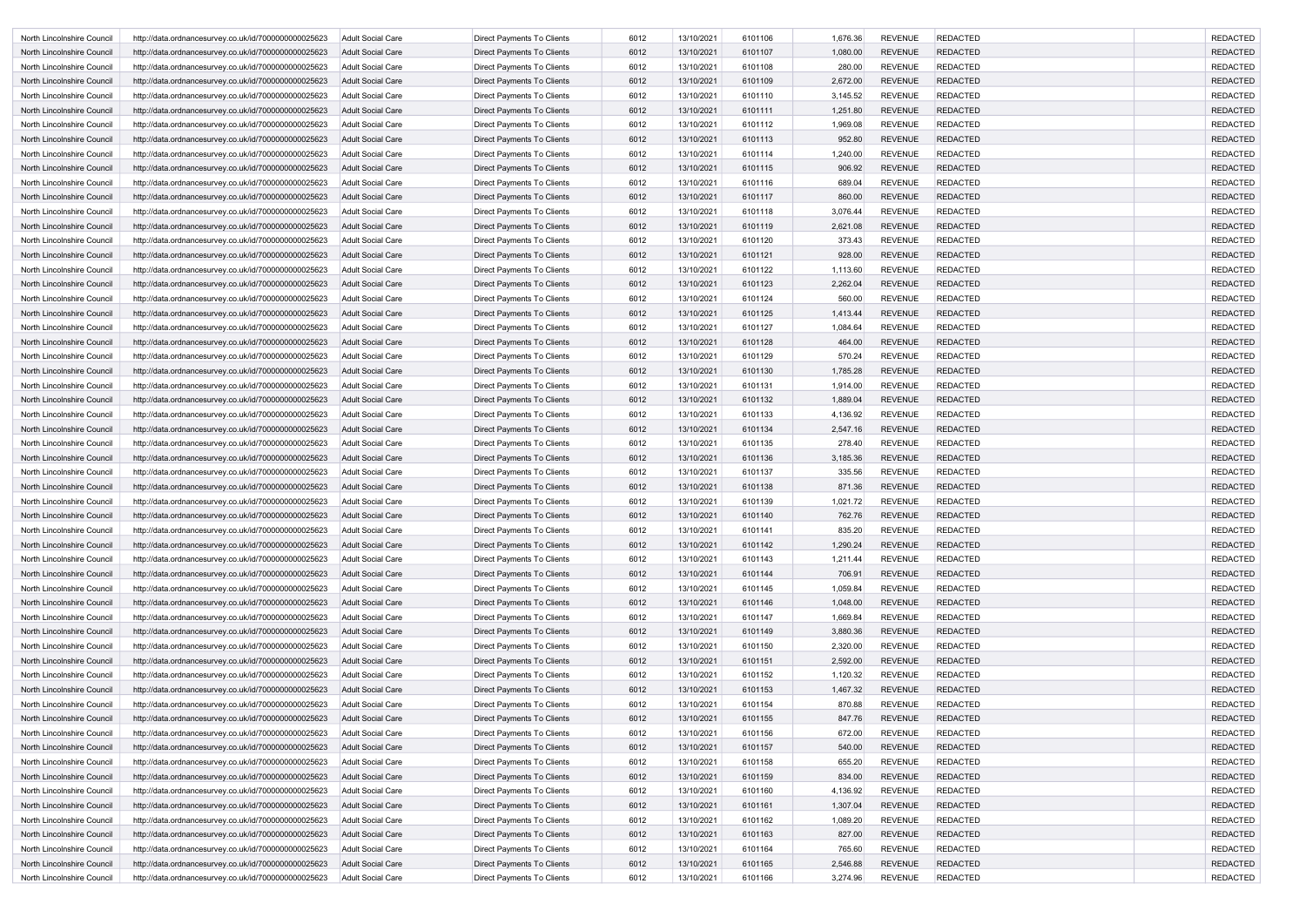| North Lincolnshire Council | http://data.ordnancesurvey.co.uk/id/7000000000025623 | <b>Adult Social Care</b> | Direct Payments To Clients        | 6012 | 13/10/2021 | 6101106 | 1,676.36 | <b>REVENUE</b> | <b>REDACTED</b> | <b>REDACTED</b> |
|----------------------------|------------------------------------------------------|--------------------------|-----------------------------------|------|------------|---------|----------|----------------|-----------------|-----------------|
| North Lincolnshire Council | http://data.ordnancesurvey.co.uk/id/7000000000025623 | <b>Adult Social Care</b> | Direct Payments To Clients        | 6012 | 13/10/2021 | 6101107 | 1,080.00 | <b>REVENUE</b> | <b>REDACTED</b> | <b>REDACTED</b> |
| North Lincolnshire Council | http://data.ordnancesurvey.co.uk/id/7000000000025623 | Adult Social Care        | Direct Payments To Clients        | 6012 | 13/10/2021 | 6101108 | 280.00   | <b>REVENUE</b> | <b>REDACTED</b> | <b>REDACTED</b> |
| North Lincolnshire Council | http://data.ordnancesurvey.co.uk/id/7000000000025623 | Adult Social Care        | Direct Payments To Clients        | 6012 | 13/10/2021 | 6101109 | 2,672.00 | <b>REVENUE</b> | <b>REDACTED</b> | <b>REDACTED</b> |
| North Lincolnshire Council | http://data.ordnancesurvey.co.uk/id/7000000000025623 | <b>Adult Social Care</b> | <b>Direct Payments To Clients</b> | 6012 | 13/10/2021 | 6101110 | 3,145.52 | <b>REVENUE</b> | <b>REDACTED</b> | <b>REDACTED</b> |
| North Lincolnshire Council | http://data.ordnancesurvey.co.uk/id/7000000000025623 | Adult Social Care        | Direct Payments To Clients        | 6012 | 13/10/2021 | 6101111 | 1,251.80 | <b>REVENUE</b> | <b>REDACTED</b> | <b>REDACTED</b> |
| North Lincolnshire Council | http://data.ordnancesurvey.co.uk/id/7000000000025623 | <b>Adult Social Care</b> | <b>Direct Payments To Clients</b> | 6012 | 13/10/2021 | 6101112 | 1,969.08 | <b>REVENUE</b> | <b>REDACTED</b> | <b>REDACTED</b> |
| North Lincolnshire Council | http://data.ordnancesurvey.co.uk/id/7000000000025623 | Adult Social Care        | Direct Payments To Clients        | 6012 | 13/10/2021 | 6101113 | 952.80   | <b>REVENUE</b> | <b>REDACTED</b> | <b>REDACTED</b> |
| North Lincolnshire Council | http://data.ordnancesurvey.co.uk/id/7000000000025623 | <b>Adult Social Care</b> | Direct Payments To Clients        | 6012 | 13/10/2021 | 6101114 | 1,240.00 | <b>REVENUE</b> | <b>REDACTED</b> | <b>REDACTED</b> |
| North Lincolnshire Council | http://data.ordnancesurvey.co.uk/id/7000000000025623 | <b>Adult Social Care</b> | Direct Payments To Clients        | 6012 | 13/10/2021 | 6101115 | 906.92   | <b>REVENUE</b> | <b>REDACTED</b> | <b>REDACTED</b> |
| North Lincolnshire Council | http://data.ordnancesurvey.co.uk/id/7000000000025623 | <b>Adult Social Care</b> | Direct Payments To Clients        | 6012 | 13/10/2021 | 6101116 | 689.04   | <b>REVENUE</b> | <b>REDACTED</b> | <b>REDACTED</b> |
| North Lincolnshire Council | http://data.ordnancesurvey.co.uk/id/7000000000025623 | <b>Adult Social Care</b> | Direct Payments To Clients        | 6012 | 13/10/2021 | 6101117 | 860.00   | <b>REVENUE</b> | <b>REDACTED</b> | <b>REDACTED</b> |
| North Lincolnshire Council | http://data.ordnancesurvey.co.uk/id/7000000000025623 | <b>Adult Social Care</b> | Direct Payments To Clients        | 6012 | 13/10/2021 | 6101118 | 3,076.44 | <b>REVENUE</b> | <b>REDACTED</b> | <b>REDACTED</b> |
| North Lincolnshire Council | http://data.ordnancesurvey.co.uk/id/7000000000025623 | Adult Social Care        | Direct Payments To Clients        | 6012 | 13/10/2021 | 6101119 | 2,621.08 | <b>REVENUE</b> | <b>REDACTED</b> | <b>REDACTED</b> |
| North Lincolnshire Council | http://data.ordnancesurvey.co.uk/id/7000000000025623 | <b>Adult Social Care</b> | <b>Direct Payments To Clients</b> | 6012 | 13/10/2021 | 6101120 | 373.43   | <b>REVENUE</b> | <b>REDACTED</b> | <b>REDACTED</b> |
| North Lincolnshire Council | http://data.ordnancesurvey.co.uk/id/7000000000025623 | Adult Social Care        | <b>Direct Payments To Clients</b> | 6012 | 13/10/2021 | 6101121 | 928.00   | <b>REVENUE</b> | <b>REDACTED</b> | <b>REDACTED</b> |
| North Lincolnshire Council |                                                      | <b>Adult Social Care</b> | <b>Direct Payments To Clients</b> | 6012 | 13/10/2021 | 6101122 | 1,113.60 | <b>REVENUE</b> | <b>REDACTED</b> | <b>REDACTED</b> |
|                            | http://data.ordnancesurvey.co.uk/id/7000000000025623 |                          |                                   |      |            |         |          | <b>REVENUE</b> | <b>REDACTED</b> | <b>REDACTED</b> |
| North Lincolnshire Council | http://data.ordnancesurvey.co.uk/id/7000000000025623 | Adult Social Care        | Direct Payments To Clients        | 6012 | 13/10/2021 | 6101123 | 2,262.04 |                |                 |                 |
| North Lincolnshire Council | http://data.ordnancesurvey.co.uk/id/7000000000025623 | <b>Adult Social Care</b> | Direct Payments To Clients        | 6012 | 13/10/2021 | 6101124 | 560.00   | <b>REVENUE</b> | <b>REDACTED</b> | <b>REDACTED</b> |
| North Lincolnshire Council | http://data.ordnancesurvey.co.uk/id/7000000000025623 | Adult Social Care        | Direct Payments To Clients        | 6012 | 13/10/2021 | 6101125 | 1,413.44 | <b>REVENUE</b> | <b>REDACTED</b> | <b>REDACTED</b> |
| North Lincolnshire Council | http://data.ordnancesurvey.co.uk/id/7000000000025623 | <b>Adult Social Care</b> | Direct Payments To Clients        | 6012 | 13/10/2021 | 6101127 | 1,084.64 | <b>REVENUE</b> | <b>REDACTED</b> | <b>REDACTED</b> |
| North Lincolnshire Council | http://data.ordnancesurvey.co.uk/id/7000000000025623 | <b>Adult Social Care</b> | Direct Payments To Clients        | 6012 | 13/10/2021 | 6101128 | 464.00   | <b>REVENUE</b> | <b>REDACTED</b> | <b>REDACTED</b> |
| North Lincolnshire Council | http://data.ordnancesurvey.co.uk/id/7000000000025623 | Adult Social Care        | Direct Payments To Clients        | 6012 | 13/10/2021 | 6101129 | 570.24   | <b>REVENUE</b> | <b>REDACTED</b> | <b>REDACTED</b> |
| North Lincolnshire Council | http://data.ordnancesurvey.co.uk/id/7000000000025623 | Adult Social Care        | Direct Payments To Clients        | 6012 | 13/10/2021 | 6101130 | 1,785.28 | <b>REVENUE</b> | <b>REDACTED</b> | <b>REDACTED</b> |
| North Lincolnshire Council | http://data.ordnancesurvey.co.uk/id/7000000000025623 | <b>Adult Social Care</b> | <b>Direct Payments To Clients</b> | 6012 | 13/10/2021 | 6101131 | 1,914.00 | <b>REVENUE</b> | <b>REDACTED</b> | <b>REDACTED</b> |
| North Lincolnshire Council | http://data.ordnancesurvey.co.uk/id/7000000000025623 | Adult Social Care        | Direct Payments To Clients        | 6012 | 13/10/2021 | 6101132 | 1,889.04 | <b>REVENUE</b> | <b>REDACTED</b> | <b>REDACTED</b> |
| North Lincolnshire Council | http://data.ordnancesurvey.co.uk/id/7000000000025623 | <b>Adult Social Care</b> | Direct Payments To Clients        | 6012 | 13/10/2021 | 6101133 | 4,136.92 | <b>REVENUE</b> | <b>REDACTED</b> | <b>REDACTED</b> |
| North Lincolnshire Council | http://data.ordnancesurvey.co.uk/id/7000000000025623 | Adult Social Care        | Direct Payments To Clients        | 6012 | 13/10/2021 | 6101134 | 2,547.16 | <b>REVENUE</b> | <b>REDACTED</b> | <b>REDACTED</b> |
| North Lincolnshire Council | http://data.ordnancesurvey.co.uk/id/7000000000025623 | <b>Adult Social Care</b> | Direct Payments To Clients        | 6012 | 13/10/2021 | 6101135 | 278.40   | <b>REVENUE</b> | <b>REDACTED</b> | <b>REDACTED</b> |
| North Lincolnshire Council | http://data.ordnancesurvey.co.uk/id/7000000000025623 | Adult Social Care        | Direct Payments To Clients        | 6012 | 13/10/2021 | 6101136 | 3,185.36 | <b>REVENUE</b> | <b>REDACTED</b> | <b>REDACTED</b> |
| North Lincolnshire Council | http://data.ordnancesurvey.co.uk/id/7000000000025623 | Adult Social Care        | <b>Direct Payments To Clients</b> | 6012 | 13/10/2021 | 6101137 | 335.56   | <b>REVENUE</b> | <b>REDACTED</b> | <b>REDACTED</b> |
| North Lincolnshire Council | http://data.ordnancesurvey.co.uk/id/7000000000025623 | <b>Adult Social Care</b> | Direct Payments To Clients        | 6012 | 13/10/2021 | 6101138 | 871.36   | <b>REVENUE</b> | <b>REDACTED</b> | <b>REDACTED</b> |
| North Lincolnshire Council | http://data.ordnancesurvey.co.uk/id/7000000000025623 | Adult Social Care        | Direct Payments To Clients        | 6012 | 13/10/2021 | 6101139 | 1,021.72 | <b>REVENUE</b> | <b>REDACTED</b> | <b>REDACTED</b> |
| North Lincolnshire Council | http://data.ordnancesurvey.co.uk/id/7000000000025623 | <b>Adult Social Care</b> | Direct Payments To Clients        | 6012 | 13/10/2021 | 6101140 | 762.76   | <b>REVENUE</b> | <b>REDACTED</b> | <b>REDACTED</b> |
| North Lincolnshire Council | http://data.ordnancesurvey.co.uk/id/7000000000025623 | Adult Social Care        | <b>Direct Payments To Clients</b> | 6012 | 13/10/2021 | 6101141 | 835.20   | <b>REVENUE</b> | <b>REDACTED</b> | <b>REDACTED</b> |
| North Lincolnshire Council | http://data.ordnancesurvey.co.uk/id/7000000000025623 | <b>Adult Social Care</b> | Direct Payments To Clients        | 6012 | 13/10/2021 | 6101142 | 1,290.24 | <b>REVENUE</b> | <b>REDACTED</b> | <b>REDACTED</b> |
| North Lincolnshire Council | http://data.ordnancesurvey.co.uk/id/7000000000025623 | <b>Adult Social Care</b> | Direct Payments To Clients        | 6012 | 13/10/2021 | 6101143 | 1,211.44 | <b>REVENUE</b> | <b>REDACTED</b> | <b>REDACTED</b> |
| North Lincolnshire Council | http://data.ordnancesurvey.co.uk/id/7000000000025623 | <b>Adult Social Care</b> | Direct Payments To Clients        | 6012 | 13/10/2021 | 6101144 | 706.91   | <b>REVENUE</b> | <b>REDACTED</b> | <b>REDACTED</b> |
| North Lincolnshire Council | http://data.ordnancesurvey.co.uk/id/7000000000025623 | Adult Social Care        | Direct Payments To Clients        | 6012 | 13/10/2021 | 6101145 | 1,059.84 | <b>REVENUE</b> | <b>REDACTED</b> | <b>REDACTED</b> |
| North Lincolnshire Council | http://data.ordnancesurvey.co.uk/id/7000000000025623 | <b>Adult Social Care</b> | Direct Payments To Clients        | 6012 | 13/10/2021 | 6101146 | 1,048.00 | <b>REVENUE</b> | <b>REDACTED</b> | <b>REDACTED</b> |
| North Lincolnshire Council | http://data.ordnancesurvey.co.uk/id/7000000000025623 | Adult Social Care        | Direct Payments To Clients        | 6012 | 13/10/2021 | 6101147 | 1,669.84 | <b>REVENUE</b> | <b>REDACTED</b> | <b>REDACTED</b> |
| North Lincolnshire Council | http://data.ordnancesurvey.co.uk/id/7000000000025623 | <b>Adult Social Care</b> | Direct Payments To Clients        | 6012 | 13/10/2021 | 6101149 | 3,880.36 | <b>REVENUE</b> | <b>REDACTED</b> | <b>REDACTED</b> |
| North Lincolnshire Council | http://data.ordnancesurvey.co.uk/id/7000000000025623 | <b>Adult Social Care</b> | Direct Payments To Clients        | 6012 | 13/10/2021 | 6101150 | 2,320.00 | <b>REVENUE</b> | <b>REDACTED</b> | <b>REDACTED</b> |
| North Lincolnshire Council | http://data.ordnancesurvey.co.uk/id/7000000000025623 | <b>Adult Social Care</b> | Direct Payments To Clients        | 6012 | 13/10/2021 | 6101151 | 2,592.00 | <b>REVENUE</b> | <b>REDACTED</b> | <b>REDACTED</b> |
| North Lincolnshire Council | http://data.ordnancesurvey.co.uk/id/7000000000025623 | Adult Social Care        | Direct Payments To Clients        | 6012 | 13/10/2021 | 6101152 | 1,120.32 | <b>REVENUE</b> | <b>REDACTED</b> | <b>REDACTED</b> |
| North Lincolnshire Council | http://data.ordnancesurvey.co.uk/id/7000000000025623 | <b>Adult Social Care</b> | Direct Payments To Clients        | 6012 | 13/10/2021 | 6101153 | 1,467.32 | <b>REVENUE</b> | <b>REDACTED</b> | <b>REDACTED</b> |
| North Lincolnshire Council | http://data.ordnancesurvey.co.uk/id/7000000000025623 | Adult Social Care        | Direct Payments To Clients        | 6012 | 13/10/2021 | 6101154 | 870.88   | <b>REVENUE</b> | <b>REDACTED</b> | <b>REDACTED</b> |
| North Lincolnshire Council | http://data.ordnancesurvey.co.uk/id/7000000000025623 | <b>Adult Social Care</b> | Direct Payments To Clients        | 6012 | 13/10/2021 | 6101155 | 847.76   | <b>REVENUE</b> | <b>REDACTED</b> | <b>REDACTED</b> |
| North Lincolnshire Council | http://data.ordnancesurvey.co.uk/id/7000000000025623 | Adult Social Care        | Direct Payments To Clients        | 6012 | 13/10/2021 | 6101156 | 672.00   | <b>REVENUE</b> | <b>REDACTED</b> | <b>REDACTED</b> |
| North Lincolnshire Council | http://data.ordnancesurvey.co.uk/id/7000000000025623 | <b>Adult Social Care</b> | Direct Payments To Clients        | 6012 | 13/10/2021 | 6101157 | 540.00   | <b>REVENUE</b> | <b>REDACTED</b> | <b>REDACTED</b> |
| North Lincolnshire Council | http://data.ordnancesurvey.co.uk/id/7000000000025623 | Adult Social Care        | Direct Payments To Clients        | 6012 | 13/10/2021 | 6101158 | 655.20   | <b>REVENUE</b> | <b>REDACTED</b> | <b>REDACTED</b> |
| North Lincolnshire Council | http://data.ordnancesurvey.co.uk/id/7000000000025623 | <b>Adult Social Care</b> | Direct Payments To Clients        | 6012 | 13/10/2021 | 6101159 | 834.00   | <b>REVENUE</b> | <b>REDACTED</b> | <b>REDACTED</b> |
| North Lincolnshire Council | http://data.ordnancesurvey.co.uk/id/7000000000025623 | <b>Adult Social Care</b> | Direct Payments To Clients        | 6012 | 13/10/2021 | 6101160 | 4,136.92 | <b>REVENUE</b> | <b>REDACTED</b> | <b>REDACTED</b> |
| North Lincolnshire Council | http://data.ordnancesurvey.co.uk/id/7000000000025623 | <b>Adult Social Care</b> | Direct Payments To Clients        | 6012 | 13/10/2021 | 6101161 | 1,307.04 | <b>REVENUE</b> | <b>REDACTED</b> | <b>REDACTED</b> |
| North Lincolnshire Council | http://data.ordnancesurvey.co.uk/id/7000000000025623 | <b>Adult Social Care</b> | Direct Payments To Clients        | 6012 | 13/10/2021 | 6101162 | 1,089.20 | <b>REVENUE</b> | <b>REDACTED</b> | <b>REDACTED</b> |
| North Lincolnshire Council | http://data.ordnancesurvey.co.uk/id/7000000000025623 | <b>Adult Social Care</b> | Direct Payments To Clients        | 6012 | 13/10/2021 | 6101163 | 827.00   | <b>REVENUE</b> | <b>REDACTED</b> | <b>REDACTED</b> |
| North Lincolnshire Council | http://data.ordnancesurvey.co.uk/id/7000000000025623 | <b>Adult Social Care</b> | Direct Payments To Clients        | 6012 | 13/10/2021 | 6101164 | 765.60   | <b>REVENUE</b> | <b>REDACTED</b> | <b>REDACTED</b> |
| North Lincolnshire Council | http://data.ordnancesurvey.co.uk/id/7000000000025623 | Adult Social Care        | Direct Payments To Clients        | 6012 | 13/10/2021 | 6101165 | 2,546.88 | <b>REVENUE</b> | <b>REDACTED</b> | <b>REDACTED</b> |
| North Lincolnshire Council | http://data.ordnancesurvey.co.uk/id/7000000000025623 | Adult Social Care        | Direct Payments To Clients        | 6012 | 13/10/2021 | 6101166 | 3,274.96 | <b>REVENUE</b> | <b>REDACTED</b> | <b>REDACTED</b> |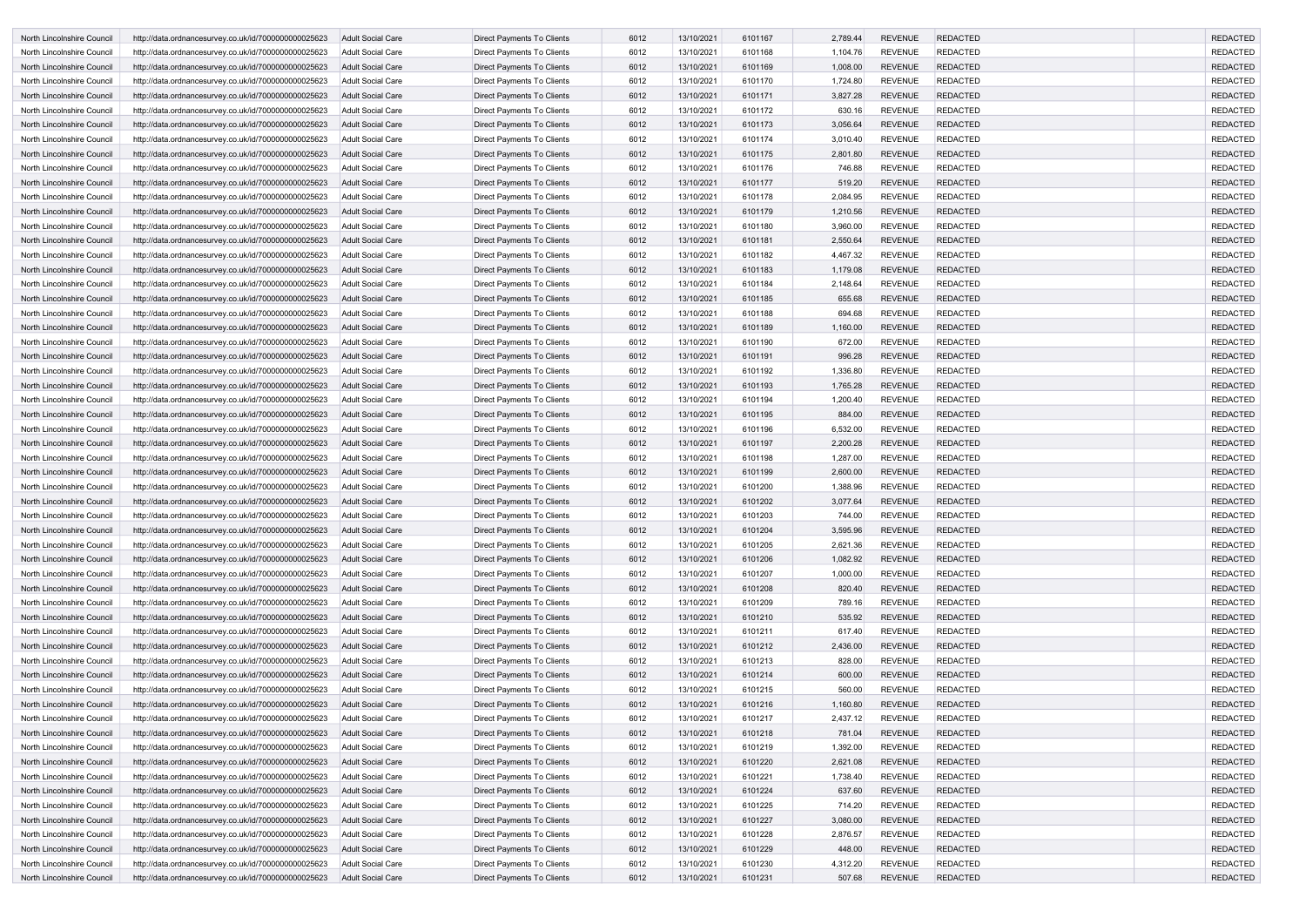| North Lincolnshire Council        | http://data.ordnancesurvey.co.uk/id/7000000000025623 | Adult Social Care        | Direct Payments To Clients        | 6012 | 13/10/2021 | 6101167 | 2,789.44             | <b>REVENUE</b> | <b>REDACTED</b> | <b>REDACTED</b>                    |
|-----------------------------------|------------------------------------------------------|--------------------------|-----------------------------------|------|------------|---------|----------------------|----------------|-----------------|------------------------------------|
| North Lincolnshire Council        | http://data.ordnancesurvey.co.uk/id/7000000000025623 | Adult Social Care        | <b>Direct Payments To Clients</b> | 6012 | 13/10/2021 | 6101168 | 1,104.76             | <b>REVENUE</b> | <b>REDACTED</b> | <b>REDACTED</b>                    |
| North Lincolnshire Council        | http://data.ordnancesurvey.co.uk/id/7000000000025623 | Adult Social Care        | Direct Payments To Clients        | 6012 | 13/10/2021 | 6101169 | 1,008.00             | <b>REVENUE</b> | <b>REDACTED</b> | <b>REDACTED</b>                    |
| North Lincolnshire Council        | http://data.ordnancesurvey.co.uk/id/7000000000025623 | <b>Adult Social Care</b> | Direct Payments To Clients        | 6012 | 13/10/2021 | 6101170 | 1,724.80             | <b>REVENUE</b> | <b>REDACTED</b> | <b>REDACTED</b>                    |
| North Lincolnshire Council        | http://data.ordnancesurvey.co.uk/id/7000000000025623 | Adult Social Care        | Direct Payments To Clients        | 6012 | 13/10/2021 | 6101171 | 3,827.28             | <b>REVENUE</b> | <b>REDACTED</b> | <b>REDACTED</b>                    |
| North Lincolnshire Council        | http://data.ordnancesurvey.co.uk/id/7000000000025623 | <b>Adult Social Care</b> | Direct Payments To Clients        | 6012 | 13/10/2021 | 6101172 | 630.16               | <b>REVENUE</b> | <b>REDACTED</b> | <b>REDACTED</b>                    |
| North Lincolnshire Council        | http://data.ordnancesurvey.co.uk/id/7000000000025623 | <b>Adult Social Care</b> | Direct Payments To Clients        | 6012 | 13/10/2021 | 6101173 | 3,056.64             | <b>REVENUE</b> | <b>REDACTED</b> | <b>REDACTED</b>                    |
| North Lincolnshire Council        | http://data.ordnancesurvey.co.uk/id/7000000000025623 | <b>Adult Social Care</b> | Direct Payments To Clients        | 6012 | 13/10/2021 | 6101174 | 3,010.40             | <b>REVENUE</b> | <b>REDACTED</b> | <b>REDACTED</b>                    |
| North Lincolnshire Council        | http://data.ordnancesurvey.co.uk/id/7000000000025623 | <b>Adult Social Care</b> | Direct Payments To Clients        | 6012 | 13/10/2021 | 6101175 | 2,801.80             | <b>REVENUE</b> | <b>REDACTED</b> | <b>REDACTED</b>                    |
| North Lincolnshire Council        | http://data.ordnancesurvey.co.uk/id/7000000000025623 | <b>Adult Social Care</b> | Direct Payments To Clients        | 6012 | 13/10/2021 | 6101176 | 746.88               | <b>REVENUE</b> | <b>REDACTED</b> | <b>REDACTED</b>                    |
| North Lincolnshire Council        | http://data.ordnancesurvey.co.uk/id/7000000000025623 | <b>Adult Social Care</b> | Direct Payments To Clients        | 6012 | 13/10/2021 | 6101177 | 519.20               | <b>REVENUE</b> | <b>REDACTED</b> | <b>REDACTED</b>                    |
| North Lincolnshire Council        | http://data.ordnancesurvey.co.uk/id/7000000000025623 | Adult Social Care        | Direct Payments To Clients        | 6012 | 13/10/2021 | 6101178 | 2,084.95             | <b>REVENUE</b> | <b>REDACTED</b> | <b>REDACTED</b>                    |
| North Lincolnshire Council        | http://data.ordnancesurvey.co.uk/id/7000000000025623 | <b>Adult Social Care</b> | Direct Payments To Clients        | 6012 | 13/10/2021 | 6101179 | 1,210.56             | <b>REVENUE</b> | <b>REDACTED</b> | <b>REDACTED</b>                    |
| North Lincolnshire Council        | http://data.ordnancesurvey.co.uk/id/7000000000025623 | <b>Adult Social Care</b> | Direct Payments To Clients        | 6012 | 13/10/2021 | 6101180 | 3,960.00             | <b>REVENUE</b> | <b>REDACTED</b> | <b>REDACTED</b>                    |
|                                   |                                                      |                          |                                   |      |            |         |                      | <b>REVENUE</b> | <b>REDACTED</b> |                                    |
| North Lincolnshire Council        | http://data.ordnancesurvey.co.uk/id/7000000000025623 | Adult Social Care        | Direct Payments To Clients        | 6012 | 13/10/2021 | 6101181 | 2,550.64<br>4,467.32 | <b>REVENUE</b> | <b>REDACTED</b> | <b>REDACTED</b><br><b>REDACTED</b> |
| North Lincolnshire Council        | http://data.ordnancesurvey.co.uk/id/7000000000025623 | <b>Adult Social Care</b> | Direct Payments To Clients        | 6012 | 13/10/2021 | 6101182 |                      |                |                 |                                    |
| <b>North Lincolnshire Council</b> | http://data.ordnancesurvey.co.uk/id/7000000000025623 | <b>Adult Social Care</b> | Direct Payments To Clients        | 6012 | 13/10/2021 | 6101183 | 1,179.08             | <b>REVENUE</b> | <b>REDACTED</b> | <b>REDACTED</b>                    |
| North Lincolnshire Council        | http://data.ordnancesurvey.co.uk/id/7000000000025623 | <b>Adult Social Care</b> | Direct Payments To Clients        | 6012 | 13/10/2021 | 6101184 | 2,148.64             | <b>REVENUE</b> | <b>REDACTED</b> | <b>REDACTED</b>                    |
| North Lincolnshire Council        | http://data.ordnancesurvey.co.uk/id/7000000000025623 | Adult Social Care        | Direct Payments To Clients        | 6012 | 13/10/2021 | 6101185 | 655.68               | <b>REVENUE</b> | <b>REDACTED</b> | <b>REDACTED</b>                    |
| North Lincolnshire Council        | http://data.ordnancesurvey.co.uk/id/7000000000025623 | <b>Adult Social Care</b> | Direct Payments To Clients        | 6012 | 13/10/2021 | 6101188 | 694.68               | <b>REVENUE</b> | <b>REDACTED</b> | <b>REDACTED</b>                    |
| North Lincolnshire Council        | http://data.ordnancesurvey.co.uk/id/7000000000025623 | Adult Social Care        | Direct Payments To Clients        | 6012 | 13/10/2021 | 6101189 | 1,160.00             | <b>REVENUE</b> | <b>REDACTED</b> | <b>REDACTED</b>                    |
| North Lincolnshire Council        | http://data.ordnancesurvey.co.uk/id/7000000000025623 | Adult Social Care        | Direct Payments To Clients        | 6012 | 13/10/2021 | 6101190 | 672.00               | <b>REVENUE</b> | <b>REDACTED</b> | <b>REDACTED</b>                    |
| North Lincolnshire Council        | http://data.ordnancesurvey.co.uk/id/7000000000025623 | <b>Adult Social Care</b> | Direct Payments To Clients        | 6012 | 13/10/2021 | 6101191 | 996.28               | <b>REVENUE</b> | <b>REDACTED</b> | <b>REDACTED</b>                    |
| North Lincolnshire Council        | http://data.ordnancesurvey.co.uk/id/7000000000025623 | <b>Adult Social Care</b> | Direct Payments To Clients        | 6012 | 13/10/2021 | 6101192 | 1,336.80             | <b>REVENUE</b> | <b>REDACTED</b> | <b>REDACTED</b>                    |
| North Lincolnshire Council        | http://data.ordnancesurvey.co.uk/id/7000000000025623 | <b>Adult Social Care</b> | Direct Payments To Clients        | 6012 | 13/10/2021 | 6101193 | 1,765.28             | <b>REVENUE</b> | <b>REDACTED</b> | <b>REDACTED</b>                    |
| North Lincolnshire Council        | http://data.ordnancesurvey.co.uk/id/7000000000025623 | Adult Social Care        | Direct Payments To Clients        | 6012 | 13/10/2021 | 6101194 | 1,200.40             | <b>REVENUE</b> | <b>REDACTED</b> | <b>REDACTED</b>                    |
| North Lincolnshire Council        | http://data.ordnancesurvey.co.uk/id/7000000000025623 | Adult Social Care        | Direct Payments To Clients        | 6012 | 13/10/2021 | 6101195 | 884.00               | <b>REVENUE</b> | <b>REDACTED</b> | <b>REDACTED</b>                    |
| North Lincolnshire Council        | http://data.ordnancesurvey.co.uk/id/7000000000025623 | <b>Adult Social Care</b> | Direct Payments To Clients        | 6012 | 13/10/2021 | 6101196 | 6,532.00             | <b>REVENUE</b> | <b>REDACTED</b> | <b>REDACTED</b>                    |
| North Lincolnshire Council        | http://data.ordnancesurvey.co.uk/id/7000000000025623 | Adult Social Care        | Direct Payments To Clients        | 6012 | 13/10/2021 | 6101197 | 2,200.28             | <b>REVENUE</b> | <b>REDACTED</b> | <b>REDACTED</b>                    |
| North Lincolnshire Council        | http://data.ordnancesurvey.co.uk/id/7000000000025623 | <b>Adult Social Care</b> | Direct Payments To Clients        | 6012 | 13/10/2021 | 6101198 | 1,287.00             | <b>REVENUE</b> | <b>REDACTED</b> | <b>REDACTED</b>                    |
| North Lincolnshire Council        | http://data.ordnancesurvey.co.uk/id/7000000000025623 | Adult Social Care        | Direct Payments To Clients        | 6012 | 13/10/2021 | 6101199 | 2,600.00             | <b>REVENUE</b> | <b>REDACTED</b> | <b>REDACTED</b>                    |
| North Lincolnshire Council        | http://data.ordnancesurvey.co.uk/id/7000000000025623 | Adult Social Care        | Direct Payments To Clients        | 6012 | 13/10/2021 | 6101200 | 1,388.96             | <b>REVENUE</b> | <b>REDACTED</b> | <b>REDACTED</b>                    |
| North Lincolnshire Council        | http://data.ordnancesurvey.co.uk/id/7000000000025623 | Adult Social Care        | Direct Payments To Clients        | 6012 | 13/10/2021 | 6101202 | 3,077.64             | <b>REVENUE</b> | <b>REDACTED</b> | <b>REDACTED</b>                    |
| North Lincolnshire Council        | http://data.ordnancesurvey.co.uk/id/7000000000025623 | <b>Adult Social Care</b> | <b>Direct Payments To Clients</b> | 6012 | 13/10/2021 | 6101203 | 744.00               | <b>REVENUE</b> | <b>REDACTED</b> | <b>REDACTED</b>                    |
| North Lincolnshire Council        | http://data.ordnancesurvey.co.uk/id/7000000000025623 | <b>Adult Social Care</b> | <b>Direct Payments To Clients</b> | 6012 | 13/10/2021 | 6101204 | 3,595.96             | <b>REVENUE</b> | <b>REDACTED</b> | <b>REDACTED</b>                    |
| North Lincolnshire Council        | http://data.ordnancesurvey.co.uk/id/7000000000025623 | Adult Social Care        | Direct Payments To Clients        | 6012 | 13/10/2021 | 6101205 | 2,621.36             | <b>REVENUE</b> | <b>REDACTED</b> | <b>REDACTED</b>                    |
| North Lincolnshire Council        | http://data.ordnancesurvey.co.uk/id/7000000000025623 | <b>Adult Social Care</b> | Direct Payments To Clients        | 6012 | 13/10/2021 | 6101206 | 1,082.92             | <b>REVENUE</b> | <b>REDACTED</b> | <b>REDACTED</b>                    |
| North Lincolnshire Council        | http://data.ordnancesurvey.co.uk/id/7000000000025623 | <b>Adult Social Care</b> | Direct Payments To Clients        | 6012 | 13/10/2021 | 6101207 | 1,000.00             | <b>REVENUE</b> | <b>REDACTED</b> | <b>REDACTED</b>                    |
| North Lincolnshire Council        | http://data.ordnancesurvey.co.uk/id/7000000000025623 | <b>Adult Social Care</b> | Direct Payments To Clients        | 6012 | 13/10/2021 | 6101208 | 820.40               | <b>REVENUE</b> | <b>REDACTED</b> | <b>REDACTED</b>                    |
| North Lincolnshire Council        | http://data.ordnancesurvey.co.uk/id/7000000000025623 | <b>Adult Social Care</b> | Direct Payments To Clients        | 6012 | 13/10/2021 | 6101209 | 789.16               | <b>REVENUE</b> | <b>REDACTED</b> | <b>REDACTED</b>                    |
| North Lincolnshire Council        | http://data.ordnancesurvey.co.uk/id/7000000000025623 | <b>Adult Social Care</b> | Direct Payments To Clients        | 6012 | 13/10/2021 | 6101210 | 535.92               | <b>REVENUE</b> | <b>REDACTED</b> | <b>REDACTED</b>                    |
| North Lincolnshire Council        | http://data.ordnancesurvey.co.uk/id/7000000000025623 | Adult Social Care        | Direct Payments To Clients        | 6012 | 13/10/2021 | 6101211 | 617.40               | <b>REVENUE</b> | <b>REDACTED</b> | <b>REDACTED</b>                    |
| North Lincolnshire Council        | http://data.ordnancesurvey.co.uk/id/7000000000025623 | <b>Adult Social Care</b> | <b>Direct Payments To Clients</b> | 6012 | 13/10/2021 | 6101212 | 2,436.00             | <b>REVENUE</b> | <b>REDACTED</b> | <b>REDACTED</b>                    |
| North Lincolnshire Council        | http://data.ordnancesurvey.co.uk/id/7000000000025623 | <b>Adult Social Care</b> | Direct Payments To Clients        | 6012 | 13/10/2021 | 6101213 | 828.00               | <b>REVENUE</b> | <b>REDACTED</b> | <b>REDACTED</b>                    |
| North Lincolnshire Council        | http://data.ordnancesurvey.co.uk/id/7000000000025623 | <b>Adult Social Care</b> | Direct Payments To Clients        | 6012 | 13/10/2021 | 6101214 | 600.00               | <b>REVENUE</b> | <b>REDACTED</b> | <b>REDACTED</b>                    |
| North Lincolnshire Council        | http://data.ordnancesurvey.co.uk/id/7000000000025623 | <b>Adult Social Care</b> | Direct Payments To Clients        | 6012 | 13/10/2021 | 6101215 | 560.00               | <b>REVENUE</b> | <b>REDACTED</b> | <b>REDACTED</b>                    |
| North Lincolnshire Council        | http://data.ordnancesurvey.co.uk/id/7000000000025623 | <b>Adult Social Care</b> | Direct Payments To Clients        | 6012 | 13/10/2021 | 6101216 | 1,160.80             | <b>REVENUE</b> | <b>REDACTED</b> | <b>REDACTED</b>                    |
| North Lincolnshire Council        | http://data.ordnancesurvey.co.uk/id/7000000000025623 | <b>Adult Social Care</b> | Direct Payments To Clients        | 6012 | 13/10/2021 | 6101217 | 2,437.12             | <b>REVENUE</b> | <b>REDACTED</b> | <b>REDACTED</b>                    |
| North Lincolnshire Council        | http://data.ordnancesurvey.co.uk/id/7000000000025623 | <b>Adult Social Care</b> | Direct Payments To Clients        | 6012 | 13/10/2021 | 6101218 | 781.04               | <b>REVENUE</b> | <b>REDACTED</b> | <b>REDACTED</b>                    |
| North Lincolnshire Council        | http://data.ordnancesurvey.co.uk/id/7000000000025623 | <b>Adult Social Care</b> | Direct Payments To Clients        | 6012 | 13/10/2021 | 6101219 | 1,392.00             | <b>REVENUE</b> | <b>REDACTED</b> | <b>REDACTED</b>                    |
| North Lincolnshire Council        | http://data.ordnancesurvey.co.uk/id/7000000000025623 | <b>Adult Social Care</b> | Direct Payments To Clients        | 6012 | 13/10/2021 | 6101220 | 2,621.08             | <b>REVENUE</b> | <b>REDACTED</b> | <b>REDACTED</b>                    |
| North Lincolnshire Council        | http://data.ordnancesurvey.co.uk/id/7000000000025623 | Adult Social Care        | Direct Payments To Clients        | 6012 | 13/10/2021 | 6101221 | 1,738.40             | <b>REVENUE</b> | <b>REDACTED</b> | <b>REDACTED</b>                    |
| North Lincolnshire Council        | http://data.ordnancesurvey.co.uk/id/7000000000025623 | <b>Adult Social Care</b> | <b>Direct Payments To Clients</b> | 6012 | 13/10/2021 | 6101224 | 637.60               | <b>REVENUE</b> | <b>REDACTED</b> | <b>REDACTED</b>                    |
| North Lincolnshire Council        | http://data.ordnancesurvey.co.uk/id/7000000000025623 | <b>Adult Social Care</b> | Direct Payments To Clients        | 6012 | 13/10/2021 | 6101225 | 714.20               | <b>REVENUE</b> | <b>REDACTED</b> | <b>REDACTED</b>                    |
| North Lincolnshire Council        | http://data.ordnancesurvey.co.uk/id/7000000000025623 | <b>Adult Social Care</b> | Direct Payments To Clients        | 6012 | 13/10/2021 | 6101227 | 3,080.00             | <b>REVENUE</b> | <b>REDACTED</b> | <b>REDACTED</b>                    |
| North Lincolnshire Council        | http://data.ordnancesurvey.co.uk/id/7000000000025623 | <b>Adult Social Care</b> | Direct Payments To Clients        | 6012 | 13/10/2021 | 6101228 | 2,876.57             | <b>REVENUE</b> | <b>REDACTED</b> | <b>REDACTED</b>                    |
| North Lincolnshire Council        | http://data.ordnancesurvey.co.uk/id/7000000000025623 | <b>Adult Social Care</b> | Direct Payments To Clients        | 6012 | 13/10/2021 | 6101229 | 448.00               | <b>REVENUE</b> | <b>REDACTED</b> | <b>REDACTED</b>                    |
| North Lincolnshire Council        | http://data.ordnancesurvey.co.uk/id/7000000000025623 | <b>Adult Social Care</b> | Direct Payments To Clients        | 6012 | 13/10/2021 | 6101230 | 4,312.20             | <b>REVENUE</b> | <b>REDACTED</b> | <b>REDACTED</b>                    |
| North Lincolnshire Council        | http://data.ordnancesurvey.co.uk/id/7000000000025623 | <b>Adult Social Care</b> | <b>Direct Payments To Clients</b> | 6012 | 13/10/2021 | 6101231 | 507.68               | <b>REVENUE</b> | REDACTED        | <b>REDACTED</b>                    |
|                                   |                                                      |                          |                                   |      |            |         |                      |                |                 |                                    |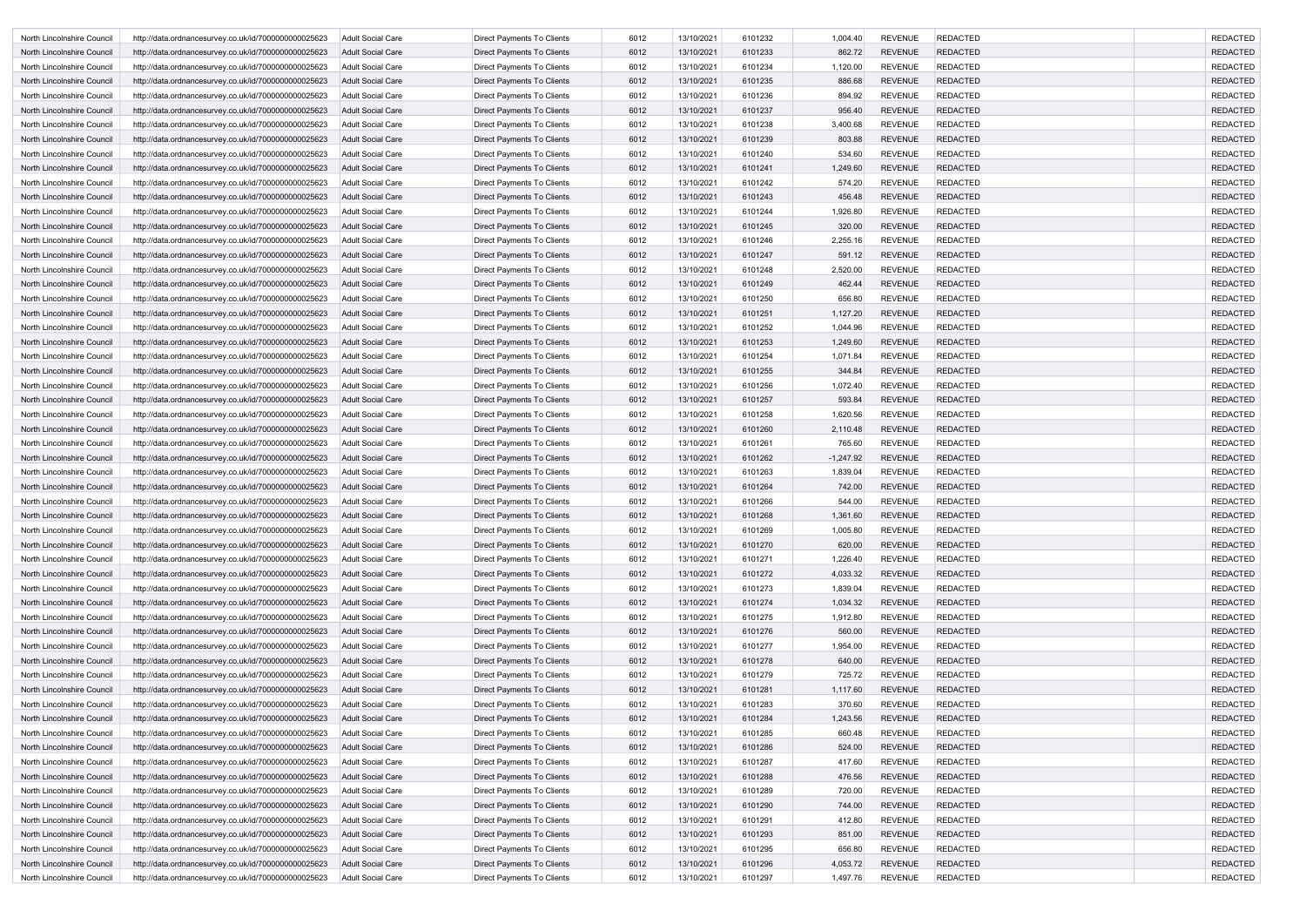| North Lincolnshire Council | http://data.ordnancesurvey.co.uk/id/7000000000025623 | <b>Adult Social Care</b> | Direct Payments To Clients        | 6012 | 13/10/2021 | 6101232 | 1,004.40    | <b>REVENUE</b> | <b>REDACTED</b> | <b>REDACTED</b> |
|----------------------------|------------------------------------------------------|--------------------------|-----------------------------------|------|------------|---------|-------------|----------------|-----------------|-----------------|
| North Lincolnshire Council | http://data.ordnancesurvey.co.uk/id/7000000000025623 | <b>Adult Social Care</b> | Direct Payments To Clients        | 6012 | 13/10/2021 | 6101233 | 862.72      | <b>REVENUE</b> | <b>REDACTED</b> | <b>REDACTED</b> |
| North Lincolnshire Council | http://data.ordnancesurvey.co.uk/id/7000000000025623 | Adult Social Care        | Direct Payments To Clients        | 6012 | 13/10/2021 | 6101234 | 1,120.00    | <b>REVENUE</b> | <b>REDACTED</b> | <b>REDACTED</b> |
| North Lincolnshire Council | http://data.ordnancesurvey.co.uk/id/7000000000025623 | Adult Social Care        | Direct Payments To Clients        | 6012 | 13/10/2021 | 6101235 | 886.68      | <b>REVENUE</b> | <b>REDACTED</b> | <b>REDACTED</b> |
| North Lincolnshire Council | http://data.ordnancesurvey.co.uk/id/7000000000025623 | <b>Adult Social Care</b> | <b>Direct Payments To Clients</b> | 6012 | 13/10/2021 | 6101236 | 894.92      | <b>REVENUE</b> | <b>REDACTED</b> | <b>REDACTED</b> |
| North Lincolnshire Council | http://data.ordnancesurvey.co.uk/id/7000000000025623 | Adult Social Care        | Direct Payments To Clients        | 6012 | 13/10/2021 | 6101237 | 956.40      | <b>REVENUE</b> | <b>REDACTED</b> | <b>REDACTED</b> |
| North Lincolnshire Council | http://data.ordnancesurvey.co.uk/id/7000000000025623 | <b>Adult Social Care</b> | <b>Direct Payments To Clients</b> | 6012 | 13/10/2021 | 6101238 | 3,400.68    | <b>REVENUE</b> | <b>REDACTED</b> | <b>REDACTED</b> |
| North Lincolnshire Council | http://data.ordnancesurvey.co.uk/id/7000000000025623 | Adult Social Care        | Direct Payments To Clients        | 6012 | 13/10/2021 | 6101239 | 803.88      | <b>REVENUE</b> | <b>REDACTED</b> | <b>REDACTED</b> |
| North Lincolnshire Council | http://data.ordnancesurvey.co.uk/id/7000000000025623 | <b>Adult Social Care</b> | Direct Payments To Clients        | 6012 | 13/10/2021 | 6101240 | 534.60      | <b>REVENUE</b> | <b>REDACTED</b> | <b>REDACTED</b> |
| North Lincolnshire Council | http://data.ordnancesurvey.co.uk/id/7000000000025623 | <b>Adult Social Care</b> | Direct Payments To Clients        | 6012 | 13/10/2021 | 6101241 | 1,249.60    | <b>REVENUE</b> | <b>REDACTED</b> | <b>REDACTED</b> |
| North Lincolnshire Council | http://data.ordnancesurvey.co.uk/id/7000000000025623 | <b>Adult Social Care</b> | Direct Payments To Clients        | 6012 | 13/10/2021 | 6101242 | 574.20      | <b>REVENUE</b> | <b>REDACTED</b> | <b>REDACTED</b> |
| North Lincolnshire Council | http://data.ordnancesurvey.co.uk/id/7000000000025623 | <b>Adult Social Care</b> | Direct Payments To Clients        | 6012 | 13/10/2021 | 6101243 | 456.48      | <b>REVENUE</b> | <b>REDACTED</b> | <b>REDACTED</b> |
| North Lincolnshire Council | http://data.ordnancesurvey.co.uk/id/7000000000025623 | <b>Adult Social Care</b> | Direct Payments To Clients        | 6012 | 13/10/2021 | 6101244 | 1,926.80    | <b>REVENUE</b> | <b>REDACTED</b> | <b>REDACTED</b> |
| North Lincolnshire Council |                                                      | Adult Social Care        | Direct Payments To Clients        | 6012 | 13/10/2021 | 6101245 | 320.00      | <b>REVENUE</b> | <b>REDACTED</b> | <b>REDACTED</b> |
|                            | http://data.ordnancesurvey.co.uk/id/7000000000025623 |                          |                                   |      |            |         |             |                |                 |                 |
| North Lincolnshire Council | http://data.ordnancesurvey.co.uk/id/7000000000025623 | <b>Adult Social Care</b> | <b>Direct Payments To Clients</b> | 6012 | 13/10/2021 | 6101246 | 2,255.16    | <b>REVENUE</b> | <b>REDACTED</b> | <b>REDACTED</b> |
| North Lincolnshire Council | http://data.ordnancesurvey.co.uk/id/7000000000025623 | Adult Social Care        | <b>Direct Payments To Clients</b> | 6012 | 13/10/2021 | 6101247 | 591.12      | <b>REVENUE</b> | <b>REDACTED</b> | <b>REDACTED</b> |
| North Lincolnshire Council | http://data.ordnancesurvey.co.uk/id/7000000000025623 | <b>Adult Social Care</b> | <b>Direct Payments To Clients</b> | 6012 | 13/10/2021 | 6101248 | 2,520.00    | <b>REVENUE</b> | <b>REDACTED</b> | <b>REDACTED</b> |
| North Lincolnshire Council | http://data.ordnancesurvey.co.uk/id/7000000000025623 | Adult Social Care        | Direct Payments To Clients        | 6012 | 13/10/2021 | 6101249 | 462.44      | <b>REVENUE</b> | <b>REDACTED</b> | <b>REDACTED</b> |
| North Lincolnshire Council | http://data.ordnancesurvey.co.uk/id/7000000000025623 | <b>Adult Social Care</b> | Direct Payments To Clients        | 6012 | 13/10/2021 | 6101250 | 656.80      | <b>REVENUE</b> | <b>REDACTED</b> | <b>REDACTED</b> |
| North Lincolnshire Council | http://data.ordnancesurvey.co.uk/id/7000000000025623 | Adult Social Care        | Direct Payments To Clients        | 6012 | 13/10/2021 | 6101251 | 1,127.20    | <b>REVENUE</b> | <b>REDACTED</b> | <b>REDACTED</b> |
| North Lincolnshire Council | http://data.ordnancesurvey.co.uk/id/7000000000025623 | <b>Adult Social Care</b> | Direct Payments To Clients        | 6012 | 13/10/2021 | 6101252 | 1,044.96    | <b>REVENUE</b> | <b>REDACTED</b> | <b>REDACTED</b> |
| North Lincolnshire Council | http://data.ordnancesurvey.co.uk/id/7000000000025623 | <b>Adult Social Care</b> | Direct Payments To Clients        | 6012 | 13/10/2021 | 6101253 | 1,249.60    | <b>REVENUE</b> | <b>REDACTED</b> | <b>REDACTED</b> |
| North Lincolnshire Council | http://data.ordnancesurvey.co.uk/id/7000000000025623 | Adult Social Care        | Direct Payments To Clients        | 6012 | 13/10/2021 | 6101254 | 1,071.84    | <b>REVENUE</b> | <b>REDACTED</b> | <b>REDACTED</b> |
| North Lincolnshire Council | http://data.ordnancesurvey.co.uk/id/7000000000025623 | Adult Social Care        | Direct Payments To Clients        | 6012 | 13/10/2021 | 6101255 | 344.84      | <b>REVENUE</b> | <b>REDACTED</b> | <b>REDACTED</b> |
| North Lincolnshire Council | http://data.ordnancesurvey.co.uk/id/7000000000025623 | <b>Adult Social Care</b> | <b>Direct Payments To Clients</b> | 6012 | 13/10/2021 | 6101256 | 1,072.40    | <b>REVENUE</b> | <b>REDACTED</b> | <b>REDACTED</b> |
| North Lincolnshire Council | http://data.ordnancesurvey.co.uk/id/7000000000025623 | Adult Social Care        | Direct Payments To Clients        | 6012 | 13/10/2021 | 6101257 | 593.84      | <b>REVENUE</b> | <b>REDACTED</b> | <b>REDACTED</b> |
| North Lincolnshire Council | http://data.ordnancesurvey.co.uk/id/7000000000025623 | <b>Adult Social Care</b> | Direct Payments To Clients        | 6012 | 13/10/2021 | 6101258 | 1,620.56    | <b>REVENUE</b> | <b>REDACTED</b> | <b>REDACTED</b> |
| North Lincolnshire Council | http://data.ordnancesurvey.co.uk/id/7000000000025623 | Adult Social Care        | Direct Payments To Clients        | 6012 | 13/10/2021 | 6101260 | 2,110.48    | <b>REVENUE</b> | <b>REDACTED</b> | <b>REDACTED</b> |
| North Lincolnshire Council | http://data.ordnancesurvey.co.uk/id/7000000000025623 | <b>Adult Social Care</b> | Direct Payments To Clients        | 6012 | 13/10/2021 | 610126  | 765.60      | <b>REVENUE</b> | <b>REDACTED</b> | <b>REDACTED</b> |
| North Lincolnshire Council | http://data.ordnancesurvey.co.uk/id/7000000000025623 | Adult Social Care        | Direct Payments To Clients        | 6012 | 13/10/2021 | 6101262 | $-1,247.92$ | <b>REVENUE</b> | <b>REDACTED</b> | <b>REDACTED</b> |
| North Lincolnshire Council | http://data.ordnancesurvey.co.uk/id/7000000000025623 | Adult Social Care        | <b>Direct Payments To Clients</b> | 6012 | 13/10/2021 | 6101263 | 1,839.04    | <b>REVENUE</b> | <b>REDACTED</b> | <b>REDACTED</b> |
| North Lincolnshire Council | http://data.ordnancesurvey.co.uk/id/7000000000025623 | <b>Adult Social Care</b> | Direct Payments To Clients        | 6012 | 13/10/2021 | 6101264 | 742.00      | <b>REVENUE</b> | <b>REDACTED</b> | <b>REDACTED</b> |
| North Lincolnshire Council | http://data.ordnancesurvey.co.uk/id/7000000000025623 | Adult Social Care        | Direct Payments To Clients        | 6012 | 13/10/2021 | 6101266 | 544.00      | <b>REVENUE</b> | <b>REDACTED</b> | <b>REDACTED</b> |
| North Lincolnshire Council | http://data.ordnancesurvey.co.uk/id/7000000000025623 | <b>Adult Social Care</b> | Direct Payments To Clients        | 6012 | 13/10/2021 | 6101268 | 1,361.60    | <b>REVENUE</b> | <b>REDACTED</b> | <b>REDACTED</b> |
| North Lincolnshire Council | http://data.ordnancesurvey.co.uk/id/7000000000025623 | Adult Social Care        | <b>Direct Payments To Clients</b> | 6012 | 13/10/2021 | 6101269 | 1,005.80    | <b>REVENUE</b> | <b>REDACTED</b> | <b>REDACTED</b> |
| North Lincolnshire Council | http://data.ordnancesurvey.co.uk/id/7000000000025623 | <b>Adult Social Care</b> | Direct Payments To Clients        | 6012 | 13/10/2021 | 6101270 | 620.00      | <b>REVENUE</b> | <b>REDACTED</b> | <b>REDACTED</b> |
| North Lincolnshire Council | http://data.ordnancesurvey.co.uk/id/7000000000025623 | <b>Adult Social Care</b> | Direct Payments To Clients        | 6012 | 13/10/2021 | 6101271 | 1,226.40    | <b>REVENUE</b> | <b>REDACTED</b> | <b>REDACTED</b> |
| North Lincolnshire Council | http://data.ordnancesurvey.co.uk/id/7000000000025623 | <b>Adult Social Care</b> | Direct Payments To Clients        | 6012 | 13/10/2021 | 6101272 | 4,033.32    | <b>REVENUE</b> | <b>REDACTED</b> | <b>REDACTED</b> |
| North Lincolnshire Council | http://data.ordnancesurvey.co.uk/id/7000000000025623 | Adult Social Care        | Direct Payments To Clients        | 6012 | 13/10/2021 | 6101273 | 1,839.04    | <b>REVENUE</b> | <b>REDACTED</b> | <b>REDACTED</b> |
| North Lincolnshire Council | http://data.ordnancesurvey.co.uk/id/7000000000025623 | <b>Adult Social Care</b> | Direct Payments To Clients        | 6012 | 13/10/2021 | 6101274 | 1,034.32    | <b>REVENUE</b> | <b>REDACTED</b> | <b>REDACTED</b> |
| North Lincolnshire Council | http://data.ordnancesurvey.co.uk/id/7000000000025623 | Adult Social Care        | Direct Payments To Clients        | 6012 | 13/10/2021 | 6101275 | 1,912.80    | <b>REVENUE</b> | <b>REDACTED</b> | <b>REDACTED</b> |
| North Lincolnshire Council | http://data.ordnancesurvey.co.uk/id/7000000000025623 | <b>Adult Social Care</b> | <b>Direct Payments To Clients</b> | 6012 | 13/10/2021 | 6101276 | 560.00      | <b>REVENUE</b> | <b>REDACTED</b> | <b>REDACTED</b> |
| North Lincolnshire Council | http://data.ordnancesurvey.co.uk/id/7000000000025623 | <b>Adult Social Care</b> | Direct Payments To Clients        | 6012 | 13/10/2021 | 6101277 | 1,954.00    | <b>REVENUE</b> | <b>REDACTED</b> | <b>REDACTED</b> |
| North Lincolnshire Council | http://data.ordnancesurvey.co.uk/id/7000000000025623 | <b>Adult Social Care</b> | Direct Payments To Clients        | 6012 | 13/10/2021 | 6101278 | 640.00      | <b>REVENUE</b> | <b>REDACTED</b> | <b>REDACTED</b> |
| North Lincolnshire Council | http://data.ordnancesurvey.co.uk/id/7000000000025623 | Adult Social Care        | Direct Payments To Clients        | 6012 | 13/10/2021 | 6101279 | 725.72      | <b>REVENUE</b> | <b>REDACTED</b> | <b>REDACTED</b> |
| North Lincolnshire Council | http://data.ordnancesurvey.co.uk/id/7000000000025623 | <b>Adult Social Care</b> | Direct Payments To Clients        | 6012 | 13/10/2021 | 6101281 | 1,117.60    | <b>REVENUE</b> | <b>REDACTED</b> | <b>REDACTED</b> |
| North Lincolnshire Council | http://data.ordnancesurvey.co.uk/id/7000000000025623 | Adult Social Care        | Direct Payments To Clients        | 6012 | 13/10/2021 | 6101283 | 370.60      | <b>REVENUE</b> | <b>REDACTED</b> | <b>REDACTED</b> |
| North Lincolnshire Council | http://data.ordnancesurvey.co.uk/id/7000000000025623 | <b>Adult Social Care</b> | Direct Payments To Clients        | 6012 | 13/10/2021 | 6101284 | 1,243.56    | <b>REVENUE</b> | <b>REDACTED</b> | <b>REDACTED</b> |
| North Lincolnshire Council | http://data.ordnancesurvey.co.uk/id/7000000000025623 | Adult Social Care        | Direct Payments To Clients        | 6012 | 13/10/2021 | 6101285 | 660.48      | <b>REVENUE</b> | <b>REDACTED</b> | <b>REDACTED</b> |
| North Lincolnshire Council | http://data.ordnancesurvey.co.uk/id/7000000000025623 | <b>Adult Social Care</b> | Direct Payments To Clients        | 6012 | 13/10/2021 | 6101286 | 524.00      | <b>REVENUE</b> | <b>REDACTED</b> | <b>REDACTED</b> |
| North Lincolnshire Council | http://data.ordnancesurvey.co.uk/id/7000000000025623 | Adult Social Care        | Direct Payments To Clients        | 6012 | 13/10/2021 | 6101287 | 417.60      | <b>REVENUE</b> | <b>REDACTED</b> | <b>REDACTED</b> |
| North Lincolnshire Council | http://data.ordnancesurvey.co.uk/id/7000000000025623 | <b>Adult Social Care</b> | Direct Payments To Clients        | 6012 | 13/10/2021 | 6101288 | 476.56      | <b>REVENUE</b> | <b>REDACTED</b> | <b>REDACTED</b> |
| North Lincolnshire Council | http://data.ordnancesurvey.co.uk/id/7000000000025623 | <b>Adult Social Care</b> | Direct Payments To Clients        | 6012 | 13/10/2021 | 6101289 | 720.00      | <b>REVENUE</b> | <b>REDACTED</b> | <b>REDACTED</b> |
| North Lincolnshire Council | http://data.ordnancesurvey.co.uk/id/7000000000025623 | <b>Adult Social Care</b> | Direct Payments To Clients        | 6012 | 13/10/2021 | 6101290 | 744.00      | <b>REVENUE</b> | <b>REDACTED</b> | <b>REDACTED</b> |
| North Lincolnshire Council | http://data.ordnancesurvey.co.uk/id/7000000000025623 | <b>Adult Social Care</b> | Direct Payments To Clients        | 6012 | 13/10/2021 | 6101291 | 412.80      | <b>REVENUE</b> | <b>REDACTED</b> | <b>REDACTED</b> |
| North Lincolnshire Council | http://data.ordnancesurvey.co.uk/id/7000000000025623 | <b>Adult Social Care</b> | Direct Payments To Clients        | 6012 | 13/10/2021 | 6101293 | 851.00      | <b>REVENUE</b> | <b>REDACTED</b> | <b>REDACTED</b> |
| North Lincolnshire Council | http://data.ordnancesurvey.co.uk/id/7000000000025623 | <b>Adult Social Care</b> | Direct Payments To Clients        | 6012 | 13/10/2021 | 6101295 | 656.80      | <b>REVENUE</b> | <b>REDACTED</b> | <b>REDACTED</b> |
| North Lincolnshire Council | http://data.ordnancesurvey.co.uk/id/7000000000025623 | Adult Social Care        | Direct Payments To Clients        | 6012 | 13/10/2021 | 6101296 | 4,053.72    | <b>REVENUE</b> | <b>REDACTED</b> | <b>REDACTED</b> |
| North Lincolnshire Council | http://data.ordnancesurvey.co.uk/id/7000000000025623 | Adult Social Care        | Direct Payments To Clients        | 6012 | 13/10/2021 | 6101297 | 1,497.76    | <b>REVENUE</b> | <b>REDACTED</b> | <b>REDACTED</b> |
|                            |                                                      |                          |                                   |      |            |         |             |                |                 |                 |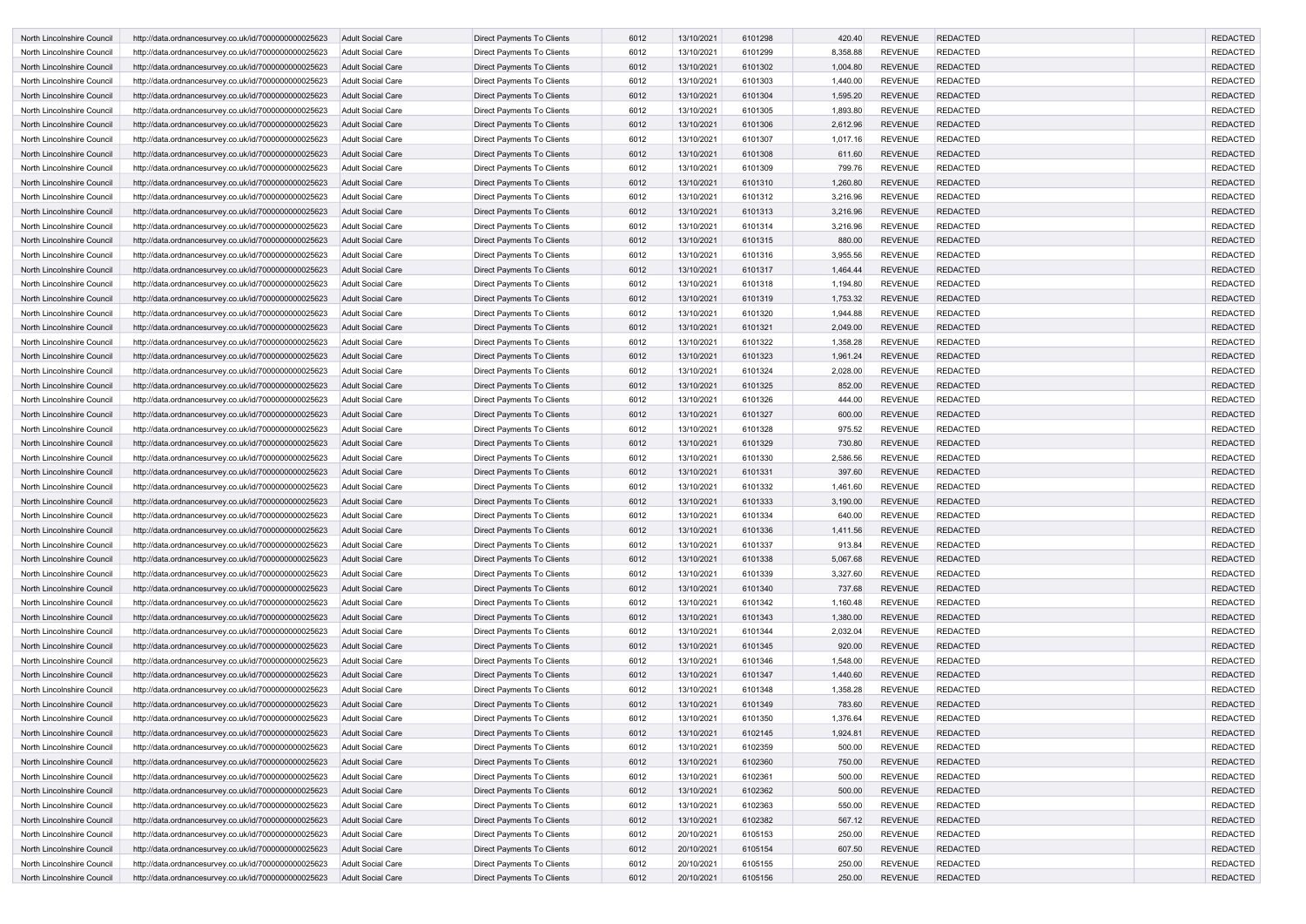| North Lincolnshire Council        | http://data.ordnancesurvey.co.uk/id/7000000000025623 | Adult Social Care        | Direct Payments To Clients        | 6012 | 13/10/2021 | 6101298 | 420.40   | <b>REVENUE</b> | <b>REDACTED</b> | <b>REDACTED</b>                    |
|-----------------------------------|------------------------------------------------------|--------------------------|-----------------------------------|------|------------|---------|----------|----------------|-----------------|------------------------------------|
| North Lincolnshire Council        | http://data.ordnancesurvey.co.uk/id/7000000000025623 | Adult Social Care        | <b>Direct Payments To Clients</b> | 6012 | 13/10/2021 | 6101299 | 8,358.88 | <b>REVENUE</b> | <b>REDACTED</b> | <b>REDACTED</b>                    |
| North Lincolnshire Council        | http://data.ordnancesurvey.co.uk/id/7000000000025623 | Adult Social Care        | Direct Payments To Clients        | 6012 | 13/10/2021 | 6101302 | 1,004.80 | <b>REVENUE</b> | <b>REDACTED</b> | <b>REDACTED</b>                    |
| North Lincolnshire Council        | http://data.ordnancesurvey.co.uk/id/7000000000025623 | <b>Adult Social Care</b> | Direct Payments To Clients        | 6012 | 13/10/2021 | 6101303 | 1,440.00 | <b>REVENUE</b> | <b>REDACTED</b> | <b>REDACTED</b>                    |
| North Lincolnshire Council        | http://data.ordnancesurvey.co.uk/id/7000000000025623 | Adult Social Care        | Direct Payments To Clients        | 6012 | 13/10/2021 | 6101304 | 1,595.20 | <b>REVENUE</b> | <b>REDACTED</b> | <b>REDACTED</b>                    |
| North Lincolnshire Council        | http://data.ordnancesurvey.co.uk/id/7000000000025623 | <b>Adult Social Care</b> | Direct Payments To Clients        | 6012 | 13/10/2021 | 6101305 | 1,893.80 | <b>REVENUE</b> | <b>REDACTED</b> | <b>REDACTED</b>                    |
| North Lincolnshire Council        | http://data.ordnancesurvey.co.uk/id/7000000000025623 | <b>Adult Social Care</b> | Direct Payments To Clients        | 6012 | 13/10/2021 | 6101306 | 2,612.96 | <b>REVENUE</b> | <b>REDACTED</b> | <b>REDACTED</b>                    |
| North Lincolnshire Council        | http://data.ordnancesurvey.co.uk/id/7000000000025623 | <b>Adult Social Care</b> | Direct Payments To Clients        | 6012 | 13/10/2021 | 6101307 | 1,017.16 | <b>REVENUE</b> | <b>REDACTED</b> | <b>REDACTED</b>                    |
| North Lincolnshire Council        | http://data.ordnancesurvey.co.uk/id/7000000000025623 | <b>Adult Social Care</b> | Direct Payments To Clients        | 6012 | 13/10/2021 | 6101308 | 611.60   | <b>REVENUE</b> | <b>REDACTED</b> | <b>REDACTED</b>                    |
| North Lincolnshire Council        | http://data.ordnancesurvey.co.uk/id/7000000000025623 | <b>Adult Social Care</b> | Direct Payments To Clients        | 6012 | 13/10/2021 | 6101309 | 799.76   | <b>REVENUE</b> | <b>REDACTED</b> | <b>REDACTED</b>                    |
| North Lincolnshire Council        | http://data.ordnancesurvey.co.uk/id/7000000000025623 | <b>Adult Social Care</b> | Direct Payments To Clients        | 6012 | 13/10/2021 | 6101310 | 1,260.80 | <b>REVENUE</b> | <b>REDACTED</b> | <b>REDACTED</b>                    |
| North Lincolnshire Council        | http://data.ordnancesurvey.co.uk/id/7000000000025623 | Adult Social Care        | Direct Payments To Clients        | 6012 | 13/10/2021 | 6101312 | 3,216.96 | <b>REVENUE</b> | <b>REDACTED</b> | <b>REDACTED</b>                    |
| North Lincolnshire Council        | http://data.ordnancesurvey.co.uk/id/7000000000025623 | <b>Adult Social Care</b> | Direct Payments To Clients        | 6012 | 13/10/2021 | 6101313 | 3,216.96 | <b>REVENUE</b> | <b>REDACTED</b> | <b>REDACTED</b>                    |
| North Lincolnshire Council        | http://data.ordnancesurvey.co.uk/id/7000000000025623 | <b>Adult Social Care</b> | Direct Payments To Clients        | 6012 | 13/10/2021 | 6101314 | 3,216.96 | <b>REVENUE</b> | <b>REDACTED</b> | <b>REDACTED</b>                    |
| North Lincolnshire Council        | http://data.ordnancesurvey.co.uk/id/7000000000025623 | Adult Social Care        | Direct Payments To Clients        | 6012 | 13/10/2021 | 6101315 | 880.00   | <b>REVENUE</b> | <b>REDACTED</b> | <b>REDACTED</b>                    |
| North Lincolnshire Council        | http://data.ordnancesurvey.co.uk/id/7000000000025623 | <b>Adult Social Care</b> | Direct Payments To Clients        | 6012 | 13/10/2021 | 6101316 | 3,955.56 | <b>REVENUE</b> | <b>REDACTED</b> | <b>REDACTED</b>                    |
| <b>North Lincolnshire Council</b> | http://data.ordnancesurvey.co.uk/id/7000000000025623 | <b>Adult Social Care</b> | Direct Payments To Clients        | 6012 | 13/10/2021 | 6101317 | 1,464.44 | <b>REVENUE</b> | <b>REDACTED</b> | <b>REDACTED</b>                    |
| North Lincolnshire Council        | http://data.ordnancesurvey.co.uk/id/7000000000025623 | <b>Adult Social Care</b> | Direct Payments To Clients        | 6012 | 13/10/2021 | 6101318 | 1,194.80 | <b>REVENUE</b> | <b>REDACTED</b> | <b>REDACTED</b>                    |
| North Lincolnshire Council        |                                                      | Adult Social Care        |                                   | 6012 | 13/10/2021 | 6101319 | 1,753.32 | <b>REVENUE</b> | <b>REDACTED</b> | <b>REDACTED</b>                    |
|                                   | http://data.ordnancesurvey.co.uk/id/7000000000025623 |                          | Direct Payments To Clients        | 6012 |            |         |          | <b>REVENUE</b> | <b>REDACTED</b> |                                    |
| North Lincolnshire Council        | http://data.ordnancesurvey.co.uk/id/7000000000025623 | <b>Adult Social Care</b> | Direct Payments To Clients        |      | 13/10/2021 | 6101320 | 1,944.88 |                |                 | <b>REDACTED</b><br><b>REDACTED</b> |
| North Lincolnshire Council        | http://data.ordnancesurvey.co.uk/id/7000000000025623 | Adult Social Care        | Direct Payments To Clients        | 6012 | 13/10/2021 | 6101321 | 2,049.00 | <b>REVENUE</b> | <b>REDACTED</b> |                                    |
| North Lincolnshire Council        | http://data.ordnancesurvey.co.uk/id/7000000000025623 | Adult Social Care        | Direct Payments To Clients        | 6012 | 13/10/2021 | 6101322 | 1,358.28 | <b>REVENUE</b> | <b>REDACTED</b> | <b>REDACTED</b>                    |
| North Lincolnshire Council        | http://data.ordnancesurvey.co.uk/id/7000000000025623 | <b>Adult Social Care</b> | Direct Payments To Clients        | 6012 | 13/10/2021 | 6101323 | 1,961.24 | <b>REVENUE</b> | <b>REDACTED</b> | <b>REDACTED</b>                    |
| North Lincolnshire Council        | http://data.ordnancesurvey.co.uk/id/7000000000025623 | <b>Adult Social Care</b> | Direct Payments To Clients        | 6012 | 13/10/2021 | 6101324 | 2,028.00 | <b>REVENUE</b> | <b>REDACTED</b> | <b>REDACTED</b>                    |
| North Lincolnshire Council        | http://data.ordnancesurvey.co.uk/id/7000000000025623 | <b>Adult Social Care</b> | Direct Payments To Clients        | 6012 | 13/10/2021 | 6101325 | 852.00   | <b>REVENUE</b> | <b>REDACTED</b> | <b>REDACTED</b>                    |
| North Lincolnshire Council        | http://data.ordnancesurvey.co.uk/id/7000000000025623 | Adult Social Care        | Direct Payments To Clients        | 6012 | 13/10/2021 | 6101326 | 444.00   | <b>REVENUE</b> | <b>REDACTED</b> | <b>REDACTED</b>                    |
| North Lincolnshire Council        | http://data.ordnancesurvey.co.uk/id/7000000000025623 | Adult Social Care        | Direct Payments To Clients        | 6012 | 13/10/2021 | 6101327 | 600.00   | <b>REVENUE</b> | <b>REDACTED</b> | <b>REDACTED</b>                    |
| North Lincolnshire Council        | http://data.ordnancesurvey.co.uk/id/7000000000025623 | <b>Adult Social Care</b> | Direct Payments To Clients        | 6012 | 13/10/2021 | 6101328 | 975.52   | <b>REVENUE</b> | <b>REDACTED</b> | <b>REDACTED</b>                    |
| North Lincolnshire Council        | http://data.ordnancesurvey.co.uk/id/7000000000025623 | Adult Social Care        | Direct Payments To Clients        | 6012 | 13/10/2021 | 6101329 | 730.80   | <b>REVENUE</b> | <b>REDACTED</b> | <b>REDACTED</b>                    |
| North Lincolnshire Council        | http://data.ordnancesurvey.co.uk/id/7000000000025623 | <b>Adult Social Care</b> | Direct Payments To Clients        | 6012 | 13/10/2021 | 6101330 | 2,586.56 | <b>REVENUE</b> | <b>REDACTED</b> | <b>REDACTED</b>                    |
| North Lincolnshire Council        | http://data.ordnancesurvey.co.uk/id/7000000000025623 | Adult Social Care        | Direct Payments To Clients        | 6012 | 13/10/2021 | 6101331 | 397.60   | <b>REVENUE</b> | <b>REDACTED</b> | <b>REDACTED</b>                    |
| North Lincolnshire Council        | http://data.ordnancesurvey.co.uk/id/7000000000025623 | Adult Social Care        | Direct Payments To Clients        | 6012 | 13/10/2021 | 6101332 | 1,461.60 | <b>REVENUE</b> | <b>REDACTED</b> | <b>REDACTED</b>                    |
| North Lincolnshire Council        | http://data.ordnancesurvey.co.uk/id/7000000000025623 | Adult Social Care        | Direct Payments To Clients        | 6012 | 13/10/2021 | 6101333 | 3,190.00 | <b>REVENUE</b> | <b>REDACTED</b> | <b>REDACTED</b>                    |
| North Lincolnshire Council        | http://data.ordnancesurvey.co.uk/id/7000000000025623 | <b>Adult Social Care</b> | <b>Direct Payments To Clients</b> | 6012 | 13/10/2021 | 6101334 | 640.00   | <b>REVENUE</b> | <b>REDACTED</b> | <b>REDACTED</b>                    |
| North Lincolnshire Council        | http://data.ordnancesurvey.co.uk/id/7000000000025623 | <b>Adult Social Care</b> | Direct Payments To Clients        | 6012 | 13/10/2021 | 6101336 | 1,411.56 | <b>REVENUE</b> | <b>REDACTED</b> | <b>REDACTED</b>                    |
| North Lincolnshire Council        | http://data.ordnancesurvey.co.uk/id/7000000000025623 | Adult Social Care        | Direct Payments To Clients        | 6012 | 13/10/2021 | 6101337 | 913.84   | <b>REVENUE</b> | <b>REDACTED</b> | <b>REDACTED</b>                    |
| North Lincolnshire Council        | http://data.ordnancesurvey.co.uk/id/7000000000025623 | <b>Adult Social Care</b> | Direct Payments To Clients        | 6012 | 13/10/2021 | 6101338 | 5,067.68 | <b>REVENUE</b> | <b>REDACTED</b> | <b>REDACTED</b>                    |
| North Lincolnshire Council        | http://data.ordnancesurvey.co.uk/id/7000000000025623 | <b>Adult Social Care</b> | Direct Payments To Clients        | 6012 | 13/10/2021 | 6101339 | 3,327.60 | <b>REVENUE</b> | <b>REDACTED</b> | <b>REDACTED</b>                    |
| North Lincolnshire Council        | http://data.ordnancesurvey.co.uk/id/7000000000025623 | <b>Adult Social Care</b> | Direct Payments To Clients        | 6012 | 13/10/2021 | 6101340 | 737.68   | <b>REVENUE</b> | <b>REDACTED</b> | <b>REDACTED</b>                    |
| North Lincolnshire Council        | http://data.ordnancesurvey.co.uk/id/7000000000025623 | <b>Adult Social Care</b> | Direct Payments To Clients        | 6012 | 13/10/2021 | 6101342 | 1,160.48 | <b>REVENUE</b> | <b>REDACTED</b> | <b>REDACTED</b>                    |
| North Lincolnshire Council        | http://data.ordnancesurvey.co.uk/id/7000000000025623 | <b>Adult Social Care</b> | Direct Payments To Clients        | 6012 | 13/10/2021 | 6101343 | 1,380.00 | <b>REVENUE</b> | <b>REDACTED</b> | <b>REDACTED</b>                    |
| North Lincolnshire Council        | http://data.ordnancesurvey.co.uk/id/7000000000025623 | Adult Social Care        | Direct Payments To Clients        | 6012 | 13/10/2021 | 6101344 | 2,032.04 | <b>REVENUE</b> | <b>REDACTED</b> | <b>REDACTED</b>                    |
| North Lincolnshire Council        | http://data.ordnancesurvey.co.uk/id/7000000000025623 | <b>Adult Social Care</b> | Direct Payments To Clients        | 6012 | 13/10/2021 | 6101345 | 920.00   | <b>REVENUE</b> | <b>REDACTED</b> | <b>REDACTED</b>                    |
| North Lincolnshire Council        | http://data.ordnancesurvey.co.uk/id/7000000000025623 | <b>Adult Social Care</b> | Direct Payments To Clients        | 6012 | 13/10/2021 | 6101346 | 1,548.00 | <b>REVENUE</b> | <b>REDACTED</b> | <b>REDACTED</b>                    |
| North Lincolnshire Council        | http://data.ordnancesurvey.co.uk/id/7000000000025623 | <b>Adult Social Care</b> | Direct Payments To Clients        | 6012 | 13/10/2021 | 6101347 | 1,440.60 | <b>REVENUE</b> | <b>REDACTED</b> | <b>REDACTED</b>                    |
| North Lincolnshire Council        | http://data.ordnancesurvey.co.uk/id/7000000000025623 | <b>Adult Social Care</b> | Direct Payments To Clients        | 6012 | 13/10/2021 | 6101348 | 1,358.28 | <b>REVENUE</b> | <b>REDACTED</b> | <b>REDACTED</b>                    |
| North Lincolnshire Council        | http://data.ordnancesurvey.co.uk/id/7000000000025623 | <b>Adult Social Care</b> | Direct Payments To Clients        | 6012 | 13/10/2021 | 6101349 | 783.60   | <b>REVENUE</b> | <b>REDACTED</b> | <b>REDACTED</b>                    |
| North Lincolnshire Council        | http://data.ordnancesurvey.co.uk/id/7000000000025623 | <b>Adult Social Care</b> | Direct Payments To Clients        | 6012 | 13/10/2021 | 6101350 | 1,376.64 | <b>REVENUE</b> | <b>REDACTED</b> | <b>REDACTED</b>                    |
| North Lincolnshire Council        | http://data.ordnancesurvey.co.uk/id/7000000000025623 | <b>Adult Social Care</b> | Direct Payments To Clients        | 6012 | 13/10/2021 | 6102145 | 1,924.81 | <b>REVENUE</b> | <b>REDACTED</b> | <b>REDACTED</b>                    |
| North Lincolnshire Council        | http://data.ordnancesurvey.co.uk/id/7000000000025623 | <b>Adult Social Care</b> | Direct Payments To Clients        | 6012 | 13/10/2021 | 6102359 | 500.00   | <b>REVENUE</b> | <b>REDACTED</b> | <b>REDACTED</b>                    |
| North Lincolnshire Council        | http://data.ordnancesurvey.co.uk/id/7000000000025623 | <b>Adult Social Care</b> | Direct Payments To Clients        | 6012 | 13/10/2021 | 6102360 | 750.00   | <b>REVENUE</b> | <b>REDACTED</b> | <b>REDACTED</b>                    |
| North Lincolnshire Council        | http://data.ordnancesurvey.co.uk/id/7000000000025623 | Adult Social Care        | Direct Payments To Clients        | 6012 | 13/10/2021 | 6102361 | 500.00   | <b>REVENUE</b> | <b>REDACTED</b> | <b>REDACTED</b>                    |
| North Lincolnshire Council        | http://data.ordnancesurvey.co.uk/id/7000000000025623 | <b>Adult Social Care</b> | <b>Direct Payments To Clients</b> | 6012 | 13/10/2021 | 6102362 | 500.00   | <b>REVENUE</b> | <b>REDACTED</b> | <b>REDACTED</b>                    |
| North Lincolnshire Council        | http://data.ordnancesurvey.co.uk/id/7000000000025623 | <b>Adult Social Care</b> | Direct Payments To Clients        | 6012 | 13/10/2021 | 6102363 | 550.00   | <b>REVENUE</b> | <b>REDACTED</b> | <b>REDACTED</b>                    |
| North Lincolnshire Council        | http://data.ordnancesurvey.co.uk/id/7000000000025623 | <b>Adult Social Care</b> | Direct Payments To Clients        | 6012 | 13/10/2021 | 6102382 | 567.12   | <b>REVENUE</b> | <b>REDACTED</b> | <b>REDACTED</b>                    |
| North Lincolnshire Council        | http://data.ordnancesurvey.co.uk/id/7000000000025623 | <b>Adult Social Care</b> | Direct Payments To Clients        | 6012 | 20/10/2021 | 6105153 | 250.00   | <b>REVENUE</b> | <b>REDACTED</b> | <b>REDACTED</b>                    |
| North Lincolnshire Council        | http://data.ordnancesurvey.co.uk/id/7000000000025623 | <b>Adult Social Care</b> | Direct Payments To Clients        | 6012 | 20/10/2021 | 6105154 | 607.50   | <b>REVENUE</b> | <b>REDACTED</b> | <b>REDACTED</b>                    |
| North Lincolnshire Council        | http://data.ordnancesurvey.co.uk/id/7000000000025623 | <b>Adult Social Care</b> | Direct Payments To Clients        | 6012 | 20/10/2021 | 6105155 | 250.00   | <b>REVENUE</b> | <b>REDACTED</b> | <b>REDACTED</b>                    |
| North Lincolnshire Council        | http://data.ordnancesurvey.co.uk/id/7000000000025623 | Adult Social Care        | <b>Direct Payments To Clients</b> | 6012 | 20/10/2021 | 6105156 | 250.00   | <b>REVENUE</b> | REDACTED        | <b>REDACTED</b>                    |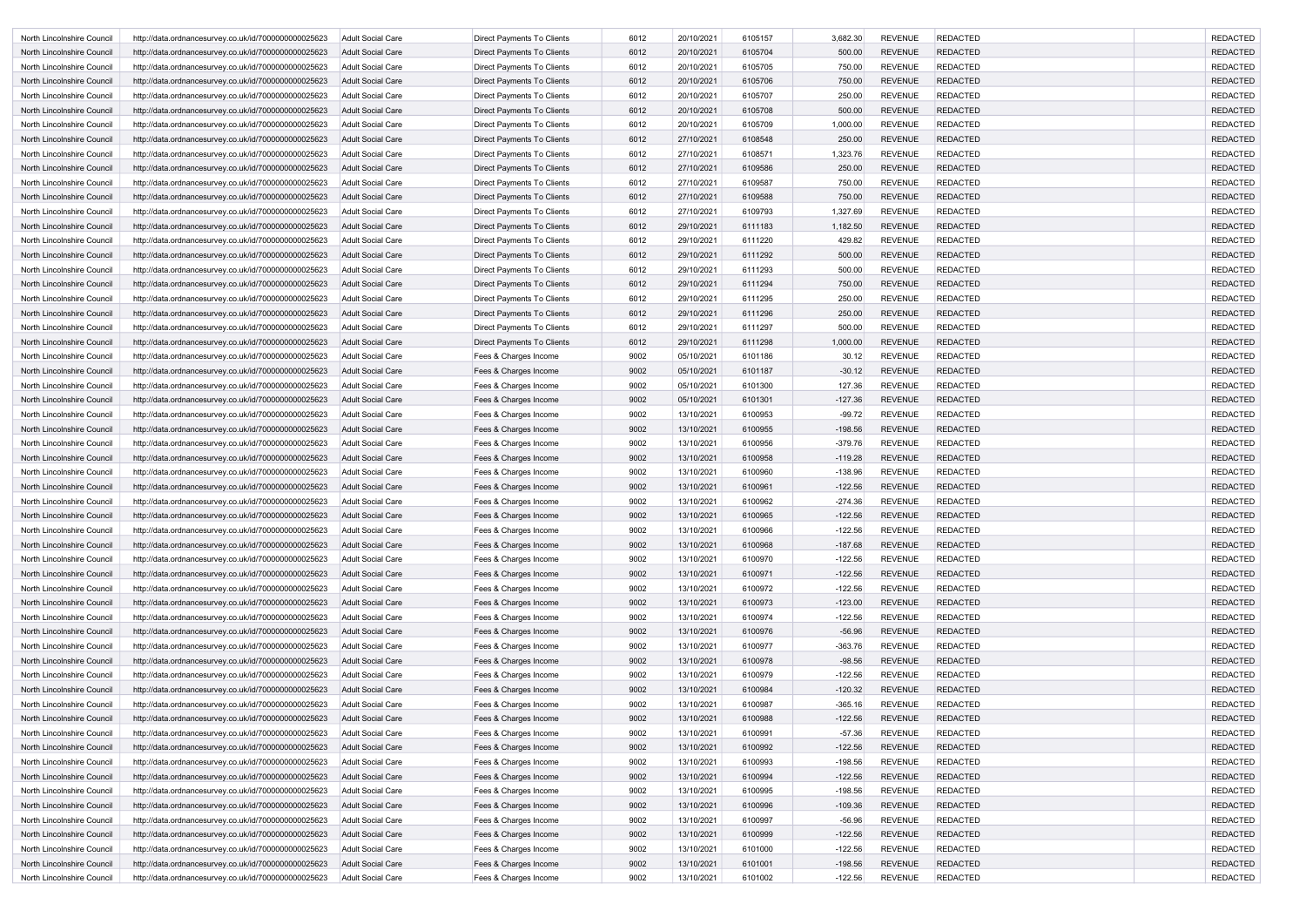| North Lincolnshire Council | http://data.ordnancesurvey.co.uk/id/7000000000025623 | Adult Social Care        | <b>Direct Payments To Clients</b> | 6012 | 20/10/2021 | 6105157 | 3,682.30  | <b>REVENUE</b> | <b>REDACTED</b> | <b>REDACTED</b> |
|----------------------------|------------------------------------------------------|--------------------------|-----------------------------------|------|------------|---------|-----------|----------------|-----------------|-----------------|
| North Lincolnshire Council | http://data.ordnancesurvey.co.uk/id/7000000000025623 | <b>Adult Social Care</b> | Direct Payments To Clients        | 6012 | 20/10/2021 | 6105704 | 500.00    | <b>REVENUE</b> | <b>REDACTED</b> | <b>REDACTED</b> |
| North Lincolnshire Council | http://data.ordnancesurvey.co.uk/id/7000000000025623 | Adult Social Care        | Direct Payments To Clients        | 6012 | 20/10/2021 | 6105705 | 750.00    | <b>REVENUE</b> | <b>REDACTED</b> | <b>REDACTED</b> |
| North Lincolnshire Council | http://data.ordnancesurvey.co.uk/id/7000000000025623 | Adult Social Care        | Direct Payments To Clients        | 6012 | 20/10/2021 | 6105706 | 750.00    | <b>REVENUE</b> | <b>REDACTED</b> | <b>REDACTED</b> |
| North Lincolnshire Council | http://data.ordnancesurvey.co.uk/id/7000000000025623 | <b>Adult Social Care</b> | <b>Direct Payments To Clients</b> | 6012 | 20/10/2021 | 6105707 | 250.00    | <b>REVENUE</b> | <b>REDACTED</b> | <b>REDACTED</b> |
| North Lincolnshire Council | http://data.ordnancesurvey.co.uk/id/7000000000025623 | Adult Social Care        | Direct Payments To Clients        | 6012 | 20/10/2021 | 6105708 | 500.00    | <b>REVENUE</b> | <b>REDACTED</b> | <b>REDACTED</b> |
| North Lincolnshire Council | http://data.ordnancesurvey.co.uk/id/7000000000025623 | <b>Adult Social Care</b> | <b>Direct Payments To Clients</b> | 6012 | 20/10/2021 | 6105709 | 1,000.00  | <b>REVENUE</b> | <b>REDACTED</b> | <b>REDACTED</b> |
| North Lincolnshire Council | http://data.ordnancesurvey.co.uk/id/7000000000025623 | Adult Social Care        | Direct Payments To Clients        | 6012 | 27/10/2021 | 6108548 | 250.00    | <b>REVENUE</b> | <b>REDACTED</b> | <b>REDACTED</b> |
| North Lincolnshire Council | http://data.ordnancesurvey.co.uk/id/7000000000025623 | <b>Adult Social Care</b> | Direct Payments To Clients        | 6012 | 27/10/2021 | 6108571 | 1,323.76  | <b>REVENUE</b> | <b>REDACTED</b> | <b>REDACTED</b> |
| North Lincolnshire Council | http://data.ordnancesurvey.co.uk/id/7000000000025623 | <b>Adult Social Care</b> | Direct Payments To Clients        | 6012 | 27/10/2021 | 6109586 | 250.00    | <b>REVENUE</b> | <b>REDACTED</b> | <b>REDACTED</b> |
| North Lincolnshire Council | http://data.ordnancesurvey.co.uk/id/7000000000025623 | Adult Social Care        | Direct Payments To Clients        | 6012 | 27/10/2021 | 6109587 | 750.00    | <b>REVENUE</b> | <b>REDACTED</b> | <b>REDACTED</b> |
| North Lincolnshire Council | http://data.ordnancesurvey.co.uk/id/7000000000025623 | <b>Adult Social Care</b> | Direct Payments To Clients        | 6012 | 27/10/2021 | 6109588 | 750.00    | <b>REVENUE</b> | <b>REDACTED</b> | <b>REDACTED</b> |
| North Lincolnshire Council | http://data.ordnancesurvey.co.uk/id/7000000000025623 | <b>Adult Social Care</b> | Direct Payments To Clients        | 6012 | 27/10/2021 | 6109793 | 1,327.69  | <b>REVENUE</b> | <b>REDACTED</b> | <b>REDACTED</b> |
| North Lincolnshire Council | http://data.ordnancesurvey.co.uk/id/7000000000025623 | Adult Social Care        | Direct Payments To Clients        | 6012 | 29/10/2021 | 6111183 | 1,182.50  | <b>REVENUE</b> | <b>REDACTED</b> | <b>REDACTED</b> |
| North Lincolnshire Council | http://data.ordnancesurvey.co.uk/id/7000000000025623 | <b>Adult Social Care</b> | <b>Direct Payments To Clients</b> | 6012 | 29/10/2021 | 6111220 | 429.82    | <b>REVENUE</b> | <b>REDACTED</b> | <b>REDACTED</b> |
| North Lincolnshire Council | http://data.ordnancesurvey.co.uk/id/7000000000025623 | Adult Social Care        | Direct Payments To Clients        | 6012 | 29/10/2021 | 6111292 | 500.00    | <b>REVENUE</b> | <b>REDACTED</b> | <b>REDACTED</b> |
| North Lincolnshire Council |                                                      | <b>Adult Social Care</b> | <b>Direct Payments To Clients</b> | 6012 | 29/10/2021 | 6111293 | 500.00    | <b>REVENUE</b> | <b>REDACTED</b> | <b>REDACTED</b> |
|                            | http://data.ordnancesurvey.co.uk/id/7000000000025623 |                          |                                   |      |            | 6111294 |           | <b>REVENUE</b> | <b>REDACTED</b> | <b>REDACTED</b> |
| North Lincolnshire Council | http://data.ordnancesurvey.co.uk/id/7000000000025623 | Adult Social Care        | Direct Payments To Clients        | 6012 | 29/10/2021 |         | 750.00    |                |                 |                 |
| North Lincolnshire Council | http://data.ordnancesurvey.co.uk/id/7000000000025623 | <b>Adult Social Care</b> | Direct Payments To Clients        | 6012 | 29/10/2021 | 6111295 | 250.00    | <b>REVENUE</b> | <b>REDACTED</b> | <b>REDACTED</b> |
| North Lincolnshire Council | http://data.ordnancesurvey.co.uk/id/7000000000025623 | Adult Social Care        | Direct Payments To Clients        | 6012 | 29/10/2021 | 6111296 | 250.00    | <b>REVENUE</b> | <b>REDACTED</b> | <b>REDACTED</b> |
| North Lincolnshire Council | http://data.ordnancesurvey.co.uk/id/7000000000025623 | Adult Social Care        | Direct Payments To Clients        | 6012 | 29/10/2021 | 6111297 | 500.00    | <b>REVENUE</b> | <b>REDACTED</b> | <b>REDACTED</b> |
| North Lincolnshire Council | http://data.ordnancesurvey.co.uk/id/7000000000025623 | <b>Adult Social Care</b> | Direct Payments To Clients        | 6012 | 29/10/2021 | 6111298 | 1,000.00  | <b>REVENUE</b> | <b>REDACTED</b> | <b>REDACTED</b> |
| North Lincolnshire Council | http://data.ordnancesurvey.co.uk/id/7000000000025623 | Adult Social Care        | Fees & Charges Income             | 9002 | 05/10/2021 | 6101186 | 30.12     | <b>REVENUE</b> | <b>REDACTED</b> | <b>REDACTED</b> |
| North Lincolnshire Council | http://data.ordnancesurvey.co.uk/id/7000000000025623 | Adult Social Care        | Fees & Charges Income             | 9002 | 05/10/2021 | 6101187 | $-30.12$  | <b>REVENUE</b> | <b>REDACTED</b> | <b>REDACTED</b> |
| North Lincolnshire Council | http://data.ordnancesurvey.co.uk/id/7000000000025623 | <b>Adult Social Care</b> | Fees & Charges Income             | 9002 | 05/10/2021 | 6101300 | 127.36    | <b>REVENUE</b> | <b>REDACTED</b> | <b>REDACTED</b> |
| North Lincolnshire Council | http://data.ordnancesurvey.co.uk/id/7000000000025623 | Adult Social Care        | Fees & Charges Income             | 9002 | 05/10/2021 | 6101301 | $-127.36$ | <b>REVENUE</b> | <b>REDACTED</b> | <b>REDACTED</b> |
| North Lincolnshire Council | http://data.ordnancesurvey.co.uk/id/7000000000025623 | <b>Adult Social Care</b> | Fees & Charges Income             | 9002 | 13/10/2021 | 6100953 | $-99.72$  | <b>REVENUE</b> | <b>REDACTED</b> | <b>REDACTED</b> |
| North Lincolnshire Council | http://data.ordnancesurvey.co.uk/id/7000000000025623 | Adult Social Care        | Fees & Charges Income             | 9002 | 13/10/2021 | 6100955 | $-198.56$ | <b>REVENUE</b> | <b>REDACTED</b> | <b>REDACTED</b> |
| North Lincolnshire Council | http://data.ordnancesurvey.co.uk/id/7000000000025623 | <b>Adult Social Care</b> | Fees & Charges Income             | 9002 | 13/10/2021 | 6100956 | $-379.76$ | <b>REVENUE</b> | <b>REDACTED</b> | <b>REDACTED</b> |
| North Lincolnshire Council | http://data.ordnancesurvey.co.uk/id/7000000000025623 | Adult Social Care        | Fees & Charges Income             | 9002 | 13/10/2021 | 6100958 | $-119.28$ | <b>REVENUE</b> | <b>REDACTED</b> | <b>REDACTED</b> |
| North Lincolnshire Council | http://data.ordnancesurvey.co.uk/id/7000000000025623 | Adult Social Care        | Fees & Charges Income             | 9002 | 13/10/2021 | 6100960 | $-138.96$ | <b>REVENUE</b> | <b>REDACTED</b> | <b>REDACTED</b> |
| North Lincolnshire Council | http://data.ordnancesurvey.co.uk/id/7000000000025623 | <b>Adult Social Care</b> | Fees & Charges Income             | 9002 | 13/10/2021 | 6100961 | $-122.56$ | <b>REVENUE</b> | <b>REDACTED</b> | <b>REDACTED</b> |
| North Lincolnshire Council | http://data.ordnancesurvey.co.uk/id/7000000000025623 | Adult Social Care        | Fees & Charges Income             | 9002 | 13/10/2021 | 6100962 | $-274.36$ | <b>REVENUE</b> | <b>REDACTED</b> | <b>REDACTED</b> |
| North Lincolnshire Council | http://data.ordnancesurvey.co.uk/id/7000000000025623 | <b>Adult Social Care</b> | Fees & Charges Income             | 9002 | 13/10/2021 | 6100965 | $-122.56$ | <b>REVENUE</b> | <b>REDACTED</b> | <b>REDACTED</b> |
| North Lincolnshire Council | http://data.ordnancesurvey.co.uk/id/7000000000025623 | Adult Social Care        | Fees & Charges Income             | 9002 | 13/10/2021 | 6100966 | $-122.56$ | <b>REVENUE</b> | <b>REDACTED</b> | <b>REDACTED</b> |
| North Lincolnshire Council | http://data.ordnancesurvey.co.uk/id/7000000000025623 | <b>Adult Social Care</b> | Fees & Charges Income             | 9002 | 13/10/2021 | 6100968 | $-187.68$ | <b>REVENUE</b> | <b>REDACTED</b> | <b>REDACTED</b> |
| North Lincolnshire Council | http://data.ordnancesurvey.co.uk/id/7000000000025623 | <b>Adult Social Care</b> | Fees & Charges Income             | 9002 | 13/10/2021 | 6100970 | $-122.56$ | <b>REVENUE</b> | <b>REDACTED</b> | <b>REDACTED</b> |
| North Lincolnshire Council | http://data.ordnancesurvey.co.uk/id/7000000000025623 | Adult Social Care        | Fees & Charges Income             | 9002 | 13/10/2021 | 6100971 | $-122.56$ | <b>REVENUE</b> | <b>REDACTED</b> | <b>REDACTED</b> |
| North Lincolnshire Council | http://data.ordnancesurvey.co.uk/id/7000000000025623 | Adult Social Care        | Fees & Charges Income             | 9002 | 13/10/2021 | 6100972 | $-122.56$ | <b>REVENUE</b> | <b>REDACTED</b> | <b>REDACTED</b> |
| North Lincolnshire Council | http://data.ordnancesurvey.co.uk/id/7000000000025623 | <b>Adult Social Care</b> | Fees & Charges Income             | 9002 | 13/10/2021 | 6100973 | $-123.00$ | <b>REVENUE</b> | <b>REDACTED</b> | <b>REDACTED</b> |
| North Lincolnshire Council | http://data.ordnancesurvey.co.uk/id/7000000000025623 | Adult Social Care        | Fees & Charges Income             | 9002 | 13/10/2021 | 6100974 | $-122.56$ | <b>REVENUE</b> | <b>REDACTED</b> | <b>REDACTED</b> |
| North Lincolnshire Council | http://data.ordnancesurvey.co.uk/id/7000000000025623 | <b>Adult Social Care</b> | Fees & Charges Income             | 9002 | 13/10/2021 | 6100976 | $-56.96$  | <b>REVENUE</b> | <b>REDACTED</b> | <b>REDACTED</b> |
| North Lincolnshire Council | http://data.ordnancesurvey.co.uk/id/7000000000025623 | <b>Adult Social Care</b> | Fees & Charges Income             | 9002 | 13/10/2021 | 6100977 | $-363.76$ | <b>REVENUE</b> | <b>REDACTED</b> | <b>REDACTED</b> |
| North Lincolnshire Council | http://data.ordnancesurvey.co.uk/id/7000000000025623 | <b>Adult Social Care</b> | Fees & Charges Income             | 9002 | 13/10/2021 | 6100978 | $-98.56$  | <b>REVENUE</b> | <b>REDACTED</b> | <b>REDACTED</b> |
| North Lincolnshire Council | http://data.ordnancesurvey.co.uk/id/7000000000025623 | Adult Social Care        | Fees & Charges Income             | 9002 | 13/10/2021 | 6100979 | $-122.56$ | <b>REVENUE</b> | <b>REDACTED</b> | <b>REDACTED</b> |
| North Lincolnshire Council | http://data.ordnancesurvey.co.uk/id/7000000000025623 | <b>Adult Social Care</b> | Fees & Charges Income             | 9002 | 13/10/2021 | 6100984 | $-120.32$ | <b>REVENUE</b> | <b>REDACTED</b> | <b>REDACTED</b> |
| North Lincolnshire Council | http://data.ordnancesurvey.co.uk/id/7000000000025623 | <b>Adult Social Care</b> | Fees & Charges Income             | 9002 | 13/10/2021 | 6100987 | $-365.16$ | <b>REVENUE</b> | <b>REDACTED</b> | <b>REDACTED</b> |
| North Lincolnshire Council | http://data.ordnancesurvey.co.uk/id/7000000000025623 | <b>Adult Social Care</b> | Fees & Charges Income             | 9002 | 13/10/2021 | 6100988 | $-122.56$ | <b>REVENUE</b> | <b>REDACTED</b> | <b>REDACTED</b> |
| North Lincolnshire Council | http://data.ordnancesurvey.co.uk/id/7000000000025623 | Adult Social Care        | Fees & Charges Income             | 9002 | 13/10/2021 | 6100991 | $-57.36$  | <b>REVENUE</b> | <b>REDACTED</b> | <b>REDACTED</b> |
| North Lincolnshire Council | http://data.ordnancesurvey.co.uk/id/7000000000025623 | <b>Adult Social Care</b> | Fees & Charges Income             | 9002 | 13/10/2021 | 6100992 | $-122.56$ | <b>REVENUE</b> | <b>REDACTED</b> | <b>REDACTED</b> |
| North Lincolnshire Council | http://data.ordnancesurvey.co.uk/id/7000000000025623 | Adult Social Care        | Fees & Charges Income             | 9002 | 13/10/2021 | 6100993 | $-198.56$ | <b>REVENUE</b> | <b>REDACTED</b> | <b>REDACTED</b> |
| North Lincolnshire Council | http://data.ordnancesurvey.co.uk/id/7000000000025623 | <b>Adult Social Care</b> | Fees & Charges Income             | 9002 | 13/10/2021 | 6100994 | $-122.56$ | <b>REVENUE</b> | <b>REDACTED</b> | <b>REDACTED</b> |
| North Lincolnshire Council | http://data.ordnancesurvey.co.uk/id/7000000000025623 | <b>Adult Social Care</b> | Fees & Charges Income             | 9002 | 13/10/2021 | 6100995 | $-198.56$ | <b>REVENUE</b> | <b>REDACTED</b> | <b>REDACTED</b> |
| North Lincolnshire Council | http://data.ordnancesurvey.co.uk/id/7000000000025623 | <b>Adult Social Care</b> | Fees & Charges Income             | 9002 | 13/10/2021 | 6100996 | $-109.36$ | <b>REVENUE</b> | <b>REDACTED</b> | <b>REDACTED</b> |
| North Lincolnshire Council | http://data.ordnancesurvey.co.uk/id/7000000000025623 | Adult Social Care        | Fees & Charges Income             | 9002 | 13/10/2021 | 6100997 | $-56.96$  | <b>REVENUE</b> | <b>REDACTED</b> | <b>REDACTED</b> |
| North Lincolnshire Council | http://data.ordnancesurvey.co.uk/id/7000000000025623 | <b>Adult Social Care</b> | Fees & Charges Income             | 9002 | 13/10/2021 | 6100999 | $-122.56$ | <b>REVENUE</b> | <b>REDACTED</b> | <b>REDACTED</b> |
| North Lincolnshire Council | http://data.ordnancesurvey.co.uk/id/7000000000025623 | <b>Adult Social Care</b> | Fees & Charges Income             | 9002 | 13/10/2021 | 6101000 | $-122.56$ | <b>REVENUE</b> | <b>REDACTED</b> | <b>REDACTED</b> |
| North Lincolnshire Council | http://data.ordnancesurvey.co.uk/id/7000000000025623 | Adult Social Care        | Fees & Charges Income             | 9002 | 13/10/2021 | 6101001 | $-198.56$ | <b>REVENUE</b> | <b>REDACTED</b> | <b>REDACTED</b> |
| North Lincolnshire Council | http://data.ordnancesurvey.co.uk/id/7000000000025623 | Adult Social Care        | Fees & Charges Income             | 9002 | 13/10/2021 | 6101002 | $-122.56$ | <b>REVENUE</b> | <b>REDACTED</b> | <b>REDACTED</b> |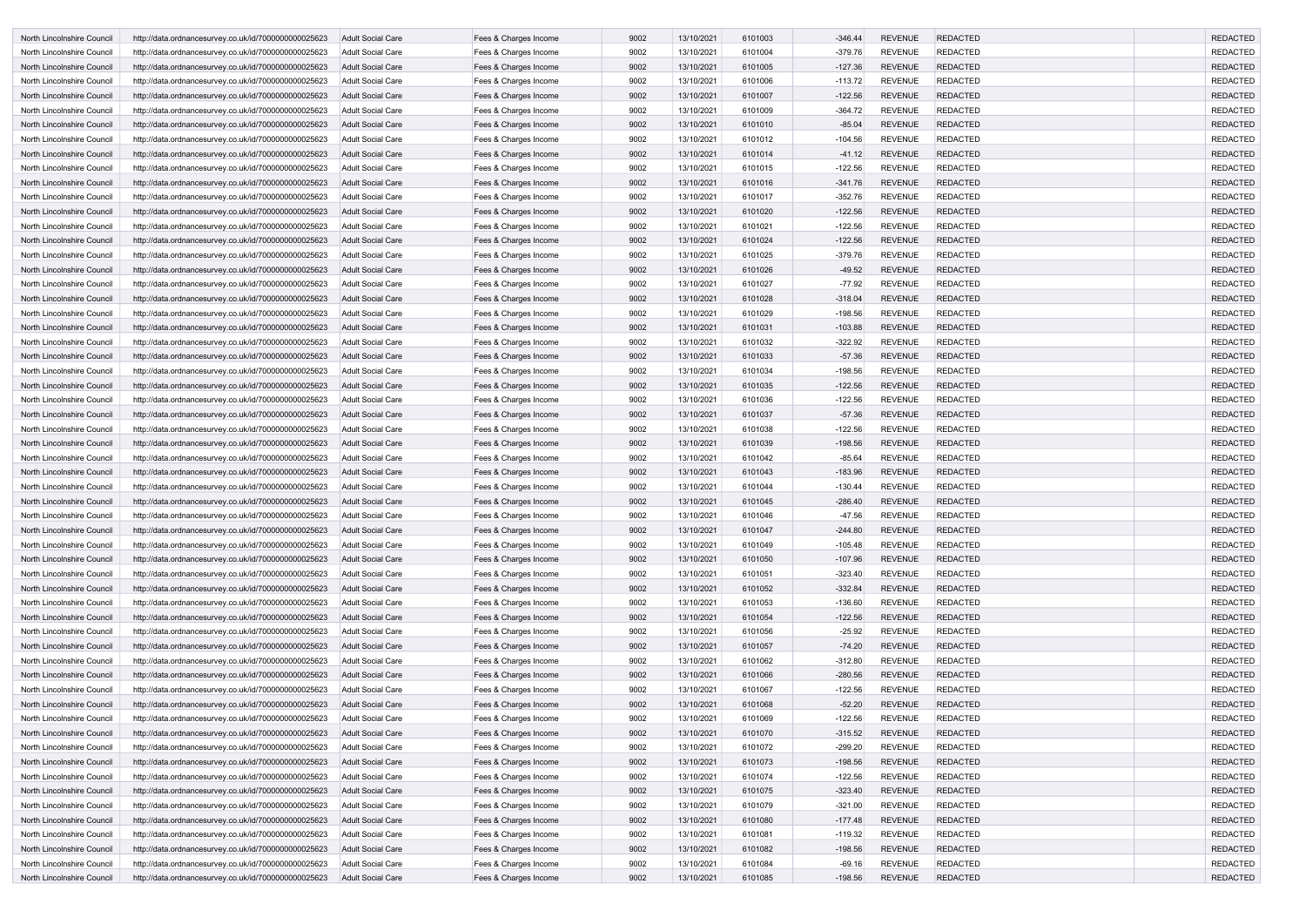| North Lincolnshire Council | http://data.ordnancesurvey.co.uk/id/7000000000025623 | Adult Social Care        | Fees & Charges Income | 9002 | 13/10/2021 | 6101003 | $-346.44$ | <b>REVENUE</b> | <b>REDACTED</b> | <b>REDACTED</b> |
|----------------------------|------------------------------------------------------|--------------------------|-----------------------|------|------------|---------|-----------|----------------|-----------------|-----------------|
| North Lincolnshire Council | http://data.ordnancesurvey.co.uk/id/7000000000025623 | Adult Social Care        | Fees & Charges Income | 9002 | 13/10/2021 | 6101004 | $-379.76$ | <b>REVENUE</b> | <b>REDACTED</b> | <b>REDACTED</b> |
| North Lincolnshire Council | http://data.ordnancesurvey.co.uk/id/7000000000025623 | <b>Adult Social Care</b> | Fees & Charges Income | 9002 | 13/10/2021 | 6101005 | $-127.36$ | <b>REVENUE</b> | <b>REDACTED</b> | <b>REDACTED</b> |
| North Lincolnshire Council | http://data.ordnancesurvey.co.uk/id/7000000000025623 | <b>Adult Social Care</b> | Fees & Charges Income | 9002 | 13/10/2021 | 6101006 | $-113.72$ | <b>REVENUE</b> | <b>REDACTED</b> | <b>REDACTED</b> |
| North Lincolnshire Council | http://data.ordnancesurvey.co.uk/id/7000000000025623 | Adult Social Care        | Fees & Charges Income | 9002 | 13/10/2021 | 6101007 | $-122.56$ | <b>REVENUE</b> | <b>REDACTED</b> | <b>REDACTED</b> |
| North Lincolnshire Council | http://data.ordnancesurvey.co.uk/id/7000000000025623 | <b>Adult Social Care</b> | Fees & Charges Income | 9002 | 13/10/2021 | 6101009 | $-364.72$ | <b>REVENUE</b> | <b>REDACTED</b> | <b>REDACTED</b> |
| North Lincolnshire Council | http://data.ordnancesurvey.co.uk/id/7000000000025623 | <b>Adult Social Care</b> | Fees & Charges Income | 9002 | 13/10/2021 | 6101010 | $-85.04$  | <b>REVENUE</b> | <b>REDACTED</b> | <b>REDACTED</b> |
| North Lincolnshire Council | http://data.ordnancesurvey.co.uk/id/7000000000025623 | <b>Adult Social Care</b> | Fees & Charges Income | 9002 | 13/10/2021 | 6101012 | $-104.56$ | <b>REVENUE</b> | <b>REDACTED</b> | <b>REDACTED</b> |
| North Lincolnshire Council | http://data.ordnancesurvey.co.uk/id/7000000000025623 | Adult Social Care        | Fees & Charges Income | 9002 | 13/10/2021 | 6101014 | $-41.12$  | <b>REVENUE</b> | <b>REDACTED</b> | <b>REDACTED</b> |
| North Lincolnshire Council | http://data.ordnancesurvey.co.uk/id/7000000000025623 | <b>Adult Social Care</b> | Fees & Charges Income | 9002 | 13/10/2021 | 6101015 | $-122.56$ | <b>REVENUE</b> | <b>REDACTED</b> | <b>REDACTED</b> |
| North Lincolnshire Council | http://data.ordnancesurvey.co.uk/id/7000000000025623 | <b>Adult Social Care</b> | Fees & Charges Income | 9002 | 13/10/2021 | 6101016 | $-341.76$ | <b>REVENUE</b> | <b>REDACTED</b> | <b>REDACTED</b> |
| North Lincolnshire Council | http://data.ordnancesurvey.co.uk/id/7000000000025623 | Adult Social Care        | Fees & Charges Income | 9002 | 13/10/2021 | 6101017 | $-352.76$ | <b>REVENUE</b> | <b>REDACTED</b> | <b>REDACTED</b> |
| North Lincolnshire Council | http://data.ordnancesurvey.co.uk/id/7000000000025623 | <b>Adult Social Care</b> | Fees & Charges Income | 9002 | 13/10/2021 | 6101020 | $-122.56$ | <b>REVENUE</b> | <b>REDACTED</b> | <b>REDACTED</b> |
| North Lincolnshire Council | http://data.ordnancesurvey.co.uk/id/7000000000025623 | Adult Social Care        | Fees & Charges Income | 9002 | 13/10/2021 | 6101021 | $-122.56$ | <b>REVENUE</b> | <b>REDACTED</b> | <b>REDACTED</b> |
| North Lincolnshire Council | http://data.ordnancesurvey.co.uk/id/7000000000025623 | <b>Adult Social Care</b> | Fees & Charges Income | 9002 | 13/10/2021 | 6101024 | $-122.56$ | <b>REVENUE</b> | <b>REDACTED</b> | <b>REDACTED</b> |
| North Lincolnshire Council | http://data.ordnancesurvey.co.uk/id/7000000000025623 | <b>Adult Social Care</b> | Fees & Charges Income | 9002 | 13/10/2021 | 6101025 | $-379.76$ | <b>REVENUE</b> | <b>REDACTED</b> | <b>REDACTED</b> |
| North Lincolnshire Council | http://data.ordnancesurvey.co.uk/id/7000000000025623 | <b>Adult Social Care</b> | Fees & Charges Income | 9002 | 13/10/2021 | 6101026 | $-49.52$  | <b>REVENUE</b> | <b>REDACTED</b> | <b>REDACTED</b> |
| North Lincolnshire Council | http://data.ordnancesurvey.co.uk/id/7000000000025623 | <b>Adult Social Care</b> | Fees & Charges Income | 9002 | 13/10/2021 | 6101027 | $-77.92$  | <b>REVENUE</b> | <b>REDACTED</b> | <b>REDACTED</b> |
| North Lincolnshire Council | http://data.ordnancesurvey.co.uk/id/7000000000025623 | Adult Social Care        | Fees & Charges Income | 9002 | 13/10/2021 | 6101028 | $-318.04$ | <b>REVENUE</b> | <b>REDACTED</b> | <b>REDACTED</b> |
| North Lincolnshire Council | http://data.ordnancesurvey.co.uk/id/7000000000025623 | Adult Social Care        | Fees & Charges Income | 9002 | 13/10/2021 | 6101029 | $-198.56$ | <b>REVENUE</b> | <b>REDACTED</b> | <b>REDACTED</b> |
| North Lincolnshire Council | http://data.ordnancesurvey.co.uk/id/7000000000025623 | <b>Adult Social Care</b> | Fees & Charges Income | 9002 | 13/10/2021 | 6101031 | $-103.88$ | <b>REVENUE</b> | <b>REDACTED</b> | <b>REDACTED</b> |
| North Lincolnshire Council | http://data.ordnancesurvey.co.uk/id/7000000000025623 | Adult Social Care        | Fees & Charges Income | 9002 | 13/10/2021 | 6101032 | $-322.92$ | <b>REVENUE</b> | <b>REDACTED</b> | <b>REDACTED</b> |
| North Lincolnshire Council | http://data.ordnancesurvey.co.uk/id/7000000000025623 | <b>Adult Social Care</b> | Fees & Charges Income | 9002 | 13/10/2021 | 6101033 | $-57.36$  | <b>REVENUE</b> | <b>REDACTED</b> | <b>REDACTED</b> |
| North Lincolnshire Council | http://data.ordnancesurvey.co.uk/id/7000000000025623 | <b>Adult Social Care</b> | Fees & Charges Income | 9002 | 13/10/2021 | 6101034 | $-198.56$ | <b>REVENUE</b> | <b>REDACTED</b> | <b>REDACTED</b> |
| North Lincolnshire Council | http://data.ordnancesurvey.co.uk/id/7000000000025623 | <b>Adult Social Care</b> | Fees & Charges Income | 9002 | 13/10/2021 | 6101035 | $-122.56$ | <b>REVENUE</b> | <b>REDACTED</b> | <b>REDACTED</b> |
| North Lincolnshire Council | http://data.ordnancesurvey.co.uk/id/7000000000025623 | <b>Adult Social Care</b> | Fees & Charges Income | 9002 | 13/10/2021 | 6101036 | $-122.56$ | <b>REVENUE</b> | <b>REDACTED</b> | <b>REDACTED</b> |
| North Lincolnshire Council | http://data.ordnancesurvey.co.uk/id/7000000000025623 | Adult Social Care        | Fees & Charges Income | 9002 | 13/10/2021 | 6101037 | $-57.36$  | <b>REVENUE</b> | <b>REDACTED</b> | <b>REDACTED</b> |
| North Lincolnshire Council | http://data.ordnancesurvey.co.uk/id/7000000000025623 | <b>Adult Social Care</b> | Fees & Charges Income | 9002 | 13/10/2021 | 6101038 | $-122.56$ | <b>REVENUE</b> | <b>REDACTED</b> | <b>REDACTED</b> |
| North Lincolnshire Council | http://data.ordnancesurvey.co.uk/id/7000000000025623 | Adult Social Care        | Fees & Charges Income | 9002 | 13/10/2021 | 6101039 | $-198.56$ | <b>REVENUE</b> | <b>REDACTED</b> | <b>REDACTED</b> |
| North Lincolnshire Council | http://data.ordnancesurvey.co.uk/id/7000000000025623 | <b>Adult Social Care</b> | Fees & Charges Income | 9002 | 13/10/2021 | 6101042 | $-85.64$  | <b>REVENUE</b> | <b>REDACTED</b> | <b>REDACTED</b> |
| North Lincolnshire Council | http://data.ordnancesurvey.co.uk/id/7000000000025623 | Adult Social Care        | Fees & Charges Income | 9002 | 13/10/2021 | 6101043 | $-183.96$ | <b>REVENUE</b> | <b>REDACTED</b> | <b>REDACTED</b> |
| North Lincolnshire Council | http://data.ordnancesurvey.co.uk/id/7000000000025623 | Adult Social Care        | Fees & Charges Income | 9002 | 13/10/2021 | 6101044 | $-130.44$ | <b>REVENUE</b> | <b>REDACTED</b> | <b>REDACTED</b> |
| North Lincolnshire Council | http://data.ordnancesurvey.co.uk/id/7000000000025623 | <b>Adult Social Care</b> | Fees & Charges Income | 9002 | 13/10/2021 | 6101045 | $-286.40$ | <b>REVENUE</b> | <b>REDACTED</b> | <b>REDACTED</b> |
| North Lincolnshire Council | http://data.ordnancesurvey.co.uk/id/7000000000025623 | <b>Adult Social Care</b> | Fees & Charges Income | 9002 | 13/10/2021 | 6101046 | $-47.56$  | <b>REVENUE</b> | <b>REDACTED</b> | <b>REDACTED</b> |
| North Lincolnshire Council | http://data.ordnancesurvey.co.uk/id/7000000000025623 | <b>Adult Social Care</b> | Fees & Charges Income | 9002 | 13/10/2021 | 6101047 | $-244.80$ | <b>REVENUE</b> | <b>REDACTED</b> | <b>REDACTED</b> |
| North Lincolnshire Council | http://data.ordnancesurvey.co.uk/id/7000000000025623 | Adult Social Care        | Fees & Charges Income | 9002 | 13/10/2021 | 6101049 | $-105.48$ | <b>REVENUE</b> | <b>REDACTED</b> | <b>REDACTED</b> |
| North Lincolnshire Council | http://data.ordnancesurvey.co.uk/id/7000000000025623 | <b>Adult Social Care</b> | Fees & Charges Income | 9002 | 13/10/2021 | 6101050 | $-107.96$ | <b>REVENUE</b> | <b>REDACTED</b> | <b>REDACTED</b> |
| North Lincolnshire Council | http://data.ordnancesurvey.co.uk/id/7000000000025623 | <b>Adult Social Care</b> | Fees & Charges Income | 9002 | 13/10/2021 | 6101051 | $-323.40$ | <b>REVENUE</b> | <b>REDACTED</b> | <b>REDACTED</b> |
| North Lincolnshire Council | http://data.ordnancesurvey.co.uk/id/7000000000025623 | <b>Adult Social Care</b> | Fees & Charges Income | 9002 | 13/10/2021 | 6101052 | $-332.84$ | <b>REVENUE</b> | <b>REDACTED</b> | <b>REDACTED</b> |
| North Lincolnshire Council | http://data.ordnancesurvey.co.uk/id/7000000000025623 | <b>Adult Social Care</b> | Fees & Charges Income | 9002 | 13/10/2021 | 6101053 | $-136.60$ | <b>REVENUE</b> | <b>REDACTED</b> | <b>REDACTED</b> |
| North Lincolnshire Council | http://data.ordnancesurvey.co.uk/id/7000000000025623 | <b>Adult Social Care</b> | Fees & Charges Income | 9002 | 13/10/2021 | 6101054 | $-122.56$ | <b>REVENUE</b> | <b>REDACTED</b> | <b>REDACTED</b> |
| North Lincolnshire Council | http://data.ordnancesurvey.co.uk/id/7000000000025623 | Adult Social Care        | Fees & Charges Income | 9002 | 13/10/2021 | 6101056 | $-25.92$  | <b>REVENUE</b> | <b>REDACTED</b> | <b>REDACTED</b> |
| North Lincolnshire Council | http://data.ordnancesurvey.co.uk/id/7000000000025623 | <b>Adult Social Care</b> | Fees & Charges Income | 9002 | 13/10/2021 | 6101057 | $-74.20$  | <b>REVENUE</b> | <b>REDACTED</b> | <b>REDACTED</b> |
| North Lincolnshire Council | http://data.ordnancesurvey.co.uk/id/7000000000025623 | <b>Adult Social Care</b> | Fees & Charges Income | 9002 | 13/10/2021 | 6101062 | $-312.80$ | <b>REVENUE</b> | <b>REDACTED</b> | <b>REDACTED</b> |
| North Lincolnshire Council | http://data.ordnancesurvey.co.uk/id/7000000000025623 | <b>Adult Social Care</b> | Fees & Charges Income | 9002 | 13/10/2021 | 6101066 | $-280.56$ | <b>REVENUE</b> | <b>REDACTED</b> | <b>REDACTED</b> |
| North Lincolnshire Council | http://data.ordnancesurvey.co.uk/id/7000000000025623 | <b>Adult Social Care</b> | Fees & Charges Income | 9002 | 13/10/2021 | 6101067 | $-122.56$ | <b>REVENUE</b> | <b>REDACTED</b> | <b>REDACTED</b> |
| North Lincolnshire Council | http://data.ordnancesurvey.co.uk/id/7000000000025623 | <b>Adult Social Care</b> | Fees & Charges Income | 9002 | 13/10/2021 | 6101068 | $-52.20$  | <b>REVENUE</b> | <b>REDACTED</b> | <b>REDACTED</b> |
| North Lincolnshire Council | http://data.ordnancesurvey.co.uk/id/7000000000025623 | <b>Adult Social Care</b> | Fees & Charges Income | 9002 | 13/10/2021 | 6101069 | $-122.56$ | <b>REVENUE</b> | <b>REDACTED</b> | <b>REDACTED</b> |
| North Lincolnshire Council | http://data.ordnancesurvey.co.uk/id/7000000000025623 | <b>Adult Social Care</b> | Fees & Charges Income | 9002 | 13/10/2021 | 6101070 | $-315.52$ | <b>REVENUE</b> | <b>REDACTED</b> | <b>REDACTED</b> |
| North Lincolnshire Council | http://data.ordnancesurvey.co.uk/id/7000000000025623 | <b>Adult Social Care</b> | Fees & Charges Income | 9002 | 13/10/2021 | 6101072 | $-299.20$ | <b>REVENUE</b> | <b>REDACTED</b> | <b>REDACTED</b> |
| North Lincolnshire Council | http://data.ordnancesurvey.co.uk/id/7000000000025623 | <b>Adult Social Care</b> | Fees & Charges Income | 9002 | 13/10/2021 | 6101073 | $-198.56$ | <b>REVENUE</b> | <b>REDACTED</b> | <b>REDACTED</b> |
| North Lincolnshire Council | http://data.ordnancesurvey.co.uk/id/7000000000025623 | Adult Social Care        | Fees & Charges Income | 9002 | 13/10/2021 | 6101074 | $-122.56$ | <b>REVENUE</b> | <b>REDACTED</b> | <b>REDACTED</b> |
| North Lincolnshire Council | http://data.ordnancesurvey.co.uk/id/7000000000025623 | <b>Adult Social Care</b> | Fees & Charges Income | 9002 | 13/10/2021 | 6101075 | $-323.40$ | <b>REVENUE</b> | <b>REDACTED</b> | <b>REDACTED</b> |
| North Lincolnshire Council | http://data.ordnancesurvey.co.uk/id/7000000000025623 | <b>Adult Social Care</b> | Fees & Charges Income | 9002 | 13/10/2021 | 6101079 | $-321.00$ | <b>REVENUE</b> | <b>REDACTED</b> | <b>REDACTED</b> |
| North Lincolnshire Council | http://data.ordnancesurvey.co.uk/id/7000000000025623 | <b>Adult Social Care</b> | Fees & Charges Income | 9002 | 13/10/2021 | 6101080 | $-177.48$ | <b>REVENUE</b> | <b>REDACTED</b> | <b>REDACTED</b> |
| North Lincolnshire Council | http://data.ordnancesurvey.co.uk/id/7000000000025623 | <b>Adult Social Care</b> | Fees & Charges Income | 9002 | 13/10/2021 | 6101081 | $-119.32$ | <b>REVENUE</b> | <b>REDACTED</b> | <b>REDACTED</b> |
| North Lincolnshire Council | http://data.ordnancesurvey.co.uk/id/7000000000025623 | <b>Adult Social Care</b> | Fees & Charges Income | 9002 | 13/10/2021 | 6101082 | $-198.56$ | <b>REVENUE</b> | <b>REDACTED</b> | <b>REDACTED</b> |
| North Lincolnshire Council | http://data.ordnancesurvey.co.uk/id/7000000000025623 | <b>Adult Social Care</b> | Fees & Charges Income | 9002 | 13/10/2021 | 6101084 | $-69.16$  | <b>REVENUE</b> | <b>REDACTED</b> | <b>REDACTED</b> |
| North Lincolnshire Council | http://data.ordnancesurvey.co.uk/id/7000000000025623 | <b>Adult Social Care</b> | Fees & Charges Income | 9002 | 13/10/2021 | 6101085 | $-198.56$ | <b>REVENUE</b> | REDACTED        | <b>REDACTED</b> |
|                            |                                                      |                          |                       |      |            |         |           |                |                 |                 |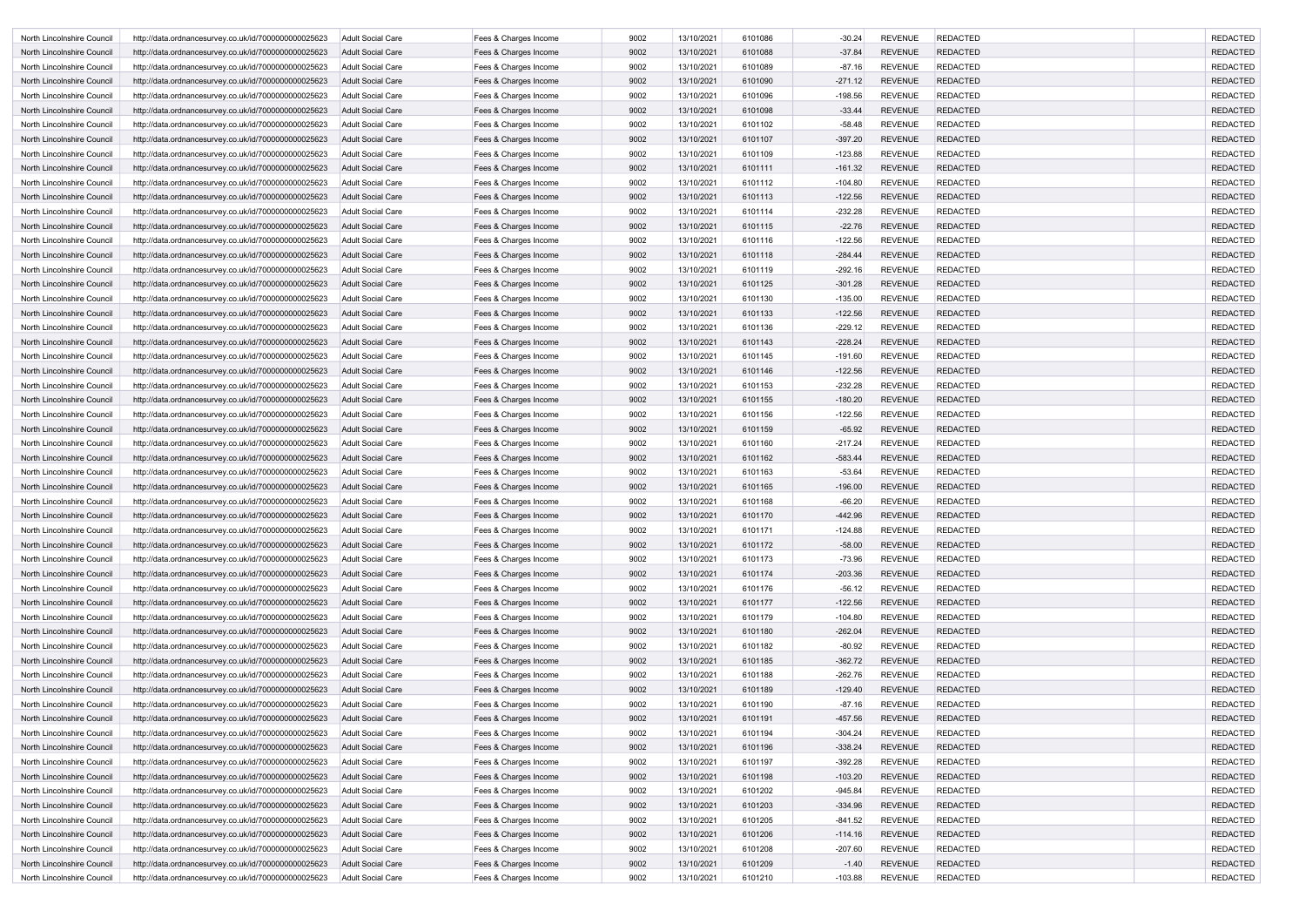| North Lincolnshire Council | http://data.ordnancesurvey.co.uk/id/7000000000025623 | Adult Social Care        | Fees & Charges Income | 9002 | 13/10/2021 | 6101086 | $-30.24$  | <b>REVENUE</b> | <b>REDACTED</b> | <b>REDACTED</b> |
|----------------------------|------------------------------------------------------|--------------------------|-----------------------|------|------------|---------|-----------|----------------|-----------------|-----------------|
| North Lincolnshire Council | http://data.ordnancesurvey.co.uk/id/7000000000025623 | <b>Adult Social Care</b> | Fees & Charges Income | 9002 | 13/10/2021 | 6101088 | $-37.84$  | <b>REVENUE</b> | <b>REDACTED</b> | <b>REDACTED</b> |
| North Lincolnshire Council | http://data.ordnancesurvey.co.uk/id/7000000000025623 | Adult Social Care        | Fees & Charges Income | 9002 | 13/10/2021 | 6101089 | $-87.16$  | <b>REVENUE</b> | <b>REDACTED</b> | <b>REDACTED</b> |
| North Lincolnshire Council | http://data.ordnancesurvey.co.uk/id/7000000000025623 | Adult Social Care        | Fees & Charges Income | 9002 | 13/10/2021 | 6101090 | $-271.12$ | <b>REVENUE</b> | <b>REDACTED</b> | <b>REDACTED</b> |
| North Lincolnshire Council | http://data.ordnancesurvey.co.uk/id/7000000000025623 | <b>Adult Social Care</b> | Fees & Charges Income | 9002 | 13/10/2021 | 6101096 | $-198.56$ | <b>REVENUE</b> | <b>REDACTED</b> | <b>REDACTED</b> |
| North Lincolnshire Council | http://data.ordnancesurvey.co.uk/id/7000000000025623 | Adult Social Care        | Fees & Charges Income | 9002 | 13/10/2021 | 6101098 | $-33.44$  | <b>REVENUE</b> | <b>REDACTED</b> | <b>REDACTED</b> |
| North Lincolnshire Council | http://data.ordnancesurvey.co.uk/id/7000000000025623 | <b>Adult Social Care</b> | Fees & Charges Income | 9002 | 13/10/2021 | 6101102 | $-58.48$  | <b>REVENUE</b> | <b>REDACTED</b> | <b>REDACTED</b> |
| North Lincolnshire Council | http://data.ordnancesurvey.co.uk/id/7000000000025623 | Adult Social Care        | Fees & Charges Income | 9002 | 13/10/2021 | 6101107 | $-397.20$ | <b>REVENUE</b> | <b>REDACTED</b> | <b>REDACTED</b> |
| North Lincolnshire Council | http://data.ordnancesurvey.co.uk/id/7000000000025623 | Adult Social Care        | Fees & Charges Income | 9002 | 13/10/2021 | 6101109 | $-123.88$ | <b>REVENUE</b> | <b>REDACTED</b> | <b>REDACTED</b> |
| North Lincolnshire Council | http://data.ordnancesurvey.co.uk/id/7000000000025623 | <b>Adult Social Care</b> | Fees & Charges Income | 9002 | 13/10/2021 | 6101111 | $-161.32$ | <b>REVENUE</b> | <b>REDACTED</b> | <b>REDACTED</b> |
| North Lincolnshire Council | http://data.ordnancesurvey.co.uk/id/7000000000025623 | Adult Social Care        | Fees & Charges Income | 9002 | 13/10/2021 | 6101112 | $-104.80$ | <b>REVENUE</b> | <b>REDACTED</b> | <b>REDACTED</b> |
| North Lincolnshire Council | http://data.ordnancesurvey.co.uk/id/7000000000025623 | <b>Adult Social Care</b> | Fees & Charges Income | 9002 | 13/10/2021 | 6101113 | $-122.56$ | <b>REVENUE</b> | <b>REDACTED</b> | <b>REDACTED</b> |
| North Lincolnshire Council | http://data.ordnancesurvey.co.uk/id/7000000000025623 | Adult Social Care        | Fees & Charges Income | 9002 | 13/10/2021 | 6101114 | $-232.28$ | <b>REVENUE</b> | <b>REDACTED</b> | <b>REDACTED</b> |
| North Lincolnshire Council | http://data.ordnancesurvey.co.uk/id/7000000000025623 | Adult Social Care        | Fees & Charges Income | 9002 | 13/10/2021 | 6101115 | $-22.76$  | <b>REVENUE</b> | <b>REDACTED</b> | <b>REDACTED</b> |
| North Lincolnshire Council | http://data.ordnancesurvey.co.uk/id/7000000000025623 | <b>Adult Social Care</b> | Fees & Charges Income | 9002 | 13/10/2021 | 6101116 | $-122.56$ | <b>REVENUE</b> | <b>REDACTED</b> | <b>REDACTED</b> |
| North Lincolnshire Council | http://data.ordnancesurvey.co.uk/id/7000000000025623 | Adult Social Care        | Fees & Charges Income | 9002 | 13/10/2021 | 6101118 | $-284.44$ | <b>REVENUE</b> | <b>REDACTED</b> | <b>REDACTED</b> |
| North Lincolnshire Council | http://data.ordnancesurvey.co.uk/id/7000000000025623 | <b>Adult Social Care</b> | Fees & Charges Income | 9002 | 13/10/2021 | 6101119 | $-292.16$ | <b>REVENUE</b> | <b>REDACTED</b> | <b>REDACTED</b> |
| North Lincolnshire Council | http://data.ordnancesurvey.co.uk/id/7000000000025623 | Adult Social Care        | Fees & Charges Income | 9002 | 13/10/2021 | 6101125 | $-301.28$ | <b>REVENUE</b> | <b>REDACTED</b> | <b>REDACTED</b> |
| North Lincolnshire Council | http://data.ordnancesurvey.co.uk/id/7000000000025623 | <b>Adult Social Care</b> | Fees & Charges Income | 9002 | 13/10/2021 | 6101130 | $-135.00$ | <b>REVENUE</b> | <b>REDACTED</b> | <b>REDACTED</b> |
| North Lincolnshire Council | http://data.ordnancesurvey.co.uk/id/7000000000025623 | Adult Social Care        | Fees & Charges Income | 9002 | 13/10/2021 | 6101133 | $-122.56$ | <b>REVENUE</b> | <b>REDACTED</b> | <b>REDACTED</b> |
| North Lincolnshire Council | http://data.ordnancesurvey.co.uk/id/7000000000025623 | Adult Social Care        | Fees & Charges Income | 9002 | 13/10/2021 | 6101136 | $-229.12$ | <b>REVENUE</b> | <b>REDACTED</b> | <b>REDACTED</b> |
| North Lincolnshire Council | http://data.ordnancesurvey.co.uk/id/7000000000025623 | <b>Adult Social Care</b> | Fees & Charges Income | 9002 | 13/10/2021 | 6101143 | $-228.24$ | <b>REVENUE</b> | <b>REDACTED</b> | <b>REDACTED</b> |
| North Lincolnshire Council | http://data.ordnancesurvey.co.uk/id/7000000000025623 | Adult Social Care        | Fees & Charges Income | 9002 | 13/10/2021 | 6101145 | $-191.60$ | <b>REVENUE</b> | <b>REDACTED</b> | <b>REDACTED</b> |
| North Lincolnshire Council | http://data.ordnancesurvey.co.uk/id/7000000000025623 | Adult Social Care        | Fees & Charges Income | 9002 | 13/10/2021 | 6101146 | $-122.56$ | <b>REVENUE</b> | <b>REDACTED</b> | <b>REDACTED</b> |
| North Lincolnshire Council | http://data.ordnancesurvey.co.uk/id/7000000000025623 | <b>Adult Social Care</b> | Fees & Charges Income | 9002 | 13/10/2021 | 6101153 | $-232.28$ | <b>REVENUE</b> | <b>REDACTED</b> | <b>REDACTED</b> |
| North Lincolnshire Council | http://data.ordnancesurvey.co.uk/id/7000000000025623 | Adult Social Care        | Fees & Charges Income | 9002 | 13/10/2021 | 6101155 | $-180.20$ | <b>REVENUE</b> | <b>REDACTED</b> | <b>REDACTED</b> |
| North Lincolnshire Council | http://data.ordnancesurvey.co.uk/id/7000000000025623 | Adult Social Care        | Fees & Charges Income | 9002 | 13/10/2021 | 6101156 | $-122.56$ | <b>REVENUE</b> | <b>REDACTED</b> | <b>REDACTED</b> |
| North Lincolnshire Council | http://data.ordnancesurvey.co.uk/id/7000000000025623 | Adult Social Care        | Fees & Charges Income | 9002 | 13/10/2021 | 6101159 | $-65.92$  | <b>REVENUE</b> | <b>REDACTED</b> | <b>REDACTED</b> |
| North Lincolnshire Council | http://data.ordnancesurvey.co.uk/id/7000000000025623 | <b>Adult Social Care</b> | Fees & Charges Income | 9002 | 13/10/2021 | 6101160 | $-217.24$ | <b>REVENUE</b> | <b>REDACTED</b> | <b>REDACTED</b> |
| North Lincolnshire Council | http://data.ordnancesurvey.co.uk/id/7000000000025623 | Adult Social Care        | Fees & Charges Income | 9002 | 13/10/2021 | 6101162 | $-583.44$ | <b>REVENUE</b> | <b>REDACTED</b> | <b>REDACTED</b> |
| North Lincolnshire Council | http://data.ordnancesurvey.co.uk/id/7000000000025623 | Adult Social Care        | Fees & Charges Income | 9002 | 13/10/2021 | 6101163 | $-53.64$  | <b>REVENUE</b> | <b>REDACTED</b> | <b>REDACTED</b> |
| North Lincolnshire Council | http://data.ordnancesurvey.co.uk/id/7000000000025623 | <b>Adult Social Care</b> | Fees & Charges Income | 9002 | 13/10/2021 | 6101165 | $-196.00$ | <b>REVENUE</b> | <b>REDACTED</b> | <b>REDACTED</b> |
| North Lincolnshire Council | http://data.ordnancesurvey.co.uk/id/7000000000025623 | <b>Adult Social Care</b> | Fees & Charges Income | 9002 | 13/10/2021 | 6101168 | $-66.20$  | <b>REVENUE</b> | <b>REDACTED</b> | <b>REDACTED</b> |
| North Lincolnshire Council | http://data.ordnancesurvey.co.uk/id/7000000000025623 | <b>Adult Social Care</b> | Fees & Charges Income | 9002 | 13/10/2021 | 6101170 | $-442.96$ | <b>REVENUE</b> | <b>REDACTED</b> | <b>REDACTED</b> |
| North Lincolnshire Council | http://data.ordnancesurvey.co.uk/id/7000000000025623 | Adult Social Care        | Fees & Charges Income | 9002 | 13/10/2021 | 6101171 | $-124.88$ | <b>REVENUE</b> | <b>REDACTED</b> | <b>REDACTED</b> |
| North Lincolnshire Council | http://data.ordnancesurvey.co.uk/id/7000000000025623 | <b>Adult Social Care</b> | Fees & Charges Income | 9002 | 13/10/2021 | 6101172 | $-58.00$  | <b>REVENUE</b> | <b>REDACTED</b> | <b>REDACTED</b> |
| North Lincolnshire Council | http://data.ordnancesurvey.co.uk/id/7000000000025623 | <b>Adult Social Care</b> | Fees & Charges Income | 9002 | 13/10/2021 | 6101173 | $-73.96$  | <b>REVENUE</b> | <b>REDACTED</b> | <b>REDACTED</b> |
| North Lincolnshire Council | http://data.ordnancesurvey.co.uk/id/7000000000025623 | Adult Social Care        | Fees & Charges Income | 9002 | 13/10/2021 | 6101174 | $-203.36$ | <b>REVENUE</b> | <b>REDACTED</b> | <b>REDACTED</b> |
| North Lincolnshire Council | http://data.ordnancesurvey.co.uk/id/7000000000025623 | Adult Social Care        | Fees & Charges Income | 9002 | 13/10/2021 | 6101176 | $-56.12$  | <b>REVENUE</b> | <b>REDACTED</b> | <b>REDACTED</b> |
| North Lincolnshire Council | http://data.ordnancesurvey.co.uk/id/7000000000025623 | <b>Adult Social Care</b> | Fees & Charges Income | 9002 | 13/10/2021 | 6101177 | $-122.56$ | <b>REVENUE</b> | <b>REDACTED</b> | <b>REDACTED</b> |
| North Lincolnshire Council | http://data.ordnancesurvey.co.uk/id/7000000000025623 | Adult Social Care        | Fees & Charges Income | 9002 | 13/10/2021 | 6101179 | $-104.80$ | <b>REVENUE</b> | <b>REDACTED</b> | <b>REDACTED</b> |
| North Lincolnshire Council | http://data.ordnancesurvey.co.uk/id/7000000000025623 | <b>Adult Social Care</b> | Fees & Charges Income | 9002 | 13/10/2021 | 6101180 | $-262.04$ | <b>REVENUE</b> | <b>REDACTED</b> | <b>REDACTED</b> |
| North Lincolnshire Council | http://data.ordnancesurvey.co.uk/id/7000000000025623 | <b>Adult Social Care</b> | Fees & Charges Income | 9002 | 13/10/2021 | 6101182 | $-80.92$  | <b>REVENUE</b> | <b>REDACTED</b> | <b>REDACTED</b> |
| North Lincolnshire Council | http://data.ordnancesurvey.co.uk/id/7000000000025623 | <b>Adult Social Care</b> | Fees & Charges Income | 9002 | 13/10/2021 | 6101185 | $-362.72$ | <b>REVENUE</b> | <b>REDACTED</b> | <b>REDACTED</b> |
| North Lincolnshire Council | http://data.ordnancesurvey.co.uk/id/7000000000025623 | Adult Social Care        | Fees & Charges Income | 9002 | 13/10/2021 | 6101188 | $-262.76$ | <b>REVENUE</b> | <b>REDACTED</b> | <b>REDACTED</b> |
| North Lincolnshire Council | http://data.ordnancesurvey.co.uk/id/7000000000025623 | <b>Adult Social Care</b> | Fees & Charges Income | 9002 | 13/10/2021 | 6101189 | $-129.40$ | <b>REVENUE</b> | <b>REDACTED</b> | <b>REDACTED</b> |
| North Lincolnshire Council | http://data.ordnancesurvey.co.uk/id/7000000000025623 | Adult Social Care        | Fees & Charges Income | 9002 | 13/10/2021 | 6101190 | $-87.16$  | <b>REVENUE</b> | <b>REDACTED</b> | <b>REDACTED</b> |
| North Lincolnshire Council | http://data.ordnancesurvey.co.uk/id/7000000000025623 | <b>Adult Social Care</b> | Fees & Charges Income | 9002 | 13/10/2021 | 6101191 | $-457.56$ | <b>REVENUE</b> | <b>REDACTED</b> | <b>REDACTED</b> |
| North Lincolnshire Council | http://data.ordnancesurvey.co.uk/id/7000000000025623 | Adult Social Care        | Fees & Charges Income | 9002 | 13/10/2021 | 6101194 | $-304.24$ | <b>REVENUE</b> | <b>REDACTED</b> | <b>REDACTED</b> |
| North Lincolnshire Council | http://data.ordnancesurvey.co.uk/id/7000000000025623 | <b>Adult Social Care</b> | Fees & Charges Income | 9002 | 13/10/2021 | 6101196 | $-338.24$ | <b>REVENUE</b> | <b>REDACTED</b> | <b>REDACTED</b> |
| North Lincolnshire Council | http://data.ordnancesurvey.co.uk/id/7000000000025623 | Adult Social Care        | Fees & Charges Income | 9002 | 13/10/2021 | 6101197 | $-392.28$ | <b>REVENUE</b> | <b>REDACTED</b> | <b>REDACTED</b> |
| North Lincolnshire Council | http://data.ordnancesurvey.co.uk/id/7000000000025623 | <b>Adult Social Care</b> | Fees & Charges Income | 9002 | 13/10/2021 | 6101198 | $-103.20$ | <b>REVENUE</b> | <b>REDACTED</b> | <b>REDACTED</b> |
| North Lincolnshire Council | http://data.ordnancesurvey.co.uk/id/7000000000025623 | <b>Adult Social Care</b> | Fees & Charges Income | 9002 | 13/10/2021 | 6101202 | $-945.84$ | <b>REVENUE</b> | <b>REDACTED</b> | <b>REDACTED</b> |
| North Lincolnshire Council | http://data.ordnancesurvey.co.uk/id/7000000000025623 | <b>Adult Social Care</b> | Fees & Charges Income | 9002 | 13/10/2021 | 6101203 | $-334.96$ | <b>REVENUE</b> | <b>REDACTED</b> | <b>REDACTED</b> |
| North Lincolnshire Council | http://data.ordnancesurvey.co.uk/id/7000000000025623 | Adult Social Care        | Fees & Charges Income | 9002 | 13/10/2021 | 6101205 | $-841.52$ | <b>REVENUE</b> | <b>REDACTED</b> | <b>REDACTED</b> |
| North Lincolnshire Council | http://data.ordnancesurvey.co.uk/id/7000000000025623 | <b>Adult Social Care</b> | Fees & Charges Income | 9002 | 13/10/2021 | 6101206 | $-114.16$ | <b>REVENUE</b> | <b>REDACTED</b> | <b>REDACTED</b> |
| North Lincolnshire Council | http://data.ordnancesurvey.co.uk/id/7000000000025623 | <b>Adult Social Care</b> | Fees & Charges Income | 9002 | 13/10/2021 | 6101208 | $-207.60$ | <b>REVENUE</b> | <b>REDACTED</b> | <b>REDACTED</b> |
| North Lincolnshire Council | http://data.ordnancesurvey.co.uk/id/7000000000025623 | Adult Social Care        | Fees & Charges Income | 9002 | 13/10/2021 | 6101209 | $-1.40$   | <b>REVENUE</b> | <b>REDACTED</b> | <b>REDACTED</b> |
| North Lincolnshire Council | http://data.ordnancesurvey.co.uk/id/7000000000025623 | Adult Social Care        | Fees & Charges Income | 9002 | 13/10/2021 | 6101210 | $-103.88$ | <b>REVENUE</b> | <b>REDACTED</b> | <b>REDACTED</b> |
|                            |                                                      |                          |                       |      |            |         |           |                |                 |                 |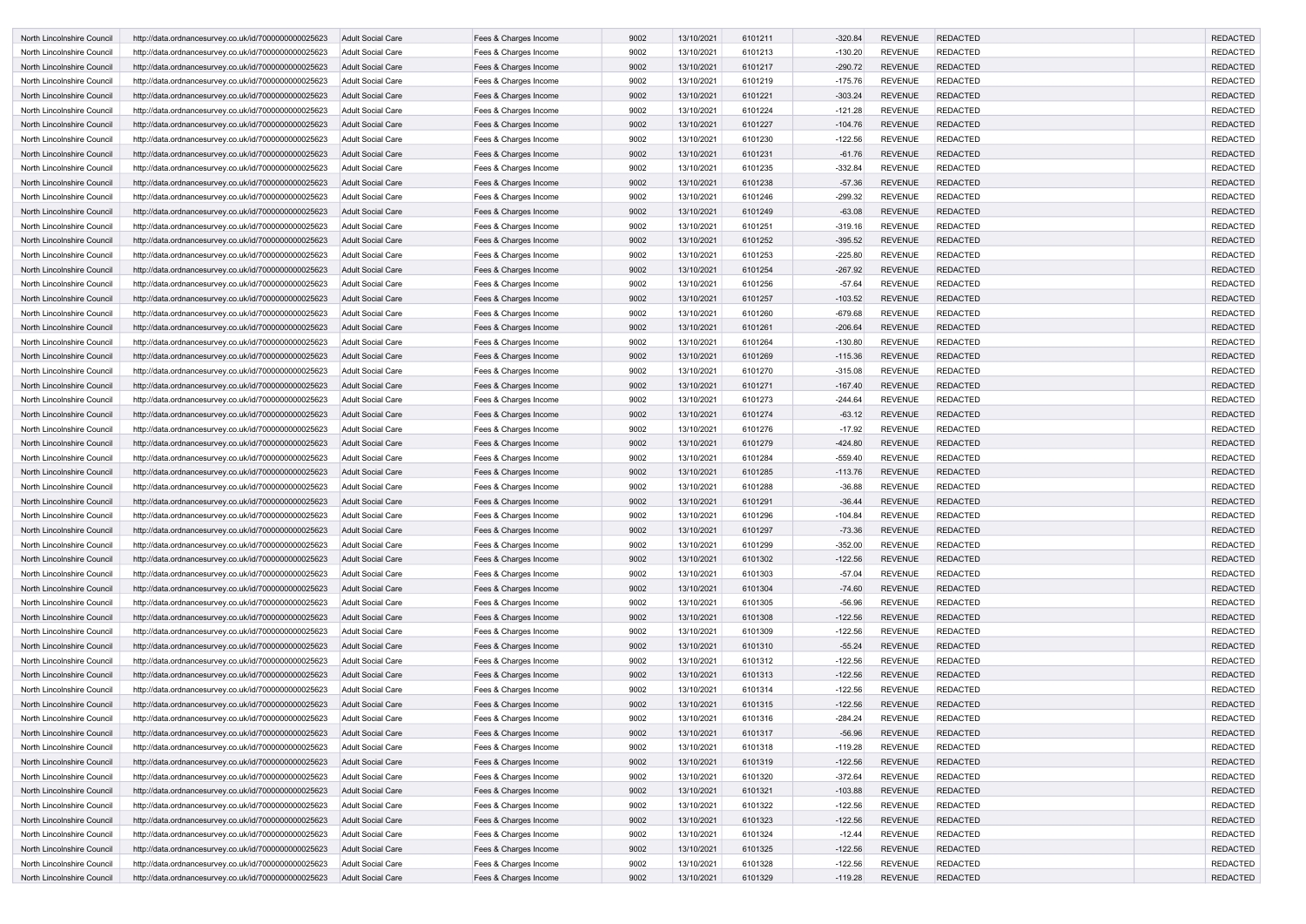| North Lincolnshire Council                               | http://data.ordnancesurvey.co.uk/id/7000000000025623                                                         | Adult Social Care                             | Fees & Charges Income                          | 9002         | 13/10/2021               | 6101211            | $-320.84$              | <b>REVENUE</b>                   | <b>REDACTED</b>                    | <b>REDACTED</b>                    |
|----------------------------------------------------------|--------------------------------------------------------------------------------------------------------------|-----------------------------------------------|------------------------------------------------|--------------|--------------------------|--------------------|------------------------|----------------------------------|------------------------------------|------------------------------------|
| North Lincolnshire Council                               | http://data.ordnancesurvey.co.uk/id/7000000000025623                                                         | Adult Social Care                             | Fees & Charges Income                          | 9002         | 13/10/2021               | 6101213            | $-130.20$              | <b>REVENUE</b>                   | <b>REDACTED</b>                    | <b>REDACTED</b>                    |
| North Lincolnshire Council                               | http://data.ordnancesurvey.co.uk/id/7000000000025623                                                         | <b>Adult Social Care</b>                      | Fees & Charges Income                          | 9002         | 13/10/2021               | 6101217            | $-290.72$              | <b>REVENUE</b>                   | <b>REDACTED</b>                    | <b>REDACTED</b>                    |
| North Lincolnshire Council                               | http://data.ordnancesurvey.co.uk/id/7000000000025623                                                         | <b>Adult Social Care</b>                      | Fees & Charges Income                          | 9002         | 13/10/2021               | 6101219            | $-175.76$              | <b>REVENUE</b>                   | <b>REDACTED</b>                    | <b>REDACTED</b>                    |
| North Lincolnshire Council                               | http://data.ordnancesurvey.co.uk/id/7000000000025623                                                         | Adult Social Care                             | Fees & Charges Income                          | 9002         | 13/10/2021               | 6101221            | $-303.24$              | <b>REVENUE</b>                   | <b>REDACTED</b>                    | <b>REDACTED</b>                    |
| North Lincolnshire Council                               | http://data.ordnancesurvey.co.uk/id/7000000000025623                                                         | <b>Adult Social Care</b>                      | Fees & Charges Income                          | 9002         | 13/10/2021               | 6101224            | $-121.28$              | <b>REVENUE</b>                   | <b>REDACTED</b>                    | <b>REDACTED</b>                    |
| North Lincolnshire Council                               | http://data.ordnancesurvey.co.uk/id/7000000000025623                                                         | <b>Adult Social Care</b>                      | Fees & Charges Income                          | 9002         | 13/10/2021               | 6101227            | $-104.76$              | <b>REVENUE</b>                   | <b>REDACTED</b>                    | <b>REDACTED</b>                    |
| North Lincolnshire Council                               | http://data.ordnancesurvey.co.uk/id/7000000000025623                                                         | <b>Adult Social Care</b>                      | Fees & Charges Income                          | 9002         | 13/10/2021               | 6101230            | $-122.56$              | <b>REVENUE</b>                   | <b>REDACTED</b>                    | <b>REDACTED</b>                    |
| North Lincolnshire Council                               | http://data.ordnancesurvey.co.uk/id/7000000000025623                                                         | Adult Social Care                             | Fees & Charges Income                          | 9002         | 13/10/2021               | 6101231            | $-61.76$               | <b>REVENUE</b>                   | <b>REDACTED</b>                    | <b>REDACTED</b>                    |
| North Lincolnshire Council                               | http://data.ordnancesurvey.co.uk/id/7000000000025623                                                         | <b>Adult Social Care</b>                      | Fees & Charges Income                          | 9002         | 13/10/2021               | 6101235            | $-332.84$              | <b>REVENUE</b>                   | <b>REDACTED</b>                    | <b>REDACTED</b>                    |
| North Lincolnshire Council                               | http://data.ordnancesurvey.co.uk/id/7000000000025623                                                         | <b>Adult Social Care</b>                      | Fees & Charges Income                          | 9002         | 13/10/2021               | 6101238            | $-57.36$               | <b>REVENUE</b>                   | <b>REDACTED</b>                    | <b>REDACTED</b>                    |
| North Lincolnshire Council                               | http://data.ordnancesurvey.co.uk/id/7000000000025623                                                         | Adult Social Care                             | Fees & Charges Income                          | 9002         | 13/10/2021               | 6101246            | $-299.32$              | <b>REVENUE</b>                   | <b>REDACTED</b>                    | <b>REDACTED</b>                    |
| North Lincolnshire Council                               | http://data.ordnancesurvey.co.uk/id/7000000000025623                                                         | <b>Adult Social Care</b>                      | Fees & Charges Income                          | 9002         | 13/10/2021               | 6101249            | $-63.08$               | <b>REVENUE</b>                   | <b>REDACTED</b>                    | <b>REDACTED</b>                    |
| North Lincolnshire Council                               | http://data.ordnancesurvey.co.uk/id/7000000000025623                                                         | Adult Social Care                             | Fees & Charges Income                          | 9002         | 13/10/2021               | 6101251            | $-319.16$              | <b>REVENUE</b>                   | <b>REDACTED</b>                    | <b>REDACTED</b>                    |
| North Lincolnshire Council                               | http://data.ordnancesurvey.co.uk/id/7000000000025623                                                         | <b>Adult Social Care</b>                      | Fees & Charges Income                          | 9002         | 13/10/2021               | 6101252            | $-395.52$              | <b>REVENUE</b>                   | <b>REDACTED</b>                    | <b>REDACTED</b>                    |
| North Lincolnshire Council                               | http://data.ordnancesurvey.co.uk/id/7000000000025623                                                         | <b>Adult Social Care</b>                      | Fees & Charges Income                          | 9002         | 13/10/2021               | 6101253            | $-225.80$              | <b>REVENUE</b>                   | <b>REDACTED</b>                    | <b>REDACTED</b>                    |
| North Lincolnshire Council                               | http://data.ordnancesurvey.co.uk/id/7000000000025623                                                         | <b>Adult Social Care</b>                      | Fees & Charges Income                          | 9002         | 13/10/2021               | 6101254            | $-267.92$              | <b>REVENUE</b>                   | <b>REDACTED</b>                    | <b>REDACTED</b>                    |
| North Lincolnshire Council                               | http://data.ordnancesurvey.co.uk/id/7000000000025623                                                         | <b>Adult Social Care</b>                      | Fees & Charges Income                          | 9002         | 13/10/2021               | 6101256            | $-57.64$               | <b>REVENUE</b>                   | <b>REDACTED</b>                    | <b>REDACTED</b>                    |
| North Lincolnshire Council                               | http://data.ordnancesurvey.co.uk/id/7000000000025623                                                         | Adult Social Care                             | Fees & Charges Income                          | 9002         | 13/10/2021               | 6101257            | $-103.52$              | <b>REVENUE</b>                   | <b>REDACTED</b>                    | <b>REDACTED</b>                    |
|                                                          |                                                                                                              | Adult Social Care                             |                                                | 9002         | 13/10/2021               | 6101260            | $-679.68$              | <b>REVENUE</b>                   | <b>REDACTED</b>                    | <b>REDACTED</b>                    |
| North Lincolnshire Council<br>North Lincolnshire Council | http://data.ordnancesurvey.co.uk/id/7000000000025623                                                         | <b>Adult Social Care</b>                      | Fees & Charges Income                          | 9002         | 13/10/2021               | 6101261            | $-206.64$              | <b>REVENUE</b>                   | <b>REDACTED</b>                    | <b>REDACTED</b>                    |
|                                                          | http://data.ordnancesurvey.co.uk/id/7000000000025623                                                         |                                               | Fees & Charges Income                          |              |                          | 6101264            |                        | <b>REVENUE</b>                   | <b>REDACTED</b>                    | <b>REDACTED</b>                    |
| North Lincolnshire Council                               | http://data.ordnancesurvey.co.uk/id/7000000000025623                                                         | Adult Social Care                             | Fees & Charges Income                          | 9002         | 13/10/2021               |                    | $-130.80$<br>$-115.36$ | <b>REVENUE</b>                   | <b>REDACTED</b>                    | <b>REDACTED</b>                    |
| North Lincolnshire Council                               | http://data.ordnancesurvey.co.uk/id/7000000000025623                                                         | <b>Adult Social Care</b>                      | Fees & Charges Income                          | 9002<br>9002 | 13/10/2021<br>13/10/2021 | 6101269            |                        | <b>REVENUE</b>                   | <b>REDACTED</b>                    | <b>REDACTED</b>                    |
| North Lincolnshire Council                               | http://data.ordnancesurvey.co.uk/id/7000000000025623                                                         | <b>Adult Social Care</b>                      | Fees & Charges Income                          |              |                          | 6101270            | $-315.08$              |                                  |                                    |                                    |
| North Lincolnshire Council                               | http://data.ordnancesurvey.co.uk/id/7000000000025623                                                         | <b>Adult Social Care</b>                      | Fees & Charges Income                          | 9002<br>9002 | 13/10/2021<br>13/10/2021 | 6101271            | $-167.40$              | <b>REVENUE</b><br><b>REVENUE</b> | <b>REDACTED</b><br><b>REDACTED</b> | <b>REDACTED</b><br><b>REDACTED</b> |
| North Lincolnshire Council<br>North Lincolnshire Council | http://data.ordnancesurvey.co.uk/id/7000000000025623                                                         | <b>Adult Social Care</b><br>Adult Social Care | Fees & Charges Income                          | 9002         | 13/10/2021               | 6101273<br>6101274 | $-244.64$<br>$-63.12$  | <b>REVENUE</b>                   | <b>REDACTED</b>                    | <b>REDACTED</b>                    |
| North Lincolnshire Council                               | http://data.ordnancesurvey.co.uk/id/7000000000025623<br>http://data.ordnancesurvey.co.uk/id/7000000000025623 | <b>Adult Social Care</b>                      | Fees & Charges Income<br>Fees & Charges Income | 9002         | 13/10/2021               | 6101276            | $-17.92$               | <b>REVENUE</b>                   | <b>REDACTED</b>                    | <b>REDACTED</b>                    |
| North Lincolnshire Council                               | http://data.ordnancesurvey.co.uk/id/7000000000025623                                                         | Adult Social Care                             | Fees & Charges Income                          | 9002         | 13/10/2021               | 6101279            | $-424.80$              | <b>REVENUE</b>                   | <b>REDACTED</b>                    | <b>REDACTED</b>                    |
|                                                          |                                                                                                              | <b>Adult Social Care</b>                      | Fees & Charges Income                          | 9002         | 13/10/2021               | 6101284            | $-559.40$              | <b>REVENUE</b>                   | <b>REDACTED</b>                    | <b>REDACTED</b>                    |
| North Lincolnshire Council<br>North Lincolnshire Council | http://data.ordnancesurvey.co.uk/id/7000000000025623                                                         | Adult Social Care                             |                                                | 9002         | 13/10/2021               | 6101285            | $-113.76$              | <b>REVENUE</b>                   | <b>REDACTED</b>                    | <b>REDACTED</b>                    |
| North Lincolnshire Council                               | http://data.ordnancesurvey.co.uk/id/7000000000025623<br>http://data.ordnancesurvey.co.uk/id/7000000000025623 | Adult Social Care                             | Fees & Charges Income<br>Fees & Charges Income | 9002         | 13/10/2021               | 6101288            | $-36.88$               | <b>REVENUE</b>                   | <b>REDACTED</b>                    | <b>REDACTED</b>                    |
| North Lincolnshire Council                               | http://data.ordnancesurvey.co.uk/id/7000000000025623                                                         | <b>Adult Social Care</b>                      | Fees & Charges Income                          | 9002         | 13/10/2021               | 6101291            | $-36.44$               | <b>REVENUE</b>                   | <b>REDACTED</b>                    | <b>REDACTED</b>                    |
| North Lincolnshire Council                               | http://data.ordnancesurvey.co.uk/id/7000000000025623                                                         | <b>Adult Social Care</b>                      | Fees & Charges Income                          | 9002         | 13/10/2021               | 6101296            | $-104.84$              | <b>REVENUE</b>                   | <b>REDACTED</b>                    | <b>REDACTED</b>                    |
| North Lincolnshire Council                               | http://data.ordnancesurvey.co.uk/id/7000000000025623                                                         | <b>Adult Social Care</b>                      | Fees & Charges Income                          | 9002         | 13/10/2021               | 6101297            | $-73.36$               | <b>REVENUE</b>                   | <b>REDACTED</b>                    | <b>REDACTED</b>                    |
| North Lincolnshire Council                               | http://data.ordnancesurvey.co.uk/id/7000000000025623                                                         | Adult Social Care                             | Fees & Charges Income                          | 9002         | 13/10/2021               | 6101299            | $-352.00$              | <b>REVENUE</b>                   | <b>REDACTED</b>                    | <b>REDACTED</b>                    |
| North Lincolnshire Council                               | http://data.ordnancesurvey.co.uk/id/7000000000025623                                                         | <b>Adult Social Care</b>                      | Fees & Charges Income                          | 9002         | 13/10/2021               | 6101302            | $-122.56$              | <b>REVENUE</b>                   | <b>REDACTED</b>                    | <b>REDACTED</b>                    |
| North Lincolnshire Council                               | http://data.ordnancesurvey.co.uk/id/7000000000025623                                                         | <b>Adult Social Care</b>                      | Fees & Charges Income                          | 9002         | 13/10/2021               | 6101303            | $-57.04$               | <b>REVENUE</b>                   | <b>REDACTED</b>                    | <b>REDACTED</b>                    |
| North Lincolnshire Council                               | http://data.ordnancesurvey.co.uk/id/7000000000025623                                                         | <b>Adult Social Care</b>                      | Fees & Charges Income                          | 9002         | 13/10/2021               | 6101304            | $-74.60$               | <b>REVENUE</b>                   | <b>REDACTED</b>                    | <b>REDACTED</b>                    |
| North Lincolnshire Council                               | http://data.ordnancesurvey.co.uk/id/7000000000025623                                                         | <b>Adult Social Care</b>                      | Fees & Charges Income                          | 9002         | 13/10/2021               | 6101305            | $-56.96$               | <b>REVENUE</b>                   | <b>REDACTED</b>                    | <b>REDACTED</b>                    |
| North Lincolnshire Council                               | http://data.ordnancesurvey.co.uk/id/7000000000025623                                                         | <b>Adult Social Care</b>                      | Fees & Charges Income                          | 9002         | 13/10/2021               | 6101308            | $-122.56$              | <b>REVENUE</b>                   | <b>REDACTED</b>                    | <b>REDACTED</b>                    |
| North Lincolnshire Council                               | http://data.ordnancesurvey.co.uk/id/7000000000025623                                                         | Adult Social Care                             | Fees & Charges Income                          | 9002         | 13/10/2021               | 6101309            | $-122.56$              | <b>REVENUE</b>                   | <b>REDACTED</b>                    | <b>REDACTED</b>                    |
| North Lincolnshire Council                               | http://data.ordnancesurvey.co.uk/id/7000000000025623                                                         | <b>Adult Social Care</b>                      | Fees & Charges Income                          | 9002         | 13/10/2021               | 6101310            | $-55.24$               | <b>REVENUE</b>                   | <b>REDACTED</b>                    | <b>REDACTED</b>                    |
| North Lincolnshire Council                               | http://data.ordnancesurvey.co.uk/id/7000000000025623                                                         | <b>Adult Social Care</b>                      | Fees & Charges Income                          | 9002         | 13/10/2021               | 6101312            | $-122.56$              | <b>REVENUE</b>                   | <b>REDACTED</b>                    | <b>REDACTED</b>                    |
| North Lincolnshire Council                               | http://data.ordnancesurvey.co.uk/id/7000000000025623                                                         | <b>Adult Social Care</b>                      | Fees & Charges Income                          | 9002         | 13/10/2021               | 6101313            | $-122.56$              | <b>REVENUE</b>                   | <b>REDACTED</b>                    | <b>REDACTED</b>                    |
| North Lincolnshire Council                               | http://data.ordnancesurvey.co.uk/id/7000000000025623                                                         | <b>Adult Social Care</b>                      | Fees & Charges Income                          | 9002         | 13/10/2021               | 6101314            | $-122.56$              | <b>REVENUE</b>                   | <b>REDACTED</b>                    | <b>REDACTED</b>                    |
| North Lincolnshire Council                               | http://data.ordnancesurvey.co.uk/id/7000000000025623                                                         | <b>Adult Social Care</b>                      | Fees & Charges Income                          | 9002         | 13/10/2021               | 6101315            | $-122.56$              | <b>REVENUE</b>                   | <b>REDACTED</b>                    | <b>REDACTED</b>                    |
| North Lincolnshire Council                               | http://data.ordnancesurvey.co.uk/id/7000000000025623                                                         | <b>Adult Social Care</b>                      | Fees & Charges Income                          | 9002         | 13/10/2021               | 6101316            | $-284.24$              | <b>REVENUE</b>                   | <b>REDACTED</b>                    | <b>REDACTED</b>                    |
| North Lincolnshire Council                               | http://data.ordnancesurvey.co.uk/id/7000000000025623                                                         | <b>Adult Social Care</b>                      | Fees & Charges Income                          | 9002         | 13/10/2021               | 6101317            | $-56.96$               | <b>REVENUE</b>                   | <b>REDACTED</b>                    | <b>REDACTED</b>                    |
| North Lincolnshire Council                               | http://data.ordnancesurvey.co.uk/id/7000000000025623                                                         | <b>Adult Social Care</b>                      | Fees & Charges Income                          | 9002         | 13/10/2021               | 6101318            | $-119.28$              | <b>REVENUE</b>                   | <b>REDACTED</b>                    | <b>REDACTED</b>                    |
| North Lincolnshire Council                               | http://data.ordnancesurvey.co.uk/id/7000000000025623                                                         | <b>Adult Social Care</b>                      | Fees & Charges Income                          | 9002         | 13/10/2021               | 6101319            | $-122.56$              | <b>REVENUE</b>                   | <b>REDACTED</b>                    | <b>REDACTED</b>                    |
| North Lincolnshire Council                               | http://data.ordnancesurvey.co.uk/id/7000000000025623                                                         | Adult Social Care                             | Fees & Charges Income                          | 9002         | 13/10/2021               | 6101320            | $-372.64$              | <b>REVENUE</b>                   | <b>REDACTED</b>                    | <b>REDACTED</b>                    |
| North Lincolnshire Council                               | http://data.ordnancesurvey.co.uk/id/7000000000025623                                                         | <b>Adult Social Care</b>                      | Fees & Charges Income                          | 9002         | 13/10/2021               | 6101321            | $-103.88$              | <b>REVENUE</b>                   | <b>REDACTED</b>                    | <b>REDACTED</b>                    |
| North Lincolnshire Council                               | http://data.ordnancesurvey.co.uk/id/7000000000025623                                                         | <b>Adult Social Care</b>                      | Fees & Charges Income                          | 9002         | 13/10/2021               | 6101322            | $-122.56$              | <b>REVENUE</b>                   | <b>REDACTED</b>                    | <b>REDACTED</b>                    |
| North Lincolnshire Council                               | http://data.ordnancesurvey.co.uk/id/7000000000025623                                                         | <b>Adult Social Care</b>                      | Fees & Charges Income                          | 9002         | 13/10/2021               | 6101323            | $-122.56$              | <b>REVENUE</b>                   | <b>REDACTED</b>                    | <b>REDACTED</b>                    |
| North Lincolnshire Council                               | http://data.ordnancesurvey.co.uk/id/7000000000025623                                                         | <b>Adult Social Care</b>                      | Fees & Charges Income                          | 9002         | 13/10/2021               | 6101324            | $-12.44$               | <b>REVENUE</b>                   | <b>REDACTED</b>                    | <b>REDACTED</b>                    |
| North Lincolnshire Council                               | http://data.ordnancesurvey.co.uk/id/7000000000025623                                                         | <b>Adult Social Care</b>                      | Fees & Charges Income                          | 9002         | 13/10/2021               | 6101325            | $-122.56$              | <b>REVENUE</b>                   | <b>REDACTED</b>                    | <b>REDACTED</b>                    |
| North Lincolnshire Council                               | http://data.ordnancesurvey.co.uk/id/7000000000025623                                                         | <b>Adult Social Care</b>                      | Fees & Charges Income                          | 9002         | 13/10/2021               | 6101328            | $-122.56$              | <b>REVENUE</b>                   | <b>REDACTED</b>                    | <b>REDACTED</b>                    |
| North Lincolnshire Council                               | http://data.ordnancesurvey.co.uk/id/7000000000025623                                                         | <b>Adult Social Care</b>                      | Fees & Charges Income                          | 9002         | 13/10/2021               | 6101329            | $-119.28$              | <b>REVENUE</b>                   | REDACTED                           | <b>REDACTED</b>                    |
|                                                          |                                                                                                              |                                               |                                                |              |                          |                    |                        |                                  |                                    |                                    |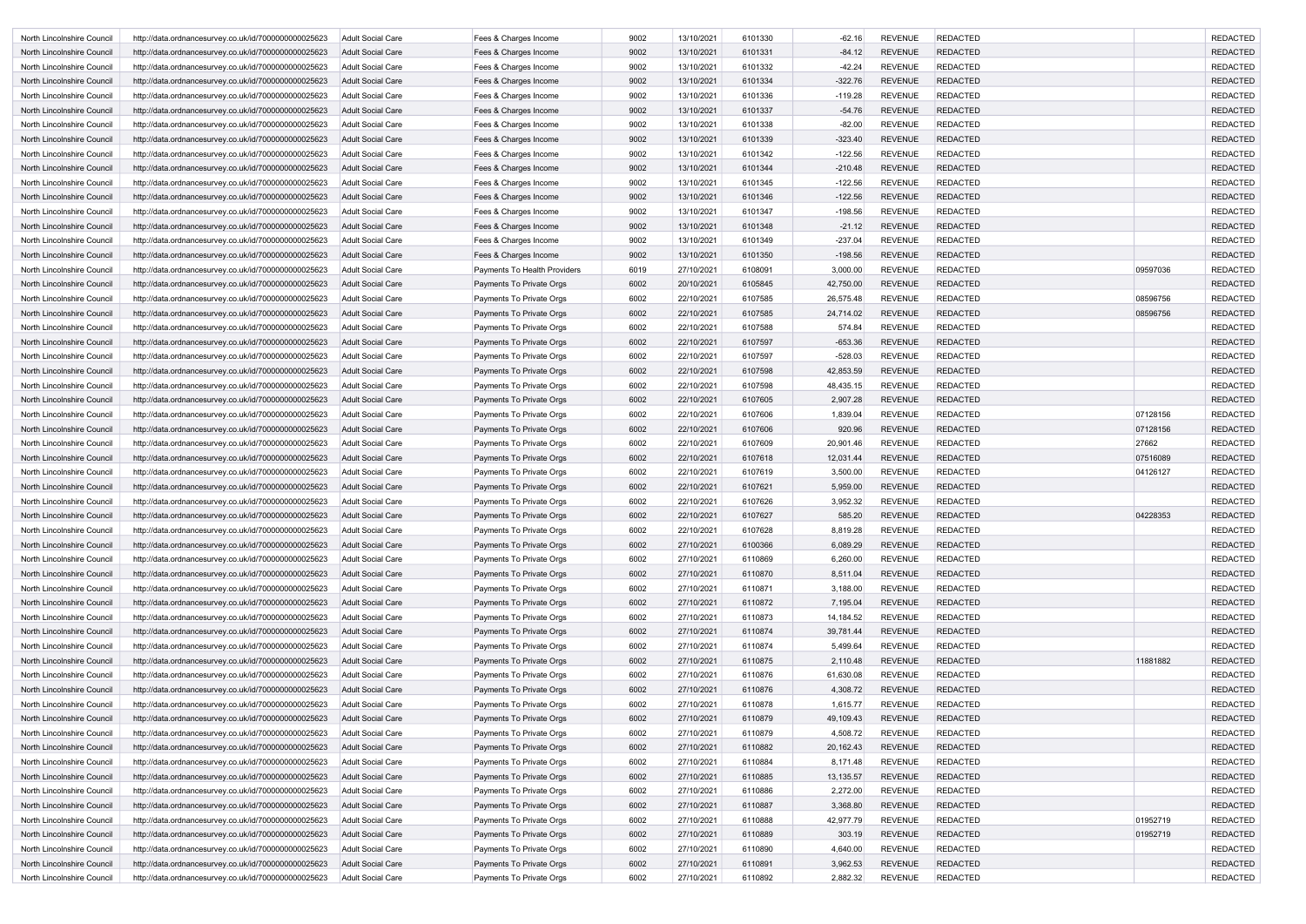| North Lincolnshire Council | http://data.ordnancesurvey.co.uk/id/7000000000025623 | <b>Adult Social Care</b> | Fees & Charges Income        | 9002 | 13/10/2021 | 6101330 | $-62.16$  | <b>REVENUE</b> | <b>REDACTED</b> |          | <b>REDACTED</b> |
|----------------------------|------------------------------------------------------|--------------------------|------------------------------|------|------------|---------|-----------|----------------|-----------------|----------|-----------------|
| North Lincolnshire Council | http://data.ordnancesurvey.co.uk/id/7000000000025623 | Adult Social Care        | Fees & Charges Income        | 9002 | 13/10/2021 | 6101331 | $-84.12$  | <b>REVENUE</b> | <b>REDACTED</b> |          | <b>REDACTED</b> |
| North Lincolnshire Council | http://data.ordnancesurvey.co.uk/id/7000000000025623 | Adult Social Care        | Fees & Charges Income        | 9002 | 13/10/2021 | 6101332 | $-42.24$  | <b>REVENUE</b> | <b>REDACTED</b> |          | <b>REDACTED</b> |
| North Lincolnshire Council | http://data.ordnancesurvey.co.uk/id/7000000000025623 | <b>Adult Social Care</b> | Fees & Charges Income        | 9002 | 13/10/2021 | 6101334 | $-322.76$ | <b>REVENUE</b> | <b>REDACTED</b> |          | <b>REDACTED</b> |
| North Lincolnshire Council | http://data.ordnancesurvey.co.uk/id/7000000000025623 | Adult Social Care        | Fees & Charges Income        | 9002 | 13/10/2021 | 6101336 | $-119.28$ | <b>REVENUE</b> | <b>REDACTED</b> |          | <b>REDACTED</b> |
| North Lincolnshire Council | http://data.ordnancesurvey.co.uk/id/7000000000025623 | Adult Social Care        | Fees & Charges Income        | 9002 | 13/10/2021 | 6101337 | $-54.76$  | <b>REVENUE</b> | <b>REDACTED</b> |          | <b>REDACTED</b> |
| North Lincolnshire Council | http://data.ordnancesurvey.co.uk/id/7000000000025623 | <b>Adult Social Care</b> | Fees & Charges Income        | 9002 | 13/10/2021 | 6101338 | $-82.00$  | <b>REVENUE</b> | <b>REDACTED</b> |          | <b>REDACTED</b> |
| North Lincolnshire Council | http://data.ordnancesurvey.co.uk/id/7000000000025623 | Adult Social Care        | Fees & Charges Income        | 9002 | 13/10/2021 | 6101339 | $-323.40$ | <b>REVENUE</b> | <b>REDACTED</b> |          | <b>REDACTED</b> |
| North Lincolnshire Council | http://data.ordnancesurvey.co.uk/id/7000000000025623 | <b>Adult Social Care</b> | Fees & Charges Income        | 9002 | 13/10/2021 | 6101342 | $-122.56$ | <b>REVENUE</b> | <b>REDACTED</b> |          | <b>REDACTED</b> |
| North Lincolnshire Council | http://data.ordnancesurvey.co.uk/id/7000000000025623 | Adult Social Care        | Fees & Charges Income        | 9002 | 13/10/2021 | 6101344 | $-210.48$ | <b>REVENUE</b> | <b>REDACTED</b> |          | <b>REDACTED</b> |
| North Lincolnshire Council | http://data.ordnancesurvey.co.uk/id/7000000000025623 | Adult Social Care        | Fees & Charges Income        | 9002 | 13/10/2021 | 6101345 | $-122.56$ | <b>REVENUE</b> | <b>REDACTED</b> |          | <b>REDACTED</b> |
| North Lincolnshire Council | http://data.ordnancesurvey.co.uk/id/7000000000025623 | Adult Social Care        | Fees & Charges Income        | 9002 | 13/10/2021 | 6101346 | $-122.56$ | <b>REVENUE</b> | <b>REDACTED</b> |          | <b>REDACTED</b> |
| North Lincolnshire Council | http://data.ordnancesurvey.co.uk/id/7000000000025623 | Adult Social Care        | Fees & Charges Income        | 9002 | 13/10/2021 | 6101347 | $-198.56$ | <b>REVENUE</b> | <b>REDACTED</b> |          | <b>REDACTED</b> |
| North Lincolnshire Council | http://data.ordnancesurvey.co.uk/id/7000000000025623 | <b>Adult Social Care</b> | Fees & Charges Income        | 9002 | 13/10/2021 | 6101348 | $-21.12$  | <b>REVENUE</b> | <b>REDACTED</b> |          | <b>REDACTED</b> |
| North Lincolnshire Council | http://data.ordnancesurvey.co.uk/id/7000000000025623 | <b>Adult Social Care</b> | Fees & Charges Income        | 9002 | 13/10/2021 | 6101349 | $-237.04$ | <b>REVENUE</b> | <b>REDACTED</b> |          | <b>REDACTED</b> |
| North Lincolnshire Council | http://data.ordnancesurvey.co.uk/id/7000000000025623 | Adult Social Care        | Fees & Charges Income        | 9002 | 13/10/2021 | 6101350 | $-198.56$ | <b>REVENUE</b> | <b>REDACTED</b> |          | <b>REDACTED</b> |
| North Lincolnshire Council | http://data.ordnancesurvey.co.uk/id/7000000000025623 | Adult Social Care        | Payments To Health Providers | 6019 | 27/10/2021 | 6108091 | 3,000.00  | <b>REVENUE</b> | <b>REDACTED</b> | 09597036 | <b>REDACTED</b> |
| North Lincolnshire Council | http://data.ordnancesurvey.co.uk/id/7000000000025623 | Adult Social Care        | Payments To Private Orgs     | 6002 | 20/10/2021 | 6105845 | 42,750.00 | <b>REVENUE</b> | <b>REDACTED</b> |          | <b>REDACTED</b> |
| North Lincolnshire Council | http://data.ordnancesurvey.co.uk/id/7000000000025623 | <b>Adult Social Care</b> | Payments To Private Orgs     | 6002 | 22/10/2021 | 6107585 | 26,575.48 | <b>REVENUE</b> | <b>REDACTED</b> | 08596756 | <b>REDACTED</b> |
| North Lincolnshire Council | http://data.ordnancesurvey.co.uk/id/7000000000025623 | Adult Social Care        | Payments To Private Orgs     | 6002 | 22/10/2021 | 6107585 | 24,714.02 | <b>REVENUE</b> | <b>REDACTED</b> | 08596756 | <b>REDACTED</b> |
| North Lincolnshire Council | http://data.ordnancesurvey.co.uk/id/7000000000025623 | Adult Social Care        | Payments To Private Orgs     | 6002 | 22/10/2021 | 6107588 | 574.84    | <b>REVENUE</b> | <b>REDACTED</b> |          | <b>REDACTED</b> |
| North Lincolnshire Council | http://data.ordnancesurvey.co.uk/id/7000000000025623 | Adult Social Care        | Payments To Private Orgs     | 6002 | 22/10/2021 | 6107597 | $-653.36$ | <b>REVENUE</b> | <b>REDACTED</b> |          | <b>REDACTED</b> |
| North Lincolnshire Council | http://data.ordnancesurvey.co.uk/id/7000000000025623 | Adult Social Care        | Payments To Private Orgs     | 6002 | 22/10/2021 | 6107597 | $-528.03$ | <b>REVENUE</b> | <b>REDACTED</b> |          | <b>REDACTED</b> |
| North Lincolnshire Council | http://data.ordnancesurvey.co.uk/id/7000000000025623 | <b>Adult Social Care</b> | Payments To Private Orgs     | 6002 | 22/10/2021 | 6107598 | 42,853.59 | <b>REVENUE</b> | <b>REDACTED</b> |          | <b>REDACTED</b> |
| North Lincolnshire Council | http://data.ordnancesurvey.co.uk/id/7000000000025623 | <b>Adult Social Care</b> | Payments To Private Orgs     | 6002 | 22/10/2021 | 6107598 | 48,435.15 | <b>REVENUE</b> | <b>REDACTED</b> |          | <b>REDACTED</b> |
| North Lincolnshire Council | http://data.ordnancesurvey.co.uk/id/7000000000025623 | Adult Social Care        | Payments To Private Orgs     | 6002 | 22/10/2021 | 6107605 | 2,907.28  | <b>REVENUE</b> | <b>REDACTED</b> |          | <b>REDACTED</b> |
| North Lincolnshire Council | http://data.ordnancesurvey.co.uk/id/7000000000025623 | <b>Adult Social Care</b> | Payments To Private Orgs     | 6002 | 22/10/2021 | 6107606 | 1,839.04  | <b>REVENUE</b> | <b>REDACTED</b> | 07128156 | <b>REDACTED</b> |
| North Lincolnshire Council | http://data.ordnancesurvey.co.uk/id/7000000000025623 | Adult Social Care        | Payments To Private Orgs     | 6002 | 22/10/2021 | 6107606 | 920.96    | <b>REVENUE</b> | <b>REDACTED</b> | 07128156 | <b>REDACTED</b> |
| North Lincolnshire Council | http://data.ordnancesurvey.co.uk/id/7000000000025623 | Adult Social Care        | Payments To Private Orgs     | 6002 | 22/10/2021 | 6107609 | 20,901.46 | <b>REVENUE</b> | <b>REDACTED</b> | 27662    | <b>REDACTED</b> |
| North Lincolnshire Council | http://data.ordnancesurvey.co.uk/id/7000000000025623 | Adult Social Care        | Payments To Private Orgs     | 6002 | 22/10/2021 | 6107618 | 12,031.44 | <b>REVENUE</b> | <b>REDACTED</b> | 07516089 | <b>REDACTED</b> |
| North Lincolnshire Council | http://data.ordnancesurvey.co.uk/id/7000000000025623 | Adult Social Care        | Payments To Private Orgs     | 6002 | 22/10/2021 | 6107619 | 3,500.00  | <b>REVENUE</b> | <b>REDACTED</b> | 04126127 | <b>REDACTED</b> |
| North Lincolnshire Council | http://data.ordnancesurvey.co.uk/id/7000000000025623 | Adult Social Care        | Payments To Private Orgs     | 6002 | 22/10/2021 | 6107621 | 5,959.00  | <b>REVENUE</b> | <b>REDACTED</b> |          | <b>REDACTED</b> |
| North Lincolnshire Council | http://data.ordnancesurvey.co.uk/id/7000000000025623 | <b>Adult Social Care</b> | Payments To Private Orgs     | 6002 | 22/10/2021 | 6107626 | 3,952.32  | <b>REVENUE</b> | <b>REDACTED</b> |          | <b>REDACTED</b> |
| North Lincolnshire Council | http://data.ordnancesurvey.co.uk/id/7000000000025623 | Adult Social Care        | Payments To Private Orgs     | 6002 | 22/10/2021 | 6107627 | 585.20    | REVENUE        | <b>REDACTED</b> | 04228353 | REDACTED        |
| North Lincolnshire Council | http://data.ordnancesurvey.co.uk/id/7000000000025623 | Adult Social Care        | Payments To Private Orgs     | 6002 | 22/10/2021 | 6107628 | 8,819.28  | <b>REVENUE</b> | <b>REDACTED</b> |          | <b>REDACTED</b> |
| North Lincolnshire Council | http://data.ordnancesurvey.co.uk/id/7000000000025623 | <b>Adult Social Care</b> | Payments To Private Orgs     | 6002 | 27/10/2021 | 6100366 | 6,089.29  | <b>REVENUE</b> | <b>REDACTED</b> |          | <b>REDACTED</b> |
| North Lincolnshire Council | http://data.ordnancesurvey.co.uk/id/7000000000025623 | Adult Social Care        | Payments To Private Orgs     | 6002 | 27/10/2021 | 6110869 | 6,260.00  | <b>REVENUE</b> | <b>REDACTED</b> |          | <b>REDACTED</b> |
| North Lincolnshire Council | http://data.ordnancesurvey.co.uk/id/7000000000025623 | <b>Adult Social Care</b> | Payments To Private Orgs     | 6002 | 27/10/2021 | 6110870 | 8,511.04  | <b>REVENUE</b> | <b>REDACTED</b> |          | <b>REDACTED</b> |
| North Lincolnshire Council | http://data.ordnancesurvey.co.uk/id/7000000000025623 | <b>Adult Social Care</b> | Payments To Private Orgs     | 6002 | 27/10/2021 | 6110871 | 3,188.00  | <b>REVENUE</b> | <b>REDACTED</b> |          | <b>REDACTED</b> |
| North Lincolnshire Council | http://data.ordnancesurvey.co.uk/id/7000000000025623 | <b>Adult Social Care</b> | Payments To Private Orgs     | 6002 | 27/10/2021 | 6110872 | 7,195.04  | <b>REVENUE</b> | <b>REDACTED</b> |          | <b>REDACTED</b> |
| North Lincolnshire Council | http://data.ordnancesurvey.co.uk/id/7000000000025623 | Adult Social Care        | Payments To Private Orgs     | 6002 | 27/10/2021 | 6110873 | 14,184.52 | <b>REVENUE</b> | <b>REDACTED</b> |          | <b>REDACTED</b> |
| North Lincolnshire Council | http://data.ordnancesurvey.co.uk/id/7000000000025623 | <b>Adult Social Care</b> | Payments To Private Orgs     | 6002 | 27/10/2021 | 6110874 | 39,781.44 | <b>REVENUE</b> | <b>REDACTED</b> |          | <b>REDACTED</b> |
| North Lincolnshire Council | http://data.ordnancesurvey.co.uk/id/7000000000025623 | Adult Social Care        | Payments To Private Orgs     | 6002 | 27/10/2021 | 6110874 | 5,499.64  | <b>REVENUE</b> | <b>REDACTED</b> |          | <b>REDACTED</b> |
| North Lincolnshire Council | http://data.ordnancesurvey.co.uk/id/7000000000025623 | <b>Adult Social Care</b> | Payments To Private Orgs     | 6002 | 27/10/2021 | 6110875 | 2,110.48  | <b>REVENUE</b> | <b>REDACTED</b> | 11881882 | <b>REDACTED</b> |
| North Lincolnshire Council | http://data.ordnancesurvey.co.uk/id/7000000000025623 | <b>Adult Social Care</b> | Payments To Private Orgs     | 6002 | 27/10/2021 | 6110876 | 61,630.08 | <b>REVENUE</b> | <b>REDACTED</b> |          | <b>REDACTED</b> |
| North Lincolnshire Council | http://data.ordnancesurvey.co.uk/id/7000000000025623 | <b>Adult Social Care</b> | Payments To Private Orgs     | 6002 | 27/10/2021 | 6110876 | 4,308.72  | <b>REVENUE</b> | <b>REDACTED</b> |          | <b>REDACTED</b> |
| North Lincolnshire Council | http://data.ordnancesurvey.co.uk/id/7000000000025623 | Adult Social Care        | Payments To Private Orgs     | 6002 | 27/10/2021 | 6110878 | 1,615.77  | <b>REVENUE</b> | <b>REDACTED</b> |          | <b>REDACTED</b> |
| North Lincolnshire Council | http://data.ordnancesurvey.co.uk/id/7000000000025623 | <b>Adult Social Care</b> | Payments To Private Orgs     | 6002 | 27/10/2021 | 6110879 | 49,109.43 | <b>REVENUE</b> | <b>REDACTED</b> |          | <b>REDACTED</b> |
| North Lincolnshire Council | http://data.ordnancesurvey.co.uk/id/7000000000025623 | <b>Adult Social Care</b> | Payments To Private Orgs     | 6002 | 27/10/2021 | 6110879 | 4,508.72  | <b>REVENUE</b> | <b>REDACTED</b> |          | <b>REDACTED</b> |
| North Lincolnshire Council | http://data.ordnancesurvey.co.uk/id/7000000000025623 | <b>Adult Social Care</b> | Payments To Private Orgs     | 6002 | 27/10/2021 | 6110882 | 20,162.43 | <b>REVENUE</b> | <b>REDACTED</b> |          | <b>REDACTED</b> |
| North Lincolnshire Council | http://data.ordnancesurvey.co.uk/id/7000000000025623 | Adult Social Care        | Payments To Private Orgs     | 6002 | 27/10/2021 | 6110884 | 8,171.48  | <b>REVENUE</b> | <b>REDACTED</b> |          | <b>REDACTED</b> |
| North Lincolnshire Council | http://data.ordnancesurvey.co.uk/id/7000000000025623 | <b>Adult Social Care</b> | Payments To Private Orgs     | 6002 | 27/10/2021 | 6110885 | 13,135.57 | <b>REVENUE</b> | <b>REDACTED</b> |          | <b>REDACTED</b> |
| North Lincolnshire Council | http://data.ordnancesurvey.co.uk/id/7000000000025623 | Adult Social Care        | Payments To Private Orgs     | 6002 | 27/10/2021 | 6110886 | 2,272.00  | <b>REVENUE</b> | <b>REDACTED</b> |          | <b>REDACTED</b> |
| North Lincolnshire Council | http://data.ordnancesurvey.co.uk/id/7000000000025623 | <b>Adult Social Care</b> | Payments To Private Orgs     | 6002 | 27/10/2021 | 6110887 | 3,368.80  | <b>REVENUE</b> | <b>REDACTED</b> |          | <b>REDACTED</b> |
| North Lincolnshire Council | http://data.ordnancesurvey.co.uk/id/7000000000025623 | <b>Adult Social Care</b> | Payments To Private Orgs     | 6002 | 27/10/2021 | 6110888 | 42,977.79 | <b>REVENUE</b> | <b>REDACTED</b> | 01952719 | <b>REDACTED</b> |
| North Lincolnshire Council | http://data.ordnancesurvey.co.uk/id/7000000000025623 | <b>Adult Social Care</b> | Payments To Private Orgs     | 6002 | 27/10/2021 | 6110889 | 303.19    | <b>REVENUE</b> | <b>REDACTED</b> | 01952719 | <b>REDACTED</b> |
| North Lincolnshire Council | http://data.ordnancesurvey.co.uk/id/7000000000025623 | Adult Social Care        | Payments To Private Orgs     | 6002 | 27/10/2021 | 6110890 | 4,640.00  | <b>REVENUE</b> | <b>REDACTED</b> |          | <b>REDACTED</b> |
| North Lincolnshire Council | http://data.ordnancesurvey.co.uk/id/7000000000025623 | <b>Adult Social Care</b> | Payments To Private Orgs     | 6002 | 27/10/2021 | 6110891 | 3,962.53  | <b>REVENUE</b> | <b>REDACTED</b> |          | <b>REDACTED</b> |
| North Lincolnshire Council | http://data.ordnancesurvey.co.uk/id/7000000000025623 | Adult Social Care        | Payments To Private Orgs     | 6002 | 27/10/2021 | 6110892 | 2,882.32  | <b>REVENUE</b> | <b>REDACTED</b> |          | <b>REDACTED</b> |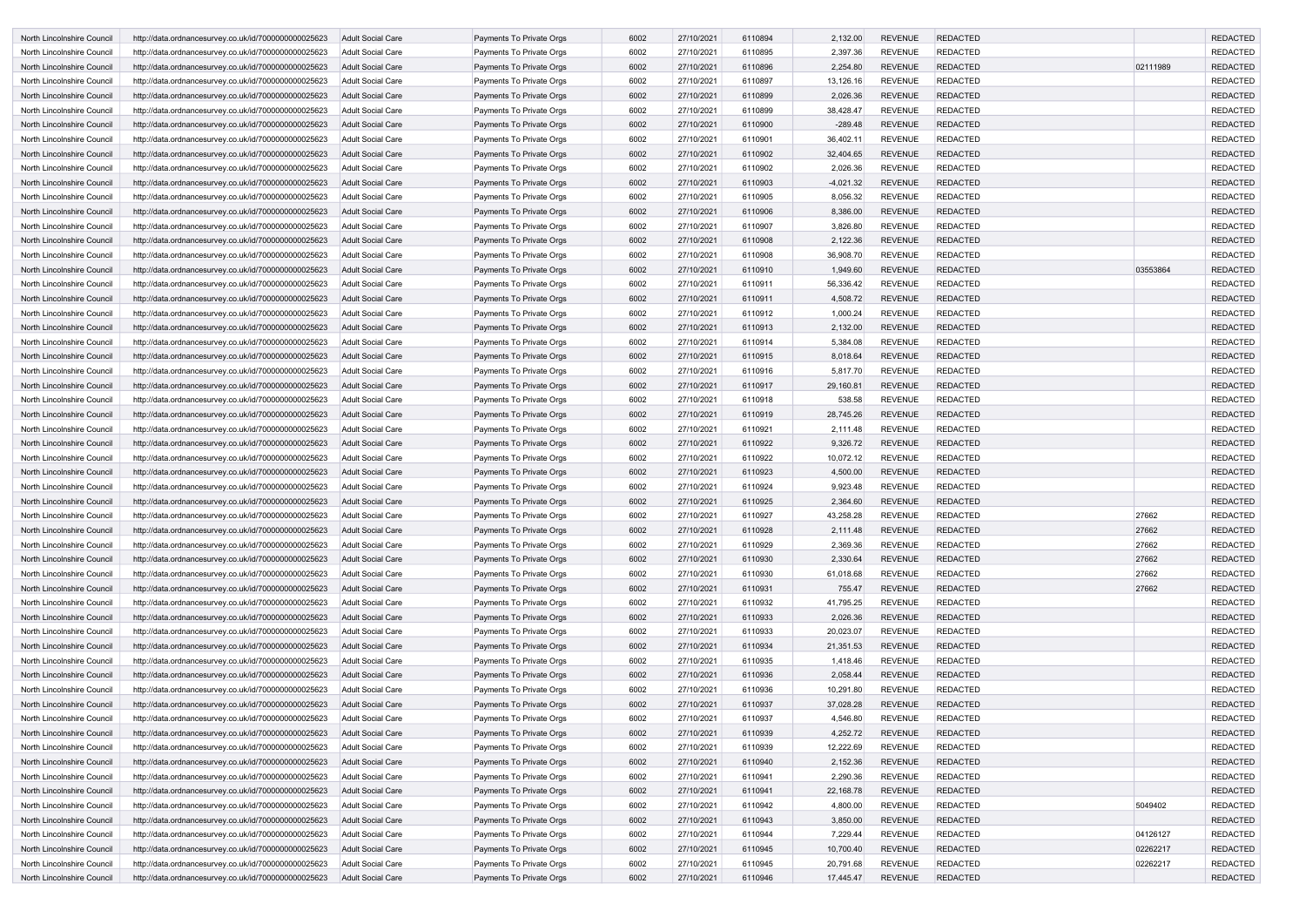| North Lincolnshire Council | http://data.ordnancesurvey.co.uk/id/7000000000025623 | Adult Social Care        | Payments To Private Orgs | 6002 | 27/10/2021 | 6110894 | 2,132.00    | <b>REVENUE</b> | <b>REDACTED</b> |          | <b>REDACTED</b> |
|----------------------------|------------------------------------------------------|--------------------------|--------------------------|------|------------|---------|-------------|----------------|-----------------|----------|-----------------|
| North Lincolnshire Council | http://data.ordnancesurvey.co.uk/id/7000000000025623 | Adult Social Care        | Payments To Private Orgs | 6002 | 27/10/2021 | 6110895 | 2,397.36    | <b>REVENUE</b> | <b>REDACTED</b> |          | <b>REDACTED</b> |
| North Lincolnshire Council | http://data.ordnancesurvey.co.uk/id/7000000000025623 | Adult Social Care        | Payments To Private Orgs | 6002 | 27/10/2021 | 6110896 | 2,254.80    | <b>REVENUE</b> | <b>REDACTED</b> | 02111989 | <b>REDACTED</b> |
| North Lincolnshire Council | http://data.ordnancesurvey.co.uk/id/7000000000025623 | Adult Social Care        | Payments To Private Orgs | 6002 | 27/10/2021 | 6110897 | 13,126.16   | <b>REVENUE</b> | <b>REDACTED</b> |          | <b>REDACTED</b> |
| North Lincolnshire Council | http://data.ordnancesurvey.co.uk/id/7000000000025623 | Adult Social Care        | Payments To Private Orgs | 6002 | 27/10/2021 | 6110899 | 2,026.36    | <b>REVENUE</b> | <b>REDACTED</b> |          | <b>REDACTED</b> |
| North Lincolnshire Council | http://data.ordnancesurvey.co.uk/id/7000000000025623 | <b>Adult Social Care</b> | Payments To Private Orgs | 6002 | 27/10/2021 | 6110899 | 38,428.47   | <b>REVENUE</b> | <b>REDACTED</b> |          | <b>REDACTED</b> |
| North Lincolnshire Council | http://data.ordnancesurvey.co.uk/id/7000000000025623 | Adult Social Care        | Payments To Private Orgs | 6002 | 27/10/2021 | 6110900 | $-289.48$   | <b>REVENUE</b> | <b>REDACTED</b> |          | <b>REDACTED</b> |
| North Lincolnshire Council | http://data.ordnancesurvey.co.uk/id/7000000000025623 | <b>Adult Social Care</b> | Payments To Private Orgs | 6002 | 27/10/2021 | 6110901 | 36,402.1    | <b>REVENUE</b> | <b>REDACTED</b> |          | <b>REDACTED</b> |
| North Lincolnshire Council | http://data.ordnancesurvey.co.uk/id/7000000000025623 | Adult Social Care        | Payments To Private Orgs | 6002 | 27/10/2021 | 6110902 | 32,404.65   | <b>REVENUE</b> | <b>REDACTED</b> |          | <b>REDACTED</b> |
| North Lincolnshire Council | http://data.ordnancesurvey.co.uk/id/7000000000025623 | <b>Adult Social Care</b> | Payments To Private Orgs | 6002 | 27/10/2021 | 6110902 | 2,026.36    | <b>REVENUE</b> | <b>REDACTED</b> |          | <b>REDACTED</b> |
| North Lincolnshire Council | http://data.ordnancesurvey.co.uk/id/7000000000025623 | <b>Adult Social Care</b> | Payments To Private Orgs | 6002 | 27/10/2021 | 6110903 | $-4,021.32$ | <b>REVENUE</b> | <b>REDACTED</b> |          | <b>REDACTED</b> |
| North Lincolnshire Council | http://data.ordnancesurvey.co.uk/id/7000000000025623 | <b>Adult Social Care</b> | Payments To Private Orgs | 6002 | 27/10/2021 | 6110905 | 8,056.32    | <b>REVENUE</b> | <b>REDACTED</b> |          | <b>REDACTED</b> |
| North Lincolnshire Council | http://data.ordnancesurvey.co.uk/id/7000000000025623 | Adult Social Care        | Payments To Private Orgs | 6002 | 27/10/2021 | 6110906 | 8,386.00    | <b>REVENUE</b> | <b>REDACTED</b> |          | <b>REDACTED</b> |
| North Lincolnshire Council | http://data.ordnancesurvey.co.uk/id/7000000000025623 | Adult Social Care        | Payments To Private Orgs | 6002 | 27/10/2021 | 6110907 | 3,826.80    | <b>REVENUE</b> | <b>REDACTED</b> |          | <b>REDACTED</b> |
| North Lincolnshire Council | http://data.ordnancesurvey.co.uk/id/7000000000025623 | Adult Social Care        | Payments To Private Orgs | 6002 | 27/10/2021 | 6110908 | 2,122.36    | <b>REVENUE</b> | <b>REDACTED</b> |          | <b>REDACTED</b> |
| North Lincolnshire Council | http://data.ordnancesurvey.co.uk/id/7000000000025623 | Adult Social Care        | Payments To Private Orgs | 6002 | 27/10/2021 | 6110908 | 36,908.70   | <b>REVENUE</b> | <b>REDACTED</b> |          | <b>REDACTED</b> |
| North Lincolnshire Council | http://data.ordnancesurvey.co.uk/id/7000000000025623 | Adult Social Care        | Payments To Private Orgs | 6002 | 27/10/2021 | 6110910 | 1,949.60    | <b>REVENUE</b> | <b>REDACTED</b> | 03553864 | <b>REDACTED</b> |
| North Lincolnshire Council | http://data.ordnancesurvey.co.uk/id/7000000000025623 | <b>Adult Social Care</b> | Payments To Private Orgs | 6002 | 27/10/2021 | 6110911 | 56,336.42   | <b>REVENUE</b> | <b>REDACTED</b> |          | <b>REDACTED</b> |
| North Lincolnshire Council | http://data.ordnancesurvey.co.uk/id/7000000000025623 | Adult Social Care        | Payments To Private Orgs | 6002 | 27/10/2021 | 6110911 | 4,508.72    | <b>REVENUE</b> | <b>REDACTED</b> |          | <b>REDACTED</b> |
| North Lincolnshire Council | http://data.ordnancesurvey.co.uk/id/7000000000025623 | Adult Social Care        | Payments To Private Orgs | 6002 | 27/10/2021 | 6110912 | 1,000.24    | <b>REVENUE</b> | <b>REDACTED</b> |          | <b>REDACTED</b> |
| North Lincolnshire Council | http://data.ordnancesurvey.co.uk/id/7000000000025623 | <b>Adult Social Care</b> | Payments To Private Orgs | 6002 | 27/10/2021 | 6110913 | 2,132.00    | <b>REVENUE</b> | <b>REDACTED</b> |          | <b>REDACTED</b> |
| North Lincolnshire Council | http://data.ordnancesurvey.co.uk/id/7000000000025623 | <b>Adult Social Care</b> | Payments To Private Orgs | 6002 | 27/10/2021 | 6110914 | 5,384.08    | <b>REVENUE</b> | <b>REDACTED</b> |          | <b>REDACTED</b> |
| North Lincolnshire Council | http://data.ordnancesurvey.co.uk/id/7000000000025623 | Adult Social Care        | Payments To Private Orgs | 6002 | 27/10/2021 | 6110915 | 8,018.64    | <b>REVENUE</b> | <b>REDACTED</b> |          | <b>REDACTED</b> |
|                            |                                                      |                          |                          | 6002 |            | 6110916 | 5,817.70    | <b>REVENUE</b> | <b>REDACTED</b> |          | <b>REDACTED</b> |
| North Lincolnshire Council | http://data.ordnancesurvey.co.uk/id/7000000000025623 | Adult Social Care        | Payments To Private Orgs |      | 27/10/2021 |         |             |                |                 |          |                 |
| North Lincolnshire Council | http://data.ordnancesurvey.co.uk/id/7000000000025623 | Adult Social Care        | Payments To Private Orgs | 6002 | 27/10/2021 | 6110917 | 29,160.81   | <b>REVENUE</b> | <b>REDACTED</b> |          | <b>REDACTED</b> |
| North Lincolnshire Council | http://data.ordnancesurvey.co.uk/id/7000000000025623 | Adult Social Care        | Payments To Private Orgs | 6002 | 27/10/2021 | 6110918 | 538.58      | <b>REVENUE</b> | <b>REDACTED</b> |          | <b>REDACTED</b> |
| North Lincolnshire Council | http://data.ordnancesurvey.co.uk/id/7000000000025623 | Adult Social Care        | Payments To Private Orgs | 6002 | 27/10/2021 | 6110919 | 28,745.26   | <b>REVENUE</b> | <b>REDACTED</b> |          | <b>REDACTED</b> |
| North Lincolnshire Council | http://data.ordnancesurvey.co.uk/id/7000000000025623 | <b>Adult Social Care</b> | Payments To Private Orgs | 6002 | 27/10/2021 | 6110921 | 2,111.48    | <b>REVENUE</b> | <b>REDACTED</b> |          | <b>REDACTED</b> |
| North Lincolnshire Council | http://data.ordnancesurvey.co.uk/id/7000000000025623 | Adult Social Care        | Payments To Private Orgs | 6002 | 27/10/2021 | 6110922 | 9,326.72    | <b>REVENUE</b> | <b>REDACTED</b> |          | <b>REDACTED</b> |
| North Lincolnshire Council | http://data.ordnancesurvey.co.uk/id/7000000000025623 | Adult Social Care        | Payments To Private Orgs | 6002 | 27/10/2021 | 6110922 | 10,072.12   | <b>REVENUE</b> | <b>REDACTED</b> |          | <b>REDACTED</b> |
| North Lincolnshire Council | http://data.ordnancesurvey.co.uk/id/7000000000025623 | <b>Adult Social Care</b> | Payments To Private Orgs | 6002 | 27/10/2021 | 6110923 | 4,500.00    | <b>REVENUE</b> | <b>REDACTED</b> |          | <b>REDACTED</b> |
| North Lincolnshire Council | http://data.ordnancesurvey.co.uk/id/7000000000025623 | <b>Adult Social Care</b> | Payments To Private Orgs | 6002 | 27/10/2021 | 6110924 | 9,923.48    | <b>REVENUE</b> | <b>REDACTED</b> |          | <b>REDACTED</b> |
| North Lincolnshire Council | http://data.ordnancesurvey.co.uk/id/7000000000025623 | <b>Adult Social Care</b> | Payments To Private Orgs | 6002 | 27/10/2021 | 6110925 | 2,364.60    | <b>REVENUE</b> | <b>REDACTED</b> |          | <b>REDACTED</b> |
| North Lincolnshire Council | http://data.ordnancesurvey.co.uk/id/7000000000025623 | <b>Adult Social Care</b> | Payments To Private Orgs | 6002 | 27/10/2021 | 6110927 | 43,258.28   | REVENUE        | <b>REDACTED</b> | 27662    | REDACTED        |
| North Lincolnshire Council | http://data.ordnancesurvey.co.uk/id/7000000000025623 | Adult Social Care        | Payments To Private Orgs | 6002 | 27/10/2021 | 6110928 | 2,111.48    | <b>REVENUE</b> | <b>REDACTED</b> | 27662    | <b>REDACTED</b> |
| North Lincolnshire Council | http://data.ordnancesurvey.co.uk/id/7000000000025623 | <b>Adult Social Care</b> | Payments To Private Orgs | 6002 | 27/10/2021 | 6110929 | 2,369.36    | <b>REVENUE</b> | <b>REDACTED</b> | 27662    | <b>REDACTED</b> |
| North Lincolnshire Council | http://data.ordnancesurvey.co.uk/id/7000000000025623 | <b>Adult Social Care</b> | Payments To Private Orgs | 6002 | 27/10/2021 | 6110930 | 2,330.64    | <b>REVENUE</b> | <b>REDACTED</b> | 27662    | <b>REDACTED</b> |
| North Lincolnshire Council | http://data.ordnancesurvey.co.uk/id/7000000000025623 | Adult Social Care        | Payments To Private Orgs | 6002 | 27/10/2021 | 6110930 | 61,018.68   | <b>REVENUE</b> | <b>REDACTED</b> | 27662    | <b>REDACTED</b> |
| North Lincolnshire Council | http://data.ordnancesurvey.co.uk/id/7000000000025623 | <b>Adult Social Care</b> | Payments To Private Orgs | 6002 | 27/10/2021 | 6110931 | 755.47      | <b>REVENUE</b> | <b>REDACTED</b> | 27662    | <b>REDACTED</b> |
| North Lincolnshire Council | http://data.ordnancesurvey.co.uk/id/7000000000025623 | Adult Social Care        | Payments To Private Orgs | 6002 | 27/10/2021 | 6110932 | 41,795.25   | <b>REVENUE</b> | <b>REDACTED</b> |          | <b>REDACTED</b> |
| North Lincolnshire Council | http://data.ordnancesurvey.co.uk/id/7000000000025623 | <b>Adult Social Care</b> | Payments To Private Orgs | 6002 | 27/10/2021 | 6110933 | 2,026.36    | <b>REVENUE</b> | <b>REDACTED</b> |          | <b>REDACTED</b> |
| North Lincolnshire Council | http://data.ordnancesurvey.co.uk/id/7000000000025623 | Adult Social Care        | Payments To Private Orgs | 6002 | 27/10/2021 | 6110933 | 20,023.07   | <b>REVENUE</b> | <b>REDACTED</b> |          | <b>REDACTED</b> |
| North Lincolnshire Council | http://data.ordnancesurvey.co.uk/id/7000000000025623 | <b>Adult Social Care</b> | Payments To Private Orgs | 6002 | 27/10/2021 | 6110934 | 21,351.53   | <b>REVENUE</b> | <b>REDACTED</b> |          | <b>REDACTED</b> |
| North Lincolnshire Council | http://data.ordnancesurvey.co.uk/id/7000000000025623 | <b>Adult Social Care</b> | Payments To Private Orgs | 6002 | 27/10/2021 | 6110935 | 1,418.46    | <b>REVENUE</b> | <b>REDACTED</b> |          | <b>REDACTED</b> |
| North Lincolnshire Council | http://data.ordnancesurvey.co.uk/id/7000000000025623 | <b>Adult Social Care</b> | Payments To Private Orgs | 6002 | 27/10/2021 | 6110936 | 2,058.44    | <b>REVENUE</b> | <b>REDACTED</b> |          | <b>REDACTED</b> |
| North Lincolnshire Council | http://data.ordnancesurvey.co.uk/id/7000000000025623 | Adult Social Care        | Payments To Private Orgs | 6002 | 27/10/2021 | 6110936 | 10,291.80   | <b>REVENUE</b> | <b>REDACTED</b> |          | <b>REDACTED</b> |
| North Lincolnshire Council | http://data.ordnancesurvey.co.uk/id/7000000000025623 | <b>Adult Social Care</b> | Payments To Private Orgs | 6002 | 27/10/2021 | 6110937 | 37,028.28   | <b>REVENUE</b> | <b>REDACTED</b> |          | <b>REDACTED</b> |
| North Lincolnshire Council | http://data.ordnancesurvey.co.uk/id/7000000000025623 | <b>Adult Social Care</b> | Payments To Private Orgs | 6002 | 27/10/2021 | 6110937 | 4,546.80    | <b>REVENUE</b> | <b>REDACTED</b> |          | <b>REDACTED</b> |
| North Lincolnshire Council | http://data.ordnancesurvey.co.uk/id/7000000000025623 | <b>Adult Social Care</b> | Payments To Private Orgs | 6002 | 27/10/2021 | 6110939 | 4,252.72    | <b>REVENUE</b> | <b>REDACTED</b> |          | <b>REDACTED</b> |
| North Lincolnshire Council | http://data.ordnancesurvey.co.uk/id/7000000000025623 | Adult Social Care        | Payments To Private Orgs | 6002 | 27/10/2021 | 6110939 | 12,222.69   | <b>REVENUE</b> | <b>REDACTED</b> |          | <b>REDACTED</b> |
| North Lincolnshire Council | http://data.ordnancesurvey.co.uk/id/7000000000025623 | <b>Adult Social Care</b> | Payments To Private Orgs | 6002 | 27/10/2021 | 6110940 | 2,152.36    | <b>REVENUE</b> | <b>REDACTED</b> |          | <b>REDACTED</b> |
| North Lincolnshire Council | http://data.ordnancesurvey.co.uk/id/7000000000025623 | Adult Social Care        | Payments To Private Orgs | 6002 | 27/10/2021 | 6110941 | 2,290.36    | <b>REVENUE</b> | <b>REDACTED</b> |          | <b>REDACTED</b> |
| North Lincolnshire Council | http://data.ordnancesurvey.co.uk/id/7000000000025623 | <b>Adult Social Care</b> | Payments To Private Orgs | 6002 | 27/10/2021 | 6110941 | 22,168.78   | <b>REVENUE</b> | <b>REDACTED</b> |          | <b>REDACTED</b> |
|                            |                                                      | <b>Adult Social Care</b> | Payments To Private Orgs | 6002 | 27/10/2021 | 6110942 | 4,800.00    | <b>REVENUE</b> | <b>REDACTED</b> | 5049402  | <b>REDACTED</b> |
| North Lincolnshire Council | http://data.ordnancesurvey.co.uk/id/7000000000025623 |                          |                          |      |            |         |             |                |                 |          |                 |
| North Lincolnshire Council | http://data.ordnancesurvey.co.uk/id/7000000000025623 | Adult Social Care        | Payments To Private Orgs | 6002 | 27/10/2021 | 6110943 | 3,850.00    | <b>REVENUE</b> | <b>REDACTED</b> |          | <b>REDACTED</b> |
| North Lincolnshire Council | http://data.ordnancesurvey.co.uk/id/7000000000025623 | <b>Adult Social Care</b> | Payments To Private Orgs | 6002 | 27/10/2021 | 6110944 | 7,229.44    | <b>REVENUE</b> | <b>REDACTED</b> | 04126127 | <b>REDACTED</b> |
| North Lincolnshire Council | http://data.ordnancesurvey.co.uk/id/7000000000025623 | <b>Adult Social Care</b> | Payments To Private Orgs | 6002 | 27/10/2021 | 6110945 | 10,700.40   | <b>REVENUE</b> | <b>REDACTED</b> | 02262217 | <b>REDACTED</b> |
| North Lincolnshire Council | http://data.ordnancesurvey.co.uk/id/7000000000025623 | <b>Adult Social Care</b> | Payments To Private Orgs | 6002 | 27/10/2021 | 6110945 | 20,791.68   | <b>REVENUE</b> | <b>REDACTED</b> | 02262217 | <b>REDACTED</b> |
| North Lincolnshire Council | http://data.ordnancesurvey.co.uk/id/7000000000025623 | <b>Adult Social Care</b> | Payments To Private Orgs | 6002 | 27/10/2021 | 6110946 | 17,445.47   | REVENUE        | <b>REDACTED</b> |          | <b>REDACTED</b> |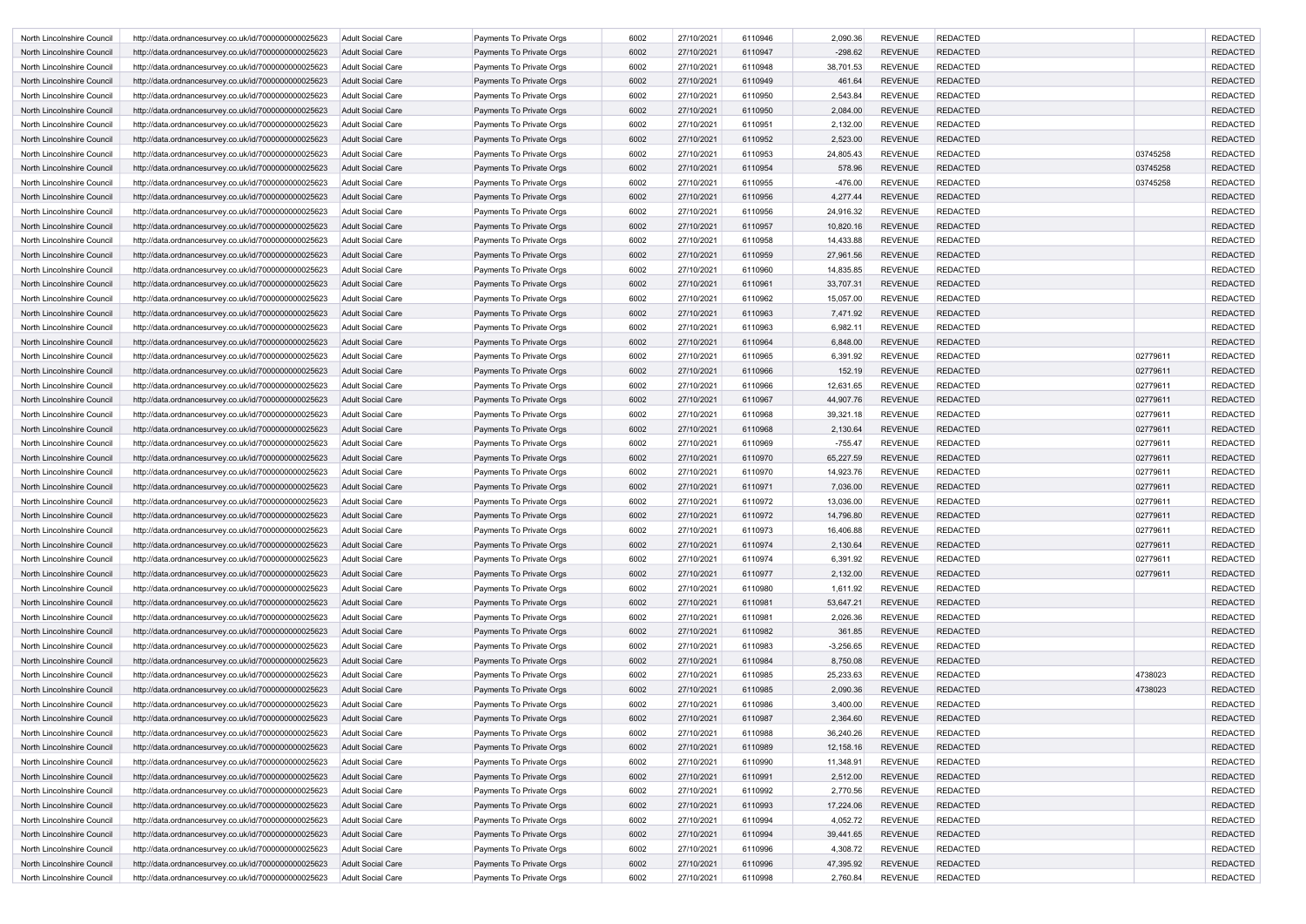| North Lincolnshire Council                               | http://data.ordnancesurvey.co.uk/id/7000000000025623                                                         | Adult Social Care                      | Payments To Private Orgs                             | 6002 | 27/10/2021 | 6110946 | 2,090.36    | <b>REVENUE</b> | <b>REDACTED</b> |          | <b>REDACTED</b> |
|----------------------------------------------------------|--------------------------------------------------------------------------------------------------------------|----------------------------------------|------------------------------------------------------|------|------------|---------|-------------|----------------|-----------------|----------|-----------------|
| North Lincolnshire Council                               | http://data.ordnancesurvey.co.uk/id/7000000000025623                                                         | Adult Social Care                      | Payments To Private Orgs                             | 6002 | 27/10/2021 | 6110947 | $-298.62$   | <b>REVENUE</b> | <b>REDACTED</b> |          | <b>REDACTED</b> |
| North Lincolnshire Council                               | http://data.ordnancesurvey.co.uk/id/7000000000025623                                                         | Adult Social Care                      | Payments To Private Orgs                             | 6002 | 27/10/2021 | 6110948 | 38,701.53   | <b>REVENUE</b> | <b>REDACTED</b> |          | <b>REDACTED</b> |
| North Lincolnshire Council                               | http://data.ordnancesurvey.co.uk/id/7000000000025623                                                         | Adult Social Care                      | Payments To Private Orgs                             | 6002 | 27/10/2021 | 6110949 | 461.64      | <b>REVENUE</b> | <b>REDACTED</b> |          | <b>REDACTED</b> |
| North Lincolnshire Council                               | http://data.ordnancesurvey.co.uk/id/7000000000025623                                                         | Adult Social Care                      | Payments To Private Orgs                             | 6002 | 27/10/2021 | 6110950 | 2,543.84    | <b>REVENUE</b> | <b>REDACTED</b> |          | <b>REDACTED</b> |
| North Lincolnshire Council                               | http://data.ordnancesurvey.co.uk/id/7000000000025623                                                         | Adult Social Care                      | Payments To Private Orgs                             | 6002 | 27/10/2021 | 6110950 | 2,084.00    | <b>REVENUE</b> | <b>REDACTED</b> |          | <b>REDACTED</b> |
| North Lincolnshire Council                               | http://data.ordnancesurvey.co.uk/id/7000000000025623                                                         | Adult Social Care                      | Payments To Private Orgs                             | 6002 | 27/10/2021 | 6110951 | 2,132.00    | <b>REVENUE</b> | <b>REDACTED</b> |          | <b>REDACTED</b> |
| North Lincolnshire Council                               | http://data.ordnancesurvey.co.uk/id/7000000000025623                                                         | <b>Adult Social Care</b>               | Payments To Private Orgs                             | 6002 | 27/10/2021 | 6110952 | 2,523.00    | <b>REVENUE</b> | <b>REDACTED</b> |          | <b>REDACTED</b> |
| North Lincolnshire Council                               | http://data.ordnancesurvey.co.uk/id/7000000000025623                                                         | <b>Adult Social Care</b>               | Payments To Private Orgs                             | 6002 | 27/10/2021 | 6110953 | 24,805.43   | <b>REVENUE</b> | <b>REDACTED</b> | 03745258 | <b>REDACTED</b> |
| North Lincolnshire Council                               | http://data.ordnancesurvey.co.uk/id/7000000000025623                                                         | Adult Social Care                      | Payments To Private Orgs                             | 6002 | 27/10/2021 | 6110954 | 578.96      | <b>REVENUE</b> | <b>REDACTED</b> | 03745258 | <b>REDACTED</b> |
| North Lincolnshire Council                               | http://data.ordnancesurvey.co.uk/id/7000000000025623                                                         | <b>Adult Social Care</b>               | Payments To Private Orgs                             | 6002 | 27/10/2021 | 6110955 | $-476.00$   | <b>REVENUE</b> | <b>REDACTED</b> | 03745258 | <b>REDACTED</b> |
| North Lincolnshire Council                               | http://data.ordnancesurvey.co.uk/id/7000000000025623                                                         | Adult Social Care                      | Payments To Private Orgs                             | 6002 | 27/10/2021 | 6110956 | 4,277.44    | <b>REVENUE</b> | <b>REDACTED</b> |          | <b>REDACTED</b> |
| North Lincolnshire Council                               | http://data.ordnancesurvey.co.uk/id/7000000000025623                                                         | Adult Social Care                      | Payments To Private Orgs                             | 6002 | 27/10/2021 | 6110956 | 24,916.32   | <b>REVENUE</b> | <b>REDACTED</b> |          | <b>REDACTED</b> |
| North Lincolnshire Council                               | http://data.ordnancesurvey.co.uk/id/7000000000025623                                                         | <b>Adult Social Care</b>               | Payments To Private Orgs                             | 6002 | 27/10/2021 | 6110957 | 10,820.16   | <b>REVENUE</b> | <b>REDACTED</b> |          | <b>REDACTED</b> |
| North Lincolnshire Council                               | http://data.ordnancesurvey.co.uk/id/7000000000025623                                                         | <b>Adult Social Care</b>               | Payments To Private Orgs                             | 6002 | 27/10/2021 | 6110958 | 14,433.88   | <b>REVENUE</b> | <b>REDACTED</b> |          | <b>REDACTED</b> |
| North Lincolnshire Council                               | http://data.ordnancesurvey.co.uk/id/7000000000025623                                                         | Adult Social Care                      | Payments To Private Orgs                             | 6002 | 27/10/2021 | 6110959 | 27,961.56   | <b>REVENUE</b> | <b>REDACTED</b> |          | <b>REDACTED</b> |
| North Lincolnshire Council                               | http://data.ordnancesurvey.co.uk/id/7000000000025623                                                         | Adult Social Care                      | Payments To Private Orgs                             | 6002 | 27/10/2021 | 6110960 | 14,835.85   | <b>REVENUE</b> | <b>REDACTED</b> |          | <b>REDACTED</b> |
| North Lincolnshire Council                               | http://data.ordnancesurvey.co.uk/id/7000000000025623                                                         | <b>Adult Social Care</b>               | Payments To Private Orgs                             | 6002 | 27/10/2021 | 6110961 | 33,707.31   | <b>REVENUE</b> | <b>REDACTED</b> |          | <b>REDACTED</b> |
| North Lincolnshire Council                               | http://data.ordnancesurvey.co.uk/id/7000000000025623                                                         | <b>Adult Social Care</b>               | Payments To Private Orgs                             | 6002 | 27/10/2021 | 6110962 | 15,057.00   | <b>REVENUE</b> | <b>REDACTED</b> |          | <b>REDACTED</b> |
| North Lincolnshire Council                               | http://data.ordnancesurvey.co.uk/id/7000000000025623                                                         | <b>Adult Social Care</b>               | Payments To Private Orgs                             | 6002 | 27/10/2021 | 6110963 | 7,471.92    | <b>REVENUE</b> | <b>REDACTED</b> |          | <b>REDACTED</b> |
| North Lincolnshire Council                               | http://data.ordnancesurvey.co.uk/id/7000000000025623                                                         | Adult Social Care                      | Payments To Private Orgs                             | 6002 | 27/10/2021 | 6110963 | 6,982.11    | <b>REVENUE</b> | <b>REDACTED</b> |          | <b>REDACTED</b> |
| North Lincolnshire Council                               | http://data.ordnancesurvey.co.uk/id/7000000000025623                                                         | Adult Social Care                      | Payments To Private Orgs                             | 6002 | 27/10/2021 | 6110964 | 6,848.00    | <b>REVENUE</b> | <b>REDACTED</b> |          | <b>REDACTED</b> |
| North Lincolnshire Council                               | http://data.ordnancesurvey.co.uk/id/7000000000025623                                                         | <b>Adult Social Care</b>               | Payments To Private Orgs                             | 6002 | 27/10/2021 | 6110965 | 6,391.92    | <b>REVENUE</b> | <b>REDACTED</b> | 02779611 | <b>REDACTED</b> |
| North Lincolnshire Council                               | http://data.ordnancesurvey.co.uk/id/7000000000025623                                                         | Adult Social Care                      | Payments To Private Orgs                             | 6002 | 27/10/2021 | 6110966 | 152.19      | <b>REVENUE</b> | <b>REDACTED</b> | 02779611 | <b>REDACTED</b> |
| North Lincolnshire Council                               |                                                                                                              | <b>Adult Social Care</b>               | Payments To Private Orgs                             | 6002 | 27/10/2021 | 6110966 | 12,631.65   | <b>REVENUE</b> | <b>REDACTED</b> | 02779611 | <b>REDACTED</b> |
|                                                          | http://data.ordnancesurvey.co.uk/id/7000000000025623                                                         |                                        |                                                      | 6002 | 27/10/2021 | 6110967 | 44,907.76   | <b>REVENUE</b> | <b>REDACTED</b> | 02779611 | <b>REDACTED</b> |
| North Lincolnshire Council<br>North Lincolnshire Council | http://data.ordnancesurvey.co.uk/id/7000000000025623<br>http://data.ordnancesurvey.co.uk/id/7000000000025623 | Adult Social Care<br>Adult Social Care | Payments To Private Orgs<br>Payments To Private Orgs | 6002 | 27/10/2021 | 6110968 | 39,321.18   | <b>REVENUE</b> | <b>REDACTED</b> | 02779611 | <b>REDACTED</b> |
| North Lincolnshire Council                               | http://data.ordnancesurvey.co.uk/id/7000000000025623                                                         | <b>Adult Social Care</b>               | Payments To Private Orgs                             | 6002 | 27/10/2021 | 6110968 | 2,130.64    | <b>REVENUE</b> | <b>REDACTED</b> | 02779611 | <b>REDACTED</b> |
|                                                          | http://data.ordnancesurvey.co.uk/id/7000000000025623                                                         | Adult Social Care                      | Payments To Private Orgs                             | 6002 | 27/10/2021 | 6110969 | $-755.47$   | <b>REVENUE</b> | <b>REDACTED</b> | 02779611 | <b>REDACTED</b> |
| North Lincolnshire Council<br>North Lincolnshire Council | http://data.ordnancesurvey.co.uk/id/7000000000025623                                                         | <b>Adult Social Care</b>               | Payments To Private Orgs                             | 6002 | 27/10/2021 | 6110970 | 65,227.59   | <b>REVENUE</b> | <b>REDACTED</b> | 02779611 | <b>REDACTED</b> |
| North Lincolnshire Council                               | http://data.ordnancesurvey.co.uk/id/7000000000025623                                                         | Adult Social Care                      | Payments To Private Orgs                             | 6002 | 27/10/2021 | 6110970 | 14,923.76   | <b>REVENUE</b> | <b>REDACTED</b> | 02779611 | <b>REDACTED</b> |
| North Lincolnshire Council                               | http://data.ordnancesurvey.co.uk/id/7000000000025623                                                         | Adult Social Care                      | Payments To Private Orgs                             | 6002 | 27/10/2021 | 6110971 | 7,036.00    | <b>REVENUE</b> | <b>REDACTED</b> | 02779611 | <b>REDACTED</b> |
| North Lincolnshire Council                               | http://data.ordnancesurvey.co.uk/id/7000000000025623                                                         | Adult Social Care                      | Payments To Private Orgs                             | 6002 | 27/10/2021 | 6110972 | 13,036.00   | <b>REVENUE</b> | <b>REDACTED</b> | 02779611 | <b>REDACTED</b> |
| North Lincolnshire Council                               | http://data.ordnancesurvey.co.uk/id/7000000000025623                                                         | <b>Adult Social Care</b>               | Payments To Private Orgs                             | 6002 | 27/10/2021 | 6110972 | 14,796.80   | REVENUE        | <b>REDACTED</b> | 02779611 | REDACTED        |
| North Lincolnshire Council                               | http://data.ordnancesurvey.co.uk/id/7000000000025623                                                         | Adult Social Care                      | Payments To Private Orgs                             | 6002 | 27/10/2021 | 6110973 | 16,406.88   | <b>REVENUE</b> | <b>REDACTED</b> | 02779611 | <b>REDACTED</b> |
| North Lincolnshire Council                               | http://data.ordnancesurvey.co.uk/id/7000000000025623                                                         | <b>Adult Social Care</b>               | Payments To Private Orgs                             | 6002 | 27/10/2021 | 6110974 | 2,130.64    | <b>REVENUE</b> | <b>REDACTED</b> | 02779611 | <b>REDACTED</b> |
| North Lincolnshire Council                               | http://data.ordnancesurvey.co.uk/id/7000000000025623                                                         | Adult Social Care                      | Payments To Private Orgs                             | 6002 | 27/10/2021 | 6110974 | 6,391.92    | <b>REVENUE</b> | <b>REDACTED</b> | 02779611 | <b>REDACTED</b> |
| North Lincolnshire Council                               | http://data.ordnancesurvey.co.uk/id/7000000000025623                                                         | <b>Adult Social Care</b>               | Payments To Private Orgs                             | 6002 | 27/10/2021 | 6110977 | 2,132.00    | <b>REVENUE</b> | <b>REDACTED</b> | 02779611 | <b>REDACTED</b> |
| North Lincolnshire Council                               | http://data.ordnancesurvey.co.uk/id/7000000000025623                                                         | <b>Adult Social Care</b>               | Payments To Private Orgs                             | 6002 | 27/10/2021 | 6110980 | 1,611.92    | <b>REVENUE</b> | <b>REDACTED</b> |          | <b>REDACTED</b> |
| North Lincolnshire Council                               | http://data.ordnancesurvey.co.uk/id/7000000000025623                                                         | <b>Adult Social Care</b>               | Payments To Private Orgs                             | 6002 | 27/10/2021 | 6110981 | 53,647.21   | <b>REVENUE</b> | <b>REDACTED</b> |          | <b>REDACTED</b> |
| North Lincolnshire Council                               | http://data.ordnancesurvey.co.uk/id/7000000000025623                                                         | <b>Adult Social Care</b>               | Payments To Private Orgs                             | 6002 | 27/10/2021 | 6110981 | 2,026.36    | <b>REVENUE</b> | <b>REDACTED</b> |          | <b>REDACTED</b> |
| North Lincolnshire Council                               | http://data.ordnancesurvey.co.uk/id/7000000000025623                                                         | <b>Adult Social Care</b>               | Payments To Private Orgs                             | 6002 | 27/10/2021 | 6110982 | 361.85      | <b>REVENUE</b> | <b>REDACTED</b> |          | <b>REDACTED</b> |
| North Lincolnshire Council                               | http://data.ordnancesurvey.co.uk/id/7000000000025623                                                         | <b>Adult Social Care</b>               | Payments To Private Orgs                             | 6002 | 27/10/2021 | 6110983 | $-3,256.65$ | <b>REVENUE</b> | <b>REDACTED</b> |          | <b>REDACTED</b> |
| North Lincolnshire Council                               | http://data.ordnancesurvey.co.uk/id/7000000000025623                                                         | <b>Adult Social Care</b>               | Payments To Private Orgs                             | 6002 | 27/10/2021 | 6110984 | 8,750.08    | <b>REVENUE</b> | <b>REDACTED</b> |          | <b>REDACTED</b> |
| North Lincolnshire Council                               | http://data.ordnancesurvey.co.uk/id/7000000000025623                                                         | <b>Adult Social Care</b>               | Payments To Private Orgs                             | 6002 | 27/10/2021 | 6110985 | 25,233.63   | <b>REVENUE</b> | <b>REDACTED</b> | 4738023  | <b>REDACTED</b> |
| North Lincolnshire Council                               | http://data.ordnancesurvey.co.uk/id/7000000000025623                                                         | <b>Adult Social Care</b>               | Payments To Private Orgs                             | 6002 | 27/10/2021 | 6110985 | 2,090.36    | <b>REVENUE</b> | <b>REDACTED</b> | 4738023  | <b>REDACTED</b> |
| North Lincolnshire Council                               | http://data.ordnancesurvey.co.uk/id/7000000000025623                                                         | Adult Social Care                      | Payments To Private Orgs                             | 6002 | 27/10/2021 | 6110986 | 3,400.00    | <b>REVENUE</b> | <b>REDACTED</b> |          | <b>REDACTED</b> |
| North Lincolnshire Council                               | http://data.ordnancesurvey.co.uk/id/7000000000025623                                                         | <b>Adult Social Care</b>               | Payments To Private Orgs                             | 6002 | 27/10/2021 | 6110987 | 2,364.60    | <b>REVENUE</b> | <b>REDACTED</b> |          | <b>REDACTED</b> |
| North Lincolnshire Council                               | http://data.ordnancesurvey.co.uk/id/7000000000025623                                                         | Adult Social Care                      | Payments To Private Orgs                             | 6002 | 27/10/2021 | 6110988 | 36,240.26   | <b>REVENUE</b> | <b>REDACTED</b> |          | <b>REDACTED</b> |
| North Lincolnshire Council                               | http://data.ordnancesurvey.co.uk/id/7000000000025623                                                         | <b>Adult Social Care</b>               | Payments To Private Orgs                             | 6002 | 27/10/2021 | 6110989 | 12,158.16   | <b>REVENUE</b> | <b>REDACTED</b> |          | <b>REDACTED</b> |
| North Lincolnshire Council                               | http://data.ordnancesurvey.co.uk/id/7000000000025623                                                         | Adult Social Care                      | Payments To Private Orgs                             | 6002 | 27/10/2021 | 6110990 | 11,348.91   | <b>REVENUE</b> | <b>REDACTED</b> |          | <b>REDACTED</b> |
| North Lincolnshire Council                               | http://data.ordnancesurvey.co.uk/id/7000000000025623                                                         | <b>Adult Social Care</b>               | Payments To Private Orgs                             | 6002 | 27/10/2021 | 6110991 | 2,512.00    | <b>REVENUE</b> | <b>REDACTED</b> |          | <b>REDACTED</b> |
| North Lincolnshire Council                               | http://data.ordnancesurvey.co.uk/id/7000000000025623                                                         | <b>Adult Social Care</b>               | Payments To Private Orgs                             | 6002 | 27/10/2021 | 6110992 | 2,770.56    | <b>REVENUE</b> | <b>REDACTED</b> |          | <b>REDACTED</b> |
| North Lincolnshire Council                               | http://data.ordnancesurvey.co.uk/id/7000000000025623                                                         | <b>Adult Social Care</b>               | Payments To Private Orgs                             | 6002 | 27/10/2021 | 6110993 | 17,224.06   | <b>REVENUE</b> | <b>REDACTED</b> |          | <b>REDACTED</b> |
| North Lincolnshire Council                               | http://data.ordnancesurvey.co.uk/id/7000000000025623                                                         | Adult Social Care                      | Payments To Private Orgs                             | 6002 | 27/10/2021 | 6110994 | 4,052.72    | <b>REVENUE</b> | <b>REDACTED</b> |          | <b>REDACTED</b> |
| North Lincolnshire Council                               | http://data.ordnancesurvey.co.uk/id/7000000000025623                                                         | <b>Adult Social Care</b>               | Payments To Private Orgs                             | 6002 | 27/10/2021 | 6110994 | 39,441.65   | <b>REVENUE</b> | <b>REDACTED</b> |          | <b>REDACTED</b> |
| North Lincolnshire Council                               | http://data.ordnancesurvey.co.uk/id/7000000000025623                                                         | Adult Social Care                      | Payments To Private Orgs                             | 6002 | 27/10/2021 | 6110996 | 4,308.72    | <b>REVENUE</b> | <b>REDACTED</b> |          | <b>REDACTED</b> |
| North Lincolnshire Council                               | http://data.ordnancesurvey.co.uk/id/7000000000025623                                                         | <b>Adult Social Care</b>               | Payments To Private Orgs                             | 6002 | 27/10/2021 | 6110996 | 47,395.92   | <b>REVENUE</b> | <b>REDACTED</b> |          | <b>REDACTED</b> |
| North Lincolnshire Council                               | http://data.ordnancesurvey.co.uk/id/7000000000025623                                                         | Adult Social Care                      | Payments To Private Orgs                             | 6002 | 27/10/2021 | 6110998 | 2,760.84    | REVENUE        | <b>REDACTED</b> |          | <b>REDACTED</b> |
|                                                          |                                                                                                              |                                        |                                                      |      |            |         |             |                |                 |          |                 |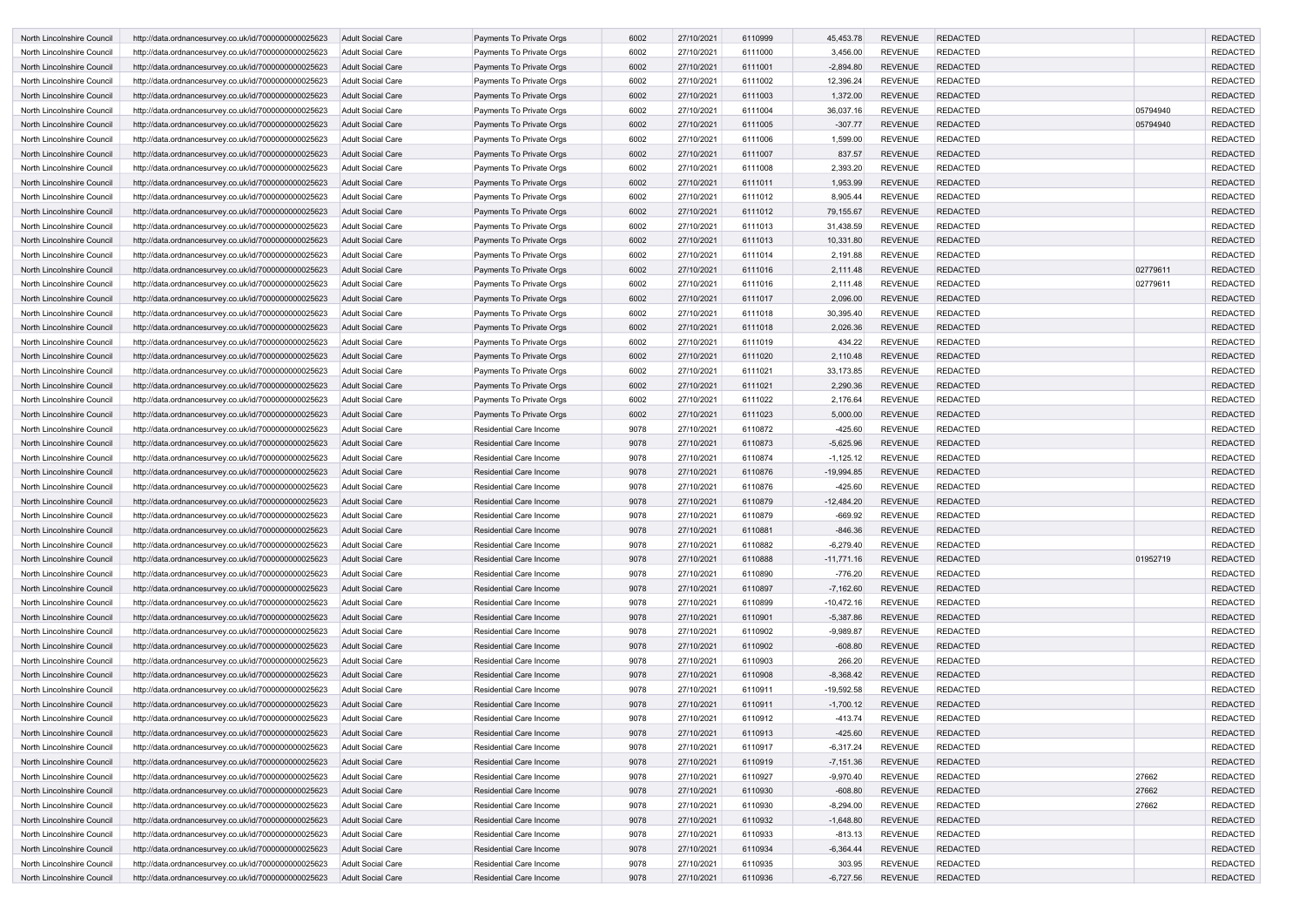| North Lincolnshire Council | http://data.ordnancesurvey.co.uk/id/7000000000025623 | Adult Social Care        | Payments To Private Orgs       | 6002 | 27/10/2021 | 6110999 | 45,453.78    | <b>REVENUE</b> | <b>REDACTED</b> |          | <b>REDACTED</b> |
|----------------------------|------------------------------------------------------|--------------------------|--------------------------------|------|------------|---------|--------------|----------------|-----------------|----------|-----------------|
| North Lincolnshire Council | http://data.ordnancesurvey.co.uk/id/7000000000025623 | <b>Adult Social Care</b> | Payments To Private Orgs       | 6002 | 27/10/2021 | 6111000 | 3,456.00     | <b>REVENUE</b> | <b>REDACTED</b> |          | <b>REDACTED</b> |
| North Lincolnshire Council | http://data.ordnancesurvey.co.uk/id/7000000000025623 | Adult Social Care        | Payments To Private Orgs       | 6002 | 27/10/2021 | 6111001 | $-2,894.80$  | <b>REVENUE</b> | <b>REDACTED</b> |          | <b>REDACTED</b> |
| North Lincolnshire Council | http://data.ordnancesurvey.co.uk/id/7000000000025623 | Adult Social Care        | Payments To Private Orgs       | 6002 | 27/10/2021 | 6111002 | 12,396.24    | <b>REVENUE</b> | <b>REDACTED</b> |          | <b>REDACTED</b> |
| North Lincolnshire Council | http://data.ordnancesurvey.co.uk/id/7000000000025623 | <b>Adult Social Care</b> | Payments To Private Orgs       | 6002 | 27/10/2021 | 6111003 | 1,372.00     | <b>REVENUE</b> | <b>REDACTED</b> |          | <b>REDACTED</b> |
| North Lincolnshire Council | http://data.ordnancesurvey.co.uk/id/7000000000025623 | Adult Social Care        | Payments To Private Orgs       | 6002 | 27/10/2021 | 6111004 | 36,037.16    | <b>REVENUE</b> | <b>REDACTED</b> | 05794940 | <b>REDACTED</b> |
| North Lincolnshire Council | http://data.ordnancesurvey.co.uk/id/7000000000025623 | Adult Social Care        | Payments To Private Orgs       | 6002 | 27/10/2021 | 6111005 | $-307.77$    | <b>REVENUE</b> | <b>REDACTED</b> | 05794940 | <b>REDACTED</b> |
| North Lincolnshire Council | http://data.ordnancesurvey.co.uk/id/7000000000025623 | Adult Social Care        | Payments To Private Orgs       | 6002 | 27/10/2021 | 6111006 | 1,599.00     | <b>REVENUE</b> | <b>REDACTED</b> |          | <b>REDACTED</b> |
| North Lincolnshire Council | http://data.ordnancesurvey.co.uk/id/7000000000025623 | Adult Social Care        | Payments To Private Orgs       | 6002 | 27/10/2021 | 6111007 | 837.57       | <b>REVENUE</b> | <b>REDACTED</b> |          | <b>REDACTED</b> |
| North Lincolnshire Council | http://data.ordnancesurvey.co.uk/id/7000000000025623 | <b>Adult Social Care</b> | Payments To Private Orgs       | 6002 | 27/10/2021 | 6111008 | 2,393.20     | <b>REVENUE</b> | <b>REDACTED</b> |          | <b>REDACTED</b> |
| North Lincolnshire Council | http://data.ordnancesurvey.co.uk/id/7000000000025623 | <b>Adult Social Care</b> | Payments To Private Orgs       | 6002 | 27/10/2021 | 6111011 | 1,953.99     | <b>REVENUE</b> | <b>REDACTED</b> |          | <b>REDACTED</b> |
| North Lincolnshire Council | http://data.ordnancesurvey.co.uk/id/7000000000025623 | <b>Adult Social Care</b> | Payments To Private Orgs       | 6002 | 27/10/2021 | 6111012 | 8,905.44     | <b>REVENUE</b> | <b>REDACTED</b> |          | <b>REDACTED</b> |
| North Lincolnshire Council | http://data.ordnancesurvey.co.uk/id/7000000000025623 | <b>Adult Social Care</b> | Payments To Private Orgs       | 6002 | 27/10/2021 | 6111012 | 79,155.67    | <b>REVENUE</b> | <b>REDACTED</b> |          | <b>REDACTED</b> |
| North Lincolnshire Council | http://data.ordnancesurvey.co.uk/id/7000000000025623 | Adult Social Care        | Payments To Private Orgs       | 6002 | 27/10/2021 | 6111013 | 31,438.59    | <b>REVENUE</b> | <b>REDACTED</b> |          | <b>REDACTED</b> |
| North Lincolnshire Council | http://data.ordnancesurvey.co.uk/id/7000000000025623 | <b>Adult Social Care</b> | Payments To Private Orgs       | 6002 | 27/10/2021 | 6111013 | 10,331.80    | <b>REVENUE</b> | <b>REDACTED</b> |          | <b>REDACTED</b> |
| North Lincolnshire Council | http://data.ordnancesurvey.co.uk/id/7000000000025623 | Adult Social Care        | Payments To Private Orgs       | 6002 | 27/10/2021 | 6111014 | 2,191.88     | <b>REVENUE</b> | <b>REDACTED</b> |          | <b>REDACTED</b> |
| North Lincolnshire Council | http://data.ordnancesurvey.co.uk/id/7000000000025623 | <b>Adult Social Care</b> | Payments To Private Orgs       | 6002 | 27/10/2021 | 6111016 | 2,111.48     | <b>REVENUE</b> | <b>REDACTED</b> | 02779611 | <b>REDACTED</b> |
|                            |                                                      |                          |                                |      |            | 6111016 |              |                | <b>REDACTED</b> | 02779611 | <b>REDACTED</b> |
| North Lincolnshire Council | http://data.ordnancesurvey.co.uk/id/7000000000025623 | <b>Adult Social Care</b> | Payments To Private Orgs       | 6002 | 27/10/2021 |         | 2,111.48     | <b>REVENUE</b> |                 |          |                 |
| North Lincolnshire Council | http://data.ordnancesurvey.co.uk/id/7000000000025623 | Adult Social Care        | Payments To Private Orgs       | 6002 | 27/10/2021 | 6111017 | 2,096.00     | <b>REVENUE</b> | <b>REDACTED</b> |          | <b>REDACTED</b> |
| North Lincolnshire Council | http://data.ordnancesurvey.co.uk/id/7000000000025623 | Adult Social Care        | Payments To Private Orgs       | 6002 | 27/10/2021 | 6111018 | 30,395.40    | <b>REVENUE</b> | <b>REDACTED</b> |          | <b>REDACTED</b> |
| North Lincolnshire Council | http://data.ordnancesurvey.co.uk/id/7000000000025623 | <b>Adult Social Care</b> | Payments To Private Orgs       | 6002 | 27/10/2021 | 6111018 | 2,026.36     | <b>REVENUE</b> | <b>REDACTED</b> |          | <b>REDACTED</b> |
| North Lincolnshire Council | http://data.ordnancesurvey.co.uk/id/7000000000025623 | <b>Adult Social Care</b> | Payments To Private Orgs       | 6002 | 27/10/2021 | 6111019 | 434.22       | <b>REVENUE</b> | <b>REDACTED</b> |          | <b>REDACTED</b> |
| North Lincolnshire Council | http://data.ordnancesurvey.co.uk/id/7000000000025623 | <b>Adult Social Care</b> | Payments To Private Orgs       | 6002 | 27/10/2021 | 6111020 | 2,110.48     | <b>REVENUE</b> | <b>REDACTED</b> |          | <b>REDACTED</b> |
| North Lincolnshire Council | http://data.ordnancesurvey.co.uk/id/7000000000025623 | Adult Social Care        | Payments To Private Orgs       | 6002 | 27/10/2021 | 6111021 | 33,173.85    | <b>REVENUE</b> | <b>REDACTED</b> |          | <b>REDACTED</b> |
| North Lincolnshire Council | http://data.ordnancesurvey.co.uk/id/7000000000025623 | Adult Social Care        | Payments To Private Orgs       | 6002 | 27/10/2021 | 6111021 | 2,290.36     | <b>REVENUE</b> | <b>REDACTED</b> |          | <b>REDACTED</b> |
| North Lincolnshire Council | http://data.ordnancesurvey.co.uk/id/7000000000025623 | Adult Social Care        | Payments To Private Orgs       | 6002 | 27/10/2021 | 6111022 | 2,176.64     | <b>REVENUE</b> | <b>REDACTED</b> |          | <b>REDACTED</b> |
| North Lincolnshire Council | http://data.ordnancesurvey.co.uk/id/7000000000025623 | Adult Social Care        | Payments To Private Orgs       | 6002 | 27/10/2021 | 6111023 | 5,000.00     | <b>REVENUE</b> | <b>REDACTED</b> |          | <b>REDACTED</b> |
| North Lincolnshire Council | http://data.ordnancesurvey.co.uk/id/7000000000025623 | <b>Adult Social Care</b> | <b>Residential Care Income</b> | 9078 | 27/10/2021 | 6110872 | $-425.60$    | <b>REVENUE</b> | <b>REDACTED</b> |          | <b>REDACTED</b> |
| North Lincolnshire Council | http://data.ordnancesurvey.co.uk/id/7000000000025623 | <b>Adult Social Care</b> | <b>Residential Care Income</b> | 9078 | 27/10/2021 | 6110873 | $-5,625.96$  | <b>REVENUE</b> | <b>REDACTED</b> |          | <b>REDACTED</b> |
| North Lincolnshire Council | http://data.ordnancesurvey.co.uk/id/7000000000025623 | <b>Adult Social Care</b> | <b>Residential Care Income</b> | 9078 | 27/10/2021 | 6110874 | $-1,125.12$  | <b>REVENUE</b> | <b>REDACTED</b> |          | <b>REDACTED</b> |
| North Lincolnshire Council | http://data.ordnancesurvey.co.uk/id/7000000000025623 | Adult Social Care        | <b>Residential Care Income</b> | 9078 | 27/10/2021 | 6110876 | $-19,994.85$ | <b>REVENUE</b> | <b>REDACTED</b> |          | <b>REDACTED</b> |
| North Lincolnshire Council | http://data.ordnancesurvey.co.uk/id/7000000000025623 | <b>Adult Social Care</b> | Residential Care Income        | 9078 | 27/10/2021 | 6110876 | $-425.60$    | <b>REVENUE</b> | <b>REDACTED</b> |          | <b>REDACTED</b> |
| North Lincolnshire Council | http://data.ordnancesurvey.co.uk/id/7000000000025623 | Adult Social Care        | <b>Residential Care Income</b> | 9078 | 27/10/2021 | 6110879 | $-12,484.20$ | <b>REVENUE</b> | <b>REDACTED</b> |          | <b>REDACTED</b> |
| North Lincolnshire Council | http://data.ordnancesurvey.co.uk/id/7000000000025623 | Adult Social Care        | Residential Care Income        | 9078 | 27/10/2021 | 6110879 | $-669.92$    | <b>REVENUE</b> | <b>REDACTED</b> |          | REDACTED        |
| North Lincolnshire Council | http://data.ordnancesurvey.co.uk/id/7000000000025623 | Adult Social Care        | <b>Residential Care Income</b> | 9078 | 27/10/2021 | 6110881 | $-846.36$    | <b>REVENUE</b> | <b>REDACTED</b> |          | <b>REDACTED</b> |
| North Lincolnshire Council | http://data.ordnancesurvey.co.uk/id/7000000000025623 | Adult Social Care        | <b>Residential Care Income</b> | 9078 | 27/10/2021 | 6110882 | $-6,279.40$  | <b>REVENUE</b> | <b>REDACTED</b> |          | <b>REDACTED</b> |
| North Lincolnshire Council | http://data.ordnancesurvey.co.uk/id/7000000000025623 | <b>Adult Social Care</b> | Residential Care Income        | 9078 | 27/10/2021 | 6110888 | $-11,771.16$ | <b>REVENUE</b> | <b>REDACTED</b> | 01952719 | <b>REDACTED</b> |
| North Lincolnshire Council | http://data.ordnancesurvey.co.uk/id/7000000000025623 | Adult Social Care        | Residential Care Income        | 9078 | 27/10/2021 | 6110890 | $-776.20$    | <b>REVENUE</b> | <b>REDACTED</b> |          | <b>REDACTED</b> |
| North Lincolnshire Council | http://data.ordnancesurvey.co.uk/id/7000000000025623 | <b>Adult Social Care</b> | Residential Care Income        | 9078 | 27/10/2021 | 6110897 | $-7,162.60$  | <b>REVENUE</b> | <b>REDACTED</b> |          | <b>REDACTED</b> |
| North Lincolnshire Council | http://data.ordnancesurvey.co.uk/id/7000000000025623 | <b>Adult Social Care</b> | <b>Residential Care Income</b> | 9078 | 27/10/2021 | 6110899 | $-10,472.16$ | <b>REVENUE</b> | <b>REDACTED</b> |          | <b>REDACTED</b> |
| North Lincolnshire Council | http://data.ordnancesurvey.co.uk/id/7000000000025623 | <b>Adult Social Care</b> | Residential Care Income        | 9078 | 27/10/2021 | 6110901 | $-5,387.86$  | <b>REVENUE</b> | <b>REDACTED</b> |          | <b>REDACTED</b> |
| North Lincolnshire Council | http://data.ordnancesurvey.co.uk/id/7000000000025623 | <b>Adult Social Care</b> | Residential Care Income        | 9078 | 27/10/2021 | 6110902 | $-9,989.87$  | <b>REVENUE</b> | <b>REDACTED</b> |          | <b>REDACTED</b> |
| North Lincolnshire Council | http://data.ordnancesurvey.co.uk/id/7000000000025623 | <b>Adult Social Care</b> | Residential Care Income        | 9078 | 27/10/2021 | 6110902 | $-608.80$    | <b>REVENUE</b> | <b>REDACTED</b> |          | <b>REDACTED</b> |
| North Lincolnshire Council | http://data.ordnancesurvey.co.uk/id/7000000000025623 | <b>Adult Social Care</b> | <b>Residential Care Income</b> | 9078 | 27/10/2021 | 6110903 | 266.20       | <b>REVENUE</b> | <b>REDACTED</b> |          | <b>REDACTED</b> |
| North Lincolnshire Council | http://data.ordnancesurvey.co.uk/id/7000000000025623 | <b>Adult Social Care</b> | <b>Residential Care Income</b> | 9078 | 27/10/2021 | 6110908 | $-8,368.42$  | <b>REVENUE</b> | <b>REDACTED</b> |          | <b>REDACTED</b> |
| North Lincolnshire Council | http://data.ordnancesurvey.co.uk/id/7000000000025623 | Adult Social Care        | <b>Residential Care Income</b> | 9078 | 27/10/2021 | 6110911 | $-19,592.58$ | <b>REVENUE</b> | <b>REDACTED</b> |          | <b>REDACTED</b> |
| North Lincolnshire Council | http://data.ordnancesurvey.co.uk/id/7000000000025623 | <b>Adult Social Care</b> | Residential Care Income        | 9078 | 27/10/2021 | 6110911 | $-1,700.12$  | <b>REVENUE</b> | <b>REDACTED</b> |          | <b>REDACTED</b> |
| North Lincolnshire Council | http://data.ordnancesurvey.co.uk/id/7000000000025623 | <b>Adult Social Care</b> | Residential Care Income        | 9078 | 27/10/2021 | 6110912 | $-413.74$    | <b>REVENUE</b> | <b>REDACTED</b> |          | <b>REDACTED</b> |
| North Lincolnshire Council | http://data.ordnancesurvey.co.uk/id/7000000000025623 | <b>Adult Social Care</b> | Residential Care Income        | 9078 | 27/10/2021 | 6110913 | $-425.60$    | <b>REVENUE</b> | <b>REDACTED</b> |          | <b>REDACTED</b> |
| North Lincolnshire Council | http://data.ordnancesurvey.co.uk/id/7000000000025623 | <b>Adult Social Care</b> | <b>Residential Care Income</b> | 9078 | 27/10/2021 | 6110917 | $-6,317.24$  | <b>REVENUE</b> | <b>REDACTED</b> |          | <b>REDACTED</b> |
| North Lincolnshire Council |                                                      | <b>Adult Social Care</b> | Residential Care Income        | 9078 | 27/10/2021 | 6110919 | $-7,151.36$  | <b>REVENUE</b> | <b>REDACTED</b> |          | <b>REDACTED</b> |
| North Lincolnshire Council | http://data.ordnancesurvey.co.uk/id/7000000000025623 | <b>Adult Social Care</b> | Residential Care Income        | 9078 | 27/10/2021 | 6110927 | $-9,970.40$  | <b>REVENUE</b> | <b>REDACTED</b> | 27662    | <b>REDACTED</b> |
|                            | http://data.ordnancesurvey.co.uk/id/7000000000025623 |                          |                                |      |            |         |              |                |                 |          |                 |
| North Lincolnshire Council | http://data.ordnancesurvey.co.uk/id/7000000000025623 | <b>Adult Social Care</b> | Residential Care Income        | 9078 | 27/10/2021 | 6110930 | $-608.80$    | <b>REVENUE</b> | <b>REDACTED</b> | 27662    | <b>REDACTED</b> |
| North Lincolnshire Council | http://data.ordnancesurvey.co.uk/id/7000000000025623 | <b>Adult Social Care</b> | <b>Residential Care Income</b> | 9078 | 27/10/2021 | 6110930 | $-8,294.00$  | <b>REVENUE</b> | <b>REDACTED</b> | 27662    | <b>REDACTED</b> |
| North Lincolnshire Council | http://data.ordnancesurvey.co.uk/id/7000000000025623 | <b>Adult Social Care</b> | Residential Care Income        | 9078 | 27/10/2021 | 6110932 | $-1,648.80$  | <b>REVENUE</b> | REDACTED        |          | <b>REDACTED</b> |
| North Lincolnshire Council | http://data.ordnancesurvey.co.uk/id/7000000000025623 | <b>Adult Social Care</b> | <b>Residential Care Income</b> | 9078 | 27/10/2021 | 6110933 | $-813.13$    | <b>REVENUE</b> | <b>REDACTED</b> |          | <b>REDACTED</b> |
| North Lincolnshire Council | http://data.ordnancesurvey.co.uk/id/7000000000025623 | <b>Adult Social Care</b> | Residential Care Income        | 9078 | 27/10/2021 | 6110934 | $-6,364.44$  | <b>REVENUE</b> | <b>REDACTED</b> |          | <b>REDACTED</b> |
| North Lincolnshire Council | http://data.ordnancesurvey.co.uk/id/7000000000025623 | <b>Adult Social Care</b> | Residential Care Income        | 9078 | 27/10/2021 | 6110935 | 303.95       | <b>REVENUE</b> | <b>REDACTED</b> |          | <b>REDACTED</b> |
| North Lincolnshire Council | http://data.ordnancesurvey.co.uk/id/7000000000025623 | <b>Adult Social Care</b> | Residential Care Income        | 9078 | 27/10/2021 | 6110936 | $-6,727.56$  | <b>REVENUE</b> | <b>REDACTED</b> |          | <b>REDACTED</b> |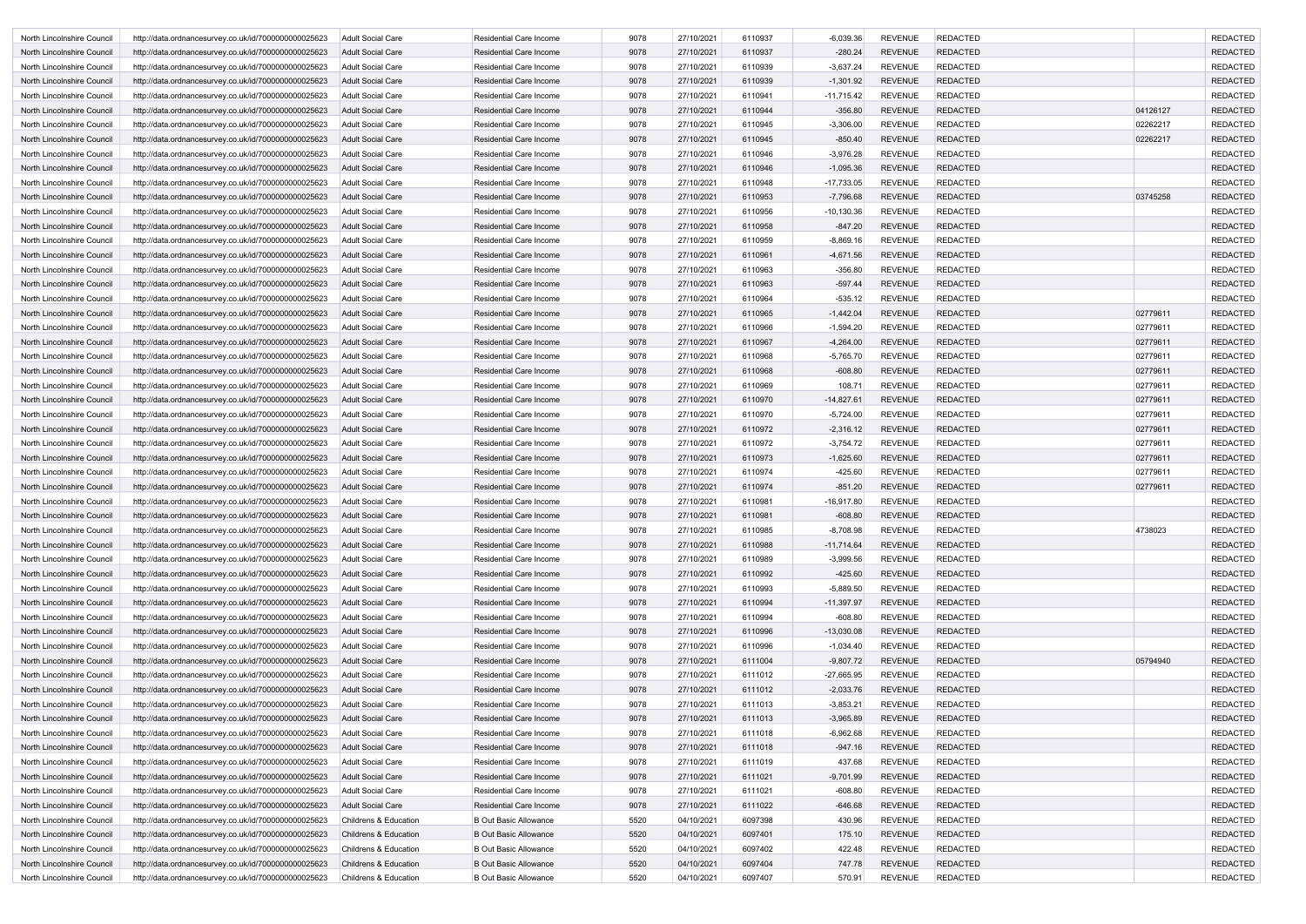| North Lincolnshire Council | http://data.ordnancesurvey.co.uk/id/7000000000025623 | Adult Social Care                | <b>Residential Care Income</b> | 9078 | 27/10/2021 | 6110937 | $-6,039.36$   | <b>REVENUE</b> | <b>REDACTED</b> |          | <b>REDACTED</b> |
|----------------------------|------------------------------------------------------|----------------------------------|--------------------------------|------|------------|---------|---------------|----------------|-----------------|----------|-----------------|
| North Lincolnshire Council | http://data.ordnancesurvey.co.uk/id/7000000000025623 | Adult Social Care                | <b>Residential Care Income</b> | 9078 | 27/10/2021 | 6110937 | $-280.24$     | <b>REVENUE</b> | <b>REDACTED</b> |          | <b>REDACTED</b> |
| North Lincolnshire Council | http://data.ordnancesurvey.co.uk/id/7000000000025623 | Adult Social Care                | <b>Residential Care Income</b> | 9078 | 27/10/2021 | 6110939 | $-3,637.24$   | <b>REVENUE</b> | <b>REDACTED</b> |          | <b>REDACTED</b> |
| North Lincolnshire Council | http://data.ordnancesurvey.co.uk/id/7000000000025623 | <b>Adult Social Care</b>         | <b>Residential Care Income</b> | 9078 | 27/10/2021 | 6110939 | $-1,301.92$   | <b>REVENUE</b> | <b>REDACTED</b> |          | <b>REDACTED</b> |
| North Lincolnshire Council | http://data.ordnancesurvey.co.uk/id/7000000000025623 | Adult Social Care                | <b>Residential Care Income</b> | 9078 | 27/10/2021 | 6110941 | $-11,715.42$  | <b>REVENUE</b> | <b>REDACTED</b> |          | <b>REDACTED</b> |
| North Lincolnshire Council | http://data.ordnancesurvey.co.uk/id/7000000000025623 | Adult Social Care                | <b>Residential Care Income</b> | 9078 | 27/10/2021 | 6110944 | $-356.80$     | <b>REVENUE</b> | <b>REDACTED</b> | 04126127 | <b>REDACTED</b> |
| North Lincolnshire Council | http://data.ordnancesurvey.co.uk/id/7000000000025623 | <b>Adult Social Care</b>         | <b>Residential Care Income</b> | 9078 | 27/10/2021 | 6110945 | $-3,306.00$   | <b>REVENUE</b> | <b>REDACTED</b> | 02262217 | <b>REDACTED</b> |
| North Lincolnshire Council | http://data.ordnancesurvey.co.uk/id/7000000000025623 | Adult Social Care                | <b>Residential Care Income</b> | 9078 | 27/10/2021 | 6110945 | $-850.40$     | <b>REVENUE</b> | <b>REDACTED</b> | 02262217 | <b>REDACTED</b> |
| North Lincolnshire Council | http://data.ordnancesurvey.co.uk/id/7000000000025623 | <b>Adult Social Care</b>         | <b>Residential Care Income</b> | 9078 | 27/10/2021 | 6110946 | $-3,976.28$   | <b>REVENUE</b> | <b>REDACTED</b> |          | <b>REDACTED</b> |
| North Lincolnshire Council | http://data.ordnancesurvey.co.uk/id/7000000000025623 | Adult Social Care                | <b>Residential Care Income</b> | 9078 | 27/10/2021 | 6110946 | $-1,095.36$   | <b>REVENUE</b> | <b>REDACTED</b> |          | <b>REDACTED</b> |
| North Lincolnshire Council | http://data.ordnancesurvey.co.uk/id/7000000000025623 | Adult Social Care                | <b>Residential Care Income</b> | 9078 | 27/10/2021 | 6110948 | $-17,733.05$  | <b>REVENUE</b> | <b>REDACTED</b> |          | <b>REDACTED</b> |
| North Lincolnshire Council | http://data.ordnancesurvey.co.uk/id/7000000000025623 | <b>Adult Social Care</b>         | <b>Residential Care Income</b> | 9078 | 27/10/2021 | 6110953 | -7,796.68     | <b>REVENUE</b> | <b>REDACTED</b> | 03745258 | <b>REDACTED</b> |
| North Lincolnshire Council | http://data.ordnancesurvey.co.uk/id/7000000000025623 | Adult Social Care                | <b>Residential Care Income</b> | 9078 | 27/10/2021 | 6110956 | $-10, 130.36$ | <b>REVENUE</b> | <b>REDACTED</b> |          | <b>REDACTED</b> |
| North Lincolnshire Council | http://data.ordnancesurvey.co.uk/id/7000000000025623 | <b>Adult Social Care</b>         | <b>Residential Care Income</b> | 9078 | 27/10/2021 | 6110958 | $-847.20$     | <b>REVENUE</b> | <b>REDACTED</b> |          | <b>REDACTED</b> |
| North Lincolnshire Council | http://data.ordnancesurvey.co.uk/id/7000000000025623 | <b>Adult Social Care</b>         | <b>Residential Care Income</b> | 9078 | 27/10/2021 | 6110959 | $-8,869.16$   | <b>REVENUE</b> | <b>REDACTED</b> |          | <b>REDACTED</b> |
| North Lincolnshire Council | http://data.ordnancesurvey.co.uk/id/7000000000025623 | Adult Social Care                | <b>Residential Care Income</b> | 9078 | 27/10/2021 | 6110961 | $-4,671.56$   | <b>REVENUE</b> | <b>REDACTED</b> |          | <b>REDACTED</b> |
| North Lincolnshire Council | http://data.ordnancesurvey.co.uk/id/7000000000025623 | Adult Social Care                | <b>Residential Care Income</b> | 9078 | 27/10/2021 | 6110963 | $-356.80$     | <b>REVENUE</b> | <b>REDACTED</b> |          | <b>REDACTED</b> |
| North Lincolnshire Council | http://data.ordnancesurvey.co.uk/id/7000000000025623 | Adult Social Care                | <b>Residential Care Income</b> | 9078 | 27/10/2021 | 6110963 | $-597.44$     | <b>REVENUE</b> | <b>REDACTED</b> |          | <b>REDACTED</b> |
| North Lincolnshire Council | http://data.ordnancesurvey.co.uk/id/7000000000025623 | <b>Adult Social Care</b>         | <b>Residential Care Income</b> | 9078 | 27/10/2021 | 6110964 | $-535.12$     | <b>REVENUE</b> | <b>REDACTED</b> |          | <b>REDACTED</b> |
| North Lincolnshire Council | http://data.ordnancesurvey.co.uk/id/7000000000025623 | <b>Adult Social Care</b>         | <b>Residential Care Income</b> | 9078 | 27/10/2021 | 6110965 | $-1,442.04$   | <b>REVENUE</b> | <b>REDACTED</b> | 02779611 | <b>REDACTED</b> |
| North Lincolnshire Council | http://data.ordnancesurvey.co.uk/id/7000000000025623 | Adult Social Care                | <b>Residential Care Income</b> | 9078 | 27/10/2021 | 6110966 | $-1,594.20$   | <b>REVENUE</b> | <b>REDACTED</b> | 02779611 | <b>REDACTED</b> |
| North Lincolnshire Council | http://data.ordnancesurvey.co.uk/id/7000000000025623 | Adult Social Care                | <b>Residential Care Income</b> | 9078 | 27/10/2021 | 6110967 | $-4,264.00$   | <b>REVENUE</b> | <b>REDACTED</b> | 02779611 | <b>REDACTED</b> |
| North Lincolnshire Council | http://data.ordnancesurvey.co.uk/id/7000000000025623 | Adult Social Care                | <b>Residential Care Income</b> | 9078 | 27/10/2021 | 6110968 | $-5,765.70$   | <b>REVENUE</b> | <b>REDACTED</b> | 02779611 | <b>REDACTED</b> |
| North Lincolnshire Council | http://data.ordnancesurvey.co.uk/id/7000000000025623 | <b>Adult Social Care</b>         | <b>Residential Care Income</b> | 9078 | 27/10/2021 | 6110968 | $-608.80$     | <b>REVENUE</b> | <b>REDACTED</b> | 02779611 | <b>REDACTED</b> |
| North Lincolnshire Council | http://data.ordnancesurvey.co.uk/id/7000000000025623 | Adult Social Care                | <b>Residential Care Income</b> | 9078 | 27/10/2021 | 6110969 | 108.71        | <b>REVENUE</b> | <b>REDACTED</b> | 02779611 | <b>REDACTED</b> |
| North Lincolnshire Council | http://data.ordnancesurvey.co.uk/id/7000000000025623 | Adult Social Care                | <b>Residential Care Income</b> | 9078 | 27/10/2021 | 6110970 | $-14,827.61$  | <b>REVENUE</b> | <b>REDACTED</b> | 02779611 | <b>REDACTED</b> |
| North Lincolnshire Council | http://data.ordnancesurvey.co.uk/id/7000000000025623 | Adult Social Care                | <b>Residential Care Income</b> | 9078 | 27/10/2021 | 6110970 | $-5,724.00$   | <b>REVENUE</b> | <b>REDACTED</b> | 02779611 | <b>REDACTED</b> |
|                            |                                                      |                                  | <b>Residential Care Income</b> | 9078 |            | 6110972 |               | <b>REVENUE</b> | <b>REDACTED</b> | 02779611 | <b>REDACTED</b> |
| North Lincolnshire Council | http://data.ordnancesurvey.co.uk/id/7000000000025623 | Adult Social Care                |                                |      | 27/10/2021 |         | $-2,316.12$   |                |                 |          |                 |
| North Lincolnshire Council | http://data.ordnancesurvey.co.uk/id/7000000000025623 | Adult Social Care                | <b>Residential Care Income</b> | 9078 | 27/10/2021 | 6110972 | $-3,754.72$   | <b>REVENUE</b> | <b>REDACTED</b> | 02779611 | <b>REDACTED</b> |
| North Lincolnshire Council | http://data.ordnancesurvey.co.uk/id/7000000000025623 | <b>Adult Social Care</b>         | <b>Residential Care Income</b> | 9078 | 27/10/2021 | 6110973 | $-1,625.60$   | <b>REVENUE</b> | <b>REDACTED</b> | 02779611 | <b>REDACTED</b> |
| North Lincolnshire Council | http://data.ordnancesurvey.co.uk/id/7000000000025623 | Adult Social Care                | <b>Residential Care Income</b> | 9078 | 27/10/2021 | 6110974 | $-425.60$     | <b>REVENUE</b> | <b>REDACTED</b> | 02779611 | <b>REDACTED</b> |
| North Lincolnshire Council | http://data.ordnancesurvey.co.uk/id/7000000000025623 | Adult Social Care                | <b>Residential Care Income</b> | 9078 | 27/10/2021 | 6110974 | $-851.20$     | <b>REVENUE</b> | <b>REDACTED</b> | 02779611 | <b>REDACTED</b> |
| North Lincolnshire Council | http://data.ordnancesurvey.co.uk/id/7000000000025623 | Adult Social Care                | <b>Residential Care Income</b> | 9078 | 27/10/2021 | 6110981 | $-16,917.80$  | <b>REVENUE</b> | <b>REDACTED</b> |          | <b>REDACTED</b> |
| North Lincolnshire Council | http://data.ordnancesurvey.co.uk/id/7000000000025623 | <b>Adult Social Care</b>         | <b>Residential Care Income</b> | 9078 | 27/10/2021 | 6110981 | $-608.80$     | <b>REVENUE</b> | <b>REDACTED</b> |          | <b>REDACTED</b> |
| North Lincolnshire Council | http://data.ordnancesurvey.co.uk/id/7000000000025623 | <b>Adult Social Care</b>         | <b>Residential Care Income</b> | 9078 | 27/10/2021 | 6110985 | $-8,708.98$   | <b>REVENUE</b> | <b>REDACTED</b> | 4738023  | <b>REDACTED</b> |
| North Lincolnshire Council | http://data.ordnancesurvey.co.uk/id/7000000000025623 | Adult Social Care                | <b>Residential Care Income</b> | 9078 | 27/10/2021 | 6110988 | $-11,714.64$  | <b>REVENUE</b> | <b>REDACTED</b> |          | <b>REDACTED</b> |
| North Lincolnshire Council | http://data.ordnancesurvey.co.uk/id/7000000000025623 | <b>Adult Social Care</b>         | <b>Residential Care Income</b> | 9078 | 27/10/2021 | 6110989 | $-3,999.56$   | <b>REVENUE</b> | <b>REDACTED</b> |          | <b>REDACTED</b> |
| North Lincolnshire Council | http://data.ordnancesurvey.co.uk/id/7000000000025623 | <b>Adult Social Care</b>         | Residential Care Income        | 9078 | 27/10/2021 | 6110992 | $-425.60$     | <b>REVENUE</b> | <b>REDACTED</b> |          | <b>REDACTED</b> |
| North Lincolnshire Council | http://data.ordnancesurvey.co.uk/id/7000000000025623 | <b>Adult Social Care</b>         | Residential Care Income        | 9078 | 27/10/2021 | 6110993 | $-5,889.50$   | <b>REVENUE</b> | <b>REDACTED</b> |          | <b>REDACTED</b> |
| North Lincolnshire Council | http://data.ordnancesurvey.co.uk/id/7000000000025623 | <b>Adult Social Care</b>         | <b>Residential Care Income</b> | 9078 | 27/10/2021 | 6110994 | $-11,397.97$  | <b>REVENUE</b> | <b>REDACTED</b> |          | <b>REDACTED</b> |
| North Lincolnshire Council | http://data.ordnancesurvey.co.uk/id/7000000000025623 | <b>Adult Social Care</b>         | Residential Care Income        | 9078 | 27/10/2021 | 6110994 | $-608.80$     | <b>REVENUE</b> | <b>REDACTED</b> |          | <b>REDACTED</b> |
| North Lincolnshire Council | http://data.ordnancesurvey.co.uk/id/7000000000025623 | Adult Social Care                | <b>Residential Care Income</b> | 9078 | 27/10/2021 | 6110996 | $-13,030.08$  | <b>REVENUE</b> | <b>REDACTED</b> |          | <b>REDACTED</b> |
| North Lincolnshire Council | http://data.ordnancesurvey.co.uk/id/7000000000025623 | <b>Adult Social Care</b>         | <b>Residential Care Income</b> | 9078 | 27/10/2021 | 6110996 | $-1,034.40$   | <b>REVENUE</b> | <b>REDACTED</b> |          | <b>REDACTED</b> |
| North Lincolnshire Council | http://data.ordnancesurvey.co.uk/id/7000000000025623 | <b>Adult Social Care</b>         | Residential Care Income        | 9078 | 27/10/2021 | 6111004 | $-9,807.72$   | <b>REVENUE</b> | <b>REDACTED</b> | 05794940 | <b>REDACTED</b> |
| North Lincolnshire Council | http://data.ordnancesurvey.co.uk/id/7000000000025623 | <b>Adult Social Care</b>         | Residential Care Income        | 9078 | 27/10/2021 | 6111012 | $-27,665.95$  | <b>REVENUE</b> | <b>REDACTED</b> |          | <b>REDACTED</b> |
| North Lincolnshire Council | http://data.ordnancesurvey.co.uk/id/7000000000025623 | <b>Adult Social Care</b>         | Residential Care Income        | 9078 | 27/10/2021 | 6111012 | $-2,033.76$   | <b>REVENUE</b> | <b>REDACTED</b> |          | <b>REDACTED</b> |
| North Lincolnshire Council | http://data.ordnancesurvey.co.uk/id/7000000000025623 | <b>Adult Social Care</b>         | <b>Residential Care Income</b> | 9078 | 27/10/2021 | 6111013 | $-3,853.21$   | <b>REVENUE</b> | <b>REDACTED</b> |          | <b>REDACTED</b> |
| North Lincolnshire Council | http://data.ordnancesurvey.co.uk/id/7000000000025623 | <b>Adult Social Care</b>         | <b>Residential Care Income</b> | 9078 | 27/10/2021 | 6111013 | $-3,965.89$   | <b>REVENUE</b> | <b>REDACTED</b> |          | <b>REDACTED</b> |
| North Lincolnshire Council | http://data.ordnancesurvey.co.uk/id/7000000000025623 | <b>Adult Social Care</b>         | <b>Residential Care Income</b> | 9078 | 27/10/2021 | 6111018 | $-6,962.68$   | <b>REVENUE</b> | <b>REDACTED</b> |          | <b>REDACTED</b> |
| North Lincolnshire Council | http://data.ordnancesurvey.co.uk/id/7000000000025623 | <b>Adult Social Care</b>         | <b>Residential Care Income</b> | 9078 | 27/10/2021 | 6111018 | $-947.16$     | <b>REVENUE</b> | <b>REDACTED</b> |          | <b>REDACTED</b> |
| North Lincolnshire Council | http://data.ordnancesurvey.co.uk/id/7000000000025623 | <b>Adult Social Care</b>         | Residential Care Income        | 9078 | 27/10/2021 | 6111019 | 437.68        | <b>REVENUE</b> | <b>REDACTED</b> |          | <b>REDACTED</b> |
| North Lincolnshire Council | http://data.ordnancesurvey.co.uk/id/7000000000025623 | <b>Adult Social Care</b>         | <b>Residential Care Income</b> | 9078 | 27/10/2021 | 6111021 | $-9,701.99$   | <b>REVENUE</b> | <b>REDACTED</b> |          | <b>REDACTED</b> |
| North Lincolnshire Council | http://data.ordnancesurvey.co.uk/id/7000000000025623 | <b>Adult Social Care</b>         | <b>Residential Care Income</b> | 9078 | 27/10/2021 | 6111021 | $-608.80$     | <b>REVENUE</b> | <b>REDACTED</b> |          | <b>REDACTED</b> |
| North Lincolnshire Council | http://data.ordnancesurvey.co.uk/id/7000000000025623 | <b>Adult Social Care</b>         | Residential Care Income        | 9078 | 27/10/2021 | 6111022 | $-646.68$     | <b>REVENUE</b> | <b>REDACTED</b> |          | <b>REDACTED</b> |
| North Lincolnshire Council | http://data.ordnancesurvey.co.uk/id/7000000000025623 | Childrens & Education            | <b>B Out Basic Allowance</b>   | 5520 | 04/10/2021 | 6097398 | 430.96        | <b>REVENUE</b> | <b>REDACTED</b> |          | <b>REDACTED</b> |
| North Lincolnshire Council | http://data.ordnancesurvey.co.uk/id/7000000000025623 | <b>Childrens &amp; Education</b> | <b>B Out Basic Allowance</b>   | 5520 | 04/10/2021 | 6097401 | 175.10        | <b>REVENUE</b> | <b>REDACTED</b> |          | <b>REDACTED</b> |
| North Lincolnshire Council | http://data.ordnancesurvey.co.uk/id/7000000000025623 | Childrens & Education            | <b>B Out Basic Allowance</b>   | 5520 | 04/10/2021 | 6097402 | 422.48        | <b>REVENUE</b> | <b>REDACTED</b> |          | <b>REDACTED</b> |
| North Lincolnshire Council | http://data.ordnancesurvey.co.uk/id/7000000000025623 | Childrens & Education            | <b>B Out Basic Allowance</b>   | 5520 | 04/10/2021 | 6097404 | 747.78        | <b>REVENUE</b> | <b>REDACTED</b> |          | <b>REDACTED</b> |
| North Lincolnshire Council | http://data.ordnancesurvey.co.uk/id/7000000000025623 | <b>Childrens &amp; Education</b> | <b>B Out Basic Allowance</b>   | 5520 | 04/10/2021 | 6097407 | 570.91        | REVENUE        | <b>REDACTED</b> |          | <b>REDACTED</b> |
|                            |                                                      |                                  |                                |      |            |         |               |                |                 |          |                 |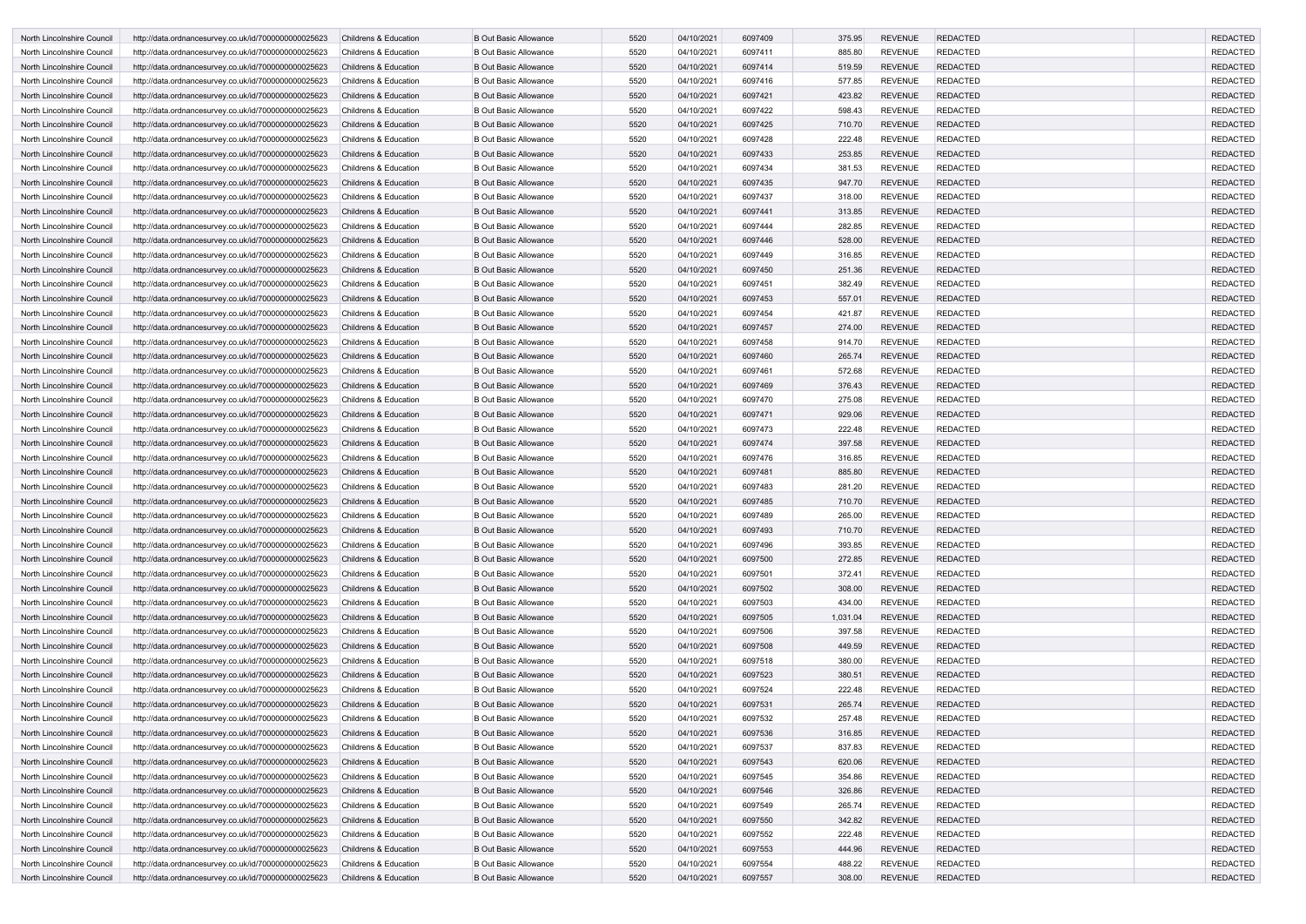| North Lincolnshire Council | http://data.ordnancesurvey.co.uk/id/7000000000025623 | <b>Childrens &amp; Education</b> | <b>B Out Basic Allowance</b> | 5520 | 04/10/2021 | 6097409 | 375.95   | <b>REVENUE</b> | <b>REDACTED</b> | <b>REDACTED</b> |
|----------------------------|------------------------------------------------------|----------------------------------|------------------------------|------|------------|---------|----------|----------------|-----------------|-----------------|
| North Lincolnshire Council | http://data.ordnancesurvey.co.uk/id/7000000000025623 | <b>Childrens &amp; Education</b> | <b>B Out Basic Allowance</b> | 5520 | 04/10/2021 | 6097411 | 885.80   | <b>REVENUE</b> | <b>REDACTED</b> | <b>REDACTED</b> |
| North Lincolnshire Council | http://data.ordnancesurvey.co.uk/id/7000000000025623 | <b>Childrens &amp; Education</b> | <b>B Out Basic Allowance</b> | 5520 | 04/10/2021 | 6097414 | 519.59   | <b>REVENUE</b> | <b>REDACTED</b> | <b>REDACTED</b> |
| North Lincolnshire Council | http://data.ordnancesurvey.co.uk/id/7000000000025623 | Childrens & Education            | <b>B Out Basic Allowance</b> | 5520 | 04/10/2021 | 6097416 | 577.85   | <b>REVENUE</b> | <b>REDACTED</b> | <b>REDACTED</b> |
| North Lincolnshire Council | http://data.ordnancesurvey.co.uk/id/7000000000025623 | <b>Childrens &amp; Education</b> | <b>B Out Basic Allowance</b> | 5520 | 04/10/2021 | 6097421 | 423.82   | <b>REVENUE</b> | <b>REDACTED</b> | <b>REDACTED</b> |
| North Lincolnshire Council | http://data.ordnancesurvey.co.uk/id/7000000000025623 | <b>Childrens &amp; Education</b> | <b>B Out Basic Allowance</b> | 5520 | 04/10/2021 | 6097422 | 598.43   | <b>REVENUE</b> | <b>REDACTED</b> | <b>REDACTED</b> |
| North Lincolnshire Council | http://data.ordnancesurvey.co.uk/id/7000000000025623 | <b>Childrens &amp; Education</b> | <b>B Out Basic Allowance</b> | 5520 | 04/10/2021 | 6097425 | 710.70   | <b>REVENUE</b> | <b>REDACTED</b> | <b>REDACTED</b> |
| North Lincolnshire Council | http://data.ordnancesurvey.co.uk/id/7000000000025623 | <b>Childrens &amp; Education</b> | <b>B Out Basic Allowance</b> | 5520 | 04/10/2021 | 6097428 | 222.48   | <b>REVENUE</b> | <b>REDACTED</b> | <b>REDACTED</b> |
| North Lincolnshire Council | http://data.ordnancesurvey.co.uk/id/7000000000025623 | <b>Childrens &amp; Education</b> | <b>B Out Basic Allowance</b> | 5520 | 04/10/2021 | 6097433 | 253.85   | <b>REVENUE</b> | <b>REDACTED</b> | <b>REDACTED</b> |
| North Lincolnshire Council | http://data.ordnancesurvey.co.uk/id/7000000000025623 | <b>Childrens &amp; Education</b> | <b>B Out Basic Allowance</b> | 5520 | 04/10/2021 | 6097434 | 381.53   | <b>REVENUE</b> | <b>REDACTED</b> | <b>REDACTED</b> |
| North Lincolnshire Council | http://data.ordnancesurvey.co.uk/id/7000000000025623 | <b>Childrens &amp; Education</b> | <b>B Out Basic Allowance</b> | 5520 | 04/10/2021 | 6097435 | 947.70   | <b>REVENUE</b> | <b>REDACTED</b> | <b>REDACTED</b> |
| North Lincolnshire Council | http://data.ordnancesurvey.co.uk/id/7000000000025623 | <b>Childrens &amp; Education</b> | <b>B Out Basic Allowance</b> | 5520 | 04/10/2021 | 6097437 | 318.00   | <b>REVENUE</b> | <b>REDACTED</b> | <b>REDACTED</b> |
| North Lincolnshire Council | http://data.ordnancesurvey.co.uk/id/7000000000025623 | <b>Childrens &amp; Education</b> | <b>B Out Basic Allowance</b> | 5520 | 04/10/2021 | 6097441 | 313.85   | <b>REVENUE</b> | <b>REDACTED</b> | <b>REDACTED</b> |
| North Lincolnshire Council | http://data.ordnancesurvey.co.uk/id/7000000000025623 | <b>Childrens &amp; Education</b> | <b>B Out Basic Allowance</b> | 5520 | 04/10/2021 | 6097444 | 282.85   | <b>REVENUE</b> | <b>REDACTED</b> | <b>REDACTED</b> |
| North Lincolnshire Council | http://data.ordnancesurvey.co.uk/id/7000000000025623 | <b>Childrens &amp; Education</b> | <b>B Out Basic Allowance</b> | 5520 | 04/10/2021 | 6097446 | 528.00   | <b>REVENUE</b> | <b>REDACTED</b> | <b>REDACTED</b> |
| North Lincolnshire Council | http://data.ordnancesurvey.co.uk/id/7000000000025623 | <b>Childrens &amp; Education</b> | <b>B Out Basic Allowance</b> | 5520 | 04/10/2021 | 6097449 | 316.85   | <b>REVENUE</b> | <b>REDACTED</b> | <b>REDACTED</b> |
| North Lincolnshire Council | http://data.ordnancesurvey.co.uk/id/7000000000025623 | <b>Childrens &amp; Education</b> | <b>B Out Basic Allowance</b> | 5520 | 04/10/2021 | 6097450 | 251.36   | <b>REVENUE</b> | <b>REDACTED</b> | <b>REDACTED</b> |
| North Lincolnshire Council | http://data.ordnancesurvey.co.uk/id/7000000000025623 | <b>Childrens &amp; Education</b> | <b>B Out Basic Allowance</b> | 5520 | 04/10/2021 | 6097451 | 382.49   | <b>REVENUE</b> | <b>REDACTED</b> | <b>REDACTED</b> |
| North Lincolnshire Council | http://data.ordnancesurvey.co.uk/id/7000000000025623 | <b>Childrens &amp; Education</b> | <b>B Out Basic Allowance</b> | 5520 | 04/10/2021 | 6097453 | 557.01   | <b>REVENUE</b> | <b>REDACTED</b> | <b>REDACTED</b> |
| North Lincolnshire Council | http://data.ordnancesurvey.co.uk/id/7000000000025623 | Childrens & Education            | <b>B Out Basic Allowance</b> | 5520 | 04/10/2021 | 6097454 | 421.87   | <b>REVENUE</b> | <b>REDACTED</b> | <b>REDACTED</b> |
| North Lincolnshire Council | http://data.ordnancesurvey.co.uk/id/7000000000025623 | <b>Childrens &amp; Education</b> | <b>B Out Basic Allowance</b> | 5520 | 04/10/2021 | 6097457 | 274.00   | <b>REVENUE</b> | <b>REDACTED</b> | <b>REDACTED</b> |
| North Lincolnshire Council | http://data.ordnancesurvey.co.uk/id/7000000000025623 | <b>Childrens &amp; Education</b> | <b>B Out Basic Allowance</b> | 5520 | 04/10/2021 | 6097458 | 914.70   | <b>REVENUE</b> | <b>REDACTED</b> | <b>REDACTED</b> |
| North Lincolnshire Council | http://data.ordnancesurvey.co.uk/id/7000000000025623 | <b>Childrens &amp; Education</b> | <b>B Out Basic Allowance</b> | 5520 | 04/10/2021 | 6097460 | 265.74   | <b>REVENUE</b> | <b>REDACTED</b> | <b>REDACTED</b> |
| North Lincolnshire Council | http://data.ordnancesurvey.co.uk/id/7000000000025623 | <b>Childrens &amp; Education</b> | <b>B Out Basic Allowance</b> | 5520 | 04/10/2021 | 6097461 | 572.68   | <b>REVENUE</b> | <b>REDACTED</b> | <b>REDACTED</b> |
| North Lincolnshire Council | http://data.ordnancesurvey.co.uk/id/7000000000025623 | <b>Childrens &amp; Education</b> | <b>B Out Basic Allowance</b> | 5520 | 04/10/2021 | 6097469 | 376.43   | <b>REVENUE</b> | <b>REDACTED</b> | <b>REDACTED</b> |
| North Lincolnshire Council | http://data.ordnancesurvey.co.uk/id/7000000000025623 | <b>Childrens &amp; Education</b> | <b>B Out Basic Allowance</b> | 5520 | 04/10/2021 | 6097470 | 275.08   | <b>REVENUE</b> | <b>REDACTED</b> | <b>REDACTED</b> |
| North Lincolnshire Council | http://data.ordnancesurvey.co.uk/id/7000000000025623 | <b>Childrens &amp; Education</b> | <b>B Out Basic Allowance</b> | 5520 | 04/10/2021 | 6097471 | 929.06   | <b>REVENUE</b> | <b>REDACTED</b> | <b>REDACTED</b> |
| North Lincolnshire Council | http://data.ordnancesurvey.co.uk/id/7000000000025623 | Childrens & Education            | <b>B Out Basic Allowance</b> | 5520 | 04/10/2021 | 6097473 | 222.48   | <b>REVENUE</b> | <b>REDACTED</b> | <b>REDACTED</b> |
| North Lincolnshire Council | http://data.ordnancesurvey.co.uk/id/7000000000025623 | Childrens & Education            | <b>B Out Basic Allowance</b> | 5520 | 04/10/2021 | 6097474 | 397.58   | <b>REVENUE</b> | <b>REDACTED</b> | <b>REDACTED</b> |
| North Lincolnshire Council | http://data.ordnancesurvey.co.uk/id/7000000000025623 | Childrens & Education            | <b>B Out Basic Allowance</b> | 5520 | 04/10/2021 | 6097476 | 316.85   | <b>REVENUE</b> | <b>REDACTED</b> | <b>REDACTED</b> |
| North Lincolnshire Council | http://data.ordnancesurvey.co.uk/id/7000000000025623 | <b>Childrens &amp; Education</b> | <b>B Out Basic Allowance</b> | 5520 | 04/10/2021 | 6097481 | 885.80   | <b>REVENUE</b> | <b>REDACTED</b> | <b>REDACTED</b> |
| North Lincolnshire Council | http://data.ordnancesurvey.co.uk/id/7000000000025623 | <b>Childrens &amp; Education</b> | <b>B Out Basic Allowance</b> | 5520 | 04/10/2021 | 6097483 | 281.20   | <b>REVENUE</b> | <b>REDACTED</b> | <b>REDACTED</b> |
| North Lincolnshire Council | http://data.ordnancesurvey.co.uk/id/7000000000025623 | <b>Childrens &amp; Education</b> | <b>B Out Basic Allowance</b> | 5520 | 04/10/2021 | 6097485 | 710.70   | <b>REVENUE</b> | <b>REDACTED</b> | <b>REDACTED</b> |
| North Lincolnshire Council | http://data.ordnancesurvey.co.uk/id/7000000000025623 | Childrens & Education            | <b>B Out Basic Allowance</b> | 5520 | 04/10/2021 | 6097489 | 265.00   | <b>REVENUE</b> | <b>REDACTED</b> | <b>REDACTED</b> |
| North Lincolnshire Council | http://data.ordnancesurvey.co.uk/id/7000000000025623 | Childrens & Education            | <b>B Out Basic Allowance</b> | 5520 | 04/10/2021 | 6097493 | 710.70   | <b>REVENUE</b> | <b>REDACTED</b> | <b>REDACTED</b> |
| North Lincolnshire Council | http://data.ordnancesurvey.co.uk/id/7000000000025623 | Childrens & Education            | <b>B Out Basic Allowance</b> | 5520 | 04/10/2021 | 6097496 | 393.85   | <b>REVENUE</b> | <b>REDACTED</b> | <b>REDACTED</b> |
| North Lincolnshire Council | http://data.ordnancesurvey.co.uk/id/7000000000025623 | Childrens & Education            | <b>B Out Basic Allowance</b> | 5520 | 04/10/2021 | 6097500 | 272.85   | <b>REVENUE</b> | <b>REDACTED</b> | <b>REDACTED</b> |
| North Lincolnshire Council | http://data.ordnancesurvey.co.uk/id/7000000000025623 | Childrens & Education            | <b>B Out Basic Allowance</b> | 5520 | 04/10/2021 | 6097501 | 372.41   | <b>REVENUE</b> | <b>REDACTED</b> | <b>REDACTED</b> |
| North Lincolnshire Council | http://data.ordnancesurvey.co.uk/id/7000000000025623 | <b>Childrens &amp; Education</b> | <b>B Out Basic Allowance</b> | 5520 | 04/10/2021 | 6097502 | 308.00   | <b>REVENUE</b> | <b>REDACTED</b> | <b>REDACTED</b> |
| North Lincolnshire Council | http://data.ordnancesurvey.co.uk/id/7000000000025623 | Childrens & Education            | <b>B Out Basic Allowance</b> | 5520 | 04/10/2021 | 6097503 | 434.00   | <b>REVENUE</b> | <b>REDACTED</b> | <b>REDACTED</b> |
| North Lincolnshire Council | http://data.ordnancesurvey.co.uk/id/7000000000025623 | Childrens & Education            | <b>B Out Basic Allowance</b> | 5520 | 04/10/2021 | 6097505 | 1,031.04 | <b>REVENUE</b> | <b>REDACTED</b> | <b>REDACTED</b> |
| North Lincolnshire Council | http://data.ordnancesurvey.co.uk/id/7000000000025623 | Childrens & Education            | <b>B Out Basic Allowance</b> | 5520 | 04/10/2021 | 6097506 | 397.58   | <b>REVENUE</b> | <b>REDACTED</b> | <b>REDACTED</b> |
| North Lincolnshire Council | http://data.ordnancesurvey.co.uk/id/7000000000025623 | <b>Childrens &amp; Education</b> | <b>B Out Basic Allowance</b> | 5520 | 04/10/2021 | 6097508 | 449.59   | <b>REVENUE</b> | <b>REDACTED</b> | <b>REDACTED</b> |
| North Lincolnshire Council | http://data.ordnancesurvey.co.uk/id/7000000000025623 | Childrens & Education            | <b>B Out Basic Allowance</b> | 5520 | 04/10/2021 | 6097518 | 380.00   | <b>REVENUE</b> | <b>REDACTED</b> | <b>REDACTED</b> |
| North Lincolnshire Council | http://data.ordnancesurvey.co.uk/id/7000000000025623 | Childrens & Education            | <b>B Out Basic Allowance</b> | 5520 | 04/10/2021 | 6097523 | 380.51   | <b>REVENUE</b> | <b>REDACTED</b> | <b>REDACTED</b> |
| North Lincolnshire Council | http://data.ordnancesurvey.co.uk/id/7000000000025623 | Childrens & Education            | <b>B Out Basic Allowance</b> | 5520 | 04/10/2021 | 6097524 | 222.48   | <b>REVENUE</b> | <b>REDACTED</b> | <b>REDACTED</b> |
| North Lincolnshire Council | http://data.ordnancesurvey.co.uk/id/7000000000025623 | Childrens & Education            | <b>B Out Basic Allowance</b> | 5520 | 04/10/2021 | 6097531 | 265.74   | <b>REVENUE</b> | <b>REDACTED</b> | <b>REDACTED</b> |
| North Lincolnshire Council | http://data.ordnancesurvey.co.uk/id/7000000000025623 | Childrens & Education            | <b>B Out Basic Allowance</b> | 5520 | 04/10/2021 | 6097532 | 257.48   | <b>REVENUE</b> | <b>REDACTED</b> | <b>REDACTED</b> |
| North Lincolnshire Council | http://data.ordnancesurvey.co.uk/id/7000000000025623 | <b>Childrens &amp; Education</b> | <b>B Out Basic Allowance</b> | 5520 | 04/10/2021 | 6097536 | 316.85   | <b>REVENUE</b> | <b>REDACTED</b> | <b>REDACTED</b> |
| North Lincolnshire Council | http://data.ordnancesurvey.co.uk/id/7000000000025623 | Childrens & Education            | <b>B Out Basic Allowance</b> | 5520 | 04/10/2021 | 6097537 | 837.83   | <b>REVENUE</b> | <b>REDACTED</b> | <b>REDACTED</b> |
| North Lincolnshire Council | http://data.ordnancesurvey.co.uk/id/7000000000025623 | Childrens & Education            | <b>B Out Basic Allowance</b> | 5520 | 04/10/2021 | 6097543 | 620.06   | <b>REVENUE</b> | <b>REDACTED</b> | <b>REDACTED</b> |
| North Lincolnshire Council | http://data.ordnancesurvey.co.uk/id/7000000000025623 | Childrens & Education            | <b>B Out Basic Allowance</b> | 5520 | 04/10/2021 | 6097545 | 354.86   | <b>REVENUE</b> | <b>REDACTED</b> | <b>REDACTED</b> |
| North Lincolnshire Council | http://data.ordnancesurvey.co.uk/id/7000000000025623 | Childrens & Education            | <b>B Out Basic Allowance</b> | 5520 | 04/10/2021 | 6097546 | 326.86   | <b>REVENUE</b> | <b>REDACTED</b> | <b>REDACTED</b> |
| North Lincolnshire Council | http://data.ordnancesurvey.co.uk/id/7000000000025623 | Childrens & Education            | <b>B Out Basic Allowance</b> | 5520 | 04/10/2021 | 6097549 | 265.74   | <b>REVENUE</b> | <b>REDACTED</b> | <b>REDACTED</b> |
| North Lincolnshire Council | http://data.ordnancesurvey.co.uk/id/7000000000025623 | Childrens & Education            | <b>B Out Basic Allowance</b> | 5520 | 04/10/2021 | 6097550 | 342.82   | <b>REVENUE</b> | <b>REDACTED</b> | <b>REDACTED</b> |
| North Lincolnshire Council | http://data.ordnancesurvey.co.uk/id/7000000000025623 | Childrens & Education            | <b>B Out Basic Allowance</b> | 5520 | 04/10/2021 | 6097552 | 222.48   | <b>REVENUE</b> | <b>REDACTED</b> | <b>REDACTED</b> |
| North Lincolnshire Council | http://data.ordnancesurvey.co.uk/id/7000000000025623 | <b>Childrens &amp; Education</b> | <b>B Out Basic Allowance</b> | 5520 | 04/10/2021 | 6097553 | 444.96   | <b>REVENUE</b> | <b>REDACTED</b> | <b>REDACTED</b> |
| North Lincolnshire Council | http://data.ordnancesurvey.co.uk/id/7000000000025623 | <b>Childrens &amp; Education</b> | <b>B Out Basic Allowance</b> | 5520 | 04/10/2021 | 6097554 | 488.22   | <b>REVENUE</b> | <b>REDACTED</b> | <b>REDACTED</b> |
| North Lincolnshire Council | http://data.ordnancesurvey.co.uk/id/7000000000025623 | <b>Childrens &amp; Education</b> | <b>B Out Basic Allowance</b> | 5520 | 04/10/2021 | 6097557 | 308.00   | <b>REVENUE</b> | <b>REDACTED</b> | <b>REDACTED</b> |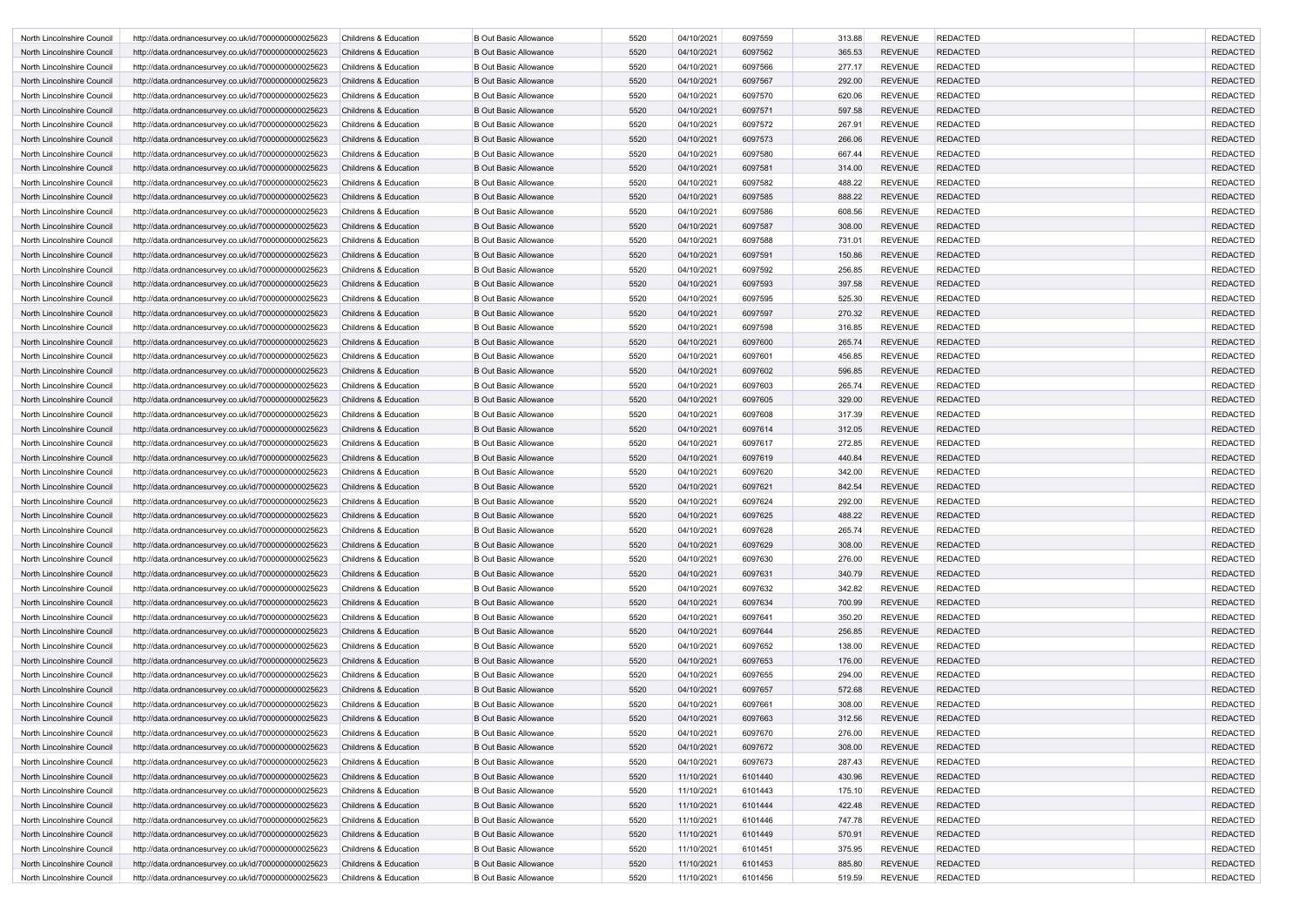| North Lincolnshire Council | http://data.ordnancesurvey.co.uk/id/7000000000025623                                                         | <b>Childrens &amp; Education</b> | <b>B Out Basic Allowance</b>                                 | 5520         | 04/10/2021 | 6097559 | 313.88           | <b>REVENUE</b>                   | <b>REDACTED</b>             | <b>REDACTED</b>                    |
|----------------------------|--------------------------------------------------------------------------------------------------------------|----------------------------------|--------------------------------------------------------------|--------------|------------|---------|------------------|----------------------------------|-----------------------------|------------------------------------|
| North Lincolnshire Council | http://data.ordnancesurvey.co.uk/id/7000000000025623                                                         | <b>Childrens &amp; Education</b> | <b>B Out Basic Allowance</b>                                 | 5520         | 04/10/2021 | 6097562 | 365.53           | <b>REVENUE</b>                   | <b>REDACTED</b>             | <b>REDACTED</b>                    |
| North Lincolnshire Council | http://data.ordnancesurvey.co.uk/id/7000000000025623                                                         | <b>Childrens &amp; Education</b> | <b>B Out Basic Allowance</b>                                 | 5520         | 04/10/2021 | 6097566 | 277.17           | <b>REVENUE</b>                   | <b>REDACTED</b>             | <b>REDACTED</b>                    |
| North Lincolnshire Council | http://data.ordnancesurvey.co.uk/id/7000000000025623                                                         | <b>Childrens &amp; Education</b> | <b>B Out Basic Allowance</b>                                 | 5520         | 04/10/2021 | 6097567 | 292.00           | <b>REVENUE</b>                   | <b>REDACTED</b>             | <b>REDACTED</b>                    |
| North Lincolnshire Council | http://data.ordnancesurvey.co.uk/id/7000000000025623                                                         | <b>Childrens &amp; Education</b> | <b>B Out Basic Allowance</b>                                 | 5520         | 04/10/2021 | 6097570 | 620.06           | <b>REVENUE</b>                   | <b>REDACTED</b>             | <b>REDACTED</b>                    |
| North Lincolnshire Council | http://data.ordnancesurvey.co.uk/id/7000000000025623                                                         | <b>Childrens &amp; Education</b> | <b>B Out Basic Allowance</b>                                 | 5520         | 04/10/2021 | 6097571 | 597.58           | <b>REVENUE</b>                   | <b>REDACTED</b>             | <b>REDACTED</b>                    |
| North Lincolnshire Council | http://data.ordnancesurvey.co.uk/id/7000000000025623                                                         | <b>Childrens &amp; Education</b> | <b>B Out Basic Allowance</b>                                 | 5520         | 04/10/2021 | 6097572 | 267.91           | <b>REVENUE</b>                   | <b>REDACTED</b>             | <b>REDACTED</b>                    |
| North Lincolnshire Council | http://data.ordnancesurvey.co.uk/id/7000000000025623                                                         | <b>Childrens &amp; Education</b> | <b>B Out Basic Allowance</b>                                 | 5520         | 04/10/2021 | 6097573 | 266.06           | <b>REVENUE</b>                   | <b>REDACTED</b>             | <b>REDACTED</b>                    |
| North Lincolnshire Council | http://data.ordnancesurvey.co.uk/id/7000000000025623                                                         | <b>Childrens &amp; Education</b> | <b>B Out Basic Allowance</b>                                 | 5520         | 04/10/2021 | 6097580 | 667.44           | <b>REVENUE</b>                   | <b>REDACTED</b>             | <b>REDACTED</b>                    |
| North Lincolnshire Council | http://data.ordnancesurvey.co.uk/id/7000000000025623                                                         | <b>Childrens &amp; Education</b> | <b>B Out Basic Allowance</b>                                 | 5520         | 04/10/2021 | 6097581 | 314.00           | <b>REVENUE</b>                   | <b>REDACTED</b>             | <b>REDACTED</b>                    |
| North Lincolnshire Council | http://data.ordnancesurvey.co.uk/id/7000000000025623                                                         | <b>Childrens &amp; Education</b> | <b>B Out Basic Allowance</b>                                 | 5520         | 04/10/2021 | 6097582 | 488.22           | <b>REVENUE</b>                   | <b>REDACTED</b>             | <b>REDACTED</b>                    |
| North Lincolnshire Council | http://data.ordnancesurvey.co.uk/id/7000000000025623                                                         | <b>Childrens &amp; Education</b> | <b>B Out Basic Allowance</b>                                 | 5520         | 04/10/2021 | 6097585 | 888.22           | <b>REVENUE</b>                   | <b>REDACTED</b>             | <b>REDACTED</b>                    |
| North Lincolnshire Council | http://data.ordnancesurvey.co.uk/id/7000000000025623                                                         | <b>Childrens &amp; Education</b> | <b>B Out Basic Allowance</b>                                 | 5520         | 04/10/2021 | 6097586 | 608.56           | <b>REVENUE</b>                   | <b>REDACTED</b>             | <b>REDACTED</b>                    |
| North Lincolnshire Council | http://data.ordnancesurvey.co.uk/id/7000000000025623                                                         | <b>Childrens &amp; Education</b> | <b>B Out Basic Allowance</b>                                 | 5520         | 04/10/2021 | 6097587 | 308.00           | <b>REVENUE</b>                   | <b>REDACTED</b>             | <b>REDACTED</b>                    |
| North Lincolnshire Council | http://data.ordnancesurvey.co.uk/id/7000000000025623                                                         | <b>Childrens &amp; Education</b> | <b>B Out Basic Allowance</b>                                 | 5520         | 04/10/2021 | 6097588 | 731.01           | <b>REVENUE</b>                   | <b>REDACTED</b>             | <b>REDACTED</b>                    |
| North Lincolnshire Council | http://data.ordnancesurvey.co.uk/id/7000000000025623                                                         | <b>Childrens &amp; Education</b> | <b>B Out Basic Allowance</b>                                 | 5520         | 04/10/2021 | 6097591 | 150.86           | <b>REVENUE</b>                   | <b>REDACTED</b>             | <b>REDACTED</b>                    |
| North Lincolnshire Council | http://data.ordnancesurvey.co.uk/id/7000000000025623                                                         | <b>Childrens &amp; Education</b> | <b>B Out Basic Allowance</b>                                 | 5520         | 04/10/2021 | 6097592 | 256.85           | <b>REVENUE</b>                   | <b>REDACTED</b>             | <b>REDACTED</b>                    |
| North Lincolnshire Council | http://data.ordnancesurvey.co.uk/id/7000000000025623                                                         | <b>Childrens &amp; Education</b> | <b>B Out Basic Allowance</b>                                 | 5520         | 04/10/2021 | 6097593 | 397.58           | <b>REVENUE</b>                   | <b>REDACTED</b>             | <b>REDACTED</b>                    |
| North Lincolnshire Council | http://data.ordnancesurvey.co.uk/id/7000000000025623                                                         | <b>Childrens &amp; Education</b> | <b>B Out Basic Allowance</b>                                 | 5520         | 04/10/2021 | 6097595 | 525.30           | <b>REVENUE</b>                   | <b>REDACTED</b>             | <b>REDACTED</b>                    |
| North Lincolnshire Council | http://data.ordnancesurvey.co.uk/id/7000000000025623                                                         | <b>Childrens &amp; Education</b> | <b>B Out Basic Allowance</b>                                 | 5520         | 04/10/2021 | 6097597 | 270.32           | <b>REVENUE</b>                   | <b>REDACTED</b>             | <b>REDACTED</b>                    |
| North Lincolnshire Council | http://data.ordnancesurvey.co.uk/id/7000000000025623                                                         | <b>Childrens &amp; Education</b> | <b>B Out Basic Allowance</b>                                 | 5520         | 04/10/2021 | 6097598 | 316.85           | <b>REVENUE</b>                   | <b>REDACTED</b>             | <b>REDACTED</b>                    |
| North Lincolnshire Council | http://data.ordnancesurvey.co.uk/id/7000000000025623                                                         | <b>Childrens &amp; Education</b> | <b>B Out Basic Allowance</b>                                 | 5520         | 04/10/2021 | 6097600 | 265.74           | <b>REVENUE</b>                   | <b>REDACTED</b>             | <b>REDACTED</b>                    |
| North Lincolnshire Council | http://data.ordnancesurvey.co.uk/id/7000000000025623                                                         | <b>Childrens &amp; Education</b> | <b>B Out Basic Allowance</b>                                 | 5520         | 04/10/2021 | 6097601 | 456.85           | <b>REVENUE</b>                   | <b>REDACTED</b>             | <b>REDACTED</b>                    |
| North Lincolnshire Council | http://data.ordnancesurvey.co.uk/id/7000000000025623                                                         | <b>Childrens &amp; Education</b> | <b>B Out Basic Allowance</b>                                 | 5520         | 04/10/2021 | 6097602 | 596.85           | <b>REVENUE</b>                   | <b>REDACTED</b>             | <b>REDACTED</b>                    |
| North Lincolnshire Council | http://data.ordnancesurvey.co.uk/id/7000000000025623                                                         | <b>Childrens &amp; Education</b> | <b>B Out Basic Allowance</b>                                 | 5520         | 04/10/2021 | 6097603 | 265.74           | <b>REVENUE</b>                   | <b>REDACTED</b>             | <b>REDACTED</b>                    |
| North Lincolnshire Council | http://data.ordnancesurvey.co.uk/id/7000000000025623                                                         | <b>Childrens &amp; Education</b> | <b>B Out Basic Allowance</b>                                 | 5520         | 04/10/2021 | 6097605 | 329.00           | <b>REVENUE</b>                   | <b>REDACTED</b>             | <b>REDACTED</b>                    |
| North Lincolnshire Council | http://data.ordnancesurvey.co.uk/id/7000000000025623                                                         | <b>Childrens &amp; Education</b> | <b>B Out Basic Allowance</b>                                 | 5520         | 04/10/2021 | 6097608 | 317.39           | <b>REVENUE</b>                   | <b>REDACTED</b>             | <b>REDACTED</b>                    |
| North Lincolnshire Council | http://data.ordnancesurvey.co.uk/id/7000000000025623                                                         | <b>Childrens &amp; Education</b> | <b>B Out Basic Allowance</b>                                 | 5520         | 04/10/2021 | 6097614 | 312.05           | <b>REVENUE</b>                   | <b>REDACTED</b>             | <b>REDACTED</b>                    |
| North Lincolnshire Council | http://data.ordnancesurvey.co.uk/id/7000000000025623                                                         | <b>Childrens &amp; Education</b> | <b>B Out Basic Allowance</b>                                 | 5520         | 04/10/2021 | 6097617 | 272.85           | <b>REVENUE</b>                   | <b>REDACTED</b>             | <b>REDACTED</b>                    |
| North Lincolnshire Council | http://data.ordnancesurvey.co.uk/id/7000000000025623                                                         | <b>Childrens &amp; Education</b> | <b>B Out Basic Allowance</b>                                 | 5520         | 04/10/2021 | 6097619 | 440.84           | <b>REVENUE</b>                   | <b>REDACTED</b>             | <b>REDACTED</b>                    |
| North Lincolnshire Council | http://data.ordnancesurvey.co.uk/id/7000000000025623                                                         | <b>Childrens &amp; Education</b> | <b>B Out Basic Allowance</b>                                 | 5520         | 04/10/2021 | 6097620 | 342.00           | <b>REVENUE</b>                   | REDACTED                    | <b>REDACTED</b>                    |
| North Lincolnshire Council | http://data.ordnancesurvey.co.uk/id/7000000000025623                                                         | <b>Childrens &amp; Education</b> | <b>B Out Basic Allowance</b>                                 | 5520         | 04/10/2021 | 6097621 | 842.54           | <b>REVENUE</b>                   | <b>REDACTED</b>             | <b>REDACTED</b>                    |
| North Lincolnshire Council | http://data.ordnancesurvey.co.uk/id/7000000000025623                                                         | <b>Childrens &amp; Education</b> | <b>B Out Basic Allowance</b>                                 | 5520         | 04/10/2021 | 6097624 | 292.00           | <b>REVENUE</b>                   | <b>REDACTED</b>             | <b>REDACTED</b>                    |
| North Lincolnshire Council | http://data.ordnancesurvey.co.uk/id/7000000000025623                                                         | Childrens & Education            | <b>B Out Basic Allowance</b>                                 | 5520         | 04/10/2021 | 6097625 | 488.22           | <b>REVENUE</b>                   | <b>REDACTED</b>             | <b>REDACTED</b>                    |
| North Lincolnshire Council | http://data.ordnancesurvey.co.uk/id/7000000000025623                                                         | Childrens & Education            | <b>B Out Basic Allowance</b>                                 | 5520         | 04/10/2021 | 6097628 | 265.74           | <b>REVENUE</b>                   | REDACTED                    | <b>REDACTED</b>                    |
| North Lincolnshire Council | http://data.ordnancesurvey.co.uk/id/7000000000025623                                                         | Childrens & Education            | <b>B Out Basic Allowance</b>                                 | 5520         | 04/10/2021 | 6097629 | 308.00           | <b>REVENUE</b>                   | <b>REDACTED</b>             | <b>REDACTED</b>                    |
| North Lincolnshire Council | http://data.ordnancesurvey.co.uk/id/7000000000025623                                                         | Childrens & Education            | <b>B Out Basic Allowance</b>                                 | 5520         | 04/10/2021 | 6097630 | 276.00           | <b>REVENUE</b>                   | <b>REDACTED</b>             | <b>REDACTED</b>                    |
| North Lincolnshire Council | http://data.ordnancesurvey.co.uk/id/7000000000025623                                                         | Childrens & Education            | <b>B Out Basic Allowance</b>                                 | 5520         | 04/10/2021 | 6097631 | 340.79           | <b>REVENUE</b>                   | <b>REDACTED</b>             | <b>REDACTED</b>                    |
| North Lincolnshire Council | http://data.ordnancesurvey.co.uk/id/7000000000025623                                                         | Childrens & Education            | <b>B Out Basic Allowance</b>                                 | 5520         | 04/10/2021 | 6097632 | 342.82           | <b>REVENUE</b>                   | <b>REDACTED</b>             | <b>REDACTED</b>                    |
| North Lincolnshire Council | http://data.ordnancesurvey.co.uk/id/7000000000025623                                                         | Childrens & Education            | <b>B Out Basic Allowance</b>                                 | 5520         | 04/10/2021 | 6097634 | 700.99           | <b>REVENUE</b>                   | <b>REDACTED</b>             | <b>REDACTED</b>                    |
| North Lincolnshire Council | http://data.ordnancesurvey.co.uk/id/7000000000025623                                                         | Childrens & Education            | <b>B Out Basic Allowance</b>                                 | 5520         | 04/10/2021 | 6097641 | 350.20           | <b>REVENUE</b>                   | <b>REDACTED</b>             | <b>REDACTED</b>                    |
| North Lincolnshire Council | http://data.ordnancesurvey.co.uk/id/7000000000025623                                                         | Childrens & Education            | <b>B Out Basic Allowance</b>                                 | 5520         | 04/10/2021 | 6097644 | 256.85           | <b>REVENUE</b>                   | <b>REDACTED</b>             | <b>REDACTED</b>                    |
| North Lincolnshire Council | http://data.ordnancesurvey.co.uk/id/7000000000025623                                                         | <b>Childrens &amp; Education</b> | <b>B Out Basic Allowance</b>                                 | 5520         | 04/10/2021 | 6097652 | 138.00           | <b>REVENUE</b>                   | <b>REDACTED</b>             | <b>REDACTED</b>                    |
| North Lincolnshire Council | http://data.ordnancesurvey.co.uk/id/7000000000025623                                                         | Childrens & Education            | <b>B Out Basic Allowance</b>                                 | 5520         | 04/10/2021 | 6097653 | 176.00           | <b>REVENUE</b>                   | <b>REDACTED</b>             | <b>REDACTED</b>                    |
| North Lincolnshire Council | http://data.ordnancesurvey.co.uk/id/7000000000025623                                                         | Childrens & Education            | <b>B Out Basic Allowance</b>                                 | 5520         | 04/10/2021 | 6097655 | 294.00           | <b>REVENUE</b>                   | REDACTED                    | <b>REDACTED</b>                    |
| North Lincolnshire Council | http://data.ordnancesurvey.co.uk/id/7000000000025623                                                         | Childrens & Education            | <b>B Out Basic Allowance</b>                                 | 5520         | 04/10/2021 | 6097657 | 572.68           | <b>REVENUE</b>                   | <b>REDACTED</b>             | <b>REDACTED</b>                    |
| North Lincolnshire Council | http://data.ordnancesurvey.co.uk/id/7000000000025623                                                         | Childrens & Education            | <b>B Out Basic Allowance</b>                                 | 5520         | 04/10/2021 | 6097661 | 308.00           | <b>REVENUE</b>                   | <b>REDACTED</b>             | <b>REDACTED</b>                    |
| North Lincolnshire Council | http://data.ordnancesurvey.co.uk/id/7000000000025623                                                         | <b>Childrens &amp; Education</b> | <b>B Out Basic Allowance</b>                                 | 5520         | 04/10/2021 | 6097663 | 312.56           | <b>REVENUE</b>                   | <b>REDACTED</b>             | <b>REDACTED</b>                    |
| North Lincolnshire Council | http://data.ordnancesurvey.co.uk/id/7000000000025623                                                         | Childrens & Education            | <b>B Out Basic Allowance</b>                                 | 5520         | 04/10/2021 | 6097670 | 276.00           | <b>REVENUE</b>                   | <b>REDACTED</b>             | <b>REDACTED</b>                    |
| North Lincolnshire Council | http://data.ordnancesurvey.co.uk/id/7000000000025623                                                         | Childrens & Education            | <b>B Out Basic Allowance</b>                                 | 5520         | 04/10/2021 | 6097672 | 308.00           | <b>REVENUE</b>                   | <b>REDACTED</b>             | <b>REDACTED</b>                    |
| North Lincolnshire Council |                                                                                                              | Childrens & Education            | <b>B Out Basic Allowance</b>                                 | 5520         | 04/10/2021 | 6097673 | 287.43           | <b>REVENUE</b>                   | <b>REDACTED</b>             | <b>REDACTED</b>                    |
| North Lincolnshire Council | http://data.ordnancesurvey.co.uk/id/7000000000025623<br>http://data.ordnancesurvey.co.uk/id/7000000000025623 | Childrens & Education            | <b>B Out Basic Allowance</b>                                 | 5520         | 11/10/2021 | 6101440 | 430.96           | <b>REVENUE</b>                   | <b>REDACTED</b>             | <b>REDACTED</b>                    |
|                            |                                                                                                              |                                  | <b>B Out Basic Allowance</b>                                 | 5520         | 11/10/2021 | 6101443 | 175.10           | <b>REVENUE</b>                   | <b>REDACTED</b>             | <b>REDACTED</b>                    |
| North Lincolnshire Council | http://data.ordnancesurvey.co.uk/id/7000000000025623                                                         | <b>Childrens &amp; Education</b> |                                                              |              |            |         |                  | <b>REVENUE</b>                   |                             |                                    |
| North Lincolnshire Council | http://data.ordnancesurvey.co.uk/id/7000000000025623                                                         | Childrens & Education            | <b>B Out Basic Allowance</b>                                 | 5520<br>5520 | 11/10/2021 | 6101444 | 422.48           |                                  | <b>REDACTED</b>             | <b>REDACTED</b><br><b>REDACTED</b> |
| North Lincolnshire Council | http://data.ordnancesurvey.co.uk/id/7000000000025623                                                         | Childrens & Education            | <b>B Out Basic Allowance</b><br><b>B Out Basic Allowance</b> | 5520         | 11/10/2021 | 6101446 | 747.78<br>570.91 | <b>REVENUE</b><br><b>REVENUE</b> | REDACTED<br><b>REDACTED</b> | <b>REDACTED</b>                    |
| North Lincolnshire Council | http://data.ordnancesurvey.co.uk/id/7000000000025623                                                         | Childrens & Education            |                                                              | 5520         | 11/10/2021 | 6101449 | 375.95           | <b>REVENUE</b>                   | <b>REDACTED</b>             | <b>REDACTED</b>                    |
| North Lincolnshire Council | http://data.ordnancesurvey.co.uk/id/7000000000025623                                                         | Childrens & Education            | <b>B Out Basic Allowance</b>                                 | 5520         | 11/10/2021 | 6101451 | 885.80           | <b>REVENUE</b>                   |                             | <b>REDACTED</b>                    |
| North Lincolnshire Council | http://data.ordnancesurvey.co.uk/id/7000000000025623                                                         | Childrens & Education            | <b>B Out Basic Allowance</b>                                 |              | 11/10/2021 | 6101453 |                  |                                  | <b>REDACTED</b>             |                                    |
| North Lincolnshire Council | http://data.ordnancesurvey.co.uk/id/7000000000025623                                                         | Childrens & Education            | <b>B Out Basic Allowance</b>                                 | 5520         | 11/10/2021 | 6101456 | 519.59           | REVENUE                          | <b>REDACTED</b>             | <b>REDACTED</b>                    |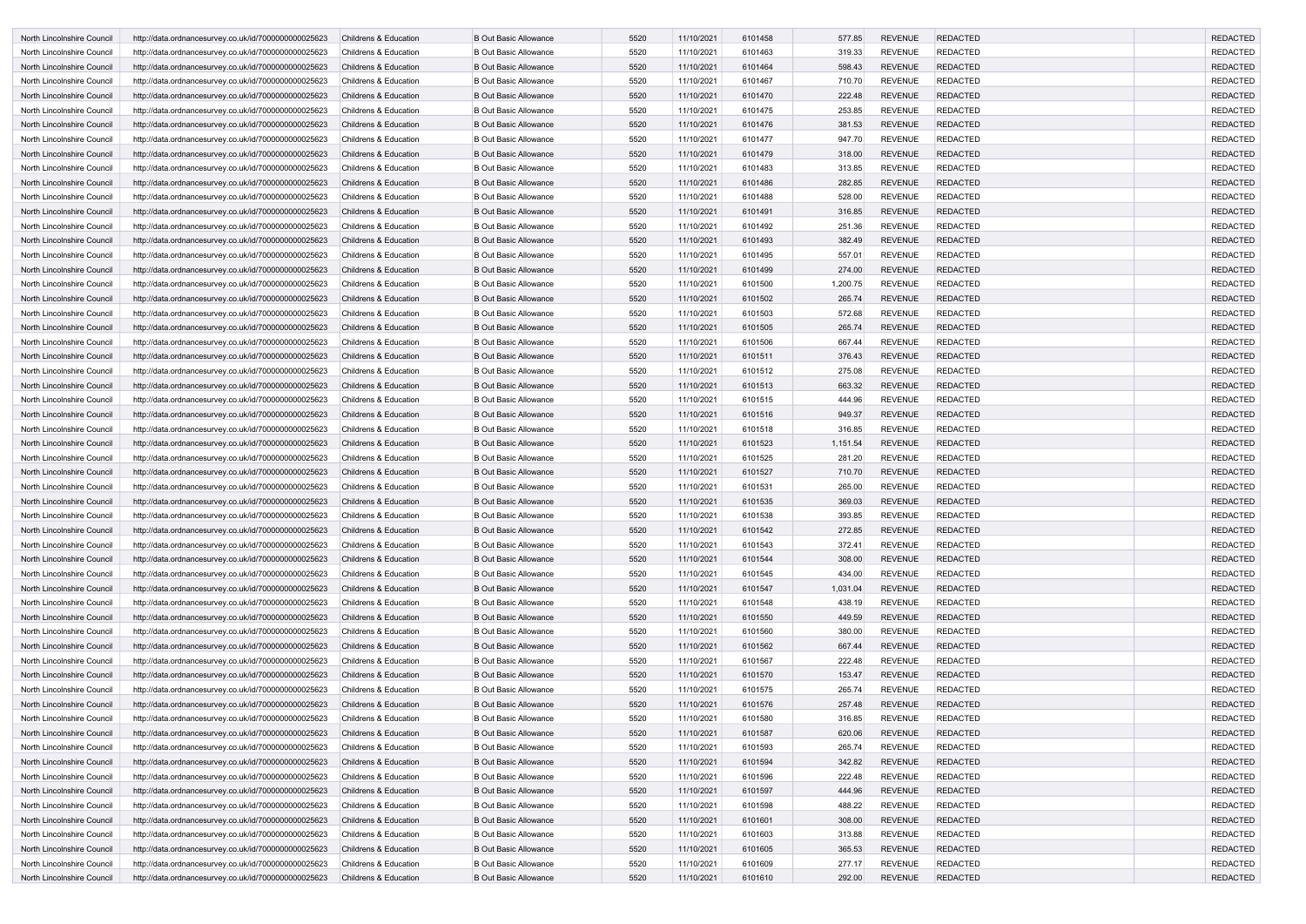| North Lincolnshire Council | http://data.ordnancesurvey.co.uk/id/7000000000025623 | <b>Childrens &amp; Education</b> | <b>B Out Basic Allowance</b> | 5520 | 11/10/2021 | 6101458 | 577.85   | <b>REVENUE</b> | <b>REDACTED</b> | <b>REDACTED</b> |
|----------------------------|------------------------------------------------------|----------------------------------|------------------------------|------|------------|---------|----------|----------------|-----------------|-----------------|
| North Lincolnshire Council | http://data.ordnancesurvey.co.uk/id/7000000000025623 | <b>Childrens &amp; Education</b> | <b>B Out Basic Allowance</b> | 5520 | 11/10/2021 | 6101463 | 319.33   | <b>REVENUE</b> | <b>REDACTED</b> | <b>REDACTED</b> |
| North Lincolnshire Council | http://data.ordnancesurvey.co.uk/id/7000000000025623 | <b>Childrens &amp; Education</b> | <b>B Out Basic Allowance</b> | 5520 | 11/10/2021 | 6101464 | 598.43   | <b>REVENUE</b> | <b>REDACTED</b> | <b>REDACTED</b> |
| North Lincolnshire Council | http://data.ordnancesurvey.co.uk/id/7000000000025623 | Childrens & Education            | <b>B Out Basic Allowance</b> | 5520 | 11/10/2021 | 6101467 | 710.70   | <b>REVENUE</b> | <b>REDACTED</b> | <b>REDACTED</b> |
| North Lincolnshire Council | http://data.ordnancesurvey.co.uk/id/7000000000025623 | <b>Childrens &amp; Education</b> | <b>B Out Basic Allowance</b> | 5520 | 11/10/2021 | 6101470 | 222.48   | <b>REVENUE</b> | <b>REDACTED</b> | <b>REDACTED</b> |
| North Lincolnshire Council | http://data.ordnancesurvey.co.uk/id/7000000000025623 | <b>Childrens &amp; Education</b> | <b>B Out Basic Allowance</b> | 5520 | 11/10/2021 | 6101475 | 253.85   | <b>REVENUE</b> | <b>REDACTED</b> | <b>REDACTED</b> |
| North Lincolnshire Council | http://data.ordnancesurvey.co.uk/id/7000000000025623 | <b>Childrens &amp; Education</b> | <b>B Out Basic Allowance</b> | 5520 | 11/10/2021 | 6101476 | 381.53   | <b>REVENUE</b> | <b>REDACTED</b> | <b>REDACTED</b> |
| North Lincolnshire Council | http://data.ordnancesurvey.co.uk/id/7000000000025623 | <b>Childrens &amp; Education</b> | <b>B Out Basic Allowance</b> | 5520 | 11/10/2021 | 6101477 | 947.70   | <b>REVENUE</b> | <b>REDACTED</b> | <b>REDACTED</b> |
| North Lincolnshire Council | http://data.ordnancesurvey.co.uk/id/7000000000025623 | <b>Childrens &amp; Education</b> | <b>B Out Basic Allowance</b> | 5520 | 11/10/2021 | 6101479 | 318.00   | <b>REVENUE</b> | <b>REDACTED</b> | <b>REDACTED</b> |
| North Lincolnshire Council | http://data.ordnancesurvey.co.uk/id/7000000000025623 | <b>Childrens &amp; Education</b> | <b>B Out Basic Allowance</b> | 5520 | 11/10/2021 | 6101483 | 313.85   | <b>REVENUE</b> | <b>REDACTED</b> | <b>REDACTED</b> |
| North Lincolnshire Council | http://data.ordnancesurvey.co.uk/id/7000000000025623 | <b>Childrens &amp; Education</b> | <b>B Out Basic Allowance</b> | 5520 | 11/10/2021 | 6101486 | 282.85   | <b>REVENUE</b> | <b>REDACTED</b> | <b>REDACTED</b> |
| North Lincolnshire Council | http://data.ordnancesurvey.co.uk/id/7000000000025623 | <b>Childrens &amp; Education</b> | <b>B Out Basic Allowance</b> | 5520 | 11/10/2021 | 6101488 | 528.00   | <b>REVENUE</b> | <b>REDACTED</b> | <b>REDACTED</b> |
| North Lincolnshire Council | http://data.ordnancesurvey.co.uk/id/7000000000025623 | <b>Childrens &amp; Education</b> | <b>B Out Basic Allowance</b> | 5520 | 11/10/2021 | 6101491 | 316.85   | <b>REVENUE</b> | <b>REDACTED</b> | <b>REDACTED</b> |
| North Lincolnshire Council | http://data.ordnancesurvey.co.uk/id/7000000000025623 | <b>Childrens &amp; Education</b> | <b>B Out Basic Allowance</b> | 5520 | 11/10/2021 | 6101492 | 251.36   | <b>REVENUE</b> | <b>REDACTED</b> | <b>REDACTED</b> |
| North Lincolnshire Council | http://data.ordnancesurvey.co.uk/id/7000000000025623 | <b>Childrens &amp; Education</b> | <b>B Out Basic Allowance</b> | 5520 | 11/10/2021 | 6101493 | 382.49   | <b>REVENUE</b> | <b>REDACTED</b> | <b>REDACTED</b> |
| North Lincolnshire Council | http://data.ordnancesurvey.co.uk/id/7000000000025623 | <b>Childrens &amp; Education</b> | <b>B Out Basic Allowance</b> | 5520 | 11/10/2021 | 6101495 | 557.01   | <b>REVENUE</b> | <b>REDACTED</b> | <b>REDACTED</b> |
| North Lincolnshire Council | http://data.ordnancesurvey.co.uk/id/7000000000025623 | <b>Childrens &amp; Education</b> | <b>B Out Basic Allowance</b> | 5520 | 11/10/2021 | 6101499 | 274.00   | <b>REVENUE</b> | <b>REDACTED</b> | <b>REDACTED</b> |
| North Lincolnshire Council | http://data.ordnancesurvey.co.uk/id/7000000000025623 | <b>Childrens &amp; Education</b> | <b>B Out Basic Allowance</b> | 5520 | 11/10/2021 | 6101500 | 1,200.75 | <b>REVENUE</b> | <b>REDACTED</b> | <b>REDACTED</b> |
| North Lincolnshire Council | http://data.ordnancesurvey.co.uk/id/7000000000025623 | <b>Childrens &amp; Education</b> | <b>B Out Basic Allowance</b> | 5520 | 11/10/2021 | 6101502 | 265.74   | <b>REVENUE</b> | <b>REDACTED</b> | <b>REDACTED</b> |
| North Lincolnshire Council | http://data.ordnancesurvey.co.uk/id/7000000000025623 | Childrens & Education            | <b>B Out Basic Allowance</b> | 5520 | 11/10/2021 | 6101503 | 572.68   | <b>REVENUE</b> | <b>REDACTED</b> | <b>REDACTED</b> |
| North Lincolnshire Council | http://data.ordnancesurvey.co.uk/id/7000000000025623 | <b>Childrens &amp; Education</b> | <b>B Out Basic Allowance</b> | 5520 | 11/10/2021 | 6101505 | 265.74   | <b>REVENUE</b> | <b>REDACTED</b> | <b>REDACTED</b> |
| North Lincolnshire Council | http://data.ordnancesurvey.co.uk/id/7000000000025623 | <b>Childrens &amp; Education</b> | <b>B Out Basic Allowance</b> | 5520 | 11/10/2021 | 6101506 | 667.44   | <b>REVENUE</b> | <b>REDACTED</b> | <b>REDACTED</b> |
| North Lincolnshire Council | http://data.ordnancesurvey.co.uk/id/7000000000025623 | <b>Childrens &amp; Education</b> | <b>B Out Basic Allowance</b> | 5520 | 11/10/2021 | 6101511 | 376.43   | <b>REVENUE</b> | <b>REDACTED</b> | <b>REDACTED</b> |
| North Lincolnshire Council | http://data.ordnancesurvey.co.uk/id/7000000000025623 | <b>Childrens &amp; Education</b> | <b>B Out Basic Allowance</b> | 5520 | 11/10/2021 | 6101512 | 275.08   | <b>REVENUE</b> | <b>REDACTED</b> | <b>REDACTED</b> |
| North Lincolnshire Council | http://data.ordnancesurvey.co.uk/id/7000000000025623 | <b>Childrens &amp; Education</b> | <b>B Out Basic Allowance</b> | 5520 | 11/10/2021 | 6101513 | 663.32   | <b>REVENUE</b> | <b>REDACTED</b> | <b>REDACTED</b> |
| North Lincolnshire Council | http://data.ordnancesurvey.co.uk/id/7000000000025623 | <b>Childrens &amp; Education</b> | <b>B Out Basic Allowance</b> | 5520 | 11/10/2021 | 6101515 | 444.96   | <b>REVENUE</b> | <b>REDACTED</b> | <b>REDACTED</b> |
| North Lincolnshire Council | http://data.ordnancesurvey.co.uk/id/7000000000025623 | <b>Childrens &amp; Education</b> | <b>B Out Basic Allowance</b> | 5520 | 11/10/2021 | 6101516 | 949.37   | <b>REVENUE</b> | <b>REDACTED</b> | <b>REDACTED</b> |
| North Lincolnshire Council | http://data.ordnancesurvey.co.uk/id/7000000000025623 | Childrens & Education            | <b>B Out Basic Allowance</b> | 5520 | 11/10/2021 | 6101518 | 316.85   | <b>REVENUE</b> | <b>REDACTED</b> | <b>REDACTED</b> |
| North Lincolnshire Council | http://data.ordnancesurvey.co.uk/id/7000000000025623 | <b>Childrens &amp; Education</b> | <b>B Out Basic Allowance</b> | 5520 | 11/10/2021 | 6101523 | 1,151.54 | <b>REVENUE</b> | <b>REDACTED</b> | <b>REDACTED</b> |
| North Lincolnshire Council | http://data.ordnancesurvey.co.uk/id/7000000000025623 | Childrens & Education            | <b>B Out Basic Allowance</b> | 5520 | 11/10/2021 | 6101525 | 281.20   | <b>REVENUE</b> | <b>REDACTED</b> | <b>REDACTED</b> |
| North Lincolnshire Council | http://data.ordnancesurvey.co.uk/id/7000000000025623 | <b>Childrens &amp; Education</b> | <b>B Out Basic Allowance</b> | 5520 | 11/10/2021 | 6101527 | 710.70   | <b>REVENUE</b> | <b>REDACTED</b> | <b>REDACTED</b> |
| North Lincolnshire Council | http://data.ordnancesurvey.co.uk/id/7000000000025623 | <b>Childrens &amp; Education</b> | <b>B Out Basic Allowance</b> | 5520 | 11/10/2021 | 6101531 | 265.00   | <b>REVENUE</b> | <b>REDACTED</b> | <b>REDACTED</b> |
| North Lincolnshire Council | http://data.ordnancesurvey.co.uk/id/7000000000025623 | <b>Childrens &amp; Education</b> | <b>B Out Basic Allowance</b> | 5520 | 11/10/2021 | 6101535 | 369.03   | <b>REVENUE</b> | <b>REDACTED</b> | <b>REDACTED</b> |
| North Lincolnshire Council | http://data.ordnancesurvey.co.uk/id/7000000000025623 | Childrens & Education            | <b>B Out Basic Allowance</b> | 5520 | 11/10/2021 | 6101538 | 393.85   | <b>REVENUE</b> | <b>REDACTED</b> | <b>REDACTED</b> |
| North Lincolnshire Council | http://data.ordnancesurvey.co.uk/id/7000000000025623 | Childrens & Education            | <b>B Out Basic Allowance</b> | 5520 | 11/10/2021 | 6101542 | 272.85   | <b>REVENUE</b> | <b>REDACTED</b> | <b>REDACTED</b> |
| North Lincolnshire Council | http://data.ordnancesurvey.co.uk/id/7000000000025623 | Childrens & Education            | <b>B Out Basic Allowance</b> | 5520 | 11/10/2021 | 6101543 | 372.41   | <b>REVENUE</b> | <b>REDACTED</b> | <b>REDACTED</b> |
| North Lincolnshire Council | http://data.ordnancesurvey.co.uk/id/7000000000025623 | Childrens & Education            | <b>B Out Basic Allowance</b> | 5520 | 11/10/2021 | 6101544 | 308.00   | <b>REVENUE</b> | <b>REDACTED</b> | <b>REDACTED</b> |
| North Lincolnshire Council | http://data.ordnancesurvey.co.uk/id/7000000000025623 | Childrens & Education            | <b>B Out Basic Allowance</b> | 5520 | 11/10/2021 | 6101545 | 434.00   | <b>REVENUE</b> | <b>REDACTED</b> | <b>REDACTED</b> |
| North Lincolnshire Council | http://data.ordnancesurvey.co.uk/id/7000000000025623 | <b>Childrens &amp; Education</b> | <b>B Out Basic Allowance</b> | 5520 | 11/10/2021 | 6101547 | 1,031.04 | <b>REVENUE</b> | <b>REDACTED</b> | <b>REDACTED</b> |
| North Lincolnshire Council | http://data.ordnancesurvey.co.uk/id/7000000000025623 | Childrens & Education            | <b>B Out Basic Allowance</b> | 5520 | 11/10/2021 | 6101548 | 438.19   | <b>REVENUE</b> | <b>REDACTED</b> | <b>REDACTED</b> |
| North Lincolnshire Council | http://data.ordnancesurvey.co.uk/id/7000000000025623 | Childrens & Education            | <b>B Out Basic Allowance</b> | 5520 | 11/10/2021 | 6101550 | 449.59   | <b>REVENUE</b> | <b>REDACTED</b> | <b>REDACTED</b> |
| North Lincolnshire Council | http://data.ordnancesurvey.co.uk/id/7000000000025623 | Childrens & Education            | <b>B Out Basic Allowance</b> | 5520 | 11/10/2021 | 6101560 | 380.00   | <b>REVENUE</b> | <b>REDACTED</b> | <b>REDACTED</b> |
| North Lincolnshire Council | http://data.ordnancesurvey.co.uk/id/7000000000025623 | <b>Childrens &amp; Education</b> | <b>B Out Basic Allowance</b> | 5520 | 11/10/2021 | 6101562 | 667.44   | <b>REVENUE</b> | <b>REDACTED</b> | <b>REDACTED</b> |
| North Lincolnshire Council | http://data.ordnancesurvey.co.uk/id/7000000000025623 | Childrens & Education            | <b>B Out Basic Allowance</b> | 5520 | 11/10/2021 | 6101567 | 222.48   | <b>REVENUE</b> | <b>REDACTED</b> | <b>REDACTED</b> |
| North Lincolnshire Council | http://data.ordnancesurvey.co.uk/id/7000000000025623 | Childrens & Education            | <b>B Out Basic Allowance</b> | 5520 | 11/10/2021 | 6101570 | 153.47   | <b>REVENUE</b> | <b>REDACTED</b> | <b>REDACTED</b> |
| North Lincolnshire Council | http://data.ordnancesurvey.co.uk/id/7000000000025623 | Childrens & Education            | <b>B Out Basic Allowance</b> | 5520 | 11/10/2021 | 6101575 | 265.74   | <b>REVENUE</b> | <b>REDACTED</b> | <b>REDACTED</b> |
| North Lincolnshire Council | http://data.ordnancesurvey.co.uk/id/7000000000025623 | Childrens & Education            | <b>B Out Basic Allowance</b> | 5520 | 11/10/2021 | 6101576 | 257.48   | <b>REVENUE</b> | <b>REDACTED</b> | <b>REDACTED</b> |
| North Lincolnshire Council | http://data.ordnancesurvey.co.uk/id/7000000000025623 | <b>Childrens &amp; Education</b> | <b>B Out Basic Allowance</b> | 5520 | 11/10/2021 | 6101580 | 316.85   | <b>REVENUE</b> | <b>REDACTED</b> | <b>REDACTED</b> |
| North Lincolnshire Council | http://data.ordnancesurvey.co.uk/id/7000000000025623 | <b>Childrens &amp; Education</b> | <b>B Out Basic Allowance</b> | 5520 | 11/10/2021 | 6101587 | 620.06   | <b>REVENUE</b> | <b>REDACTED</b> | <b>REDACTED</b> |
| North Lincolnshire Council | http://data.ordnancesurvey.co.uk/id/7000000000025623 | Childrens & Education            | <b>B Out Basic Allowance</b> | 5520 | 11/10/2021 | 6101593 | 265.74   | <b>REVENUE</b> | <b>REDACTED</b> | <b>REDACTED</b> |
| North Lincolnshire Council | http://data.ordnancesurvey.co.uk/id/7000000000025623 | Childrens & Education            | <b>B Out Basic Allowance</b> | 5520 | 11/10/2021 | 6101594 | 342.82   | <b>REVENUE</b> | <b>REDACTED</b> | <b>REDACTED</b> |
| North Lincolnshire Council | http://data.ordnancesurvey.co.uk/id/7000000000025623 | Childrens & Education            | <b>B Out Basic Allowance</b> | 5520 | 11/10/2021 | 6101596 | 222.48   | <b>REVENUE</b> | <b>REDACTED</b> | <b>REDACTED</b> |
| North Lincolnshire Council | http://data.ordnancesurvey.co.uk/id/7000000000025623 | Childrens & Education            | <b>B Out Basic Allowance</b> | 5520 | 11/10/2021 | 6101597 | 444.96   | <b>REVENUE</b> | REDACTED        | <b>REDACTED</b> |
| North Lincolnshire Council | http://data.ordnancesurvey.co.uk/id/7000000000025623 | Childrens & Education            | <b>B Out Basic Allowance</b> | 5520 | 11/10/2021 | 6101598 | 488.22   | <b>REVENUE</b> | <b>REDACTED</b> | <b>REDACTED</b> |
| North Lincolnshire Council | http://data.ordnancesurvey.co.uk/id/7000000000025623 | Childrens & Education            | <b>B Out Basic Allowance</b> | 5520 | 11/10/2021 | 6101601 | 308.00   | <b>REVENUE</b> | <b>REDACTED</b> | <b>REDACTED</b> |
| North Lincolnshire Council | http://data.ordnancesurvey.co.uk/id/7000000000025623 | Childrens & Education            | <b>B Out Basic Allowance</b> | 5520 | 11/10/2021 | 6101603 | 313.88   | <b>REVENUE</b> | <b>REDACTED</b> | <b>REDACTED</b> |
| North Lincolnshire Council | http://data.ordnancesurvey.co.uk/id/7000000000025623 | <b>Childrens &amp; Education</b> | <b>B Out Basic Allowance</b> | 5520 | 11/10/2021 | 6101605 | 365.53   | <b>REVENUE</b> | <b>REDACTED</b> | <b>REDACTED</b> |
| North Lincolnshire Council | http://data.ordnancesurvey.co.uk/id/7000000000025623 | <b>Childrens &amp; Education</b> | <b>B Out Basic Allowance</b> | 5520 | 11/10/2021 | 6101609 | 277.17   | <b>REVENUE</b> | <b>REDACTED</b> | <b>REDACTED</b> |
| North Lincolnshire Council | http://data.ordnancesurvey.co.uk/id/7000000000025623 | <b>Childrens &amp; Education</b> | <b>B Out Basic Allowance</b> | 5520 | 11/10/2021 | 6101610 | 292.00   | <b>REVENUE</b> | <b>REDACTED</b> | <b>REDACTED</b> |
|                            |                                                      |                                  |                              |      |            |         |          |                |                 |                 |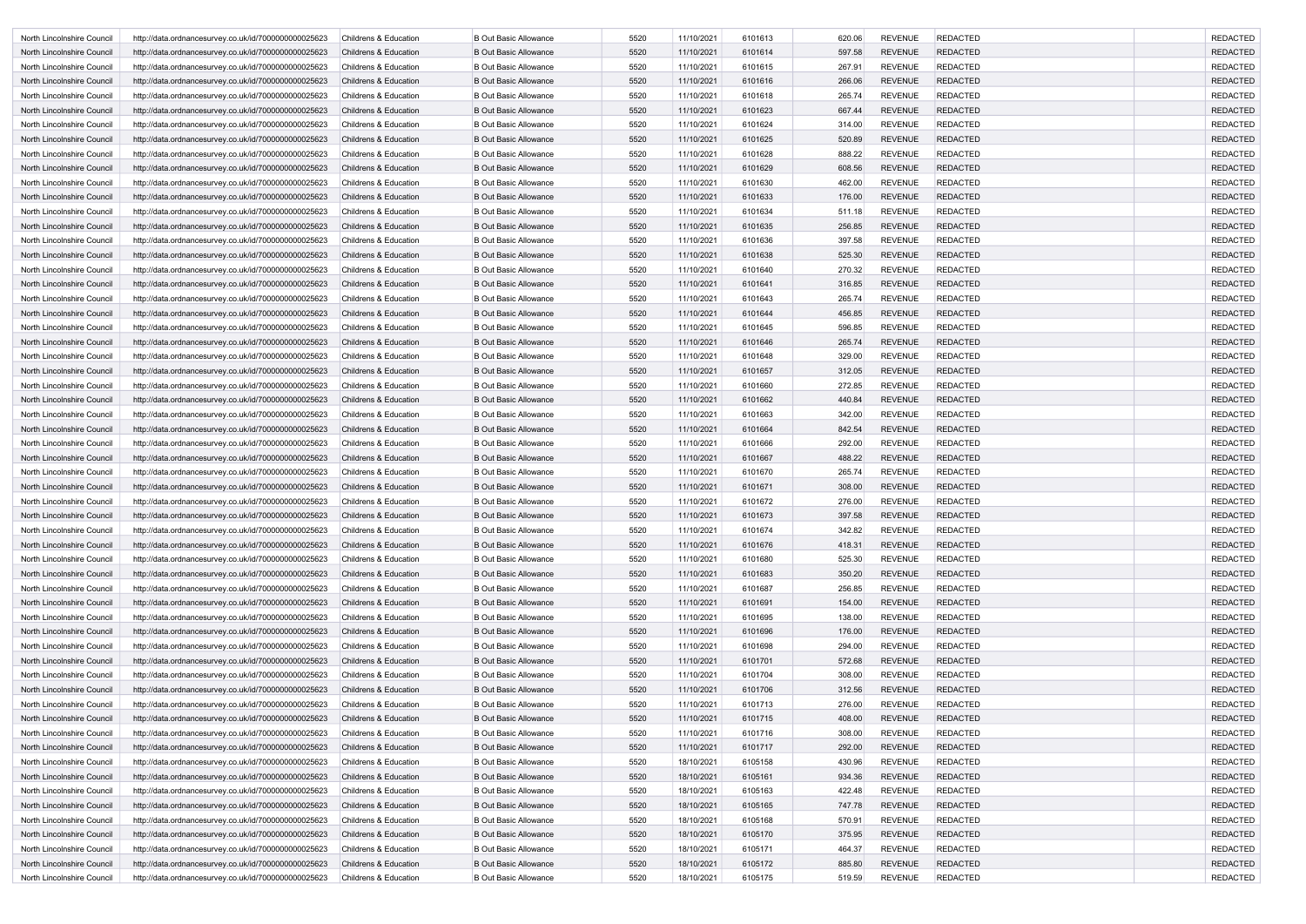| North Lincolnshire Council | http://data.ordnancesurvey.co.uk/id/7000000000025623                                                         | <b>Childrens &amp; Education</b> | <b>B Out Basic Allowance</b> | 5520 | 11/10/2021 | 6101613 | 620.06 | <b>REVENUE</b>                   | <b>REDACTED</b> | <b>REDACTED</b> |
|----------------------------|--------------------------------------------------------------------------------------------------------------|----------------------------------|------------------------------|------|------------|---------|--------|----------------------------------|-----------------|-----------------|
| North Lincolnshire Council | http://data.ordnancesurvey.co.uk/id/7000000000025623                                                         | <b>Childrens &amp; Education</b> | <b>B Out Basic Allowance</b> | 5520 | 11/10/2021 | 6101614 | 597.58 | <b>REVENUE</b>                   | <b>REDACTED</b> | <b>REDACTED</b> |
| North Lincolnshire Council | http://data.ordnancesurvey.co.uk/id/7000000000025623                                                         | <b>Childrens &amp; Education</b> | <b>B Out Basic Allowance</b> | 5520 | 11/10/2021 | 6101615 | 267.91 | <b>REVENUE</b>                   | <b>REDACTED</b> | <b>REDACTED</b> |
| North Lincolnshire Council | http://data.ordnancesurvey.co.uk/id/7000000000025623                                                         | <b>Childrens &amp; Education</b> | <b>B Out Basic Allowance</b> | 5520 | 11/10/2021 | 6101616 | 266.06 | <b>REVENUE</b>                   | <b>REDACTED</b> | <b>REDACTED</b> |
| North Lincolnshire Council | http://data.ordnancesurvey.co.uk/id/7000000000025623                                                         | <b>Childrens &amp; Education</b> | <b>B Out Basic Allowance</b> | 5520 | 11/10/2021 | 6101618 | 265.74 | <b>REVENUE</b>                   | <b>REDACTED</b> | <b>REDACTED</b> |
| North Lincolnshire Council | http://data.ordnancesurvey.co.uk/id/7000000000025623                                                         | <b>Childrens &amp; Education</b> | <b>B Out Basic Allowance</b> | 5520 | 11/10/2021 | 6101623 | 667.44 | <b>REVENUE</b>                   | <b>REDACTED</b> | <b>REDACTED</b> |
| North Lincolnshire Council | http://data.ordnancesurvey.co.uk/id/7000000000025623                                                         | <b>Childrens &amp; Education</b> | <b>B Out Basic Allowance</b> | 5520 | 11/10/2021 | 6101624 | 314.00 | <b>REVENUE</b>                   | <b>REDACTED</b> | <b>REDACTED</b> |
| North Lincolnshire Council | http://data.ordnancesurvey.co.uk/id/7000000000025623                                                         | <b>Childrens &amp; Education</b> | <b>B Out Basic Allowance</b> | 5520 | 11/10/2021 | 6101625 | 520.89 | <b>REVENUE</b>                   | <b>REDACTED</b> | <b>REDACTED</b> |
| North Lincolnshire Council | http://data.ordnancesurvey.co.uk/id/7000000000025623                                                         | <b>Childrens &amp; Education</b> | <b>B Out Basic Allowance</b> | 5520 | 11/10/2021 | 6101628 | 888.22 | <b>REVENUE</b>                   | <b>REDACTED</b> | <b>REDACTED</b> |
| North Lincolnshire Council | http://data.ordnancesurvey.co.uk/id/7000000000025623                                                         | <b>Childrens &amp; Education</b> | <b>B Out Basic Allowance</b> | 5520 | 11/10/2021 | 6101629 | 608.56 | <b>REVENUE</b>                   | <b>REDACTED</b> | <b>REDACTED</b> |
| North Lincolnshire Council | http://data.ordnancesurvey.co.uk/id/7000000000025623                                                         | <b>Childrens &amp; Education</b> | <b>B Out Basic Allowance</b> | 5520 | 11/10/2021 | 6101630 | 462.00 | <b>REVENUE</b>                   | <b>REDACTED</b> | <b>REDACTED</b> |
| North Lincolnshire Council | http://data.ordnancesurvey.co.uk/id/7000000000025623                                                         | <b>Childrens &amp; Education</b> | <b>B Out Basic Allowance</b> | 5520 | 11/10/2021 | 6101633 | 176.00 | <b>REVENUE</b>                   | <b>REDACTED</b> | <b>REDACTED</b> |
| North Lincolnshire Council | http://data.ordnancesurvey.co.uk/id/7000000000025623                                                         | <b>Childrens &amp; Education</b> | <b>B Out Basic Allowance</b> | 5520 | 11/10/2021 | 6101634 | 511.18 | <b>REVENUE</b>                   | <b>REDACTED</b> | <b>REDACTED</b> |
| North Lincolnshire Council | http://data.ordnancesurvey.co.uk/id/7000000000025623                                                         | <b>Childrens &amp; Education</b> | <b>B Out Basic Allowance</b> | 5520 | 11/10/2021 | 6101635 | 256.85 | <b>REVENUE</b>                   | <b>REDACTED</b> | <b>REDACTED</b> |
| North Lincolnshire Council | http://data.ordnancesurvey.co.uk/id/7000000000025623                                                         | <b>Childrens &amp; Education</b> | <b>B Out Basic Allowance</b> | 5520 | 11/10/2021 | 6101636 | 397.58 | <b>REVENUE</b>                   | <b>REDACTED</b> | <b>REDACTED</b> |
| North Lincolnshire Council | http://data.ordnancesurvey.co.uk/id/7000000000025623                                                         | <b>Childrens &amp; Education</b> | <b>B Out Basic Allowance</b> | 5520 | 11/10/2021 | 6101638 | 525.30 | <b>REVENUE</b>                   | <b>REDACTED</b> | <b>REDACTED</b> |
| North Lincolnshire Council | http://data.ordnancesurvey.co.uk/id/7000000000025623                                                         | <b>Childrens &amp; Education</b> | <b>B Out Basic Allowance</b> | 5520 | 11/10/2021 | 6101640 | 270.32 | <b>REVENUE</b>                   | <b>REDACTED</b> | <b>REDACTED</b> |
| North Lincolnshire Council | http://data.ordnancesurvey.co.uk/id/7000000000025623                                                         | <b>Childrens &amp; Education</b> | <b>B Out Basic Allowance</b> | 5520 | 11/10/2021 | 6101641 | 316.85 | <b>REVENUE</b>                   | <b>REDACTED</b> | <b>REDACTED</b> |
| North Lincolnshire Council | http://data.ordnancesurvey.co.uk/id/7000000000025623                                                         | <b>Childrens &amp; Education</b> | <b>B Out Basic Allowance</b> | 5520 | 11/10/2021 | 6101643 | 265.74 | <b>REVENUE</b>                   | <b>REDACTED</b> | <b>REDACTED</b> |
| North Lincolnshire Council | http://data.ordnancesurvey.co.uk/id/7000000000025623                                                         | <b>Childrens &amp; Education</b> | <b>B Out Basic Allowance</b> | 5520 | 11/10/2021 | 6101644 | 456.85 | <b>REVENUE</b>                   | <b>REDACTED</b> | <b>REDACTED</b> |
| North Lincolnshire Council | http://data.ordnancesurvey.co.uk/id/7000000000025623                                                         | <b>Childrens &amp; Education</b> | <b>B Out Basic Allowance</b> | 5520 | 11/10/2021 | 6101645 | 596.85 | <b>REVENUE</b>                   | <b>REDACTED</b> | <b>REDACTED</b> |
| North Lincolnshire Council | http://data.ordnancesurvey.co.uk/id/7000000000025623                                                         | <b>Childrens &amp; Education</b> | <b>B Out Basic Allowance</b> | 5520 | 11/10/2021 | 6101646 | 265.74 | <b>REVENUE</b>                   | <b>REDACTED</b> | <b>REDACTED</b> |
| North Lincolnshire Council | http://data.ordnancesurvey.co.uk/id/7000000000025623                                                         | <b>Childrens &amp; Education</b> | <b>B Out Basic Allowance</b> | 5520 | 11/10/2021 | 6101648 | 329.00 | <b>REVENUE</b>                   | <b>REDACTED</b> | <b>REDACTED</b> |
| North Lincolnshire Council | http://data.ordnancesurvey.co.uk/id/7000000000025623                                                         | <b>Childrens &amp; Education</b> | <b>B Out Basic Allowance</b> | 5520 | 11/10/2021 | 6101657 | 312.05 | <b>REVENUE</b>                   | <b>REDACTED</b> | <b>REDACTED</b> |
| North Lincolnshire Council | http://data.ordnancesurvey.co.uk/id/7000000000025623                                                         | <b>Childrens &amp; Education</b> | <b>B Out Basic Allowance</b> | 5520 | 11/10/2021 | 6101660 | 272.85 | <b>REVENUE</b>                   | <b>REDACTED</b> | <b>REDACTED</b> |
| North Lincolnshire Council | http://data.ordnancesurvey.co.uk/id/7000000000025623                                                         | <b>Childrens &amp; Education</b> | <b>B Out Basic Allowance</b> | 5520 | 11/10/2021 | 6101662 | 440.84 | <b>REVENUE</b>                   | <b>REDACTED</b> | <b>REDACTED</b> |
| North Lincolnshire Council | http://data.ordnancesurvey.co.uk/id/7000000000025623                                                         | Childrens & Education            | <b>B Out Basic Allowance</b> | 5520 | 11/10/2021 | 6101663 | 342.00 | <b>REVENUE</b>                   | <b>REDACTED</b> | <b>REDACTED</b> |
| North Lincolnshire Council | http://data.ordnancesurvey.co.uk/id/7000000000025623                                                         | <b>Childrens &amp; Education</b> | <b>B Out Basic Allowance</b> | 5520 | 11/10/2021 | 6101664 | 842.54 | <b>REVENUE</b>                   | <b>REDACTED</b> | <b>REDACTED</b> |
| North Lincolnshire Council | http://data.ordnancesurvey.co.uk/id/7000000000025623                                                         | <b>Childrens &amp; Education</b> | <b>B Out Basic Allowance</b> | 5520 | 11/10/2021 | 6101666 | 292.00 | <b>REVENUE</b>                   | <b>REDACTED</b> | <b>REDACTED</b> |
| North Lincolnshire Council | http://data.ordnancesurvey.co.uk/id/7000000000025623                                                         | <b>Childrens &amp; Education</b> | <b>B Out Basic Allowance</b> | 5520 | 11/10/2021 | 6101667 | 488.22 | <b>REVENUE</b>                   | <b>REDACTED</b> | <b>REDACTED</b> |
| North Lincolnshire Council | http://data.ordnancesurvey.co.uk/id/7000000000025623                                                         | <b>Childrens &amp; Education</b> | <b>B Out Basic Allowance</b> | 5520 | 11/10/2021 | 6101670 | 265.74 | <b>REVENUE</b>                   | REDACTED        | <b>REDACTED</b> |
| North Lincolnshire Council | http://data.ordnancesurvey.co.uk/id/7000000000025623                                                         | <b>Childrens &amp; Education</b> | <b>B Out Basic Allowance</b> | 5520 | 11/10/2021 | 6101671 | 308.00 | <b>REVENUE</b>                   | <b>REDACTED</b> | <b>REDACTED</b> |
| North Lincolnshire Council | http://data.ordnancesurvey.co.uk/id/7000000000025623                                                         | <b>Childrens &amp; Education</b> | <b>B Out Basic Allowance</b> | 5520 | 11/10/2021 | 6101672 | 276.00 | <b>REVENUE</b>                   | <b>REDACTED</b> | <b>REDACTED</b> |
| North Lincolnshire Council | http://data.ordnancesurvey.co.uk/id/7000000000025623                                                         | Childrens & Education            | <b>B Out Basic Allowance</b> | 5520 | 11/10/2021 | 6101673 | 397.58 | <b>REVENUE</b>                   | <b>REDACTED</b> | <b>REDACTED</b> |
| North Lincolnshire Council | http://data.ordnancesurvey.co.uk/id/7000000000025623                                                         | Childrens & Education            | <b>B Out Basic Allowance</b> | 5520 | 11/10/2021 | 6101674 | 342.82 | <b>REVENUE</b>                   | <b>REDACTED</b> | <b>REDACTED</b> |
| North Lincolnshire Council | http://data.ordnancesurvey.co.uk/id/7000000000025623                                                         | Childrens & Education            | <b>B Out Basic Allowance</b> | 5520 | 11/10/2021 | 6101676 | 418.31 | <b>REVENUE</b>                   | <b>REDACTED</b> | <b>REDACTED</b> |
| North Lincolnshire Council | http://data.ordnancesurvey.co.uk/id/7000000000025623                                                         | Childrens & Education            | <b>B Out Basic Allowance</b> | 5520 | 11/10/2021 | 6101680 | 525.30 | <b>REVENUE</b>                   | <b>REDACTED</b> | <b>REDACTED</b> |
| North Lincolnshire Council | http://data.ordnancesurvey.co.uk/id/7000000000025623                                                         | <b>Childrens &amp; Education</b> | <b>B Out Basic Allowance</b> | 5520 | 11/10/2021 | 6101683 | 350.20 | <b>REVENUE</b>                   | <b>REDACTED</b> | <b>REDACTED</b> |
| North Lincolnshire Council | http://data.ordnancesurvey.co.uk/id/7000000000025623                                                         | Childrens & Education            | <b>B Out Basic Allowance</b> | 5520 | 11/10/2021 | 6101687 | 256.85 | <b>REVENUE</b>                   | <b>REDACTED</b> | <b>REDACTED</b> |
| North Lincolnshire Council | http://data.ordnancesurvey.co.uk/id/7000000000025623                                                         | Childrens & Education            | <b>B Out Basic Allowance</b> | 5520 | 11/10/2021 | 6101691 | 154.00 | <b>REVENUE</b>                   | <b>REDACTED</b> | <b>REDACTED</b> |
| North Lincolnshire Council | http://data.ordnancesurvey.co.uk/id/7000000000025623                                                         | Childrens & Education            | <b>B Out Basic Allowance</b> | 5520 | 11/10/2021 | 6101695 | 138.00 | <b>REVENUE</b>                   | <b>REDACTED</b> | <b>REDACTED</b> |
| North Lincolnshire Council | http://data.ordnancesurvey.co.uk/id/7000000000025623                                                         | Childrens & Education            | <b>B Out Basic Allowance</b> | 5520 | 11/10/2021 | 6101696 | 176.00 | <b>REVENUE</b>                   | <b>REDACTED</b> | <b>REDACTED</b> |
| North Lincolnshire Council | http://data.ordnancesurvey.co.uk/id/7000000000025623                                                         | <b>Childrens &amp; Education</b> | <b>B Out Basic Allowance</b> | 5520 | 11/10/2021 | 6101698 | 294.00 | <b>REVENUE</b>                   | <b>REDACTED</b> | <b>REDACTED</b> |
| North Lincolnshire Council | http://data.ordnancesurvey.co.uk/id/7000000000025623                                                         | Childrens & Education            | <b>B Out Basic Allowance</b> | 5520 | 11/10/2021 | 6101701 | 572.68 | <b>REVENUE</b>                   | <b>REDACTED</b> | <b>REDACTED</b> |
| North Lincolnshire Council | http://data.ordnancesurvey.co.uk/id/7000000000025623                                                         | Childrens & Education            | <b>B Out Basic Allowance</b> | 5520 | 11/10/2021 | 6101704 | 308.00 | <b>REVENUE</b>                   | <b>REDACTED</b> | <b>REDACTED</b> |
| North Lincolnshire Council | http://data.ordnancesurvey.co.uk/id/7000000000025623                                                         | Childrens & Education            | <b>B Out Basic Allowance</b> | 5520 | 11/10/2021 | 6101706 | 312.56 | <b>REVENUE</b>                   | <b>REDACTED</b> | <b>REDACTED</b> |
| North Lincolnshire Council | http://data.ordnancesurvey.co.uk/id/7000000000025623                                                         | Childrens & Education            | <b>B Out Basic Allowance</b> | 5520 | 11/10/2021 | 6101713 | 276.00 | <b>REVENUE</b>                   | <b>REDACTED</b> | <b>REDACTED</b> |
| North Lincolnshire Council | http://data.ordnancesurvey.co.uk/id/7000000000025623                                                         | Childrens & Education            | <b>B Out Basic Allowance</b> | 5520 | 11/10/2021 | 6101715 | 408.00 | <b>REVENUE</b>                   | <b>REDACTED</b> | <b>REDACTED</b> |
| North Lincolnshire Council | http://data.ordnancesurvey.co.uk/id/7000000000025623                                                         | Childrens & Education            | <b>B Out Basic Allowance</b> | 5520 | 11/10/2021 | 6101716 | 308.00 | <b>REVENUE</b>                   | <b>REDACTED</b> | <b>REDACTED</b> |
| North Lincolnshire Council | http://data.ordnancesurvey.co.uk/id/7000000000025623                                                         | Childrens & Education            | <b>B Out Basic Allowance</b> | 5520 | 11/10/2021 | 6101717 | 292.00 | <b>REVENUE</b>                   | <b>REDACTED</b> | <b>REDACTED</b> |
| North Lincolnshire Council |                                                                                                              | Childrens & Education            | <b>B Out Basic Allowance</b> | 5520 | 18/10/2021 | 6105158 | 430.96 | <b>REVENUE</b>                   | <b>REDACTED</b> | <b>REDACTED</b> |
| North Lincolnshire Council | http://data.ordnancesurvey.co.uk/id/7000000000025623<br>http://data.ordnancesurvey.co.uk/id/7000000000025623 | Childrens & Education            | <b>B Out Basic Allowance</b> | 5520 | 18/10/2021 | 6105161 | 934.36 | <b>REVENUE</b>                   | <b>REDACTED</b> | <b>REDACTED</b> |
|                            |                                                                                                              |                                  |                              | 5520 |            |         | 422.48 |                                  |                 | <b>REDACTED</b> |
| North Lincolnshire Council | http://data.ordnancesurvey.co.uk/id/7000000000025623                                                         | <b>Childrens &amp; Education</b> | <b>B Out Basic Allowance</b> |      | 18/10/2021 | 6105163 |        | <b>REVENUE</b><br><b>REVENUE</b> | <b>REDACTED</b> |                 |
| North Lincolnshire Council | http://data.ordnancesurvey.co.uk/id/7000000000025623                                                         | Childrens & Education            | <b>B Out Basic Allowance</b> | 5520 | 18/10/2021 | 6105165 | 747.78 |                                  | <b>REDACTED</b> | <b>REDACTED</b> |
| North Lincolnshire Council | http://data.ordnancesurvey.co.uk/id/7000000000025623                                                         | Childrens & Education            | <b>B Out Basic Allowance</b> | 5520 | 18/10/2021 | 6105168 | 570.91 | <b>REVENUE</b>                   | <b>REDACTED</b> | <b>REDACTED</b> |
| North Lincolnshire Council | http://data.ordnancesurvey.co.uk/id/7000000000025623                                                         | Childrens & Education            | <b>B Out Basic Allowance</b> | 5520 | 18/10/2021 | 6105170 | 375.95 | <b>REVENUE</b>                   | <b>REDACTED</b> | <b>REDACTED</b> |
| North Lincolnshire Council | http://data.ordnancesurvey.co.uk/id/7000000000025623                                                         | Childrens & Education            | <b>B Out Basic Allowance</b> | 5520 | 18/10/2021 | 6105171 | 464.37 | <b>REVENUE</b>                   | <b>REDACTED</b> | <b>REDACTED</b> |
| North Lincolnshire Council | http://data.ordnancesurvey.co.uk/id/7000000000025623                                                         | Childrens & Education            | <b>B Out Basic Allowance</b> | 5520 | 18/10/2021 | 6105172 | 885.80 | <b>REVENUE</b>                   | <b>REDACTED</b> | <b>REDACTED</b> |
| North Lincolnshire Council | http://data.ordnancesurvey.co.uk/id/7000000000025623                                                         | Childrens & Education            | <b>B Out Basic Allowance</b> | 5520 | 18/10/2021 | 6105175 | 519.59 | REVENUE                          | <b>REDACTED</b> | <b>REDACTED</b> |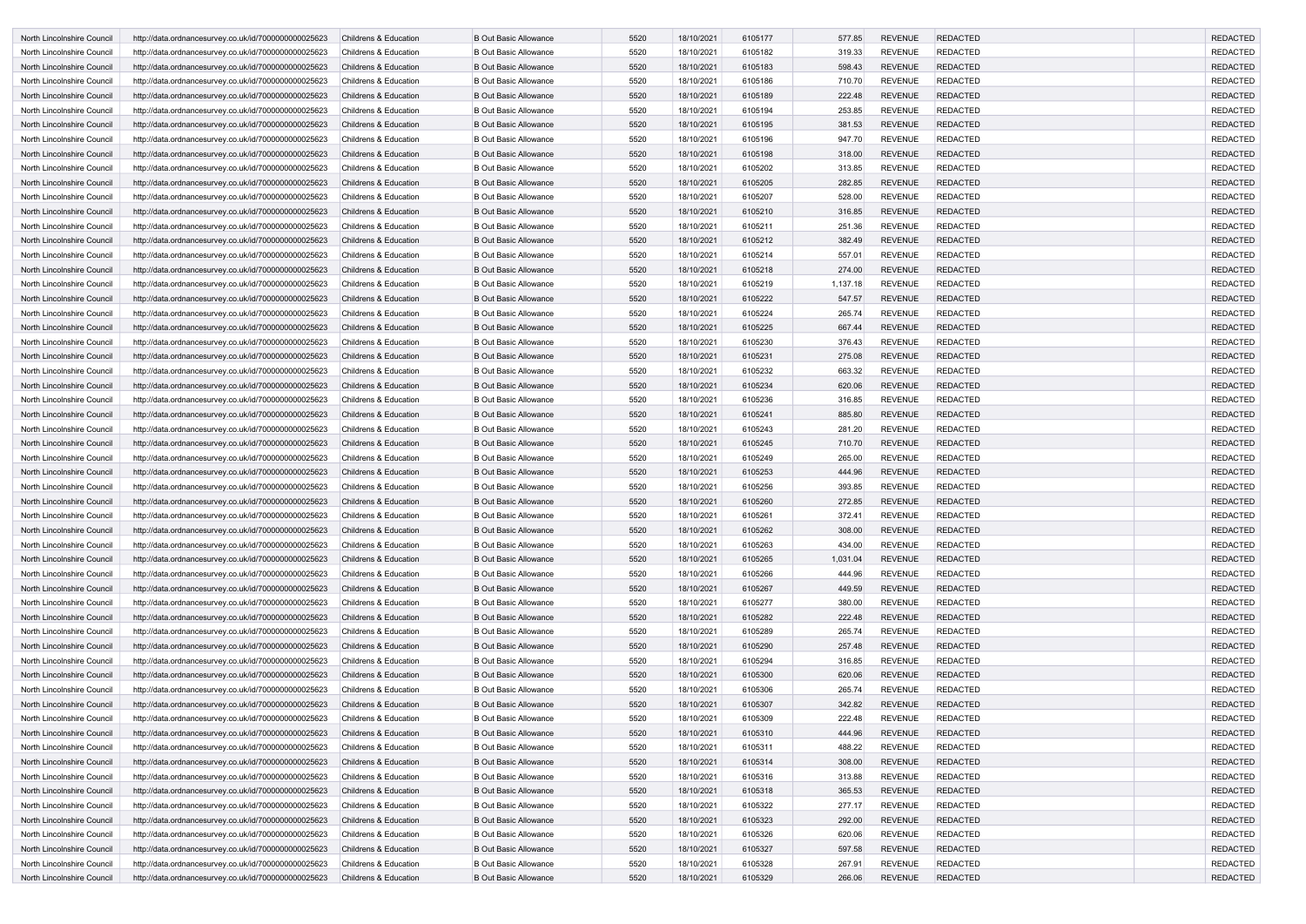| North Lincolnshire Council | http://data.ordnancesurvey.co.uk/id/7000000000025623 | <b>Childrens &amp; Education</b> | <b>B Out Basic Allowance</b> | 5520 | 18/10/2021 | 6105177 | 577.85   | <b>REVENUE</b> | <b>REDACTED</b> | <b>REDACTED</b> |
|----------------------------|------------------------------------------------------|----------------------------------|------------------------------|------|------------|---------|----------|----------------|-----------------|-----------------|
| North Lincolnshire Council | http://data.ordnancesurvey.co.uk/id/7000000000025623 | <b>Childrens &amp; Education</b> | <b>B Out Basic Allowance</b> | 5520 | 18/10/2021 | 6105182 | 319.33   | <b>REVENUE</b> | <b>REDACTED</b> | <b>REDACTED</b> |
| North Lincolnshire Council | http://data.ordnancesurvey.co.uk/id/7000000000025623 | <b>Childrens &amp; Education</b> | <b>B Out Basic Allowance</b> | 5520 | 18/10/2021 | 6105183 | 598.43   | <b>REVENUE</b> | <b>REDACTED</b> | <b>REDACTED</b> |
| North Lincolnshire Council | http://data.ordnancesurvey.co.uk/id/7000000000025623 | Childrens & Education            | <b>B Out Basic Allowance</b> | 5520 | 18/10/2021 | 6105186 | 710.70   | <b>REVENUE</b> | <b>REDACTED</b> | <b>REDACTED</b> |
| North Lincolnshire Council | http://data.ordnancesurvey.co.uk/id/7000000000025623 | <b>Childrens &amp; Education</b> | <b>B Out Basic Allowance</b> | 5520 | 18/10/2021 | 6105189 | 222.48   | <b>REVENUE</b> | <b>REDACTED</b> | <b>REDACTED</b> |
| North Lincolnshire Council | http://data.ordnancesurvey.co.uk/id/7000000000025623 | <b>Childrens &amp; Education</b> | <b>B Out Basic Allowance</b> | 5520 | 18/10/2021 | 6105194 | 253.85   | <b>REVENUE</b> | <b>REDACTED</b> | <b>REDACTED</b> |
| North Lincolnshire Council | http://data.ordnancesurvey.co.uk/id/7000000000025623 | <b>Childrens &amp; Education</b> | <b>B Out Basic Allowance</b> | 5520 | 18/10/2021 | 6105195 | 381.53   | <b>REVENUE</b> | <b>REDACTED</b> | <b>REDACTED</b> |
| North Lincolnshire Council | http://data.ordnancesurvey.co.uk/id/7000000000025623 | <b>Childrens &amp; Education</b> | <b>B Out Basic Allowance</b> | 5520 | 18/10/2021 | 6105196 | 947.70   | <b>REVENUE</b> | <b>REDACTED</b> | <b>REDACTED</b> |
| North Lincolnshire Council | http://data.ordnancesurvey.co.uk/id/7000000000025623 | <b>Childrens &amp; Education</b> | <b>B Out Basic Allowance</b> | 5520 | 18/10/2021 | 6105198 | 318.00   | <b>REVENUE</b> | <b>REDACTED</b> | <b>REDACTED</b> |
| North Lincolnshire Council | http://data.ordnancesurvey.co.uk/id/7000000000025623 | <b>Childrens &amp; Education</b> | <b>B Out Basic Allowance</b> | 5520 | 18/10/2021 | 6105202 | 313.85   | <b>REVENUE</b> | <b>REDACTED</b> | <b>REDACTED</b> |
| North Lincolnshire Council | http://data.ordnancesurvey.co.uk/id/7000000000025623 | <b>Childrens &amp; Education</b> | <b>B Out Basic Allowance</b> | 5520 | 18/10/2021 | 6105205 | 282.85   | <b>REVENUE</b> | <b>REDACTED</b> | <b>REDACTED</b> |
| North Lincolnshire Council | http://data.ordnancesurvey.co.uk/id/7000000000025623 | <b>Childrens &amp; Education</b> | <b>B Out Basic Allowance</b> | 5520 | 18/10/2021 | 6105207 | 528.00   | <b>REVENUE</b> | <b>REDACTED</b> | <b>REDACTED</b> |
| North Lincolnshire Council | http://data.ordnancesurvey.co.uk/id/7000000000025623 | <b>Childrens &amp; Education</b> | <b>B Out Basic Allowance</b> | 5520 | 18/10/2021 | 6105210 | 316.85   | <b>REVENUE</b> | <b>REDACTED</b> | <b>REDACTED</b> |
| North Lincolnshire Council | http://data.ordnancesurvey.co.uk/id/7000000000025623 | <b>Childrens &amp; Education</b> | <b>B Out Basic Allowance</b> | 5520 | 18/10/2021 | 6105211 | 251.36   | <b>REVENUE</b> | <b>REDACTED</b> | <b>REDACTED</b> |
| North Lincolnshire Council | http://data.ordnancesurvey.co.uk/id/7000000000025623 | <b>Childrens &amp; Education</b> | <b>B Out Basic Allowance</b> | 5520 | 18/10/2021 | 6105212 | 382.49   | <b>REVENUE</b> | <b>REDACTED</b> | <b>REDACTED</b> |
| North Lincolnshire Council | http://data.ordnancesurvey.co.uk/id/7000000000025623 | <b>Childrens &amp; Education</b> | <b>B Out Basic Allowance</b> | 5520 | 18/10/2021 | 6105214 | 557.01   | <b>REVENUE</b> | <b>REDACTED</b> | <b>REDACTED</b> |
| North Lincolnshire Council | http://data.ordnancesurvey.co.uk/id/7000000000025623 | <b>Childrens &amp; Education</b> | <b>B Out Basic Allowance</b> | 5520 | 18/10/2021 | 6105218 | 274.00   | <b>REVENUE</b> | <b>REDACTED</b> | <b>REDACTED</b> |
| North Lincolnshire Council | http://data.ordnancesurvey.co.uk/id/7000000000025623 | <b>Childrens &amp; Education</b> | <b>B Out Basic Allowance</b> | 5520 | 18/10/2021 | 6105219 | 1,137.18 | <b>REVENUE</b> | <b>REDACTED</b> | <b>REDACTED</b> |
| North Lincolnshire Council | http://data.ordnancesurvey.co.uk/id/7000000000025623 | <b>Childrens &amp; Education</b> | <b>B Out Basic Allowance</b> | 5520 | 18/10/2021 | 6105222 | 547.57   | <b>REVENUE</b> | <b>REDACTED</b> | <b>REDACTED</b> |
| North Lincolnshire Council | http://data.ordnancesurvey.co.uk/id/7000000000025623 | Childrens & Education            | <b>B Out Basic Allowance</b> | 5520 | 18/10/2021 | 6105224 | 265.74   | <b>REVENUE</b> | <b>REDACTED</b> | <b>REDACTED</b> |
| North Lincolnshire Council | http://data.ordnancesurvey.co.uk/id/7000000000025623 | <b>Childrens &amp; Education</b> | <b>B Out Basic Allowance</b> | 5520 | 18/10/2021 | 6105225 | 667.44   | <b>REVENUE</b> | <b>REDACTED</b> | <b>REDACTED</b> |
| North Lincolnshire Council | http://data.ordnancesurvey.co.uk/id/7000000000025623 | <b>Childrens &amp; Education</b> | <b>B Out Basic Allowance</b> | 5520 | 18/10/2021 | 6105230 | 376.43   | <b>REVENUE</b> | <b>REDACTED</b> | <b>REDACTED</b> |
| North Lincolnshire Council | http://data.ordnancesurvey.co.uk/id/7000000000025623 | <b>Childrens &amp; Education</b> | <b>B Out Basic Allowance</b> | 5520 | 18/10/2021 | 6105231 | 275.08   | <b>REVENUE</b> | <b>REDACTED</b> | <b>REDACTED</b> |
| North Lincolnshire Council | http://data.ordnancesurvey.co.uk/id/7000000000025623 | <b>Childrens &amp; Education</b> | <b>B Out Basic Allowance</b> | 5520 | 18/10/2021 | 6105232 | 663.32   | <b>REVENUE</b> | <b>REDACTED</b> | <b>REDACTED</b> |
| North Lincolnshire Council | http://data.ordnancesurvey.co.uk/id/7000000000025623 | <b>Childrens &amp; Education</b> | <b>B Out Basic Allowance</b> | 5520 | 18/10/2021 | 6105234 | 620.06   | <b>REVENUE</b> | <b>REDACTED</b> | <b>REDACTED</b> |
| North Lincolnshire Council | http://data.ordnancesurvey.co.uk/id/7000000000025623 | <b>Childrens &amp; Education</b> | <b>B Out Basic Allowance</b> | 5520 | 18/10/2021 | 6105236 | 316.85   | <b>REVENUE</b> | <b>REDACTED</b> | <b>REDACTED</b> |
| North Lincolnshire Council | http://data.ordnancesurvey.co.uk/id/7000000000025623 | <b>Childrens &amp; Education</b> | <b>B Out Basic Allowance</b> | 5520 | 18/10/2021 | 6105241 | 885.80   | <b>REVENUE</b> | <b>REDACTED</b> | <b>REDACTED</b> |
| North Lincolnshire Council | http://data.ordnancesurvey.co.uk/id/7000000000025623 | Childrens & Education            | <b>B Out Basic Allowance</b> | 5520 | 18/10/2021 | 6105243 | 281.20   | <b>REVENUE</b> | <b>REDACTED</b> | <b>REDACTED</b> |
| North Lincolnshire Council | http://data.ordnancesurvey.co.uk/id/7000000000025623 | Childrens & Education            | <b>B Out Basic Allowance</b> | 5520 | 18/10/2021 | 6105245 | 710.70   | <b>REVENUE</b> | <b>REDACTED</b> | <b>REDACTED</b> |
| North Lincolnshire Council | http://data.ordnancesurvey.co.uk/id/7000000000025623 | Childrens & Education            | <b>B Out Basic Allowance</b> | 5520 | 18/10/2021 | 6105249 | 265.00   | <b>REVENUE</b> | <b>REDACTED</b> | <b>REDACTED</b> |
| North Lincolnshire Council | http://data.ordnancesurvey.co.uk/id/7000000000025623 | <b>Childrens &amp; Education</b> | <b>B Out Basic Allowance</b> | 5520 | 18/10/2021 | 6105253 | 444.96   | <b>REVENUE</b> | <b>REDACTED</b> | <b>REDACTED</b> |
| North Lincolnshire Council | http://data.ordnancesurvey.co.uk/id/7000000000025623 | <b>Childrens &amp; Education</b> | <b>B Out Basic Allowance</b> | 5520 | 18/10/2021 | 6105256 | 393.85   | <b>REVENUE</b> | <b>REDACTED</b> | <b>REDACTED</b> |
| North Lincolnshire Council | http://data.ordnancesurvey.co.uk/id/7000000000025623 | <b>Childrens &amp; Education</b> | <b>B Out Basic Allowance</b> | 5520 | 18/10/2021 | 6105260 | 272.85   | <b>REVENUE</b> | <b>REDACTED</b> | <b>REDACTED</b> |
| North Lincolnshire Council | http://data.ordnancesurvey.co.uk/id/7000000000025623 | Childrens & Education            | <b>B Out Basic Allowance</b> | 5520 | 18/10/2021 | 6105261 | 372.41   | <b>REVENUE</b> | <b>REDACTED</b> | <b>REDACTED</b> |
| North Lincolnshire Council | http://data.ordnancesurvey.co.uk/id/7000000000025623 | Childrens & Education            | <b>B Out Basic Allowance</b> | 5520 | 18/10/2021 | 6105262 | 308.00   | <b>REVENUE</b> | <b>REDACTED</b> | <b>REDACTED</b> |
| North Lincolnshire Council | http://data.ordnancesurvey.co.uk/id/7000000000025623 | Childrens & Education            | <b>B Out Basic Allowance</b> | 5520 | 18/10/2021 | 6105263 | 434.00   | <b>REVENUE</b> | <b>REDACTED</b> | <b>REDACTED</b> |
| North Lincolnshire Council | http://data.ordnancesurvey.co.uk/id/7000000000025623 | Childrens & Education            | <b>B Out Basic Allowance</b> | 5520 | 18/10/2021 | 6105265 | 1,031.04 | <b>REVENUE</b> | <b>REDACTED</b> | <b>REDACTED</b> |
| North Lincolnshire Council | http://data.ordnancesurvey.co.uk/id/7000000000025623 | Childrens & Education            | <b>B Out Basic Allowance</b> | 5520 | 18/10/2021 | 6105266 | 444.96   | <b>REVENUE</b> | <b>REDACTED</b> | <b>REDACTED</b> |
| North Lincolnshire Council | http://data.ordnancesurvey.co.uk/id/7000000000025623 | <b>Childrens &amp; Education</b> | <b>B Out Basic Allowance</b> | 5520 | 18/10/2021 | 6105267 | 449.59   | <b>REVENUE</b> | <b>REDACTED</b> | <b>REDACTED</b> |
| North Lincolnshire Council | http://data.ordnancesurvey.co.uk/id/7000000000025623 | Childrens & Education            | <b>B Out Basic Allowance</b> | 5520 | 18/10/2021 | 6105277 | 380.00   | <b>REVENUE</b> | <b>REDACTED</b> | <b>REDACTED</b> |
| North Lincolnshire Council | http://data.ordnancesurvey.co.uk/id/7000000000025623 | Childrens & Education            | <b>B Out Basic Allowance</b> | 5520 | 18/10/2021 | 6105282 | 222.48   | <b>REVENUE</b> | <b>REDACTED</b> | <b>REDACTED</b> |
| North Lincolnshire Council | http://data.ordnancesurvey.co.uk/id/7000000000025623 | Childrens & Education            | <b>B Out Basic Allowance</b> | 5520 | 18/10/2021 | 6105289 | 265.74   | <b>REVENUE</b> | <b>REDACTED</b> | <b>REDACTED</b> |
| North Lincolnshire Council | http://data.ordnancesurvey.co.uk/id/7000000000025623 | <b>Childrens &amp; Education</b> | <b>B Out Basic Allowance</b> | 5520 | 18/10/2021 | 6105290 | 257.48   | <b>REVENUE</b> | <b>REDACTED</b> | <b>REDACTED</b> |
| North Lincolnshire Council | http://data.ordnancesurvey.co.uk/id/7000000000025623 | Childrens & Education            | <b>B Out Basic Allowance</b> | 5520 | 18/10/2021 | 6105294 | 316.85   | <b>REVENUE</b> | <b>REDACTED</b> | <b>REDACTED</b> |
| North Lincolnshire Council | http://data.ordnancesurvey.co.uk/id/7000000000025623 | Childrens & Education            | <b>B Out Basic Allowance</b> | 5520 | 18/10/2021 | 6105300 | 620.06   | <b>REVENUE</b> | <b>REDACTED</b> | <b>REDACTED</b> |
| North Lincolnshire Council | http://data.ordnancesurvey.co.uk/id/7000000000025623 | Childrens & Education            | <b>B Out Basic Allowance</b> | 5520 | 18/10/2021 | 6105306 | 265.74   | <b>REVENUE</b> | <b>REDACTED</b> | <b>REDACTED</b> |
| North Lincolnshire Council | http://data.ordnancesurvey.co.uk/id/7000000000025623 | Childrens & Education            | <b>B Out Basic Allowance</b> | 5520 | 18/10/2021 | 6105307 | 342.82   | <b>REVENUE</b> | <b>REDACTED</b> | <b>REDACTED</b> |
| North Lincolnshire Council | http://data.ordnancesurvey.co.uk/id/7000000000025623 | Childrens & Education            | <b>B Out Basic Allowance</b> | 5520 | 18/10/2021 | 6105309 | 222.48   | <b>REVENUE</b> | <b>REDACTED</b> | <b>REDACTED</b> |
| North Lincolnshire Council | http://data.ordnancesurvey.co.uk/id/7000000000025623 | <b>Childrens &amp; Education</b> | <b>B Out Basic Allowance</b> | 5520 | 18/10/2021 | 6105310 | 444.96   | <b>REVENUE</b> | <b>REDACTED</b> | <b>REDACTED</b> |
| North Lincolnshire Council | http://data.ordnancesurvey.co.uk/id/7000000000025623 | Childrens & Education            | <b>B Out Basic Allowance</b> | 5520 | 18/10/2021 | 6105311 | 488.22   | <b>REVENUE</b> | <b>REDACTED</b> | <b>REDACTED</b> |
| North Lincolnshire Council | http://data.ordnancesurvey.co.uk/id/7000000000025623 | Childrens & Education            | <b>B Out Basic Allowance</b> | 5520 | 18/10/2021 | 6105314 | 308.00   | <b>REVENUE</b> | <b>REDACTED</b> | <b>REDACTED</b> |
| North Lincolnshire Council | http://data.ordnancesurvey.co.uk/id/7000000000025623 | Childrens & Education            | <b>B Out Basic Allowance</b> | 5520 | 18/10/2021 | 6105316 | 313.88   | <b>REVENUE</b> | <b>REDACTED</b> | <b>REDACTED</b> |
| North Lincolnshire Council | http://data.ordnancesurvey.co.uk/id/7000000000025623 | Childrens & Education            | <b>B Out Basic Allowance</b> | 5520 | 18/10/2021 | 6105318 | 365.53   | <b>REVENUE</b> | <b>REDACTED</b> | <b>REDACTED</b> |
| North Lincolnshire Council | http://data.ordnancesurvey.co.uk/id/7000000000025623 | Childrens & Education            | <b>B Out Basic Allowance</b> | 5520 | 18/10/2021 | 6105322 | 277.17   | <b>REVENUE</b> | <b>REDACTED</b> | <b>REDACTED</b> |
| North Lincolnshire Council | http://data.ordnancesurvey.co.uk/id/7000000000025623 | Childrens & Education            | <b>B Out Basic Allowance</b> | 5520 | 18/10/2021 | 6105323 | 292.00   | <b>REVENUE</b> | <b>REDACTED</b> | <b>REDACTED</b> |
| North Lincolnshire Council | http://data.ordnancesurvey.co.uk/id/7000000000025623 | Childrens & Education            | <b>B Out Basic Allowance</b> | 5520 | 18/10/2021 | 6105326 | 620.06   | <b>REVENUE</b> | <b>REDACTED</b> | <b>REDACTED</b> |
| North Lincolnshire Council | http://data.ordnancesurvey.co.uk/id/7000000000025623 | <b>Childrens &amp; Education</b> | <b>B Out Basic Allowance</b> | 5520 | 18/10/2021 | 6105327 | 597.58   | <b>REVENUE</b> | <b>REDACTED</b> | <b>REDACTED</b> |
| North Lincolnshire Council | http://data.ordnancesurvey.co.uk/id/7000000000025623 | <b>Childrens &amp; Education</b> | <b>B Out Basic Allowance</b> | 5520 | 18/10/2021 | 6105328 | 267.91   | <b>REVENUE</b> | <b>REDACTED</b> | <b>REDACTED</b> |
| North Lincolnshire Council | http://data.ordnancesurvey.co.uk/id/7000000000025623 | <b>Childrens &amp; Education</b> | <b>B Out Basic Allowance</b> | 5520 | 18/10/2021 | 6105329 | 266.06   | <b>REVENUE</b> | <b>REDACTED</b> | <b>REDACTED</b> |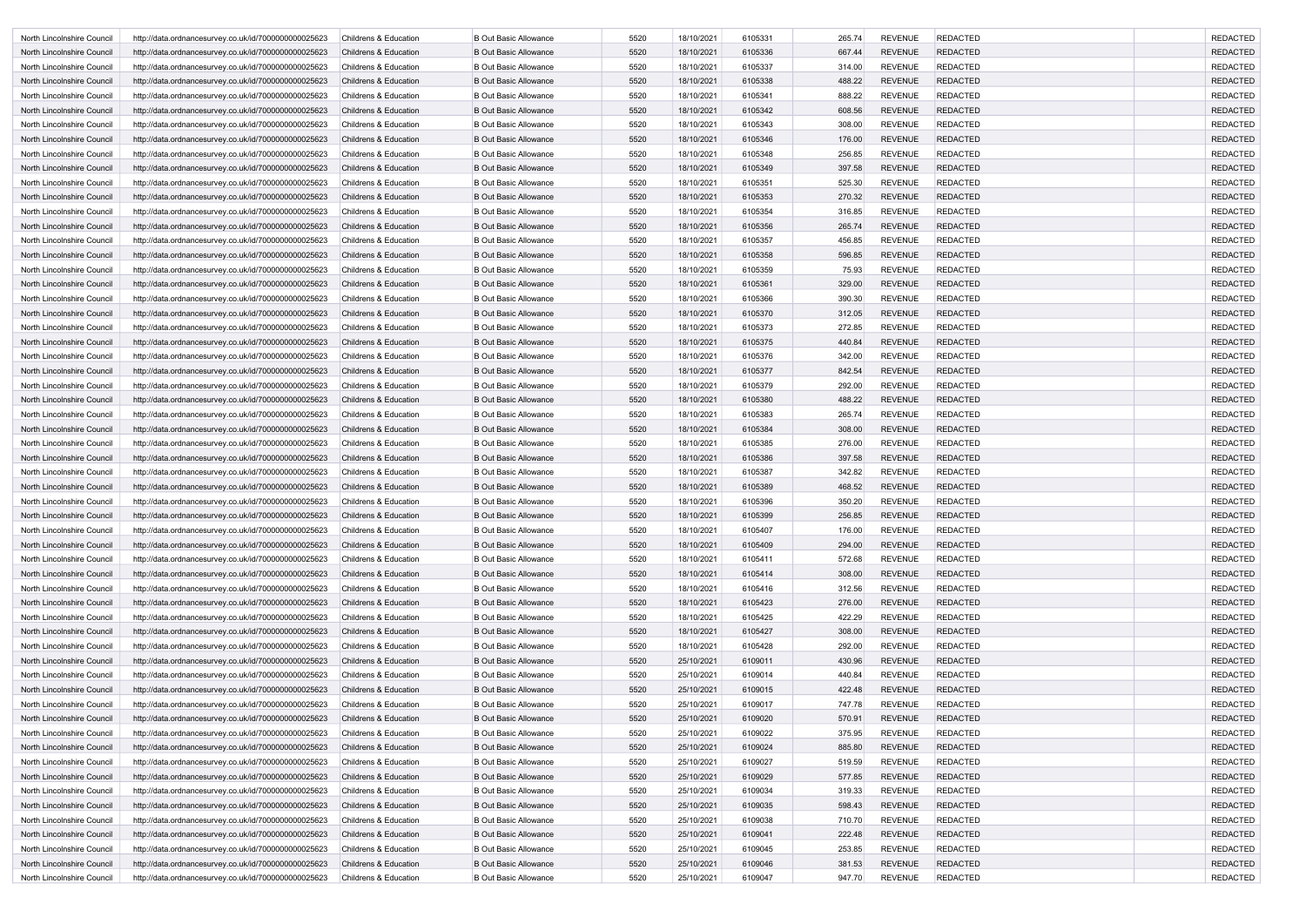| North Lincolnshire Council | http://data.ordnancesurvey.co.uk/id/7000000000025623 | <b>Childrens &amp; Education</b> | <b>B Out Basic Allowance</b> | 5520         | 18/10/2021 | 6105331 | 265.74 | <b>REVENUE</b> | <b>REDACTED</b> | <b>REDACTED</b> |
|----------------------------|------------------------------------------------------|----------------------------------|------------------------------|--------------|------------|---------|--------|----------------|-----------------|-----------------|
| North Lincolnshire Council | http://data.ordnancesurvey.co.uk/id/7000000000025623 | <b>Childrens &amp; Education</b> | <b>B Out Basic Allowance</b> | 5520         | 18/10/2021 | 6105336 | 667.44 | <b>REVENUE</b> | <b>REDACTED</b> | <b>REDACTED</b> |
| North Lincolnshire Council | http://data.ordnancesurvey.co.uk/id/7000000000025623 | <b>Childrens &amp; Education</b> | <b>B Out Basic Allowance</b> | 5520         | 18/10/2021 | 6105337 | 314.00 | <b>REVENUE</b> | <b>REDACTED</b> | <b>REDACTED</b> |
| North Lincolnshire Council | http://data.ordnancesurvey.co.uk/id/7000000000025623 | <b>Childrens &amp; Education</b> | <b>B Out Basic Allowance</b> | 5520         | 18/10/2021 | 6105338 | 488.22 | <b>REVENUE</b> | <b>REDACTED</b> | <b>REDACTED</b> |
| North Lincolnshire Council | http://data.ordnancesurvey.co.uk/id/7000000000025623 | <b>Childrens &amp; Education</b> | <b>B Out Basic Allowance</b> | 5520         | 18/10/2021 | 6105341 | 888.22 | <b>REVENUE</b> | <b>REDACTED</b> | <b>REDACTED</b> |
| North Lincolnshire Council | http://data.ordnancesurvey.co.uk/id/7000000000025623 | <b>Childrens &amp; Education</b> | <b>B Out Basic Allowance</b> | 5520         | 18/10/2021 | 6105342 | 608.56 | <b>REVENUE</b> | <b>REDACTED</b> | <b>REDACTED</b> |
| North Lincolnshire Council | http://data.ordnancesurvey.co.uk/id/7000000000025623 | <b>Childrens &amp; Education</b> | <b>B Out Basic Allowance</b> | 5520         | 18/10/2021 | 6105343 | 308.00 | <b>REVENUE</b> | <b>REDACTED</b> | <b>REDACTED</b> |
| North Lincolnshire Council | http://data.ordnancesurvey.co.uk/id/7000000000025623 | <b>Childrens &amp; Education</b> | <b>B Out Basic Allowance</b> | 5520         | 18/10/2021 | 6105346 | 176.00 | <b>REVENUE</b> | <b>REDACTED</b> | <b>REDACTED</b> |
| North Lincolnshire Council | http://data.ordnancesurvey.co.uk/id/7000000000025623 | <b>Childrens &amp; Education</b> | <b>B Out Basic Allowance</b> | 5520         | 18/10/2021 | 6105348 | 256.85 | <b>REVENUE</b> | <b>REDACTED</b> | <b>REDACTED</b> |
| North Lincolnshire Council | http://data.ordnancesurvey.co.uk/id/7000000000025623 | <b>Childrens &amp; Education</b> | <b>B Out Basic Allowance</b> | 5520         | 18/10/2021 | 6105349 | 397.58 | <b>REVENUE</b> | <b>REDACTED</b> | <b>REDACTED</b> |
| North Lincolnshire Council | http://data.ordnancesurvey.co.uk/id/7000000000025623 | <b>Childrens &amp; Education</b> | <b>B Out Basic Allowance</b> | 5520         | 18/10/2021 | 6105351 | 525.30 | <b>REVENUE</b> | <b>REDACTED</b> | <b>REDACTED</b> |
| North Lincolnshire Council | http://data.ordnancesurvey.co.uk/id/7000000000025623 | <b>Childrens &amp; Education</b> | <b>B Out Basic Allowance</b> | 5520         | 18/10/2021 | 6105353 | 270.32 | <b>REVENUE</b> | <b>REDACTED</b> | <b>REDACTED</b> |
| North Lincolnshire Council | http://data.ordnancesurvey.co.uk/id/7000000000025623 | <b>Childrens &amp; Education</b> | <b>B Out Basic Allowance</b> | 5520         | 18/10/2021 | 6105354 | 316.85 | <b>REVENUE</b> | <b>REDACTED</b> | <b>REDACTED</b> |
| North Lincolnshire Council | http://data.ordnancesurvey.co.uk/id/7000000000025623 | <b>Childrens &amp; Education</b> | <b>B Out Basic Allowance</b> | 5520         | 18/10/2021 | 6105356 | 265.74 | <b>REVENUE</b> | <b>REDACTED</b> | <b>REDACTED</b> |
| North Lincolnshire Council | http://data.ordnancesurvey.co.uk/id/7000000000025623 | <b>Childrens &amp; Education</b> | <b>B Out Basic Allowance</b> | 5520         | 18/10/2021 | 6105357 | 456.85 | <b>REVENUE</b> | <b>REDACTED</b> | <b>REDACTED</b> |
| North Lincolnshire Council | http://data.ordnancesurvey.co.uk/id/7000000000025623 | <b>Childrens &amp; Education</b> | <b>B Out Basic Allowance</b> | 5520         | 18/10/2021 | 6105358 | 596.85 | <b>REVENUE</b> | <b>REDACTED</b> | <b>REDACTED</b> |
| North Lincolnshire Council | http://data.ordnancesurvey.co.uk/id/7000000000025623 | <b>Childrens &amp; Education</b> | <b>B Out Basic Allowance</b> | 5520         | 18/10/2021 | 6105359 | 75.93  | <b>REVENUE</b> | <b>REDACTED</b> | <b>REDACTED</b> |
| North Lincolnshire Council | http://data.ordnancesurvey.co.uk/id/7000000000025623 | <b>Childrens &amp; Education</b> | <b>B Out Basic Allowance</b> | 5520         | 18/10/2021 | 6105361 | 329.00 | <b>REVENUE</b> | <b>REDACTED</b> | <b>REDACTED</b> |
| North Lincolnshire Council | http://data.ordnancesurvey.co.uk/id/7000000000025623 | <b>Childrens &amp; Education</b> | <b>B Out Basic Allowance</b> | 5520         | 18/10/2021 | 6105366 | 390.30 | <b>REVENUE</b> | <b>REDACTED</b> | <b>REDACTED</b> |
| North Lincolnshire Council | http://data.ordnancesurvey.co.uk/id/7000000000025623 | <b>Childrens &amp; Education</b> | <b>B Out Basic Allowance</b> | 5520         | 18/10/2021 | 6105370 | 312.05 | <b>REVENUE</b> | <b>REDACTED</b> | <b>REDACTED</b> |
| North Lincolnshire Council | http://data.ordnancesurvey.co.uk/id/7000000000025623 | <b>Childrens &amp; Education</b> | <b>B Out Basic Allowance</b> | 5520         | 18/10/2021 | 6105373 | 272.85 | <b>REVENUE</b> | <b>REDACTED</b> | <b>REDACTED</b> |
| North Lincolnshire Council | http://data.ordnancesurvey.co.uk/id/7000000000025623 | <b>Childrens &amp; Education</b> | <b>B Out Basic Allowance</b> | 5520         | 18/10/2021 | 6105375 | 440.84 | <b>REVENUE</b> | <b>REDACTED</b> | <b>REDACTED</b> |
| North Lincolnshire Council | http://data.ordnancesurvey.co.uk/id/7000000000025623 | <b>Childrens &amp; Education</b> | <b>B Out Basic Allowance</b> | 5520         | 18/10/2021 | 6105376 | 342.00 | <b>REVENUE</b> | <b>REDACTED</b> | <b>REDACTED</b> |
| North Lincolnshire Council | http://data.ordnancesurvey.co.uk/id/7000000000025623 | <b>Childrens &amp; Education</b> | <b>B Out Basic Allowance</b> | 5520         | 18/10/2021 | 6105377 | 842.54 | <b>REVENUE</b> | <b>REDACTED</b> | <b>REDACTED</b> |
| North Lincolnshire Council | http://data.ordnancesurvey.co.uk/id/7000000000025623 | <b>Childrens &amp; Education</b> | <b>B Out Basic Allowance</b> | 5520         | 18/10/2021 | 6105379 | 292.00 | <b>REVENUE</b> | <b>REDACTED</b> | <b>REDACTED</b> |
| North Lincolnshire Council | http://data.ordnancesurvey.co.uk/id/7000000000025623 | <b>Childrens &amp; Education</b> | <b>B Out Basic Allowance</b> | 5520         | 18/10/2021 | 6105380 | 488.22 | <b>REVENUE</b> | <b>REDACTED</b> | <b>REDACTED</b> |
| North Lincolnshire Council | http://data.ordnancesurvey.co.uk/id/7000000000025623 | <b>Childrens &amp; Education</b> | <b>B Out Basic Allowance</b> | 5520         | 18/10/2021 | 6105383 | 265.74 | <b>REVENUE</b> | <b>REDACTED</b> | <b>REDACTED</b> |
| North Lincolnshire Council | http://data.ordnancesurvey.co.uk/id/7000000000025623 | <b>Childrens &amp; Education</b> | <b>B Out Basic Allowance</b> | 5520         | 18/10/2021 | 6105384 | 308.00 | <b>REVENUE</b> | <b>REDACTED</b> | <b>REDACTED</b> |
| North Lincolnshire Council | http://data.ordnancesurvey.co.uk/id/7000000000025623 | <b>Childrens &amp; Education</b> | <b>B Out Basic Allowance</b> | 5520         | 18/10/2021 | 6105385 | 276.00 | <b>REVENUE</b> | <b>REDACTED</b> | <b>REDACTED</b> |
| North Lincolnshire Council | http://data.ordnancesurvey.co.uk/id/7000000000025623 | <b>Childrens &amp; Education</b> | <b>B Out Basic Allowance</b> | 5520         | 18/10/2021 | 6105386 | 397.58 | <b>REVENUE</b> | <b>REDACTED</b> | <b>REDACTED</b> |
| North Lincolnshire Council | http://data.ordnancesurvey.co.uk/id/7000000000025623 | <b>Childrens &amp; Education</b> | <b>B Out Basic Allowance</b> | 5520         | 18/10/2021 | 6105387 | 342.82 | <b>REVENUE</b> | REDACTED        | <b>REDACTED</b> |
| North Lincolnshire Council | http://data.ordnancesurvey.co.uk/id/7000000000025623 | <b>Childrens &amp; Education</b> | <b>B Out Basic Allowance</b> | 5520         | 18/10/2021 | 6105389 | 468.52 | <b>REVENUE</b> | <b>REDACTED</b> | <b>REDACTED</b> |
| North Lincolnshire Council | http://data.ordnancesurvey.co.uk/id/7000000000025623 | <b>Childrens &amp; Education</b> | <b>B Out Basic Allowance</b> | 5520         | 18/10/2021 | 6105396 | 350.20 | <b>REVENUE</b> | <b>REDACTED</b> | <b>REDACTED</b> |
| North Lincolnshire Council | http://data.ordnancesurvey.co.uk/id/7000000000025623 | Childrens & Education            | <b>B Out Basic Allowance</b> | 5520         | 18/10/2021 | 6105399 | 256.85 | <b>REVENUE</b> | <b>REDACTED</b> | <b>REDACTED</b> |
| North Lincolnshire Council | http://data.ordnancesurvey.co.uk/id/7000000000025623 | Childrens & Education            | <b>B Out Basic Allowance</b> | 5520         | 18/10/2021 | 6105407 | 176.00 | <b>REVENUE</b> | <b>REDACTED</b> | <b>REDACTED</b> |
| North Lincolnshire Council | http://data.ordnancesurvey.co.uk/id/7000000000025623 | Childrens & Education            | <b>B Out Basic Allowance</b> | 5520         | 18/10/2021 | 6105409 | 294.00 | <b>REVENUE</b> | <b>REDACTED</b> | <b>REDACTED</b> |
| North Lincolnshire Council | http://data.ordnancesurvey.co.uk/id/7000000000025623 | Childrens & Education            | <b>B Out Basic Allowance</b> | 5520         | 18/10/2021 | 6105411 | 572.68 | <b>REVENUE</b> | <b>REDACTED</b> | <b>REDACTED</b> |
| North Lincolnshire Council | http://data.ordnancesurvey.co.uk/id/7000000000025623 | <b>Childrens &amp; Education</b> | <b>B Out Basic Allowance</b> | 5520         | 18/10/2021 | 6105414 | 308.00 | <b>REVENUE</b> | <b>REDACTED</b> | <b>REDACTED</b> |
| North Lincolnshire Council | http://data.ordnancesurvey.co.uk/id/7000000000025623 | Childrens & Education            | <b>B Out Basic Allowance</b> | 5520         | 18/10/2021 | 6105416 | 312.56 | <b>REVENUE</b> | <b>REDACTED</b> | <b>REDACTED</b> |
| North Lincolnshire Council | http://data.ordnancesurvey.co.uk/id/7000000000025623 | Childrens & Education            | <b>B Out Basic Allowance</b> | 5520         | 18/10/2021 | 6105423 | 276.00 | <b>REVENUE</b> | <b>REDACTED</b> | <b>REDACTED</b> |
| North Lincolnshire Council | http://data.ordnancesurvey.co.uk/id/7000000000025623 | Childrens & Education            | <b>B Out Basic Allowance</b> | 5520         | 18/10/2021 | 6105425 | 422.29 | <b>REVENUE</b> | <b>REDACTED</b> | <b>REDACTED</b> |
| North Lincolnshire Council | http://data.ordnancesurvey.co.uk/id/7000000000025623 | Childrens & Education            | <b>B Out Basic Allowance</b> | 5520         | 18/10/2021 | 6105427 | 308.00 | <b>REVENUE</b> | <b>REDACTED</b> | <b>REDACTED</b> |
| North Lincolnshire Council | http://data.ordnancesurvey.co.uk/id/7000000000025623 | <b>Childrens &amp; Education</b> | <b>B Out Basic Allowance</b> | 5520         | 18/10/2021 | 6105428 | 292.00 | <b>REVENUE</b> | <b>REDACTED</b> | <b>REDACTED</b> |
| North Lincolnshire Council | http://data.ordnancesurvey.co.uk/id/7000000000025623 | Childrens & Education            | <b>B Out Basic Allowance</b> | 5520         | 25/10/2021 | 6109011 | 430.96 | <b>REVENUE</b> | <b>REDACTED</b> | <b>REDACTED</b> |
| North Lincolnshire Council | http://data.ordnancesurvey.co.uk/id/7000000000025623 | Childrens & Education            | <b>B Out Basic Allowance</b> | 5520         | 25/10/2021 | 6109014 | 440.84 | <b>REVENUE</b> | <b>REDACTED</b> | <b>REDACTED</b> |
| North Lincolnshire Council | http://data.ordnancesurvey.co.uk/id/7000000000025623 | Childrens & Education            | <b>B Out Basic Allowance</b> | 5520         | 25/10/2021 | 6109015 | 422.48 | <b>REVENUE</b> | <b>REDACTED</b> | <b>REDACTED</b> |
| North Lincolnshire Council | http://data.ordnancesurvey.co.uk/id/7000000000025623 | Childrens & Education            | <b>B Out Basic Allowance</b> | 5520         | 25/10/2021 | 6109017 | 747.78 | <b>REVENUE</b> | <b>REDACTED</b> | <b>REDACTED</b> |
| North Lincolnshire Council | http://data.ordnancesurvey.co.uk/id/7000000000025623 | <b>Childrens &amp; Education</b> | <b>B Out Basic Allowance</b> | 5520         | 25/10/2021 | 6109020 | 570.91 | <b>REVENUE</b> | <b>REDACTED</b> | <b>REDACTED</b> |
| North Lincolnshire Council | http://data.ordnancesurvey.co.uk/id/7000000000025623 | Childrens & Education            | <b>B Out Basic Allowance</b> | 5520         | 25/10/2021 | 6109022 | 375.95 | <b>REVENUE</b> | <b>REDACTED</b> | <b>REDACTED</b> |
| North Lincolnshire Council | http://data.ordnancesurvey.co.uk/id/7000000000025623 | Childrens & Education            | <b>B Out Basic Allowance</b> | 5520         | 25/10/2021 | 6109024 | 885.80 | <b>REVENUE</b> | <b>REDACTED</b> | <b>REDACTED</b> |
| North Lincolnshire Council | http://data.ordnancesurvey.co.uk/id/7000000000025623 | Childrens & Education            | <b>B Out Basic Allowance</b> | 5520         | 25/10/2021 | 6109027 | 519.59 | <b>REVENUE</b> | <b>REDACTED</b> | <b>REDACTED</b> |
| North Lincolnshire Council | http://data.ordnancesurvey.co.uk/id/7000000000025623 | Childrens & Education            | <b>B Out Basic Allowance</b> | 5520         | 25/10/2021 | 6109029 | 577.85 | <b>REVENUE</b> | <b>REDACTED</b> | <b>REDACTED</b> |
| North Lincolnshire Council | http://data.ordnancesurvey.co.uk/id/7000000000025623 | <b>Childrens &amp; Education</b> | <b>B Out Basic Allowance</b> | 5520         | 25/10/2021 | 6109034 | 319.33 | <b>REVENUE</b> | <b>REDACTED</b> | <b>REDACTED</b> |
| North Lincolnshire Council | http://data.ordnancesurvey.co.uk/id/7000000000025623 | Childrens & Education            | <b>B Out Basic Allowance</b> | 5520         | 25/10/2021 | 6109035 | 598.43 | <b>REVENUE</b> | <b>REDACTED</b> | <b>REDACTED</b> |
| North Lincolnshire Council | http://data.ordnancesurvey.co.uk/id/7000000000025623 | Childrens & Education            | <b>B Out Basic Allowance</b> | 5520         | 25/10/2021 | 6109038 | 710.70 | <b>REVENUE</b> | <b>REDACTED</b> | <b>REDACTED</b> |
| North Lincolnshire Council | http://data.ordnancesurvey.co.uk/id/7000000000025623 | Childrens & Education            | <b>B Out Basic Allowance</b> | 5520         | 25/10/2021 | 6109041 | 222.48 | <b>REVENUE</b> | <b>REDACTED</b> | <b>REDACTED</b> |
| North Lincolnshire Council |                                                      |                                  | <b>B Out Basic Allowance</b> |              | 25/10/2021 | 6109045 | 253.85 | <b>REVENUE</b> | <b>REDACTED</b> | <b>REDACTED</b> |
|                            | http://data.ordnancesurvey.co.uk/id/7000000000025623 | Childrens & Education            |                              | 5520<br>5520 |            | 6109046 | 381.53 | <b>REVENUE</b> |                 | <b>REDACTED</b> |
| North Lincolnshire Council | http://data.ordnancesurvey.co.uk/id/7000000000025623 | Childrens & Education            | <b>B Out Basic Allowance</b> |              | 25/10/2021 |         |        |                | <b>REDACTED</b> |                 |
| North Lincolnshire Council | http://data.ordnancesurvey.co.uk/id/7000000000025623 | Childrens & Education            | <b>B Out Basic Allowance</b> | 5520         | 25/10/2021 | 6109047 | 947.70 | REVENUE        | <b>REDACTED</b> | <b>REDACTED</b> |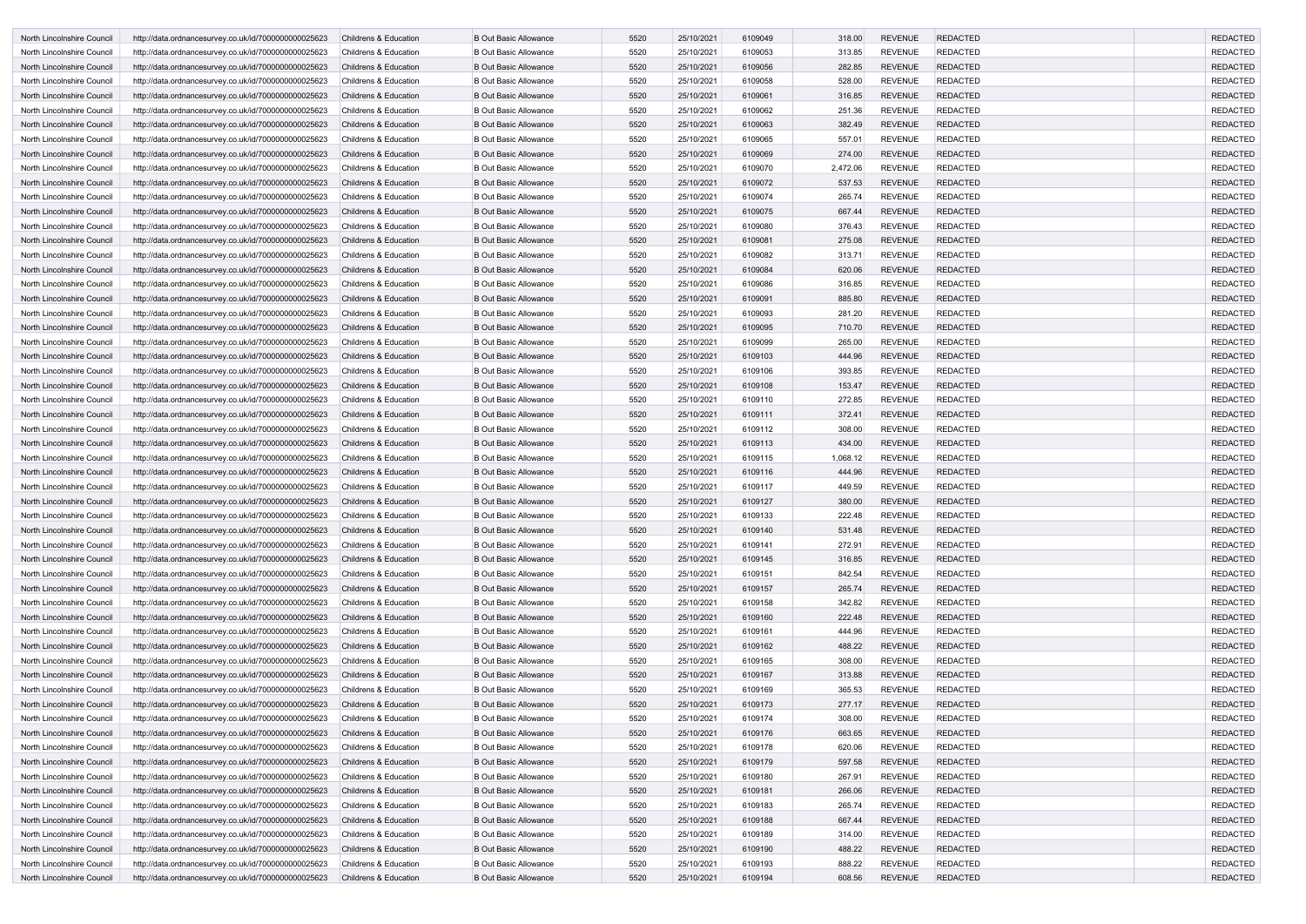| North Lincolnshire Council                               | http://data.ordnancesurvey.co.uk/id/7000000000025623                                                         | <b>Childrens &amp; Education</b>               | <b>B Out Basic Allowance</b>                                 | 5520 | 25/10/2021 | 6109049 | 318.00           | <b>REVENUE</b> | <b>REDACTED</b> | <b>REDACTED</b> |
|----------------------------------------------------------|--------------------------------------------------------------------------------------------------------------|------------------------------------------------|--------------------------------------------------------------|------|------------|---------|------------------|----------------|-----------------|-----------------|
| North Lincolnshire Council                               | http://data.ordnancesurvey.co.uk/id/7000000000025623                                                         | <b>Childrens &amp; Education</b>               | <b>B Out Basic Allowance</b>                                 | 5520 | 25/10/2021 | 6109053 | 313.85           | <b>REVENUE</b> | <b>REDACTED</b> | <b>REDACTED</b> |
| North Lincolnshire Council                               | http://data.ordnancesurvey.co.uk/id/7000000000025623                                                         | <b>Childrens &amp; Education</b>               | <b>B Out Basic Allowance</b>                                 | 5520 | 25/10/2021 | 6109056 | 282.85           | <b>REVENUE</b> | <b>REDACTED</b> | <b>REDACTED</b> |
| North Lincolnshire Council                               | http://data.ordnancesurvey.co.uk/id/7000000000025623                                                         | Childrens & Education                          | <b>B Out Basic Allowance</b>                                 | 5520 | 25/10/2021 | 6109058 | 528.00           | <b>REVENUE</b> | <b>REDACTED</b> | <b>REDACTED</b> |
| North Lincolnshire Council                               | http://data.ordnancesurvey.co.uk/id/7000000000025623                                                         | <b>Childrens &amp; Education</b>               | <b>B Out Basic Allowance</b>                                 | 5520 | 25/10/2021 | 6109061 | 316.85           | <b>REVENUE</b> | <b>REDACTED</b> | <b>REDACTED</b> |
| North Lincolnshire Council                               | http://data.ordnancesurvey.co.uk/id/7000000000025623                                                         | <b>Childrens &amp; Education</b>               | <b>B Out Basic Allowance</b>                                 | 5520 | 25/10/2021 | 6109062 | 251.36           | <b>REVENUE</b> | <b>REDACTED</b> | <b>REDACTED</b> |
| North Lincolnshire Council                               | http://data.ordnancesurvey.co.uk/id/7000000000025623                                                         | <b>Childrens &amp; Education</b>               | <b>B Out Basic Allowance</b>                                 | 5520 | 25/10/2021 | 6109063 | 382.49           | <b>REVENUE</b> | <b>REDACTED</b> | <b>REDACTED</b> |
| North Lincolnshire Council                               | http://data.ordnancesurvey.co.uk/id/7000000000025623                                                         | <b>Childrens &amp; Education</b>               | <b>B Out Basic Allowance</b>                                 | 5520 | 25/10/2021 | 6109065 | 557.01           | <b>REVENUE</b> | <b>REDACTED</b> | <b>REDACTED</b> |
| North Lincolnshire Council                               | http://data.ordnancesurvey.co.uk/id/7000000000025623                                                         | <b>Childrens &amp; Education</b>               | <b>B Out Basic Allowance</b>                                 | 5520 | 25/10/2021 | 6109069 | 274.00           | <b>REVENUE</b> | <b>REDACTED</b> | <b>REDACTED</b> |
| North Lincolnshire Council                               | http://data.ordnancesurvey.co.uk/id/7000000000025623                                                         | <b>Childrens &amp; Education</b>               | <b>B Out Basic Allowance</b>                                 | 5520 | 25/10/2021 | 6109070 | 2,472.06         | <b>REVENUE</b> | <b>REDACTED</b> | <b>REDACTED</b> |
| North Lincolnshire Council                               | http://data.ordnancesurvey.co.uk/id/7000000000025623                                                         | <b>Childrens &amp; Education</b>               | <b>B Out Basic Allowance</b>                                 | 5520 | 25/10/2021 | 6109072 | 537.53           | <b>REVENUE</b> | <b>REDACTED</b> | <b>REDACTED</b> |
| North Lincolnshire Council                               | http://data.ordnancesurvey.co.uk/id/7000000000025623                                                         | <b>Childrens &amp; Education</b>               | <b>B Out Basic Allowance</b>                                 | 5520 | 25/10/2021 | 6109074 | 265.74           | <b>REVENUE</b> | <b>REDACTED</b> | <b>REDACTED</b> |
| North Lincolnshire Council                               | http://data.ordnancesurvey.co.uk/id/7000000000025623                                                         | <b>Childrens &amp; Education</b>               | <b>B Out Basic Allowance</b>                                 | 5520 | 25/10/2021 | 6109075 | 667.44           | <b>REVENUE</b> | <b>REDACTED</b> | <b>REDACTED</b> |
| North Lincolnshire Council                               | http://data.ordnancesurvey.co.uk/id/7000000000025623                                                         | <b>Childrens &amp; Education</b>               | <b>B Out Basic Allowance</b>                                 | 5520 | 25/10/2021 | 6109080 | 376.43           | <b>REVENUE</b> | <b>REDACTED</b> | <b>REDACTED</b> |
| North Lincolnshire Council                               | http://data.ordnancesurvey.co.uk/id/7000000000025623                                                         | <b>Childrens &amp; Education</b>               | <b>B Out Basic Allowance</b>                                 | 5520 | 25/10/2021 | 6109081 | 275.08           | <b>REVENUE</b> | <b>REDACTED</b> | <b>REDACTED</b> |
| North Lincolnshire Council                               | http://data.ordnancesurvey.co.uk/id/7000000000025623                                                         | <b>Childrens &amp; Education</b>               | <b>B Out Basic Allowance</b>                                 | 5520 | 25/10/2021 | 6109082 | 313.71           | <b>REVENUE</b> | <b>REDACTED</b> | <b>REDACTED</b> |
| North Lincolnshire Council                               | http://data.ordnancesurvey.co.uk/id/7000000000025623                                                         | <b>Childrens &amp; Education</b>               | <b>B Out Basic Allowance</b>                                 | 5520 | 25/10/2021 | 6109084 | 620.06           | <b>REVENUE</b> | <b>REDACTED</b> | <b>REDACTED</b> |
| North Lincolnshire Council                               | http://data.ordnancesurvey.co.uk/id/7000000000025623                                                         | <b>Childrens &amp; Education</b>               | <b>B Out Basic Allowance</b>                                 | 5520 | 25/10/2021 | 6109086 | 316.85           | <b>REVENUE</b> | <b>REDACTED</b> | <b>REDACTED</b> |
| North Lincolnshire Council                               | http://data.ordnancesurvey.co.uk/id/7000000000025623                                                         | <b>Childrens &amp; Education</b>               | <b>B Out Basic Allowance</b>                                 | 5520 | 25/10/2021 | 6109091 | 885.80           | <b>REVENUE</b> | <b>REDACTED</b> | <b>REDACTED</b> |
| North Lincolnshire Council                               | http://data.ordnancesurvey.co.uk/id/7000000000025623                                                         | Childrens & Education                          | <b>B Out Basic Allowance</b>                                 | 5520 | 25/10/2021 | 6109093 | 281.20           | <b>REVENUE</b> | <b>REDACTED</b> | <b>REDACTED</b> |
| North Lincolnshire Council                               | http://data.ordnancesurvey.co.uk/id/7000000000025623                                                         | <b>Childrens &amp; Education</b>               | <b>B Out Basic Allowance</b>                                 | 5520 | 25/10/2021 | 6109095 | 710.70           | <b>REVENUE</b> | <b>REDACTED</b> | <b>REDACTED</b> |
| North Lincolnshire Council                               | http://data.ordnancesurvey.co.uk/id/7000000000025623                                                         | <b>Childrens &amp; Education</b>               | <b>B Out Basic Allowance</b>                                 | 5520 | 25/10/2021 | 6109099 | 265.00           | <b>REVENUE</b> | <b>REDACTED</b> | <b>REDACTED</b> |
| North Lincolnshire Council                               | http://data.ordnancesurvey.co.uk/id/7000000000025623                                                         | <b>Childrens &amp; Education</b>               | <b>B Out Basic Allowance</b>                                 | 5520 | 25/10/2021 | 6109103 | 444.96           | <b>REVENUE</b> | <b>REDACTED</b> | <b>REDACTED</b> |
| North Lincolnshire Council                               | http://data.ordnancesurvey.co.uk/id/7000000000025623                                                         | <b>Childrens &amp; Education</b>               | <b>B Out Basic Allowance</b>                                 | 5520 | 25/10/2021 | 6109106 | 393.85           | <b>REVENUE</b> | <b>REDACTED</b> | <b>REDACTED</b> |
| North Lincolnshire Council                               | http://data.ordnancesurvey.co.uk/id/7000000000025623                                                         | <b>Childrens &amp; Education</b>               | <b>B Out Basic Allowance</b>                                 | 5520 | 25/10/2021 | 6109108 | 153.47           | <b>REVENUE</b> | <b>REDACTED</b> | <b>REDACTED</b> |
| North Lincolnshire Council                               | http://data.ordnancesurvey.co.uk/id/7000000000025623                                                         | <b>Childrens &amp; Education</b>               | <b>B Out Basic Allowance</b>                                 | 5520 | 25/10/2021 | 6109110 | 272.85           | <b>REVENUE</b> | <b>REDACTED</b> | <b>REDACTED</b> |
| North Lincolnshire Council                               | http://data.ordnancesurvey.co.uk/id/7000000000025623                                                         | <b>Childrens &amp; Education</b>               | <b>B Out Basic Allowance</b>                                 | 5520 | 25/10/2021 | 6109111 | 372.41           | <b>REVENUE</b> | <b>REDACTED</b> | <b>REDACTED</b> |
| North Lincolnshire Council                               | http://data.ordnancesurvey.co.uk/id/7000000000025623                                                         | Childrens & Education                          | <b>B Out Basic Allowance</b>                                 | 5520 | 25/10/2021 | 6109112 | 308.00           | <b>REVENUE</b> | <b>REDACTED</b> | <b>REDACTED</b> |
| North Lincolnshire Council                               | http://data.ordnancesurvey.co.uk/id/7000000000025623                                                         | Childrens & Education                          | <b>B Out Basic Allowance</b>                                 | 5520 | 25/10/2021 | 6109113 | 434.00           | <b>REVENUE</b> | <b>REDACTED</b> | <b>REDACTED</b> |
| North Lincolnshire Council                               | http://data.ordnancesurvey.co.uk/id/7000000000025623                                                         | Childrens & Education                          | <b>B Out Basic Allowance</b>                                 | 5520 | 25/10/2021 | 6109115 | 1,068.12         | <b>REVENUE</b> | <b>REDACTED</b> | <b>REDACTED</b> |
| North Lincolnshire Council                               | http://data.ordnancesurvey.co.uk/id/7000000000025623                                                         | <b>Childrens &amp; Education</b>               | <b>B Out Basic Allowance</b>                                 | 5520 | 25/10/2021 | 6109116 | 444.96           | <b>REVENUE</b> | <b>REDACTED</b> | <b>REDACTED</b> |
| North Lincolnshire Council                               | http://data.ordnancesurvey.co.uk/id/7000000000025623                                                         | <b>Childrens &amp; Education</b>               | <b>B Out Basic Allowance</b>                                 | 5520 | 25/10/2021 | 6109117 | 449.59           | <b>REVENUE</b> | <b>REDACTED</b> | <b>REDACTED</b> |
| North Lincolnshire Council                               | http://data.ordnancesurvey.co.uk/id/7000000000025623                                                         | <b>Childrens &amp; Education</b>               | <b>B Out Basic Allowance</b>                                 | 5520 | 25/10/2021 | 6109127 | 380.00           | <b>REVENUE</b> | <b>REDACTED</b> | <b>REDACTED</b> |
| North Lincolnshire Council                               | http://data.ordnancesurvey.co.uk/id/7000000000025623                                                         | Childrens & Education                          | <b>B Out Basic Allowance</b>                                 | 5520 | 25/10/2021 | 6109133 | 222.48           | <b>REVENUE</b> | <b>REDACTED</b> | <b>REDACTED</b> |
| North Lincolnshire Council                               | http://data.ordnancesurvey.co.uk/id/7000000000025623                                                         | Childrens & Education                          | <b>B Out Basic Allowance</b>                                 | 5520 | 25/10/2021 | 6109140 | 531.48           | <b>REVENUE</b> | <b>REDACTED</b> | <b>REDACTED</b> |
| North Lincolnshire Council                               | http://data.ordnancesurvey.co.uk/id/7000000000025623                                                         | Childrens & Education                          | <b>B Out Basic Allowance</b>                                 | 5520 | 25/10/2021 | 6109141 | 272.91           | <b>REVENUE</b> | <b>REDACTED</b> | <b>REDACTED</b> |
| North Lincolnshire Council                               | http://data.ordnancesurvey.co.uk/id/7000000000025623                                                         | Childrens & Education                          | <b>B Out Basic Allowance</b>                                 | 5520 | 25/10/2021 | 6109145 | 316.85           | <b>REVENUE</b> | <b>REDACTED</b> | <b>REDACTED</b> |
| North Lincolnshire Council                               | http://data.ordnancesurvey.co.uk/id/7000000000025623                                                         | Childrens & Education                          | <b>B Out Basic Allowance</b>                                 | 5520 | 25/10/2021 | 6109151 | 842.54           | <b>REVENUE</b> | <b>REDACTED</b> | <b>REDACTED</b> |
| North Lincolnshire Council                               | http://data.ordnancesurvey.co.uk/id/7000000000025623                                                         | <b>Childrens &amp; Education</b>               | <b>B Out Basic Allowance</b>                                 | 5520 | 25/10/2021 | 6109157 | 265.74           | <b>REVENUE</b> | <b>REDACTED</b> | <b>REDACTED</b> |
| North Lincolnshire Council                               | http://data.ordnancesurvey.co.uk/id/7000000000025623                                                         | Childrens & Education                          | <b>B Out Basic Allowance</b>                                 | 5520 | 25/10/2021 | 6109158 | 342.82           | <b>REVENUE</b> | <b>REDACTED</b> | <b>REDACTED</b> |
| North Lincolnshire Council                               | http://data.ordnancesurvey.co.uk/id/7000000000025623                                                         | Childrens & Education                          | <b>B Out Basic Allowance</b>                                 | 5520 | 25/10/2021 | 6109160 | 222.48           | <b>REVENUE</b> | <b>REDACTED</b> | <b>REDACTED</b> |
| North Lincolnshire Council                               | http://data.ordnancesurvey.co.uk/id/7000000000025623                                                         | Childrens & Education                          | <b>B Out Basic Allowance</b>                                 | 5520 | 25/10/2021 | 6109161 | 444.96           | <b>REVENUE</b> | <b>REDACTED</b> | <b>REDACTED</b> |
| North Lincolnshire Council                               | http://data.ordnancesurvey.co.uk/id/7000000000025623                                                         | <b>Childrens &amp; Education</b>               | <b>B Out Basic Allowance</b>                                 | 5520 | 25/10/2021 | 6109162 | 488.22           | <b>REVENUE</b> | <b>REDACTED</b> | <b>REDACTED</b> |
| North Lincolnshire Council                               | http://data.ordnancesurvey.co.uk/id/7000000000025623                                                         | Childrens & Education                          | <b>B Out Basic Allowance</b>                                 | 5520 | 25/10/2021 | 6109165 | 308.00           | <b>REVENUE</b> | <b>REDACTED</b> | <b>REDACTED</b> |
| North Lincolnshire Council                               | http://data.ordnancesurvey.co.uk/id/7000000000025623                                                         | Childrens & Education                          | <b>B Out Basic Allowance</b>                                 | 5520 | 25/10/2021 | 6109167 | 313.88           | <b>REVENUE</b> | <b>REDACTED</b> | <b>REDACTED</b> |
| North Lincolnshire Council                               | http://data.ordnancesurvey.co.uk/id/7000000000025623                                                         | Childrens & Education                          | <b>B Out Basic Allowance</b>                                 | 5520 | 25/10/2021 | 6109169 | 365.53           | <b>REVENUE</b> | <b>REDACTED</b> | <b>REDACTED</b> |
| North Lincolnshire Council                               | http://data.ordnancesurvey.co.uk/id/7000000000025623                                                         | Childrens & Education                          | <b>B Out Basic Allowance</b>                                 | 5520 | 25/10/2021 | 6109173 | 277.17           | <b>REVENUE</b> | <b>REDACTED</b> | <b>REDACTED</b> |
| North Lincolnshire Council                               | http://data.ordnancesurvey.co.uk/id/7000000000025623                                                         | Childrens & Education                          | <b>B Out Basic Allowance</b>                                 | 5520 | 25/10/2021 | 6109174 | 308.00           | <b>REVENUE</b> | <b>REDACTED</b> | <b>REDACTED</b> |
| North Lincolnshire Council                               | http://data.ordnancesurvey.co.uk/id/7000000000025623                                                         | <b>Childrens &amp; Education</b>               | <b>B Out Basic Allowance</b>                                 | 5520 | 25/10/2021 | 6109176 | 663.65           | <b>REVENUE</b> | <b>REDACTED</b> | <b>REDACTED</b> |
|                                                          |                                                                                                              |                                                |                                                              | 5520 | 25/10/2021 | 6109178 |                  | <b>REVENUE</b> | <b>REDACTED</b> | <b>REDACTED</b> |
| North Lincolnshire Council<br>North Lincolnshire Council | http://data.ordnancesurvey.co.uk/id/7000000000025623<br>http://data.ordnancesurvey.co.uk/id/7000000000025623 | Childrens & Education<br>Childrens & Education | <b>B Out Basic Allowance</b><br><b>B Out Basic Allowance</b> | 5520 | 25/10/2021 | 6109179 | 620.06<br>597.58 | <b>REVENUE</b> | <b>REDACTED</b> | <b>REDACTED</b> |
|                                                          |                                                                                                              | Childrens & Education                          | <b>B Out Basic Allowance</b>                                 | 5520 | 25/10/2021 | 6109180 | 267.91           | <b>REVENUE</b> | <b>REDACTED</b> | <b>REDACTED</b> |
| North Lincolnshire Council                               | http://data.ordnancesurvey.co.uk/id/7000000000025623                                                         |                                                |                                                              |      |            |         |                  |                |                 |                 |
| North Lincolnshire Council                               | http://data.ordnancesurvey.co.uk/id/7000000000025623                                                         | Childrens & Education                          | <b>B Out Basic Allowance</b>                                 | 5520 | 25/10/2021 | 6109181 | 266.06           | <b>REVENUE</b> | <b>REDACTED</b> | <b>REDACTED</b> |
| North Lincolnshire Council                               | http://data.ordnancesurvey.co.uk/id/7000000000025623                                                         | Childrens & Education                          | <b>B Out Basic Allowance</b>                                 | 5520 | 25/10/2021 | 6109183 | 265.74           | <b>REVENUE</b> | <b>REDACTED</b> | <b>REDACTED</b> |
| North Lincolnshire Council                               | http://data.ordnancesurvey.co.uk/id/7000000000025623                                                         | Childrens & Education                          | <b>B Out Basic Allowance</b>                                 | 5520 | 25/10/2021 | 6109188 | 667.44           | <b>REVENUE</b> | <b>REDACTED</b> | <b>REDACTED</b> |
| North Lincolnshire Council                               | http://data.ordnancesurvey.co.uk/id/7000000000025623                                                         | Childrens & Education                          | <b>B Out Basic Allowance</b>                                 | 5520 | 25/10/2021 | 6109189 | 314.00           | <b>REVENUE</b> | <b>REDACTED</b> | <b>REDACTED</b> |
| North Lincolnshire Council                               | http://data.ordnancesurvey.co.uk/id/7000000000025623                                                         | <b>Childrens &amp; Education</b>               | <b>B Out Basic Allowance</b>                                 | 5520 | 25/10/2021 | 6109190 | 488.22           | <b>REVENUE</b> | <b>REDACTED</b> | <b>REDACTED</b> |
| North Lincolnshire Council                               | http://data.ordnancesurvey.co.uk/id/7000000000025623                                                         | <b>Childrens &amp; Education</b>               | <b>B Out Basic Allowance</b>                                 | 5520 | 25/10/2021 | 6109193 | 888.22           | <b>REVENUE</b> | <b>REDACTED</b> | <b>REDACTED</b> |
| North Lincolnshire Council                               | http://data.ordnancesurvey.co.uk/id/7000000000025623                                                         | <b>Childrens &amp; Education</b>               | <b>B Out Basic Allowance</b>                                 | 5520 | 25/10/2021 | 6109194 | 608.56           | <b>REVENUE</b> | <b>REDACTED</b> | <b>REDACTED</b> |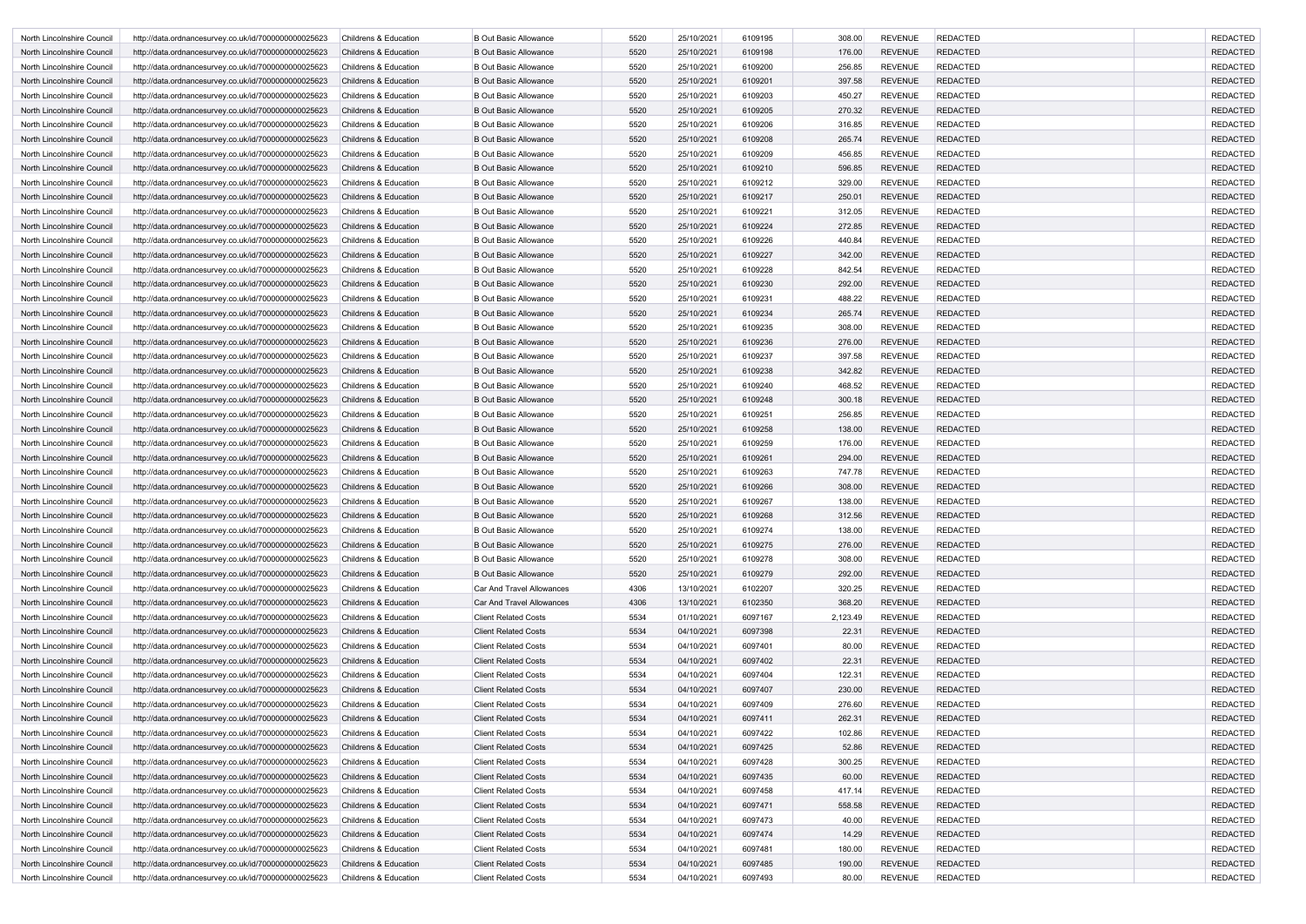| North Lincolnshire Council | http://data.ordnancesurvey.co.uk/id/7000000000025623 | <b>Childrens &amp; Education</b> | <b>B Out Basic Allowance</b>     | 5520 | 25/10/2021 | 6109195 | 308.00   | <b>REVENUE</b> | <b>REDACTED</b> | <b>REDACTED</b> |
|----------------------------|------------------------------------------------------|----------------------------------|----------------------------------|------|------------|---------|----------|----------------|-----------------|-----------------|
| North Lincolnshire Council | http://data.ordnancesurvey.co.uk/id/7000000000025623 | <b>Childrens &amp; Education</b> | <b>B Out Basic Allowance</b>     | 5520 | 25/10/2021 | 6109198 | 176.00   | <b>REVENUE</b> | <b>REDACTED</b> | <b>REDACTED</b> |
| North Lincolnshire Council | http://data.ordnancesurvey.co.uk/id/7000000000025623 | <b>Childrens &amp; Education</b> | <b>B Out Basic Allowance</b>     | 5520 | 25/10/2021 | 6109200 | 256.85   | <b>REVENUE</b> | <b>REDACTED</b> | <b>REDACTED</b> |
| North Lincolnshire Council | http://data.ordnancesurvey.co.uk/id/7000000000025623 | <b>Childrens &amp; Education</b> | <b>B Out Basic Allowance</b>     | 5520 | 25/10/2021 | 6109201 | 397.58   | <b>REVENUE</b> | <b>REDACTED</b> | <b>REDACTED</b> |
| North Lincolnshire Council | http://data.ordnancesurvey.co.uk/id/7000000000025623 | Childrens & Education            | <b>B Out Basic Allowance</b>     | 5520 | 25/10/2021 | 6109203 | 450.27   | <b>REVENUE</b> | <b>REDACTED</b> | <b>REDACTED</b> |
| North Lincolnshire Council | http://data.ordnancesurvey.co.uk/id/7000000000025623 | <b>Childrens &amp; Education</b> | <b>B Out Basic Allowance</b>     | 5520 | 25/10/2021 | 6109205 | 270.32   | <b>REVENUE</b> | <b>REDACTED</b> | <b>REDACTED</b> |
| North Lincolnshire Council | http://data.ordnancesurvey.co.uk/id/7000000000025623 | <b>Childrens &amp; Education</b> | <b>B Out Basic Allowance</b>     | 5520 | 25/10/2021 | 6109206 | 316.85   | <b>REVENUE</b> | <b>REDACTED</b> | <b>REDACTED</b> |
| North Lincolnshire Council | http://data.ordnancesurvey.co.uk/id/7000000000025623 | <b>Childrens &amp; Education</b> | <b>B Out Basic Allowance</b>     | 5520 | 25/10/2021 | 6109208 | 265.74   | <b>REVENUE</b> | <b>REDACTED</b> | <b>REDACTED</b> |
| North Lincolnshire Council | http://data.ordnancesurvey.co.uk/id/7000000000025623 | <b>Childrens &amp; Education</b> | <b>B Out Basic Allowance</b>     | 5520 | 25/10/2021 | 6109209 | 456.85   | <b>REVENUE</b> | <b>REDACTED</b> | <b>REDACTED</b> |
| North Lincolnshire Council | http://data.ordnancesurvey.co.uk/id/7000000000025623 | <b>Childrens &amp; Education</b> | <b>B Out Basic Allowance</b>     | 5520 | 25/10/2021 | 6109210 | 596.85   | <b>REVENUE</b> | <b>REDACTED</b> | <b>REDACTED</b> |
| North Lincolnshire Council | http://data.ordnancesurvey.co.uk/id/7000000000025623 | Childrens & Education            | <b>B Out Basic Allowance</b>     | 5520 | 25/10/2021 | 6109212 | 329.00   | <b>REVENUE</b> | <b>REDACTED</b> | <b>REDACTED</b> |
| North Lincolnshire Council | http://data.ordnancesurvey.co.uk/id/7000000000025623 | <b>Childrens &amp; Education</b> | <b>B Out Basic Allowance</b>     | 5520 | 25/10/2021 | 6109217 | 250.01   | <b>REVENUE</b> | <b>REDACTED</b> | <b>REDACTED</b> |
| North Lincolnshire Council | http://data.ordnancesurvey.co.uk/id/7000000000025623 | <b>Childrens &amp; Education</b> | <b>B Out Basic Allowance</b>     | 5520 | 25/10/2021 | 6109221 | 312.05   | <b>REVENUE</b> | <b>REDACTED</b> | <b>REDACTED</b> |
| North Lincolnshire Council | http://data.ordnancesurvey.co.uk/id/7000000000025623 | <b>Childrens &amp; Education</b> | <b>B Out Basic Allowance</b>     | 5520 | 25/10/2021 | 6109224 | 272.85   | <b>REVENUE</b> | <b>REDACTED</b> | <b>REDACTED</b> |
| North Lincolnshire Council | http://data.ordnancesurvey.co.uk/id/7000000000025623 | <b>Childrens &amp; Education</b> | <b>B Out Basic Allowance</b>     | 5520 | 25/10/2021 | 6109226 | 440.84   | <b>REVENUE</b> | <b>REDACTED</b> | <b>REDACTED</b> |
| North Lincolnshire Council | http://data.ordnancesurvey.co.uk/id/7000000000025623 | <b>Childrens &amp; Education</b> | <b>B Out Basic Allowance</b>     | 5520 | 25/10/2021 | 6109227 | 342.00   | <b>REVENUE</b> | <b>REDACTED</b> | <b>REDACTED</b> |
| North Lincolnshire Council | http://data.ordnancesurvey.co.uk/id/7000000000025623 | <b>Childrens &amp; Education</b> | <b>B Out Basic Allowance</b>     | 5520 | 25/10/2021 | 6109228 | 842.54   | <b>REVENUE</b> | <b>REDACTED</b> | <b>REDACTED</b> |
| North Lincolnshire Council | http://data.ordnancesurvey.co.uk/id/7000000000025623 | <b>Childrens &amp; Education</b> | <b>B Out Basic Allowance</b>     | 5520 | 25/10/2021 | 6109230 | 292.00   | <b>REVENUE</b> | <b>REDACTED</b> | <b>REDACTED</b> |
| North Lincolnshire Council | http://data.ordnancesurvey.co.uk/id/7000000000025623 | Childrens & Education            | <b>B Out Basic Allowance</b>     | 5520 | 25/10/2021 | 6109231 | 488.22   | <b>REVENUE</b> | <b>REDACTED</b> | <b>REDACTED</b> |
| North Lincolnshire Council | http://data.ordnancesurvey.co.uk/id/7000000000025623 | <b>Childrens &amp; Education</b> | <b>B Out Basic Allowance</b>     | 5520 | 25/10/2021 | 6109234 | 265.74   | <b>REVENUE</b> | <b>REDACTED</b> | <b>REDACTED</b> |
| North Lincolnshire Council | http://data.ordnancesurvey.co.uk/id/7000000000025623 | Childrens & Education            | <b>B Out Basic Allowance</b>     | 5520 | 25/10/2021 | 6109235 | 308.00   | <b>REVENUE</b> | <b>REDACTED</b> | <b>REDACTED</b> |
| North Lincolnshire Council | http://data.ordnancesurvey.co.uk/id/7000000000025623 | <b>Childrens &amp; Education</b> | <b>B Out Basic Allowance</b>     | 5520 | 25/10/2021 | 6109236 | 276.00   | <b>REVENUE</b> | <b>REDACTED</b> | <b>REDACTED</b> |
| North Lincolnshire Council | http://data.ordnancesurvey.co.uk/id/7000000000025623 | <b>Childrens &amp; Education</b> | <b>B Out Basic Allowance</b>     | 5520 | 25/10/2021 | 6109237 | 397.58   | <b>REVENUE</b> | <b>REDACTED</b> | <b>REDACTED</b> |
| North Lincolnshire Council | http://data.ordnancesurvey.co.uk/id/7000000000025623 | <b>Childrens &amp; Education</b> | <b>B Out Basic Allowance</b>     | 5520 | 25/10/2021 | 6109238 | 342.82   | <b>REVENUE</b> | <b>REDACTED</b> | <b>REDACTED</b> |
| North Lincolnshire Council | http://data.ordnancesurvey.co.uk/id/7000000000025623 | <b>Childrens &amp; Education</b> | <b>B Out Basic Allowance</b>     | 5520 | 25/10/2021 | 6109240 | 468.52   | <b>REVENUE</b> | <b>REDACTED</b> | <b>REDACTED</b> |
| North Lincolnshire Council | http://data.ordnancesurvey.co.uk/id/7000000000025623 | Childrens & Education            | <b>B Out Basic Allowance</b>     | 5520 | 25/10/2021 | 6109248 | 300.18   | <b>REVENUE</b> | <b>REDACTED</b> | <b>REDACTED</b> |
| North Lincolnshire Council | http://data.ordnancesurvey.co.uk/id/7000000000025623 | Childrens & Education            | <b>B Out Basic Allowance</b>     | 5520 | 25/10/2021 | 6109251 | 256.85   | <b>REVENUE</b> | <b>REDACTED</b> | <b>REDACTED</b> |
| North Lincolnshire Council | http://data.ordnancesurvey.co.uk/id/7000000000025623 | Childrens & Education            | <b>B Out Basic Allowance</b>     | 5520 | 25/10/2021 | 6109258 | 138.00   | <b>REVENUE</b> | <b>REDACTED</b> | <b>REDACTED</b> |
| North Lincolnshire Council | http://data.ordnancesurvey.co.uk/id/7000000000025623 | <b>Childrens &amp; Education</b> | <b>B Out Basic Allowance</b>     | 5520 | 25/10/2021 | 6109259 | 176.00   | <b>REVENUE</b> | <b>REDACTED</b> | <b>REDACTED</b> |
| North Lincolnshire Council | http://data.ordnancesurvey.co.uk/id/7000000000025623 | <b>Childrens &amp; Education</b> | <b>B Out Basic Allowance</b>     | 5520 | 25/10/2021 | 6109261 | 294.00   | <b>REVENUE</b> | <b>REDACTED</b> | <b>REDACTED</b> |
| North Lincolnshire Council | http://data.ordnancesurvey.co.uk/id/7000000000025623 | <b>Childrens &amp; Education</b> | <b>B Out Basic Allowance</b>     | 5520 | 25/10/2021 | 6109263 | 747.78   | <b>REVENUE</b> | <b>REDACTED</b> | <b>REDACTED</b> |
| North Lincolnshire Council | http://data.ordnancesurvey.co.uk/id/7000000000025623 | <b>Childrens &amp; Education</b> | <b>B Out Basic Allowance</b>     | 5520 | 25/10/2021 | 6109266 | 308.00   | <b>REVENUE</b> | <b>REDACTED</b> | <b>REDACTED</b> |
| North Lincolnshire Council | http://data.ordnancesurvey.co.uk/id/7000000000025623 | <b>Childrens &amp; Education</b> | <b>B Out Basic Allowance</b>     | 5520 | 25/10/2021 | 6109267 | 138.00   | <b>REVENUE</b> | <b>REDACTED</b> | <b>REDACTED</b> |
| North Lincolnshire Council | http://data.ordnancesurvey.co.uk/id/7000000000025623 | Childrens & Education            | <b>B Out Basic Allowance</b>     | 5520 | 25/10/2021 | 6109268 | 312.56   | <b>REVENUE</b> | <b>REDACTED</b> | <b>REDACTED</b> |
| North Lincolnshire Council | http://data.ordnancesurvey.co.uk/id/7000000000025623 | Childrens & Education            | <b>B Out Basic Allowance</b>     | 5520 | 25/10/2021 | 6109274 | 138.00   | <b>REVENUE</b> | <b>REDACTED</b> | <b>REDACTED</b> |
| North Lincolnshire Council | http://data.ordnancesurvey.co.uk/id/7000000000025623 | Childrens & Education            | <b>B Out Basic Allowance</b>     | 5520 | 25/10/2021 | 6109275 | 276.00   | <b>REVENUE</b> | <b>REDACTED</b> | <b>REDACTED</b> |
| North Lincolnshire Council | http://data.ordnancesurvey.co.uk/id/7000000000025623 | Childrens & Education            | B Out Basic Allowance            | 5520 | 25/10/2021 | 6109278 | 308.00   | <b>REVENUE</b> | <b>REDACTED</b> | <b>REDACTED</b> |
| North Lincolnshire Council | http://data.ordnancesurvey.co.uk/id/7000000000025623 | Childrens & Education            | <b>B Out Basic Allowance</b>     | 5520 | 25/10/2021 | 6109279 | 292.00   | <b>REVENUE</b> | <b>REDACTED</b> | <b>REDACTED</b> |
| North Lincolnshire Council | http://data.ordnancesurvey.co.uk/id/7000000000025623 | Childrens & Education            | Car And Travel Allowances        | 4306 | 13/10/2021 | 6102207 | 320.25   | <b>REVENUE</b> | <b>REDACTED</b> | <b>REDACTED</b> |
| North Lincolnshire Council | http://data.ordnancesurvey.co.uk/id/7000000000025623 | Childrens & Education            | <b>Car And Travel Allowances</b> | 4306 | 13/10/2021 | 6102350 | 368.20   | <b>REVENUE</b> | <b>REDACTED</b> | <b>REDACTED</b> |
| North Lincolnshire Council | http://data.ordnancesurvey.co.uk/id/7000000000025623 | Childrens & Education            | <b>Client Related Costs</b>      | 5534 | 01/10/2021 | 6097167 | 2,123.49 | <b>REVENUE</b> | <b>REDACTED</b> | <b>REDACTED</b> |
| North Lincolnshire Council | http://data.ordnancesurvey.co.uk/id/7000000000025623 | Childrens & Education            | <b>Client Related Costs</b>      | 5534 | 04/10/2021 | 6097398 | 22.31    | <b>REVENUE</b> | <b>REDACTED</b> | <b>REDACTED</b> |
| North Lincolnshire Council | http://data.ordnancesurvey.co.uk/id/7000000000025623 | Childrens & Education            | <b>Client Related Costs</b>      | 5534 | 04/10/2021 | 6097401 | 80.00    | <b>REVENUE</b> | <b>REDACTED</b> | <b>REDACTED</b> |
| North Lincolnshire Council | http://data.ordnancesurvey.co.uk/id/7000000000025623 | <b>Childrens &amp; Education</b> | <b>Client Related Costs</b>      | 5534 | 04/10/2021 | 6097402 | 22.31    | <b>REVENUE</b> | <b>REDACTED</b> | <b>REDACTED</b> |
| North Lincolnshire Council | http://data.ordnancesurvey.co.uk/id/7000000000025623 | Childrens & Education            | <b>Client Related Costs</b>      | 5534 | 04/10/2021 | 6097404 | 122.31   | <b>REVENUE</b> | <b>REDACTED</b> | <b>REDACTED</b> |
| North Lincolnshire Council | http://data.ordnancesurvey.co.uk/id/7000000000025623 | Childrens & Education            | <b>Client Related Costs</b>      | 5534 | 04/10/2021 | 6097407 | 230.00   | <b>REVENUE</b> | <b>REDACTED</b> | <b>REDACTED</b> |
| North Lincolnshire Council | http://data.ordnancesurvey.co.uk/id/7000000000025623 | Childrens & Education            | <b>Client Related Costs</b>      | 5534 | 04/10/2021 | 6097409 | 276.60   | <b>REVENUE</b> | <b>REDACTED</b> | <b>REDACTED</b> |
| North Lincolnshire Council | http://data.ordnancesurvey.co.uk/id/7000000000025623 | <b>Childrens &amp; Education</b> | <b>Client Related Costs</b>      | 5534 | 04/10/2021 | 6097411 | 262.31   | <b>REVENUE</b> | <b>REDACTED</b> | <b>REDACTED</b> |
| North Lincolnshire Council | http://data.ordnancesurvey.co.uk/id/7000000000025623 | Childrens & Education            | <b>Client Related Costs</b>      | 5534 | 04/10/2021 | 6097422 | 102.86   | <b>REVENUE</b> | <b>REDACTED</b> | <b>REDACTED</b> |
| North Lincolnshire Council | http://data.ordnancesurvey.co.uk/id/7000000000025623 | Childrens & Education            | <b>Client Related Costs</b>      | 5534 | 04/10/2021 | 6097425 | 52.86    | <b>REVENUE</b> | <b>REDACTED</b> | <b>REDACTED</b> |
| North Lincolnshire Council | http://data.ordnancesurvey.co.uk/id/7000000000025623 | Childrens & Education            | <b>Client Related Costs</b>      | 5534 | 04/10/2021 | 6097428 | 300.25   | <b>REVENUE</b> | <b>REDACTED</b> | <b>REDACTED</b> |
| North Lincolnshire Council | http://data.ordnancesurvey.co.uk/id/7000000000025623 | Childrens & Education            | <b>Client Related Costs</b>      | 5534 | 04/10/2021 | 6097435 | 60.00    | <b>REVENUE</b> | <b>REDACTED</b> | <b>REDACTED</b> |
| North Lincolnshire Council | http://data.ordnancesurvey.co.uk/id/7000000000025623 | Childrens & Education            | <b>Client Related Costs</b>      | 5534 | 04/10/2021 | 6097458 | 417.14   | <b>REVENUE</b> | <b>REDACTED</b> | <b>REDACTED</b> |
| North Lincolnshire Council | http://data.ordnancesurvey.co.uk/id/7000000000025623 | <b>Childrens &amp; Education</b> | <b>Client Related Costs</b>      | 5534 | 04/10/2021 | 6097471 | 558.58   | <b>REVENUE</b> | <b>REDACTED</b> | <b>REDACTED</b> |
| North Lincolnshire Council | http://data.ordnancesurvey.co.uk/id/7000000000025623 | Childrens & Education            | <b>Client Related Costs</b>      | 5534 | 04/10/2021 | 6097473 | 40.00    | <b>REVENUE</b> | <b>REDACTED</b> | <b>REDACTED</b> |
| North Lincolnshire Council | http://data.ordnancesurvey.co.uk/id/7000000000025623 | Childrens & Education            | <b>Client Related Costs</b>      | 5534 | 04/10/2021 | 6097474 | 14.29    | <b>REVENUE</b> | <b>REDACTED</b> | <b>REDACTED</b> |
| North Lincolnshire Council | http://data.ordnancesurvey.co.uk/id/7000000000025623 | Childrens & Education            | <b>Client Related Costs</b>      | 5534 | 04/10/2021 | 6097481 | 180.00   | <b>REVENUE</b> | <b>REDACTED</b> | <b>REDACTED</b> |
| North Lincolnshire Council | http://data.ordnancesurvey.co.uk/id/7000000000025623 | Childrens & Education            | <b>Client Related Costs</b>      | 5534 | 04/10/2021 | 6097485 | 190.00   | <b>REVENUE</b> | <b>REDACTED</b> | <b>REDACTED</b> |
| North Lincolnshire Council | http://data.ordnancesurvey.co.uk/id/7000000000025623 | Childrens & Education            | <b>Client Related Costs</b>      | 5534 | 04/10/2021 | 6097493 | 80.00    | REVENUE        | <b>REDACTED</b> | <b>REDACTED</b> |
|                            |                                                      |                                  |                                  |      |            |         |          |                |                 |                 |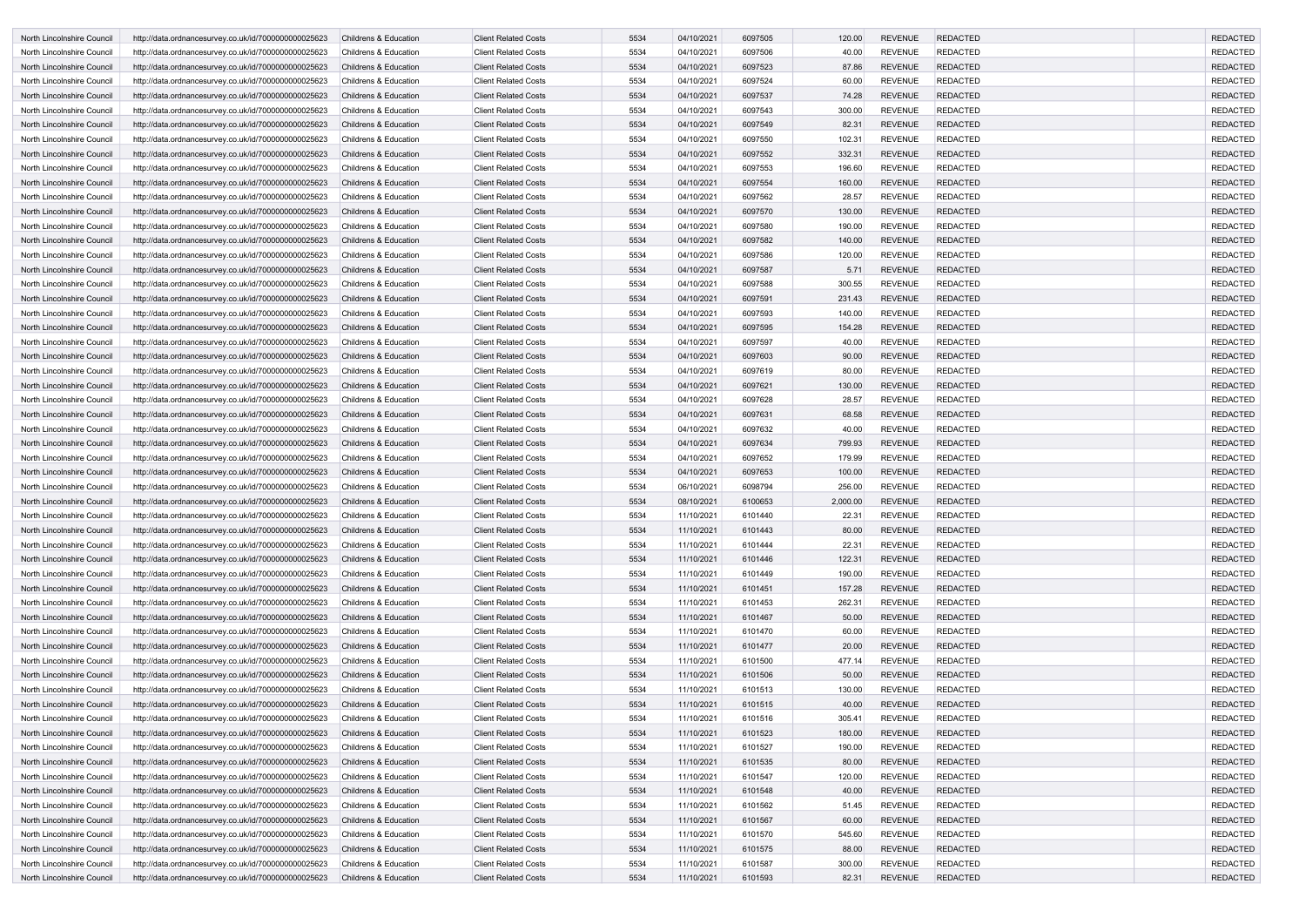| North Lincolnshire Council | http://data.ordnancesurvey.co.uk/id/7000000000025623 | <b>Childrens &amp; Education</b> | <b>Client Related Costs</b> | 5534 | 04/10/2021 | 6097505 | 120.00   | <b>REVENUE</b> | <b>REDACTED</b> | <b>REDACTED</b> |
|----------------------------|------------------------------------------------------|----------------------------------|-----------------------------|------|------------|---------|----------|----------------|-----------------|-----------------|
| North Lincolnshire Council | http://data.ordnancesurvey.co.uk/id/7000000000025623 | <b>Childrens &amp; Education</b> | <b>Client Related Costs</b> | 5534 | 04/10/2021 | 6097506 | 40.00    | <b>REVENUE</b> | <b>REDACTED</b> | <b>REDACTED</b> |
| North Lincolnshire Council | http://data.ordnancesurvey.co.uk/id/7000000000025623 | <b>Childrens &amp; Education</b> | <b>Client Related Costs</b> | 5534 | 04/10/2021 | 6097523 | 87.86    | <b>REVENUE</b> | <b>REDACTED</b> | <b>REDACTED</b> |
| North Lincolnshire Council | http://data.ordnancesurvey.co.uk/id/7000000000025623 | <b>Childrens &amp; Education</b> | <b>Client Related Costs</b> | 5534 | 04/10/2021 | 6097524 | 60.00    | <b>REVENUE</b> | <b>REDACTED</b> | <b>REDACTED</b> |
| North Lincolnshire Council | http://data.ordnancesurvey.co.uk/id/7000000000025623 | <b>Childrens &amp; Education</b> | <b>Client Related Costs</b> | 5534 | 04/10/2021 | 6097537 | 74.28    | <b>REVENUE</b> | <b>REDACTED</b> | <b>REDACTED</b> |
| North Lincolnshire Council | http://data.ordnancesurvey.co.uk/id/7000000000025623 | <b>Childrens &amp; Education</b> | <b>Client Related Costs</b> | 5534 | 04/10/2021 | 6097543 | 300.00   | <b>REVENUE</b> | <b>REDACTED</b> | <b>REDACTED</b> |
| North Lincolnshire Council | http://data.ordnancesurvey.co.uk/id/7000000000025623 | <b>Childrens &amp; Education</b> | <b>Client Related Costs</b> | 5534 | 04/10/2021 | 6097549 | 82.31    | <b>REVENUE</b> | <b>REDACTED</b> | <b>REDACTED</b> |
| North Lincolnshire Council | http://data.ordnancesurvey.co.uk/id/7000000000025623 | <b>Childrens &amp; Education</b> | <b>Client Related Costs</b> | 5534 | 04/10/2021 | 6097550 | 102.31   | <b>REVENUE</b> | <b>REDACTED</b> | <b>REDACTED</b> |
|                            |                                                      |                                  | <b>Client Related Costs</b> | 5534 |            | 6097552 | 332.31   | <b>REVENUE</b> | <b>REDACTED</b> | <b>REDACTED</b> |
| North Lincolnshire Council | http://data.ordnancesurvey.co.uk/id/7000000000025623 | <b>Childrens &amp; Education</b> |                             | 5534 | 04/10/2021 |         |          |                |                 |                 |
| North Lincolnshire Council | http://data.ordnancesurvey.co.uk/id/7000000000025623 | Childrens & Education            | <b>Client Related Costs</b> |      | 04/10/2021 | 6097553 | 196.60   | <b>REVENUE</b> | <b>REDACTED</b> | <b>REDACTED</b> |
| North Lincolnshire Council | http://data.ordnancesurvey.co.uk/id/7000000000025623 | <b>Childrens &amp; Education</b> | <b>Client Related Costs</b> | 5534 | 04/10/2021 | 6097554 | 160.00   | <b>REVENUE</b> | <b>REDACTED</b> | <b>REDACTED</b> |
| North Lincolnshire Council | http://data.ordnancesurvey.co.uk/id/7000000000025623 | <b>Childrens &amp; Education</b> | <b>Client Related Costs</b> | 5534 | 04/10/2021 | 6097562 | 28.57    | <b>REVENUE</b> | <b>REDACTED</b> | <b>REDACTED</b> |
| North Lincolnshire Council | http://data.ordnancesurvey.co.uk/id/7000000000025623 | <b>Childrens &amp; Education</b> | <b>Client Related Costs</b> | 5534 | 04/10/2021 | 6097570 | 130.00   | <b>REVENUE</b> | <b>REDACTED</b> | <b>REDACTED</b> |
| North Lincolnshire Council | http://data.ordnancesurvey.co.uk/id/7000000000025623 | <b>Childrens &amp; Education</b> | <b>Client Related Costs</b> | 5534 | 04/10/2021 | 6097580 | 190.00   | <b>REVENUE</b> | <b>REDACTED</b> | <b>REDACTED</b> |
| North Lincolnshire Council | http://data.ordnancesurvey.co.uk/id/7000000000025623 | <b>Childrens &amp; Education</b> | <b>Client Related Costs</b> | 5534 | 04/10/2021 | 6097582 | 140.00   | <b>REVENUE</b> | <b>REDACTED</b> | <b>REDACTED</b> |
| North Lincolnshire Council | http://data.ordnancesurvey.co.uk/id/7000000000025623 | <b>Childrens &amp; Education</b> | <b>Client Related Costs</b> | 5534 | 04/10/2021 | 6097586 | 120.00   | <b>REVENUE</b> | <b>REDACTED</b> | <b>REDACTED</b> |
| North Lincolnshire Council | http://data.ordnancesurvey.co.uk/id/7000000000025623 | <b>Childrens &amp; Education</b> | <b>Client Related Costs</b> | 5534 | 04/10/2021 | 6097587 | 5.71     | <b>REVENUE</b> | <b>REDACTED</b> | <b>REDACTED</b> |
| North Lincolnshire Council | http://data.ordnancesurvey.co.uk/id/7000000000025623 | <b>Childrens &amp; Education</b> | <b>Client Related Costs</b> | 5534 | 04/10/2021 | 6097588 | 300.55   | <b>REVENUE</b> | <b>REDACTED</b> | <b>REDACTED</b> |
| North Lincolnshire Council | http://data.ordnancesurvey.co.uk/id/7000000000025623 | <b>Childrens &amp; Education</b> | <b>Client Related Costs</b> | 5534 | 04/10/2021 | 6097591 | 231.43   | <b>REVENUE</b> | <b>REDACTED</b> | <b>REDACTED</b> |
| North Lincolnshire Council | http://data.ordnancesurvey.co.uk/id/7000000000025623 | <b>Childrens &amp; Education</b> | <b>Client Related Costs</b> | 5534 | 04/10/2021 | 6097593 | 140.00   | <b>REVENUE</b> | <b>REDACTED</b> | <b>REDACTED</b> |
| North Lincolnshire Council | http://data.ordnancesurvey.co.uk/id/7000000000025623 | <b>Childrens &amp; Education</b> | <b>Client Related Costs</b> | 5534 | 04/10/2021 | 6097595 | 154.28   | <b>REVENUE</b> | <b>REDACTED</b> | <b>REDACTED</b> |
| North Lincolnshire Council | http://data.ordnancesurvey.co.uk/id/7000000000025623 | <b>Childrens &amp; Education</b> | <b>Client Related Costs</b> | 5534 | 04/10/2021 | 6097597 | 40.00    | <b>REVENUE</b> | <b>REDACTED</b> | <b>REDACTED</b> |
| North Lincolnshire Council | http://data.ordnancesurvey.co.uk/id/7000000000025623 | <b>Childrens &amp; Education</b> | <b>Client Related Costs</b> | 5534 | 04/10/2021 | 6097603 | 90.00    | <b>REVENUE</b> | <b>REDACTED</b> | <b>REDACTED</b> |
| North Lincolnshire Council | http://data.ordnancesurvey.co.uk/id/7000000000025623 | <b>Childrens &amp; Education</b> | <b>Client Related Costs</b> | 5534 | 04/10/2021 | 6097619 | 80.00    | <b>REVENUE</b> | <b>REDACTED</b> | <b>REDACTED</b> |
| North Lincolnshire Council | http://data.ordnancesurvey.co.uk/id/7000000000025623 | <b>Childrens &amp; Education</b> | <b>Client Related Costs</b> | 5534 | 04/10/2021 | 6097621 | 130.00   | <b>REVENUE</b> | <b>REDACTED</b> | <b>REDACTED</b> |
| North Lincolnshire Council | http://data.ordnancesurvey.co.uk/id/7000000000025623 | <b>Childrens &amp; Education</b> | <b>Client Related Costs</b> | 5534 | 04/10/2021 | 6097628 | 28.57    | <b>REVENUE</b> | <b>REDACTED</b> | <b>REDACTED</b> |
| North Lincolnshire Council | http://data.ordnancesurvey.co.uk/id/7000000000025623 | <b>Childrens &amp; Education</b> | <b>Client Related Costs</b> | 5534 | 04/10/2021 | 6097631 | 68.58    | <b>REVENUE</b> | <b>REDACTED</b> | <b>REDACTED</b> |
| North Lincolnshire Council | http://data.ordnancesurvey.co.uk/id/7000000000025623 | Childrens & Education            | <b>Client Related Costs</b> | 5534 | 04/10/2021 | 6097632 | 40.00    | <b>REVENUE</b> | <b>REDACTED</b> | <b>REDACTED</b> |
| North Lincolnshire Council | http://data.ordnancesurvey.co.uk/id/7000000000025623 | <b>Childrens &amp; Education</b> | <b>Client Related Costs</b> | 5534 | 04/10/2021 | 6097634 | 799.93   | <b>REVENUE</b> | <b>REDACTED</b> | <b>REDACTED</b> |
| North Lincolnshire Council | http://data.ordnancesurvey.co.uk/id/7000000000025623 | Childrens & Education            | <b>Client Related Costs</b> | 5534 | 04/10/2021 | 6097652 | 179.99   | <b>REVENUE</b> | <b>REDACTED</b> | <b>REDACTED</b> |
| North Lincolnshire Council | http://data.ordnancesurvey.co.uk/id/7000000000025623 | <b>Childrens &amp; Education</b> | <b>Client Related Costs</b> | 5534 | 04/10/2021 | 6097653 | 100.00   | <b>REVENUE</b> | <b>REDACTED</b> | <b>REDACTED</b> |
| North Lincolnshire Council | http://data.ordnancesurvey.co.uk/id/7000000000025623 | <b>Childrens &amp; Education</b> | <b>Client Related Costs</b> | 5534 | 06/10/2021 | 6098794 | 256.00   | <b>REVENUE</b> | <b>REDACTED</b> | <b>REDACTED</b> |
| North Lincolnshire Council | http://data.ordnancesurvey.co.uk/id/7000000000025623 | <b>Childrens &amp; Education</b> | <b>Client Related Costs</b> | 5534 | 08/10/2021 | 6100653 | 2,000.00 | <b>REVENUE</b> | <b>REDACTED</b> | <b>REDACTED</b> |
| North Lincolnshire Council | http://data.ordnancesurvey.co.uk/id/7000000000025623 | Childrens & Education            | <b>Client Related Costs</b> | 5534 | 11/10/2021 | 6101440 | 22.31    | <b>REVENUE</b> | <b>REDACTED</b> | <b>REDACTED</b> |
| North Lincolnshire Council | http://data.ordnancesurvey.co.uk/id/7000000000025623 | Childrens & Education            | <b>Client Related Costs</b> | 5534 | 11/10/2021 | 6101443 | 80.00    | <b>REVENUE</b> | <b>REDACTED</b> | <b>REDACTED</b> |
| North Lincolnshire Council | http://data.ordnancesurvey.co.uk/id/7000000000025623 | Childrens & Education            | <b>Client Related Costs</b> | 5534 | 11/10/2021 | 6101444 | 22.31    | <b>REVENUE</b> | <b>REDACTED</b> | <b>REDACTED</b> |
| North Lincolnshire Council | http://data.ordnancesurvey.co.uk/id/7000000000025623 | Childrens & Education            | <b>Client Related Costs</b> | 5534 | 11/10/2021 | 6101446 | 122.31   | <b>REVENUE</b> | <b>REDACTED</b> | <b>REDACTED</b> |
| North Lincolnshire Council | http://data.ordnancesurvey.co.uk/id/7000000000025623 | Childrens & Education            | <b>Client Related Costs</b> | 5534 | 11/10/2021 | 6101449 | 190.00   | <b>REVENUE</b> | <b>REDACTED</b> | <b>REDACTED</b> |
| North Lincolnshire Council | http://data.ordnancesurvey.co.uk/id/7000000000025623 | <b>Childrens &amp; Education</b> | <b>Client Related Costs</b> | 5534 | 11/10/2021 | 6101451 | 157.28   | <b>REVENUE</b> | <b>REDACTED</b> | <b>REDACTED</b> |
|                            | http://data.ordnancesurvey.co.uk/id/7000000000025623 |                                  |                             | 5534 |            |         |          | <b>REVENUE</b> | <b>REDACTED</b> | <b>REDACTED</b> |
| North Lincolnshire Council |                                                      | Childrens & Education            | <b>Client Related Costs</b> | 5534 | 11/10/2021 | 6101453 | 262.31   | <b>REVENUE</b> |                 | <b>REDACTED</b> |
| North Lincolnshire Council | http://data.ordnancesurvey.co.uk/id/7000000000025623 | Childrens & Education            | <b>Client Related Costs</b> | 5534 | 11/10/2021 | 6101467 | 50.00    | <b>REVENUE</b> | <b>REDACTED</b> | <b>REDACTED</b> |
| North Lincolnshire Council | http://data.ordnancesurvey.co.uk/id/7000000000025623 | Childrens & Education            | <b>Client Related Costs</b> |      | 11/10/2021 | 6101470 | 60.00    |                | <b>REDACTED</b> |                 |
| North Lincolnshire Council | http://data.ordnancesurvey.co.uk/id/7000000000025623 | <b>Childrens &amp; Education</b> | <b>Client Related Costs</b> | 5534 | 11/10/2021 | 6101477 | 20.00    | <b>REVENUE</b> | <b>REDACTED</b> | <b>REDACTED</b> |
| North Lincolnshire Council | http://data.ordnancesurvey.co.uk/id/7000000000025623 | <b>Childrens &amp; Education</b> | <b>Client Related Costs</b> | 5534 | 11/10/2021 | 6101500 | 477.14   | <b>REVENUE</b> | <b>REDACTED</b> | <b>REDACTED</b> |
| North Lincolnshire Council | http://data.ordnancesurvey.co.uk/id/7000000000025623 | Childrens & Education            | <b>Client Related Costs</b> | 5534 | 11/10/2021 | 6101506 | 50.00    | <b>REVENUE</b> | <b>REDACTED</b> | <b>REDACTED</b> |
| North Lincolnshire Council | http://data.ordnancesurvey.co.uk/id/7000000000025623 | Childrens & Education            | <b>Client Related Costs</b> | 5534 | 11/10/2021 | 6101513 | 130.00   | <b>REVENUE</b> | <b>REDACTED</b> | <b>REDACTED</b> |
| North Lincolnshire Council | http://data.ordnancesurvey.co.uk/id/7000000000025623 | Childrens & Education            | <b>Client Related Costs</b> | 5534 | 11/10/2021 | 6101515 | 40.00    | <b>REVENUE</b> | <b>REDACTED</b> | <b>REDACTED</b> |
| North Lincolnshire Council | http://data.ordnancesurvey.co.uk/id/7000000000025623 | <b>Childrens &amp; Education</b> | <b>Client Related Costs</b> | 5534 | 11/10/2021 | 6101516 | 305.41   | <b>REVENUE</b> | <b>REDACTED</b> | <b>REDACTED</b> |
| North Lincolnshire Council | http://data.ordnancesurvey.co.uk/id/7000000000025623 | Childrens & Education            | <b>Client Related Costs</b> | 5534 | 11/10/2021 | 6101523 | 180.00   | <b>REVENUE</b> | <b>REDACTED</b> | <b>REDACTED</b> |
| North Lincolnshire Council | http://data.ordnancesurvey.co.uk/id/7000000000025623 | Childrens & Education            | <b>Client Related Costs</b> | 5534 | 11/10/2021 | 6101527 | 190.00   | <b>REVENUE</b> | <b>REDACTED</b> | <b>REDACTED</b> |
| North Lincolnshire Council | http://data.ordnancesurvey.co.uk/id/7000000000025623 | Childrens & Education            | <b>Client Related Costs</b> | 5534 | 11/10/2021 | 6101535 | 80.00    | <b>REVENUE</b> | <b>REDACTED</b> | <b>REDACTED</b> |
| North Lincolnshire Council | http://data.ordnancesurvey.co.uk/id/7000000000025623 | Childrens & Education            | <b>Client Related Costs</b> | 5534 | 11/10/2021 | 6101547 | 120.00   | <b>REVENUE</b> | <b>REDACTED</b> | <b>REDACTED</b> |
| North Lincolnshire Council | http://data.ordnancesurvey.co.uk/id/7000000000025623 | Childrens & Education            | <b>Client Related Costs</b> | 5534 | 11/10/2021 | 6101548 | 40.00    | <b>REVENUE</b> | <b>REDACTED</b> | <b>REDACTED</b> |
| North Lincolnshire Council | http://data.ordnancesurvey.co.uk/id/7000000000025623 | Childrens & Education            | <b>Client Related Costs</b> | 5534 | 11/10/2021 | 6101562 | 51.45    | <b>REVENUE</b> | <b>REDACTED</b> | <b>REDACTED</b> |
| North Lincolnshire Council | http://data.ordnancesurvey.co.uk/id/7000000000025623 | <b>Childrens &amp; Education</b> | <b>Client Related Costs</b> | 5534 | 11/10/2021 | 6101567 | 60.00    | <b>REVENUE</b> | <b>REDACTED</b> | <b>REDACTED</b> |
| North Lincolnshire Council | http://data.ordnancesurvey.co.uk/id/7000000000025623 | Childrens & Education            | <b>Client Related Costs</b> | 5534 | 11/10/2021 | 6101570 | 545.60   | <b>REVENUE</b> | <b>REDACTED</b> | <b>REDACTED</b> |
| North Lincolnshire Council | http://data.ordnancesurvey.co.uk/id/7000000000025623 | <b>Childrens &amp; Education</b> | <b>Client Related Costs</b> | 5534 | 11/10/2021 | 6101575 | 88.00    | <b>REVENUE</b> | <b>REDACTED</b> | <b>REDACTED</b> |
| North Lincolnshire Council | http://data.ordnancesurvey.co.uk/id/7000000000025623 | <b>Childrens &amp; Education</b> | <b>Client Related Costs</b> | 5534 | 11/10/2021 | 6101587 | 300.00   | <b>REVENUE</b> | <b>REDACTED</b> | <b>REDACTED</b> |
| North Lincolnshire Council | http://data.ordnancesurvey.co.uk/id/7000000000025623 | <b>Childrens &amp; Education</b> | <b>Client Related Costs</b> | 5534 | 11/10/2021 | 6101593 | 82.31    | <b>REVENUE</b> | <b>REDACTED</b> | <b>REDACTED</b> |
|                            |                                                      |                                  |                             |      |            |         |          |                |                 |                 |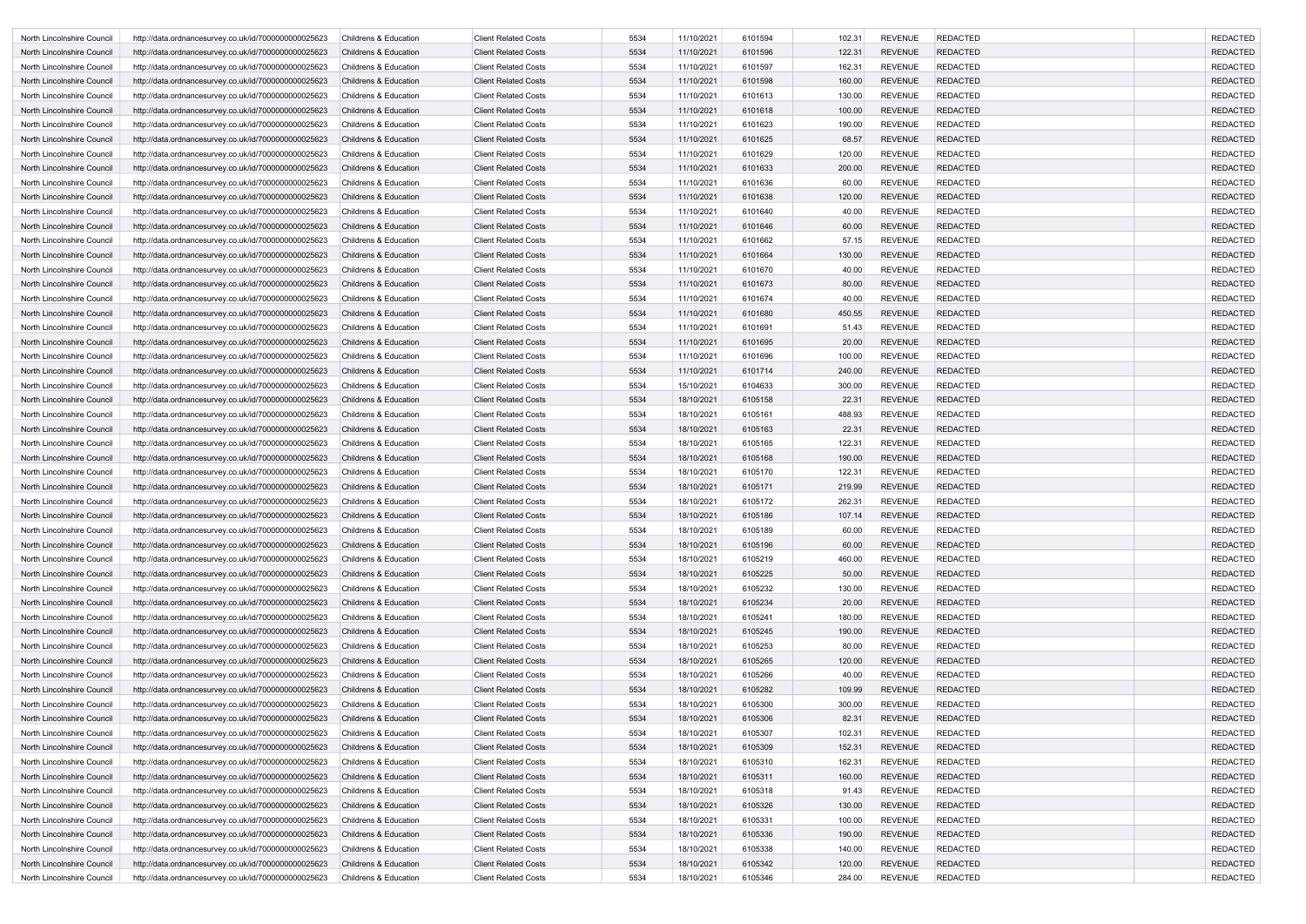| North Lincolnshire Council | http://data.ordnancesurvey.co.uk/id/7000000000025623 | <b>Childrens &amp; Education</b> | <b>Client Related Costs</b> | 5534 | 11/10/2021 | 6101594 | 102.31 | <b>REVENUE</b> | <b>REDACTED</b> | <b>REDACTED</b> |
|----------------------------|------------------------------------------------------|----------------------------------|-----------------------------|------|------------|---------|--------|----------------|-----------------|-----------------|
| North Lincolnshire Council | http://data.ordnancesurvey.co.uk/id/7000000000025623 | <b>Childrens &amp; Education</b> | <b>Client Related Costs</b> | 5534 | 11/10/2021 | 6101596 | 122.31 | <b>REVENUE</b> | <b>REDACTED</b> | <b>REDACTED</b> |
| North Lincolnshire Council | http://data.ordnancesurvey.co.uk/id/7000000000025623 | <b>Childrens &amp; Education</b> | <b>Client Related Costs</b> | 5534 | 11/10/2021 | 6101597 | 162.31 | <b>REVENUE</b> | <b>REDACTED</b> | <b>REDACTED</b> |
| North Lincolnshire Council | http://data.ordnancesurvey.co.uk/id/7000000000025623 | <b>Childrens &amp; Education</b> | <b>Client Related Costs</b> | 5534 | 11/10/2021 | 6101598 | 160.00 | <b>REVENUE</b> | <b>REDACTED</b> | <b>REDACTED</b> |
| North Lincolnshire Council | http://data.ordnancesurvey.co.uk/id/7000000000025623 | <b>Childrens &amp; Education</b> | <b>Client Related Costs</b> | 5534 | 11/10/2021 | 6101613 | 130.00 | <b>REVENUE</b> | <b>REDACTED</b> | <b>REDACTED</b> |
| North Lincolnshire Council | http://data.ordnancesurvey.co.uk/id/7000000000025623 | <b>Childrens &amp; Education</b> | <b>Client Related Costs</b> | 5534 | 11/10/2021 | 6101618 | 100.00 | <b>REVENUE</b> | <b>REDACTED</b> | <b>REDACTED</b> |
| North Lincolnshire Council | http://data.ordnancesurvey.co.uk/id/7000000000025623 | <b>Childrens &amp; Education</b> | <b>Client Related Costs</b> | 5534 | 11/10/2021 | 6101623 | 190.00 | <b>REVENUE</b> | <b>REDACTED</b> | <b>REDACTED</b> |
| North Lincolnshire Council | http://data.ordnancesurvey.co.uk/id/7000000000025623 | <b>Childrens &amp; Education</b> | <b>Client Related Costs</b> | 5534 | 11/10/2021 | 6101625 | 68.57  | <b>REVENUE</b> | <b>REDACTED</b> | <b>REDACTED</b> |
| North Lincolnshire Council | http://data.ordnancesurvey.co.uk/id/7000000000025623 | <b>Childrens &amp; Education</b> | <b>Client Related Costs</b> | 5534 | 11/10/2021 | 6101629 | 120.00 | <b>REVENUE</b> | <b>REDACTED</b> | <b>REDACTED</b> |
| North Lincolnshire Council | http://data.ordnancesurvey.co.uk/id/7000000000025623 | <b>Childrens &amp; Education</b> | <b>Client Related Costs</b> | 5534 | 11/10/2021 | 6101633 | 200.00 | <b>REVENUE</b> | <b>REDACTED</b> | <b>REDACTED</b> |
| North Lincolnshire Council | http://data.ordnancesurvey.co.uk/id/7000000000025623 | <b>Childrens &amp; Education</b> | <b>Client Related Costs</b> | 5534 | 11/10/2021 | 6101636 | 60.00  | <b>REVENUE</b> | <b>REDACTED</b> | <b>REDACTED</b> |
| North Lincolnshire Council | http://data.ordnancesurvey.co.uk/id/7000000000025623 | <b>Childrens &amp; Education</b> | <b>Client Related Costs</b> | 5534 | 11/10/2021 | 6101638 | 120.00 | <b>REVENUE</b> | <b>REDACTED</b> | <b>REDACTED</b> |
| North Lincolnshire Council | http://data.ordnancesurvey.co.uk/id/7000000000025623 | <b>Childrens &amp; Education</b> | <b>Client Related Costs</b> | 5534 | 11/10/2021 | 6101640 | 40.00  | <b>REVENUE</b> | <b>REDACTED</b> | <b>REDACTED</b> |
| North Lincolnshire Council | http://data.ordnancesurvey.co.uk/id/7000000000025623 | <b>Childrens &amp; Education</b> | <b>Client Related Costs</b> | 5534 | 11/10/2021 | 6101646 | 60.00  | <b>REVENUE</b> | <b>REDACTED</b> | <b>REDACTED</b> |
| North Lincolnshire Council | http://data.ordnancesurvey.co.uk/id/7000000000025623 | <b>Childrens &amp; Education</b> | <b>Client Related Costs</b> | 5534 | 11/10/2021 | 6101662 | 57.15  | <b>REVENUE</b> | <b>REDACTED</b> | <b>REDACTED</b> |
| North Lincolnshire Council | http://data.ordnancesurvey.co.uk/id/7000000000025623 | <b>Childrens &amp; Education</b> | <b>Client Related Costs</b> | 5534 | 11/10/2021 | 6101664 | 130.00 | <b>REVENUE</b> | <b>REDACTED</b> | <b>REDACTED</b> |
| North Lincolnshire Council | http://data.ordnancesurvey.co.uk/id/7000000000025623 | <b>Childrens &amp; Education</b> | <b>Client Related Costs</b> | 5534 | 11/10/2021 | 6101670 | 40.00  | <b>REVENUE</b> | <b>REDACTED</b> | <b>REDACTED</b> |
| North Lincolnshire Council | http://data.ordnancesurvey.co.uk/id/7000000000025623 | <b>Childrens &amp; Education</b> | <b>Client Related Costs</b> | 5534 | 11/10/2021 | 6101673 | 80.00  | <b>REVENUE</b> | <b>REDACTED</b> | <b>REDACTED</b> |
| North Lincolnshire Council | http://data.ordnancesurvey.co.uk/id/7000000000025623 | <b>Childrens &amp; Education</b> | <b>Client Related Costs</b> | 5534 | 11/10/2021 | 6101674 | 40.00  | <b>REVENUE</b> | <b>REDACTED</b> | <b>REDACTED</b> |
| North Lincolnshire Council | http://data.ordnancesurvey.co.uk/id/7000000000025623 | <b>Childrens &amp; Education</b> | <b>Client Related Costs</b> | 5534 | 11/10/2021 | 6101680 | 450.55 | <b>REVENUE</b> | <b>REDACTED</b> | <b>REDACTED</b> |
| North Lincolnshire Council | http://data.ordnancesurvey.co.uk/id/7000000000025623 | <b>Childrens &amp; Education</b> | <b>Client Related Costs</b> | 5534 | 11/10/2021 | 6101691 | 51.43  | <b>REVENUE</b> | <b>REDACTED</b> | <b>REDACTED</b> |
| North Lincolnshire Council | http://data.ordnancesurvey.co.uk/id/7000000000025623 | <b>Childrens &amp; Education</b> | <b>Client Related Costs</b> | 5534 | 11/10/2021 | 6101695 | 20.00  | <b>REVENUE</b> | <b>REDACTED</b> | <b>REDACTED</b> |
| North Lincolnshire Council | http://data.ordnancesurvey.co.uk/id/7000000000025623 | <b>Childrens &amp; Education</b> | <b>Client Related Costs</b> | 5534 | 11/10/2021 | 6101696 | 100.00 | <b>REVENUE</b> | <b>REDACTED</b> | <b>REDACTED</b> |
| North Lincolnshire Council | http://data.ordnancesurvey.co.uk/id/7000000000025623 | <b>Childrens &amp; Education</b> | <b>Client Related Costs</b> | 5534 | 11/10/2021 | 6101714 | 240.00 | <b>REVENUE</b> | <b>REDACTED</b> | <b>REDACTED</b> |
| North Lincolnshire Council | http://data.ordnancesurvey.co.uk/id/7000000000025623 | <b>Childrens &amp; Education</b> | <b>Client Related Costs</b> | 5534 | 15/10/2021 | 6104633 | 300.00 | <b>REVENUE</b> | <b>REDACTED</b> | <b>REDACTED</b> |
| North Lincolnshire Council | http://data.ordnancesurvey.co.uk/id/7000000000025623 | <b>Childrens &amp; Education</b> | <b>Client Related Costs</b> | 5534 | 18/10/2021 | 6105158 | 22.31  | <b>REVENUE</b> | <b>REDACTED</b> | <b>REDACTED</b> |
| North Lincolnshire Council | http://data.ordnancesurvey.co.uk/id/7000000000025623 | <b>Childrens &amp; Education</b> | <b>Client Related Costs</b> | 5534 | 18/10/2021 | 6105161 | 488.93 | <b>REVENUE</b> | <b>REDACTED</b> | <b>REDACTED</b> |
| North Lincolnshire Council | http://data.ordnancesurvey.co.uk/id/7000000000025623 | <b>Childrens &amp; Education</b> | <b>Client Related Costs</b> | 5534 | 18/10/2021 | 6105163 | 22.31  | <b>REVENUE</b> | <b>REDACTED</b> | <b>REDACTED</b> |
| North Lincolnshire Council | http://data.ordnancesurvey.co.uk/id/7000000000025623 | <b>Childrens &amp; Education</b> | <b>Client Related Costs</b> | 5534 | 18/10/2021 | 6105165 | 122.31 | <b>REVENUE</b> | <b>REDACTED</b> | <b>REDACTED</b> |
| North Lincolnshire Council | http://data.ordnancesurvey.co.uk/id/7000000000025623 | <b>Childrens &amp; Education</b> | <b>Client Related Costs</b> | 5534 | 18/10/2021 | 6105168 | 190.00 | <b>REVENUE</b> | <b>REDACTED</b> | <b>REDACTED</b> |
| North Lincolnshire Council | http://data.ordnancesurvey.co.uk/id/7000000000025623 | <b>Childrens &amp; Education</b> | <b>Client Related Costs</b> | 5534 | 18/10/2021 | 6105170 | 122.31 | <b>REVENUE</b> | <b>REDACTED</b> | <b>REDACTED</b> |
| North Lincolnshire Council | http://data.ordnancesurvey.co.uk/id/7000000000025623 | <b>Childrens &amp; Education</b> | <b>Client Related Costs</b> | 5534 | 18/10/2021 | 6105171 | 219.99 | <b>REVENUE</b> | <b>REDACTED</b> | <b>REDACTED</b> |
| North Lincolnshire Council | http://data.ordnancesurvey.co.uk/id/7000000000025623 | <b>Childrens &amp; Education</b> | <b>Client Related Costs</b> | 5534 | 18/10/2021 | 6105172 | 262.31 | <b>REVENUE</b> | <b>REDACTED</b> | <b>REDACTED</b> |
| North Lincolnshire Council | http://data.ordnancesurvey.co.uk/id/7000000000025623 | Childrens & Education            | <b>Client Related Costs</b> | 5534 | 18/10/2021 | 6105186 | 107.14 | <b>REVENUE</b> | REDACTED        | <b>REDACTED</b> |
| North Lincolnshire Council | http://data.ordnancesurvey.co.uk/id/7000000000025623 | Childrens & Education            | <b>Client Related Costs</b> | 5534 | 18/10/2021 | 6105189 | 60.00  | <b>REVENUE</b> | <b>REDACTED</b> | <b>REDACTED</b> |
| North Lincolnshire Council | http://data.ordnancesurvey.co.uk/id/7000000000025623 | Childrens & Education            | <b>Client Related Costs</b> | 5534 | 18/10/2021 | 6105196 | 60.00  | <b>REVENUE</b> | <b>REDACTED</b> | <b>REDACTED</b> |
| North Lincolnshire Council | http://data.ordnancesurvey.co.uk/id/7000000000025623 | Childrens & Education            | <b>Client Related Costs</b> | 5534 | 18/10/2021 | 6105219 | 460.00 | <b>REVENUE</b> | <b>REDACTED</b> | <b>REDACTED</b> |
| North Lincolnshire Council | http://data.ordnancesurvey.co.uk/id/7000000000025623 | Childrens & Education            | <b>Client Related Costs</b> | 5534 | 18/10/2021 | 6105225 | 50.00  | <b>REVENUE</b> | REDACTED        | <b>REDACTED</b> |
| North Lincolnshire Council | http://data.ordnancesurvey.co.uk/id/7000000000025623 | Childrens & Education            | <b>Client Related Costs</b> | 5534 | 18/10/2021 | 6105232 | 130.00 | <b>REVENUE</b> | <b>REDACTED</b> | <b>REDACTED</b> |
| North Lincolnshire Council | http://data.ordnancesurvey.co.uk/id/7000000000025623 | Childrens & Education            | <b>Client Related Costs</b> | 5534 | 18/10/2021 | 6105234 | 20.00  | <b>REVENUE</b> | <b>REDACTED</b> | <b>REDACTED</b> |
| North Lincolnshire Council | http://data.ordnancesurvey.co.uk/id/7000000000025623 | Childrens & Education            | <b>Client Related Costs</b> | 5534 | 18/10/2021 | 6105241 | 180.00 | <b>REVENUE</b> | <b>REDACTED</b> | <b>REDACTED</b> |
| North Lincolnshire Council | http://data.ordnancesurvey.co.uk/id/7000000000025623 | Childrens & Education            | <b>Client Related Costs</b> | 5534 | 18/10/2021 | 6105245 | 190.00 | <b>REVENUE</b> | <b>REDACTED</b> | <b>REDACTED</b> |
| North Lincolnshire Council | http://data.ordnancesurvey.co.uk/id/7000000000025623 | Childrens & Education            | <b>Client Related Costs</b> | 5534 | 18/10/2021 | 6105253 | 80.00  | <b>REVENUE</b> | <b>REDACTED</b> | <b>REDACTED</b> |
| North Lincolnshire Council | http://data.ordnancesurvey.co.uk/id/7000000000025623 | <b>Childrens &amp; Education</b> | <b>Client Related Costs</b> | 5534 | 18/10/2021 | 6105265 | 120.00 | <b>REVENUE</b> | <b>REDACTED</b> | <b>REDACTED</b> |
| North Lincolnshire Council | http://data.ordnancesurvey.co.uk/id/7000000000025623 | Childrens & Education            | <b>Client Related Costs</b> | 5534 | 18/10/2021 | 6105266 | 40.00  | <b>REVENUE</b> | <b>REDACTED</b> | <b>REDACTED</b> |
| North Lincolnshire Council | http://data.ordnancesurvey.co.uk/id/7000000000025623 | Childrens & Education            | <b>Client Related Costs</b> | 5534 | 18/10/2021 | 6105282 | 109.99 | <b>REVENUE</b> | <b>REDACTED</b> | <b>REDACTED</b> |
| North Lincolnshire Council | http://data.ordnancesurvey.co.uk/id/7000000000025623 | Childrens & Education            | <b>Client Related Costs</b> | 5534 | 18/10/2021 | 6105300 | 300.00 | <b>REVENUE</b> | <b>REDACTED</b> | <b>REDACTED</b> |
| North Lincolnshire Council | http://data.ordnancesurvey.co.uk/id/7000000000025623 | Childrens & Education            | <b>Client Related Costs</b> | 5534 | 18/10/2021 | 6105306 | 82.31  | <b>REVENUE</b> | <b>REDACTED</b> | <b>REDACTED</b> |
| North Lincolnshire Council | http://data.ordnancesurvey.co.uk/id/7000000000025623 | Childrens & Education            | <b>Client Related Costs</b> | 5534 | 18/10/2021 | 6105307 | 102.31 | <b>REVENUE</b> | <b>REDACTED</b> | <b>REDACTED</b> |
| North Lincolnshire Council | http://data.ordnancesurvey.co.uk/id/7000000000025623 | Childrens & Education            | <b>Client Related Costs</b> | 5534 | 18/10/2021 | 6105309 | 152.31 | <b>REVENUE</b> | <b>REDACTED</b> | <b>REDACTED</b> |
| North Lincolnshire Council | http://data.ordnancesurvey.co.uk/id/7000000000025623 | Childrens & Education            | <b>Client Related Costs</b> | 5534 | 18/10/2021 | 6105310 | 162.31 | <b>REVENUE</b> | <b>REDACTED</b> | <b>REDACTED</b> |
| North Lincolnshire Council | http://data.ordnancesurvey.co.uk/id/7000000000025623 | Childrens & Education            | <b>Client Related Costs</b> | 5534 | 18/10/2021 | 6105311 | 160.00 | <b>REVENUE</b> | <b>REDACTED</b> | <b>REDACTED</b> |
| North Lincolnshire Council | http://data.ordnancesurvey.co.uk/id/7000000000025623 | <b>Childrens &amp; Education</b> | <b>Client Related Costs</b> | 5534 | 18/10/2021 | 6105318 | 91.43  | <b>REVENUE</b> | <b>REDACTED</b> | <b>REDACTED</b> |
| North Lincolnshire Council | http://data.ordnancesurvey.co.uk/id/7000000000025623 | <b>Childrens &amp; Education</b> | <b>Client Related Costs</b> | 5534 | 18/10/2021 | 6105326 | 130.00 | <b>REVENUE</b> | <b>REDACTED</b> | <b>REDACTED</b> |
| North Lincolnshire Council | http://data.ordnancesurvey.co.uk/id/7000000000025623 | Childrens & Education            | <b>Client Related Costs</b> | 5534 | 18/10/2021 | 6105331 | 100.00 | <b>REVENUE</b> | <b>REDACTED</b> | <b>REDACTED</b> |
| North Lincolnshire Council | http://data.ordnancesurvey.co.uk/id/7000000000025623 | Childrens & Education            | <b>Client Related Costs</b> | 5534 | 18/10/2021 | 6105336 | 190.00 | <b>REVENUE</b> | <b>REDACTED</b> | <b>REDACTED</b> |
| North Lincolnshire Council | http://data.ordnancesurvey.co.uk/id/7000000000025623 | <b>Childrens &amp; Education</b> | <b>Client Related Costs</b> | 5534 | 18/10/2021 | 6105338 | 140.00 | <b>REVENUE</b> | <b>REDACTED</b> | <b>REDACTED</b> |
| North Lincolnshire Council | http://data.ordnancesurvey.co.uk/id/7000000000025623 | Childrens & Education            | <b>Client Related Costs</b> | 5534 | 18/10/2021 | 6105342 | 120.00 | <b>REVENUE</b> | <b>REDACTED</b> | <b>REDACTED</b> |
| North Lincolnshire Council | http://data.ordnancesurvey.co.uk/id/7000000000025623 | Childrens & Education            | <b>Client Related Costs</b> | 5534 | 18/10/2021 | 6105346 | 284.00 | <b>REVENUE</b> | <b>REDACTED</b> | <b>REDACTED</b> |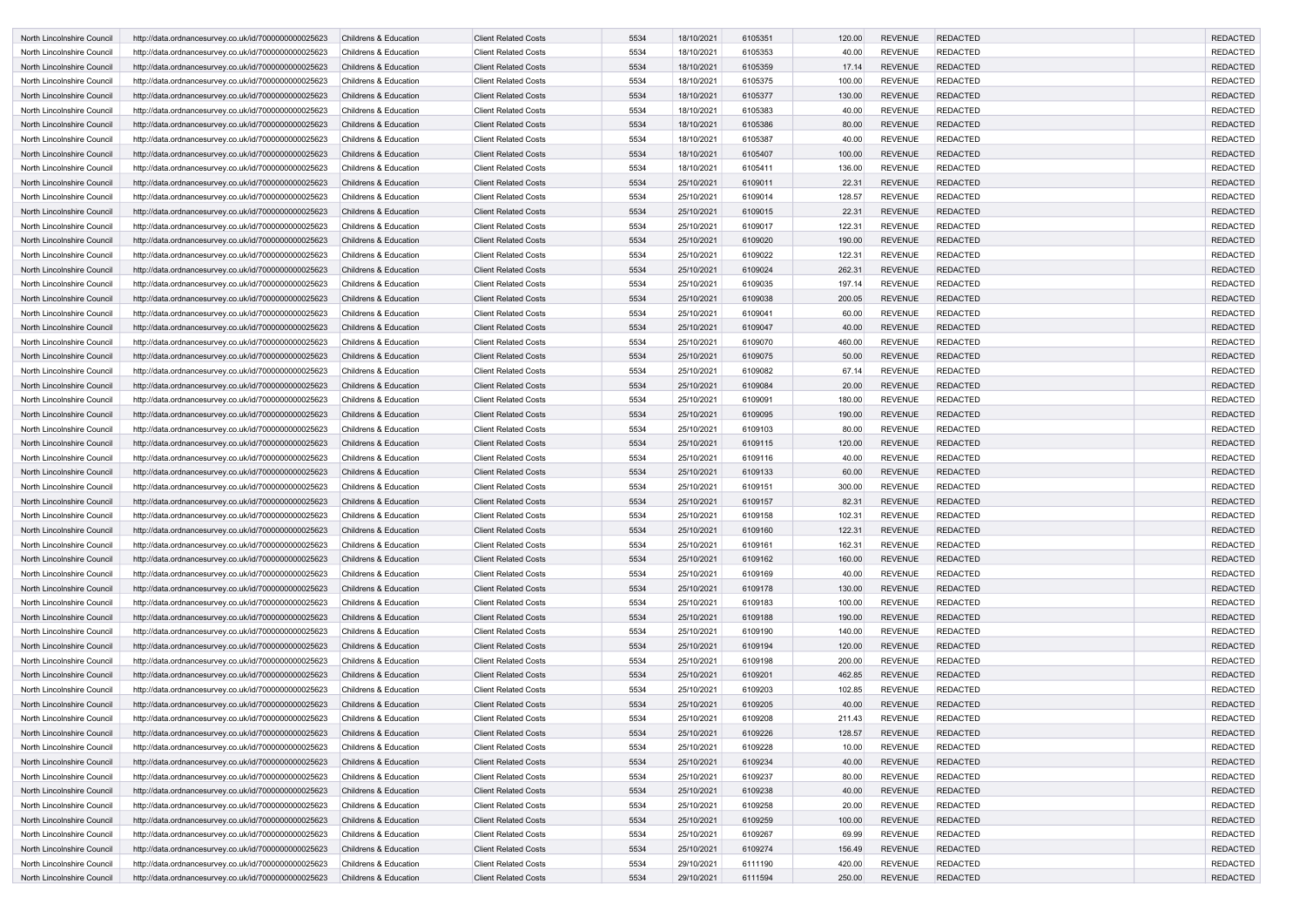| North Lincolnshire Council | http://data.ordnancesurvey.co.uk/id/7000000000025623 | <b>Childrens &amp; Education</b> | <b>Client Related Costs</b> | 5534 | 18/10/2021 | 6105351 | 120.00 | <b>REVENUE</b> | <b>REDACTED</b> | <b>REDACTED</b>                    |
|----------------------------|------------------------------------------------------|----------------------------------|-----------------------------|------|------------|---------|--------|----------------|-----------------|------------------------------------|
| North Lincolnshire Council | http://data.ordnancesurvey.co.uk/id/7000000000025623 | <b>Childrens &amp; Education</b> | <b>Client Related Costs</b> | 5534 | 18/10/2021 | 6105353 | 40.00  | <b>REVENUE</b> | <b>REDACTED</b> | <b>REDACTED</b>                    |
| North Lincolnshire Council | http://data.ordnancesurvey.co.uk/id/7000000000025623 | <b>Childrens &amp; Education</b> | <b>Client Related Costs</b> | 5534 | 18/10/2021 | 6105359 | 17.14  | <b>REVENUE</b> | <b>REDACTED</b> | <b>REDACTED</b>                    |
| North Lincolnshire Council | http://data.ordnancesurvey.co.uk/id/7000000000025623 | Childrens & Education            | <b>Client Related Costs</b> | 5534 | 18/10/2021 | 6105375 | 100.00 | <b>REVENUE</b> | <b>REDACTED</b> | <b>REDACTED</b>                    |
| North Lincolnshire Council | http://data.ordnancesurvey.co.uk/id/7000000000025623 | <b>Childrens &amp; Education</b> | <b>Client Related Costs</b> | 5534 | 18/10/2021 | 6105377 | 130.00 | <b>REVENUE</b> | <b>REDACTED</b> | <b>REDACTED</b>                    |
| North Lincolnshire Council | http://data.ordnancesurvey.co.uk/id/7000000000025623 | <b>Childrens &amp; Education</b> | <b>Client Related Costs</b> | 5534 | 18/10/2021 | 6105383 | 40.00  | <b>REVENUE</b> | <b>REDACTED</b> | <b>REDACTED</b>                    |
| North Lincolnshire Council | http://data.ordnancesurvey.co.uk/id/7000000000025623 | <b>Childrens &amp; Education</b> | <b>Client Related Costs</b> | 5534 | 18/10/2021 | 6105386 | 80.00  | <b>REVENUE</b> | <b>REDACTED</b> | <b>REDACTED</b>                    |
| North Lincolnshire Council | http://data.ordnancesurvey.co.uk/id/7000000000025623 | <b>Childrens &amp; Education</b> | <b>Client Related Costs</b> | 5534 | 18/10/2021 | 6105387 | 40.00  | <b>REVENUE</b> | <b>REDACTED</b> | <b>REDACTED</b>                    |
| North Lincolnshire Council | http://data.ordnancesurvey.co.uk/id/7000000000025623 | <b>Childrens &amp; Education</b> | <b>Client Related Costs</b> | 5534 | 18/10/2021 | 6105407 | 100.00 | <b>REVENUE</b> | <b>REDACTED</b> | <b>REDACTED</b>                    |
| North Lincolnshire Council | http://data.ordnancesurvey.co.uk/id/7000000000025623 | Childrens & Education            | <b>Client Related Costs</b> | 5534 | 18/10/2021 | 6105411 | 136.00 | <b>REVENUE</b> | <b>REDACTED</b> | <b>REDACTED</b>                    |
| North Lincolnshire Council | http://data.ordnancesurvey.co.uk/id/7000000000025623 | <b>Childrens &amp; Education</b> | <b>Client Related Costs</b> | 5534 | 25/10/2021 | 6109011 | 22.31  | <b>REVENUE</b> | <b>REDACTED</b> | <b>REDACTED</b>                    |
| North Lincolnshire Council | http://data.ordnancesurvey.co.uk/id/7000000000025623 | <b>Childrens &amp; Education</b> | <b>Client Related Costs</b> | 5534 | 25/10/2021 | 6109014 | 128.57 | <b>REVENUE</b> | <b>REDACTED</b> | <b>REDACTED</b>                    |
| North Lincolnshire Council | http://data.ordnancesurvey.co.uk/id/7000000000025623 | <b>Childrens &amp; Education</b> | <b>Client Related Costs</b> | 5534 | 25/10/2021 | 6109015 | 22.31  | <b>REVENUE</b> | <b>REDACTED</b> | <b>REDACTED</b>                    |
| North Lincolnshire Council | http://data.ordnancesurvey.co.uk/id/7000000000025623 | <b>Childrens &amp; Education</b> | <b>Client Related Costs</b> | 5534 | 25/10/2021 | 6109017 | 122.31 | <b>REVENUE</b> | <b>REDACTED</b> | <b>REDACTED</b>                    |
|                            |                                                      |                                  |                             |      |            | 6109020 |        | <b>REVENUE</b> | <b>REDACTED</b> |                                    |
| North Lincolnshire Council | http://data.ordnancesurvey.co.uk/id/7000000000025623 | <b>Childrens &amp; Education</b> | <b>Client Related Costs</b> | 5534 | 25/10/2021 |         | 190.00 |                |                 | <b>REDACTED</b><br><b>REDACTED</b> |
| North Lincolnshire Council | http://data.ordnancesurvey.co.uk/id/7000000000025623 | <b>Childrens &amp; Education</b> | <b>Client Related Costs</b> | 5534 | 25/10/2021 | 6109022 | 122.31 | <b>REVENUE</b> | <b>REDACTED</b> |                                    |
| North Lincolnshire Council | http://data.ordnancesurvey.co.uk/id/7000000000025623 | <b>Childrens &amp; Education</b> | <b>Client Related Costs</b> | 5534 | 25/10/2021 | 6109024 | 262.31 | <b>REVENUE</b> | <b>REDACTED</b> | <b>REDACTED</b>                    |
| North Lincolnshire Council | http://data.ordnancesurvey.co.uk/id/7000000000025623 | <b>Childrens &amp; Education</b> | <b>Client Related Costs</b> | 5534 | 25/10/2021 | 6109035 | 197.14 | <b>REVENUE</b> | <b>REDACTED</b> | <b>REDACTED</b>                    |
| North Lincolnshire Council | http://data.ordnancesurvey.co.uk/id/7000000000025623 | <b>Childrens &amp; Education</b> | <b>Client Related Costs</b> | 5534 | 25/10/2021 | 6109038 | 200.05 | <b>REVENUE</b> | <b>REDACTED</b> | <b>REDACTED</b>                    |
| North Lincolnshire Council | http://data.ordnancesurvey.co.uk/id/7000000000025623 | <b>Childrens &amp; Education</b> | <b>Client Related Costs</b> | 5534 | 25/10/2021 | 6109041 | 60.00  | <b>REVENUE</b> | <b>REDACTED</b> | <b>REDACTED</b>                    |
| North Lincolnshire Council | http://data.ordnancesurvey.co.uk/id/7000000000025623 | <b>Childrens &amp; Education</b> | <b>Client Related Costs</b> | 5534 | 25/10/2021 | 6109047 | 40.00  | <b>REVENUE</b> | <b>REDACTED</b> | <b>REDACTED</b>                    |
| North Lincolnshire Council | http://data.ordnancesurvey.co.uk/id/7000000000025623 | <b>Childrens &amp; Education</b> | <b>Client Related Costs</b> | 5534 | 25/10/2021 | 6109070 | 460.00 | <b>REVENUE</b> | <b>REDACTED</b> | <b>REDACTED</b>                    |
| North Lincolnshire Council | http://data.ordnancesurvey.co.uk/id/7000000000025623 | <b>Childrens &amp; Education</b> | <b>Client Related Costs</b> | 5534 | 25/10/2021 | 6109075 | 50.00  | <b>REVENUE</b> | <b>REDACTED</b> | <b>REDACTED</b>                    |
| North Lincolnshire Council | http://data.ordnancesurvey.co.uk/id/7000000000025623 | <b>Childrens &amp; Education</b> | <b>Client Related Costs</b> | 5534 | 25/10/2021 | 6109082 | 67.14  | <b>REVENUE</b> | <b>REDACTED</b> | <b>REDACTED</b>                    |
| North Lincolnshire Council | http://data.ordnancesurvey.co.uk/id/7000000000025623 | <b>Childrens &amp; Education</b> | <b>Client Related Costs</b> | 5534 | 25/10/2021 | 6109084 | 20.00  | <b>REVENUE</b> | <b>REDACTED</b> | <b>REDACTED</b>                    |
| North Lincolnshire Council | http://data.ordnancesurvey.co.uk/id/7000000000025623 | <b>Childrens &amp; Education</b> | <b>Client Related Costs</b> | 5534 | 25/10/2021 | 6109091 | 180.00 | <b>REVENUE</b> | <b>REDACTED</b> | <b>REDACTED</b>                    |
| North Lincolnshire Council | http://data.ordnancesurvey.co.uk/id/7000000000025623 | <b>Childrens &amp; Education</b> | <b>Client Related Costs</b> | 5534 | 25/10/2021 | 6109095 | 190.00 | <b>REVENUE</b> | <b>REDACTED</b> | <b>REDACTED</b>                    |
| North Lincolnshire Council | http://data.ordnancesurvey.co.uk/id/7000000000025623 | Childrens & Education            | <b>Client Related Costs</b> | 5534 | 25/10/2021 | 6109103 | 80.00  | <b>REVENUE</b> | <b>REDACTED</b> | <b>REDACTED</b>                    |
| North Lincolnshire Council | http://data.ordnancesurvey.co.uk/id/7000000000025623 | <b>Childrens &amp; Education</b> | <b>Client Related Costs</b> | 5534 | 25/10/2021 | 6109115 | 120.00 | <b>REVENUE</b> | <b>REDACTED</b> | <b>REDACTED</b>                    |
| North Lincolnshire Council | http://data.ordnancesurvey.co.uk/id/7000000000025623 | Childrens & Education            | <b>Client Related Costs</b> | 5534 | 25/10/2021 | 6109116 | 40.00  | <b>REVENUE</b> | <b>REDACTED</b> | <b>REDACTED</b>                    |
| North Lincolnshire Council | http://data.ordnancesurvey.co.uk/id/7000000000025623 | <b>Childrens &amp; Education</b> | <b>Client Related Costs</b> | 5534 | 25/10/2021 | 6109133 | 60.00  | <b>REVENUE</b> | <b>REDACTED</b> | <b>REDACTED</b>                    |
| North Lincolnshire Council | http://data.ordnancesurvey.co.uk/id/7000000000025623 | <b>Childrens &amp; Education</b> | <b>Client Related Costs</b> | 5534 | 25/10/2021 | 6109151 | 300.00 | <b>REVENUE</b> | <b>REDACTED</b> | <b>REDACTED</b>                    |
| North Lincolnshire Council | http://data.ordnancesurvey.co.uk/id/7000000000025623 | <b>Childrens &amp; Education</b> | <b>Client Related Costs</b> | 5534 | 25/10/2021 | 6109157 | 82.31  | <b>REVENUE</b> | <b>REDACTED</b> | <b>REDACTED</b>                    |
| North Lincolnshire Council | http://data.ordnancesurvey.co.uk/id/7000000000025623 | Childrens & Education            | <b>Client Related Costs</b> | 5534 | 25/10/2021 | 6109158 | 102.31 | <b>REVENUE</b> | <b>REDACTED</b> | <b>REDACTED</b>                    |
| North Lincolnshire Council | http://data.ordnancesurvey.co.uk/id/7000000000025623 | <b>Childrens &amp; Education</b> | <b>Client Related Costs</b> | 5534 | 25/10/2021 | 6109160 | 122.31 | <b>REVENUE</b> | <b>REDACTED</b> | <b>REDACTED</b>                    |
| North Lincolnshire Council | http://data.ordnancesurvey.co.uk/id/7000000000025623 | Childrens & Education            | <b>Client Related Costs</b> | 5534 | 25/10/2021 | 6109161 | 162.31 | <b>REVENUE</b> | <b>REDACTED</b> | <b>REDACTED</b>                    |
| North Lincolnshire Council | http://data.ordnancesurvey.co.uk/id/7000000000025623 | Childrens & Education            | <b>Client Related Costs</b> | 5534 | 25/10/2021 | 6109162 | 160.00 | <b>REVENUE</b> | <b>REDACTED</b> | <b>REDACTED</b>                    |
| North Lincolnshire Council | http://data.ordnancesurvey.co.uk/id/7000000000025623 | Childrens & Education            | <b>Client Related Costs</b> | 5534 | 25/10/2021 | 6109169 | 40.00  | <b>REVENUE</b> | <b>REDACTED</b> | <b>REDACTED</b>                    |
| North Lincolnshire Council | http://data.ordnancesurvey.co.uk/id/7000000000025623 | <b>Childrens &amp; Education</b> | <b>Client Related Costs</b> | 5534 | 25/10/2021 | 6109178 | 130.00 | <b>REVENUE</b> | <b>REDACTED</b> | <b>REDACTED</b>                    |
| North Lincolnshire Council | http://data.ordnancesurvey.co.uk/id/7000000000025623 | Childrens & Education            | <b>Client Related Costs</b> | 5534 | 25/10/2021 | 6109183 | 100.00 | <b>REVENUE</b> | <b>REDACTED</b> | <b>REDACTED</b>                    |
| North Lincolnshire Council | http://data.ordnancesurvey.co.uk/id/7000000000025623 | Childrens & Education            | <b>Client Related Costs</b> | 5534 | 25/10/2021 | 6109188 | 190.00 | <b>REVENUE</b> | <b>REDACTED</b> | <b>REDACTED</b>                    |
| North Lincolnshire Council | http://data.ordnancesurvey.co.uk/id/7000000000025623 | Childrens & Education            | <b>Client Related Costs</b> | 5534 | 25/10/2021 | 6109190 | 140.00 | <b>REVENUE</b> | <b>REDACTED</b> | <b>REDACTED</b>                    |
| North Lincolnshire Council | http://data.ordnancesurvey.co.uk/id/7000000000025623 | <b>Childrens &amp; Education</b> | <b>Client Related Costs</b> | 5534 | 25/10/2021 | 6109194 | 120.00 | <b>REVENUE</b> | <b>REDACTED</b> | <b>REDACTED</b>                    |
| North Lincolnshire Council | http://data.ordnancesurvey.co.uk/id/7000000000025623 | Childrens & Education            | <b>Client Related Costs</b> | 5534 | 25/10/2021 | 6109198 | 200.00 | <b>REVENUE</b> | <b>REDACTED</b> | <b>REDACTED</b>                    |
| North Lincolnshire Council | http://data.ordnancesurvey.co.uk/id/7000000000025623 | <b>Childrens &amp; Education</b> | <b>Client Related Costs</b> | 5534 | 25/10/2021 | 6109201 | 462.85 | <b>REVENUE</b> | <b>REDACTED</b> | <b>REDACTED</b>                    |
| North Lincolnshire Council | http://data.ordnancesurvey.co.uk/id/7000000000025623 | Childrens & Education            | <b>Client Related Costs</b> | 5534 | 25/10/2021 | 6109203 | 102.85 | <b>REVENUE</b> | <b>REDACTED</b> | <b>REDACTED</b>                    |
| North Lincolnshire Council | http://data.ordnancesurvey.co.uk/id/7000000000025623 | Childrens & Education            | <b>Client Related Costs</b> | 5534 | 25/10/2021 | 6109205 | 40.00  | <b>REVENUE</b> | <b>REDACTED</b> | <b>REDACTED</b>                    |
| North Lincolnshire Council | http://data.ordnancesurvey.co.uk/id/7000000000025623 | <b>Childrens &amp; Education</b> | <b>Client Related Costs</b> | 5534 | 25/10/2021 | 6109208 | 211.43 | <b>REVENUE</b> | <b>REDACTED</b> | <b>REDACTED</b>                    |
| North Lincolnshire Council | http://data.ordnancesurvey.co.uk/id/7000000000025623 | <b>Childrens &amp; Education</b> | <b>Client Related Costs</b> | 5534 | 25/10/2021 | 6109226 | 128.57 | <b>REVENUE</b> | <b>REDACTED</b> | <b>REDACTED</b>                    |
| North Lincolnshire Council | http://data.ordnancesurvey.co.uk/id/7000000000025623 | Childrens & Education            | <b>Client Related Costs</b> | 5534 | 25/10/2021 | 6109228 | 10.00  | <b>REVENUE</b> | <b>REDACTED</b> | <b>REDACTED</b>                    |
| North Lincolnshire Council | http://data.ordnancesurvey.co.uk/id/7000000000025623 | Childrens & Education            | <b>Client Related Costs</b> | 5534 | 25/10/2021 | 6109234 | 40.00  | <b>REVENUE</b> | <b>REDACTED</b> | <b>REDACTED</b>                    |
| North Lincolnshire Council | http://data.ordnancesurvey.co.uk/id/7000000000025623 | Childrens & Education            | <b>Client Related Costs</b> | 5534 | 25/10/2021 | 6109237 | 80.00  | <b>REVENUE</b> | <b>REDACTED</b> | <b>REDACTED</b>                    |
| North Lincolnshire Council | http://data.ordnancesurvey.co.uk/id/7000000000025623 | Childrens & Education            | <b>Client Related Costs</b> | 5534 | 25/10/2021 | 6109238 | 40.00  | <b>REVENUE</b> | <b>REDACTED</b> | <b>REDACTED</b>                    |
| North Lincolnshire Council | http://data.ordnancesurvey.co.uk/id/7000000000025623 | Childrens & Education            | <b>Client Related Costs</b> | 5534 | 25/10/2021 | 6109258 | 20.00  | <b>REVENUE</b> | <b>REDACTED</b> | <b>REDACTED</b>                    |
| North Lincolnshire Council | http://data.ordnancesurvey.co.uk/id/7000000000025623 | <b>Childrens &amp; Education</b> | <b>Client Related Costs</b> | 5534 | 25/10/2021 | 6109259 | 100.00 | <b>REVENUE</b> | <b>REDACTED</b> | <b>REDACTED</b>                    |
| North Lincolnshire Council | http://data.ordnancesurvey.co.uk/id/7000000000025623 | Childrens & Education            | <b>Client Related Costs</b> | 5534 | 25/10/2021 | 6109267 | 69.99  | <b>REVENUE</b> | <b>REDACTED</b> | <b>REDACTED</b>                    |
| North Lincolnshire Council | http://data.ordnancesurvey.co.uk/id/7000000000025623 | <b>Childrens &amp; Education</b> | <b>Client Related Costs</b> | 5534 | 25/10/2021 | 6109274 | 156.49 | <b>REVENUE</b> | <b>REDACTED</b> | <b>REDACTED</b>                    |
| North Lincolnshire Council | http://data.ordnancesurvey.co.uk/id/7000000000025623 | <b>Childrens &amp; Education</b> | <b>Client Related Costs</b> | 5534 | 29/10/2021 | 6111190 | 420.00 | <b>REVENUE</b> | <b>REDACTED</b> | <b>REDACTED</b>                    |
| North Lincolnshire Council | http://data.ordnancesurvey.co.uk/id/7000000000025623 | <b>Childrens &amp; Education</b> | <b>Client Related Costs</b> | 5534 | 29/10/2021 | 6111594 | 250.00 | <b>REVENUE</b> | <b>REDACTED</b> | <b>REDACTED</b>                    |
|                            |                                                      |                                  |                             |      |            |         |        |                |                 |                                    |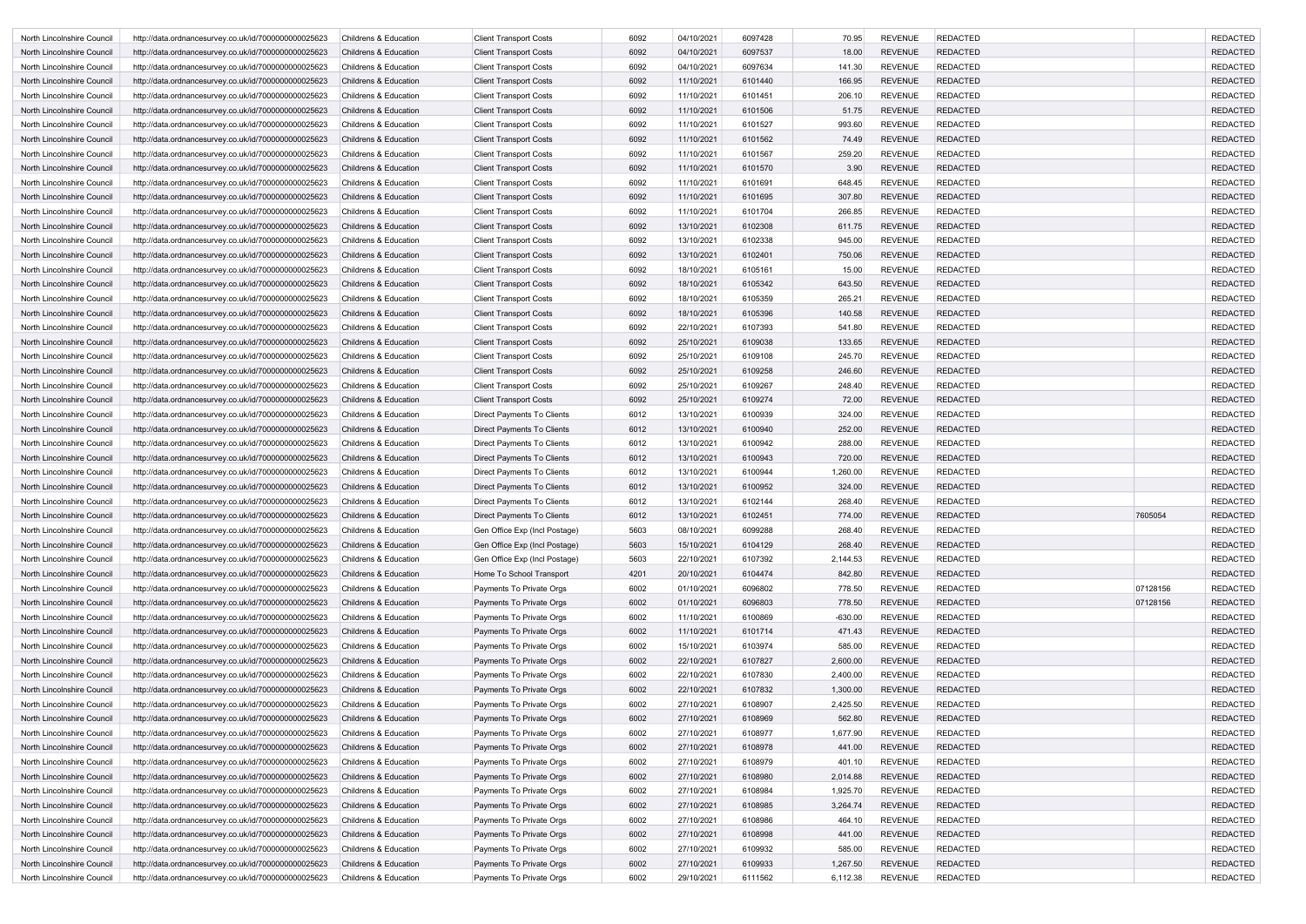| North Lincolnshire Council | http://data.ordnancesurvey.co.uk/id/7000000000025623 | <b>Childrens &amp; Education</b> | <b>Client Transport Costs</b>     | 6092 | 04/10/2021 | 6097428 | 70.95     | <b>REVENUE</b> | <b>REDACTED</b> |          | <b>REDACTED</b> |
|----------------------------|------------------------------------------------------|----------------------------------|-----------------------------------|------|------------|---------|-----------|----------------|-----------------|----------|-----------------|
| North Lincolnshire Council | http://data.ordnancesurvey.co.uk/id/7000000000025623 | <b>Childrens &amp; Education</b> | <b>Client Transport Costs</b>     | 6092 | 04/10/2021 | 6097537 | 18.00     | <b>REVENUE</b> | <b>REDACTED</b> |          | <b>REDACTED</b> |
| North Lincolnshire Council | http://data.ordnancesurvey.co.uk/id/7000000000025623 | <b>Childrens &amp; Education</b> | <b>Client Transport Costs</b>     | 6092 | 04/10/2021 | 6097634 | 141.30    | <b>REVENUE</b> | <b>REDACTED</b> |          | <b>REDACTED</b> |
| North Lincolnshire Council | http://data.ordnancesurvey.co.uk/id/7000000000025623 | <b>Childrens &amp; Education</b> | <b>Client Transport Costs</b>     | 6092 | 11/10/2021 | 6101440 | 166.95    | <b>REVENUE</b> | <b>REDACTED</b> |          | <b>REDACTED</b> |
| North Lincolnshire Council | http://data.ordnancesurvey.co.uk/id/7000000000025623 | <b>Childrens &amp; Education</b> | <b>Client Transport Costs</b>     | 6092 | 11/10/2021 | 6101451 | 206.10    | <b>REVENUE</b> | <b>REDACTED</b> |          | <b>REDACTED</b> |
| North Lincolnshire Council | http://data.ordnancesurvey.co.uk/id/7000000000025623 | <b>Childrens &amp; Education</b> | <b>Client Transport Costs</b>     | 6092 | 11/10/2021 | 6101506 | 51.75     | <b>REVENUE</b> | <b>REDACTED</b> |          | <b>REDACTED</b> |
| North Lincolnshire Council | http://data.ordnancesurvey.co.uk/id/7000000000025623 | Childrens & Education            | <b>Client Transport Costs</b>     | 6092 | 11/10/2021 | 6101527 | 993.60    | <b>REVENUE</b> | <b>REDACTED</b> |          | <b>REDACTED</b> |
| North Lincolnshire Council | http://data.ordnancesurvey.co.uk/id/7000000000025623 | <b>Childrens &amp; Education</b> | <b>Client Transport Costs</b>     | 6092 | 11/10/2021 | 6101562 | 74.49     | <b>REVENUE</b> | <b>REDACTED</b> |          | <b>REDACTED</b> |
| North Lincolnshire Council | http://data.ordnancesurvey.co.uk/id/7000000000025623 | Childrens & Education            | <b>Client Transport Costs</b>     | 6092 | 11/10/2021 | 6101567 | 259.20    | <b>REVENUE</b> | <b>REDACTED</b> |          | <b>REDACTED</b> |
| North Lincolnshire Council | http://data.ordnancesurvey.co.uk/id/7000000000025623 | Childrens & Education            | <b>Client Transport Costs</b>     | 6092 | 11/10/2021 | 6101570 | 3.90      | <b>REVENUE</b> | REDACTED        |          | <b>REDACTED</b> |
| North Lincolnshire Council | http://data.ordnancesurvey.co.uk/id/7000000000025623 | Childrens & Education            | <b>Client Transport Costs</b>     | 6092 | 11/10/2021 | 6101691 | 648.45    | <b>REVENUE</b> | <b>REDACTED</b> |          | <b>REDACTED</b> |
| North Lincolnshire Council | http://data.ordnancesurvey.co.uk/id/7000000000025623 | <b>Childrens &amp; Education</b> | <b>Client Transport Costs</b>     | 6092 | 11/10/2021 | 6101695 | 307.80    | <b>REVENUE</b> | <b>REDACTED</b> |          | <b>REDACTED</b> |
| North Lincolnshire Council | http://data.ordnancesurvey.co.uk/id/7000000000025623 | Childrens & Education            | <b>Client Transport Costs</b>     | 6092 | 11/10/2021 | 6101704 | 266.85    | <b>REVENUE</b> | <b>REDACTED</b> |          | <b>REDACTED</b> |
| North Lincolnshire Council | http://data.ordnancesurvey.co.uk/id/7000000000025623 | <b>Childrens &amp; Education</b> | <b>Client Transport Costs</b>     | 6092 | 13/10/2021 | 6102308 | 611.75    | <b>REVENUE</b> | <b>REDACTED</b> |          | <b>REDACTED</b> |
| North Lincolnshire Council | http://data.ordnancesurvey.co.uk/id/7000000000025623 | <b>Childrens &amp; Education</b> | <b>Client Transport Costs</b>     | 6092 | 13/10/2021 | 6102338 | 945.00    | <b>REVENUE</b> | <b>REDACTED</b> |          | <b>REDACTED</b> |
| North Lincolnshire Council | http://data.ordnancesurvey.co.uk/id/7000000000025623 | <b>Childrens &amp; Education</b> | <b>Client Transport Costs</b>     | 6092 | 13/10/2021 | 6102401 | 750.06    | <b>REVENUE</b> | <b>REDACTED</b> |          | <b>REDACTED</b> |
| North Lincolnshire Council | http://data.ordnancesurvey.co.uk/id/7000000000025623 | Childrens & Education            | <b>Client Transport Costs</b>     | 6092 | 18/10/2021 | 6105161 | 15.00     | <b>REVENUE</b> | <b>REDACTED</b> |          | <b>REDACTED</b> |
| North Lincolnshire Council | http://data.ordnancesurvey.co.uk/id/7000000000025623 | <b>Childrens &amp; Education</b> | <b>Client Transport Costs</b>     | 6092 | 18/10/2021 | 6105342 | 643.50    | <b>REVENUE</b> | <b>REDACTED</b> |          | <b>REDACTED</b> |
| North Lincolnshire Council | http://data.ordnancesurvey.co.uk/id/7000000000025623 | <b>Childrens &amp; Education</b> | <b>Client Transport Costs</b>     | 6092 | 18/10/2021 | 6105359 | 265.21    | <b>REVENUE</b> | <b>REDACTED</b> |          | <b>REDACTED</b> |
| North Lincolnshire Council | http://data.ordnancesurvey.co.uk/id/7000000000025623 | <b>Childrens &amp; Education</b> | <b>Client Transport Costs</b>     | 6092 | 18/10/2021 | 6105396 | 140.58    | <b>REVENUE</b> | REDACTED        |          | <b>REDACTED</b> |
| North Lincolnshire Council | http://data.ordnancesurvey.co.uk/id/7000000000025623 | <b>Childrens &amp; Education</b> | <b>Client Transport Costs</b>     | 6092 | 22/10/2021 | 6107393 | 541.80    | <b>REVENUE</b> | <b>REDACTED</b> |          | <b>REDACTED</b> |
| North Lincolnshire Council | http://data.ordnancesurvey.co.uk/id/7000000000025623 | <b>Childrens &amp; Education</b> | <b>Client Transport Costs</b>     | 6092 | 25/10/2021 | 6109038 | 133.65    | <b>REVENUE</b> | <b>REDACTED</b> |          | <b>REDACTED</b> |
| North Lincolnshire Council | http://data.ordnancesurvey.co.uk/id/7000000000025623 | <b>Childrens &amp; Education</b> | <b>Client Transport Costs</b>     | 6092 | 25/10/2021 | 6109108 | 245.70    | <b>REVENUE</b> | <b>REDACTED</b> |          | <b>REDACTED</b> |
| North Lincolnshire Council | http://data.ordnancesurvey.co.uk/id/7000000000025623 | <b>Childrens &amp; Education</b> | <b>Client Transport Costs</b>     | 6092 | 25/10/2021 | 6109258 | 246.60    | <b>REVENUE</b> | <b>REDACTED</b> |          | <b>REDACTED</b> |
| North Lincolnshire Council | http://data.ordnancesurvey.co.uk/id/7000000000025623 | <b>Childrens &amp; Education</b> | <b>Client Transport Costs</b>     | 6092 | 25/10/2021 | 6109267 | 248.40    | <b>REVENUE</b> | <b>REDACTED</b> |          | <b>REDACTED</b> |
| North Lincolnshire Council | http://data.ordnancesurvey.co.uk/id/7000000000025623 | <b>Childrens &amp; Education</b> | <b>Client Transport Costs</b>     | 6092 | 25/10/2021 | 6109274 | 72.00     | <b>REVENUE</b> | <b>REDACTED</b> |          | <b>REDACTED</b> |
| North Lincolnshire Council | http://data.ordnancesurvey.co.uk/id/7000000000025623 | Childrens & Education            | Direct Payments To Clients        | 6012 | 13/10/2021 | 6100939 | 324.00    | <b>REVENUE</b> | <b>REDACTED</b> |          | <b>REDACTED</b> |
| North Lincolnshire Council | http://data.ordnancesurvey.co.uk/id/7000000000025623 | <b>Childrens &amp; Education</b> | Direct Payments To Clients        | 6012 | 13/10/2021 | 6100940 | 252.00    | <b>REVENUE</b> | <b>REDACTED</b> |          | <b>REDACTED</b> |
| North Lincolnshire Council | http://data.ordnancesurvey.co.uk/id/7000000000025623 | <b>Childrens &amp; Education</b> | Direct Payments To Clients        | 6012 | 13/10/2021 | 6100942 | 288.00    | <b>REVENUE</b> | <b>REDACTED</b> |          | <b>REDACTED</b> |
| North Lincolnshire Council | http://data.ordnancesurvey.co.uk/id/7000000000025623 | <b>Childrens &amp; Education</b> | <b>Direct Payments To Clients</b> | 6012 | 13/10/2021 | 6100943 | 720.00    | <b>REVENUE</b> | <b>REDACTED</b> |          | <b>REDACTED</b> |
| North Lincolnshire Council | http://data.ordnancesurvey.co.uk/id/7000000000025623 | <b>Childrens &amp; Education</b> | Direct Payments To Clients        | 6012 | 13/10/2021 | 6100944 | 1,260.00  | <b>REVENUE</b> | REDACTED        |          | <b>REDACTED</b> |
| North Lincolnshire Council | http://data.ordnancesurvey.co.uk/id/7000000000025623 | <b>Childrens &amp; Education</b> | <b>Direct Payments To Clients</b> | 6012 | 13/10/2021 | 6100952 | 324.00    | <b>REVENUE</b> | <b>REDACTED</b> |          | <b>REDACTED</b> |
| North Lincolnshire Council | http://data.ordnancesurvey.co.uk/id/7000000000025623 | Childrens & Education            | Direct Payments To Clients        | 6012 | 13/10/2021 | 6102144 | 268.40    | <b>REVENUE</b> | <b>REDACTED</b> |          | <b>REDACTED</b> |
| North Lincolnshire Council | http://data.ordnancesurvey.co.uk/id/7000000000025623 | Childrens & Education            | Direct Payments To Clients        | 6012 | 13/10/2021 | 6102451 | 774.00    | <b>REVENUE</b> | <b>REDACTED</b> | 7605054  | <b>REDACTED</b> |
| North Lincolnshire Council | http://data.ordnancesurvey.co.uk/id/7000000000025623 | Childrens & Education            | Gen Office Exp (Incl Postage)     | 5603 | 08/10/2021 | 6099288 | 268.40    | <b>REVENUE</b> | <b>REDACTED</b> |          | <b>REDACTED</b> |
| North Lincolnshire Council | http://data.ordnancesurvey.co.uk/id/7000000000025623 | Childrens & Education            | Gen Office Exp (Incl Postage)     | 5603 | 15/10/2021 | 6104129 | 268.40    | <b>REVENUE</b> | <b>REDACTED</b> |          | <b>REDACTED</b> |
| North Lincolnshire Council | http://data.ordnancesurvey.co.uk/id/7000000000025623 | Childrens & Education            | Gen Office Exp (Incl Postage)     | 5603 | 22/10/2021 | 6107392 | 2,144.53  | <b>REVENUE</b> | <b>REDACTED</b> |          | <b>REDACTED</b> |
| North Lincolnshire Council | http://data.ordnancesurvey.co.uk/id/7000000000025623 | Childrens & Education            | Home To School Transport          | 4201 | 20/10/2021 | 6104474 | 842.80    | <b>REVENUE</b> | <b>REDACTED</b> |          | <b>REDACTED</b> |
| North Lincolnshire Council | http://data.ordnancesurvey.co.uk/id/7000000000025623 | Childrens & Education            | Payments To Private Orgs          | 6002 | 01/10/2021 | 6096802 | 778.50    | <b>REVENUE</b> | <b>REDACTED</b> | 07128156 | <b>REDACTED</b> |
| North Lincolnshire Council | http://data.ordnancesurvey.co.uk/id/7000000000025623 | Childrens & Education            | Payments To Private Orgs          | 6002 | 01/10/2021 | 6096803 | 778.50    | REVENUE        | <b>REDACTED</b> | 07128156 | <b>REDACTED</b> |
| North Lincolnshire Council | http://data.ordnancesurvey.co.uk/id/7000000000025623 | Childrens & Education            | Payments To Private Orgs          | 6002 | 11/10/2021 | 6100869 | $-630.00$ | <b>REVENUE</b> | <b>REDACTED</b> |          | <b>REDACTED</b> |
| North Lincolnshire Council | http://data.ordnancesurvey.co.uk/id/7000000000025623 | Childrens & Education            | Payments To Private Orgs          | 6002 | 11/10/2021 | 6101714 | 471.43    | REVENUE        | <b>REDACTED</b> |          | <b>REDACTED</b> |
| North Lincolnshire Council | http://data.ordnancesurvey.co.uk/id/7000000000025623 | Childrens & Education            | Payments To Private Orgs          | 6002 | 15/10/2021 | 6103974 | 585.00    | <b>REVENUE</b> | <b>REDACTED</b> |          | <b>REDACTED</b> |
| North Lincolnshire Council | http://data.ordnancesurvey.co.uk/id/7000000000025623 | <b>Childrens &amp; Education</b> | Payments To Private Orgs          | 6002 | 22/10/2021 | 6107827 | 2,600.00  | <b>REVENUE</b> | <b>REDACTED</b> |          | <b>REDACTED</b> |
| North Lincolnshire Council | http://data.ordnancesurvey.co.uk/id/7000000000025623 | Childrens & Education            | Payments To Private Orgs          | 6002 | 22/10/2021 | 6107830 | 2,400.00  | <b>REVENUE</b> | <b>REDACTED</b> |          | <b>REDACTED</b> |
| North Lincolnshire Council | http://data.ordnancesurvey.co.uk/id/7000000000025623 | Childrens & Education            | Payments To Private Orgs          | 6002 | 22/10/2021 | 6107832 | 1,300.00  | <b>REVENUE</b> | <b>REDACTED</b> |          | <b>REDACTED</b> |
| North Lincolnshire Council | http://data.ordnancesurvey.co.uk/id/7000000000025623 | Childrens & Education            | Payments To Private Orgs          | 6002 | 27/10/2021 | 6108907 | 2,425.50  | <b>REVENUE</b> | <b>REDACTED</b> |          | <b>REDACTED</b> |
| North Lincolnshire Council | http://data.ordnancesurvey.co.uk/id/7000000000025623 | Childrens & Education            | Payments To Private Orgs          | 6002 | 27/10/2021 | 6108969 | 562.80    | <b>REVENUE</b> | <b>REDACTED</b> |          | <b>REDACTED</b> |
| North Lincolnshire Council | http://data.ordnancesurvey.co.uk/id/7000000000025623 | Childrens & Education            | Payments To Private Orgs          | 6002 | 27/10/2021 | 6108977 | 1,677.90  | <b>REVENUE</b> | <b>REDACTED</b> |          | <b>REDACTED</b> |
| North Lincolnshire Council | http://data.ordnancesurvey.co.uk/id/7000000000025623 | Childrens & Education            | Payments To Private Orgs          | 6002 | 27/10/2021 | 6108978 | 441.00    | REVENUE        | <b>REDACTED</b> |          | <b>REDACTED</b> |
| North Lincolnshire Council | http://data.ordnancesurvey.co.uk/id/7000000000025623 | Childrens & Education            | Payments To Private Orgs          | 6002 | 27/10/2021 | 6108979 | 401.10    | <b>REVENUE</b> | <b>REDACTED</b> |          | <b>REDACTED</b> |
| North Lincolnshire Council | http://data.ordnancesurvey.co.uk/id/7000000000025623 | Childrens & Education            | Payments To Private Orgs          | 6002 | 27/10/2021 | 6108980 | 2,014.88  | <b>REVENUE</b> | <b>REDACTED</b> |          | <b>REDACTED</b> |
|                            |                                                      |                                  |                                   |      | 27/10/2021 |         |           |                |                 |          | <b>REDACTED</b> |
| North Lincolnshire Council | http://data.ordnancesurvey.co.uk/id/7000000000025623 | Childrens & Education            | Payments To Private Orgs          | 6002 |            | 6108984 | 1,925.70  | <b>REVENUE</b> | <b>REDACTED</b> |          |                 |
| North Lincolnshire Council | http://data.ordnancesurvey.co.uk/id/7000000000025623 | Childrens & Education            | Payments To Private Orgs          | 6002 | 27/10/2021 | 6108985 | 3,264.74  | <b>REVENUE</b> | <b>REDACTED</b> |          | <b>REDACTED</b> |
| North Lincolnshire Council | http://data.ordnancesurvey.co.uk/id/7000000000025623 | Childrens & Education            | Payments To Private Orgs          | 6002 | 27/10/2021 | 6108986 | 464.10    | <b>REVENUE</b> | <b>REDACTED</b> |          | <b>REDACTED</b> |
| North Lincolnshire Council | http://data.ordnancesurvey.co.uk/id/7000000000025623 | Childrens & Education            | Payments To Private Orgs          | 6002 | 27/10/2021 | 6108998 | 441.00    | <b>REVENUE</b> | <b>REDACTED</b> |          | <b>REDACTED</b> |
| North Lincolnshire Council | http://data.ordnancesurvey.co.uk/id/7000000000025623 | Childrens & Education            | Payments To Private Orgs          | 6002 | 27/10/2021 | 6109932 | 585.00    | <b>REVENUE</b> | <b>REDACTED</b> |          | <b>REDACTED</b> |
| North Lincolnshire Council | http://data.ordnancesurvey.co.uk/id/7000000000025623 | Childrens & Education            | Payments To Private Orgs          | 6002 | 27/10/2021 | 6109933 | 1,267.50  | <b>REVENUE</b> | <b>REDACTED</b> |          | <b>REDACTED</b> |
| North Lincolnshire Council | http://data.ordnancesurvey.co.uk/id/7000000000025623 | Childrens & Education            | Payments To Private Orgs          | 6002 | 29/10/2021 | 6111562 | 6,112.38  | REVENUE        | <b>REDACTED</b> |          | <b>REDACTED</b> |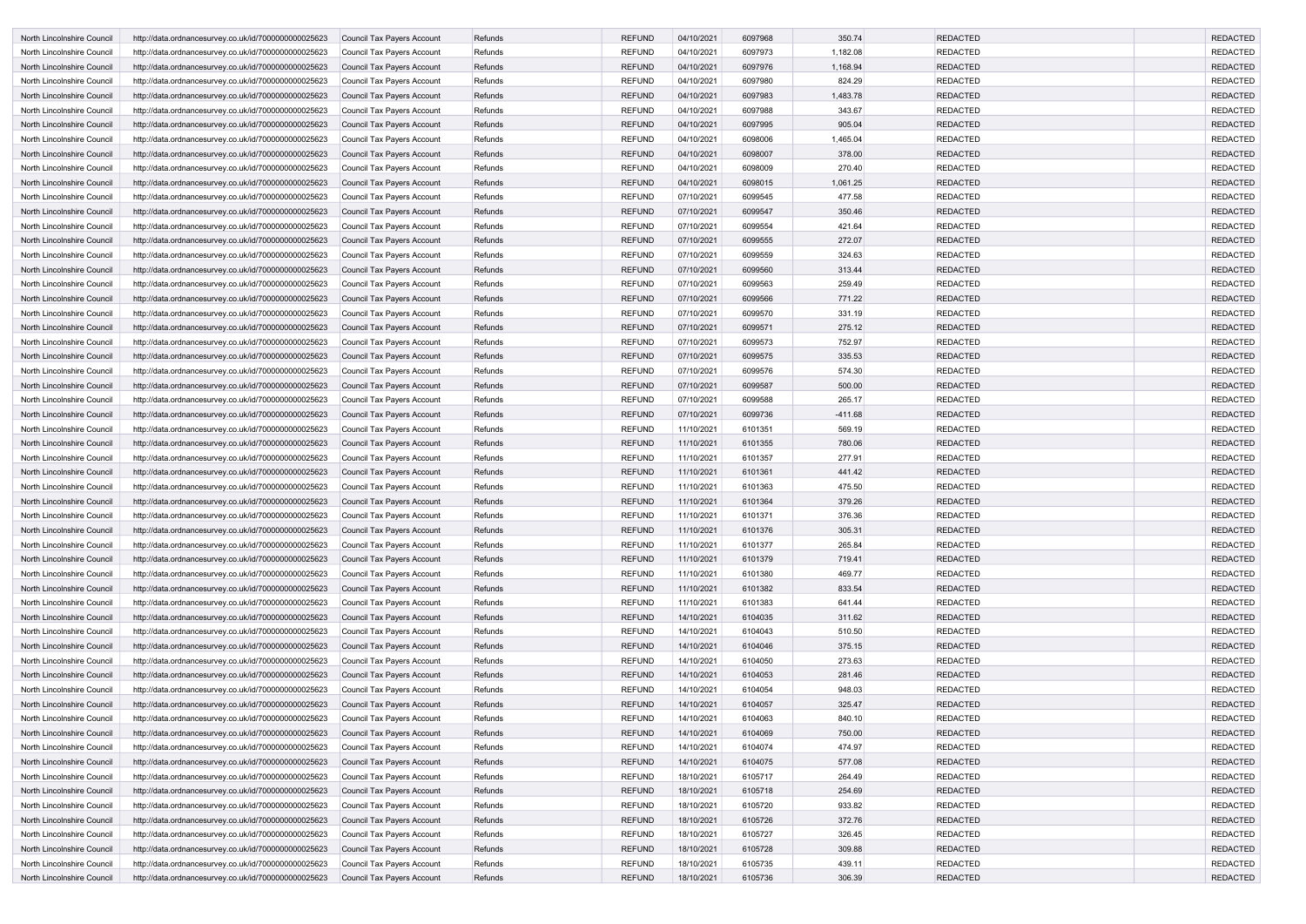| North Lincolnshire Council | http://data.ordnancesurvey.co.uk/id/7000000000025623 | Council Tax Payers Account        | Refunds | <b>REFUND</b> | 04/10/2021 | 6097968 | 350.74    | <b>REDACTED</b> | <b>REDACTED</b> |
|----------------------------|------------------------------------------------------|-----------------------------------|---------|---------------|------------|---------|-----------|-----------------|-----------------|
| North Lincolnshire Council | http://data.ordnancesurvey.co.uk/id/7000000000025623 | Council Tax Payers Account        | Refunds | <b>REFUND</b> | 04/10/2021 | 6097973 | 1,182.08  | <b>REDACTED</b> | <b>REDACTED</b> |
| North Lincolnshire Council | http://data.ordnancesurvey.co.uk/id/7000000000025623 | Council Tax Payers Account        | Refunds | <b>REFUND</b> | 04/10/2021 | 6097976 | 1,168.94  | <b>REDACTED</b> | <b>REDACTED</b> |
| North Lincolnshire Council | http://data.ordnancesurvey.co.uk/id/7000000000025623 | Council Tax Payers Account        | Refunds | <b>REFUND</b> | 04/10/2021 | 6097980 | 824.29    | <b>REDACTED</b> | <b>REDACTED</b> |
| North Lincolnshire Council | http://data.ordnancesurvey.co.uk/id/7000000000025623 | Council Tax Payers Account        | Refunds | <b>REFUND</b> | 04/10/2021 | 6097983 | 1,483.78  | <b>REDACTED</b> | <b>REDACTED</b> |
| North Lincolnshire Council | http://data.ordnancesurvey.co.uk/id/7000000000025623 | Council Tax Payers Account        | Refunds | <b>REFUND</b> | 04/10/2021 | 6097988 | 343.67    | <b>REDACTED</b> | <b>REDACTED</b> |
| North Lincolnshire Council | http://data.ordnancesurvey.co.uk/id/7000000000025623 | <b>Council Tax Payers Account</b> | Refunds | <b>REFUND</b> | 04/10/2021 | 6097995 | 905.04    | <b>REDACTED</b> | <b>REDACTED</b> |
| North Lincolnshire Council | http://data.ordnancesurvey.co.uk/id/7000000000025623 | <b>Council Tax Payers Account</b> | Refunds | <b>REFUND</b> | 04/10/2021 | 6098006 | 1,465.04  | <b>REDACTED</b> | <b>REDACTED</b> |
| North Lincolnshire Council | http://data.ordnancesurvey.co.uk/id/7000000000025623 | Council Tax Payers Account        | Refunds | <b>REFUND</b> | 04/10/2021 | 6098007 | 378.00    | <b>REDACTED</b> | <b>REDACTED</b> |
| North Lincolnshire Council | http://data.ordnancesurvey.co.uk/id/7000000000025623 | Council Tax Payers Account        | Refunds | <b>REFUND</b> | 04/10/2021 | 6098009 | 270.40    | <b>REDACTED</b> | <b>REDACTED</b> |
| North Lincolnshire Council | http://data.ordnancesurvey.co.uk/id/7000000000025623 | Council Tax Payers Account        | Refunds | <b>REFUND</b> | 04/10/2021 | 6098015 | 1,061.25  | <b>REDACTED</b> | <b>REDACTED</b> |
| North Lincolnshire Council | http://data.ordnancesurvey.co.uk/id/7000000000025623 | Council Tax Payers Account        | Refunds | <b>REFUND</b> | 07/10/2021 | 6099545 | 477.58    | <b>REDACTED</b> | <b>REDACTED</b> |
| North Lincolnshire Council | http://data.ordnancesurvey.co.uk/id/7000000000025623 | Council Tax Payers Account        | Refunds | <b>REFUND</b> | 07/10/2021 | 6099547 | 350.46    | <b>REDACTED</b> | <b>REDACTED</b> |
| North Lincolnshire Council | http://data.ordnancesurvey.co.uk/id/7000000000025623 | Council Tax Payers Account        | Refunds | <b>REFUND</b> | 07/10/2021 | 6099554 | 421.64    | <b>REDACTED</b> | <b>REDACTED</b> |
| North Lincolnshire Council | http://data.ordnancesurvey.co.uk/id/7000000000025623 | Council Tax Payers Account        | Refunds | REFUND        | 07/10/2021 | 6099555 | 272.07    | <b>REDACTED</b> | <b>REDACTED</b> |
| North Lincolnshire Council | http://data.ordnancesurvey.co.uk/id/7000000000025623 | <b>Council Tax Payers Account</b> | Refunds | <b>REFUND</b> | 07/10/2021 | 6099559 | 324.63    | <b>REDACTED</b> | <b>REDACTED</b> |
| North Lincolnshire Council | http://data.ordnancesurvey.co.uk/id/7000000000025623 | Council Tax Payers Account        | Refunds | <b>REFUND</b> | 07/10/2021 | 6099560 | 313.44    | <b>REDACTED</b> | <b>REDACTED</b> |
| North Lincolnshire Council | http://data.ordnancesurvey.co.uk/id/7000000000025623 | Council Tax Payers Account        | Refunds | <b>REFUND</b> | 07/10/2021 | 6099563 | 259.49    | <b>REDACTED</b> | <b>REDACTED</b> |
| North Lincolnshire Council | http://data.ordnancesurvey.co.uk/id/7000000000025623 | Council Tax Payers Account        | Refunds | <b>REFUND</b> | 07/10/2021 | 6099566 | 771.22    | <b>REDACTED</b> | <b>REDACTED</b> |
| North Lincolnshire Council | http://data.ordnancesurvey.co.uk/id/7000000000025623 | Council Tax Payers Account        | Refunds | <b>REFUND</b> | 07/10/2021 | 6099570 | 331.19    | <b>REDACTED</b> | <b>REDACTED</b> |
| North Lincolnshire Council | http://data.ordnancesurvey.co.uk/id/7000000000025623 | Council Tax Payers Account        | Refunds | <b>REFUND</b> | 07/10/2021 | 6099571 | 275.12    | <b>REDACTED</b> | <b>REDACTED</b> |
| North Lincolnshire Council | http://data.ordnancesurvey.co.uk/id/7000000000025623 | <b>Council Tax Payers Account</b> | Refunds | <b>REFUND</b> | 07/10/2021 | 6099573 | 752.97    | <b>REDACTED</b> | <b>REDACTED</b> |
| North Lincolnshire Council | http://data.ordnancesurvey.co.uk/id/7000000000025623 | Council Tax Payers Account        | Refunds | <b>REFUND</b> | 07/10/2021 | 6099575 | 335.53    | <b>REDACTED</b> | <b>REDACTED</b> |
| North Lincolnshire Council | http://data.ordnancesurvey.co.uk/id/7000000000025623 | Council Tax Payers Account        | Refunds | <b>REFUND</b> | 07/10/2021 | 6099576 | 574.30    | <b>REDACTED</b> | <b>REDACTED</b> |
| North Lincolnshire Council | http://data.ordnancesurvey.co.uk/id/7000000000025623 | Council Tax Payers Account        | Refunds | <b>REFUND</b> | 07/10/2021 | 6099587 | 500.00    | <b>REDACTED</b> | <b>REDACTED</b> |
| North Lincolnshire Council | http://data.ordnancesurvey.co.uk/id/7000000000025623 | Council Tax Payers Account        | Refunds | <b>REFUND</b> | 07/10/2021 | 6099588 | 265.17    | <b>REDACTED</b> | <b>REDACTED</b> |
| North Lincolnshire Council | http://data.ordnancesurvey.co.uk/id/7000000000025623 | Council Tax Payers Account        | Refunds | <b>REFUND</b> | 07/10/2021 | 6099736 | $-411.68$ | <b>REDACTED</b> | <b>REDACTED</b> |
| North Lincolnshire Council | http://data.ordnancesurvey.co.uk/id/7000000000025623 | Council Tax Payers Account        | Refunds | <b>REFUND</b> | 11/10/2021 | 6101351 | 569.19    | <b>REDACTED</b> | <b>REDACTED</b> |
| North Lincolnshire Council | http://data.ordnancesurvey.co.uk/id/7000000000025623 | Council Tax Payers Account        | Refunds | REFUND        | 11/10/2021 | 6101355 | 780.06    | <b>REDACTED</b> | <b>REDACTED</b> |
| North Lincolnshire Council | http://data.ordnancesurvey.co.uk/id/7000000000025623 | Council Tax Payers Account        | Refunds | REFUND        | 11/10/2021 | 6101357 | 277.91    | <b>REDACTED</b> | <b>REDACTED</b> |
| North Lincolnshire Council | http://data.ordnancesurvey.co.uk/id/7000000000025623 | Council Tax Payers Account        | Refunds | <b>REFUND</b> | 11/10/2021 | 6101361 | 441.42    | <b>REDACTED</b> | <b>REDACTED</b> |
| North Lincolnshire Council | http://data.ordnancesurvey.co.uk/id/7000000000025623 | <b>Council Tax Payers Account</b> | Refunds | <b>REFUND</b> | 11/10/2021 | 6101363 | 475.50    | <b>REDACTED</b> | <b>REDACTED</b> |
| North Lincolnshire Council | http://data.ordnancesurvey.co.uk/id/7000000000025623 | Council Tax Payers Account        | Refunds | <b>REFUND</b> | 11/10/2021 | 6101364 | 379.26    | <b>REDACTED</b> | <b>REDACTED</b> |
| North Lincolnshire Council | http://data.ordnancesurvey.co.uk/id/7000000000025623 | Council Tax Payers Account        | Refunds | <b>REFUND</b> | 11/10/2021 | 6101371 | 376.36    | <b>REDACTED</b> | <b>REDACTED</b> |
| North Lincolnshire Council | http://data.ordnancesurvey.co.uk/id/7000000000025623 | Council Tax Payers Account        | Refunds | <b>REFUND</b> | 11/10/2021 | 6101376 | 305.31    | <b>REDACTED</b> | <b>REDACTED</b> |
| North Lincolnshire Council | http://data.ordnancesurvey.co.uk/id/7000000000025623 | Council Tax Payers Account        | Refunds | <b>REFUND</b> | 11/10/2021 | 6101377 | 265.84    | <b>REDACTED</b> | <b>REDACTED</b> |
| North Lincolnshire Council | http://data.ordnancesurvey.co.uk/id/7000000000025623 | Council Tax Payers Account        | Refunds | <b>REFUND</b> | 11/10/2021 | 6101379 | 719.41    | <b>REDACTED</b> | <b>REDACTED</b> |
| North Lincolnshire Council | http://data.ordnancesurvey.co.uk/id/7000000000025623 | Council Tax Payers Account        | Refunds | REFUND        | 11/10/2021 | 6101380 | 469.77    | <b>REDACTED</b> | <b>REDACTED</b> |
| North Lincolnshire Council | http://data.ordnancesurvey.co.uk/id/7000000000025623 | Council Tax Payers Account        | Refunds | <b>REFUND</b> | 11/10/2021 | 6101382 | 833.54    | <b>REDACTED</b> | <b>REDACTED</b> |
| North Lincolnshire Council | http://data.ordnancesurvey.co.uk/id/7000000000025623 | Council Tax Payers Account        | Refunds | REFUND        | 11/10/2021 | 6101383 | 641.44    | <b>REDACTED</b> | <b>REDACTED</b> |
| North Lincolnshire Council | http://data.ordnancesurvey.co.uk/id/7000000000025623 | Council Tax Payers Account        | Refunds | REFUND        | 14/10/2021 | 6104035 | 311.62    | <b>REDACTED</b> | <b>REDACTED</b> |
| North Lincolnshire Council | http://data.ordnancesurvey.co.uk/id/7000000000025623 | Council Tax Payers Account        | Refunds | <b>REFUND</b> | 14/10/2021 | 6104043 | 510.50    | <b>REDACTED</b> | <b>REDACTED</b> |
| North Lincolnshire Council | http://data.ordnancesurvey.co.uk/id/7000000000025623 | Council Tax Payers Account        | Refunds | REFUND        | 14/10/2021 | 6104046 | 375.15    | <b>REDACTED</b> | <b>REDACTED</b> |
| North Lincolnshire Council | http://data.ordnancesurvey.co.uk/id/7000000000025623 | Council Tax Payers Account        | Refunds | <b>REFUND</b> | 14/10/2021 | 6104050 | 273.63    | <b>REDACTED</b> | <b>REDACTED</b> |
| North Lincolnshire Council | http://data.ordnancesurvey.co.uk/id/7000000000025623 | Council Tax Payers Account        | Refunds | <b>REFUND</b> | 14/10/2021 | 6104053 | 281.46    | <b>REDACTED</b> | <b>REDACTED</b> |
| North Lincolnshire Council | http://data.ordnancesurvey.co.uk/id/7000000000025623 | Council Tax Payers Account        | Refunds | <b>REFUND</b> | 14/10/2021 | 6104054 | 948.03    | <b>REDACTED</b> | <b>REDACTED</b> |
| North Lincolnshire Council | http://data.ordnancesurvey.co.uk/id/7000000000025623 | Council Tax Payers Account        | Refunds | REFUND        | 14/10/2021 | 6104057 | 325.47    | <b>REDACTED</b> | <b>REDACTED</b> |
| North Lincolnshire Council | http://data.ordnancesurvey.co.uk/id/7000000000025623 | Council Tax Payers Account        | Refunds | REFUND        | 14/10/2021 | 6104063 | 840.10    | <b>REDACTED</b> | <b>REDACTED</b> |
| North Lincolnshire Council | http://data.ordnancesurvey.co.uk/id/7000000000025623 | Council Tax Payers Account        | Refunds | REFUND        | 14/10/2021 | 6104069 | 750.00    | <b>REDACTED</b> | <b>REDACTED</b> |
| North Lincolnshire Council | http://data.ordnancesurvey.co.uk/id/7000000000025623 | Council Tax Payers Account        | Refunds | REFUND        | 14/10/2021 | 6104074 | 474.97    | <b>REDACTED</b> | <b>REDACTED</b> |
| North Lincolnshire Council | http://data.ordnancesurvey.co.uk/id/7000000000025623 | Council Tax Payers Account        | Refunds | REFUND        | 14/10/2021 | 6104075 | 577.08    | <b>REDACTED</b> | <b>REDACTED</b> |
| North Lincolnshire Council | http://data.ordnancesurvey.co.uk/id/7000000000025623 | Council Tax Payers Account        | Refunds | REFUND        | 18/10/2021 | 6105717 | 264.49    | <b>REDACTED</b> | <b>REDACTED</b> |
| North Lincolnshire Council | http://data.ordnancesurvey.co.uk/id/7000000000025623 | Council Tax Payers Account        | Refunds | REFUND        | 18/10/2021 | 6105718 | 254.69    | <b>REDACTED</b> | <b>REDACTED</b> |
| North Lincolnshire Council | http://data.ordnancesurvey.co.uk/id/7000000000025623 | Council Tax Payers Account        | Refunds | <b>REFUND</b> | 18/10/2021 | 6105720 | 933.82    | <b>REDACTED</b> | <b>REDACTED</b> |
| North Lincolnshire Council | http://data.ordnancesurvey.co.uk/id/7000000000025623 | Council Tax Payers Account        | Refunds | <b>REFUND</b> | 18/10/2021 | 6105726 | 372.76    | <b>REDACTED</b> | <b>REDACTED</b> |
| North Lincolnshire Council | http://data.ordnancesurvey.co.uk/id/7000000000025623 | Council Tax Payers Account        | Refunds | <b>REFUND</b> | 18/10/2021 | 6105727 | 326.45    | <b>REDACTED</b> | <b>REDACTED</b> |
| North Lincolnshire Council | http://data.ordnancesurvey.co.uk/id/7000000000025623 | Council Tax Payers Account        | Refunds | REFUND        | 18/10/2021 | 6105728 | 309.88    | <b>REDACTED</b> | <b>REDACTED</b> |
| North Lincolnshire Council | http://data.ordnancesurvey.co.uk/id/7000000000025623 | Council Tax Payers Account        | Refunds | <b>REFUND</b> | 18/10/2021 | 6105735 | 439.11    | <b>REDACTED</b> | <b>REDACTED</b> |
| North Lincolnshire Council | http://data.ordnancesurvey.co.uk/id/7000000000025623 | Council Tax Payers Account        | Refunds | REFUND        | 18/10/2021 | 6105736 | 306.39    | <b>REDACTED</b> | <b>REDACTED</b> |
|                            |                                                      |                                   |         |               |            |         |           |                 |                 |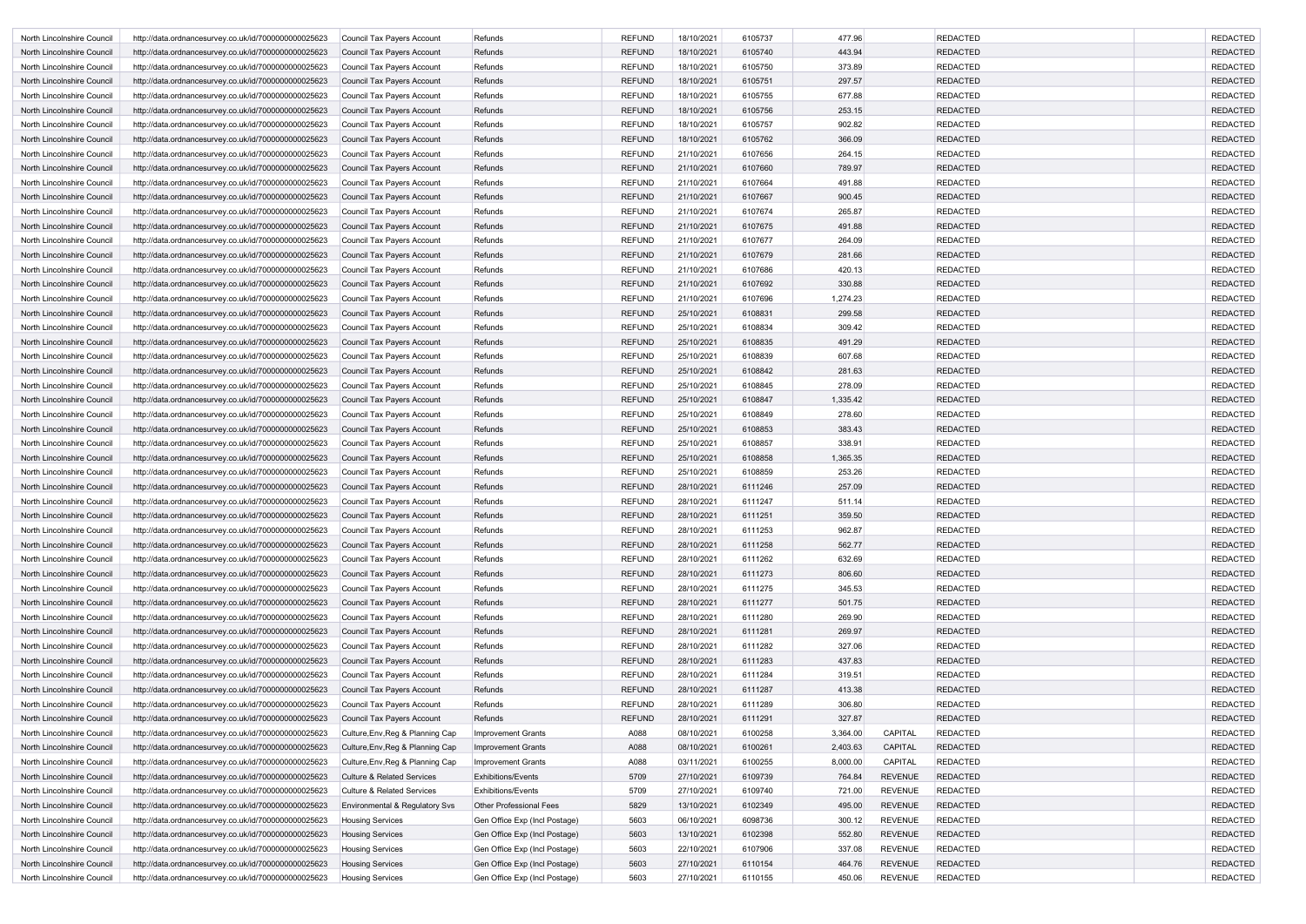| <b>REFUND</b><br>6105737<br>477.96<br><b>REDACTED</b><br>18/10/2021<br>North Lincolnshire Council<br>http://data.ordnancesurvey.co.uk/id/7000000000025623<br>Refunds<br>Council Tax Payers Account<br><b>REFUND</b><br>18/10/2021<br>6105740<br>443.94<br><b>REDACTED</b><br>North Lincolnshire Council<br>http://data.ordnancesurvey.co.uk/id/7000000000025623<br>Council Tax Payers Account<br>Refunds<br>Refunds<br><b>REFUND</b><br>18/10/2021<br>6105750<br>373.89<br><b>REDACTED</b><br>North Lincolnshire Council<br>http://data.ordnancesurvey.co.uk/id/7000000000025623<br>Council Tax Payers Account<br><b>REFUND</b><br>18/10/2021<br>6105751<br>297.57<br><b>REDACTED</b><br>North Lincolnshire Council<br>http://data.ordnancesurvey.co.uk/id/7000000000025623<br>Council Tax Payers Account<br>Refunds<br><b>REFUND</b><br>6105755<br>677.88<br><b>REDACTED</b><br>Refunds<br>18/10/2021<br>North Lincolnshire Council<br>http://data.ordnancesurvey.co.uk/id/7000000000025623<br>Council Tax Payers Account<br><b>REFUND</b><br><b>REDACTED</b><br>18/10/2021<br>6105756<br>253.15<br>North Lincolnshire Council<br>http://data.ordnancesurvey.co.uk/id/7000000000025623<br>Council Tax Payers Account<br>Refunds<br><b>REFUND</b><br>18/10/2021<br>6105757<br>902.82<br><b>REDACTED</b><br>North Lincolnshire Council<br>http://data.ordnancesurvey.co.uk/id/7000000000025623<br>Council Tax Payers Account<br>Refunds<br><b>REFUND</b><br>18/10/2021<br>6105762<br>366.09<br><b>REDACTED</b><br>North Lincolnshire Council<br>Refunds<br>http://data.ordnancesurvey.co.uk/id/7000000000025623<br><b>Council Tax Payers Account</b><br><b>REFUND</b><br>21/10/2021<br>6107656<br>264.15<br><b>REDACTED</b><br>North Lincolnshire Council<br>Refunds<br>http://data.ordnancesurvey.co.uk/id/7000000000025623<br>Council Tax Payers Account<br><b>REFUND</b><br>21/10/2021<br>6107660<br>789.97<br><b>REDACTED</b><br>North Lincolnshire Council<br>Refunds<br>http://data.ordnancesurvey.co.uk/id/7000000000025623<br>Council Tax Payers Account<br><b>REFUND</b><br><b>REDACTED</b><br>21/10/2021<br>6107664<br>491.88<br>North Lincolnshire Council<br>http://data.ordnancesurvey.co.uk/id/7000000000025623<br>Refunds<br>Council Tax Payers Account<br><b>REFUND</b><br>21/10/2021<br>6107667<br><b>REDACTED</b><br>900.45<br>North Lincolnshire Council<br>http://data.ordnancesurvey.co.uk/id/7000000000025623<br>Council Tax Payers Account<br>Refunds<br><b>REFUND</b><br>Refunds<br>21/10/2021<br>6107674<br>265.87<br><b>REDACTED</b><br>North Lincolnshire Council<br>http://data.ordnancesurvey.co.uk/id/7000000000025623<br><b>Council Tax Payers Account</b><br><b>REFUND</b><br>21/10/2021<br>6107675<br>491.88<br><b>REDACTED</b><br>North Lincolnshire Council<br>http://data.ordnancesurvey.co.uk/id/7000000000025623<br>Council Tax Payers Account<br>Refunds<br><b>REFUND</b><br>Refunds<br>21/10/2021<br>6107677<br>264.09<br><b>REDACTED</b><br>North Lincolnshire Council<br>http://data.ordnancesurvey.co.uk/id/7000000000025623<br><b>Council Tax Payers Account</b><br><b>REFUND</b><br>6107679<br><b>REDACTED</b><br>21/10/2021<br>281.66<br>North Lincolnshire Council<br>http://data.ordnancesurvey.co.uk/id/7000000000025623<br>Council Tax Payers Account<br>Refunds<br><b>REFUND</b><br>21/10/2021<br>6107686<br>420.13<br><b>REDACTED</b><br>North Lincolnshire Council<br>http://data.ordnancesurvey.co.uk/id/7000000000025623<br>Council Tax Payers Account<br>Refunds<br><b>REFUND</b><br>21/10/2021<br>6107692<br>330.88<br><b>REDACTED</b><br>North Lincolnshire Council<br>Refunds<br>http://data.ordnancesurvey.co.uk/id/7000000000025623<br>Council Tax Payers Account<br><b>REFUND</b><br>6107696<br>1,274.23<br><b>REDACTED</b><br>Refunds<br>21/10/2021<br>North Lincolnshire Council<br>http://data.ordnancesurvey.co.uk/id/7000000000025623<br><b>Council Tax Payers Account</b><br><b>REFUND</b><br>25/10/2021<br>6108831<br>299.58<br><b>REDACTED</b><br>North Lincolnshire Council<br>Refunds<br>http://data.ordnancesurvey.co.uk/id/7000000000025623<br>Council Tax Payers Account<br><b>REFUND</b><br><b>REDACTED</b><br>25/10/2021<br>6108834<br>309.42<br>North Lincolnshire Council<br>http://data.ordnancesurvey.co.uk/id/7000000000025623<br>Refunds<br>Council Tax Payers Account<br><b>REFUND</b><br>25/10/2021<br>6108835<br>491.29<br><b>REDACTED</b><br>North Lincolnshire Council<br>http://data.ordnancesurvey.co.uk/id/7000000000025623<br>Council Tax Payers Account<br>Refunds<br><b>REFUND</b><br>25/10/2021<br>6108839<br>607.68<br>Refunds<br><b>REDACTED</b><br>North Lincolnshire Council<br>http://data.ordnancesurvey.co.uk/id/7000000000025623<br><b>Council Tax Payers Account</b><br><b>REFUND</b><br>25/10/2021<br>6108842<br>281.63<br><b>REDACTED</b><br>North Lincolnshire Council<br>http://data.ordnancesurvey.co.uk/id/7000000000025623<br>Council Tax Payers Account<br>Refunds<br><b>REFUND</b><br>25/10/2021<br>6108845<br>278.09<br><b>REDACTED</b><br>Refunds<br>North Lincolnshire Council<br>http://data.ordnancesurvey.co.uk/id/7000000000025623<br>Council Tax Payers Account<br>1,335.42<br><b>REDACTED</b><br><b>REFUND</b><br>25/10/2021<br>6108847<br>North Lincolnshire Council<br>http://data.ordnancesurvey.co.uk/id/7000000000025623<br>Council Tax Payers Account<br>Refunds<br><b>REFUND</b><br>278.60<br>25/10/2021<br>6108849<br><b>REDACTED</b><br>North Lincolnshire Council<br>Council Tax Payers Account<br>Refunds<br>http://data.ordnancesurvey.co.uk/id/7000000000025623<br><b>REFUND</b><br>25/10/2021<br>6108853<br>383.43<br><b>REDACTED</b><br>Refunds<br>North Lincolnshire Council<br>http://data.ordnancesurvey.co.uk/id/7000000000025623<br>Council Tax Payers Account<br><b>REFUND</b><br>25/10/2021<br>6108857<br>338.91<br><b>REDACTED</b><br>Refunds<br>North Lincolnshire Council<br>http://data.ordnancesurvey.co.uk/id/7000000000025623<br>Council Tax Payers Account<br><b>REFUND</b><br>25/10/2021<br>6108858<br>1,365.35<br><b>REDACTED</b><br>North Lincolnshire Council<br>Refunds<br>http://data.ordnancesurvey.co.uk/id/7000000000025623<br>Council Tax Payers Account<br><b>REFUND</b><br>6108859<br><b>REDACTED</b><br>25/10/2021<br>253.26<br>North Lincolnshire Council<br>http://data.ordnancesurvey.co.uk/id/7000000000025623<br><b>Council Tax Payers Account</b><br>Refunds<br><b>REFUND</b><br>28/10/2021<br>6111246<br>257.09<br><b>REDACTED</b><br>North Lincolnshire Council<br>Refunds<br>http://data.ordnancesurvey.co.uk/id/7000000000025623<br>Council Tax Payers Account<br><b>REFUND</b><br>28/10/2021<br>6111247<br>Refunds<br>511.14<br><b>REDACTED</b><br>North Lincolnshire Council<br>http://data.ordnancesurvey.co.uk/id/7000000000025623<br>Council Tax Payers Account<br>http://data.ordnancesurvey.co.uk/id/7000000000025623<br>Refunds<br>Council Tax Payers Account<br>28/10/2021<br>North Lincolnshire Council<br><b>REFUND</b><br>6111251<br>359.50<br>REDACTED<br>28/10/2021<br>962.87<br>Refunds<br><b>REFUND</b><br>6111253<br><b>REDACTED</b><br>North Lincolnshire Council<br>http://data.ordnancesurvey.co.uk/id/7000000000025623<br>Council Tax Payers Account<br><b>REFUND</b><br>28/10/2021<br>6111258<br>562.77<br><b>REDACTED</b><br>North Lincolnshire Council<br>Refunds<br>http://data.ordnancesurvey.co.uk/id/7000000000025623<br>Council Tax Payers Account<br><b>REFUND</b><br>Refunds<br>28/10/2021<br>6111262<br>632.69<br><b>REDACTED</b><br>North Lincolnshire Council<br>Council Tax Payers Account<br>http://data.ordnancesurvey.co.uk/id/7000000000025623<br><b>REFUND</b><br>28/10/2021<br>6111273<br>806.60<br><b>REDACTED</b><br>Refunds<br>North Lincolnshire Council<br>http://data.ordnancesurvey.co.uk/id/7000000000025623<br>Council Tax Payers Account<br>Refunds<br><b>REFUND</b><br>6111275<br><b>REDACTED</b><br>Council Tax Payers Account<br>28/10/2021<br>345.53<br>North Lincolnshire Council<br>http://data.ordnancesurvey.co.uk/id/7000000000025623<br><b>REFUND</b><br>28/10/2021<br>6111277<br><b>REDACTED</b><br>North Lincolnshire Council<br>http://data.ordnancesurvey.co.uk/id/7000000000025623<br><b>Council Tax Payers Account</b><br>Refunds<br>501.75<br><b>REFUND</b><br><b>REDACTED</b><br>28/10/2021<br>6111280<br>269.90<br>North Lincolnshire Council<br>http://data.ordnancesurvey.co.uk/id/7000000000025623<br>Council Tax Payers Account<br>Refunds<br><b>REFUND</b><br>28/10/2021<br>6111281<br>269.97<br><b>REDACTED</b><br>North Lincolnshire Council<br>http://data.ordnancesurvey.co.uk/id/7000000000025623<br>Refunds<br><b>Council Tax Payers Account</b><br>327.06<br>Refunds<br><b>REFUND</b><br>28/10/2021<br>6111282<br><b>REDACTED</b><br>North Lincolnshire Council<br>http://data.ordnancesurvey.co.uk/id/7000000000025623<br>Council Tax Payers Account<br><b>REFUND</b><br>Refunds<br>28/10/2021<br>6111283<br>437.83<br><b>REDACTED</b><br>North Lincolnshire Council<br>http://data.ordnancesurvey.co.uk/id/7000000000025623<br>Council Tax Payers Account<br>Refunds<br><b>REFUND</b><br>28/10/2021<br>6111284<br>319.51<br><b>REDACTED</b><br>North Lincolnshire Council<br>http://data.ordnancesurvey.co.uk/id/7000000000025623<br>Council Tax Payers Account<br><b>REFUND</b><br>6111287<br>413.38<br><b>REDACTED</b><br>North Lincolnshire Council<br>http://data.ordnancesurvey.co.uk/id/7000000000025623<br>Refunds<br>28/10/2021<br>Council Tax Payers Account<br><b>REFUND</b><br>Refunds<br>28/10/2021<br>6111289<br>306.80<br><b>REDACTED</b><br>North Lincolnshire Council<br>http://data.ordnancesurvey.co.uk/id/7000000000025623<br>Council Tax Payers Account<br>Refunds<br><b>REFUND</b><br>28/10/2021<br>6111291<br>327.87<br><b>REDACTED</b><br>North Lincolnshire Council<br>http://data.ordnancesurvey.co.uk/id/7000000000025623<br><b>Council Tax Payers Account</b><br>A088<br>6100258<br>CAPITAL<br><b>REDACTED</b><br>Culture, Env, Reg & Planning Cap<br><b>Improvement Grants</b><br>08/10/2021<br>3,364.00<br>North Lincolnshire Council<br>http://data.ordnancesurvey.co.uk/id/7000000000025623<br>08/10/2021<br>6100261<br>North Lincolnshire Council<br><b>Improvement Grants</b><br>A088<br>2,403.63<br>CAPITAL<br><b>REDACTED</b><br>http://data.ordnancesurvey.co.uk/id/7000000000025623<br>Culture, Env, Reg & Planning Cap<br>A088<br>03/11/2021<br>CAPITAL<br><b>REDACTED</b><br>North Lincolnshire Council<br>Culture, Env, Reg & Planning Cap<br><b>Improvement Grants</b><br>6100255<br>8,000.00<br>http://data.ordnancesurvey.co.uk/id/7000000000025623<br>5709<br>764.84<br><b>REVENUE</b><br>North Lincolnshire Council<br><b>Culture &amp; Related Services</b><br><b>Exhibitions/Events</b><br>27/10/2021<br>6109739<br><b>REDACTED</b><br>http://data.ordnancesurvey.co.uk/id/7000000000025623<br>5709<br><b>REVENUE</b><br><b>REDACTED</b><br><b>Culture &amp; Related Services</b><br><b>Exhibitions/Events</b><br>27/10/2021<br>6109740<br>721.00<br>North Lincolnshire Council<br>http://data.ordnancesurvey.co.uk/id/7000000000025623<br><b>REVENUE</b><br>5829<br>13/10/2021<br>6102349<br>495.00<br><b>REDACTED</b><br>North Lincolnshire Council<br>http://data.ordnancesurvey.co.uk/id/7000000000025623<br>Environmental & Regulatory Svs<br><b>Other Professional Fees</b><br>5603<br><b>REDACTED</b><br><b>Housing Services</b><br>Gen Office Exp (Incl Postage)<br>06/10/2021<br>6098736<br>300.12<br><b>REVENUE</b><br>North Lincolnshire Council<br>http://data.ordnancesurvey.co.uk/id/7000000000025623<br>5603<br>13/10/2021<br>6102398<br>552.80<br><b>REVENUE</b><br><b>REDACTED</b><br>North Lincolnshire Council<br>http://data.ordnancesurvey.co.uk/id/7000000000025623<br>Gen Office Exp (Incl Postage)<br><b>Housing Services</b><br>5603<br>22/10/2021<br>6107906<br>337.08<br><b>REVENUE</b><br><b>REDACTED</b><br>North Lincolnshire Council<br>Gen Office Exp (Incl Postage)<br>http://data.ordnancesurvey.co.uk/id/7000000000025623<br><b>Housing Services</b><br>5603<br>27/10/2021<br>6110154<br>464.76<br><b>REVENUE</b><br><b>REDACTED</b><br>North Lincolnshire Council<br><b>Housing Services</b><br>Gen Office Exp (Incl Postage)<br>http://data.ordnancesurvey.co.uk/id/7000000000025623 |                            |                                                      |                         |                               |      |            |         |        |         |                 |                 |
|--------------------------------------------------------------------------------------------------------------------------------------------------------------------------------------------------------------------------------------------------------------------------------------------------------------------------------------------------------------------------------------------------------------------------------------------------------------------------------------------------------------------------------------------------------------------------------------------------------------------------------------------------------------------------------------------------------------------------------------------------------------------------------------------------------------------------------------------------------------------------------------------------------------------------------------------------------------------------------------------------------------------------------------------------------------------------------------------------------------------------------------------------------------------------------------------------------------------------------------------------------------------------------------------------------------------------------------------------------------------------------------------------------------------------------------------------------------------------------------------------------------------------------------------------------------------------------------------------------------------------------------------------------------------------------------------------------------------------------------------------------------------------------------------------------------------------------------------------------------------------------------------------------------------------------------------------------------------------------------------------------------------------------------------------------------------------------------------------------------------------------------------------------------------------------------------------------------------------------------------------------------------------------------------------------------------------------------------------------------------------------------------------------------------------------------------------------------------------------------------------------------------------------------------------------------------------------------------------------------------------------------------------------------------------------------------------------------------------------------------------------------------------------------------------------------------------------------------------------------------------------------------------------------------------------------------------------------------------------------------------------------------------------------------------------------------------------------------------------------------------------------------------------------------------------------------------------------------------------------------------------------------------------------------------------------------------------------------------------------------------------------------------------------------------------------------------------------------------------------------------------------------------------------------------------------------------------------------------------------------------------------------------------------------------------------------------------------------------------------------------------------------------------------------------------------------------------------------------------------------------------------------------------------------------------------------------------------------------------------------------------------------------------------------------------------------------------------------------------------------------------------------------------------------------------------------------------------------------------------------------------------------------------------------------------------------------------------------------------------------------------------------------------------------------------------------------------------------------------------------------------------------------------------------------------------------------------------------------------------------------------------------------------------------------------------------------------------------------------------------------------------------------------------------------------------------------------------------------------------------------------------------------------------------------------------------------------------------------------------------------------------------------------------------------------------------------------------------------------------------------------------------------------------------------------------------------------------------------------------------------------------------------------------------------------------------------------------------------------------------------------------------------------------------------------------------------------------------------------------------------------------------------------------------------------------------------------------------------------------------------------------------------------------------------------------------------------------------------------------------------------------------------------------------------------------------------------------------------------------------------------------------------------------------------------------------------------------------------------------------------------------------------------------------------------------------------------------------------------------------------------------------------------------------------------------------------------------------------------------------------------------------------------------------------------------------------------------------------------------------------------------------------------------------------------------------------------------------------------------------------------------------------------------------------------------------------------------------------------------------------------------------------------------------------------------------------------------------------------------------------------------------------------------------------------------------------------------------------------------------------------------------------------------------------------------------------------------------------------------------------------------------------------------------------------------------------------------------------------------------------------------------------------------------------------------------------------------------------------------------------------------------------------------------------------------------------------------------------------------------------------------------------------------------------------------------------------------------------------------------------------------------------------------------------------------------------------------------------------------------------------------------------------------------------------------------------------------------------------------------------------------------------------------------------------------------------------------------------------------------------------------------------------------------------------------------------------------------------------------------------------------------------------------------------------------------------------------------------------------------------------------------------------------------------------------------------------------------------------------------------------------------------------------------------------------------------------------------------------------------------------------------------------------------------------------------------------------------------------------------------------------------------------------------------------------------------------------------------------------------------------------------------------------------------------------------------------------------------------------------------------------------------------------------------------------------------------------------------------------------------------------------------------------------------------------------------------------------------------------------------------------------------------------------------------------------------------------------------------------------------------------------------------------------------------------------------------------------------------------------------------------------------------------------------------------------------------------------------------------------------------------------------------------------------------------------------------------------------------------------------------------------------------------------------------------------------------------------------------------------------------------------------------------------------------------------------------------------------------------------------------------------------------------------------------------------------------------------------------------------------------------------------------------------------------------------------------------------------------------------------------------------------------------------------------------------------------------------------------------------------------------------------------------------------------------------------------------------------------------------------------------------------------------------------------------------------------------------------------------------------------------------------------------------------------------------------------------------------------------------------------------------------------------------------------------------------------------------------------------------------------------------------------------------------------------------------------------------------------------------------------------------------------------------------------------------------------------------------------------------------------------------------------------------------------------------------------------------------------------------------------------------------------------------------------------------------------------------------------------------------------------------------------------------------------------------------------------------------------------------------------------------------------------------------------------------------------------------------------------------------------------------------------------------------------------------------------------------------------------------------------------------------------------------------------------------------------------------------------------------------------------------------------------------------------------------------------------------------------------------------------------------------------------------------------------------------------------------------------------------------------------------------------------------------------------------------------------------------------------------------------------------------------------------------------------------------------------------------------------------------------------------------------------------------------------------------------------------------------------------------------------------------------------------------------------------------------------------|----------------------------|------------------------------------------------------|-------------------------|-------------------------------|------|------------|---------|--------|---------|-----------------|-----------------|
|                                                                                                                                                                                                                                                                                                                                                                                                                                                                                                                                                                                                                                                                                                                                                                                                                                                                                                                                                                                                                                                                                                                                                                                                                                                                                                                                                                                                                                                                                                                                                                                                                                                                                                                                                                                                                                                                                                                                                                                                                                                                                                                                                                                                                                                                                                                                                                                                                                                                                                                                                                                                                                                                                                                                                                                                                                                                                                                                                                                                                                                                                                                                                                                                                                                                                                                                                                                                                                                                                                                                                                                                                                                                                                                                                                                                                                                                                                                                                                                                                                                                                                                                                                                                                                                                                                                                                                                                                                                                                                                                                                                                                                                                                                                                                                                                                                                                                                                                                                                                                                                                                                                                                                                                                                                                                                                                                                                                                                                                                                                                                                                                                                                                                                                                                                                                                                                                                                                                                                                                                                                                                                                                                                                                                                                                                                                                                                                                                                                                                                                                                                                                                                                                                                                                                                                                                                                                                                                                                                                                                                                                                                                                                                                                                                                                                                                                                                                                                                                                                                                                                                                                                                                                                                                                                                                                                                                                                                                                                                                                                                                                                                                                                                                                                                                                                                                                                                                                                                                                                                                                                                                                                                                                                                                                                                                                                                                                                                                                                                                                                                                                                                                                                                                                                                                                                                                                                                                                                                                                                                                                                                                                                                                                                                                                                                                                                                                                                                                                                                                                                                                                                                                                                                                                                                                                                                                                                                                                                                                                                                                                                                                                                                                                                                                                                                                                                                                                                                                                                                                                                                                                                                                                                                                                                                                                                                                                                                                                                                                                                                                                                                                                                                                                                                                                                                                                                                                                                                                                                                                                                                                                                                                                                                                                                                                                                                                                            |                            |                                                      |                         |                               |      |            |         |        |         |                 | <b>REDACTED</b> |
|                                                                                                                                                                                                                                                                                                                                                                                                                                                                                                                                                                                                                                                                                                                                                                                                                                                                                                                                                                                                                                                                                                                                                                                                                                                                                                                                                                                                                                                                                                                                                                                                                                                                                                                                                                                                                                                                                                                                                                                                                                                                                                                                                                                                                                                                                                                                                                                                                                                                                                                                                                                                                                                                                                                                                                                                                                                                                                                                                                                                                                                                                                                                                                                                                                                                                                                                                                                                                                                                                                                                                                                                                                                                                                                                                                                                                                                                                                                                                                                                                                                                                                                                                                                                                                                                                                                                                                                                                                                                                                                                                                                                                                                                                                                                                                                                                                                                                                                                                                                                                                                                                                                                                                                                                                                                                                                                                                                                                                                                                                                                                                                                                                                                                                                                                                                                                                                                                                                                                                                                                                                                                                                                                                                                                                                                                                                                                                                                                                                                                                                                                                                                                                                                                                                                                                                                                                                                                                                                                                                                                                                                                                                                                                                                                                                                                                                                                                                                                                                                                                                                                                                                                                                                                                                                                                                                                                                                                                                                                                                                                                                                                                                                                                                                                                                                                                                                                                                                                                                                                                                                                                                                                                                                                                                                                                                                                                                                                                                                                                                                                                                                                                                                                                                                                                                                                                                                                                                                                                                                                                                                                                                                                                                                                                                                                                                                                                                                                                                                                                                                                                                                                                                                                                                                                                                                                                                                                                                                                                                                                                                                                                                                                                                                                                                                                                                                                                                                                                                                                                                                                                                                                                                                                                                                                                                                                                                                                                                                                                                                                                                                                                                                                                                                                                                                                                                                                                                                                                                                                                                                                                                                                                                                                                                                                                                                                                                                            |                            |                                                      |                         |                               |      |            |         |        |         |                 | <b>REDACTED</b> |
|                                                                                                                                                                                                                                                                                                                                                                                                                                                                                                                                                                                                                                                                                                                                                                                                                                                                                                                                                                                                                                                                                                                                                                                                                                                                                                                                                                                                                                                                                                                                                                                                                                                                                                                                                                                                                                                                                                                                                                                                                                                                                                                                                                                                                                                                                                                                                                                                                                                                                                                                                                                                                                                                                                                                                                                                                                                                                                                                                                                                                                                                                                                                                                                                                                                                                                                                                                                                                                                                                                                                                                                                                                                                                                                                                                                                                                                                                                                                                                                                                                                                                                                                                                                                                                                                                                                                                                                                                                                                                                                                                                                                                                                                                                                                                                                                                                                                                                                                                                                                                                                                                                                                                                                                                                                                                                                                                                                                                                                                                                                                                                                                                                                                                                                                                                                                                                                                                                                                                                                                                                                                                                                                                                                                                                                                                                                                                                                                                                                                                                                                                                                                                                                                                                                                                                                                                                                                                                                                                                                                                                                                                                                                                                                                                                                                                                                                                                                                                                                                                                                                                                                                                                                                                                                                                                                                                                                                                                                                                                                                                                                                                                                                                                                                                                                                                                                                                                                                                                                                                                                                                                                                                                                                                                                                                                                                                                                                                                                                                                                                                                                                                                                                                                                                                                                                                                                                                                                                                                                                                                                                                                                                                                                                                                                                                                                                                                                                                                                                                                                                                                                                                                                                                                                                                                                                                                                                                                                                                                                                                                                                                                                                                                                                                                                                                                                                                                                                                                                                                                                                                                                                                                                                                                                                                                                                                                                                                                                                                                                                                                                                                                                                                                                                                                                                                                                                                                                                                                                                                                                                                                                                                                                                                                                                                                                                                                                                            |                            |                                                      |                         |                               |      |            |         |        |         |                 | <b>REDACTED</b> |
|                                                                                                                                                                                                                                                                                                                                                                                                                                                                                                                                                                                                                                                                                                                                                                                                                                                                                                                                                                                                                                                                                                                                                                                                                                                                                                                                                                                                                                                                                                                                                                                                                                                                                                                                                                                                                                                                                                                                                                                                                                                                                                                                                                                                                                                                                                                                                                                                                                                                                                                                                                                                                                                                                                                                                                                                                                                                                                                                                                                                                                                                                                                                                                                                                                                                                                                                                                                                                                                                                                                                                                                                                                                                                                                                                                                                                                                                                                                                                                                                                                                                                                                                                                                                                                                                                                                                                                                                                                                                                                                                                                                                                                                                                                                                                                                                                                                                                                                                                                                                                                                                                                                                                                                                                                                                                                                                                                                                                                                                                                                                                                                                                                                                                                                                                                                                                                                                                                                                                                                                                                                                                                                                                                                                                                                                                                                                                                                                                                                                                                                                                                                                                                                                                                                                                                                                                                                                                                                                                                                                                                                                                                                                                                                                                                                                                                                                                                                                                                                                                                                                                                                                                                                                                                                                                                                                                                                                                                                                                                                                                                                                                                                                                                                                                                                                                                                                                                                                                                                                                                                                                                                                                                                                                                                                                                                                                                                                                                                                                                                                                                                                                                                                                                                                                                                                                                                                                                                                                                                                                                                                                                                                                                                                                                                                                                                                                                                                                                                                                                                                                                                                                                                                                                                                                                                                                                                                                                                                                                                                                                                                                                                                                                                                                                                                                                                                                                                                                                                                                                                                                                                                                                                                                                                                                                                                                                                                                                                                                                                                                                                                                                                                                                                                                                                                                                                                                                                                                                                                                                                                                                                                                                                                                                                                                                                                                                                                            |                            |                                                      |                         |                               |      |            |         |        |         |                 | <b>REDACTED</b> |
|                                                                                                                                                                                                                                                                                                                                                                                                                                                                                                                                                                                                                                                                                                                                                                                                                                                                                                                                                                                                                                                                                                                                                                                                                                                                                                                                                                                                                                                                                                                                                                                                                                                                                                                                                                                                                                                                                                                                                                                                                                                                                                                                                                                                                                                                                                                                                                                                                                                                                                                                                                                                                                                                                                                                                                                                                                                                                                                                                                                                                                                                                                                                                                                                                                                                                                                                                                                                                                                                                                                                                                                                                                                                                                                                                                                                                                                                                                                                                                                                                                                                                                                                                                                                                                                                                                                                                                                                                                                                                                                                                                                                                                                                                                                                                                                                                                                                                                                                                                                                                                                                                                                                                                                                                                                                                                                                                                                                                                                                                                                                                                                                                                                                                                                                                                                                                                                                                                                                                                                                                                                                                                                                                                                                                                                                                                                                                                                                                                                                                                                                                                                                                                                                                                                                                                                                                                                                                                                                                                                                                                                                                                                                                                                                                                                                                                                                                                                                                                                                                                                                                                                                                                                                                                                                                                                                                                                                                                                                                                                                                                                                                                                                                                                                                                                                                                                                                                                                                                                                                                                                                                                                                                                                                                                                                                                                                                                                                                                                                                                                                                                                                                                                                                                                                                                                                                                                                                                                                                                                                                                                                                                                                                                                                                                                                                                                                                                                                                                                                                                                                                                                                                                                                                                                                                                                                                                                                                                                                                                                                                                                                                                                                                                                                                                                                                                                                                                                                                                                                                                                                                                                                                                                                                                                                                                                                                                                                                                                                                                                                                                                                                                                                                                                                                                                                                                                                                                                                                                                                                                                                                                                                                                                                                                                                                                                                                                                            |                            |                                                      |                         |                               |      |            |         |        |         |                 | <b>REDACTED</b> |
|                                                                                                                                                                                                                                                                                                                                                                                                                                                                                                                                                                                                                                                                                                                                                                                                                                                                                                                                                                                                                                                                                                                                                                                                                                                                                                                                                                                                                                                                                                                                                                                                                                                                                                                                                                                                                                                                                                                                                                                                                                                                                                                                                                                                                                                                                                                                                                                                                                                                                                                                                                                                                                                                                                                                                                                                                                                                                                                                                                                                                                                                                                                                                                                                                                                                                                                                                                                                                                                                                                                                                                                                                                                                                                                                                                                                                                                                                                                                                                                                                                                                                                                                                                                                                                                                                                                                                                                                                                                                                                                                                                                                                                                                                                                                                                                                                                                                                                                                                                                                                                                                                                                                                                                                                                                                                                                                                                                                                                                                                                                                                                                                                                                                                                                                                                                                                                                                                                                                                                                                                                                                                                                                                                                                                                                                                                                                                                                                                                                                                                                                                                                                                                                                                                                                                                                                                                                                                                                                                                                                                                                                                                                                                                                                                                                                                                                                                                                                                                                                                                                                                                                                                                                                                                                                                                                                                                                                                                                                                                                                                                                                                                                                                                                                                                                                                                                                                                                                                                                                                                                                                                                                                                                                                                                                                                                                                                                                                                                                                                                                                                                                                                                                                                                                                                                                                                                                                                                                                                                                                                                                                                                                                                                                                                                                                                                                                                                                                                                                                                                                                                                                                                                                                                                                                                                                                                                                                                                                                                                                                                                                                                                                                                                                                                                                                                                                                                                                                                                                                                                                                                                                                                                                                                                                                                                                                                                                                                                                                                                                                                                                                                                                                                                                                                                                                                                                                                                                                                                                                                                                                                                                                                                                                                                                                                                                                                                                            |                            |                                                      |                         |                               |      |            |         |        |         |                 | <b>REDACTED</b> |
|                                                                                                                                                                                                                                                                                                                                                                                                                                                                                                                                                                                                                                                                                                                                                                                                                                                                                                                                                                                                                                                                                                                                                                                                                                                                                                                                                                                                                                                                                                                                                                                                                                                                                                                                                                                                                                                                                                                                                                                                                                                                                                                                                                                                                                                                                                                                                                                                                                                                                                                                                                                                                                                                                                                                                                                                                                                                                                                                                                                                                                                                                                                                                                                                                                                                                                                                                                                                                                                                                                                                                                                                                                                                                                                                                                                                                                                                                                                                                                                                                                                                                                                                                                                                                                                                                                                                                                                                                                                                                                                                                                                                                                                                                                                                                                                                                                                                                                                                                                                                                                                                                                                                                                                                                                                                                                                                                                                                                                                                                                                                                                                                                                                                                                                                                                                                                                                                                                                                                                                                                                                                                                                                                                                                                                                                                                                                                                                                                                                                                                                                                                                                                                                                                                                                                                                                                                                                                                                                                                                                                                                                                                                                                                                                                                                                                                                                                                                                                                                                                                                                                                                                                                                                                                                                                                                                                                                                                                                                                                                                                                                                                                                                                                                                                                                                                                                                                                                                                                                                                                                                                                                                                                                                                                                                                                                                                                                                                                                                                                                                                                                                                                                                                                                                                                                                                                                                                                                                                                                                                                                                                                                                                                                                                                                                                                                                                                                                                                                                                                                                                                                                                                                                                                                                                                                                                                                                                                                                                                                                                                                                                                                                                                                                                                                                                                                                                                                                                                                                                                                                                                                                                                                                                                                                                                                                                                                                                                                                                                                                                                                                                                                                                                                                                                                                                                                                                                                                                                                                                                                                                                                                                                                                                                                                                                                                                                                                            |                            |                                                      |                         |                               |      |            |         |        |         |                 | <b>REDACTED</b> |
|                                                                                                                                                                                                                                                                                                                                                                                                                                                                                                                                                                                                                                                                                                                                                                                                                                                                                                                                                                                                                                                                                                                                                                                                                                                                                                                                                                                                                                                                                                                                                                                                                                                                                                                                                                                                                                                                                                                                                                                                                                                                                                                                                                                                                                                                                                                                                                                                                                                                                                                                                                                                                                                                                                                                                                                                                                                                                                                                                                                                                                                                                                                                                                                                                                                                                                                                                                                                                                                                                                                                                                                                                                                                                                                                                                                                                                                                                                                                                                                                                                                                                                                                                                                                                                                                                                                                                                                                                                                                                                                                                                                                                                                                                                                                                                                                                                                                                                                                                                                                                                                                                                                                                                                                                                                                                                                                                                                                                                                                                                                                                                                                                                                                                                                                                                                                                                                                                                                                                                                                                                                                                                                                                                                                                                                                                                                                                                                                                                                                                                                                                                                                                                                                                                                                                                                                                                                                                                                                                                                                                                                                                                                                                                                                                                                                                                                                                                                                                                                                                                                                                                                                                                                                                                                                                                                                                                                                                                                                                                                                                                                                                                                                                                                                                                                                                                                                                                                                                                                                                                                                                                                                                                                                                                                                                                                                                                                                                                                                                                                                                                                                                                                                                                                                                                                                                                                                                                                                                                                                                                                                                                                                                                                                                                                                                                                                                                                                                                                                                                                                                                                                                                                                                                                                                                                                                                                                                                                                                                                                                                                                                                                                                                                                                                                                                                                                                                                                                                                                                                                                                                                                                                                                                                                                                                                                                                                                                                                                                                                                                                                                                                                                                                                                                                                                                                                                                                                                                                                                                                                                                                                                                                                                                                                                                                                                                                                                            |                            |                                                      |                         |                               |      |            |         |        |         |                 | <b>REDACTED</b> |
|                                                                                                                                                                                                                                                                                                                                                                                                                                                                                                                                                                                                                                                                                                                                                                                                                                                                                                                                                                                                                                                                                                                                                                                                                                                                                                                                                                                                                                                                                                                                                                                                                                                                                                                                                                                                                                                                                                                                                                                                                                                                                                                                                                                                                                                                                                                                                                                                                                                                                                                                                                                                                                                                                                                                                                                                                                                                                                                                                                                                                                                                                                                                                                                                                                                                                                                                                                                                                                                                                                                                                                                                                                                                                                                                                                                                                                                                                                                                                                                                                                                                                                                                                                                                                                                                                                                                                                                                                                                                                                                                                                                                                                                                                                                                                                                                                                                                                                                                                                                                                                                                                                                                                                                                                                                                                                                                                                                                                                                                                                                                                                                                                                                                                                                                                                                                                                                                                                                                                                                                                                                                                                                                                                                                                                                                                                                                                                                                                                                                                                                                                                                                                                                                                                                                                                                                                                                                                                                                                                                                                                                                                                                                                                                                                                                                                                                                                                                                                                                                                                                                                                                                                                                                                                                                                                                                                                                                                                                                                                                                                                                                                                                                                                                                                                                                                                                                                                                                                                                                                                                                                                                                                                                                                                                                                                                                                                                                                                                                                                                                                                                                                                                                                                                                                                                                                                                                                                                                                                                                                                                                                                                                                                                                                                                                                                                                                                                                                                                                                                                                                                                                                                                                                                                                                                                                                                                                                                                                                                                                                                                                                                                                                                                                                                                                                                                                                                                                                                                                                                                                                                                                                                                                                                                                                                                                                                                                                                                                                                                                                                                                                                                                                                                                                                                                                                                                                                                                                                                                                                                                                                                                                                                                                                                                                                                                                                                                            |                            |                                                      |                         |                               |      |            |         |        |         |                 | <b>REDACTED</b> |
|                                                                                                                                                                                                                                                                                                                                                                                                                                                                                                                                                                                                                                                                                                                                                                                                                                                                                                                                                                                                                                                                                                                                                                                                                                                                                                                                                                                                                                                                                                                                                                                                                                                                                                                                                                                                                                                                                                                                                                                                                                                                                                                                                                                                                                                                                                                                                                                                                                                                                                                                                                                                                                                                                                                                                                                                                                                                                                                                                                                                                                                                                                                                                                                                                                                                                                                                                                                                                                                                                                                                                                                                                                                                                                                                                                                                                                                                                                                                                                                                                                                                                                                                                                                                                                                                                                                                                                                                                                                                                                                                                                                                                                                                                                                                                                                                                                                                                                                                                                                                                                                                                                                                                                                                                                                                                                                                                                                                                                                                                                                                                                                                                                                                                                                                                                                                                                                                                                                                                                                                                                                                                                                                                                                                                                                                                                                                                                                                                                                                                                                                                                                                                                                                                                                                                                                                                                                                                                                                                                                                                                                                                                                                                                                                                                                                                                                                                                                                                                                                                                                                                                                                                                                                                                                                                                                                                                                                                                                                                                                                                                                                                                                                                                                                                                                                                                                                                                                                                                                                                                                                                                                                                                                                                                                                                                                                                                                                                                                                                                                                                                                                                                                                                                                                                                                                                                                                                                                                                                                                                                                                                                                                                                                                                                                                                                                                                                                                                                                                                                                                                                                                                                                                                                                                                                                                                                                                                                                                                                                                                                                                                                                                                                                                                                                                                                                                                                                                                                                                                                                                                                                                                                                                                                                                                                                                                                                                                                                                                                                                                                                                                                                                                                                                                                                                                                                                                                                                                                                                                                                                                                                                                                                                                                                                                                                                                                                                            |                            |                                                      |                         |                               |      |            |         |        |         |                 | <b>REDACTED</b> |
|                                                                                                                                                                                                                                                                                                                                                                                                                                                                                                                                                                                                                                                                                                                                                                                                                                                                                                                                                                                                                                                                                                                                                                                                                                                                                                                                                                                                                                                                                                                                                                                                                                                                                                                                                                                                                                                                                                                                                                                                                                                                                                                                                                                                                                                                                                                                                                                                                                                                                                                                                                                                                                                                                                                                                                                                                                                                                                                                                                                                                                                                                                                                                                                                                                                                                                                                                                                                                                                                                                                                                                                                                                                                                                                                                                                                                                                                                                                                                                                                                                                                                                                                                                                                                                                                                                                                                                                                                                                                                                                                                                                                                                                                                                                                                                                                                                                                                                                                                                                                                                                                                                                                                                                                                                                                                                                                                                                                                                                                                                                                                                                                                                                                                                                                                                                                                                                                                                                                                                                                                                                                                                                                                                                                                                                                                                                                                                                                                                                                                                                                                                                                                                                                                                                                                                                                                                                                                                                                                                                                                                                                                                                                                                                                                                                                                                                                                                                                                                                                                                                                                                                                                                                                                                                                                                                                                                                                                                                                                                                                                                                                                                                                                                                                                                                                                                                                                                                                                                                                                                                                                                                                                                                                                                                                                                                                                                                                                                                                                                                                                                                                                                                                                                                                                                                                                                                                                                                                                                                                                                                                                                                                                                                                                                                                                                                                                                                                                                                                                                                                                                                                                                                                                                                                                                                                                                                                                                                                                                                                                                                                                                                                                                                                                                                                                                                                                                                                                                                                                                                                                                                                                                                                                                                                                                                                                                                                                                                                                                                                                                                                                                                                                                                                                                                                                                                                                                                                                                                                                                                                                                                                                                                                                                                                                                                                                                                                            |                            |                                                      |                         |                               |      |            |         |        |         |                 | <b>REDACTED</b> |
|                                                                                                                                                                                                                                                                                                                                                                                                                                                                                                                                                                                                                                                                                                                                                                                                                                                                                                                                                                                                                                                                                                                                                                                                                                                                                                                                                                                                                                                                                                                                                                                                                                                                                                                                                                                                                                                                                                                                                                                                                                                                                                                                                                                                                                                                                                                                                                                                                                                                                                                                                                                                                                                                                                                                                                                                                                                                                                                                                                                                                                                                                                                                                                                                                                                                                                                                                                                                                                                                                                                                                                                                                                                                                                                                                                                                                                                                                                                                                                                                                                                                                                                                                                                                                                                                                                                                                                                                                                                                                                                                                                                                                                                                                                                                                                                                                                                                                                                                                                                                                                                                                                                                                                                                                                                                                                                                                                                                                                                                                                                                                                                                                                                                                                                                                                                                                                                                                                                                                                                                                                                                                                                                                                                                                                                                                                                                                                                                                                                                                                                                                                                                                                                                                                                                                                                                                                                                                                                                                                                                                                                                                                                                                                                                                                                                                                                                                                                                                                                                                                                                                                                                                                                                                                                                                                                                                                                                                                                                                                                                                                                                                                                                                                                                                                                                                                                                                                                                                                                                                                                                                                                                                                                                                                                                                                                                                                                                                                                                                                                                                                                                                                                                                                                                                                                                                                                                                                                                                                                                                                                                                                                                                                                                                                                                                                                                                                                                                                                                                                                                                                                                                                                                                                                                                                                                                                                                                                                                                                                                                                                                                                                                                                                                                                                                                                                                                                                                                                                                                                                                                                                                                                                                                                                                                                                                                                                                                                                                                                                                                                                                                                                                                                                                                                                                                                                                                                                                                                                                                                                                                                                                                                                                                                                                                                                                                                                                            |                            |                                                      |                         |                               |      |            |         |        |         |                 | <b>REDACTED</b> |
|                                                                                                                                                                                                                                                                                                                                                                                                                                                                                                                                                                                                                                                                                                                                                                                                                                                                                                                                                                                                                                                                                                                                                                                                                                                                                                                                                                                                                                                                                                                                                                                                                                                                                                                                                                                                                                                                                                                                                                                                                                                                                                                                                                                                                                                                                                                                                                                                                                                                                                                                                                                                                                                                                                                                                                                                                                                                                                                                                                                                                                                                                                                                                                                                                                                                                                                                                                                                                                                                                                                                                                                                                                                                                                                                                                                                                                                                                                                                                                                                                                                                                                                                                                                                                                                                                                                                                                                                                                                                                                                                                                                                                                                                                                                                                                                                                                                                                                                                                                                                                                                                                                                                                                                                                                                                                                                                                                                                                                                                                                                                                                                                                                                                                                                                                                                                                                                                                                                                                                                                                                                                                                                                                                                                                                                                                                                                                                                                                                                                                                                                                                                                                                                                                                                                                                                                                                                                                                                                                                                                                                                                                                                                                                                                                                                                                                                                                                                                                                                                                                                                                                                                                                                                                                                                                                                                                                                                                                                                                                                                                                                                                                                                                                                                                                                                                                                                                                                                                                                                                                                                                                                                                                                                                                                                                                                                                                                                                                                                                                                                                                                                                                                                                                                                                                                                                                                                                                                                                                                                                                                                                                                                                                                                                                                                                                                                                                                                                                                                                                                                                                                                                                                                                                                                                                                                                                                                                                                                                                                                                                                                                                                                                                                                                                                                                                                                                                                                                                                                                                                                                                                                                                                                                                                                                                                                                                                                                                                                                                                                                                                                                                                                                                                                                                                                                                                                                                                                                                                                                                                                                                                                                                                                                                                                                                                                                                                                            |                            |                                                      |                         |                               |      |            |         |        |         |                 | <b>REDACTED</b> |
|                                                                                                                                                                                                                                                                                                                                                                                                                                                                                                                                                                                                                                                                                                                                                                                                                                                                                                                                                                                                                                                                                                                                                                                                                                                                                                                                                                                                                                                                                                                                                                                                                                                                                                                                                                                                                                                                                                                                                                                                                                                                                                                                                                                                                                                                                                                                                                                                                                                                                                                                                                                                                                                                                                                                                                                                                                                                                                                                                                                                                                                                                                                                                                                                                                                                                                                                                                                                                                                                                                                                                                                                                                                                                                                                                                                                                                                                                                                                                                                                                                                                                                                                                                                                                                                                                                                                                                                                                                                                                                                                                                                                                                                                                                                                                                                                                                                                                                                                                                                                                                                                                                                                                                                                                                                                                                                                                                                                                                                                                                                                                                                                                                                                                                                                                                                                                                                                                                                                                                                                                                                                                                                                                                                                                                                                                                                                                                                                                                                                                                                                                                                                                                                                                                                                                                                                                                                                                                                                                                                                                                                                                                                                                                                                                                                                                                                                                                                                                                                                                                                                                                                                                                                                                                                                                                                                                                                                                                                                                                                                                                                                                                                                                                                                                                                                                                                                                                                                                                                                                                                                                                                                                                                                                                                                                                                                                                                                                                                                                                                                                                                                                                                                                                                                                                                                                                                                                                                                                                                                                                                                                                                                                                                                                                                                                                                                                                                                                                                                                                                                                                                                                                                                                                                                                                                                                                                                                                                                                                                                                                                                                                                                                                                                                                                                                                                                                                                                                                                                                                                                                                                                                                                                                                                                                                                                                                                                                                                                                                                                                                                                                                                                                                                                                                                                                                                                                                                                                                                                                                                                                                                                                                                                                                                                                                                                                                                                            |                            |                                                      |                         |                               |      |            |         |        |         |                 | <b>REDACTED</b> |
|                                                                                                                                                                                                                                                                                                                                                                                                                                                                                                                                                                                                                                                                                                                                                                                                                                                                                                                                                                                                                                                                                                                                                                                                                                                                                                                                                                                                                                                                                                                                                                                                                                                                                                                                                                                                                                                                                                                                                                                                                                                                                                                                                                                                                                                                                                                                                                                                                                                                                                                                                                                                                                                                                                                                                                                                                                                                                                                                                                                                                                                                                                                                                                                                                                                                                                                                                                                                                                                                                                                                                                                                                                                                                                                                                                                                                                                                                                                                                                                                                                                                                                                                                                                                                                                                                                                                                                                                                                                                                                                                                                                                                                                                                                                                                                                                                                                                                                                                                                                                                                                                                                                                                                                                                                                                                                                                                                                                                                                                                                                                                                                                                                                                                                                                                                                                                                                                                                                                                                                                                                                                                                                                                                                                                                                                                                                                                                                                                                                                                                                                                                                                                                                                                                                                                                                                                                                                                                                                                                                                                                                                                                                                                                                                                                                                                                                                                                                                                                                                                                                                                                                                                                                                                                                                                                                                                                                                                                                                                                                                                                                                                                                                                                                                                                                                                                                                                                                                                                                                                                                                                                                                                                                                                                                                                                                                                                                                                                                                                                                                                                                                                                                                                                                                                                                                                                                                                                                                                                                                                                                                                                                                                                                                                                                                                                                                                                                                                                                                                                                                                                                                                                                                                                                                                                                                                                                                                                                                                                                                                                                                                                                                                                                                                                                                                                                                                                                                                                                                                                                                                                                                                                                                                                                                                                                                                                                                                                                                                                                                                                                                                                                                                                                                                                                                                                                                                                                                                                                                                                                                                                                                                                                                                                                                                                                                                                                                            |                            |                                                      |                         |                               |      |            |         |        |         |                 | <b>REDACTED</b> |
|                                                                                                                                                                                                                                                                                                                                                                                                                                                                                                                                                                                                                                                                                                                                                                                                                                                                                                                                                                                                                                                                                                                                                                                                                                                                                                                                                                                                                                                                                                                                                                                                                                                                                                                                                                                                                                                                                                                                                                                                                                                                                                                                                                                                                                                                                                                                                                                                                                                                                                                                                                                                                                                                                                                                                                                                                                                                                                                                                                                                                                                                                                                                                                                                                                                                                                                                                                                                                                                                                                                                                                                                                                                                                                                                                                                                                                                                                                                                                                                                                                                                                                                                                                                                                                                                                                                                                                                                                                                                                                                                                                                                                                                                                                                                                                                                                                                                                                                                                                                                                                                                                                                                                                                                                                                                                                                                                                                                                                                                                                                                                                                                                                                                                                                                                                                                                                                                                                                                                                                                                                                                                                                                                                                                                                                                                                                                                                                                                                                                                                                                                                                                                                                                                                                                                                                                                                                                                                                                                                                                                                                                                                                                                                                                                                                                                                                                                                                                                                                                                                                                                                                                                                                                                                                                                                                                                                                                                                                                                                                                                                                                                                                                                                                                                                                                                                                                                                                                                                                                                                                                                                                                                                                                                                                                                                                                                                                                                                                                                                                                                                                                                                                                                                                                                                                                                                                                                                                                                                                                                                                                                                                                                                                                                                                                                                                                                                                                                                                                                                                                                                                                                                                                                                                                                                                                                                                                                                                                                                                                                                                                                                                                                                                                                                                                                                                                                                                                                                                                                                                                                                                                                                                                                                                                                                                                                                                                                                                                                                                                                                                                                                                                                                                                                                                                                                                                                                                                                                                                                                                                                                                                                                                                                                                                                                                                                                                                            |                            |                                                      |                         |                               |      |            |         |        |         |                 | <b>REDACTED</b> |
|                                                                                                                                                                                                                                                                                                                                                                                                                                                                                                                                                                                                                                                                                                                                                                                                                                                                                                                                                                                                                                                                                                                                                                                                                                                                                                                                                                                                                                                                                                                                                                                                                                                                                                                                                                                                                                                                                                                                                                                                                                                                                                                                                                                                                                                                                                                                                                                                                                                                                                                                                                                                                                                                                                                                                                                                                                                                                                                                                                                                                                                                                                                                                                                                                                                                                                                                                                                                                                                                                                                                                                                                                                                                                                                                                                                                                                                                                                                                                                                                                                                                                                                                                                                                                                                                                                                                                                                                                                                                                                                                                                                                                                                                                                                                                                                                                                                                                                                                                                                                                                                                                                                                                                                                                                                                                                                                                                                                                                                                                                                                                                                                                                                                                                                                                                                                                                                                                                                                                                                                                                                                                                                                                                                                                                                                                                                                                                                                                                                                                                                                                                                                                                                                                                                                                                                                                                                                                                                                                                                                                                                                                                                                                                                                                                                                                                                                                                                                                                                                                                                                                                                                                                                                                                                                                                                                                                                                                                                                                                                                                                                                                                                                                                                                                                                                                                                                                                                                                                                                                                                                                                                                                                                                                                                                                                                                                                                                                                                                                                                                                                                                                                                                                                                                                                                                                                                                                                                                                                                                                                                                                                                                                                                                                                                                                                                                                                                                                                                                                                                                                                                                                                                                                                                                                                                                                                                                                                                                                                                                                                                                                                                                                                                                                                                                                                                                                                                                                                                                                                                                                                                                                                                                                                                                                                                                                                                                                                                                                                                                                                                                                                                                                                                                                                                                                                                                                                                                                                                                                                                                                                                                                                                                                                                                                                                                                                                                            |                            |                                                      |                         |                               |      |            |         |        |         |                 | <b>REDACTED</b> |
|                                                                                                                                                                                                                                                                                                                                                                                                                                                                                                                                                                                                                                                                                                                                                                                                                                                                                                                                                                                                                                                                                                                                                                                                                                                                                                                                                                                                                                                                                                                                                                                                                                                                                                                                                                                                                                                                                                                                                                                                                                                                                                                                                                                                                                                                                                                                                                                                                                                                                                                                                                                                                                                                                                                                                                                                                                                                                                                                                                                                                                                                                                                                                                                                                                                                                                                                                                                                                                                                                                                                                                                                                                                                                                                                                                                                                                                                                                                                                                                                                                                                                                                                                                                                                                                                                                                                                                                                                                                                                                                                                                                                                                                                                                                                                                                                                                                                                                                                                                                                                                                                                                                                                                                                                                                                                                                                                                                                                                                                                                                                                                                                                                                                                                                                                                                                                                                                                                                                                                                                                                                                                                                                                                                                                                                                                                                                                                                                                                                                                                                                                                                                                                                                                                                                                                                                                                                                                                                                                                                                                                                                                                                                                                                                                                                                                                                                                                                                                                                                                                                                                                                                                                                                                                                                                                                                                                                                                                                                                                                                                                                                                                                                                                                                                                                                                                                                                                                                                                                                                                                                                                                                                                                                                                                                                                                                                                                                                                                                                                                                                                                                                                                                                                                                                                                                                                                                                                                                                                                                                                                                                                                                                                                                                                                                                                                                                                                                                                                                                                                                                                                                                                                                                                                                                                                                                                                                                                                                                                                                                                                                                                                                                                                                                                                                                                                                                                                                                                                                                                                                                                                                                                                                                                                                                                                                                                                                                                                                                                                                                                                                                                                                                                                                                                                                                                                                                                                                                                                                                                                                                                                                                                                                                                                                                                                                                                                                            |                            |                                                      |                         |                               |      |            |         |        |         |                 | <b>REDACTED</b> |
|                                                                                                                                                                                                                                                                                                                                                                                                                                                                                                                                                                                                                                                                                                                                                                                                                                                                                                                                                                                                                                                                                                                                                                                                                                                                                                                                                                                                                                                                                                                                                                                                                                                                                                                                                                                                                                                                                                                                                                                                                                                                                                                                                                                                                                                                                                                                                                                                                                                                                                                                                                                                                                                                                                                                                                                                                                                                                                                                                                                                                                                                                                                                                                                                                                                                                                                                                                                                                                                                                                                                                                                                                                                                                                                                                                                                                                                                                                                                                                                                                                                                                                                                                                                                                                                                                                                                                                                                                                                                                                                                                                                                                                                                                                                                                                                                                                                                                                                                                                                                                                                                                                                                                                                                                                                                                                                                                                                                                                                                                                                                                                                                                                                                                                                                                                                                                                                                                                                                                                                                                                                                                                                                                                                                                                                                                                                                                                                                                                                                                                                                                                                                                                                                                                                                                                                                                                                                                                                                                                                                                                                                                                                                                                                                                                                                                                                                                                                                                                                                                                                                                                                                                                                                                                                                                                                                                                                                                                                                                                                                                                                                                                                                                                                                                                                                                                                                                                                                                                                                                                                                                                                                                                                                                                                                                                                                                                                                                                                                                                                                                                                                                                                                                                                                                                                                                                                                                                                                                                                                                                                                                                                                                                                                                                                                                                                                                                                                                                                                                                                                                                                                                                                                                                                                                                                                                                                                                                                                                                                                                                                                                                                                                                                                                                                                                                                                                                                                                                                                                                                                                                                                                                                                                                                                                                                                                                                                                                                                                                                                                                                                                                                                                                                                                                                                                                                                                                                                                                                                                                                                                                                                                                                                                                                                                                                                                                                                            |                            |                                                      |                         |                               |      |            |         |        |         |                 | <b>REDACTED</b> |
|                                                                                                                                                                                                                                                                                                                                                                                                                                                                                                                                                                                                                                                                                                                                                                                                                                                                                                                                                                                                                                                                                                                                                                                                                                                                                                                                                                                                                                                                                                                                                                                                                                                                                                                                                                                                                                                                                                                                                                                                                                                                                                                                                                                                                                                                                                                                                                                                                                                                                                                                                                                                                                                                                                                                                                                                                                                                                                                                                                                                                                                                                                                                                                                                                                                                                                                                                                                                                                                                                                                                                                                                                                                                                                                                                                                                                                                                                                                                                                                                                                                                                                                                                                                                                                                                                                                                                                                                                                                                                                                                                                                                                                                                                                                                                                                                                                                                                                                                                                                                                                                                                                                                                                                                                                                                                                                                                                                                                                                                                                                                                                                                                                                                                                                                                                                                                                                                                                                                                                                                                                                                                                                                                                                                                                                                                                                                                                                                                                                                                                                                                                                                                                                                                                                                                                                                                                                                                                                                                                                                                                                                                                                                                                                                                                                                                                                                                                                                                                                                                                                                                                                                                                                                                                                                                                                                                                                                                                                                                                                                                                                                                                                                                                                                                                                                                                                                                                                                                                                                                                                                                                                                                                                                                                                                                                                                                                                                                                                                                                                                                                                                                                                                                                                                                                                                                                                                                                                                                                                                                                                                                                                                                                                                                                                                                                                                                                                                                                                                                                                                                                                                                                                                                                                                                                                                                                                                                                                                                                                                                                                                                                                                                                                                                                                                                                                                                                                                                                                                                                                                                                                                                                                                                                                                                                                                                                                                                                                                                                                                                                                                                                                                                                                                                                                                                                                                                                                                                                                                                                                                                                                                                                                                                                                                                                                                                                                                            |                            |                                                      |                         |                               |      |            |         |        |         |                 |                 |
|                                                                                                                                                                                                                                                                                                                                                                                                                                                                                                                                                                                                                                                                                                                                                                                                                                                                                                                                                                                                                                                                                                                                                                                                                                                                                                                                                                                                                                                                                                                                                                                                                                                                                                                                                                                                                                                                                                                                                                                                                                                                                                                                                                                                                                                                                                                                                                                                                                                                                                                                                                                                                                                                                                                                                                                                                                                                                                                                                                                                                                                                                                                                                                                                                                                                                                                                                                                                                                                                                                                                                                                                                                                                                                                                                                                                                                                                                                                                                                                                                                                                                                                                                                                                                                                                                                                                                                                                                                                                                                                                                                                                                                                                                                                                                                                                                                                                                                                                                                                                                                                                                                                                                                                                                                                                                                                                                                                                                                                                                                                                                                                                                                                                                                                                                                                                                                                                                                                                                                                                                                                                                                                                                                                                                                                                                                                                                                                                                                                                                                                                                                                                                                                                                                                                                                                                                                                                                                                                                                                                                                                                                                                                                                                                                                                                                                                                                                                                                                                                                                                                                                                                                                                                                                                                                                                                                                                                                                                                                                                                                                                                                                                                                                                                                                                                                                                                                                                                                                                                                                                                                                                                                                                                                                                                                                                                                                                                                                                                                                                                                                                                                                                                                                                                                                                                                                                                                                                                                                                                                                                                                                                                                                                                                                                                                                                                                                                                                                                                                                                                                                                                                                                                                                                                                                                                                                                                                                                                                                                                                                                                                                                                                                                                                                                                                                                                                                                                                                                                                                                                                                                                                                                                                                                                                                                                                                                                                                                                                                                                                                                                                                                                                                                                                                                                                                                                                                                                                                                                                                                                                                                                                                                                                                                                                                                                                                                                            |                            |                                                      |                         |                               |      |            |         |        |         |                 | <b>REDACTED</b> |
|                                                                                                                                                                                                                                                                                                                                                                                                                                                                                                                                                                                                                                                                                                                                                                                                                                                                                                                                                                                                                                                                                                                                                                                                                                                                                                                                                                                                                                                                                                                                                                                                                                                                                                                                                                                                                                                                                                                                                                                                                                                                                                                                                                                                                                                                                                                                                                                                                                                                                                                                                                                                                                                                                                                                                                                                                                                                                                                                                                                                                                                                                                                                                                                                                                                                                                                                                                                                                                                                                                                                                                                                                                                                                                                                                                                                                                                                                                                                                                                                                                                                                                                                                                                                                                                                                                                                                                                                                                                                                                                                                                                                                                                                                                                                                                                                                                                                                                                                                                                                                                                                                                                                                                                                                                                                                                                                                                                                                                                                                                                                                                                                                                                                                                                                                                                                                                                                                                                                                                                                                                                                                                                                                                                                                                                                                                                                                                                                                                                                                                                                                                                                                                                                                                                                                                                                                                                                                                                                                                                                                                                                                                                                                                                                                                                                                                                                                                                                                                                                                                                                                                                                                                                                                                                                                                                                                                                                                                                                                                                                                                                                                                                                                                                                                                                                                                                                                                                                                                                                                                                                                                                                                                                                                                                                                                                                                                                                                                                                                                                                                                                                                                                                                                                                                                                                                                                                                                                                                                                                                                                                                                                                                                                                                                                                                                                                                                                                                                                                                                                                                                                                                                                                                                                                                                                                                                                                                                                                                                                                                                                                                                                                                                                                                                                                                                                                                                                                                                                                                                                                                                                                                                                                                                                                                                                                                                                                                                                                                                                                                                                                                                                                                                                                                                                                                                                                                                                                                                                                                                                                                                                                                                                                                                                                                                                                                                                                            |                            |                                                      |                         |                               |      |            |         |        |         |                 | <b>REDACTED</b> |
|                                                                                                                                                                                                                                                                                                                                                                                                                                                                                                                                                                                                                                                                                                                                                                                                                                                                                                                                                                                                                                                                                                                                                                                                                                                                                                                                                                                                                                                                                                                                                                                                                                                                                                                                                                                                                                                                                                                                                                                                                                                                                                                                                                                                                                                                                                                                                                                                                                                                                                                                                                                                                                                                                                                                                                                                                                                                                                                                                                                                                                                                                                                                                                                                                                                                                                                                                                                                                                                                                                                                                                                                                                                                                                                                                                                                                                                                                                                                                                                                                                                                                                                                                                                                                                                                                                                                                                                                                                                                                                                                                                                                                                                                                                                                                                                                                                                                                                                                                                                                                                                                                                                                                                                                                                                                                                                                                                                                                                                                                                                                                                                                                                                                                                                                                                                                                                                                                                                                                                                                                                                                                                                                                                                                                                                                                                                                                                                                                                                                                                                                                                                                                                                                                                                                                                                                                                                                                                                                                                                                                                                                                                                                                                                                                                                                                                                                                                                                                                                                                                                                                                                                                                                                                                                                                                                                                                                                                                                                                                                                                                                                                                                                                                                                                                                                                                                                                                                                                                                                                                                                                                                                                                                                                                                                                                                                                                                                                                                                                                                                                                                                                                                                                                                                                                                                                                                                                                                                                                                                                                                                                                                                                                                                                                                                                                                                                                                                                                                                                                                                                                                                                                                                                                                                                                                                                                                                                                                                                                                                                                                                                                                                                                                                                                                                                                                                                                                                                                                                                                                                                                                                                                                                                                                                                                                                                                                                                                                                                                                                                                                                                                                                                                                                                                                                                                                                                                                                                                                                                                                                                                                                                                                                                                                                                                                                                                                                            |                            |                                                      |                         |                               |      |            |         |        |         |                 | <b>REDACTED</b> |
|                                                                                                                                                                                                                                                                                                                                                                                                                                                                                                                                                                                                                                                                                                                                                                                                                                                                                                                                                                                                                                                                                                                                                                                                                                                                                                                                                                                                                                                                                                                                                                                                                                                                                                                                                                                                                                                                                                                                                                                                                                                                                                                                                                                                                                                                                                                                                                                                                                                                                                                                                                                                                                                                                                                                                                                                                                                                                                                                                                                                                                                                                                                                                                                                                                                                                                                                                                                                                                                                                                                                                                                                                                                                                                                                                                                                                                                                                                                                                                                                                                                                                                                                                                                                                                                                                                                                                                                                                                                                                                                                                                                                                                                                                                                                                                                                                                                                                                                                                                                                                                                                                                                                                                                                                                                                                                                                                                                                                                                                                                                                                                                                                                                                                                                                                                                                                                                                                                                                                                                                                                                                                                                                                                                                                                                                                                                                                                                                                                                                                                                                                                                                                                                                                                                                                                                                                                                                                                                                                                                                                                                                                                                                                                                                                                                                                                                                                                                                                                                                                                                                                                                                                                                                                                                                                                                                                                                                                                                                                                                                                                                                                                                                                                                                                                                                                                                                                                                                                                                                                                                                                                                                                                                                                                                                                                                                                                                                                                                                                                                                                                                                                                                                                                                                                                                                                                                                                                                                                                                                                                                                                                                                                                                                                                                                                                                                                                                                                                                                                                                                                                                                                                                                                                                                                                                                                                                                                                                                                                                                                                                                                                                                                                                                                                                                                                                                                                                                                                                                                                                                                                                                                                                                                                                                                                                                                                                                                                                                                                                                                                                                                                                                                                                                                                                                                                                                                                                                                                                                                                                                                                                                                                                                                                                                                                                                                                                                            |                            |                                                      |                         |                               |      |            |         |        |         |                 | <b>REDACTED</b> |
|                                                                                                                                                                                                                                                                                                                                                                                                                                                                                                                                                                                                                                                                                                                                                                                                                                                                                                                                                                                                                                                                                                                                                                                                                                                                                                                                                                                                                                                                                                                                                                                                                                                                                                                                                                                                                                                                                                                                                                                                                                                                                                                                                                                                                                                                                                                                                                                                                                                                                                                                                                                                                                                                                                                                                                                                                                                                                                                                                                                                                                                                                                                                                                                                                                                                                                                                                                                                                                                                                                                                                                                                                                                                                                                                                                                                                                                                                                                                                                                                                                                                                                                                                                                                                                                                                                                                                                                                                                                                                                                                                                                                                                                                                                                                                                                                                                                                                                                                                                                                                                                                                                                                                                                                                                                                                                                                                                                                                                                                                                                                                                                                                                                                                                                                                                                                                                                                                                                                                                                                                                                                                                                                                                                                                                                                                                                                                                                                                                                                                                                                                                                                                                                                                                                                                                                                                                                                                                                                                                                                                                                                                                                                                                                                                                                                                                                                                                                                                                                                                                                                                                                                                                                                                                                                                                                                                                                                                                                                                                                                                                                                                                                                                                                                                                                                                                                                                                                                                                                                                                                                                                                                                                                                                                                                                                                                                                                                                                                                                                                                                                                                                                                                                                                                                                                                                                                                                                                                                                                                                                                                                                                                                                                                                                                                                                                                                                                                                                                                                                                                                                                                                                                                                                                                                                                                                                                                                                                                                                                                                                                                                                                                                                                                                                                                                                                                                                                                                                                                                                                                                                                                                                                                                                                                                                                                                                                                                                                                                                                                                                                                                                                                                                                                                                                                                                                                                                                                                                                                                                                                                                                                                                                                                                                                                                                                                                                                            |                            |                                                      |                         |                               |      |            |         |        |         |                 | <b>REDACTED</b> |
|                                                                                                                                                                                                                                                                                                                                                                                                                                                                                                                                                                                                                                                                                                                                                                                                                                                                                                                                                                                                                                                                                                                                                                                                                                                                                                                                                                                                                                                                                                                                                                                                                                                                                                                                                                                                                                                                                                                                                                                                                                                                                                                                                                                                                                                                                                                                                                                                                                                                                                                                                                                                                                                                                                                                                                                                                                                                                                                                                                                                                                                                                                                                                                                                                                                                                                                                                                                                                                                                                                                                                                                                                                                                                                                                                                                                                                                                                                                                                                                                                                                                                                                                                                                                                                                                                                                                                                                                                                                                                                                                                                                                                                                                                                                                                                                                                                                                                                                                                                                                                                                                                                                                                                                                                                                                                                                                                                                                                                                                                                                                                                                                                                                                                                                                                                                                                                                                                                                                                                                                                                                                                                                                                                                                                                                                                                                                                                                                                                                                                                                                                                                                                                                                                                                                                                                                                                                                                                                                                                                                                                                                                                                                                                                                                                                                                                                                                                                                                                                                                                                                                                                                                                                                                                                                                                                                                                                                                                                                                                                                                                                                                                                                                                                                                                                                                                                                                                                                                                                                                                                                                                                                                                                                                                                                                                                                                                                                                                                                                                                                                                                                                                                                                                                                                                                                                                                                                                                                                                                                                                                                                                                                                                                                                                                                                                                                                                                                                                                                                                                                                                                                                                                                                                                                                                                                                                                                                                                                                                                                                                                                                                                                                                                                                                                                                                                                                                                                                                                                                                                                                                                                                                                                                                                                                                                                                                                                                                                                                                                                                                                                                                                                                                                                                                                                                                                                                                                                                                                                                                                                                                                                                                                                                                                                                                                                                                                                            |                            |                                                      |                         |                               |      |            |         |        |         |                 | <b>REDACTED</b> |
|                                                                                                                                                                                                                                                                                                                                                                                                                                                                                                                                                                                                                                                                                                                                                                                                                                                                                                                                                                                                                                                                                                                                                                                                                                                                                                                                                                                                                                                                                                                                                                                                                                                                                                                                                                                                                                                                                                                                                                                                                                                                                                                                                                                                                                                                                                                                                                                                                                                                                                                                                                                                                                                                                                                                                                                                                                                                                                                                                                                                                                                                                                                                                                                                                                                                                                                                                                                                                                                                                                                                                                                                                                                                                                                                                                                                                                                                                                                                                                                                                                                                                                                                                                                                                                                                                                                                                                                                                                                                                                                                                                                                                                                                                                                                                                                                                                                                                                                                                                                                                                                                                                                                                                                                                                                                                                                                                                                                                                                                                                                                                                                                                                                                                                                                                                                                                                                                                                                                                                                                                                                                                                                                                                                                                                                                                                                                                                                                                                                                                                                                                                                                                                                                                                                                                                                                                                                                                                                                                                                                                                                                                                                                                                                                                                                                                                                                                                                                                                                                                                                                                                                                                                                                                                                                                                                                                                                                                                                                                                                                                                                                                                                                                                                                                                                                                                                                                                                                                                                                                                                                                                                                                                                                                                                                                                                                                                                                                                                                                                                                                                                                                                                                                                                                                                                                                                                                                                                                                                                                                                                                                                                                                                                                                                                                                                                                                                                                                                                                                                                                                                                                                                                                                                                                                                                                                                                                                                                                                                                                                                                                                                                                                                                                                                                                                                                                                                                                                                                                                                                                                                                                                                                                                                                                                                                                                                                                                                                                                                                                                                                                                                                                                                                                                                                                                                                                                                                                                                                                                                                                                                                                                                                                                                                                                                                                                                                                            |                            |                                                      |                         |                               |      |            |         |        |         |                 | <b>REDACTED</b> |
|                                                                                                                                                                                                                                                                                                                                                                                                                                                                                                                                                                                                                                                                                                                                                                                                                                                                                                                                                                                                                                                                                                                                                                                                                                                                                                                                                                                                                                                                                                                                                                                                                                                                                                                                                                                                                                                                                                                                                                                                                                                                                                                                                                                                                                                                                                                                                                                                                                                                                                                                                                                                                                                                                                                                                                                                                                                                                                                                                                                                                                                                                                                                                                                                                                                                                                                                                                                                                                                                                                                                                                                                                                                                                                                                                                                                                                                                                                                                                                                                                                                                                                                                                                                                                                                                                                                                                                                                                                                                                                                                                                                                                                                                                                                                                                                                                                                                                                                                                                                                                                                                                                                                                                                                                                                                                                                                                                                                                                                                                                                                                                                                                                                                                                                                                                                                                                                                                                                                                                                                                                                                                                                                                                                                                                                                                                                                                                                                                                                                                                                                                                                                                                                                                                                                                                                                                                                                                                                                                                                                                                                                                                                                                                                                                                                                                                                                                                                                                                                                                                                                                                                                                                                                                                                                                                                                                                                                                                                                                                                                                                                                                                                                                                                                                                                                                                                                                                                                                                                                                                                                                                                                                                                                                                                                                                                                                                                                                                                                                                                                                                                                                                                                                                                                                                                                                                                                                                                                                                                                                                                                                                                                                                                                                                                                                                                                                                                                                                                                                                                                                                                                                                                                                                                                                                                                                                                                                                                                                                                                                                                                                                                                                                                                                                                                                                                                                                                                                                                                                                                                                                                                                                                                                                                                                                                                                                                                                                                                                                                                                                                                                                                                                                                                                                                                                                                                                                                                                                                                                                                                                                                                                                                                                                                                                                                                                                                                            |                            |                                                      |                         |                               |      |            |         |        |         |                 | <b>REDACTED</b> |
|                                                                                                                                                                                                                                                                                                                                                                                                                                                                                                                                                                                                                                                                                                                                                                                                                                                                                                                                                                                                                                                                                                                                                                                                                                                                                                                                                                                                                                                                                                                                                                                                                                                                                                                                                                                                                                                                                                                                                                                                                                                                                                                                                                                                                                                                                                                                                                                                                                                                                                                                                                                                                                                                                                                                                                                                                                                                                                                                                                                                                                                                                                                                                                                                                                                                                                                                                                                                                                                                                                                                                                                                                                                                                                                                                                                                                                                                                                                                                                                                                                                                                                                                                                                                                                                                                                                                                                                                                                                                                                                                                                                                                                                                                                                                                                                                                                                                                                                                                                                                                                                                                                                                                                                                                                                                                                                                                                                                                                                                                                                                                                                                                                                                                                                                                                                                                                                                                                                                                                                                                                                                                                                                                                                                                                                                                                                                                                                                                                                                                                                                                                                                                                                                                                                                                                                                                                                                                                                                                                                                                                                                                                                                                                                                                                                                                                                                                                                                                                                                                                                                                                                                                                                                                                                                                                                                                                                                                                                                                                                                                                                                                                                                                                                                                                                                                                                                                                                                                                                                                                                                                                                                                                                                                                                                                                                                                                                                                                                                                                                                                                                                                                                                                                                                                                                                                                                                                                                                                                                                                                                                                                                                                                                                                                                                                                                                                                                                                                                                                                                                                                                                                                                                                                                                                                                                                                                                                                                                                                                                                                                                                                                                                                                                                                                                                                                                                                                                                                                                                                                                                                                                                                                                                                                                                                                                                                                                                                                                                                                                                                                                                                                                                                                                                                                                                                                                                                                                                                                                                                                                                                                                                                                                                                                                                                                                                                                                            |                            |                                                      |                         |                               |      |            |         |        |         |                 | <b>REDACTED</b> |
|                                                                                                                                                                                                                                                                                                                                                                                                                                                                                                                                                                                                                                                                                                                                                                                                                                                                                                                                                                                                                                                                                                                                                                                                                                                                                                                                                                                                                                                                                                                                                                                                                                                                                                                                                                                                                                                                                                                                                                                                                                                                                                                                                                                                                                                                                                                                                                                                                                                                                                                                                                                                                                                                                                                                                                                                                                                                                                                                                                                                                                                                                                                                                                                                                                                                                                                                                                                                                                                                                                                                                                                                                                                                                                                                                                                                                                                                                                                                                                                                                                                                                                                                                                                                                                                                                                                                                                                                                                                                                                                                                                                                                                                                                                                                                                                                                                                                                                                                                                                                                                                                                                                                                                                                                                                                                                                                                                                                                                                                                                                                                                                                                                                                                                                                                                                                                                                                                                                                                                                                                                                                                                                                                                                                                                                                                                                                                                                                                                                                                                                                                                                                                                                                                                                                                                                                                                                                                                                                                                                                                                                                                                                                                                                                                                                                                                                                                                                                                                                                                                                                                                                                                                                                                                                                                                                                                                                                                                                                                                                                                                                                                                                                                                                                                                                                                                                                                                                                                                                                                                                                                                                                                                                                                                                                                                                                                                                                                                                                                                                                                                                                                                                                                                                                                                                                                                                                                                                                                                                                                                                                                                                                                                                                                                                                                                                                                                                                                                                                                                                                                                                                                                                                                                                                                                                                                                                                                                                                                                                                                                                                                                                                                                                                                                                                                                                                                                                                                                                                                                                                                                                                                                                                                                                                                                                                                                                                                                                                                                                                                                                                                                                                                                                                                                                                                                                                                                                                                                                                                                                                                                                                                                                                                                                                                                                                                                                                            |                            |                                                      |                         |                               |      |            |         |        |         |                 | <b>REDACTED</b> |
|                                                                                                                                                                                                                                                                                                                                                                                                                                                                                                                                                                                                                                                                                                                                                                                                                                                                                                                                                                                                                                                                                                                                                                                                                                                                                                                                                                                                                                                                                                                                                                                                                                                                                                                                                                                                                                                                                                                                                                                                                                                                                                                                                                                                                                                                                                                                                                                                                                                                                                                                                                                                                                                                                                                                                                                                                                                                                                                                                                                                                                                                                                                                                                                                                                                                                                                                                                                                                                                                                                                                                                                                                                                                                                                                                                                                                                                                                                                                                                                                                                                                                                                                                                                                                                                                                                                                                                                                                                                                                                                                                                                                                                                                                                                                                                                                                                                                                                                                                                                                                                                                                                                                                                                                                                                                                                                                                                                                                                                                                                                                                                                                                                                                                                                                                                                                                                                                                                                                                                                                                                                                                                                                                                                                                                                                                                                                                                                                                                                                                                                                                                                                                                                                                                                                                                                                                                                                                                                                                                                                                                                                                                                                                                                                                                                                                                                                                                                                                                                                                                                                                                                                                                                                                                                                                                                                                                                                                                                                                                                                                                                                                                                                                                                                                                                                                                                                                                                                                                                                                                                                                                                                                                                                                                                                                                                                                                                                                                                                                                                                                                                                                                                                                                                                                                                                                                                                                                                                                                                                                                                                                                                                                                                                                                                                                                                                                                                                                                                                                                                                                                                                                                                                                                                                                                                                                                                                                                                                                                                                                                                                                                                                                                                                                                                                                                                                                                                                                                                                                                                                                                                                                                                                                                                                                                                                                                                                                                                                                                                                                                                                                                                                                                                                                                                                                                                                                                                                                                                                                                                                                                                                                                                                                                                                                                                                                                                                            |                            |                                                      |                         |                               |      |            |         |        |         |                 | <b>REDACTED</b> |
|                                                                                                                                                                                                                                                                                                                                                                                                                                                                                                                                                                                                                                                                                                                                                                                                                                                                                                                                                                                                                                                                                                                                                                                                                                                                                                                                                                                                                                                                                                                                                                                                                                                                                                                                                                                                                                                                                                                                                                                                                                                                                                                                                                                                                                                                                                                                                                                                                                                                                                                                                                                                                                                                                                                                                                                                                                                                                                                                                                                                                                                                                                                                                                                                                                                                                                                                                                                                                                                                                                                                                                                                                                                                                                                                                                                                                                                                                                                                                                                                                                                                                                                                                                                                                                                                                                                                                                                                                                                                                                                                                                                                                                                                                                                                                                                                                                                                                                                                                                                                                                                                                                                                                                                                                                                                                                                                                                                                                                                                                                                                                                                                                                                                                                                                                                                                                                                                                                                                                                                                                                                                                                                                                                                                                                                                                                                                                                                                                                                                                                                                                                                                                                                                                                                                                                                                                                                                                                                                                                                                                                                                                                                                                                                                                                                                                                                                                                                                                                                                                                                                                                                                                                                                                                                                                                                                                                                                                                                                                                                                                                                                                                                                                                                                                                                                                                                                                                                                                                                                                                                                                                                                                                                                                                                                                                                                                                                                                                                                                                                                                                                                                                                                                                                                                                                                                                                                                                                                                                                                                                                                                                                                                                                                                                                                                                                                                                                                                                                                                                                                                                                                                                                                                                                                                                                                                                                                                                                                                                                                                                                                                                                                                                                                                                                                                                                                                                                                                                                                                                                                                                                                                                                                                                                                                                                                                                                                                                                                                                                                                                                                                                                                                                                                                                                                                                                                                                                                                                                                                                                                                                                                                                                                                                                                                                                                                                                                            |                            |                                                      |                         |                               |      |            |         |        |         |                 | <b>REDACTED</b> |
|                                                                                                                                                                                                                                                                                                                                                                                                                                                                                                                                                                                                                                                                                                                                                                                                                                                                                                                                                                                                                                                                                                                                                                                                                                                                                                                                                                                                                                                                                                                                                                                                                                                                                                                                                                                                                                                                                                                                                                                                                                                                                                                                                                                                                                                                                                                                                                                                                                                                                                                                                                                                                                                                                                                                                                                                                                                                                                                                                                                                                                                                                                                                                                                                                                                                                                                                                                                                                                                                                                                                                                                                                                                                                                                                                                                                                                                                                                                                                                                                                                                                                                                                                                                                                                                                                                                                                                                                                                                                                                                                                                                                                                                                                                                                                                                                                                                                                                                                                                                                                                                                                                                                                                                                                                                                                                                                                                                                                                                                                                                                                                                                                                                                                                                                                                                                                                                                                                                                                                                                                                                                                                                                                                                                                                                                                                                                                                                                                                                                                                                                                                                                                                                                                                                                                                                                                                                                                                                                                                                                                                                                                                                                                                                                                                                                                                                                                                                                                                                                                                                                                                                                                                                                                                                                                                                                                                                                                                                                                                                                                                                                                                                                                                                                                                                                                                                                                                                                                                                                                                                                                                                                                                                                                                                                                                                                                                                                                                                                                                                                                                                                                                                                                                                                                                                                                                                                                                                                                                                                                                                                                                                                                                                                                                                                                                                                                                                                                                                                                                                                                                                                                                                                                                                                                                                                                                                                                                                                                                                                                                                                                                                                                                                                                                                                                                                                                                                                                                                                                                                                                                                                                                                                                                                                                                                                                                                                                                                                                                                                                                                                                                                                                                                                                                                                                                                                                                                                                                                                                                                                                                                                                                                                                                                                                                                                                                                                            |                            |                                                      |                         |                               |      |            |         |        |         |                 | <b>REDACTED</b> |
|                                                                                                                                                                                                                                                                                                                                                                                                                                                                                                                                                                                                                                                                                                                                                                                                                                                                                                                                                                                                                                                                                                                                                                                                                                                                                                                                                                                                                                                                                                                                                                                                                                                                                                                                                                                                                                                                                                                                                                                                                                                                                                                                                                                                                                                                                                                                                                                                                                                                                                                                                                                                                                                                                                                                                                                                                                                                                                                                                                                                                                                                                                                                                                                                                                                                                                                                                                                                                                                                                                                                                                                                                                                                                                                                                                                                                                                                                                                                                                                                                                                                                                                                                                                                                                                                                                                                                                                                                                                                                                                                                                                                                                                                                                                                                                                                                                                                                                                                                                                                                                                                                                                                                                                                                                                                                                                                                                                                                                                                                                                                                                                                                                                                                                                                                                                                                                                                                                                                                                                                                                                                                                                                                                                                                                                                                                                                                                                                                                                                                                                                                                                                                                                                                                                                                                                                                                                                                                                                                                                                                                                                                                                                                                                                                                                                                                                                                                                                                                                                                                                                                                                                                                                                                                                                                                                                                                                                                                                                                                                                                                                                                                                                                                                                                                                                                                                                                                                                                                                                                                                                                                                                                                                                                                                                                                                                                                                                                                                                                                                                                                                                                                                                                                                                                                                                                                                                                                                                                                                                                                                                                                                                                                                                                                                                                                                                                                                                                                                                                                                                                                                                                                                                                                                                                                                                                                                                                                                                                                                                                                                                                                                                                                                                                                                                                                                                                                                                                                                                                                                                                                                                                                                                                                                                                                                                                                                                                                                                                                                                                                                                                                                                                                                                                                                                                                                                                                                                                                                                                                                                                                                                                                                                                                                                                                                                                                                                            |                            |                                                      |                         |                               |      |            |         |        |         |                 | <b>REDACTED</b> |
|                                                                                                                                                                                                                                                                                                                                                                                                                                                                                                                                                                                                                                                                                                                                                                                                                                                                                                                                                                                                                                                                                                                                                                                                                                                                                                                                                                                                                                                                                                                                                                                                                                                                                                                                                                                                                                                                                                                                                                                                                                                                                                                                                                                                                                                                                                                                                                                                                                                                                                                                                                                                                                                                                                                                                                                                                                                                                                                                                                                                                                                                                                                                                                                                                                                                                                                                                                                                                                                                                                                                                                                                                                                                                                                                                                                                                                                                                                                                                                                                                                                                                                                                                                                                                                                                                                                                                                                                                                                                                                                                                                                                                                                                                                                                                                                                                                                                                                                                                                                                                                                                                                                                                                                                                                                                                                                                                                                                                                                                                                                                                                                                                                                                                                                                                                                                                                                                                                                                                                                                                                                                                                                                                                                                                                                                                                                                                                                                                                                                                                                                                                                                                                                                                                                                                                                                                                                                                                                                                                                                                                                                                                                                                                                                                                                                                                                                                                                                                                                                                                                                                                                                                                                                                                                                                                                                                                                                                                                                                                                                                                                                                                                                                                                                                                                                                                                                                                                                                                                                                                                                                                                                                                                                                                                                                                                                                                                                                                                                                                                                                                                                                                                                                                                                                                                                                                                                                                                                                                                                                                                                                                                                                                                                                                                                                                                                                                                                                                                                                                                                                                                                                                                                                                                                                                                                                                                                                                                                                                                                                                                                                                                                                                                                                                                                                                                                                                                                                                                                                                                                                                                                                                                                                                                                                                                                                                                                                                                                                                                                                                                                                                                                                                                                                                                                                                                                                                                                                                                                                                                                                                                                                                                                                                                                                                                                                                                                            |                            |                                                      |                         |                               |      |            |         |        |         |                 | <b>REDACTED</b> |
|                                                                                                                                                                                                                                                                                                                                                                                                                                                                                                                                                                                                                                                                                                                                                                                                                                                                                                                                                                                                                                                                                                                                                                                                                                                                                                                                                                                                                                                                                                                                                                                                                                                                                                                                                                                                                                                                                                                                                                                                                                                                                                                                                                                                                                                                                                                                                                                                                                                                                                                                                                                                                                                                                                                                                                                                                                                                                                                                                                                                                                                                                                                                                                                                                                                                                                                                                                                                                                                                                                                                                                                                                                                                                                                                                                                                                                                                                                                                                                                                                                                                                                                                                                                                                                                                                                                                                                                                                                                                                                                                                                                                                                                                                                                                                                                                                                                                                                                                                                                                                                                                                                                                                                                                                                                                                                                                                                                                                                                                                                                                                                                                                                                                                                                                                                                                                                                                                                                                                                                                                                                                                                                                                                                                                                                                                                                                                                                                                                                                                                                                                                                                                                                                                                                                                                                                                                                                                                                                                                                                                                                                                                                                                                                                                                                                                                                                                                                                                                                                                                                                                                                                                                                                                                                                                                                                                                                                                                                                                                                                                                                                                                                                                                                                                                                                                                                                                                                                                                                                                                                                                                                                                                                                                                                                                                                                                                                                                                                                                                                                                                                                                                                                                                                                                                                                                                                                                                                                                                                                                                                                                                                                                                                                                                                                                                                                                                                                                                                                                                                                                                                                                                                                                                                                                                                                                                                                                                                                                                                                                                                                                                                                                                                                                                                                                                                                                                                                                                                                                                                                                                                                                                                                                                                                                                                                                                                                                                                                                                                                                                                                                                                                                                                                                                                                                                                                                                                                                                                                                                                                                                                                                                                                                                                                                                                                                                                                            |                            |                                                      |                         |                               |      |            |         |        |         |                 | <b>REDACTED</b> |
|                                                                                                                                                                                                                                                                                                                                                                                                                                                                                                                                                                                                                                                                                                                                                                                                                                                                                                                                                                                                                                                                                                                                                                                                                                                                                                                                                                                                                                                                                                                                                                                                                                                                                                                                                                                                                                                                                                                                                                                                                                                                                                                                                                                                                                                                                                                                                                                                                                                                                                                                                                                                                                                                                                                                                                                                                                                                                                                                                                                                                                                                                                                                                                                                                                                                                                                                                                                                                                                                                                                                                                                                                                                                                                                                                                                                                                                                                                                                                                                                                                                                                                                                                                                                                                                                                                                                                                                                                                                                                                                                                                                                                                                                                                                                                                                                                                                                                                                                                                                                                                                                                                                                                                                                                                                                                                                                                                                                                                                                                                                                                                                                                                                                                                                                                                                                                                                                                                                                                                                                                                                                                                                                                                                                                                                                                                                                                                                                                                                                                                                                                                                                                                                                                                                                                                                                                                                                                                                                                                                                                                                                                                                                                                                                                                                                                                                                                                                                                                                                                                                                                                                                                                                                                                                                                                                                                                                                                                                                                                                                                                                                                                                                                                                                                                                                                                                                                                                                                                                                                                                                                                                                                                                                                                                                                                                                                                                                                                                                                                                                                                                                                                                                                                                                                                                                                                                                                                                                                                                                                                                                                                                                                                                                                                                                                                                                                                                                                                                                                                                                                                                                                                                                                                                                                                                                                                                                                                                                                                                                                                                                                                                                                                                                                                                                                                                                                                                                                                                                                                                                                                                                                                                                                                                                                                                                                                                                                                                                                                                                                                                                                                                                                                                                                                                                                                                                                                                                                                                                                                                                                                                                                                                                                                                                                                                                                                                                            |                            |                                                      |                         |                               |      |            |         |        |         |                 | <b>REDACTED</b> |
|                                                                                                                                                                                                                                                                                                                                                                                                                                                                                                                                                                                                                                                                                                                                                                                                                                                                                                                                                                                                                                                                                                                                                                                                                                                                                                                                                                                                                                                                                                                                                                                                                                                                                                                                                                                                                                                                                                                                                                                                                                                                                                                                                                                                                                                                                                                                                                                                                                                                                                                                                                                                                                                                                                                                                                                                                                                                                                                                                                                                                                                                                                                                                                                                                                                                                                                                                                                                                                                                                                                                                                                                                                                                                                                                                                                                                                                                                                                                                                                                                                                                                                                                                                                                                                                                                                                                                                                                                                                                                                                                                                                                                                                                                                                                                                                                                                                                                                                                                                                                                                                                                                                                                                                                                                                                                                                                                                                                                                                                                                                                                                                                                                                                                                                                                                                                                                                                                                                                                                                                                                                                                                                                                                                                                                                                                                                                                                                                                                                                                                                                                                                                                                                                                                                                                                                                                                                                                                                                                                                                                                                                                                                                                                                                                                                                                                                                                                                                                                                                                                                                                                                                                                                                                                                                                                                                                                                                                                                                                                                                                                                                                                                                                                                                                                                                                                                                                                                                                                                                                                                                                                                                                                                                                                                                                                                                                                                                                                                                                                                                                                                                                                                                                                                                                                                                                                                                                                                                                                                                                                                                                                                                                                                                                                                                                                                                                                                                                                                                                                                                                                                                                                                                                                                                                                                                                                                                                                                                                                                                                                                                                                                                                                                                                                                                                                                                                                                                                                                                                                                                                                                                                                                                                                                                                                                                                                                                                                                                                                                                                                                                                                                                                                                                                                                                                                                                                                                                                                                                                                                                                                                                                                                                                                                                                                                                                                                                            |                            |                                                      |                         |                               |      |            |         |        |         |                 | <b>REDACTED</b> |
|                                                                                                                                                                                                                                                                                                                                                                                                                                                                                                                                                                                                                                                                                                                                                                                                                                                                                                                                                                                                                                                                                                                                                                                                                                                                                                                                                                                                                                                                                                                                                                                                                                                                                                                                                                                                                                                                                                                                                                                                                                                                                                                                                                                                                                                                                                                                                                                                                                                                                                                                                                                                                                                                                                                                                                                                                                                                                                                                                                                                                                                                                                                                                                                                                                                                                                                                                                                                                                                                                                                                                                                                                                                                                                                                                                                                                                                                                                                                                                                                                                                                                                                                                                                                                                                                                                                                                                                                                                                                                                                                                                                                                                                                                                                                                                                                                                                                                                                                                                                                                                                                                                                                                                                                                                                                                                                                                                                                                                                                                                                                                                                                                                                                                                                                                                                                                                                                                                                                                                                                                                                                                                                                                                                                                                                                                                                                                                                                                                                                                                                                                                                                                                                                                                                                                                                                                                                                                                                                                                                                                                                                                                                                                                                                                                                                                                                                                                                                                                                                                                                                                                                                                                                                                                                                                                                                                                                                                                                                                                                                                                                                                                                                                                                                                                                                                                                                                                                                                                                                                                                                                                                                                                                                                                                                                                                                                                                                                                                                                                                                                                                                                                                                                                                                                                                                                                                                                                                                                                                                                                                                                                                                                                                                                                                                                                                                                                                                                                                                                                                                                                                                                                                                                                                                                                                                                                                                                                                                                                                                                                                                                                                                                                                                                                                                                                                                                                                                                                                                                                                                                                                                                                                                                                                                                                                                                                                                                                                                                                                                                                                                                                                                                                                                                                                                                                                                                                                                                                                                                                                                                                                                                                                                                                                                                                                                                                                                            |                            |                                                      |                         |                               |      |            |         |        |         |                 | <b>REDACTED</b> |
|                                                                                                                                                                                                                                                                                                                                                                                                                                                                                                                                                                                                                                                                                                                                                                                                                                                                                                                                                                                                                                                                                                                                                                                                                                                                                                                                                                                                                                                                                                                                                                                                                                                                                                                                                                                                                                                                                                                                                                                                                                                                                                                                                                                                                                                                                                                                                                                                                                                                                                                                                                                                                                                                                                                                                                                                                                                                                                                                                                                                                                                                                                                                                                                                                                                                                                                                                                                                                                                                                                                                                                                                                                                                                                                                                                                                                                                                                                                                                                                                                                                                                                                                                                                                                                                                                                                                                                                                                                                                                                                                                                                                                                                                                                                                                                                                                                                                                                                                                                                                                                                                                                                                                                                                                                                                                                                                                                                                                                                                                                                                                                                                                                                                                                                                                                                                                                                                                                                                                                                                                                                                                                                                                                                                                                                                                                                                                                                                                                                                                                                                                                                                                                                                                                                                                                                                                                                                                                                                                                                                                                                                                                                                                                                                                                                                                                                                                                                                                                                                                                                                                                                                                                                                                                                                                                                                                                                                                                                                                                                                                                                                                                                                                                                                                                                                                                                                                                                                                                                                                                                                                                                                                                                                                                                                                                                                                                                                                                                                                                                                                                                                                                                                                                                                                                                                                                                                                                                                                                                                                                                                                                                                                                                                                                                                                                                                                                                                                                                                                                                                                                                                                                                                                                                                                                                                                                                                                                                                                                                                                                                                                                                                                                                                                                                                                                                                                                                                                                                                                                                                                                                                                                                                                                                                                                                                                                                                                                                                                                                                                                                                                                                                                                                                                                                                                                                                                                                                                                                                                                                                                                                                                                                                                                                                                                                                                                                                            |                            |                                                      |                         |                               |      |            |         |        |         |                 | <b>REDACTED</b> |
|                                                                                                                                                                                                                                                                                                                                                                                                                                                                                                                                                                                                                                                                                                                                                                                                                                                                                                                                                                                                                                                                                                                                                                                                                                                                                                                                                                                                                                                                                                                                                                                                                                                                                                                                                                                                                                                                                                                                                                                                                                                                                                                                                                                                                                                                                                                                                                                                                                                                                                                                                                                                                                                                                                                                                                                                                                                                                                                                                                                                                                                                                                                                                                                                                                                                                                                                                                                                                                                                                                                                                                                                                                                                                                                                                                                                                                                                                                                                                                                                                                                                                                                                                                                                                                                                                                                                                                                                                                                                                                                                                                                                                                                                                                                                                                                                                                                                                                                                                                                                                                                                                                                                                                                                                                                                                                                                                                                                                                                                                                                                                                                                                                                                                                                                                                                                                                                                                                                                                                                                                                                                                                                                                                                                                                                                                                                                                                                                                                                                                                                                                                                                                                                                                                                                                                                                                                                                                                                                                                                                                                                                                                                                                                                                                                                                                                                                                                                                                                                                                                                                                                                                                                                                                                                                                                                                                                                                                                                                                                                                                                                                                                                                                                                                                                                                                                                                                                                                                                                                                                                                                                                                                                                                                                                                                                                                                                                                                                                                                                                                                                                                                                                                                                                                                                                                                                                                                                                                                                                                                                                                                                                                                                                                                                                                                                                                                                                                                                                                                                                                                                                                                                                                                                                                                                                                                                                                                                                                                                                                                                                                                                                                                                                                                                                                                                                                                                                                                                                                                                                                                                                                                                                                                                                                                                                                                                                                                                                                                                                                                                                                                                                                                                                                                                                                                                                                                                                                                                                                                                                                                                                                                                                                                                                                                                                                                                                                            |                            |                                                      |                         |                               |      |            |         |        |         |                 | <b>REDACTED</b> |
|                                                                                                                                                                                                                                                                                                                                                                                                                                                                                                                                                                                                                                                                                                                                                                                                                                                                                                                                                                                                                                                                                                                                                                                                                                                                                                                                                                                                                                                                                                                                                                                                                                                                                                                                                                                                                                                                                                                                                                                                                                                                                                                                                                                                                                                                                                                                                                                                                                                                                                                                                                                                                                                                                                                                                                                                                                                                                                                                                                                                                                                                                                                                                                                                                                                                                                                                                                                                                                                                                                                                                                                                                                                                                                                                                                                                                                                                                                                                                                                                                                                                                                                                                                                                                                                                                                                                                                                                                                                                                                                                                                                                                                                                                                                                                                                                                                                                                                                                                                                                                                                                                                                                                                                                                                                                                                                                                                                                                                                                                                                                                                                                                                                                                                                                                                                                                                                                                                                                                                                                                                                                                                                                                                                                                                                                                                                                                                                                                                                                                                                                                                                                                                                                                                                                                                                                                                                                                                                                                                                                                                                                                                                                                                                                                                                                                                                                                                                                                                                                                                                                                                                                                                                                                                                                                                                                                                                                                                                                                                                                                                                                                                                                                                                                                                                                                                                                                                                                                                                                                                                                                                                                                                                                                                                                                                                                                                                                                                                                                                                                                                                                                                                                                                                                                                                                                                                                                                                                                                                                                                                                                                                                                                                                                                                                                                                                                                                                                                                                                                                                                                                                                                                                                                                                                                                                                                                                                                                                                                                                                                                                                                                                                                                                                                                                                                                                                                                                                                                                                                                                                                                                                                                                                                                                                                                                                                                                                                                                                                                                                                                                                                                                                                                                                                                                                                                                                                                                                                                                                                                                                                                                                                                                                                                                                                                                                                                                            |                            |                                                      |                         |                               |      |            |         |        |         |                 | <b>REDACTED</b> |
|                                                                                                                                                                                                                                                                                                                                                                                                                                                                                                                                                                                                                                                                                                                                                                                                                                                                                                                                                                                                                                                                                                                                                                                                                                                                                                                                                                                                                                                                                                                                                                                                                                                                                                                                                                                                                                                                                                                                                                                                                                                                                                                                                                                                                                                                                                                                                                                                                                                                                                                                                                                                                                                                                                                                                                                                                                                                                                                                                                                                                                                                                                                                                                                                                                                                                                                                                                                                                                                                                                                                                                                                                                                                                                                                                                                                                                                                                                                                                                                                                                                                                                                                                                                                                                                                                                                                                                                                                                                                                                                                                                                                                                                                                                                                                                                                                                                                                                                                                                                                                                                                                                                                                                                                                                                                                                                                                                                                                                                                                                                                                                                                                                                                                                                                                                                                                                                                                                                                                                                                                                                                                                                                                                                                                                                                                                                                                                                                                                                                                                                                                                                                                                                                                                                                                                                                                                                                                                                                                                                                                                                                                                                                                                                                                                                                                                                                                                                                                                                                                                                                                                                                                                                                                                                                                                                                                                                                                                                                                                                                                                                                                                                                                                                                                                                                                                                                                                                                                                                                                                                                                                                                                                                                                                                                                                                                                                                                                                                                                                                                                                                                                                                                                                                                                                                                                                                                                                                                                                                                                                                                                                                                                                                                                                                                                                                                                                                                                                                                                                                                                                                                                                                                                                                                                                                                                                                                                                                                                                                                                                                                                                                                                                                                                                                                                                                                                                                                                                                                                                                                                                                                                                                                                                                                                                                                                                                                                                                                                                                                                                                                                                                                                                                                                                                                                                                                                                                                                                                                                                                                                                                                                                                                                                                                                                                                                                                                            |                            |                                                      |                         |                               |      |            |         |        |         |                 | <b>REDACTED</b> |
|                                                                                                                                                                                                                                                                                                                                                                                                                                                                                                                                                                                                                                                                                                                                                                                                                                                                                                                                                                                                                                                                                                                                                                                                                                                                                                                                                                                                                                                                                                                                                                                                                                                                                                                                                                                                                                                                                                                                                                                                                                                                                                                                                                                                                                                                                                                                                                                                                                                                                                                                                                                                                                                                                                                                                                                                                                                                                                                                                                                                                                                                                                                                                                                                                                                                                                                                                                                                                                                                                                                                                                                                                                                                                                                                                                                                                                                                                                                                                                                                                                                                                                                                                                                                                                                                                                                                                                                                                                                                                                                                                                                                                                                                                                                                                                                                                                                                                                                                                                                                                                                                                                                                                                                                                                                                                                                                                                                                                                                                                                                                                                                                                                                                                                                                                                                                                                                                                                                                                                                                                                                                                                                                                                                                                                                                                                                                                                                                                                                                                                                                                                                                                                                                                                                                                                                                                                                                                                                                                                                                                                                                                                                                                                                                                                                                                                                                                                                                                                                                                                                                                                                                                                                                                                                                                                                                                                                                                                                                                                                                                                                                                                                                                                                                                                                                                                                                                                                                                                                                                                                                                                                                                                                                                                                                                                                                                                                                                                                                                                                                                                                                                                                                                                                                                                                                                                                                                                                                                                                                                                                                                                                                                                                                                                                                                                                                                                                                                                                                                                                                                                                                                                                                                                                                                                                                                                                                                                                                                                                                                                                                                                                                                                                                                                                                                                                                                                                                                                                                                                                                                                                                                                                                                                                                                                                                                                                                                                                                                                                                                                                                                                                                                                                                                                                                                                                                                                                                                                                                                                                                                                                                                                                                                                                                                                                                                                                                            |                            |                                                      |                         |                               |      |            |         |        |         |                 | <b>REDACTED</b> |
|                                                                                                                                                                                                                                                                                                                                                                                                                                                                                                                                                                                                                                                                                                                                                                                                                                                                                                                                                                                                                                                                                                                                                                                                                                                                                                                                                                                                                                                                                                                                                                                                                                                                                                                                                                                                                                                                                                                                                                                                                                                                                                                                                                                                                                                                                                                                                                                                                                                                                                                                                                                                                                                                                                                                                                                                                                                                                                                                                                                                                                                                                                                                                                                                                                                                                                                                                                                                                                                                                                                                                                                                                                                                                                                                                                                                                                                                                                                                                                                                                                                                                                                                                                                                                                                                                                                                                                                                                                                                                                                                                                                                                                                                                                                                                                                                                                                                                                                                                                                                                                                                                                                                                                                                                                                                                                                                                                                                                                                                                                                                                                                                                                                                                                                                                                                                                                                                                                                                                                                                                                                                                                                                                                                                                                                                                                                                                                                                                                                                                                                                                                                                                                                                                                                                                                                                                                                                                                                                                                                                                                                                                                                                                                                                                                                                                                                                                                                                                                                                                                                                                                                                                                                                                                                                                                                                                                                                                                                                                                                                                                                                                                                                                                                                                                                                                                                                                                                                                                                                                                                                                                                                                                                                                                                                                                                                                                                                                                                                                                                                                                                                                                                                                                                                                                                                                                                                                                                                                                                                                                                                                                                                                                                                                                                                                                                                                                                                                                                                                                                                                                                                                                                                                                                                                                                                                                                                                                                                                                                                                                                                                                                                                                                                                                                                                                                                                                                                                                                                                                                                                                                                                                                                                                                                                                                                                                                                                                                                                                                                                                                                                                                                                                                                                                                                                                                                                                                                                                                                                                                                                                                                                                                                                                                                                                                                                                                                            |                            |                                                      |                         |                               |      |            |         |        |         |                 | <b>REDACTED</b> |
|                                                                                                                                                                                                                                                                                                                                                                                                                                                                                                                                                                                                                                                                                                                                                                                                                                                                                                                                                                                                                                                                                                                                                                                                                                                                                                                                                                                                                                                                                                                                                                                                                                                                                                                                                                                                                                                                                                                                                                                                                                                                                                                                                                                                                                                                                                                                                                                                                                                                                                                                                                                                                                                                                                                                                                                                                                                                                                                                                                                                                                                                                                                                                                                                                                                                                                                                                                                                                                                                                                                                                                                                                                                                                                                                                                                                                                                                                                                                                                                                                                                                                                                                                                                                                                                                                                                                                                                                                                                                                                                                                                                                                                                                                                                                                                                                                                                                                                                                                                                                                                                                                                                                                                                                                                                                                                                                                                                                                                                                                                                                                                                                                                                                                                                                                                                                                                                                                                                                                                                                                                                                                                                                                                                                                                                                                                                                                                                                                                                                                                                                                                                                                                                                                                                                                                                                                                                                                                                                                                                                                                                                                                                                                                                                                                                                                                                                                                                                                                                                                                                                                                                                                                                                                                                                                                                                                                                                                                                                                                                                                                                                                                                                                                                                                                                                                                                                                                                                                                                                                                                                                                                                                                                                                                                                                                                                                                                                                                                                                                                                                                                                                                                                                                                                                                                                                                                                                                                                                                                                                                                                                                                                                                                                                                                                                                                                                                                                                                                                                                                                                                                                                                                                                                                                                                                                                                                                                                                                                                                                                                                                                                                                                                                                                                                                                                                                                                                                                                                                                                                                                                                                                                                                                                                                                                                                                                                                                                                                                                                                                                                                                                                                                                                                                                                                                                                                                                                                                                                                                                                                                                                                                                                                                                                                                                                                                                                                            |                            |                                                      |                         |                               |      |            |         |        |         |                 | <b>REDACTED</b> |
|                                                                                                                                                                                                                                                                                                                                                                                                                                                                                                                                                                                                                                                                                                                                                                                                                                                                                                                                                                                                                                                                                                                                                                                                                                                                                                                                                                                                                                                                                                                                                                                                                                                                                                                                                                                                                                                                                                                                                                                                                                                                                                                                                                                                                                                                                                                                                                                                                                                                                                                                                                                                                                                                                                                                                                                                                                                                                                                                                                                                                                                                                                                                                                                                                                                                                                                                                                                                                                                                                                                                                                                                                                                                                                                                                                                                                                                                                                                                                                                                                                                                                                                                                                                                                                                                                                                                                                                                                                                                                                                                                                                                                                                                                                                                                                                                                                                                                                                                                                                                                                                                                                                                                                                                                                                                                                                                                                                                                                                                                                                                                                                                                                                                                                                                                                                                                                                                                                                                                                                                                                                                                                                                                                                                                                                                                                                                                                                                                                                                                                                                                                                                                                                                                                                                                                                                                                                                                                                                                                                                                                                                                                                                                                                                                                                                                                                                                                                                                                                                                                                                                                                                                                                                                                                                                                                                                                                                                                                                                                                                                                                                                                                                                                                                                                                                                                                                                                                                                                                                                                                                                                                                                                                                                                                                                                                                                                                                                                                                                                                                                                                                                                                                                                                                                                                                                                                                                                                                                                                                                                                                                                                                                                                                                                                                                                                                                                                                                                                                                                                                                                                                                                                                                                                                                                                                                                                                                                                                                                                                                                                                                                                                                                                                                                                                                                                                                                                                                                                                                                                                                                                                                                                                                                                                                                                                                                                                                                                                                                                                                                                                                                                                                                                                                                                                                                                                                                                                                                                                                                                                                                                                                                                                                                                                                                                                                                                                            |                            |                                                      |                         |                               |      |            |         |        |         |                 | <b>REDACTED</b> |
|                                                                                                                                                                                                                                                                                                                                                                                                                                                                                                                                                                                                                                                                                                                                                                                                                                                                                                                                                                                                                                                                                                                                                                                                                                                                                                                                                                                                                                                                                                                                                                                                                                                                                                                                                                                                                                                                                                                                                                                                                                                                                                                                                                                                                                                                                                                                                                                                                                                                                                                                                                                                                                                                                                                                                                                                                                                                                                                                                                                                                                                                                                                                                                                                                                                                                                                                                                                                                                                                                                                                                                                                                                                                                                                                                                                                                                                                                                                                                                                                                                                                                                                                                                                                                                                                                                                                                                                                                                                                                                                                                                                                                                                                                                                                                                                                                                                                                                                                                                                                                                                                                                                                                                                                                                                                                                                                                                                                                                                                                                                                                                                                                                                                                                                                                                                                                                                                                                                                                                                                                                                                                                                                                                                                                                                                                                                                                                                                                                                                                                                                                                                                                                                                                                                                                                                                                                                                                                                                                                                                                                                                                                                                                                                                                                                                                                                                                                                                                                                                                                                                                                                                                                                                                                                                                                                                                                                                                                                                                                                                                                                                                                                                                                                                                                                                                                                                                                                                                                                                                                                                                                                                                                                                                                                                                                                                                                                                                                                                                                                                                                                                                                                                                                                                                                                                                                                                                                                                                                                                                                                                                                                                                                                                                                                                                                                                                                                                                                                                                                                                                                                                                                                                                                                                                                                                                                                                                                                                                                                                                                                                                                                                                                                                                                                                                                                                                                                                                                                                                                                                                                                                                                                                                                                                                                                                                                                                                                                                                                                                                                                                                                                                                                                                                                                                                                                                                                                                                                                                                                                                                                                                                                                                                                                                                                                                                                                                            |                            |                                                      |                         |                               |      |            |         |        |         |                 | <b>REDACTED</b> |
|                                                                                                                                                                                                                                                                                                                                                                                                                                                                                                                                                                                                                                                                                                                                                                                                                                                                                                                                                                                                                                                                                                                                                                                                                                                                                                                                                                                                                                                                                                                                                                                                                                                                                                                                                                                                                                                                                                                                                                                                                                                                                                                                                                                                                                                                                                                                                                                                                                                                                                                                                                                                                                                                                                                                                                                                                                                                                                                                                                                                                                                                                                                                                                                                                                                                                                                                                                                                                                                                                                                                                                                                                                                                                                                                                                                                                                                                                                                                                                                                                                                                                                                                                                                                                                                                                                                                                                                                                                                                                                                                                                                                                                                                                                                                                                                                                                                                                                                                                                                                                                                                                                                                                                                                                                                                                                                                                                                                                                                                                                                                                                                                                                                                                                                                                                                                                                                                                                                                                                                                                                                                                                                                                                                                                                                                                                                                                                                                                                                                                                                                                                                                                                                                                                                                                                                                                                                                                                                                                                                                                                                                                                                                                                                                                                                                                                                                                                                                                                                                                                                                                                                                                                                                                                                                                                                                                                                                                                                                                                                                                                                                                                                                                                                                                                                                                                                                                                                                                                                                                                                                                                                                                                                                                                                                                                                                                                                                                                                                                                                                                                                                                                                                                                                                                                                                                                                                                                                                                                                                                                                                                                                                                                                                                                                                                                                                                                                                                                                                                                                                                                                                                                                                                                                                                                                                                                                                                                                                                                                                                                                                                                                                                                                                                                                                                                                                                                                                                                                                                                                                                                                                                                                                                                                                                                                                                                                                                                                                                                                                                                                                                                                                                                                                                                                                                                                                                                                                                                                                                                                                                                                                                                                                                                                                                                                                                                                                            |                            |                                                      |                         |                               |      |            |         |        |         |                 | <b>REDACTED</b> |
|                                                                                                                                                                                                                                                                                                                                                                                                                                                                                                                                                                                                                                                                                                                                                                                                                                                                                                                                                                                                                                                                                                                                                                                                                                                                                                                                                                                                                                                                                                                                                                                                                                                                                                                                                                                                                                                                                                                                                                                                                                                                                                                                                                                                                                                                                                                                                                                                                                                                                                                                                                                                                                                                                                                                                                                                                                                                                                                                                                                                                                                                                                                                                                                                                                                                                                                                                                                                                                                                                                                                                                                                                                                                                                                                                                                                                                                                                                                                                                                                                                                                                                                                                                                                                                                                                                                                                                                                                                                                                                                                                                                                                                                                                                                                                                                                                                                                                                                                                                                                                                                                                                                                                                                                                                                                                                                                                                                                                                                                                                                                                                                                                                                                                                                                                                                                                                                                                                                                                                                                                                                                                                                                                                                                                                                                                                                                                                                                                                                                                                                                                                                                                                                                                                                                                                                                                                                                                                                                                                                                                                                                                                                                                                                                                                                                                                                                                                                                                                                                                                                                                                                                                                                                                                                                                                                                                                                                                                                                                                                                                                                                                                                                                                                                                                                                                                                                                                                                                                                                                                                                                                                                                                                                                                                                                                                                                                                                                                                                                                                                                                                                                                                                                                                                                                                                                                                                                                                                                                                                                                                                                                                                                                                                                                                                                                                                                                                                                                                                                                                                                                                                                                                                                                                                                                                                                                                                                                                                                                                                                                                                                                                                                                                                                                                                                                                                                                                                                                                                                                                                                                                                                                                                                                                                                                                                                                                                                                                                                                                                                                                                                                                                                                                                                                                                                                                                                                                                                                                                                                                                                                                                                                                                                                                                                                                                                                                                            |                            |                                                      |                         |                               |      |            |         |        |         |                 | <b>REDACTED</b> |
|                                                                                                                                                                                                                                                                                                                                                                                                                                                                                                                                                                                                                                                                                                                                                                                                                                                                                                                                                                                                                                                                                                                                                                                                                                                                                                                                                                                                                                                                                                                                                                                                                                                                                                                                                                                                                                                                                                                                                                                                                                                                                                                                                                                                                                                                                                                                                                                                                                                                                                                                                                                                                                                                                                                                                                                                                                                                                                                                                                                                                                                                                                                                                                                                                                                                                                                                                                                                                                                                                                                                                                                                                                                                                                                                                                                                                                                                                                                                                                                                                                                                                                                                                                                                                                                                                                                                                                                                                                                                                                                                                                                                                                                                                                                                                                                                                                                                                                                                                                                                                                                                                                                                                                                                                                                                                                                                                                                                                                                                                                                                                                                                                                                                                                                                                                                                                                                                                                                                                                                                                                                                                                                                                                                                                                                                                                                                                                                                                                                                                                                                                                                                                                                                                                                                                                                                                                                                                                                                                                                                                                                                                                                                                                                                                                                                                                                                                                                                                                                                                                                                                                                                                                                                                                                                                                                                                                                                                                                                                                                                                                                                                                                                                                                                                                                                                                                                                                                                                                                                                                                                                                                                                                                                                                                                                                                                                                                                                                                                                                                                                                                                                                                                                                                                                                                                                                                                                                                                                                                                                                                                                                                                                                                                                                                                                                                                                                                                                                                                                                                                                                                                                                                                                                                                                                                                                                                                                                                                                                                                                                                                                                                                                                                                                                                                                                                                                                                                                                                                                                                                                                                                                                                                                                                                                                                                                                                                                                                                                                                                                                                                                                                                                                                                                                                                                                                                                                                                                                                                                                                                                                                                                                                                                                                                                                                                                                                                            |                            |                                                      |                         |                               |      |            |         |        |         |                 | <b>REDACTED</b> |
|                                                                                                                                                                                                                                                                                                                                                                                                                                                                                                                                                                                                                                                                                                                                                                                                                                                                                                                                                                                                                                                                                                                                                                                                                                                                                                                                                                                                                                                                                                                                                                                                                                                                                                                                                                                                                                                                                                                                                                                                                                                                                                                                                                                                                                                                                                                                                                                                                                                                                                                                                                                                                                                                                                                                                                                                                                                                                                                                                                                                                                                                                                                                                                                                                                                                                                                                                                                                                                                                                                                                                                                                                                                                                                                                                                                                                                                                                                                                                                                                                                                                                                                                                                                                                                                                                                                                                                                                                                                                                                                                                                                                                                                                                                                                                                                                                                                                                                                                                                                                                                                                                                                                                                                                                                                                                                                                                                                                                                                                                                                                                                                                                                                                                                                                                                                                                                                                                                                                                                                                                                                                                                                                                                                                                                                                                                                                                                                                                                                                                                                                                                                                                                                                                                                                                                                                                                                                                                                                                                                                                                                                                                                                                                                                                                                                                                                                                                                                                                                                                                                                                                                                                                                                                                                                                                                                                                                                                                                                                                                                                                                                                                                                                                                                                                                                                                                                                                                                                                                                                                                                                                                                                                                                                                                                                                                                                                                                                                                                                                                                                                                                                                                                                                                                                                                                                                                                                                                                                                                                                                                                                                                                                                                                                                                                                                                                                                                                                                                                                                                                                                                                                                                                                                                                                                                                                                                                                                                                                                                                                                                                                                                                                                                                                                                                                                                                                                                                                                                                                                                                                                                                                                                                                                                                                                                                                                                                                                                                                                                                                                                                                                                                                                                                                                                                                                                                                                                                                                                                                                                                                                                                                                                                                                                                                                                                                                                                            |                            |                                                      |                         |                               |      |            |         |        |         |                 | <b>REDACTED</b> |
|                                                                                                                                                                                                                                                                                                                                                                                                                                                                                                                                                                                                                                                                                                                                                                                                                                                                                                                                                                                                                                                                                                                                                                                                                                                                                                                                                                                                                                                                                                                                                                                                                                                                                                                                                                                                                                                                                                                                                                                                                                                                                                                                                                                                                                                                                                                                                                                                                                                                                                                                                                                                                                                                                                                                                                                                                                                                                                                                                                                                                                                                                                                                                                                                                                                                                                                                                                                                                                                                                                                                                                                                                                                                                                                                                                                                                                                                                                                                                                                                                                                                                                                                                                                                                                                                                                                                                                                                                                                                                                                                                                                                                                                                                                                                                                                                                                                                                                                                                                                                                                                                                                                                                                                                                                                                                                                                                                                                                                                                                                                                                                                                                                                                                                                                                                                                                                                                                                                                                                                                                                                                                                                                                                                                                                                                                                                                                                                                                                                                                                                                                                                                                                                                                                                                                                                                                                                                                                                                                                                                                                                                                                                                                                                                                                                                                                                                                                                                                                                                                                                                                                                                                                                                                                                                                                                                                                                                                                                                                                                                                                                                                                                                                                                                                                                                                                                                                                                                                                                                                                                                                                                                                                                                                                                                                                                                                                                                                                                                                                                                                                                                                                                                                                                                                                                                                                                                                                                                                                                                                                                                                                                                                                                                                                                                                                                                                                                                                                                                                                                                                                                                                                                                                                                                                                                                                                                                                                                                                                                                                                                                                                                                                                                                                                                                                                                                                                                                                                                                                                                                                                                                                                                                                                                                                                                                                                                                                                                                                                                                                                                                                                                                                                                                                                                                                                                                                                                                                                                                                                                                                                                                                                                                                                                                                                                                                                                                            |                            |                                                      |                         |                               |      |            |         |        |         |                 | <b>REDACTED</b> |
|                                                                                                                                                                                                                                                                                                                                                                                                                                                                                                                                                                                                                                                                                                                                                                                                                                                                                                                                                                                                                                                                                                                                                                                                                                                                                                                                                                                                                                                                                                                                                                                                                                                                                                                                                                                                                                                                                                                                                                                                                                                                                                                                                                                                                                                                                                                                                                                                                                                                                                                                                                                                                                                                                                                                                                                                                                                                                                                                                                                                                                                                                                                                                                                                                                                                                                                                                                                                                                                                                                                                                                                                                                                                                                                                                                                                                                                                                                                                                                                                                                                                                                                                                                                                                                                                                                                                                                                                                                                                                                                                                                                                                                                                                                                                                                                                                                                                                                                                                                                                                                                                                                                                                                                                                                                                                                                                                                                                                                                                                                                                                                                                                                                                                                                                                                                                                                                                                                                                                                                                                                                                                                                                                                                                                                                                                                                                                                                                                                                                                                                                                                                                                                                                                                                                                                                                                                                                                                                                                                                                                                                                                                                                                                                                                                                                                                                                                                                                                                                                                                                                                                                                                                                                                                                                                                                                                                                                                                                                                                                                                                                                                                                                                                                                                                                                                                                                                                                                                                                                                                                                                                                                                                                                                                                                                                                                                                                                                                                                                                                                                                                                                                                                                                                                                                                                                                                                                                                                                                                                                                                                                                                                                                                                                                                                                                                                                                                                                                                                                                                                                                                                                                                                                                                                                                                                                                                                                                                                                                                                                                                                                                                                                                                                                                                                                                                                                                                                                                                                                                                                                                                                                                                                                                                                                                                                                                                                                                                                                                                                                                                                                                                                                                                                                                                                                                                                                                                                                                                                                                                                                                                                                                                                                                                                                                                                                                                                            |                            |                                                      |                         |                               |      |            |         |        |         |                 | <b>REDACTED</b> |
|                                                                                                                                                                                                                                                                                                                                                                                                                                                                                                                                                                                                                                                                                                                                                                                                                                                                                                                                                                                                                                                                                                                                                                                                                                                                                                                                                                                                                                                                                                                                                                                                                                                                                                                                                                                                                                                                                                                                                                                                                                                                                                                                                                                                                                                                                                                                                                                                                                                                                                                                                                                                                                                                                                                                                                                                                                                                                                                                                                                                                                                                                                                                                                                                                                                                                                                                                                                                                                                                                                                                                                                                                                                                                                                                                                                                                                                                                                                                                                                                                                                                                                                                                                                                                                                                                                                                                                                                                                                                                                                                                                                                                                                                                                                                                                                                                                                                                                                                                                                                                                                                                                                                                                                                                                                                                                                                                                                                                                                                                                                                                                                                                                                                                                                                                                                                                                                                                                                                                                                                                                                                                                                                                                                                                                                                                                                                                                                                                                                                                                                                                                                                                                                                                                                                                                                                                                                                                                                                                                                                                                                                                                                                                                                                                                                                                                                                                                                                                                                                                                                                                                                                                                                                                                                                                                                                                                                                                                                                                                                                                                                                                                                                                                                                                                                                                                                                                                                                                                                                                                                                                                                                                                                                                                                                                                                                                                                                                                                                                                                                                                                                                                                                                                                                                                                                                                                                                                                                                                                                                                                                                                                                                                                                                                                                                                                                                                                                                                                                                                                                                                                                                                                                                                                                                                                                                                                                                                                                                                                                                                                                                                                                                                                                                                                                                                                                                                                                                                                                                                                                                                                                                                                                                                                                                                                                                                                                                                                                                                                                                                                                                                                                                                                                                                                                                                                                                                                                                                                                                                                                                                                                                                                                                                                                                                                                                                                                            |                            |                                                      |                         |                               |      |            |         |        |         |                 | <b>REDACTED</b> |
|                                                                                                                                                                                                                                                                                                                                                                                                                                                                                                                                                                                                                                                                                                                                                                                                                                                                                                                                                                                                                                                                                                                                                                                                                                                                                                                                                                                                                                                                                                                                                                                                                                                                                                                                                                                                                                                                                                                                                                                                                                                                                                                                                                                                                                                                                                                                                                                                                                                                                                                                                                                                                                                                                                                                                                                                                                                                                                                                                                                                                                                                                                                                                                                                                                                                                                                                                                                                                                                                                                                                                                                                                                                                                                                                                                                                                                                                                                                                                                                                                                                                                                                                                                                                                                                                                                                                                                                                                                                                                                                                                                                                                                                                                                                                                                                                                                                                                                                                                                                                                                                                                                                                                                                                                                                                                                                                                                                                                                                                                                                                                                                                                                                                                                                                                                                                                                                                                                                                                                                                                                                                                                                                                                                                                                                                                                                                                                                                                                                                                                                                                                                                                                                                                                                                                                                                                                                                                                                                                                                                                                                                                                                                                                                                                                                                                                                                                                                                                                                                                                                                                                                                                                                                                                                                                                                                                                                                                                                                                                                                                                                                                                                                                                                                                                                                                                                                                                                                                                                                                                                                                                                                                                                                                                                                                                                                                                                                                                                                                                                                                                                                                                                                                                                                                                                                                                                                                                                                                                                                                                                                                                                                                                                                                                                                                                                                                                                                                                                                                                                                                                                                                                                                                                                                                                                                                                                                                                                                                                                                                                                                                                                                                                                                                                                                                                                                                                                                                                                                                                                                                                                                                                                                                                                                                                                                                                                                                                                                                                                                                                                                                                                                                                                                                                                                                                                                                                                                                                                                                                                                                                                                                                                                                                                                                                                                                                                                            |                            |                                                      |                         |                               |      |            |         |        |         |                 | <b>REDACTED</b> |
|                                                                                                                                                                                                                                                                                                                                                                                                                                                                                                                                                                                                                                                                                                                                                                                                                                                                                                                                                                                                                                                                                                                                                                                                                                                                                                                                                                                                                                                                                                                                                                                                                                                                                                                                                                                                                                                                                                                                                                                                                                                                                                                                                                                                                                                                                                                                                                                                                                                                                                                                                                                                                                                                                                                                                                                                                                                                                                                                                                                                                                                                                                                                                                                                                                                                                                                                                                                                                                                                                                                                                                                                                                                                                                                                                                                                                                                                                                                                                                                                                                                                                                                                                                                                                                                                                                                                                                                                                                                                                                                                                                                                                                                                                                                                                                                                                                                                                                                                                                                                                                                                                                                                                                                                                                                                                                                                                                                                                                                                                                                                                                                                                                                                                                                                                                                                                                                                                                                                                                                                                                                                                                                                                                                                                                                                                                                                                                                                                                                                                                                                                                                                                                                                                                                                                                                                                                                                                                                                                                                                                                                                                                                                                                                                                                                                                                                                                                                                                                                                                                                                                                                                                                                                                                                                                                                                                                                                                                                                                                                                                                                                                                                                                                                                                                                                                                                                                                                                                                                                                                                                                                                                                                                                                                                                                                                                                                                                                                                                                                                                                                                                                                                                                                                                                                                                                                                                                                                                                                                                                                                                                                                                                                                                                                                                                                                                                                                                                                                                                                                                                                                                                                                                                                                                                                                                                                                                                                                                                                                                                                                                                                                                                                                                                                                                                                                                                                                                                                                                                                                                                                                                                                                                                                                                                                                                                                                                                                                                                                                                                                                                                                                                                                                                                                                                                                                                                                                                                                                                                                                                                                                                                                                                                                                                                                                                                                                                            |                            |                                                      |                         |                               |      |            |         |        |         |                 | <b>REDACTED</b> |
|                                                                                                                                                                                                                                                                                                                                                                                                                                                                                                                                                                                                                                                                                                                                                                                                                                                                                                                                                                                                                                                                                                                                                                                                                                                                                                                                                                                                                                                                                                                                                                                                                                                                                                                                                                                                                                                                                                                                                                                                                                                                                                                                                                                                                                                                                                                                                                                                                                                                                                                                                                                                                                                                                                                                                                                                                                                                                                                                                                                                                                                                                                                                                                                                                                                                                                                                                                                                                                                                                                                                                                                                                                                                                                                                                                                                                                                                                                                                                                                                                                                                                                                                                                                                                                                                                                                                                                                                                                                                                                                                                                                                                                                                                                                                                                                                                                                                                                                                                                                                                                                                                                                                                                                                                                                                                                                                                                                                                                                                                                                                                                                                                                                                                                                                                                                                                                                                                                                                                                                                                                                                                                                                                                                                                                                                                                                                                                                                                                                                                                                                                                                                                                                                                                                                                                                                                                                                                                                                                                                                                                                                                                                                                                                                                                                                                                                                                                                                                                                                                                                                                                                                                                                                                                                                                                                                                                                                                                                                                                                                                                                                                                                                                                                                                                                                                                                                                                                                                                                                                                                                                                                                                                                                                                                                                                                                                                                                                                                                                                                                                                                                                                                                                                                                                                                                                                                                                                                                                                                                                                                                                                                                                                                                                                                                                                                                                                                                                                                                                                                                                                                                                                                                                                                                                                                                                                                                                                                                                                                                                                                                                                                                                                                                                                                                                                                                                                                                                                                                                                                                                                                                                                                                                                                                                                                                                                                                                                                                                                                                                                                                                                                                                                                                                                                                                                                                                                                                                                                                                                                                                                                                                                                                                                                                                                                                                                                                            |                            |                                                      |                         |                               |      |            |         |        |         |                 | <b>REDACTED</b> |
|                                                                                                                                                                                                                                                                                                                                                                                                                                                                                                                                                                                                                                                                                                                                                                                                                                                                                                                                                                                                                                                                                                                                                                                                                                                                                                                                                                                                                                                                                                                                                                                                                                                                                                                                                                                                                                                                                                                                                                                                                                                                                                                                                                                                                                                                                                                                                                                                                                                                                                                                                                                                                                                                                                                                                                                                                                                                                                                                                                                                                                                                                                                                                                                                                                                                                                                                                                                                                                                                                                                                                                                                                                                                                                                                                                                                                                                                                                                                                                                                                                                                                                                                                                                                                                                                                                                                                                                                                                                                                                                                                                                                                                                                                                                                                                                                                                                                                                                                                                                                                                                                                                                                                                                                                                                                                                                                                                                                                                                                                                                                                                                                                                                                                                                                                                                                                                                                                                                                                                                                                                                                                                                                                                                                                                                                                                                                                                                                                                                                                                                                                                                                                                                                                                                                                                                                                                                                                                                                                                                                                                                                                                                                                                                                                                                                                                                                                                                                                                                                                                                                                                                                                                                                                                                                                                                                                                                                                                                                                                                                                                                                                                                                                                                                                                                                                                                                                                                                                                                                                                                                                                                                                                                                                                                                                                                                                                                                                                                                                                                                                                                                                                                                                                                                                                                                                                                                                                                                                                                                                                                                                                                                                                                                                                                                                                                                                                                                                                                                                                                                                                                                                                                                                                                                                                                                                                                                                                                                                                                                                                                                                                                                                                                                                                                                                                                                                                                                                                                                                                                                                                                                                                                                                                                                                                                                                                                                                                                                                                                                                                                                                                                                                                                                                                                                                                                                                                                                                                                                                                                                                                                                                                                                                                                                                                                                                                                                            |                            |                                                      |                         |                               |      |            |         |        |         |                 | <b>REDACTED</b> |
|                                                                                                                                                                                                                                                                                                                                                                                                                                                                                                                                                                                                                                                                                                                                                                                                                                                                                                                                                                                                                                                                                                                                                                                                                                                                                                                                                                                                                                                                                                                                                                                                                                                                                                                                                                                                                                                                                                                                                                                                                                                                                                                                                                                                                                                                                                                                                                                                                                                                                                                                                                                                                                                                                                                                                                                                                                                                                                                                                                                                                                                                                                                                                                                                                                                                                                                                                                                                                                                                                                                                                                                                                                                                                                                                                                                                                                                                                                                                                                                                                                                                                                                                                                                                                                                                                                                                                                                                                                                                                                                                                                                                                                                                                                                                                                                                                                                                                                                                                                                                                                                                                                                                                                                                                                                                                                                                                                                                                                                                                                                                                                                                                                                                                                                                                                                                                                                                                                                                                                                                                                                                                                                                                                                                                                                                                                                                                                                                                                                                                                                                                                                                                                                                                                                                                                                                                                                                                                                                                                                                                                                                                                                                                                                                                                                                                                                                                                                                                                                                                                                                                                                                                                                                                                                                                                                                                                                                                                                                                                                                                                                                                                                                                                                                                                                                                                                                                                                                                                                                                                                                                                                                                                                                                                                                                                                                                                                                                                                                                                                                                                                                                                                                                                                                                                                                                                                                                                                                                                                                                                                                                                                                                                                                                                                                                                                                                                                                                                                                                                                                                                                                                                                                                                                                                                                                                                                                                                                                                                                                                                                                                                                                                                                                                                                                                                                                                                                                                                                                                                                                                                                                                                                                                                                                                                                                                                                                                                                                                                                                                                                                                                                                                                                                                                                                                                                                                                                                                                                                                                                                                                                                                                                                                                                                                                                                                                                                            | North Lincolnshire Council | http://data.ordnancesurvey.co.uk/id/7000000000025623 | <b>Housing Services</b> | Gen Office Exp (Incl Postage) | 5603 | 27/10/2021 | 6110155 | 450.06 | REVENUE | <b>REDACTED</b> | <b>REDACTED</b> |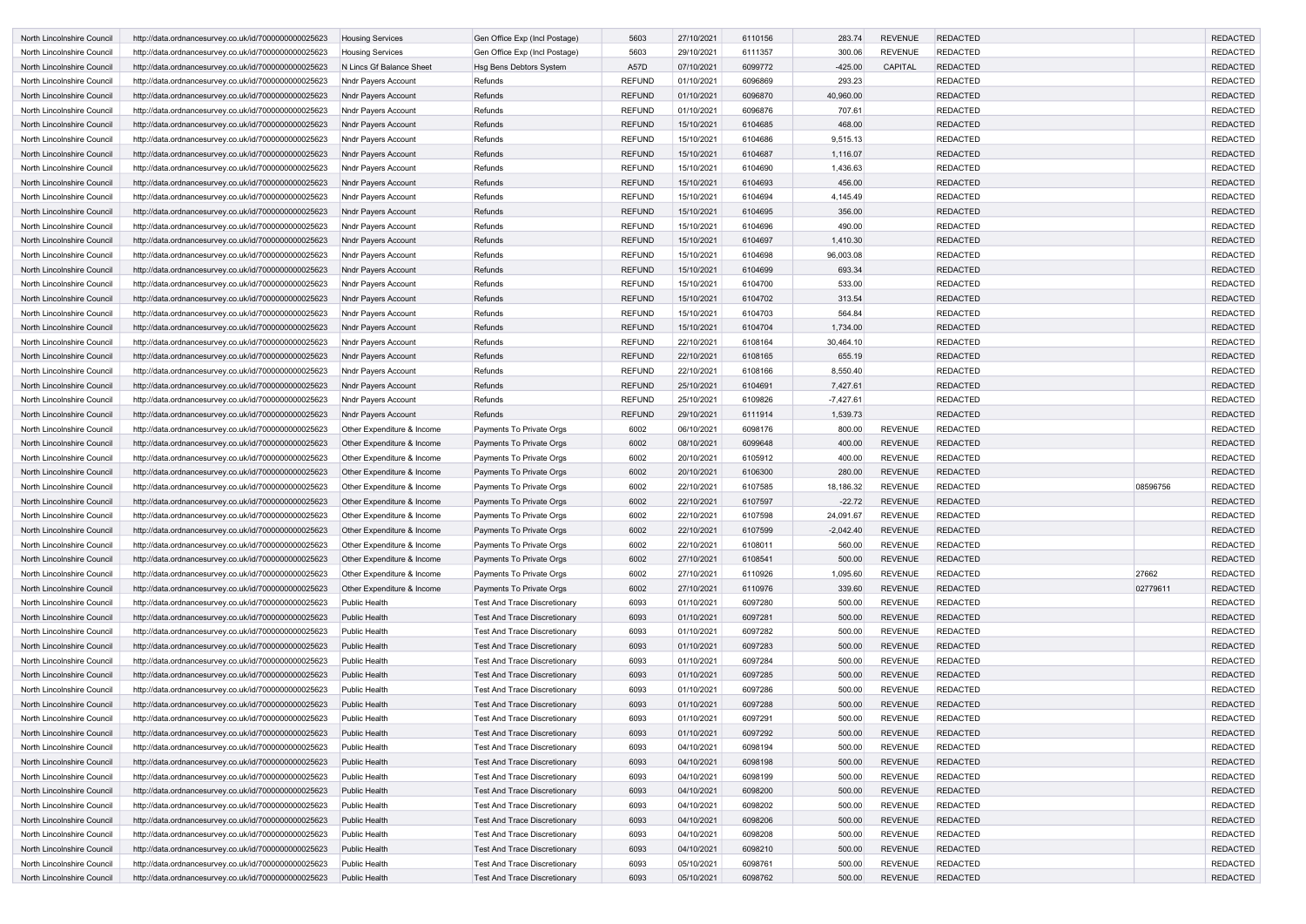| North Lincolnshire Council                               | http://data.ordnancesurvey.co.uk/id/7000000000025623                                                         | <b>Housing Services</b>               | Gen Office Exp (Incl Postage)       | 5603          | 27/10/2021               | 6110156            | 283.74      | <b>REVENUE</b>                   | <b>REDACTED</b>                    |          | <b>REDACTED</b>                    |
|----------------------------------------------------------|--------------------------------------------------------------------------------------------------------------|---------------------------------------|-------------------------------------|---------------|--------------------------|--------------------|-------------|----------------------------------|------------------------------------|----------|------------------------------------|
| North Lincolnshire Council                               | http://data.ordnancesurvey.co.uk/id/7000000000025623                                                         | <b>Housing Services</b>               | Gen Office Exp (Incl Postage)       | 5603          | 29/10/2021               | 6111357            | 300.06      | <b>REVENUE</b>                   | <b>REDACTED</b>                    |          | <b>REDACTED</b>                    |
| North Lincolnshire Council                               | http://data.ordnancesurvey.co.uk/id/7000000000025623                                                         | N Lincs Gf Balance Sheet              | Hsg Bens Debtors System             | A57D          | 07/10/2021               | 6099772            | $-425.00$   | CAPITAL                          | <b>REDACTED</b>                    |          | <b>REDACTED</b>                    |
| North Lincolnshire Council                               | http://data.ordnancesurvey.co.uk/id/7000000000025623                                                         | <b>Nndr Payers Account</b>            | Refunds                             | <b>REFUND</b> | 01/10/2021               | 6096869            | 293.23      |                                  | <b>REDACTED</b>                    |          | <b>REDACTED</b>                    |
| North Lincolnshire Council                               | http://data.ordnancesurvey.co.uk/id/7000000000025623                                                         | <b>Nndr Payers Account</b>            | Refunds                             | <b>REFUND</b> | 01/10/2021               | 6096870            | 40,960.00   |                                  | <b>REDACTED</b>                    |          | <b>REDACTED</b>                    |
| North Lincolnshire Council                               | http://data.ordnancesurvey.co.uk/id/7000000000025623                                                         | <b>Nndr Payers Account</b>            | Refunds                             | <b>REFUND</b> | 01/10/2021               | 6096876            | 707.61      |                                  | <b>REDACTED</b>                    |          | <b>REDACTED</b>                    |
| North Lincolnshire Council                               | http://data.ordnancesurvey.co.uk/id/7000000000025623                                                         | <b>Nndr Payers Account</b>            | Refunds                             | <b>REFUND</b> | 15/10/2021               | 6104685            | 468.00      |                                  | <b>REDACTED</b>                    |          | <b>REDACTED</b>                    |
| North Lincolnshire Council                               | http://data.ordnancesurvey.co.uk/id/7000000000025623                                                         | Nndr Payers Account                   | Refunds                             | <b>REFUND</b> | 15/10/2021               | 6104686            | 9,515.13    |                                  | <b>REDACTED</b>                    |          | <b>REDACTED</b>                    |
| North Lincolnshire Council                               | http://data.ordnancesurvey.co.uk/id/7000000000025623                                                         | <b>Nndr Payers Account</b>            | Refunds                             | <b>REFUND</b> | 15/10/2021               | 6104687            | 1,116.07    |                                  | <b>REDACTED</b>                    |          | <b>REDACTED</b>                    |
| North Lincolnshire Council                               | http://data.ordnancesurvey.co.uk/id/7000000000025623                                                         | Nndr Payers Account                   | Refunds                             | <b>REFUND</b> | 15/10/2021               | 6104690            | 1,436.63    |                                  | <b>REDACTED</b>                    |          | <b>REDACTED</b>                    |
| North Lincolnshire Council                               | http://data.ordnancesurvey.co.uk/id/7000000000025623                                                         | <b>Nndr Payers Account</b>            | Refunds                             | <b>REFUND</b> | 15/10/2021               | 6104693            | 456.00      |                                  | <b>REDACTED</b>                    |          | <b>REDACTED</b>                    |
| North Lincolnshire Council                               | http://data.ordnancesurvey.co.uk/id/7000000000025623                                                         | Nndr Payers Account                   | Refunds                             | <b>REFUND</b> | 15/10/2021               | 6104694            | 4,145.49    |                                  | <b>REDACTED</b>                    |          | <b>REDACTED</b>                    |
| North Lincolnshire Council                               | http://data.ordnancesurvey.co.uk/id/7000000000025623                                                         | <b>Nndr Payers Account</b>            | Refunds                             | <b>REFUND</b> | 15/10/2021               | 6104695            | 356.00      |                                  | <b>REDACTED</b>                    |          | <b>REDACTED</b>                    |
| North Lincolnshire Council                               | http://data.ordnancesurvey.co.uk/id/7000000000025623                                                         | Nndr Payers Account                   | Refunds                             | <b>REFUND</b> | 15/10/2021               | 6104696            | 490.00      |                                  | <b>REDACTED</b>                    |          | <b>REDACTED</b>                    |
| North Lincolnshire Council                               | http://data.ordnancesurvey.co.uk/id/7000000000025623                                                         | Nndr Payers Account                   | Refunds                             | <b>REFUND</b> | 15/10/2021               | 6104697            | 1,410.30    |                                  | <b>REDACTED</b>                    |          | <b>REDACTED</b>                    |
| North Lincolnshire Council                               | http://data.ordnancesurvey.co.uk/id/7000000000025623                                                         | <b>Nndr Payers Account</b>            | Refunds                             | <b>REFUND</b> | 15/10/2021               | 6104698            | 96,003.08   |                                  | <b>REDACTED</b>                    |          | <b>REDACTED</b>                    |
| North Lincolnshire Council                               | http://data.ordnancesurvey.co.uk/id/7000000000025623                                                         | Nndr Payers Account                   | Refunds                             | <b>REFUND</b> | 15/10/2021               | 6104699            | 693.34      |                                  | <b>REDACTED</b>                    |          | <b>REDACTED</b>                    |
| North Lincolnshire Council                               | http://data.ordnancesurvey.co.uk/id/7000000000025623                                                         | Nndr Payers Account                   | Refunds                             | <b>REFUND</b> | 15/10/2021               | 6104700            | 533.00      |                                  | <b>REDACTED</b>                    |          | <b>REDACTED</b>                    |
| North Lincolnshire Council                               | http://data.ordnancesurvey.co.uk/id/7000000000025623                                                         | <b>Nndr Payers Account</b>            | Refunds                             | <b>REFUND</b> | 15/10/2021               | 6104702            | 313.54      |                                  | <b>REDACTED</b>                    |          | <b>REDACTED</b>                    |
| North Lincolnshire Council                               | http://data.ordnancesurvey.co.uk/id/7000000000025623                                                         | <b>Nndr Payers Account</b>            | Refunds                             | <b>REFUND</b> | 15/10/2021               | 6104703            | 564.84      |                                  | <b>REDACTED</b>                    |          | <b>REDACTED</b>                    |
| North Lincolnshire Council                               | http://data.ordnancesurvey.co.uk/id/7000000000025623                                                         | <b>Nndr Payers Account</b>            | Refunds                             | <b>REFUND</b> | 15/10/2021               | 6104704            | 1,734.00    |                                  | <b>REDACTED</b>                    |          | <b>REDACTED</b>                    |
| North Lincolnshire Council                               | http://data.ordnancesurvey.co.uk/id/7000000000025623                                                         | Nndr Payers Account                   | Refunds                             | <b>REFUND</b> | 22/10/2021               | 6108164            | 30,464.10   |                                  | <b>REDACTED</b>                    |          | <b>REDACTED</b>                    |
| North Lincolnshire Council                               | http://data.ordnancesurvey.co.uk/id/7000000000025623                                                         | Nndr Payers Account                   | Refunds                             | <b>REFUND</b> | 22/10/2021               | 6108165            | 655.19      |                                  | <b>REDACTED</b>                    |          | <b>REDACTED</b>                    |
| North Lincolnshire Council                               | http://data.ordnancesurvey.co.uk/id/7000000000025623                                                         | Nndr Payers Account                   | Refunds                             | <b>REFUND</b> | 22/10/2021               | 6108166            | 8,550.40    |                                  | <b>REDACTED</b>                    |          | <b>REDACTED</b>                    |
| North Lincolnshire Council                               | http://data.ordnancesurvey.co.uk/id/7000000000025623                                                         | <b>Nndr Payers Account</b>            | Refunds                             | <b>REFUND</b> | 25/10/2021               | 6104691            | 7,427.61    |                                  | <b>REDACTED</b>                    |          | <b>REDACTED</b>                    |
| North Lincolnshire Council                               | http://data.ordnancesurvey.co.uk/id/7000000000025623                                                         | Nndr Payers Account                   | Refunds                             | <b>REFUND</b> | 25/10/2021               | 6109826            | $-7,427.61$ |                                  | <b>REDACTED</b>                    |          | <b>REDACTED</b>                    |
| North Lincolnshire Council                               | http://data.ordnancesurvey.co.uk/id/7000000000025623                                                         | <b>Nndr Payers Account</b>            | Refunds                             | <b>REFUND</b> | 29/10/2021               | 6111914            | 1,539.73    |                                  | <b>REDACTED</b>                    |          | <b>REDACTED</b>                    |
| North Lincolnshire Council                               | http://data.ordnancesurvey.co.uk/id/7000000000025623                                                         | Other Expenditure & Income            | Payments To Private Orgs            | 6002          | 06/10/2021               | 6098176            | 800.00      | <b>REVENUE</b>                   | <b>REDACTED</b>                    |          | <b>REDACTED</b>                    |
| North Lincolnshire Council                               | http://data.ordnancesurvey.co.uk/id/7000000000025623                                                         | Other Expenditure & Income            | Payments To Private Orgs            | 6002          | 08/10/2021               | 6099648            | 400.00      | <b>REVENUE</b>                   | <b>REDACTED</b>                    |          | <b>REDACTED</b>                    |
| North Lincolnshire Council                               | http://data.ordnancesurvey.co.uk/id/7000000000025623                                                         | Other Expenditure & Income            | Payments To Private Orgs            | 6002          | 20/10/2021               | 6105912            | 400.00      | <b>REVENUE</b>                   | <b>REDACTED</b>                    |          | <b>REDACTED</b>                    |
| North Lincolnshire Council                               | http://data.ordnancesurvey.co.uk/id/7000000000025623                                                         | Other Expenditure & Income            | Payments To Private Orgs            | 6002          | 20/10/2021               | 6106300            | 280.00      | <b>REVENUE</b>                   | <b>REDACTED</b>                    |          | <b>REDACTED</b>                    |
| North Lincolnshire Council                               | http://data.ordnancesurvey.co.uk/id/7000000000025623                                                         | Other Expenditure & Income            | Payments To Private Orgs            | 6002          | 22/10/2021               | 6107585            | 18,186.32   | <b>REVENUE</b>                   | <b>REDACTED</b>                    | 08596756 | <b>REDACTED</b>                    |
| North Lincolnshire Council                               | http://data.ordnancesurvey.co.uk/id/7000000000025623                                                         | Other Expenditure & Income            | Payments To Private Orgs            | 6002          | 22/10/2021               | 6107597            | $-22.72$    | <b>REVENUE</b>                   | <b>REDACTED</b>                    |          | <b>REDACTED</b>                    |
| North Lincolnshire Council                               | http://data.ordnancesurvey.co.uk/id/7000000000025623                                                         | Other Expenditure & Income            | Payments To Private Orgs            | 6002          | 22/10/2021               | 6107598            | 24,091.67   | <b>REVENUE</b>                   | <b>REDACTED</b>                    |          | REDACTED                           |
| North Lincolnshire Council                               | http://data.ordnancesurvey.co.uk/id/7000000000025623                                                         | Other Expenditure & Income            | Payments To Private Orgs            | 6002          | 22/10/2021               | 6107599            | $-2,042.40$ | <b>REVENUE</b>                   | <b>REDACTED</b>                    |          | <b>REDACTED</b>                    |
| North Lincolnshire Council                               | http://data.ordnancesurvey.co.uk/id/7000000000025623                                                         | Other Expenditure & Income            | Payments To Private Orgs            | 6002          | 22/10/2021               | 6108011            | 560.00      | <b>REVENUE</b>                   | <b>REDACTED</b>                    |          | <b>REDACTED</b>                    |
| North Lincolnshire Council                               | http://data.ordnancesurvey.co.uk/id/7000000000025623                                                         | Other Expenditure & Income            | Payments To Private Orgs            | 6002          | 27/10/2021               | 6108541            | 500.00      | <b>REVENUE</b>                   | <b>REDACTED</b>                    |          | <b>REDACTED</b>                    |
| North Lincolnshire Council                               | http://data.ordnancesurvey.co.uk/id/7000000000025623                                                         | Other Expenditure & Income            | Payments To Private Orgs            | 6002          | 27/10/2021               | 6110926            | 1,095.60    | <b>REVENUE</b>                   | <b>REDACTED</b>                    | 27662    | <b>REDACTED</b>                    |
| North Lincolnshire Council                               | http://data.ordnancesurvey.co.uk/id/7000000000025623                                                         | Other Expenditure & Income            | Payments To Private Orgs            | 6002          | 27/10/2021               | 6110976            | 339.60      | <b>REVENUE</b>                   | <b>REDACTED</b>                    | 02779611 | <b>REDACTED</b>                    |
| North Lincolnshire Council                               | http://data.ordnancesurvey.co.uk/id/7000000000025623                                                         | <b>Public Health</b>                  | <b>Test And Trace Discretionary</b> | 6093          | 01/10/2021               | 6097280            | 500.00      | <b>REVENUE</b>                   | <b>REDACTED</b>                    |          | <b>REDACTED</b>                    |
| North Lincolnshire Council                               |                                                                                                              | <b>Public Health</b>                  | <b>Test And Trace Discretionary</b> | 6093          | 01/10/2021               | 6097281            | 500.00      | <b>REVENUE</b>                   | <b>REDACTED</b>                    |          | <b>REDACTED</b>                    |
| North Lincolnshire Council                               | http://data.ordnancesurvey.co.uk/id/7000000000025623<br>http://data.ordnancesurvey.co.uk/id/7000000000025623 | Public Health                         | <b>Test And Trace Discretionary</b> | 6093          | 01/10/2021               | 6097282            | 500.00      | <b>REVENUE</b>                   | <b>REDACTED</b>                    |          | <b>REDACTED</b>                    |
| North Lincolnshire Council                               | http://data.ordnancesurvey.co.uk/id/7000000000025623                                                         | Public Health                         | <b>Test And Trace Discretionary</b> | 6093          | 01/10/2021               | 6097283            | 500.00      | <b>REVENUE</b>                   | <b>REDACTED</b>                    |          | <b>REDACTED</b>                    |
| North Lincolnshire Council                               | http://data.ordnancesurvey.co.uk/id/7000000000025623                                                         | <b>Public Health</b>                  | <b>Test And Trace Discretionary</b> | 6093          | 01/10/2021               | 6097284            | 500.00      | <b>REVENUE</b>                   | <b>REDACTED</b>                    |          | <b>REDACTED</b>                    |
| North Lincolnshire Council                               | http://data.ordnancesurvey.co.uk/id/7000000000025623                                                         | <b>Public Health</b>                  | <b>Test And Trace Discretionary</b> | 6093          | 01/10/2021               | 6097285            | 500.00      | <b>REVENUE</b>                   | <b>REDACTED</b>                    |          | <b>REDACTED</b>                    |
|                                                          |                                                                                                              | <b>Public Health</b>                  | <b>Test And Trace Discretionary</b> | 6093          | 01/10/2021               | 6097286            | 500.00      | <b>REVENUE</b>                   | <b>REDACTED</b>                    |          | <b>REDACTED</b>                    |
| North Lincolnshire Council<br>North Lincolnshire Council | http://data.ordnancesurvey.co.uk/id/7000000000025623<br>http://data.ordnancesurvey.co.uk/id/7000000000025623 | <b>Public Health</b>                  | <b>Test And Trace Discretionary</b> | 6093          | 01/10/2021               | 6097288            | 500.00      | <b>REVENUE</b>                   | <b>REDACTED</b>                    |          | <b>REDACTED</b>                    |
| North Lincolnshire Council                               | http://data.ordnancesurvey.co.uk/id/7000000000025623                                                         | <b>Public Health</b>                  | <b>Test And Trace Discretionary</b> | 6093          | 01/10/2021               | 6097291            | 500.00      | <b>REVENUE</b>                   | <b>REDACTED</b>                    |          | <b>REDACTED</b>                    |
|                                                          |                                                                                                              |                                       |                                     |               | 01/10/2021               | 6097292            |             | <b>REVENUE</b>                   | <b>REDACTED</b>                    |          | <b>REDACTED</b>                    |
| North Lincolnshire Council                               | http://data.ordnancesurvey.co.uk/id/7000000000025623                                                         | <b>Public Health</b>                  | <b>Test And Trace Discretionary</b> | 6093          |                          |                    | 500.00      |                                  |                                    |          |                                    |
| North Lincolnshire Council                               | http://data.ordnancesurvey.co.uk/id/7000000000025623                                                         | <b>Public Health</b>                  | <b>Test And Trace Discretionary</b> | 6093          | 04/10/2021               | 6098194<br>6098198 | 500.00      | <b>REVENUE</b><br><b>REVENUE</b> | <b>REDACTED</b>                    |          | <b>REDACTED</b>                    |
| North Lincolnshire Council                               | http://data.ordnancesurvey.co.uk/id/7000000000025623<br>http://data.ordnancesurvey.co.uk/id/7000000000025623 | <b>Public Health</b><br>Public Health | <b>Test And Trace Discretionary</b> | 6093<br>6093  | 04/10/2021<br>04/10/2021 | 6098199            | 500.00      | <b>REVENUE</b>                   | <b>REDACTED</b><br><b>REDACTED</b> |          | <b>REDACTED</b><br><b>REDACTED</b> |
| North Lincolnshire Council                               |                                                                                                              |                                       | <b>Test And Trace Discretionary</b> |               |                          |                    | 500.00      |                                  |                                    |          |                                    |
| North Lincolnshire Council                               | http://data.ordnancesurvey.co.uk/id/7000000000025623                                                         | Public Health                         | <b>Test And Trace Discretionary</b> | 6093          | 04/10/2021               | 6098200            | 500.00      | <b>REVENUE</b>                   | <b>REDACTED</b>                    |          | <b>REDACTED</b>                    |
| North Lincolnshire Council                               | http://data.ordnancesurvey.co.uk/id/7000000000025623                                                         | <b>Public Health</b>                  | <b>Test And Trace Discretionary</b> | 6093          | 04/10/2021               | 6098202            | 500.00      | <b>REVENUE</b>                   | <b>REDACTED</b>                    |          | <b>REDACTED</b>                    |
| North Lincolnshire Council                               | http://data.ordnancesurvey.co.uk/id/7000000000025623                                                         | <b>Public Health</b>                  | <b>Test And Trace Discretionary</b> | 6093          | 04/10/2021               | 6098206            | 500.00      | <b>REVENUE</b>                   | <b>REDACTED</b>                    |          | <b>REDACTED</b>                    |
| North Lincolnshire Council                               | http://data.ordnancesurvey.co.uk/id/7000000000025623                                                         | <b>Public Health</b>                  | <b>Test And Trace Discretionary</b> | 6093          | 04/10/2021               | 6098208            | 500.00      | <b>REVENUE</b>                   | <b>REDACTED</b>                    |          | <b>REDACTED</b>                    |
| North Lincolnshire Council                               | http://data.ordnancesurvey.co.uk/id/7000000000025623                                                         | <b>Public Health</b>                  | <b>Test And Trace Discretionary</b> | 6093          | 04/10/2021               | 6098210            | 500.00      | <b>REVENUE</b>                   | <b>REDACTED</b>                    |          | <b>REDACTED</b>                    |
| North Lincolnshire Council                               | http://data.ordnancesurvey.co.uk/id/7000000000025623                                                         | Public Health                         | <b>Test And Trace Discretionary</b> | 6093          | 05/10/2021               | 6098761            | 500.00      | <b>REVENUE</b>                   | <b>REDACTED</b>                    |          | <b>REDACTED</b>                    |
| North Lincolnshire Council                               | http://data.ordnancesurvey.co.uk/id/7000000000025623                                                         | <b>Public Health</b>                  | <b>Test And Trace Discretionary</b> | 6093          | 05/10/2021               | 6098762            | 500.00      | REVENUE                          | <b>REDACTED</b>                    |          | <b>REDACTED</b>                    |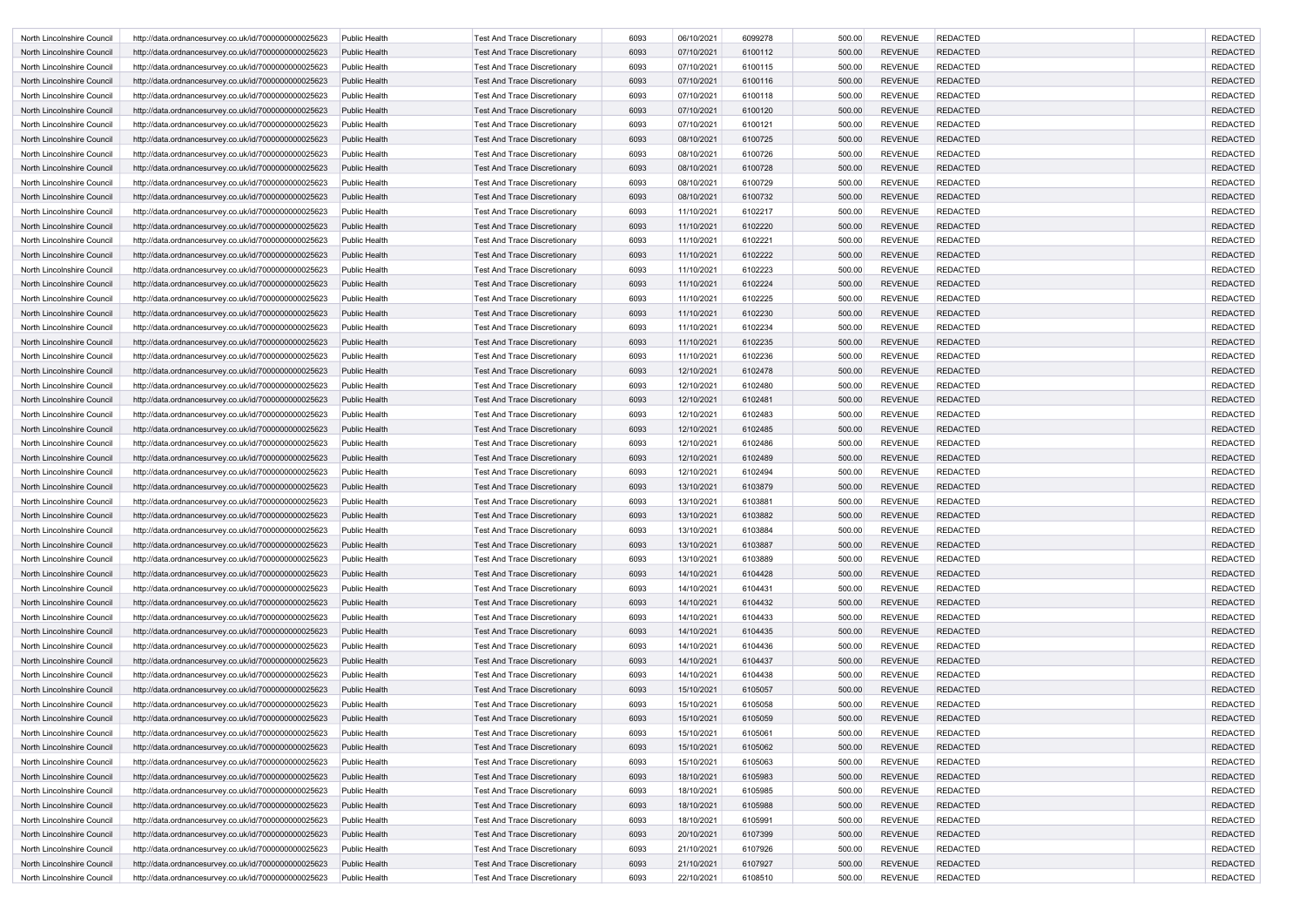| North Lincolnshire Council | http://data.ordnancesurvey.co.uk/id/7000000000025623 | Public Health        | <b>Test And Trace Discretionary</b> | 6093 | 06/10/2021 | 6099278 | 500.00 | <b>REVENUE</b> | <b>REDACTED</b> | <b>REDACTED</b> |
|----------------------------|------------------------------------------------------|----------------------|-------------------------------------|------|------------|---------|--------|----------------|-----------------|-----------------|
| North Lincolnshire Council | http://data.ordnancesurvey.co.uk/id/7000000000025623 | <b>Public Health</b> | <b>Test And Trace Discretionary</b> | 6093 | 07/10/2021 | 6100112 | 500.00 | <b>REVENUE</b> | <b>REDACTED</b> | <b>REDACTED</b> |
| North Lincolnshire Council | http://data.ordnancesurvey.co.uk/id/7000000000025623 | Public Health        | <b>Test And Trace Discretionary</b> | 6093 | 07/10/2021 | 6100115 | 500.00 | <b>REVENUE</b> | <b>REDACTED</b> | <b>REDACTED</b> |
| North Lincolnshire Council | http://data.ordnancesurvey.co.uk/id/7000000000025623 | <b>Public Health</b> | <b>Test And Trace Discretionary</b> | 6093 | 07/10/2021 | 6100116 | 500.00 | <b>REVENUE</b> | <b>REDACTED</b> | <b>REDACTED</b> |
| North Lincolnshire Council | http://data.ordnancesurvey.co.uk/id/7000000000025623 | <b>Public Health</b> | <b>Test And Trace Discretionary</b> | 6093 | 07/10/2021 | 6100118 | 500.00 | <b>REVENUE</b> | <b>REDACTED</b> | <b>REDACTED</b> |
| North Lincolnshire Council | http://data.ordnancesurvey.co.uk/id/7000000000025623 | <b>Public Health</b> | <b>Test And Trace Discretionary</b> | 6093 | 07/10/2021 | 6100120 | 500.00 | <b>REVENUE</b> | <b>REDACTED</b> | <b>REDACTED</b> |
| North Lincolnshire Council | http://data.ordnancesurvey.co.uk/id/7000000000025623 | <b>Public Health</b> | <b>Test And Trace Discretionary</b> | 6093 | 07/10/2021 | 6100121 | 500.00 | <b>REVENUE</b> | <b>REDACTED</b> | <b>REDACTED</b> |
| North Lincolnshire Council | http://data.ordnancesurvey.co.uk/id/7000000000025623 | <b>Public Health</b> | <b>Test And Trace Discretionary</b> | 6093 | 08/10/2021 | 6100725 | 500.00 | <b>REVENUE</b> | <b>REDACTED</b> | <b>REDACTED</b> |
| North Lincolnshire Council | http://data.ordnancesurvey.co.uk/id/7000000000025623 | Public Health        | <b>Test And Trace Discretionary</b> | 6093 | 08/10/2021 | 6100726 | 500.00 | <b>REVENUE</b> | <b>REDACTED</b> | <b>REDACTED</b> |
| North Lincolnshire Council | http://data.ordnancesurvey.co.uk/id/7000000000025623 | <b>Public Health</b> | Test And Trace Discretionary        | 6093 | 08/10/2021 | 6100728 | 500.00 | <b>REVENUE</b> | <b>REDACTED</b> | <b>REDACTED</b> |
| North Lincolnshire Council | http://data.ordnancesurvey.co.uk/id/7000000000025623 | Public Health        | <b>Test And Trace Discretionary</b> | 6093 | 08/10/2021 | 6100729 | 500.00 | <b>REVENUE</b> | <b>REDACTED</b> | <b>REDACTED</b> |
| North Lincolnshire Council | http://data.ordnancesurvey.co.uk/id/7000000000025623 | <b>Public Health</b> | <b>Test And Trace Discretionary</b> | 6093 | 08/10/2021 | 6100732 | 500.00 | <b>REVENUE</b> | <b>REDACTED</b> | <b>REDACTED</b> |
| North Lincolnshire Council | http://data.ordnancesurvey.co.uk/id/7000000000025623 | Public Health        | <b>Test And Trace Discretionary</b> | 6093 | 11/10/2021 | 6102217 | 500.00 | <b>REVENUE</b> | <b>REDACTED</b> | <b>REDACTED</b> |
| North Lincolnshire Council | http://data.ordnancesurvey.co.uk/id/7000000000025623 | <b>Public Health</b> | <b>Test And Trace Discretionary</b> | 6093 | 11/10/2021 | 6102220 | 500.00 | <b>REVENUE</b> | <b>REDACTED</b> | <b>REDACTED</b> |
| North Lincolnshire Council | http://data.ordnancesurvey.co.uk/id/7000000000025623 | Public Health        | <b>Test And Trace Discretionary</b> | 6093 | 11/10/2021 | 6102221 | 500.00 | <b>REVENUE</b> | <b>REDACTED</b> | <b>REDACTED</b> |
| North Lincolnshire Council | http://data.ordnancesurvey.co.uk/id/7000000000025623 | <b>Public Health</b> | <b>Test And Trace Discretionary</b> | 6093 | 11/10/2021 | 6102222 | 500.00 | <b>REVENUE</b> | <b>REDACTED</b> | <b>REDACTED</b> |
| North Lincolnshire Council | http://data.ordnancesurvey.co.uk/id/7000000000025623 | Public Health        | <b>Test And Trace Discretionary</b> | 6093 | 11/10/2021 | 6102223 | 500.00 | <b>REVENUE</b> | <b>REDACTED</b> | <b>REDACTED</b> |
| North Lincolnshire Council | http://data.ordnancesurvey.co.uk/id/7000000000025623 | <b>Public Health</b> | Test And Trace Discretionary        | 6093 | 11/10/2021 | 6102224 | 500.00 | <b>REVENUE</b> | <b>REDACTED</b> | <b>REDACTED</b> |
| North Lincolnshire Council | http://data.ordnancesurvey.co.uk/id/7000000000025623 | Public Health        | Test And Trace Discretionary        | 6093 | 11/10/2021 | 6102225 | 500.00 | <b>REVENUE</b> | <b>REDACTED</b> | <b>REDACTED</b> |
| North Lincolnshire Council | http://data.ordnancesurvey.co.uk/id/7000000000025623 | <b>Public Health</b> | <b>Test And Trace Discretionary</b> | 6093 | 11/10/2021 | 6102230 | 500.00 | <b>REVENUE</b> | <b>REDACTED</b> | <b>REDACTED</b> |
| North Lincolnshire Council | http://data.ordnancesurvey.co.uk/id/7000000000025623 | Public Health        | <b>Test And Trace Discretionary</b> | 6093 | 11/10/2021 | 6102234 | 500.00 | <b>REVENUE</b> | <b>REDACTED</b> | <b>REDACTED</b> |
| North Lincolnshire Council | http://data.ordnancesurvey.co.uk/id/7000000000025623 | <b>Public Health</b> | <b>Test And Trace Discretionary</b> | 6093 | 11/10/2021 | 6102235 | 500.00 | <b>REVENUE</b> | <b>REDACTED</b> | <b>REDACTED</b> |
| North Lincolnshire Council | http://data.ordnancesurvey.co.uk/id/7000000000025623 | Public Health        | <b>Test And Trace Discretionary</b> | 6093 | 11/10/2021 | 6102236 | 500.00 | <b>REVENUE</b> | <b>REDACTED</b> | <b>REDACTED</b> |
| North Lincolnshire Council | http://data.ordnancesurvey.co.uk/id/7000000000025623 | <b>Public Health</b> | <b>Test And Trace Discretionary</b> | 6093 | 12/10/2021 | 6102478 | 500.00 | <b>REVENUE</b> | <b>REDACTED</b> | <b>REDACTED</b> |
| North Lincolnshire Council | http://data.ordnancesurvey.co.uk/id/7000000000025623 | Public Health        | <b>Test And Trace Discretionary</b> | 6093 | 12/10/2021 | 6102480 | 500.00 | <b>REVENUE</b> | <b>REDACTED</b> | <b>REDACTED</b> |
| North Lincolnshire Council | http://data.ordnancesurvey.co.uk/id/7000000000025623 | <b>Public Health</b> | <b>Test And Trace Discretionary</b> | 6093 | 12/10/2021 | 6102481 | 500.00 | <b>REVENUE</b> | <b>REDACTED</b> | <b>REDACTED</b> |
| North Lincolnshire Council | http://data.ordnancesurvey.co.uk/id/7000000000025623 | Public Health        | <b>Test And Trace Discretionary</b> | 6093 | 12/10/2021 | 6102483 | 500.00 | <b>REVENUE</b> | <b>REDACTED</b> | <b>REDACTED</b> |
| North Lincolnshire Council | http://data.ordnancesurvey.co.uk/id/7000000000025623 | <b>Public Health</b> | <b>Test And Trace Discretionary</b> | 6093 | 12/10/2021 | 6102485 | 500.00 | <b>REVENUE</b> | <b>REDACTED</b> | <b>REDACTED</b> |
| North Lincolnshire Council | http://data.ordnancesurvey.co.uk/id/7000000000025623 | <b>Public Health</b> | <b>Test And Trace Discretionary</b> | 6093 | 12/10/2021 | 6102486 | 500.00 | <b>REVENUE</b> | <b>REDACTED</b> | <b>REDACTED</b> |
| North Lincolnshire Council | http://data.ordnancesurvey.co.uk/id/7000000000025623 | <b>Public Health</b> | <b>Test And Trace Discretionary</b> | 6093 | 12/10/2021 | 6102489 | 500.00 | <b>REVENUE</b> | <b>REDACTED</b> | <b>REDACTED</b> |
| North Lincolnshire Council | http://data.ordnancesurvey.co.uk/id/7000000000025623 | Public Health        | <b>Test And Trace Discretionary</b> | 6093 | 12/10/2021 | 6102494 | 500.00 | <b>REVENUE</b> | <b>REDACTED</b> | <b>REDACTED</b> |
| North Lincolnshire Council | http://data.ordnancesurvey.co.uk/id/7000000000025623 | <b>Public Health</b> | <b>Test And Trace Discretionary</b> | 6093 | 13/10/2021 | 6103879 | 500.00 | <b>REVENUE</b> | <b>REDACTED</b> | <b>REDACTED</b> |
| North Lincolnshire Council | http://data.ordnancesurvey.co.uk/id/7000000000025623 | Public Health        | <b>Test And Trace Discretionary</b> | 6093 | 13/10/2021 | 6103881 | 500.00 | <b>REVENUE</b> | <b>REDACTED</b> | <b>REDACTED</b> |
| North Lincolnshire Council | http://data.ordnancesurvey.co.uk/id/7000000000025623 | Public Health        | <b>Test And Trace Discretionary</b> | 6093 | 13/10/2021 | 6103882 | 500.00 | <b>REVENUE</b> | REDACTED        | <b>REDACTED</b> |
| North Lincolnshire Council | http://data.ordnancesurvey.co.uk/id/7000000000025623 | Public Health        | <b>Test And Trace Discretionary</b> | 6093 | 13/10/2021 | 6103884 | 500.00 | <b>REVENUE</b> | <b>REDACTED</b> | <b>REDACTED</b> |
| North Lincolnshire Council | http://data.ordnancesurvey.co.uk/id/7000000000025623 | <b>Public Health</b> | <b>Test And Trace Discretionary</b> | 6093 | 13/10/2021 | 6103887 | 500.00 | <b>REVENUE</b> | <b>REDACTED</b> | <b>REDACTED</b> |
| North Lincolnshire Council | http://data.ordnancesurvey.co.uk/id/7000000000025623 | Public Health        | <b>Test And Trace Discretionary</b> | 6093 | 13/10/2021 | 6103889 | 500.00 | <b>REVENUE</b> | <b>REDACTED</b> | <b>REDACTED</b> |
| North Lincolnshire Council | http://data.ordnancesurvey.co.uk/id/7000000000025623 | Public Health        | <b>Test And Trace Discretionary</b> | 6093 | 14/10/2021 | 6104428 | 500.00 | <b>REVENUE</b> | <b>REDACTED</b> | <b>REDACTED</b> |
| North Lincolnshire Council | http://data.ordnancesurvey.co.uk/id/7000000000025623 | Public Health        | <b>Test And Trace Discretionary</b> | 6093 | 14/10/2021 | 6104431 | 500.00 | <b>REVENUE</b> | <b>REDACTED</b> | <b>REDACTED</b> |
| North Lincolnshire Council | http://data.ordnancesurvey.co.uk/id/7000000000025623 | Public Health        | <b>Test And Trace Discretionary</b> | 6093 | 14/10/2021 | 6104432 | 500.00 | <b>REVENUE</b> | <b>REDACTED</b> | <b>REDACTED</b> |
| North Lincolnshire Council | http://data.ordnancesurvey.co.uk/id/7000000000025623 | Public Health        | <b>Test And Trace Discretionary</b> | 6093 | 14/10/2021 | 6104433 | 500.00 | <b>REVENUE</b> | <b>REDACTED</b> | <b>REDACTED</b> |
| North Lincolnshire Council | http://data.ordnancesurvey.co.uk/id/7000000000025623 | <b>Public Health</b> | <b>Test And Trace Discretionary</b> | 6093 | 14/10/2021 | 6104435 | 500.00 | <b>REVENUE</b> | <b>REDACTED</b> | <b>REDACTED</b> |
| North Lincolnshire Council | http://data.ordnancesurvey.co.uk/id/7000000000025623 | Public Health        | <b>Test And Trace Discretionary</b> | 6093 | 14/10/2021 | 6104436 | 500.00 | <b>REVENUE</b> | <b>REDACTED</b> | <b>REDACTED</b> |
| North Lincolnshire Council | http://data.ordnancesurvey.co.uk/id/7000000000025623 | Public Health        | <b>Test And Trace Discretionary</b> | 6093 | 14/10/2021 | 6104437 | 500.00 | <b>REVENUE</b> | <b>REDACTED</b> | <b>REDACTED</b> |
| North Lincolnshire Council | http://data.ordnancesurvey.co.uk/id/7000000000025623 | Public Health        | <b>Test And Trace Discretionary</b> | 6093 | 14/10/2021 | 6104438 | 500.00 | <b>REVENUE</b> | <b>REDACTED</b> | <b>REDACTED</b> |
| North Lincolnshire Council | http://data.ordnancesurvey.co.uk/id/7000000000025623 | Public Health        | <b>Test And Trace Discretionary</b> | 6093 | 15/10/2021 | 6105057 | 500.00 | <b>REVENUE</b> | <b>REDACTED</b> | <b>REDACTED</b> |
| North Lincolnshire Council | http://data.ordnancesurvey.co.uk/id/7000000000025623 | Public Health        | <b>Test And Trace Discretionary</b> | 6093 | 15/10/2021 | 6105058 | 500.00 | <b>REVENUE</b> | <b>REDACTED</b> | <b>REDACTED</b> |
| North Lincolnshire Council | http://data.ordnancesurvey.co.uk/id/7000000000025623 | <b>Public Health</b> | <b>Test And Trace Discretionary</b> | 6093 | 15/10/2021 | 6105059 | 500.00 | <b>REVENUE</b> | <b>REDACTED</b> | <b>REDACTED</b> |
| North Lincolnshire Council | http://data.ordnancesurvey.co.uk/id/7000000000025623 | Public Health        | <b>Test And Trace Discretionary</b> | 6093 | 15/10/2021 | 6105061 | 500.00 | <b>REVENUE</b> | <b>REDACTED</b> | <b>REDACTED</b> |
| North Lincolnshire Council | http://data.ordnancesurvey.co.uk/id/7000000000025623 | Public Health        | <b>Test And Trace Discretionary</b> | 6093 | 15/10/2021 | 6105062 | 500.00 | <b>REVENUE</b> | <b>REDACTED</b> | <b>REDACTED</b> |
| North Lincolnshire Council | http://data.ordnancesurvey.co.uk/id/7000000000025623 | Public Health        | <b>Test And Trace Discretionary</b> | 6093 | 15/10/2021 | 6105063 | 500.00 | <b>REVENUE</b> | <b>REDACTED</b> | <b>REDACTED</b> |
| North Lincolnshire Council | http://data.ordnancesurvey.co.uk/id/7000000000025623 | Public Health        | <b>Test And Trace Discretionary</b> | 6093 | 18/10/2021 | 6105983 | 500.00 | <b>REVENUE</b> | <b>REDACTED</b> | <b>REDACTED</b> |
| North Lincolnshire Council | http://data.ordnancesurvey.co.uk/id/7000000000025623 | Public Health        | <b>Test And Trace Discretionary</b> | 6093 | 18/10/2021 | 6105985 | 500.00 | <b>REVENUE</b> | <b>REDACTED</b> | <b>REDACTED</b> |
| North Lincolnshire Council | http://data.ordnancesurvey.co.uk/id/7000000000025623 | Public Health        | <b>Test And Trace Discretionary</b> | 6093 | 18/10/2021 | 6105988 | 500.00 | <b>REVENUE</b> | <b>REDACTED</b> | <b>REDACTED</b> |
| North Lincolnshire Council | http://data.ordnancesurvey.co.uk/id/7000000000025623 | Public Health        | <b>Test And Trace Discretionary</b> | 6093 | 18/10/2021 | 6105991 | 500.00 | <b>REVENUE</b> | <b>REDACTED</b> | <b>REDACTED</b> |
| North Lincolnshire Council | http://data.ordnancesurvey.co.uk/id/7000000000025623 | Public Health        | <b>Test And Trace Discretionary</b> | 6093 | 20/10/2021 | 6107399 | 500.00 | <b>REVENUE</b> | <b>REDACTED</b> | <b>REDACTED</b> |
| North Lincolnshire Council | http://data.ordnancesurvey.co.uk/id/7000000000025623 | <b>Public Health</b> | <b>Test And Trace Discretionary</b> | 6093 | 21/10/2021 | 6107926 | 500.00 | <b>REVENUE</b> | <b>REDACTED</b> | <b>REDACTED</b> |
| North Lincolnshire Council | http://data.ordnancesurvey.co.uk/id/7000000000025623 | Public Health        | <b>Test And Trace Discretionary</b> | 6093 | 21/10/2021 | 6107927 | 500.00 | <b>REVENUE</b> | <b>REDACTED</b> | <b>REDACTED</b> |
| North Lincolnshire Council | http://data.ordnancesurvey.co.uk/id/7000000000025623 | Public Health        | <b>Test And Trace Discretionary</b> | 6093 | 22/10/2021 | 6108510 | 500.00 | REVENUE        | <b>REDACTED</b> | <b>REDACTED</b> |
|                            |                                                      |                      |                                     |      |            |         |        |                |                 |                 |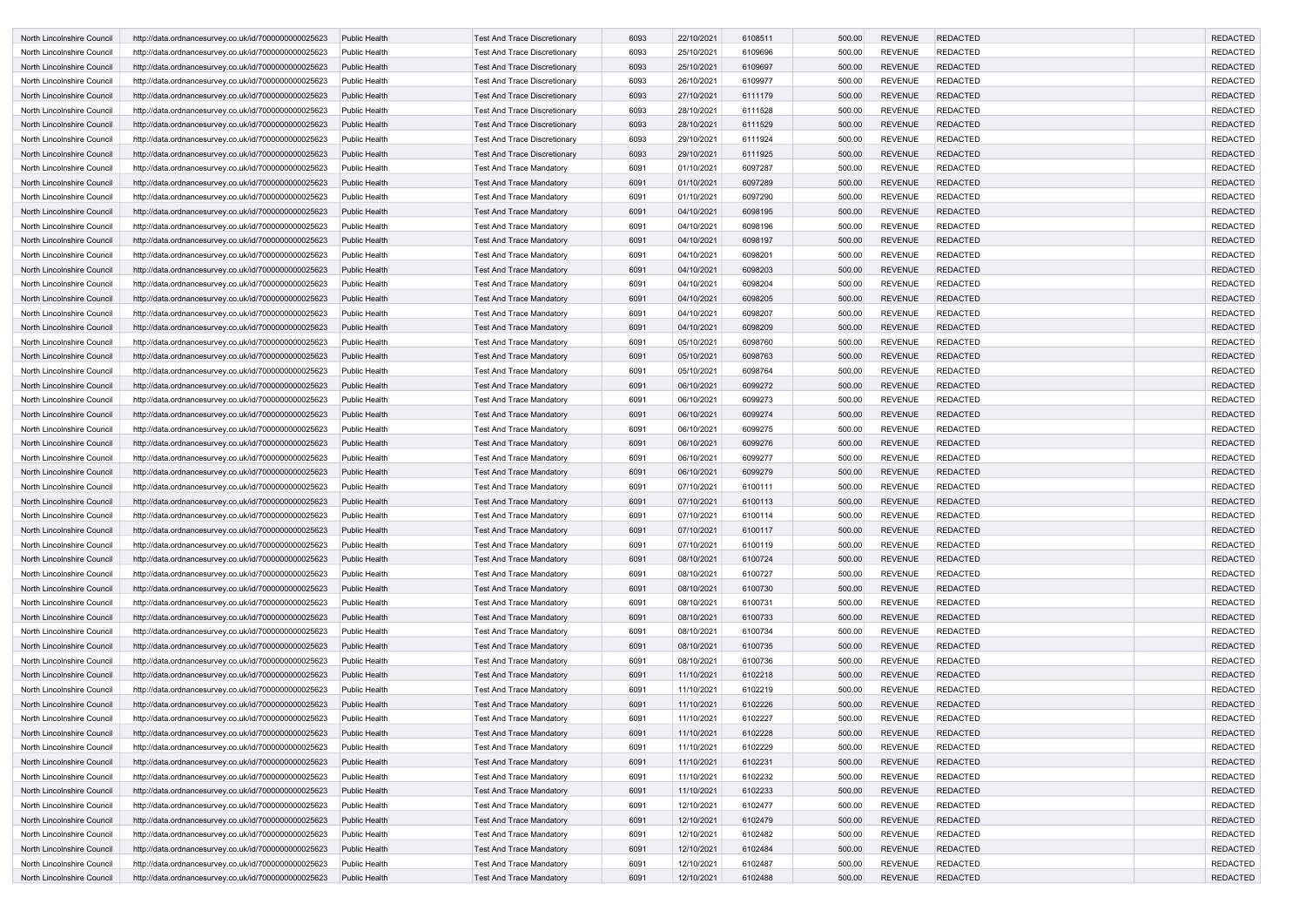| North Lincolnshire Council                               | http://data.ordnancesurvey.co.uk/id/7000000000025623 | <b>Public Health</b>           | <b>Test And Trace Discretionary</b>                                | 6093         | 22/10/2021               | 6108511            | 500.00           | <b>REVENUE</b>                   | <b>REDACTED</b>                    | <b>REDACTED</b> |
|----------------------------------------------------------|------------------------------------------------------|--------------------------------|--------------------------------------------------------------------|--------------|--------------------------|--------------------|------------------|----------------------------------|------------------------------------|-----------------|
| North Lincolnshire Council                               | http://data.ordnancesurvey.co.uk/id/7000000000025623 | <b>Public Health</b>           | <b>Test And Trace Discretionary</b>                                | 6093         | 25/10/2021               | 6109696            | 500.00           | <b>REVENUE</b>                   | <b>REDACTED</b>                    | <b>REDACTED</b> |
| North Lincolnshire Council                               | http://data.ordnancesurvey.co.uk/id/7000000000025623 | <b>Public Health</b>           | <b>Test And Trace Discretionary</b>                                | 6093         | 25/10/2021               | 6109697            | 500.00           | <b>REVENUE</b>                   | <b>REDACTED</b>                    | <b>REDACTED</b> |
| North Lincolnshire Council                               | http://data.ordnancesurvey.co.uk/id/7000000000025623 | <b>Public Health</b>           | <b>Test And Trace Discretionary</b>                                | 6093         | 26/10/2021               | 6109977            | 500.00           | <b>REVENUE</b>                   | <b>REDACTED</b>                    | <b>REDACTED</b> |
| <b>North Lincolnshire Council</b>                        | http://data.ordnancesurvey.co.uk/id/7000000000025623 | <b>Public Health</b>           | <b>Test And Trace Discretionary</b>                                | 6093         | 27/10/2021               | 6111179            | 500.00           | <b>REVENUE</b>                   | <b>REDACTED</b>                    | <b>REDACTED</b> |
| North Lincolnshire Council                               | http://data.ordnancesurvey.co.uk/id/7000000000025623 | <b>Public Health</b>           | <b>Test And Trace Discretionary</b>                                | 6093         | 28/10/2021               | 6111528            | 500.00           | <b>REVENUE</b>                   | <b>REDACTED</b>                    | <b>REDACTED</b> |
| North Lincolnshire Council                               | http://data.ordnancesurvey.co.uk/id/7000000000025623 | <b>Public Health</b>           | <b>Test And Trace Discretionary</b>                                | 6093         | 28/10/2021               | 6111529            | 500.00           | <b>REVENUE</b>                   | <b>REDACTED</b>                    | <b>REDACTED</b> |
| North Lincolnshire Council                               | http://data.ordnancesurvey.co.uk/id/7000000000025623 | <b>Public Health</b>           | <b>Test And Trace Discretionary</b>                                | 6093         | 29/10/2021               | 6111924            | 500.00           | <b>REVENUE</b>                   | <b>REDACTED</b>                    | <b>REDACTED</b> |
| North Lincolnshire Council                               | http://data.ordnancesurvey.co.uk/id/7000000000025623 | <b>Public Health</b>           | <b>Test And Trace Discretionary</b>                                | 6093         | 29/10/2021               | 6111925            | 500.00           | <b>REVENUE</b>                   | <b>REDACTED</b>                    | <b>REDACTED</b> |
| North Lincolnshire Council                               | http://data.ordnancesurvey.co.uk/id/7000000000025623 | <b>Public Health</b>           | <b>Test And Trace Mandatory</b>                                    | 6091         | 01/10/2021               | 6097287            | 500.00           | <b>REVENUE</b>                   | <b>REDACTED</b>                    | <b>REDACTED</b> |
| North Lincolnshire Council                               | http://data.ordnancesurvey.co.uk/id/7000000000025623 | <b>Public Health</b>           | <b>Test And Trace Mandatory</b>                                    | 6091         | 01/10/2021               | 6097289            | 500.00           | <b>REVENUE</b>                   | <b>REDACTED</b>                    | <b>REDACTED</b> |
| North Lincolnshire Council                               | http://data.ordnancesurvey.co.uk/id/7000000000025623 | <b>Public Health</b>           | <b>Test And Trace Mandatory</b>                                    | 6091         | 01/10/2021               | 6097290            | 500.00           | <b>REVENUE</b>                   | <b>REDACTED</b>                    | <b>REDACTED</b> |
| North Lincolnshire Council                               | http://data.ordnancesurvey.co.uk/id/7000000000025623 | <b>Public Health</b>           | <b>Test And Trace Mandatory</b>                                    | 6091         | 04/10/2021               | 6098195            | 500.00           | <b>REVENUE</b>                   | <b>REDACTED</b>                    | <b>REDACTED</b> |
| North Lincolnshire Council                               | http://data.ordnancesurvey.co.uk/id/7000000000025623 | <b>Public Health</b>           | <b>Test And Trace Mandatory</b>                                    | 6091         | 04/10/2021               | 6098196            | 500.00           | <b>REVENUE</b>                   | <b>REDACTED</b>                    | <b>REDACTED</b> |
| North Lincolnshire Council                               | http://data.ordnancesurvey.co.uk/id/7000000000025623 | <b>Public Health</b>           | <b>Test And Trace Mandatory</b>                                    | 6091         | 04/10/2021               | 6098197            | 500.00           | <b>REVENUE</b>                   | <b>REDACTED</b>                    | <b>REDACTED</b> |
| North Lincolnshire Council                               | http://data.ordnancesurvey.co.uk/id/7000000000025623 | <b>Public Health</b>           | <b>Test And Trace Mandatory</b>                                    | 6091         | 04/10/2021               | 6098201            | 500.00           | <b>REVENUE</b>                   | <b>REDACTED</b>                    | <b>REDACTED</b> |
| North Lincolnshire Council                               | http://data.ordnancesurvey.co.uk/id/7000000000025623 | <b>Public Health</b>           | <b>Test And Trace Mandatory</b>                                    | 6091         | 04/10/2021               | 6098203            | 500.00           | <b>REVENUE</b>                   | <b>REDACTED</b>                    | <b>REDACTED</b> |
| North Lincolnshire Council                               | http://data.ordnancesurvey.co.uk/id/7000000000025623 | <b>Public Health</b>           | <b>Test And Trace Mandatory</b>                                    | 6091         | 04/10/2021               | 6098204            | 500.00           | <b>REVENUE</b>                   | <b>REDACTED</b>                    | <b>REDACTED</b> |
| North Lincolnshire Council                               | http://data.ordnancesurvey.co.uk/id/7000000000025623 | <b>Public Health</b>           | <b>Test And Trace Mandatory</b>                                    | 6091         | 04/10/2021               | 6098205            | 500.00           | <b>REVENUE</b>                   | <b>REDACTED</b>                    | <b>REDACTED</b> |
| North Lincolnshire Council                               | http://data.ordnancesurvey.co.uk/id/7000000000025623 | <b>Public Health</b>           | <b>Test And Trace Mandatory</b>                                    | 6091         | 04/10/2021               | 6098207            | 500.00           | <b>REVENUE</b>                   | <b>REDACTED</b>                    | <b>REDACTED</b> |
| North Lincolnshire Council                               | http://data.ordnancesurvey.co.uk/id/7000000000025623 | <b>Public Health</b>           | <b>Test And Trace Mandatory</b>                                    | 6091         | 04/10/2021               | 6098209            | 500.00           | <b>REVENUE</b>                   | <b>REDACTED</b>                    | <b>REDACTED</b> |
| North Lincolnshire Council                               | http://data.ordnancesurvey.co.uk/id/7000000000025623 | <b>Public Health</b>           | <b>Test And Trace Mandatory</b>                                    | 6091         | 05/10/2021               | 6098760            | 500.00           | <b>REVENUE</b>                   | <b>REDACTED</b>                    | <b>REDACTED</b> |
| North Lincolnshire Council                               | http://data.ordnancesurvey.co.uk/id/7000000000025623 | <b>Public Health</b>           | <b>Test And Trace Mandatory</b>                                    | 6091         | 05/10/2021               | 6098763            | 500.00           | <b>REVENUE</b>                   | <b>REDACTED</b>                    | <b>REDACTED</b> |
| North Lincolnshire Council                               | http://data.ordnancesurvey.co.uk/id/7000000000025623 | <b>Public Health</b>           | <b>Test And Trace Mandatory</b>                                    | 6091         | 05/10/2021               | 6098764            | 500.00           | <b>REVENUE</b>                   | <b>REDACTED</b>                    | <b>REDACTED</b> |
| North Lincolnshire Council                               | http://data.ordnancesurvey.co.uk/id/7000000000025623 | <b>Public Health</b>           | <b>Test And Trace Mandatory</b>                                    | 6091         | 06/10/2021               | 6099272            | 500.00           | <b>REVENUE</b>                   | <b>REDACTED</b>                    | <b>REDACTED</b> |
| North Lincolnshire Council                               | http://data.ordnancesurvey.co.uk/id/7000000000025623 | <b>Public Health</b>           | <b>Test And Trace Mandatory</b>                                    | 6091         | 06/10/2021               | 6099273            | 500.00           | <b>REVENUE</b>                   | <b>REDACTED</b>                    | <b>REDACTED</b> |
| North Lincolnshire Council                               | http://data.ordnancesurvey.co.uk/id/7000000000025623 | <b>Public Health</b>           | <b>Test And Trace Mandatory</b>                                    | 6091         | 06/10/2021               | 6099274            | 500.00           | <b>REVENUE</b>                   | <b>REDACTED</b>                    | <b>REDACTED</b> |
| North Lincolnshire Council                               | http://data.ordnancesurvey.co.uk/id/7000000000025623 | <b>Public Health</b>           | <b>Test And Trace Mandatory</b>                                    | 6091         | 06/10/2021               | 6099275            | 500.00           | <b>REVENUE</b>                   | <b>REDACTED</b>                    | <b>REDACTED</b> |
| North Lincolnshire Council                               | http://data.ordnancesurvey.co.uk/id/7000000000025623 | <b>Public Health</b>           | <b>Test And Trace Mandatory</b>                                    | 6091         | 06/10/2021               | 6099276            | 500.00           | <b>REVENUE</b>                   | <b>REDACTED</b>                    | <b>REDACTED</b> |
| North Lincolnshire Council                               | http://data.ordnancesurvey.co.uk/id/7000000000025623 | <b>Public Health</b>           | Test And Trace Mandatory                                           | 6091         | 06/10/2021               | 6099277            | 500.00           | <b>REVENUE</b>                   | <b>REDACTED</b>                    | <b>REDACTED</b> |
| North Lincolnshire Council                               | http://data.ordnancesurvey.co.uk/id/7000000000025623 | <b>Public Health</b>           | <b>Test And Trace Mandatory</b>                                    | 6091         | 06/10/2021               | 6099279            | 500.00           | <b>REVENUE</b>                   | <b>REDACTED</b>                    | <b>REDACTED</b> |
| North Lincolnshire Council                               | http://data.ordnancesurvey.co.uk/id/7000000000025623 | <b>Public Health</b>           | <b>Test And Trace Mandatory</b>                                    | 6091         | 07/10/2021               | 6100111            | 500.00           | <b>REVENUE</b>                   | <b>REDACTED</b>                    | <b>REDACTED</b> |
| North Lincolnshire Council                               | http://data.ordnancesurvey.co.uk/id/7000000000025623 | <b>Public Health</b>           | <b>Test And Trace Mandatory</b>                                    | 6091         | 07/10/2021               | 6100113            | 500.00           | <b>REVENUE</b>                   | <b>REDACTED</b>                    | <b>REDACTED</b> |
| North Lincolnshire Council                               | http://data.ordnancesurvey.co.uk/id/7000000000025623 | <b>Public Health</b>           | <b>Test And Trace Mandatory</b>                                    | 6091         | 07/10/2021               | 6100114            | 500.00           | REVENUE                          | <b>REDACTED</b>                    | <b>REDACTED</b> |
| North Lincolnshire Council                               | http://data.ordnancesurvey.co.uk/id/7000000000025623 | Public Health                  | <b>Test And Trace Mandatory</b>                                    | 6091         | 07/10/2021               | 6100117            | 500.00           | <b>REVENUE</b>                   | <b>REDACTED</b>                    | <b>REDACTED</b> |
| North Lincolnshire Council                               | http://data.ordnancesurvey.co.uk/id/7000000000025623 | Public Health                  | <b>Test And Trace Mandatory</b>                                    | 6091         | 07/10/2021               | 6100119            | 500.00           | <b>REVENUE</b>                   | <b>REDACTED</b>                    | <b>REDACTED</b> |
| North Lincolnshire Council                               | http://data.ordnancesurvey.co.uk/id/7000000000025623 | Public Health                  | <b>Test And Trace Mandatory</b>                                    | 6091         | 08/10/2021               | 6100724            | 500.00           | <b>REVENUE</b>                   | <b>REDACTED</b>                    | <b>REDACTED</b> |
| North Lincolnshire Council                               | http://data.ordnancesurvey.co.uk/id/7000000000025623 | Public Health                  | <b>Test And Trace Mandatory</b>                                    | 6091         | 08/10/2021               | 6100727            | 500.00           | <b>REVENUE</b>                   | <b>REDACTED</b>                    | <b>REDACTED</b> |
| North Lincolnshire Council                               | http://data.ordnancesurvey.co.uk/id/7000000000025623 | <b>Public Health</b>           | <b>Test And Trace Mandatory</b>                                    | 6091         | 08/10/2021               | 6100730            | 500.00           | <b>REVENUE</b>                   | <b>REDACTED</b>                    | <b>REDACTED</b> |
|                                                          |                                                      |                                |                                                                    | 6091         | 08/10/2021               |                    |                  | <b>REVENUE</b>                   | <b>REDACTED</b>                    | <b>REDACTED</b> |
| North Lincolnshire Council                               | http://data.ordnancesurvey.co.uk/id/7000000000025623 | Public Health                  | <b>Test And Trace Mandatory</b>                                    |              | 08/10/2021               | 6100731<br>6100733 | 500.00           | <b>REVENUE</b>                   |                                    | <b>REDACTED</b> |
| North Lincolnshire Council<br>North Lincolnshire Council | http://data.ordnancesurvey.co.uk/id/7000000000025623 | <b>Public Health</b>           | <b>Test And Trace Mandatory</b><br><b>Test And Trace Mandatory</b> | 6091<br>6091 | 08/10/2021               | 6100734            | 500.00<br>500.00 | <b>REVENUE</b>                   | <b>REDACTED</b><br><b>REDACTED</b> | <b>REDACTED</b> |
|                                                          | http://data.ordnancesurvey.co.uk/id/7000000000025623 | Public Health<br>Public Health |                                                                    |              |                          |                    |                  | <b>REVENUE</b>                   |                                    | <b>REDACTED</b> |
| North Lincolnshire Council                               | http://data.ordnancesurvey.co.uk/id/7000000000025623 | <b>Public Health</b>           | <b>Test And Trace Mandatory</b>                                    | 6091         | 08/10/2021               | 6100735            | 500.00           | <b>REVENUE</b>                   | <b>REDACTED</b>                    | <b>REDACTED</b> |
| North Lincolnshire Council                               | http://data.ordnancesurvey.co.uk/id/7000000000025623 |                                | <b>Test And Trace Mandatory</b>                                    | 6091         | 08/10/2021               | 6100736            | 500.00           | <b>REVENUE</b>                   | <b>REDACTED</b>                    | <b>REDACTED</b> |
| North Lincolnshire Council                               | http://data.ordnancesurvey.co.uk/id/7000000000025623 | <b>Public Health</b>           | <b>Test And Trace Mandatory</b>                                    | 6091<br>6091 | 11/10/2021<br>11/10/2021 | 6102218            | 500.00           |                                  | <b>REDACTED</b><br><b>REDACTED</b> | <b>REDACTED</b> |
| North Lincolnshire Council                               | http://data.ordnancesurvey.co.uk/id/7000000000025623 | Public Health<br>Public Health | <b>Test And Trace Mandatory</b>                                    |              | 11/10/2021               | 6102219            | 500.00<br>500.00 | <b>REVENUE</b><br><b>REVENUE</b> | <b>REDACTED</b>                    | <b>REDACTED</b> |
| North Lincolnshire Council                               | http://data.ordnancesurvey.co.uk/id/7000000000025623 |                                | <b>Test And Trace Mandatory</b>                                    | 6091         |                          | 6102226            |                  |                                  |                                    | <b>REDACTED</b> |
| North Lincolnshire Council                               | http://data.ordnancesurvey.co.uk/id/7000000000025623 | Public Health                  | <b>Test And Trace Mandatory</b>                                    | 6091         | 11/10/2021               | 6102227            | 500.00           | <b>REVENUE</b>                   | <b>REDACTED</b>                    |                 |
| North Lincolnshire Council                               | http://data.ordnancesurvey.co.uk/id/7000000000025623 | Public Health                  | <b>Test And Trace Mandatory</b>                                    | 6091         | 11/10/2021               | 6102228            | 500.00           | <b>REVENUE</b>                   | <b>REDACTED</b>                    | <b>REDACTED</b> |
| North Lincolnshire Council                               | http://data.ordnancesurvey.co.uk/id/7000000000025623 | Public Health                  | <b>Test And Trace Mandatory</b>                                    | 6091         | 11/10/2021               | 6102229            | 500.00           | <b>REVENUE</b>                   | <b>REDACTED</b>                    | <b>REDACTED</b> |
| North Lincolnshire Council                               | http://data.ordnancesurvey.co.uk/id/7000000000025623 | <b>Public Health</b>           | <b>Test And Trace Mandatory</b>                                    | 6091         | 11/10/2021               | 6102231            | 500.00           | <b>REVENUE</b>                   | <b>REDACTED</b>                    | <b>REDACTED</b> |
| North Lincolnshire Council                               | http://data.ordnancesurvey.co.uk/id/7000000000025623 | Public Health                  | <b>Test And Trace Mandatory</b>                                    | 6091         | 11/10/2021               | 6102232            | 500.00           | <b>REVENUE</b>                   | <b>REDACTED</b>                    | <b>REDACTED</b> |
| North Lincolnshire Council                               | http://data.ordnancesurvey.co.uk/id/7000000000025623 | <b>Public Health</b>           | <b>Test And Trace Mandatory</b>                                    | 6091         | 11/10/2021               | 6102233            | 500.00           | <b>REVENUE</b>                   | <b>REDACTED</b>                    | <b>REDACTED</b> |
| North Lincolnshire Council                               | http://data.ordnancesurvey.co.uk/id/7000000000025623 | <b>Public Health</b>           | <b>Test And Trace Mandatory</b>                                    | 6091         | 12/10/2021               | 6102477            | 500.00           | <b>REVENUE</b>                   | <b>REDACTED</b>                    | <b>REDACTED</b> |
| North Lincolnshire Council                               | http://data.ordnancesurvey.co.uk/id/7000000000025623 | <b>Public Health</b>           | <b>Test And Trace Mandatory</b>                                    | 6091         | 12/10/2021               | 6102479            | 500.00           | <b>REVENUE</b>                   | <b>REDACTED</b>                    | <b>REDACTED</b> |
| North Lincolnshire Council                               | http://data.ordnancesurvey.co.uk/id/7000000000025623 | Public Health                  | <b>Test And Trace Mandatory</b>                                    | 6091         | 12/10/2021               | 6102482            | 500.00           | <b>REVENUE</b>                   | <b>REDACTED</b>                    | <b>REDACTED</b> |
| North Lincolnshire Council                               | http://data.ordnancesurvey.co.uk/id/7000000000025623 | Public Health                  | <b>Test And Trace Mandatory</b>                                    | 6091         | 12/10/2021               | 6102484            | 500.00           | <b>REVENUE</b>                   | <b>REDACTED</b>                    | <b>REDACTED</b> |
| North Lincolnshire Council                               | http://data.ordnancesurvey.co.uk/id/7000000000025623 | <b>Public Health</b>           | <b>Test And Trace Mandatory</b>                                    | 6091         | 12/10/2021               | 6102487            | 500.00           | <b>REVENUE</b>                   | <b>REDACTED</b>                    | <b>REDACTED</b> |
| North Lincolnshire Council                               | http://data.ordnancesurvey.co.uk/id/7000000000025623 | Public Health                  | <b>Test And Trace Mandatory</b>                                    | 6091         | 12/10/2021               | 6102488            | 500.00           | REVENUE                          | REDACTED                           | <b>REDACTED</b> |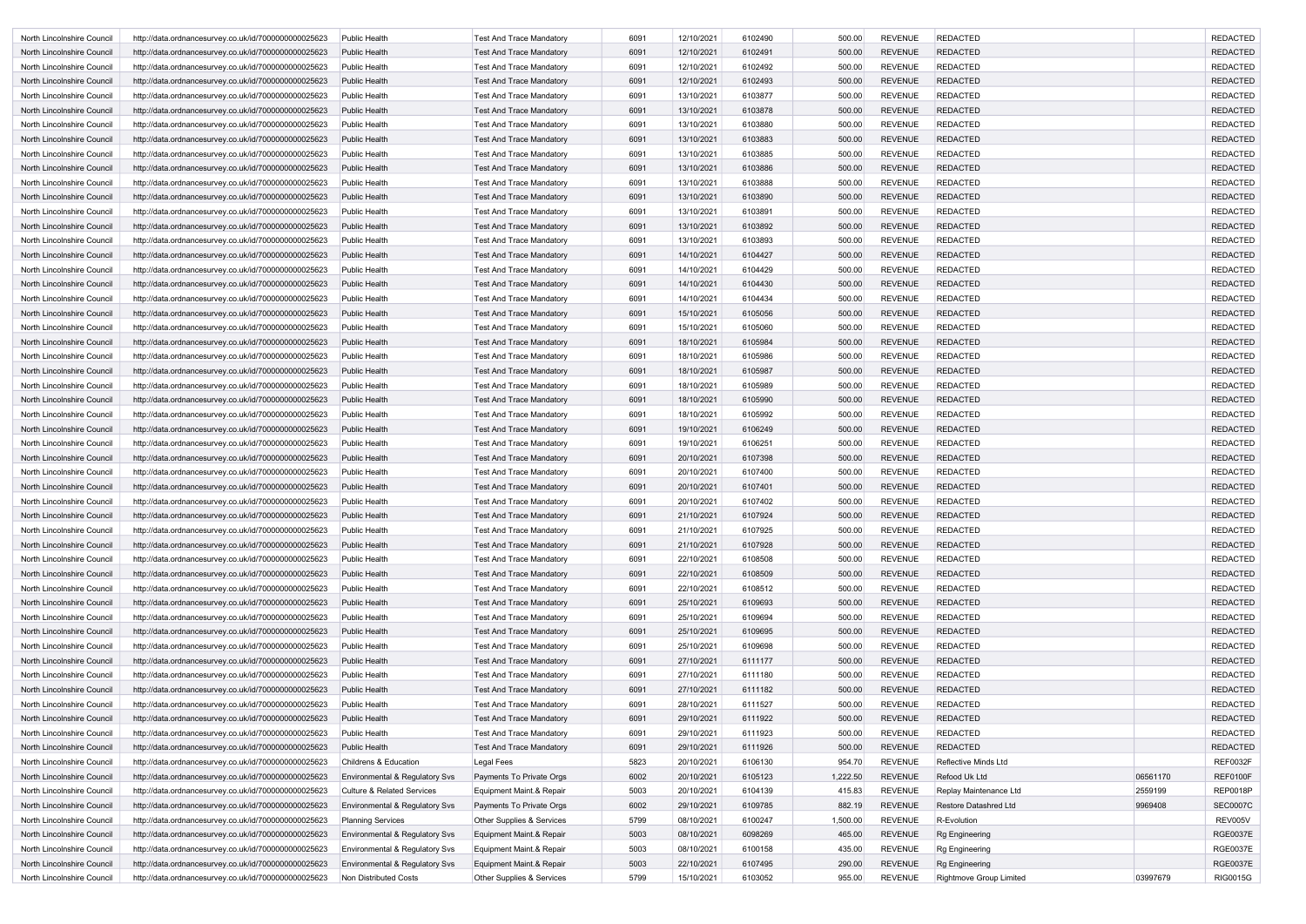| North Lincolnshire Council | http://data.ordnancesurvey.co.uk/id/7000000000025623 | Public Health                             | <b>Test And Trace Mandatory</b> | 6091 | 12/10/2021 | 6102490 | 500.00   | <b>REVENUE</b> | <b>REDACTED</b>              |          | <b>REDACTED</b> |
|----------------------------|------------------------------------------------------|-------------------------------------------|---------------------------------|------|------------|---------|----------|----------------|------------------------------|----------|-----------------|
| North Lincolnshire Council | http://data.ordnancesurvey.co.uk/id/7000000000025623 | <b>Public Health</b>                      | <b>Test And Trace Mandatory</b> | 6091 | 12/10/2021 | 6102491 | 500.00   | <b>REVENUE</b> | <b>REDACTED</b>              |          | <b>REDACTED</b> |
| North Lincolnshire Council | http://data.ordnancesurvey.co.uk/id/7000000000025623 | Public Health                             | <b>Test And Trace Mandatory</b> | 6091 | 12/10/2021 | 6102492 | 500.00   | <b>REVENUE</b> | <b>REDACTED</b>              |          | <b>REDACTED</b> |
| North Lincolnshire Council | http://data.ordnancesurvey.co.uk/id/7000000000025623 | <b>Public Health</b>                      | <b>Test And Trace Mandatory</b> | 6091 | 12/10/2021 | 6102493 | 500.00   | <b>REVENUE</b> | <b>REDACTED</b>              |          | <b>REDACTED</b> |
| North Lincolnshire Council | http://data.ordnancesurvey.co.uk/id/7000000000025623 | <b>Public Health</b>                      | <b>Test And Trace Mandatory</b> | 6091 | 13/10/2021 | 6103877 | 500.00   | <b>REVENUE</b> | <b>REDACTED</b>              |          | <b>REDACTED</b> |
| North Lincolnshire Council | http://data.ordnancesurvey.co.uk/id/7000000000025623 | <b>Public Health</b>                      | <b>Test And Trace Mandatory</b> | 6091 | 13/10/2021 | 6103878 | 500.00   | <b>REVENUE</b> | <b>REDACTED</b>              |          | <b>REDACTED</b> |
| North Lincolnshire Council | http://data.ordnancesurvey.co.uk/id/7000000000025623 | <b>Public Health</b>                      | <b>Test And Trace Mandatory</b> | 6091 | 13/10/2021 | 6103880 | 500.00   | <b>REVENUE</b> | <b>REDACTED</b>              |          | <b>REDACTED</b> |
| North Lincolnshire Council | http://data.ordnancesurvey.co.uk/id/7000000000025623 | <b>Public Health</b>                      | <b>Test And Trace Mandatory</b> | 6091 | 13/10/2021 | 6103883 | 500.00   | <b>REVENUE</b> | <b>REDACTED</b>              |          | <b>REDACTED</b> |
| North Lincolnshire Council | http://data.ordnancesurvey.co.uk/id/7000000000025623 | <b>Public Health</b>                      | <b>Test And Trace Mandatory</b> | 6091 | 13/10/2021 | 6103885 | 500.00   | <b>REVENUE</b> | REDACTED                     |          | <b>REDACTED</b> |
| North Lincolnshire Council | http://data.ordnancesurvey.co.uk/id/7000000000025623 | <b>Public Health</b>                      | <b>Test And Trace Mandatory</b> | 6091 | 13/10/2021 | 6103886 | 500.00   | <b>REVENUE</b> | <b>REDACTED</b>              |          | <b>REDACTED</b> |
| North Lincolnshire Council | http://data.ordnancesurvey.co.uk/id/7000000000025623 | <b>Public Health</b>                      | <b>Test And Trace Mandatory</b> | 6091 | 13/10/2021 | 6103888 | 500.00   | <b>REVENUE</b> | REDACTED                     |          | <b>REDACTED</b> |
| North Lincolnshire Council | http://data.ordnancesurvey.co.uk/id/7000000000025623 | <b>Public Health</b>                      | <b>Test And Trace Mandatory</b> | 6091 | 13/10/2021 | 6103890 | 500.00   | <b>REVENUE</b> | <b>REDACTED</b>              |          | <b>REDACTED</b> |
| North Lincolnshire Council | http://data.ordnancesurvey.co.uk/id/7000000000025623 | Public Health                             | <b>Test And Trace Mandatory</b> | 6091 | 13/10/2021 | 6103891 | 500.00   | <b>REVENUE</b> | <b>REDACTED</b>              |          | <b>REDACTED</b> |
| North Lincolnshire Council | http://data.ordnancesurvey.co.uk/id/7000000000025623 | <b>Public Health</b>                      | <b>Test And Trace Mandatory</b> | 6091 | 13/10/2021 | 6103892 | 500.00   | <b>REVENUE</b> | <b>REDACTED</b>              |          | <b>REDACTED</b> |
| North Lincolnshire Council | http://data.ordnancesurvey.co.uk/id/7000000000025623 | <b>Public Health</b>                      | <b>Test And Trace Mandatory</b> | 6091 | 13/10/2021 | 6103893 | 500.00   | <b>REVENUE</b> | <b>REDACTED</b>              |          | <b>REDACTED</b> |
| North Lincolnshire Council | http://data.ordnancesurvey.co.uk/id/7000000000025623 | <b>Public Health</b>                      | <b>Test And Trace Mandatory</b> | 6091 | 14/10/2021 | 6104427 | 500.00   | <b>REVENUE</b> | <b>REDACTED</b>              |          | <b>REDACTED</b> |
| North Lincolnshire Council | http://data.ordnancesurvey.co.uk/id/7000000000025623 | <b>Public Health</b>                      | <b>Test And Trace Mandatory</b> | 6091 | 14/10/2021 | 6104429 | 500.00   | <b>REVENUE</b> | <b>REDACTED</b>              |          | <b>REDACTED</b> |
| North Lincolnshire Council | http://data.ordnancesurvey.co.uk/id/7000000000025623 | <b>Public Health</b>                      | <b>Test And Trace Mandatory</b> | 6091 | 14/10/2021 | 6104430 | 500.00   | <b>REVENUE</b> | <b>REDACTED</b>              |          | <b>REDACTED</b> |
| North Lincolnshire Council | http://data.ordnancesurvey.co.uk/id/7000000000025623 | <b>Public Health</b>                      | <b>Test And Trace Mandatory</b> | 6091 | 14/10/2021 | 6104434 | 500.00   | <b>REVENUE</b> | REDACTED                     |          | <b>REDACTED</b> |
| North Lincolnshire Council | http://data.ordnancesurvey.co.uk/id/7000000000025623 | <b>Public Health</b>                      | <b>Test And Trace Mandatory</b> | 6091 | 15/10/2021 | 6105056 | 500.00   | <b>REVENUE</b> | <b>REDACTED</b>              |          | <b>REDACTED</b> |
| North Lincolnshire Council | http://data.ordnancesurvey.co.uk/id/7000000000025623 | <b>Public Health</b>                      | <b>Test And Trace Mandatory</b> | 6091 | 15/10/2021 | 6105060 | 500.00   | <b>REVENUE</b> | REDACTED                     |          | <b>REDACTED</b> |
| North Lincolnshire Council | http://data.ordnancesurvey.co.uk/id/7000000000025623 | <b>Public Health</b>                      | <b>Test And Trace Mandatory</b> | 6091 | 18/10/2021 | 6105984 | 500.00   | <b>REVENUE</b> | <b>REDACTED</b>              |          | <b>REDACTED</b> |
| North Lincolnshire Council | http://data.ordnancesurvey.co.uk/id/7000000000025623 | Public Health                             | <b>Test And Trace Mandatory</b> | 6091 | 18/10/2021 | 6105986 | 500.00   | <b>REVENUE</b> | <b>REDACTED</b>              |          | <b>REDACTED</b> |
| North Lincolnshire Council | http://data.ordnancesurvey.co.uk/id/7000000000025623 | <b>Public Health</b>                      | <b>Test And Trace Mandatory</b> | 6091 | 18/10/2021 | 6105987 | 500.00   | <b>REVENUE</b> | <b>REDACTED</b>              |          | <b>REDACTED</b> |
| North Lincolnshire Council | http://data.ordnancesurvey.co.uk/id/7000000000025623 | <b>Public Health</b>                      | <b>Test And Trace Mandatory</b> | 6091 | 18/10/2021 | 6105989 | 500.00   | <b>REVENUE</b> | <b>REDACTED</b>              |          | <b>REDACTED</b> |
| North Lincolnshire Council | http://data.ordnancesurvey.co.uk/id/7000000000025623 | <b>Public Health</b>                      | <b>Test And Trace Mandatory</b> | 6091 | 18/10/2021 | 6105990 | 500.00   | <b>REVENUE</b> | <b>REDACTED</b>              |          | <b>REDACTED</b> |
| North Lincolnshire Council | http://data.ordnancesurvey.co.uk/id/7000000000025623 | <b>Public Health</b>                      | <b>Test And Trace Mandatory</b> | 6091 | 18/10/2021 | 6105992 | 500.00   | <b>REVENUE</b> | <b>REDACTED</b>              |          | <b>REDACTED</b> |
| North Lincolnshire Council | http://data.ordnancesurvey.co.uk/id/7000000000025623 | <b>Public Health</b>                      | <b>Test And Trace Mandatory</b> | 6091 | 19/10/2021 | 6106249 | 500.00   | <b>REVENUE</b> | <b>REDACTED</b>              |          | <b>REDACTED</b> |
| North Lincolnshire Council | http://data.ordnancesurvey.co.uk/id/7000000000025623 | Public Health                             | <b>Test And Trace Mandatory</b> | 6091 | 19/10/2021 | 6106251 | 500.00   | <b>REVENUE</b> | <b>REDACTED</b>              |          | <b>REDACTED</b> |
| North Lincolnshire Council | http://data.ordnancesurvey.co.uk/id/7000000000025623 | <b>Public Health</b>                      | <b>Test And Trace Mandatory</b> | 6091 | 20/10/2021 | 6107398 | 500.00   | <b>REVENUE</b> | <b>REDACTED</b>              |          | <b>REDACTED</b> |
| North Lincolnshire Council | http://data.ordnancesurvey.co.uk/id/7000000000025623 | <b>Public Health</b>                      | Test And Trace Mandatory        | 6091 | 20/10/2021 | 6107400 | 500.00   | <b>REVENUE</b> | REDACTED                     |          | <b>REDACTED</b> |
| North Lincolnshire Council | http://data.ordnancesurvey.co.uk/id/7000000000025623 | <b>Public Health</b>                      | <b>Test And Trace Mandatory</b> | 6091 | 20/10/2021 | 6107401 | 500.00   | <b>REVENUE</b> | <b>REDACTED</b>              |          | <b>REDACTED</b> |
| North Lincolnshire Council | http://data.ordnancesurvey.co.uk/id/7000000000025623 | <b>Public Health</b>                      | <b>Test And Trace Mandatory</b> | 6091 | 20/10/2021 | 6107402 | 500.00   | <b>REVENUE</b> | <b>REDACTED</b>              |          | <b>REDACTED</b> |
| North Lincolnshire Council | http://data.ordnancesurvey.co.uk/id/7000000000025623 | <b>Public Health</b>                      | <b>Test And Trace Mandatory</b> | 6091 | 21/10/2021 | 6107924 | 500.00   | REVENUE        | <b>REDACTED</b>              |          | <b>REDACTED</b> |
| North Lincolnshire Council | http://data.ordnancesurvey.co.uk/id/7000000000025623 | Public Health                             | <b>Test And Trace Mandatory</b> | 6091 | 21/10/2021 | 6107925 | 500.00   | <b>REVENUE</b> | <b>REDACTED</b>              |          | <b>REDACTED</b> |
| North Lincolnshire Council | http://data.ordnancesurvey.co.uk/id/7000000000025623 | <b>Public Health</b>                      | <b>Test And Trace Mandatory</b> | 6091 | 21/10/2021 | 6107928 | 500.00   | <b>REVENUE</b> | <b>REDACTED</b>              |          | <b>REDACTED</b> |
| North Lincolnshire Council | http://data.ordnancesurvey.co.uk/id/7000000000025623 | <b>Public Health</b>                      | <b>Test And Trace Mandatory</b> | 6091 | 22/10/2021 | 6108508 | 500.00   | <b>REVENUE</b> | <b>REDACTED</b>              |          | <b>REDACTED</b> |
| North Lincolnshire Council | http://data.ordnancesurvey.co.uk/id/7000000000025623 | Public Health                             | <b>Test And Trace Mandatory</b> | 6091 | 22/10/2021 | 6108509 | 500.00   | <b>REVENUE</b> | <b>REDACTED</b>              |          | <b>REDACTED</b> |
|                            |                                                      | <b>Public Health</b>                      |                                 |      |            |         |          |                |                              |          | <b>REDACTED</b> |
| North Lincolnshire Council | http://data.ordnancesurvey.co.uk/id/7000000000025623 |                                           | <b>Test And Trace Mandatory</b> | 6091 | 22/10/2021 | 6108512 | 500.00   | <b>REVENUE</b> | <b>REDACTED</b>              |          |                 |
| North Lincolnshire Council | http://data.ordnancesurvey.co.uk/id/7000000000025623 | <b>Public Health</b>                      | <b>Test And Trace Mandatory</b> | 6091 | 25/10/2021 | 6109693 | 500.00   | <b>REVENUE</b> | <b>REDACTED</b>              |          | <b>REDACTED</b> |
| North Lincolnshire Council | http://data.ordnancesurvey.co.uk/id/7000000000025623 | Public Health                             | <b>Test And Trace Mandatory</b> | 6091 | 25/10/2021 | 6109694 | 500.00   | <b>REVENUE</b> | <b>REDACTED</b>              |          | <b>REDACTED</b> |
| North Lincolnshire Council | http://data.ordnancesurvey.co.uk/id/7000000000025623 | Public Health                             | <b>Test And Trace Mandatory</b> | 6091 | 25/10/2021 | 6109695 | 500.00   | <b>REVENUE</b> | <b>REDACTED</b>              |          | <b>REDACTED</b> |
| North Lincolnshire Council | http://data.ordnancesurvey.co.uk/id/7000000000025623 | Public Health                             | <b>Test And Trace Mandatory</b> | 6091 | 25/10/2021 | 6109698 | 500.00   | <b>REVENUE</b> | <b>REDACTED</b>              |          | <b>REDACTED</b> |
| North Lincolnshire Council | http://data.ordnancesurvey.co.uk/id/7000000000025623 | <b>Public Health</b>                      | <b>Test And Trace Mandatory</b> | 6091 | 27/10/2021 | 6111177 | 500.00   | <b>REVENUE</b> | <b>REDACTED</b>              |          | <b>REDACTED</b> |
| North Lincolnshire Council | http://data.ordnancesurvey.co.uk/id/7000000000025623 | <b>Public Health</b>                      | <b>Test And Trace Mandatory</b> | 6091 | 27/10/2021 | 6111180 | 500.00   | <b>REVENUE</b> | <b>REDACTED</b>              |          | <b>REDACTED</b> |
| North Lincolnshire Council | http://data.ordnancesurvey.co.uk/id/7000000000025623 | Public Health                             | <b>Test And Trace Mandatory</b> | 6091 | 27/10/2021 | 6111182 | 500.00   | <b>REVENUE</b> | <b>REDACTED</b>              |          | <b>REDACTED</b> |
| North Lincolnshire Council | http://data.ordnancesurvey.co.uk/id/7000000000025623 | <b>Public Health</b>                      | <b>Test And Trace Mandatory</b> | 6091 | 28/10/2021 | 6111527 | 500.00   | <b>REVENUE</b> | <b>REDACTED</b>              |          | <b>REDACTED</b> |
| North Lincolnshire Council | http://data.ordnancesurvey.co.uk/id/7000000000025623 | Public Health                             | <b>Test And Trace Mandatory</b> | 6091 | 29/10/2021 | 6111922 | 500.00   | <b>REVENUE</b> | <b>REDACTED</b>              |          | <b>REDACTED</b> |
| North Lincolnshire Council | http://data.ordnancesurvey.co.uk/id/7000000000025623 | <b>Public Health</b>                      | <b>Test And Trace Mandatory</b> | 6091 | 29/10/2021 | 6111923 | 500.00   | <b>REVENUE</b> | <b>REDACTED</b>              |          | <b>REDACTED</b> |
| North Lincolnshire Council | http://data.ordnancesurvey.co.uk/id/7000000000025623 | <b>Public Health</b>                      | <b>Test And Trace Mandatory</b> | 6091 | 29/10/2021 | 6111926 | 500.00   | <b>REVENUE</b> | <b>REDACTED</b>              |          | <b>REDACTED</b> |
| North Lincolnshire Council | http://data.ordnancesurvey.co.uk/id/7000000000025623 | Childrens & Education                     | Legal Fees                      | 5823 | 20/10/2021 | 6106130 | 954.70   | <b>REVENUE</b> | <b>Reflective Minds Ltd</b>  |          | <b>REF0032F</b> |
| North Lincolnshire Council | http://data.ordnancesurvey.co.uk/id/7000000000025623 | <b>Environmental &amp; Regulatory Svs</b> | Payments To Private Orgs        | 6002 | 20/10/2021 | 6105123 | 1,222.50 | <b>REVENUE</b> | <b>Refood Uk Ltd</b>         | 06561170 | <b>REF0100F</b> |
| North Lincolnshire Council | http://data.ordnancesurvey.co.uk/id/7000000000025623 | <b>Culture &amp; Related Services</b>     | Equipment Maint.& Repair        | 5003 | 20/10/2021 | 6104139 | 415.83   | <b>REVENUE</b> | Replay Maintenance Ltd       | 2559199  | <b>REP0018P</b> |
| North Lincolnshire Council | http://data.ordnancesurvey.co.uk/id/7000000000025623 | <b>Environmental &amp; Regulatory Svs</b> | Payments To Private Orgs        | 6002 | 29/10/2021 | 6109785 | 882.19   | <b>REVENUE</b> | <b>Restore Datashred Ltd</b> | 9969408  | <b>SEC0007C</b> |
| North Lincolnshire Council | http://data.ordnancesurvey.co.uk/id/7000000000025623 | <b>Planning Services</b>                  | Other Supplies & Services       | 5799 | 08/10/2021 | 6100247 | 1,500.00 | <b>REVENUE</b> | R-Evolution                  |          | REV005V         |
| North Lincolnshire Council | http://data.ordnancesurvey.co.uk/id/7000000000025623 | <b>Environmental &amp; Regulatory Svs</b> | Equipment Maint.& Repair        | 5003 | 08/10/2021 | 6098269 | 465.00   | <b>REVENUE</b> | Rg Engineering               |          | <b>RGE0037E</b> |
| North Lincolnshire Council | http://data.ordnancesurvey.co.uk/id/7000000000025623 | Environmental & Regulatory Svs            | Equipment Maint.& Repair        | 5003 | 08/10/2021 | 6100158 | 435.00   | <b>REVENUE</b> | <b>Rg Engineering</b>        |          | <b>RGE0037E</b> |
| North Lincolnshire Council | http://data.ordnancesurvey.co.uk/id/7000000000025623 | Environmental & Regulatory Svs            | Equipment Maint.& Repair        | 5003 | 22/10/2021 | 6107495 | 290.00   | <b>REVENUE</b> | <b>Rg Engineering</b>        |          | <b>RGE0037E</b> |
| North Lincolnshire Council | http://data.ordnancesurvey.co.uk/id/7000000000025623 | Non Distributed Costs                     | Other Supplies & Services       | 5799 | 15/10/2021 | 6103052 | 955.00   | <b>REVENUE</b> | Rightmove Group Limited      | 03997679 | <b>RIG0015G</b> |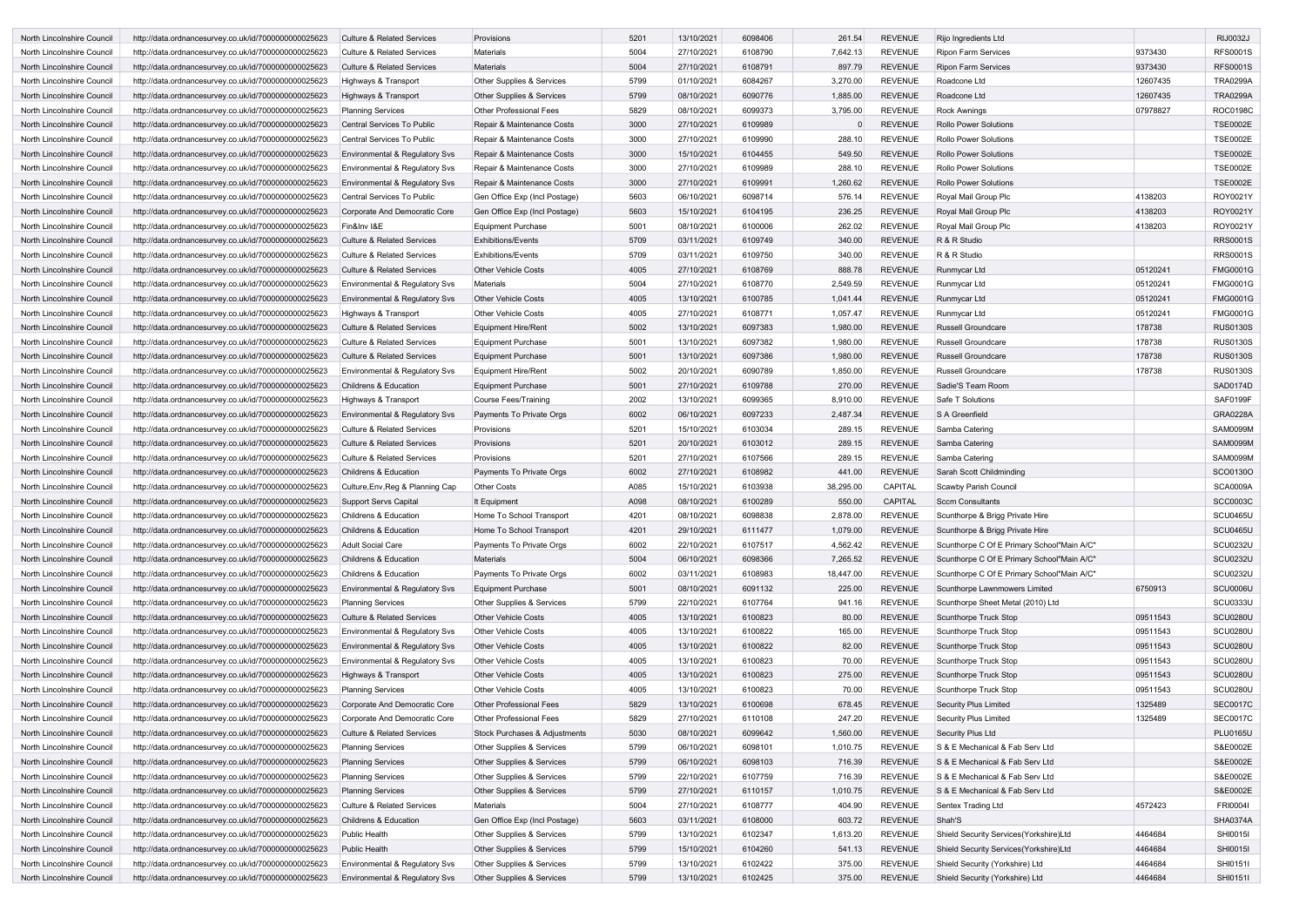| North Lincolnshire Council | http://data.ordnancesurvey.co.uk/id/7000000000025623                                                         | <b>Culture &amp; Related Services</b>                                     | Provisions                           | 5201         | 13/10/2021               | 6098406 | 261.54    | <b>REVENUE</b> | Rijo Ingredients Ltd                       |          | <b>RIJ0032J</b> |
|----------------------------|--------------------------------------------------------------------------------------------------------------|---------------------------------------------------------------------------|--------------------------------------|--------------|--------------------------|---------|-----------|----------------|--------------------------------------------|----------|-----------------|
| North Lincolnshire Council | http://data.ordnancesurvey.co.uk/id/7000000000025623                                                         | Culture & Related Services                                                | Materials                            | 5004         | 27/10/2021               | 6108790 | 7,642.13  | <b>REVENUE</b> | <b>Ripon Farm Services</b>                 | 9373430  | <b>RFS0001S</b> |
| North Lincolnshire Council | http://data.ordnancesurvey.co.uk/id/7000000000025623                                                         | <b>Culture &amp; Related Services</b>                                     | <b>Materials</b>                     | 5004         | 27/10/2021               | 6108791 | 897.79    | <b>REVENUE</b> | <b>Ripon Farm Services</b>                 | 9373430  | <b>RFS0001S</b> |
| North Lincolnshire Council | http://data.ordnancesurvey.co.uk/id/7000000000025623                                                         | Highways & Transport                                                      | Other Supplies & Services            | 5799         | 01/10/2021               | 6084267 | 3,270.00  | <b>REVENUE</b> | Roadcone Ltd                               | 12607435 | <b>TRA0299A</b> |
| North Lincolnshire Council | http://data.ordnancesurvey.co.uk/id/7000000000025623                                                         | Highways & Transport                                                      | <b>Other Supplies &amp; Services</b> | 5799         | 08/10/2021               | 6090776 | 1,885.00  | <b>REVENUE</b> | Roadcone Ltd                               | 12607435 | <b>TRA0299A</b> |
| North Lincolnshire Council | http://data.ordnancesurvey.co.uk/id/7000000000025623                                                         | <b>Planning Services</b>                                                  | <b>Other Professional Fees</b>       | 5829         | 08/10/2021               | 6099373 | 3,795.00  | <b>REVENUE</b> | <b>Rock Awnings</b>                        | 07978827 | <b>ROC0198C</b> |
| North Lincolnshire Council | http://data.ordnancesurvey.co.uk/id/7000000000025623                                                         | Central Services To Public                                                | Repair & Maintenance Costs           | 3000         | 27/10/2021               | 6109989 |           | <b>REVENUE</b> | <b>Rollo Power Solutions</b>               |          | <b>TSE0002E</b> |
| North Lincolnshire Council | http://data.ordnancesurvey.co.uk/id/7000000000025623                                                         | Central Services To Public                                                | Repair & Maintenance Costs           | 3000         | 27/10/2021               | 6109990 | 288.10    | <b>REVENUE</b> | Rollo Power Solutions                      |          | <b>TSE0002E</b> |
| North Lincolnshire Council | http://data.ordnancesurvey.co.uk/id/7000000000025623                                                         | <b>Environmental &amp; Regulatory Svs</b>                                 | Repair & Maintenance Costs           | 3000         | 15/10/2021               | 6104455 | 549.50    | <b>REVENUE</b> | <b>Rollo Power Solutions</b>               |          | <b>TSE0002E</b> |
| North Lincolnshire Council | http://data.ordnancesurvey.co.uk/id/7000000000025623                                                         | <b>Environmental &amp; Regulatory Svs</b>                                 | Repair & Maintenance Costs           | 3000         | 27/10/2021               | 6109989 | 288.10    | <b>REVENUE</b> | <b>Rollo Power Solutions</b>               |          | <b>TSE0002E</b> |
| North Lincolnshire Council | http://data.ordnancesurvey.co.uk/id/7000000000025623                                                         | Environmental & Regulatory Svs                                            | Repair & Maintenance Costs           | 3000         | 27/10/2021               | 6109991 | 1,260.62  | <b>REVENUE</b> | <b>Rollo Power Solutions</b>               |          | <b>TSE0002E</b> |
| North Lincolnshire Council | http://data.ordnancesurvey.co.uk/id/7000000000025623                                                         | <b>Central Services To Public</b>                                         | Gen Office Exp (Incl Postage)        | 5603         | 06/10/2021               | 6098714 | 576.14    | <b>REVENUE</b> | Royal Mail Group Plc                       | 4138203  | ROY0021Y        |
| North Lincolnshire Council | http://data.ordnancesurvey.co.uk/id/7000000000025623                                                         | Corporate And Democratic Core                                             | Gen Office Exp (Incl Postage)        | 5603         | 15/10/2021               | 6104195 | 236.25    | <b>REVENUE</b> | Royal Mail Group Plc                       | 4138203  | ROY0021Y        |
| North Lincolnshire Council | http://data.ordnancesurvey.co.uk/id/7000000000025623                                                         | Fin&Inv I&E                                                               | Equipment Purchase                   | 5001         | 08/10/2021               | 6100006 | 262.02    | <b>REVENUE</b> | Royal Mail Group Plc                       | 4138203  | ROY0021Y        |
| North Lincolnshire Council | http://data.ordnancesurvey.co.uk/id/7000000000025623                                                         | <b>Culture &amp; Related Services</b>                                     | <b>Exhibitions/Events</b>            | 5709         | 03/11/2021               | 6109749 | 340.00    | <b>REVENUE</b> | R & R Studio                               |          | <b>RRS0001S</b> |
| North Lincolnshire Council | http://data.ordnancesurvey.co.uk/id/7000000000025623                                                         | <b>Culture &amp; Related Services</b>                                     | <b>Exhibitions/Events</b>            | 5709         | 03/11/2021               | 6109750 | 340.00    | <b>REVENUE</b> | R & R Studio                               |          | <b>RRS0001S</b> |
| North Lincolnshire Council | http://data.ordnancesurvey.co.uk/id/7000000000025623                                                         | <b>Culture &amp; Related Services</b>                                     | <b>Other Vehicle Costs</b>           | 4005         | 27/10/2021               | 6108769 | 888.78    | <b>REVENUE</b> | Runmycar Ltd                               | 05120241 | <b>FMG0001G</b> |
| North Lincolnshire Council | http://data.ordnancesurvey.co.uk/id/7000000000025623                                                         | Environmental & Regulatory Svs                                            | <b>Materials</b>                     | 5004         | 27/10/2021               | 6108770 | 2,549.59  | <b>REVENUE</b> | Runmycar Ltd                               | 05120241 | <b>FMG0001G</b> |
| North Lincolnshire Council | http://data.ordnancesurvey.co.uk/id/7000000000025623                                                         | Environmental & Regulatory Svs                                            | <b>Other Vehicle Costs</b>           | 4005         | 13/10/2021               | 6100785 | 1,041.44  | <b>REVENUE</b> | Runmycar Ltd                               | 05120241 | <b>FMG0001G</b> |
| North Lincolnshire Council | http://data.ordnancesurvey.co.uk/id/7000000000025623                                                         | Highways & Transport                                                      | <b>Other Vehicle Costs</b>           | 4005         | 27/10/2021               | 6108771 | 1,057.47  | <b>REVENUE</b> | Runmycar Ltd                               | 05120241 | <b>FMG0001G</b> |
| North Lincolnshire Council | http://data.ordnancesurvey.co.uk/id/7000000000025623                                                         | <b>Culture &amp; Related Services</b>                                     | <b>Equipment Hire/Rent</b>           | 5002         | 13/10/2021               | 6097383 | 1,980.00  | <b>REVENUE</b> | <b>Russell Groundcare</b>                  | 178738   | <b>RUS0130S</b> |
| North Lincolnshire Council | http://data.ordnancesurvey.co.uk/id/7000000000025623                                                         | <b>Culture &amp; Related Services</b>                                     | <b>Equipment Purchase</b>            | 5001         | 13/10/2021               | 6097382 | 1,980.00  | <b>REVENUE</b> | Russell Groundcare                         | 178738   | <b>RUS0130S</b> |
| North Lincolnshire Council | http://data.ordnancesurvey.co.uk/id/7000000000025623                                                         | Culture & Related Services                                                | Equipment Purchase                   | 5001         | 13/10/2021               | 6097386 | 1,980.00  | <b>REVENUE</b> | <b>Russell Groundcare</b>                  | 178738   | <b>RUS0130S</b> |
| North Lincolnshire Council | http://data.ordnancesurvey.co.uk/id/7000000000025623                                                         | Environmental & Regulatory Svs                                            | Equipment Hire/Rent                  | 5002         | 20/10/2021               | 6090789 | 1,850.00  | <b>REVENUE</b> | <b>Russell Groundcare</b>                  | 178738   | <b>RUS0130S</b> |
| North Lincolnshire Council |                                                                                                              | <b>Childrens &amp; Education</b>                                          | <b>Equipment Purchase</b>            | 5001         | 27/10/2021               | 6109788 | 270.00    | <b>REVENUE</b> | Sadie'S Team Room                          |          | SAD0174D        |
| North Lincolnshire Council | http://data.ordnancesurvey.co.uk/id/7000000000025623<br>http://data.ordnancesurvey.co.uk/id/7000000000025623 | Highways & Transport                                                      | Course Fees/Training                 | 2002         | 13/10/2021               | 6099365 | 8,910.00  | <b>REVENUE</b> | Safe T Solutions                           |          | <b>SAF0199F</b> |
| North Lincolnshire Council | http://data.ordnancesurvey.co.uk/id/7000000000025623                                                         | Environmental & Regulatory Svs                                            | Payments To Private Orgs             | 6002         | 06/10/2021               | 6097233 | 2,487.34  | <b>REVENUE</b> | S A Greenfield                             |          | <b>GRA0228A</b> |
| North Lincolnshire Council | http://data.ordnancesurvey.co.uk/id/7000000000025623                                                         | <b>Culture &amp; Related Services</b>                                     | Provisions                           | 5201         | 15/10/2021               | 6103034 | 289.15    | <b>REVENUE</b> | Samba Catering                             |          | <b>SAM0099M</b> |
|                            |                                                                                                              |                                                                           |                                      |              |                          | 6103012 |           | <b>REVENUE</b> |                                            |          | <b>SAM0099M</b> |
| North Lincolnshire Council | http://data.ordnancesurvey.co.uk/id/7000000000025623<br>http://data.ordnancesurvey.co.uk/id/7000000000025623 | <b>Culture &amp; Related Services</b>                                     | Provisions                           | 5201<br>5201 | 20/10/2021<br>27/10/2021 | 6107566 | 289.15    | <b>REVENUE</b> | Samba Catering                             |          | SAM0099M        |
| North Lincolnshire Council |                                                                                                              | <b>Culture &amp; Related Services</b><br><b>Childrens &amp; Education</b> | Provisions                           |              |                          |         | 289.15    | <b>REVENUE</b> | Samba Catering                             |          | SCO0130O        |
| North Lincolnshire Council | http://data.ordnancesurvey.co.uk/id/7000000000025623                                                         |                                                                           | Payments To Private Orgs             | 6002         | 27/10/2021               | 6108982 | 441.00    |                | Sarah Scott Childminding                   |          |                 |
| North Lincolnshire Council | http://data.ordnancesurvey.co.uk/id/7000000000025623                                                         | Culture, Env, Reg & Planning Cap                                          | <b>Other Costs</b>                   | A085         | 15/10/2021               | 6103938 | 38,295.00 | <b>CAPITAL</b> | Scawby Parish Council                      |          | <b>SCA0009A</b> |
| North Lincolnshire Council | http://data.ordnancesurvey.co.uk/id/7000000000025623                                                         | Support Servs Capital                                                     | It Equipment                         | A098         | 08/10/2021               | 6100289 | 550.00    | <b>CAPITAL</b> | <b>Sccm Consultants</b>                    |          | <b>SCC0003C</b> |
| North Lincolnshire Council | http://data.ordnancesurvey.co.uk/id/7000000000025623                                                         | Childrens & Education                                                     | Home To School Transport             | 4201         | 08/10/2021               | 6098838 | 2.878.00  | <b>REVENUE</b> | Scunthorpe & Brigg Private Hire            |          | SCU0465U        |
| North Lincolnshire Council | http://data.ordnancesurvey.co.uk/id/7000000000025623                                                         | Childrens & Education                                                     | Home To School Transport             | 4201         | 29/10/2021               | 6111477 | 1,079.00  | <b>REVENUE</b> | Scunthorpe & Brigg Private Hire            |          | <b>SCU0465U</b> |
| North Lincolnshire Council | http://data.ordnancesurvey.co.uk/id/7000000000025623                                                         | <b>Adult Social Care</b>                                                  | Payments To Private Orgs             | 6002         | 22/10/2021               | 6107517 | 4,562.42  | <b>REVENUE</b> | Scunthorpe C Of E Primary School"Main A/C" |          | <b>SCU0232U</b> |
| North Lincolnshire Council | http://data.ordnancesurvey.co.uk/id/7000000000025623                                                         | Childrens & Education                                                     | <b>Materials</b>                     | 5004         | 06/10/2021               | 6098366 | 7,265.52  | <b>REVENUE</b> | Scunthorpe C Of E Primary School"Main A/C" |          | <b>SCU0232U</b> |
| North Lincolnshire Council | http://data.ordnancesurvey.co.uk/id/7000000000025623                                                         | Childrens & Education                                                     | Payments To Private Orgs             | 6002         | 03/11/2021               | 6108983 | 18,447.00 | <b>REVENUE</b> | Scunthorpe C Of E Primary School"Main A/C" |          | <b>SCU0232U</b> |
| North Lincolnshire Council | http://data.ordnancesurvey.co.uk/id/7000000000025623                                                         | Environmental & Regulatory Svs                                            | <b>Equipment Purchase</b>            | 5001         | 08/10/2021               | 6091132 | 225.00    | <b>REVENUE</b> | Scunthorpe Lawnmowers Limited              | 6750913  | SCU0006U        |
| North Lincolnshire Council | http://data.ordnancesurvey.co.uk/id/7000000000025623                                                         | <b>Planning Services</b>                                                  | Other Supplies & Services            | 5799         | 22/10/2021               | 6107764 | 941.16    | <b>REVENUE</b> | Scunthorpe Sheet Metal (2010) Ltd          |          | <b>SCU0333U</b> |
| North Lincolnshire Council | http://data.ordnancesurvey.co.uk/id/7000000000025623                                                         | <b>Culture &amp; Related Services</b>                                     | <b>Other Vehicle Costs</b>           | 4005         | 13/10/2021               | 6100823 | 80.00     | <b>REVENUE</b> | Scunthorpe Truck Stop                      | 09511543 | <b>SCU0280U</b> |
| North Lincolnshire Council | http://data.ordnancesurvey.co.uk/id/7000000000025623                                                         | Environmental & Regulatory Svs                                            | <b>Other Vehicle Costs</b>           | 4005         | 13/10/2021               | 6100822 | 165.00    | <b>REVENUE</b> | Scunthorpe Truck Stop                      | 09511543 | <b>SCU0280U</b> |
| North Lincolnshire Council | http://data.ordnancesurvey.co.uk/id/7000000000025623                                                         | Environmental & Regulatory Svs                                            | <b>Other Vehicle Costs</b>           | 4005         | 13/10/2021               | 6100822 | 82.00     | <b>REVENUE</b> | Scunthorpe Truck Stop                      | 09511543 | <b>SCU0280U</b> |
| North Lincolnshire Council | http://data.ordnancesurvey.co.uk/id/7000000000025623                                                         | Environmental & Regulatory Svs                                            | <b>Other Vehicle Costs</b>           | 4005         | 13/10/2021               | 6100823 | 70.00     | <b>REVENUE</b> | Scunthorpe Truck Stop                      | 09511543 | <b>SCU0280U</b> |
| North Lincolnshire Council | http://data.ordnancesurvey.co.uk/id/7000000000025623                                                         | Highways & Transport                                                      | <b>Other Vehicle Costs</b>           | 4005         | 13/10/2021               | 6100823 | 275.00    | <b>REVENUE</b> | Scunthorpe Truck Stop                      | 09511543 | <b>SCU0280U</b> |
| North Lincolnshire Council | http://data.ordnancesurvey.co.uk/id/7000000000025623                                                         | <b>Planning Services</b>                                                  | <b>Other Vehicle Costs</b>           | 4005         | 13/10/2021               | 6100823 | 70.00     | <b>REVENUE</b> | Scunthorpe Truck Stop                      | 09511543 | <b>SCU0280U</b> |
| North Lincolnshire Council | http://data.ordnancesurvey.co.uk/id/7000000000025623                                                         | Corporate And Democratic Core                                             | Other Professional Fees              | 5829         | 13/10/2021               | 6100698 | 678.45    | <b>REVENUE</b> | Security Plus Limited                      | 1325489  | <b>SEC0017C</b> |
| North Lincolnshire Council | http://data.ordnancesurvey.co.uk/id/7000000000025623                                                         | Corporate And Democratic Core                                             | Other Professional Fees              | 5829         | 27/10/2021               | 6110108 | 247.20    | <b>REVENUE</b> | Security Plus Limited                      | 1325489  | <b>SEC0017C</b> |
| North Lincolnshire Council | http://data.ordnancesurvey.co.uk/id/7000000000025623                                                         | <b>Culture &amp; Related Services</b>                                     | Stock Purchases & Adjustments        | 5030         | 08/10/2021               | 6099642 | 1,560.00  | <b>REVENUE</b> | Security Plus Ltd                          |          | <b>PLU0165U</b> |
| North Lincolnshire Council | http://data.ordnancesurvey.co.uk/id/7000000000025623                                                         | <b>Planning Services</b>                                                  | Other Supplies & Services            | 5799         | 06/10/2021               | 6098101 | 1,010.75  | <b>REVENUE</b> | S & E Mechanical & Fab Serv Ltd            |          | S&E0002E        |
| North Lincolnshire Council | http://data.ordnancesurvey.co.uk/id/7000000000025623                                                         | <b>Planning Services</b>                                                  | Other Supplies & Services            | 5799         | 06/10/2021               | 6098103 | 716.39    | <b>REVENUE</b> | S & E Mechanical & Fab Serv Ltd            |          | S&E0002E        |
| North Lincolnshire Council | http://data.ordnancesurvey.co.uk/id/7000000000025623                                                         | <b>Planning Services</b>                                                  | Other Supplies & Services            | 5799         | 22/10/2021               | 6107759 | 716.39    | <b>REVENUE</b> | S & E Mechanical & Fab Serv Ltd            |          | S&E0002E        |
| North Lincolnshire Council | http://data.ordnancesurvey.co.uk/id/7000000000025623                                                         | <b>Planning Services</b>                                                  | Other Supplies & Services            | 5799         | 27/10/2021               | 6110157 | 1,010.75  | <b>REVENUE</b> | S & E Mechanical & Fab Serv Ltd            |          | S&E0002E        |
| North Lincolnshire Council | http://data.ordnancesurvey.co.uk/id/7000000000025623                                                         | <b>Culture &amp; Related Services</b>                                     | <b>Materials</b>                     | 5004         | 27/10/2021               | 6108777 | 404.90    | <b>REVENUE</b> | Sentex Trading Ltd                         | 4572423  | FRI00041        |
| North Lincolnshire Council | http://data.ordnancesurvey.co.uk/id/7000000000025623                                                         | Childrens & Education                                                     | Gen Office Exp (Incl Postage)        | 5603         | 03/11/2021               | 6108000 | 603.72    | <b>REVENUE</b> | Shah'S                                     |          | <b>SHA0374A</b> |
| North Lincolnshire Council | http://data.ordnancesurvey.co.uk/id/7000000000025623                                                         | <b>Public Health</b>                                                      | Other Supplies & Services            | 5799         | 13/10/2021               | 6102347 | 1,613.20  | <b>REVENUE</b> | Shield Security Services(Yorkshire)Ltd     | 4464684  | <b>SHI0015I</b> |
| North Lincolnshire Council | http://data.ordnancesurvey.co.uk/id/7000000000025623                                                         | <b>Public Health</b>                                                      | Other Supplies & Services            | 5799         | 15/10/2021               | 6104260 | 541.13    | <b>REVENUE</b> | Shield Security Services (Yorkshire)Ltd    | 4464684  | <b>SHI0015I</b> |
| North Lincolnshire Council | http://data.ordnancesurvey.co.uk/id/7000000000025623                                                         | Environmental & Regulatory Svs                                            | Other Supplies & Services            | 5799         | 13/10/2021               | 6102422 | 375.00    | <b>REVENUE</b> | Shield Security (Yorkshire) Ltd            | 4464684  | <b>SHI0151I</b> |
| North Lincolnshire Council | http://data.ordnancesurvey.co.uk/id/7000000000025623                                                         | Environmental & Regulatory Svs                                            | Other Supplies & Services            | 5799         | 13/10/2021               | 6102425 | 375.00    | <b>REVENUE</b> | Shield Security (Yorkshire) Ltd            | 4464684  | <b>SHI0151I</b> |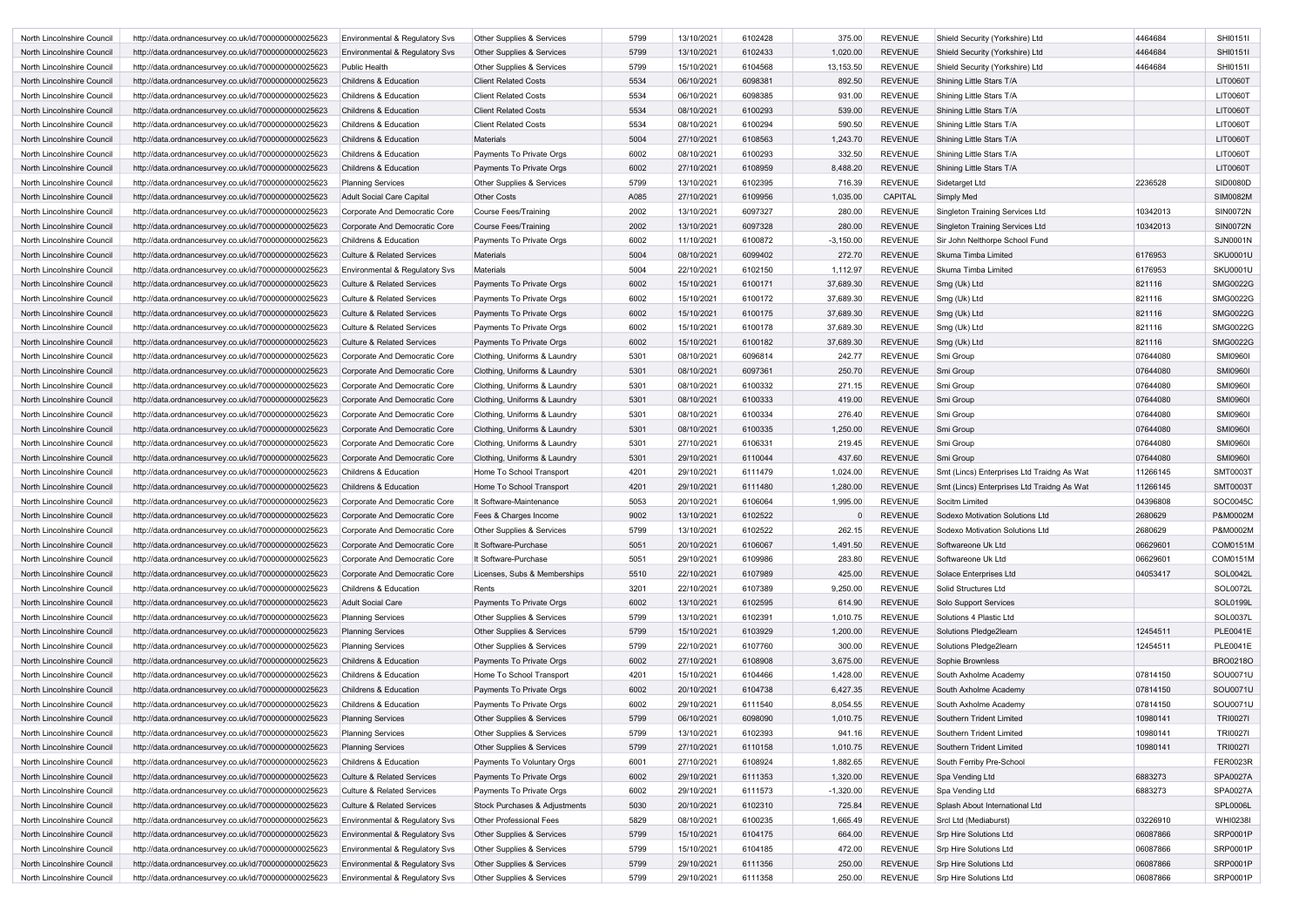| North Lincolnshire Council | http://data.ordnancesurvey.co.uk/id/7000000000025623                                                         | Environmental & Regulatory Svs        | <b>Other Supplies &amp; Services</b> | 5799 | 13/10/2021 | 6102428 | 375.00      | <b>REVENUE</b> | Shield Security (Yorkshire) Ltd            | 4464684  | SHI0151I        |
|----------------------------|--------------------------------------------------------------------------------------------------------------|---------------------------------------|--------------------------------------|------|------------|---------|-------------|----------------|--------------------------------------------|----------|-----------------|
| North Lincolnshire Council | http://data.ordnancesurvey.co.uk/id/7000000000025623                                                         | Environmental & Regulatory Svs        | <b>Other Supplies &amp; Services</b> | 5799 | 13/10/2021 | 6102433 | 1,020.00    | <b>REVENUE</b> | Shield Security (Yorkshire) Ltd            | 4464684  | SHI0151I        |
| North Lincolnshire Council | http://data.ordnancesurvey.co.uk/id/7000000000025623                                                         | <b>Public Health</b>                  | Other Supplies & Services            | 5799 | 15/10/2021 | 6104568 | 13,153.50   | <b>REVENUE</b> | Shield Security (Yorkshire) Ltd            | 4464684  | <b>SHI0151I</b> |
| North Lincolnshire Council | http://data.ordnancesurvey.co.uk/id/7000000000025623                                                         | <b>Childrens &amp; Education</b>      | <b>Client Related Costs</b>          | 5534 | 06/10/2021 | 6098381 | 892.50      | <b>REVENUE</b> | Shining Little Stars T/A                   |          | <b>LIT0060T</b> |
| North Lincolnshire Council | http://data.ordnancesurvey.co.uk/id/7000000000025623                                                         | Childrens & Education                 | <b>Client Related Costs</b>          | 5534 | 06/10/2021 | 6098385 | 931.00      | <b>REVENUE</b> | Shining Little Stars T/A                   |          | LIT0060T        |
| North Lincolnshire Council | http://data.ordnancesurvey.co.uk/id/7000000000025623                                                         | <b>Childrens &amp; Education</b>      | <b>Client Related Costs</b>          | 5534 | 08/10/2021 | 6100293 | 539.00      | <b>REVENUE</b> | Shining Little Stars T/A                   |          | <b>LIT0060T</b> |
| North Lincolnshire Council | http://data.ordnancesurvey.co.uk/id/7000000000025623                                                         | <b>Childrens &amp; Education</b>      | <b>Client Related Costs</b>          | 5534 | 08/10/2021 | 6100294 | 590.50      | <b>REVENUE</b> | Shining Little Stars T/A                   |          | <b>LIT0060T</b> |
| North Lincolnshire Council | http://data.ordnancesurvey.co.uk/id/7000000000025623                                                         | <b>Childrens &amp; Education</b>      | <b>Materials</b>                     | 5004 | 27/10/2021 | 6108563 | 1,243.70    | <b>REVENUE</b> | Shining Little Stars T/A                   |          | <b>LIT0060T</b> |
| North Lincolnshire Council | http://data.ordnancesurvey.co.uk/id/7000000000025623                                                         | <b>Childrens &amp; Education</b>      | Payments To Private Orgs             | 6002 | 08/10/2021 | 6100293 | 332.50      | <b>REVENUE</b> | Shining Little Stars T/A                   |          | <b>LIT0060T</b> |
| North Lincolnshire Council | http://data.ordnancesurvey.co.uk/id/7000000000025623                                                         | <b>Childrens &amp; Education</b>      | Payments To Private Orgs             | 6002 | 27/10/2021 | 6108959 | 8,488.20    | <b>REVENUE</b> | Shining Little Stars T/A                   |          | LIT0060T        |
| North Lincolnshire Council | http://data.ordnancesurvey.co.uk/id/7000000000025623                                                         | <b>Planning Services</b>              | <b>Other Supplies &amp; Services</b> | 5799 | 13/10/2021 | 6102395 | 716.39      | <b>REVENUE</b> | Sidetarget Ltd                             | 2236528  | <b>SID0080D</b> |
| North Lincolnshire Council | http://data.ordnancesurvey.co.uk/id/7000000000025623                                                         | <b>Adult Social Care Capital</b>      | <b>Other Costs</b>                   | A085 | 27/10/2021 | 6109956 | 1,035.00    | <b>CAPITAL</b> | <b>Simply Med</b>                          |          | <b>SIM0082M</b> |
| North Lincolnshire Council | http://data.ordnancesurvey.co.uk/id/7000000000025623                                                         | Corporate And Democratic Core         | Course Fees/Training                 | 2002 | 13/10/2021 | 6097327 | 280.00      | <b>REVENUE</b> | Singleton Training Services Ltd            | 10342013 | <b>SIN0072N</b> |
| North Lincolnshire Council | http://data.ordnancesurvey.co.uk/id/7000000000025623                                                         | Corporate And Democratic Core         | <b>Course Fees/Training</b>          | 2002 | 13/10/2021 | 6097328 | 280.00      | <b>REVENUE</b> | <b>Singleton Training Services Ltd</b>     | 10342013 | <b>SIN0072N</b> |
| North Lincolnshire Council |                                                                                                              | <b>Childrens &amp; Education</b>      |                                      | 6002 | 11/10/2021 | 6100872 | $-3,150.00$ | <b>REVENUE</b> | Sir John Nelthorpe School Fund             |          | <b>SJN0001N</b> |
|                            | http://data.ordnancesurvey.co.uk/id/7000000000025623<br>http://data.ordnancesurvey.co.uk/id/7000000000025623 |                                       | Payments To Private Orgs             | 5004 |            | 6099402 | 272.70      |                |                                            | 6176953  | <b>SKU0001U</b> |
| North Lincolnshire Council |                                                                                                              | <b>Culture &amp; Related Services</b> | <b>Materials</b>                     | 5004 | 08/10/2021 |         |             | <b>REVENUE</b> | Skuma Timba Limited                        | 6176953  | <b>SKU0001U</b> |
| North Lincolnshire Council | http://data.ordnancesurvey.co.uk/id/7000000000025623                                                         | Environmental & Regulatory Svs        | <b>Materials</b>                     |      | 22/10/2021 | 6102150 | 1,112.97    | <b>REVENUE</b> | Skuma Timba Limited                        |          |                 |
| North Lincolnshire Council | http://data.ordnancesurvey.co.uk/id/7000000000025623                                                         | <b>Culture &amp; Related Services</b> | Payments To Private Orgs             | 6002 | 15/10/2021 | 6100171 | 37,689.30   | <b>REVENUE</b> | Smg (Uk) Ltd                               | 821116   | <b>SMG0022G</b> |
| North Lincolnshire Council | http://data.ordnancesurvey.co.uk/id/7000000000025623                                                         | <b>Culture &amp; Related Services</b> | Payments To Private Orgs             | 6002 | 15/10/2021 | 6100172 | 37,689.30   | <b>REVENUE</b> | Smg (Uk) Ltd                               | 821116   | SMG0022G        |
| North Lincolnshire Council | http://data.ordnancesurvey.co.uk/id/7000000000025623                                                         | <b>Culture &amp; Related Services</b> | Payments To Private Orgs             | 6002 | 15/10/2021 | 6100175 | 37,689.30   | <b>REVENUE</b> | Smg (Uk) Ltd                               | 821116   | SMG0022G        |
| North Lincolnshire Council | http://data.ordnancesurvey.co.uk/id/7000000000025623                                                         | Culture & Related Services            | Payments To Private Orgs             | 6002 | 15/10/2021 | 6100178 | 37,689.30   | <b>REVENUE</b> | Smg (Uk) Ltd                               | 821116   | SMG0022G        |
| North Lincolnshire Council | http://data.ordnancesurvey.co.uk/id/7000000000025623                                                         | <b>Culture &amp; Related Services</b> | Payments To Private Orgs             | 6002 | 15/10/2021 | 6100182 | 37,689.30   | <b>REVENUE</b> | Smg (Uk) Ltd                               | 821116   | <b>SMG0022G</b> |
| North Lincolnshire Council | http://data.ordnancesurvey.co.uk/id/7000000000025623                                                         | Corporate And Democratic Core         | Clothing, Uniforms & Laundry         | 5301 | 08/10/2021 | 6096814 | 242.77      | <b>REVENUE</b> | Smi Group                                  | 07644080 | <b>SMI09601</b> |
| North Lincolnshire Council | http://data.ordnancesurvey.co.uk/id/7000000000025623                                                         | Corporate And Democratic Core         | Clothing, Uniforms & Laundry         | 5301 | 08/10/2021 | 6097361 | 250.70      | <b>REVENUE</b> | Smi Group                                  | 07644080 | <b>SMI0960</b>  |
| North Lincolnshire Council | http://data.ordnancesurvey.co.uk/id/7000000000025623                                                         | Corporate And Democratic Core         | Clothing, Uniforms & Laundry         | 5301 | 08/10/2021 | 6100332 | 271.15      | <b>REVENUE</b> | Smi Group                                  | 07644080 | <b>SMI0960</b>  |
| North Lincolnshire Council | http://data.ordnancesurvey.co.uk/id/7000000000025623                                                         | Corporate And Democratic Core         | Clothing, Uniforms & Laundry         | 5301 | 08/10/2021 | 6100333 | 419.00      | <b>REVENUE</b> | Smi Group                                  | 07644080 | <b>SMI09601</b> |
| North Lincolnshire Council | http://data.ordnancesurvey.co.uk/id/7000000000025623                                                         | Corporate And Democratic Core         | Clothing, Uniforms & Laundry         | 5301 | 08/10/2021 | 6100334 | 276.40      | <b>REVENUE</b> | Smi Group                                  | 07644080 | <b>SMI09601</b> |
| North Lincolnshire Council | http://data.ordnancesurvey.co.uk/id/7000000000025623                                                         | Corporate And Democratic Core         | Clothing, Uniforms & Laundry         | 5301 | 08/10/2021 | 6100335 | 1,250.00    | <b>REVENUE</b> | Smi Group                                  | 07644080 | <b>SMI0960I</b> |
| North Lincolnshire Council | http://data.ordnancesurvey.co.uk/id/7000000000025623                                                         | Corporate And Democratic Core         | Clothing, Uniforms & Laundry         | 5301 | 27/10/2021 | 6106331 | 219.45      | <b>REVENUE</b> | Smi Group                                  | 07644080 | <b>SMI09601</b> |
| North Lincolnshire Council | http://data.ordnancesurvey.co.uk/id/7000000000025623                                                         | Corporate And Democratic Core         | Clothing, Uniforms & Laundry         | 5301 | 29/10/2021 | 6110044 | 437.60      | <b>REVENUE</b> | Smi Group                                  | 07644080 | <b>SMI0960</b>  |
| North Lincolnshire Council | http://data.ordnancesurvey.co.uk/id/7000000000025623                                                         | Childrens & Education                 | Home To School Transport             | 4201 | 29/10/2021 | 6111479 | 1,024.00    | <b>REVENUE</b> | Smt (Lincs) Enterprises Ltd Traidng As Wat | 11266145 | <b>SMT0003T</b> |
| North Lincolnshire Council | http://data.ordnancesurvey.co.uk/id/7000000000025623                                                         | <b>Childrens &amp; Education</b>      | Home To School Transport             | 4201 | 29/10/2021 | 6111480 | 1,280.00    | <b>REVENUE</b> | Smt (Lincs) Enterprises Ltd Traidng As Wat | 11266145 | <b>SMT0003T</b> |
| North Lincolnshire Council | http://data.ordnancesurvey.co.uk/id/7000000000025623                                                         | Corporate And Democratic Core         | It Software-Maintenance              | 5053 | 20/10/2021 | 6106064 | 1,995.00    | <b>REVENUE</b> | Socitm Limited                             | 04396808 | SOC0045C        |
| North Lincolnshire Council | http://data.ordnancesurvey.co.uk/id/7000000000025623                                                         | Corporate And Democratic Core         | Fees & Charges Income                | 9002 | 13/10/2021 | 6102522 |             | <b>REVENUE</b> | Sodexo Motivation Solutions Ltd            | 2680629  | P&M0002M        |
| North Lincolnshire Council | http://data.ordnancesurvey.co.uk/id/7000000000025623                                                         | Corporate And Democratic Core         | Other Supplies & Services            | 5799 | 13/10/2021 | 6102522 | 262.15      | <b>REVENUE</b> | Sodexo Motivation Solutions Ltd            | 2680629  | P&M0002M        |
| North Lincolnshire Council | http://data.ordnancesurvey.co.uk/id/7000000000025623                                                         | Corporate And Democratic Core         | It Software-Purchase                 | 5051 | 20/10/2021 | 6106067 | 1,491.50    | <b>REVENUE</b> | Softwareone Uk Ltd                         | 06629601 | COM0151M        |
| North Lincolnshire Council | http://data.ordnancesurvey.co.uk/id/7000000000025623                                                         | Corporate And Democratic Core         | It Software-Purchase                 | 5051 | 29/10/2021 | 6109986 | 283.80      | <b>REVENUE</b> | Softwareone Uk Ltd                         | 06629601 | COM0151M        |
| North Lincolnshire Council | http://data.ordnancesurvey.co.uk/id/7000000000025623                                                         | Corporate And Democratic Core         | Licenses, Subs & Memberships         | 5510 | 22/10/2021 | 6107989 | 425.00      | <b>REVENUE</b> | Solace Enterprises Ltd                     | 04053417 | SOL0042L        |
| North Lincolnshire Council | http://data.ordnancesurvey.co.uk/id/7000000000025623                                                         | Childrens & Education                 | Rents                                | 3201 | 22/10/2021 | 6107389 | 9,250.00    | <b>REVENUE</b> | Solid Structures Ltd                       |          | SOL0072L        |
| North Lincolnshire Council | http://data.ordnancesurvey.co.uk/id/7000000000025623                                                         | <b>Adult Social Care</b>              | Payments To Private Orgs             | 6002 | 13/10/2021 | 6102595 | 614.90      | <b>REVENUE</b> | Solo Support Services                      |          | <b>SOL0199L</b> |
| North Lincolnshire Council | http://data.ordnancesurvey.co.uk/id/7000000000025623                                                         | <b>Planning Services</b>              | Other Supplies & Services            | 5799 | 13/10/2021 | 6102391 | 1,010.75    | <b>REVENUE</b> | Solutions 4 Plastic Ltd                    |          | <b>SOL0037L</b> |
| North Lincolnshire Council | http://data.ordnancesurvey.co.uk/id/7000000000025623                                                         | <b>Planning Services</b>              | Other Supplies & Services            | 5799 | 15/10/2021 | 6103929 | 1,200.00    | <b>REVENUE</b> | Solutions Pledge2learn                     | 12454511 | <b>PLE0041E</b> |
| North Lincolnshire Council | http://data.ordnancesurvey.co.uk/id/7000000000025623                                                         | <b>Planning Services</b>              | Other Supplies & Services            | 5799 | 22/10/2021 | 6107760 | 300.00      | <b>REVENUE</b> | Solutions Pledge2learn                     | 12454511 | <b>PLE0041E</b> |
| North Lincolnshire Council | http://data.ordnancesurvey.co.uk/id/7000000000025623                                                         | Childrens & Education                 | Payments To Private Orgs             | 6002 | 27/10/2021 | 6108908 | 3,675.00    | <b>REVENUE</b> | Sophie Brownless                           |          | BRO0218O        |
| North Lincolnshire Council | http://data.ordnancesurvey.co.uk/id/7000000000025623                                                         | Childrens & Education                 | Home To School Transport             | 4201 | 15/10/2021 | 6104466 | 1,428.00    | <b>REVENUE</b> | South Axholme Academy                      | 07814150 | SOU0071U        |
| North Lincolnshire Council | http://data.ordnancesurvey.co.uk/id/7000000000025623                                                         | Childrens & Education                 | Payments To Private Orgs             | 6002 | 20/10/2021 | 6104738 | 6,427.35    | <b>REVENUE</b> | South Axholme Academy                      | 07814150 | SOU0071U        |
| North Lincolnshire Council | http://data.ordnancesurvey.co.uk/id/7000000000025623                                                         | Childrens & Education                 | Payments To Private Orgs             | 6002 | 29/10/2021 | 6111540 | 8,054.55    | <b>REVENUE</b> | South Axholme Academy                      | 07814150 | SOU0071U        |
| North Lincolnshire Council | http://data.ordnancesurvey.co.uk/id/7000000000025623                                                         | <b>Planning Services</b>              | Other Supplies & Services            | 5799 | 06/10/2021 | 6098090 | 1,010.75    | <b>REVENUE</b> | Southern Trident Limited                   | 10980141 | <b>TRI0027I</b> |
| North Lincolnshire Council | http://data.ordnancesurvey.co.uk/id/7000000000025623                                                         | <b>Planning Services</b>              | Other Supplies & Services            | 5799 | 13/10/2021 | 6102393 | 941.16      | <b>REVENUE</b> | Southern Trident Limited                   | 10980141 | <b>TRI0027I</b> |
| North Lincolnshire Council | http://data.ordnancesurvey.co.uk/id/7000000000025623                                                         | <b>Planning Services</b>              | Other Supplies & Services            | 5799 | 27/10/2021 | 6110158 | 1,010.75    | <b>REVENUE</b> | Southern Trident Limited                   | 10980141 | <b>TRI0027I</b> |
| North Lincolnshire Council | http://data.ordnancesurvey.co.uk/id/7000000000025623                                                         | Childrens & Education                 | Payments To Voluntary Orgs           | 6001 | 27/10/2021 | 6108924 | 1,882.65    | <b>REVENUE</b> | South Ferriby Pre-School                   |          | <b>FER0023R</b> |
| North Lincolnshire Council | http://data.ordnancesurvey.co.uk/id/7000000000025623                                                         | <b>Culture &amp; Related Services</b> | Payments To Private Orgs             | 6002 | 29/10/2021 | 6111353 | 1,320.00    | <b>REVENUE</b> | Spa Vending Ltd                            | 6883273  | SPA0027A        |
| North Lincolnshire Council | http://data.ordnancesurvey.co.uk/id/7000000000025623                                                         | Culture & Related Services            | Payments To Private Orgs             | 6002 | 29/10/2021 | 6111573 | $-1,320.00$ | <b>REVENUE</b> | Spa Vending Ltd                            | 6883273  | SPA0027A        |
| North Lincolnshire Council | http://data.ordnancesurvey.co.uk/id/7000000000025623                                                         | <b>Culture &amp; Related Services</b> | Stock Purchases & Adjustments        | 5030 | 20/10/2021 | 6102310 | 725.84      | <b>REVENUE</b> | Splash About International Ltd             |          | <b>SPL0006L</b> |
| North Lincolnshire Council | http://data.ordnancesurvey.co.uk/id/7000000000025623                                                         | Environmental & Regulatory Svs        | <b>Other Professional Fees</b>       | 5829 | 08/10/2021 | 6100235 | 1,665.49    | <b>REVENUE</b> | Srcl Ltd (Mediaburst)                      | 03226910 | <b>WHI0238I</b> |
| North Lincolnshire Council | http://data.ordnancesurvey.co.uk/id/7000000000025623                                                         | Environmental & Regulatory Svs        | Other Supplies & Services            | 5799 | 15/10/2021 | 6104175 | 664.00      | <b>REVENUE</b> | <b>Srp Hire Solutions Ltd</b>              | 06087866 | SRP0001P        |
| North Lincolnshire Council | http://data.ordnancesurvey.co.uk/id/7000000000025623                                                         | Environmental & Regulatory Svs        | Other Supplies & Services            | 5799 | 15/10/2021 | 6104185 | 472.00      | <b>REVENUE</b> | Srp Hire Solutions Ltd                     | 06087866 | SRP0001P        |
| North Lincolnshire Council | http://data.ordnancesurvey.co.uk/id/7000000000025623                                                         | Environmental & Regulatory Svs        | Other Supplies & Services            | 5799 | 29/10/2021 | 6111356 | 250.00      | <b>REVENUE</b> | <b>Srp Hire Solutions Ltd</b>              | 06087866 | <b>SRP0001P</b> |
| North Lincolnshire Council | http://data.ordnancesurvey.co.uk/id/7000000000025623                                                         | Environmental & Regulatory Svs        | Other Supplies & Services            | 5799 | 29/10/2021 | 6111358 | 250.00      | <b>REVENUE</b> | Srp Hire Solutions Ltd                     | 06087866 | SRP0001P        |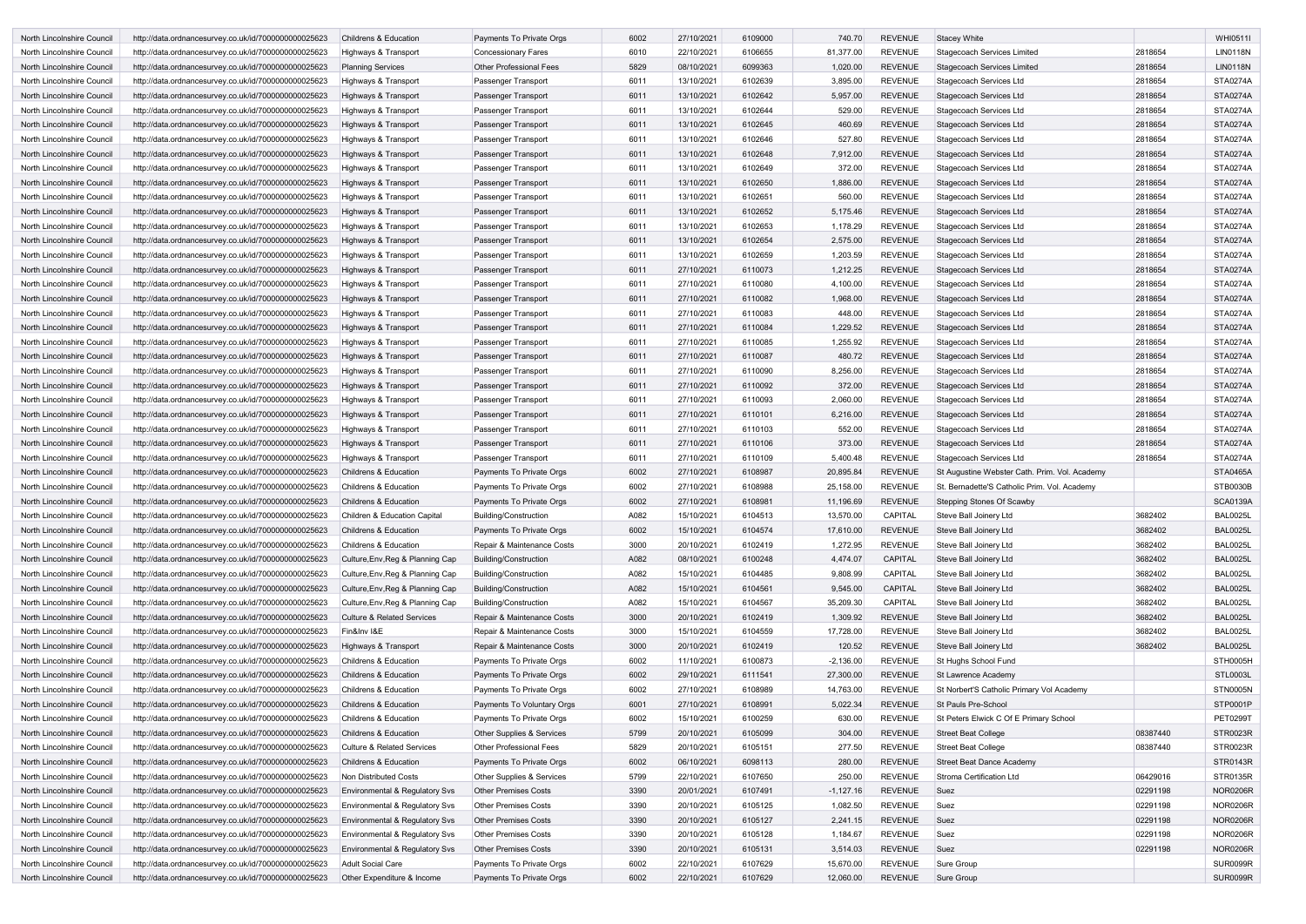| North Lincolnshire Council                               | http://data.ordnancesurvey.co.uk/id/7000000000025623<br><b>Childrens &amp; Education</b>                                                                            | Payments To Private Orgs                             | 6002         | 27/10/2021               | 6109000            | 740.70                | <b>REVENUE</b>                   | <b>Stacey White</b>                                              |                      | <b>WHI0511I</b>             |
|----------------------------------------------------------|---------------------------------------------------------------------------------------------------------------------------------------------------------------------|------------------------------------------------------|--------------|--------------------------|--------------------|-----------------------|----------------------------------|------------------------------------------------------------------|----------------------|-----------------------------|
| North Lincolnshire Council                               | http://data.ordnancesurvey.co.uk/id/7000000000025623<br>Highways & Transport                                                                                        | <b>Concessionary Fares</b>                           | 6010         | 22/10/2021               | 6106655            | 81,377.00             | <b>REVENUE</b>                   | <b>Stagecoach Services Limited</b>                               | 2818654              | <b>LIN0118N</b>             |
| North Lincolnshire Council                               | http://data.ordnancesurvey.co.uk/id/7000000000025623<br><b>Planning Services</b>                                                                                    | <b>Other Professional Fees</b>                       | 5829         | 08/10/2021               | 6099363            | 1,020.00              | <b>REVENUE</b>                   | <b>Stagecoach Services Limited</b>                               | 2818654              | <b>LIN0118N</b>             |
| North Lincolnshire Council                               | http://data.ordnancesurvey.co.uk/id/7000000000025623<br>Highways & Transport                                                                                        | Passenger Transport                                  | 6011         | 13/10/2021               | 6102639            | 3,895.00              | <b>REVENUE</b>                   | Stagecoach Services Ltd                                          | 2818654              | <b>STA0274A</b>             |
| North Lincolnshire Council                               | http://data.ordnancesurvey.co.uk/id/7000000000025623<br>Highways & Transport                                                                                        | Passenger Transport                                  | 6011         | 13/10/2021               | 6102642            | 5,957.00              | <b>REVENUE</b>                   | Stagecoach Services Ltd                                          | 2818654              | <b>STA0274A</b>             |
| North Lincolnshire Council                               | http://data.ordnancesurvey.co.uk/id/7000000000025623<br>Highways & Transport                                                                                        | Passenger Transport                                  | 6011         | 13/10/2021               | 6102644            | 529.00                | <b>REVENUE</b>                   | Stagecoach Services Ltd                                          | 2818654              | <b>STA0274A</b>             |
| North Lincolnshire Council                               | http://data.ordnancesurvey.co.uk/id/7000000000025623<br>Highways & Transport                                                                                        | Passenger Transport                                  | 6011         | 13/10/2021               | 6102645            | 460.69                | <b>REVENUE</b>                   | Stagecoach Services Ltd                                          | 2818654              | <b>STA0274A</b>             |
| North Lincolnshire Council                               | http://data.ordnancesurvey.co.uk/id/7000000000025623<br>Highways & Transport                                                                                        | Passenger Transport                                  | 6011         | 13/10/2021               | 6102646            | 527.80                | <b>REVENUE</b>                   | Stagecoach Services Ltd                                          | 2818654              | <b>STA0274A</b>             |
| North Lincolnshire Council                               | http://data.ordnancesurvey.co.uk/id/7000000000025623<br>Highways & Transport                                                                                        | Passenger Transport                                  | 6011         | 13/10/2021               | 6102648            | 7,912.00              | <b>REVENUE</b>                   | Stagecoach Services Ltd                                          | 2818654              | <b>STA0274A</b>             |
| North Lincolnshire Council                               | http://data.ordnancesurvey.co.uk/id/7000000000025623<br>Highways & Transport                                                                                        | Passenger Transport                                  | 6011         | 13/10/2021               | 6102649            | 372.00                | <b>REVENUE</b>                   | Stagecoach Services Ltd                                          | 2818654              | <b>STA0274A</b>             |
| North Lincolnshire Council                               | http://data.ordnancesurvey.co.uk/id/7000000000025623<br>Highways & Transport                                                                                        | Passenger Transport                                  | 6011         | 13/10/2021               | 6102650            | 1,886.00              | <b>REVENUE</b>                   | Stagecoach Services Ltd                                          | 2818654              | <b>STA0274A</b>             |
| North Lincolnshire Council                               | http://data.ordnancesurvey.co.uk/id/7000000000025623<br>Highways & Transport                                                                                        | Passenger Transport                                  | 6011         | 13/10/2021               | 6102651            | 560.00                | <b>REVENUE</b>                   | Stagecoach Services Ltd                                          | 2818654              | <b>STA0274A</b>             |
| North Lincolnshire Council                               | http://data.ordnancesurvey.co.uk/id/7000000000025623<br>Highways & Transport                                                                                        | Passenger Transport                                  | 6011         | 13/10/2021               | 6102652            | 5,175.46              | <b>REVENUE</b>                   | Stagecoach Services Ltd                                          | 2818654              | <b>STA0274A</b>             |
| North Lincolnshire Council                               | http://data.ordnancesurvey.co.uk/id/7000000000025623<br>Highways & Transport                                                                                        | Passenger Transport                                  | 6011         | 13/10/2021               | 6102653            | 1,178.29              | <b>REVENUE</b>                   | Stagecoach Services Ltd                                          | 2818654              | <b>STA0274A</b>             |
| North Lincolnshire Council                               | http://data.ordnancesurvey.co.uk/id/7000000000025623<br>Highways & Transport                                                                                        | Passenger Transport                                  | 6011         | 13/10/2021               | 6102654            | 2,575.00              | <b>REVENUE</b>                   | Stagecoach Services Ltd                                          | 2818654              | <b>STA0274A</b>             |
| North Lincolnshire Council                               | http://data.ordnancesurvey.co.uk/id/7000000000025623<br>Highways & Transport                                                                                        | Passenger Transport                                  | 6011         | 13/10/2021               | 6102659            | 1,203.59              | <b>REVENUE</b>                   | Stagecoach Services Ltd                                          | 2818654              | <b>STA0274A</b>             |
| North Lincolnshire Council                               | http://data.ordnancesurvey.co.uk/id/7000000000025623<br>Highways & Transport                                                                                        | Passenger Transport                                  | 6011         | 27/10/2021               | 6110073            | 1,212.25              | <b>REVENUE</b>                   | Stagecoach Services Ltd                                          | 2818654              | <b>STA0274A</b>             |
| North Lincolnshire Council                               | http://data.ordnancesurvey.co.uk/id/7000000000025623<br>Highways & Transport                                                                                        | Passenger Transport                                  | 6011         | 27/10/2021               | 6110080            | 4,100.00              | <b>REVENUE</b>                   | Stagecoach Services Ltd                                          | 2818654              | <b>STA0274A</b>             |
| North Lincolnshire Council                               | http://data.ordnancesurvey.co.uk/id/7000000000025623<br>Highways & Transport                                                                                        | Passenger Transport                                  | 6011         | 27/10/2021               | 6110082            | 1,968.00              | <b>REVENUE</b>                   | Stagecoach Services Ltd                                          | 2818654              | <b>STA0274A</b>             |
| North Lincolnshire Council                               | http://data.ordnancesurvey.co.uk/id/7000000000025623<br>Highways & Transport                                                                                        | Passenger Transport                                  | 6011         | 27/10/2021               | 6110083            | 448.00                | <b>REVENUE</b>                   | Stagecoach Services Ltd                                          | 2818654              | <b>STA0274A</b>             |
| North Lincolnshire Council                               | http://data.ordnancesurvey.co.uk/id/7000000000025623<br>Highways & Transport                                                                                        | Passenger Transport                                  | 6011         | 27/10/2021               | 6110084            | 1,229.52              | <b>REVENUE</b>                   | Stagecoach Services Ltd                                          | 2818654              | <b>STA0274A</b>             |
| North Lincolnshire Council                               | http://data.ordnancesurvey.co.uk/id/7000000000025623<br>Highways & Transport                                                                                        | Passenger Transport                                  | 6011         | 27/10/2021               | 6110085            | 1,255.92              | <b>REVENUE</b>                   | Stagecoach Services Ltd                                          | 2818654              | <b>STA0274A</b>             |
| North Lincolnshire Council                               | http://data.ordnancesurvey.co.uk/id/7000000000025623<br>Highways & Transport                                                                                        | Passenger Transport                                  | 6011         | 27/10/2021               | 6110087            | 480.72                | <b>REVENUE</b>                   | Stagecoach Services Ltd                                          | 2818654              | <b>STA0274A</b>             |
| North Lincolnshire Council                               | http://data.ordnancesurvey.co.uk/id/7000000000025623<br>Highways & Transport                                                                                        | Passenger Transport                                  | 6011         | 27/10/2021               | 6110090            | 8,256.00              | <b>REVENUE</b>                   | Stagecoach Services Ltd                                          | 2818654              | <b>STA0274A</b>             |
| North Lincolnshire Council                               | http://data.ordnancesurvey.co.uk/id/7000000000025623<br>Highways & Transport                                                                                        | Passenger Transport                                  | 6011         | 27/10/2021               | 6110092            | 372.00                | <b>REVENUE</b>                   | Stagecoach Services Ltd                                          | 2818654              | <b>STA0274A</b>             |
| North Lincolnshire Council                               | http://data.ordnancesurvey.co.uk/id/7000000000025623<br>Highways & Transport                                                                                        | Passenger Transport                                  | 6011         | 27/10/2021               | 6110093            | 2,060.00              | <b>REVENUE</b>                   | Stagecoach Services Ltd                                          | 2818654              | <b>STA0274A</b>             |
| North Lincolnshire Council                               | http://data.ordnancesurvey.co.uk/id/7000000000025623<br>Highways & Transport                                                                                        | Passenger Transport                                  | 6011         | 27/10/2021               | 6110101            | 6,216.00              | <b>REVENUE</b>                   | Stagecoach Services Ltd                                          | 2818654              | <b>STA0274A</b>             |
| North Lincolnshire Council                               | http://data.ordnancesurvey.co.uk/id/7000000000025623<br>Highways & Transport                                                                                        | Passenger Transport                                  | 6011         | 27/10/2021               | 6110103            | 552.00                | <b>REVENUE</b>                   | Stagecoach Services Ltd                                          | 2818654              | <b>STA0274A</b>             |
| North Lincolnshire Council                               | http://data.ordnancesurvey.co.uk/id/7000000000025623<br>Highways & Transport                                                                                        | Passenger Transport                                  | 6011         | 27/10/2021               | 6110106            | 373.00                | <b>REVENUE</b>                   | Stagecoach Services Ltd                                          | 2818654              | <b>STA0274A</b>             |
| North Lincolnshire Council                               | http://data.ordnancesurvey.co.uk/id/7000000000025623<br>Highways & Transport                                                                                        | Passenger Transport                                  | 6011         | 27/10/2021               | 6110109            | 5,400.48              | <b>REVENUE</b>                   | Stagecoach Services Ltd                                          | 2818654              | <b>STA0274A</b>             |
| North Lincolnshire Council                               | http://data.ordnancesurvey.co.uk/id/7000000000025623<br><b>Childrens &amp; Education</b>                                                                            | Payments To Private Orgs                             | 6002         | 27/10/2021               | 6108987            | 20,895.84             | <b>REVENUE</b>                   | St Augustine Webster Cath. Prim. Vol. Academy                    |                      | <b>STA0465A</b>             |
| North Lincolnshire Council                               | <b>Childrens &amp; Education</b><br>http://data.ordnancesurvey.co.uk/id/7000000000025623                                                                            | Payments To Private Orgs                             | 6002         | 27/10/2021               | 6108988            | 25,158.00             | <b>REVENUE</b>                   | St. Bernadette'S Catholic Prim. Vol. Academy                     |                      | <b>STB0030B</b>             |
| North Lincolnshire Council                               | http://data.ordnancesurvey.co.uk/id/7000000000025623<br>Childrens & Education                                                                                       | Payments To Private Orgs                             | 6002         | 27/10/2021               | 6108981            | 11,196.69             | <b>REVENUE</b>                   | Stepping Stones Of Scawby                                        |                      | <b>SCA0139A</b>             |
| North Lincolnshire Council                               | http://data.ordnancesurvey.co.uk/id/7000000000025623<br>Children & Education Capital                                                                                | Building/Construction                                | A082         | 15/10/2021               | 6104513            | 13,570.00             | CAPITAL                          | Steve Ball Joinery Ltd                                           | 3682402              | <b>BAL0025L</b>             |
| North Lincolnshire Council                               | Childrens & Education<br>http://data.ordnancesurvey.co.uk/id/7000000000025623                                                                                       | Payments To Private Orgs                             | 6002         | 15/10/2021               | 6104574            | 17,610.00             | <b>REVENUE</b>                   | Steve Ball Joinery Ltd                                           | 3682402              | <b>BAL0025L</b>             |
| North Lincolnshire Council                               | http://data.ordnancesurvey.co.uk/id/7000000000025623<br>Childrens & Education                                                                                       | Repair & Maintenance Costs                           | 3000         | 20/10/2021               | 6102419            | 1,272.95              | <b>REVENUE</b>                   | Steve Ball Joinery Ltd                                           | 3682402              | <b>BAL0025L</b>             |
| North Lincolnshire Council                               | Culture, Env, Reg & Planning Cap<br>http://data.ordnancesurvey.co.uk/id/7000000000025623                                                                            | Building/Construction                                | A082         | 08/10/2021               | 6100248            | 4,474.07              | <b>CAPITAL</b>                   | Steve Ball Joinery Ltd                                           | 3682402              | <b>BAL0025L</b>             |
| North Lincolnshire Council                               | Culture, Env, Reg & Planning Cap<br>http://data.ordnancesurvey.co.uk/id/7000000000025623                                                                            | <b>Building/Construction</b>                         | A082         | 15/10/2021               | 6104485            | 9,808.99              | CAPITAL                          | Steve Ball Joinery Ltd                                           | 3682402              | <b>BAL0025L</b>             |
| North Lincolnshire Council                               | http://data.ordnancesurvey.co.uk/id/7000000000025623<br>Culture, Env, Reg & Planning Cap                                                                            | Building/Construction                                | A082         | 15/10/2021               | 6104561            | 9,545.00              | <b>CAPITAL</b>                   | Steve Ball Joinery Ltd                                           | 3682402              | <b>BAL0025L</b>             |
| North Lincolnshire Council                               | http://data.ordnancesurvey.co.uk/id/7000000000025623<br>Culture, Env, Reg & Planning Cap                                                                            | Building/Construction                                | A082         | 15/10/2021               | 6104567            | 35,209.30             | CAPITAL                          | Steve Ball Joinery Ltd                                           | 3682402              | <b>BAL0025L</b>             |
| North Lincolnshire Council                               | <b>Culture &amp; Related Services</b><br>http://data.ordnancesurvey.co.uk/id/7000000000025623                                                                       | Repair & Maintenance Costs                           | 3000         | 20/10/2021               | 6102419            | 1,309.92              | <b>REVENUE</b>                   | Steve Ball Joinery Ltd                                           | 3682402              | <b>BAL0025L</b>             |
| North Lincolnshire Council                               | Fin&Inv I&E<br>http://data.ordnancesurvey.co.uk/id/7000000000025623                                                                                                 | Repair & Maintenance Costs                           | 3000         | 15/10/2021               | 6104559            | 17,728.00             | <b>REVENUE</b>                   | Steve Ball Joinery Ltd                                           | 3682402              | <b>BAL0025L</b>             |
| North Lincolnshire Council                               | http://data.ordnancesurvey.co.uk/id/7000000000025623<br>Highways & Transport                                                                                        | Repair & Maintenance Costs                           | 3000         | 20/10/2021               | 6102419            | 120.52                | <b>REVENUE</b>                   | Steve Ball Joinery Ltd                                           | 3682402              | <b>BAL0025L</b>             |
| North Lincolnshire Council                               | Childrens & Education<br>http://data.ordnancesurvey.co.uk/id/7000000000025623                                                                                       | Payments To Private Orgs                             | 6002         | 11/10/2021               | 6100873            | $-2,136.00$           | <b>REVENUE</b>                   | St Hughs School Fund                                             |                      | STH0005H                    |
| North Lincolnshire Council                               | Childrens & Education<br>http://data.ordnancesurvey.co.uk/id/7000000000025623                                                                                       | Payments To Private Orgs                             | 6002         | 29/10/2021               | 6111541            | 27,300.00             | <b>REVENUE</b>                   | <b>St Lawrence Academy</b>                                       |                      | <b>STL0003L</b>             |
| North Lincolnshire Council                               | http://data.ordnancesurvey.co.uk/id/7000000000025623<br>Childrens & Education                                                                                       | Payments To Private Orgs                             | 6002         | 27/10/2021<br>27/10/2021 | 6108989            | 14,763.00<br>5,022.34 | <b>REVENUE</b><br><b>REVENUE</b> | St Norbert'S Catholic Primary Vol Academy<br>St Pauls Pre-School |                      | <b>STN0005N</b><br>STP0001P |
| North Lincolnshire Council                               | http://data.ordnancesurvey.co.uk/id/7000000000025623<br>Childrens & Education                                                                                       | Payments To Voluntary Orgs                           | 6001         | 15/10/2021               | 6108991<br>6100259 |                       | <b>REVENUE</b>                   |                                                                  |                      | <b>PET0299T</b>             |
| North Lincolnshire Council                               | Childrens & Education<br>http://data.ordnancesurvey.co.uk/id/7000000000025623                                                                                       | Payments To Private Orgs                             | 6002         |                          |                    | 630.00                |                                  | St Peters Elwick C Of E Primary School                           |                      |                             |
| North Lincolnshire Council<br>North Lincolnshire Council | Childrens & Education<br>http://data.ordnancesurvey.co.uk/id/7000000000025623<br>http://data.ordnancesurvey.co.uk/id/7000000000025623<br>Culture & Related Services | Other Supplies & Services<br>Other Professional Fees | 5799<br>5829 | 20/10/2021<br>20/10/2021 | 6105099<br>6105151 | 304.00<br>277.50      | <b>REVENUE</b><br><b>REVENUE</b> | <b>Street Beat College</b><br><b>Street Beat College</b>         | 08387440<br>08387440 | STR0023R<br>STR0023R        |
| North Lincolnshire Council                               | http://data.ordnancesurvey.co.uk/id/7000000000025623<br>Childrens & Education                                                                                       | Payments To Private Orgs                             | 6002         | 06/10/2021               | 6098113            | 280.00                | <b>REVENUE</b>                   | <b>Street Beat Dance Academy</b>                                 |                      | <b>STR0143R</b>             |
| North Lincolnshire Council                               | Non Distributed Costs<br>http://data.ordnancesurvey.co.uk/id/7000000000025623                                                                                       | Other Supplies & Services                            | 5799         | 22/10/2021               | 6107650            | 250.00                | <b>REVENUE</b>                   | Stroma Certification Ltd                                         | 06429016             | STR0135R                    |
| North Lincolnshire Council                               | Environmental & Regulatory Svs<br>http://data.ordnancesurvey.co.uk/id/7000000000025623                                                                              | <b>Other Premises Costs</b>                          | 3390         | 20/01/2021               | 6107491            | $-1,127.16$           | <b>REVENUE</b>                   | Suez                                                             | 02291198             | <b>NOR0206R</b>             |
| North Lincolnshire Council                               | http://data.ordnancesurvey.co.uk/id/7000000000025623<br>Environmental & Regulatory Svs                                                                              | <b>Other Premises Costs</b>                          | 3390         | 20/10/2021               | 6105125            | 1,082.50              | <b>REVENUE</b>                   | Suez                                                             | 02291198             | <b>NOR0206R</b>             |
| North Lincolnshire Council                               | http://data.ordnancesurvey.co.uk/id/7000000000025623<br><b>Environmental &amp; Regulatory Svs</b>                                                                   | <b>Other Premises Costs</b>                          | 3390         | 20/10/2021               | 6105127            | 2,241.15              | <b>REVENUE</b>                   | Suez                                                             | 02291198             | <b>NOR0206R</b>             |
| North Lincolnshire Council                               | <b>Environmental &amp; Regulatory Svs</b><br>http://data.ordnancesurvey.co.uk/id/7000000000025623                                                                   | <b>Other Premises Costs</b>                          | 3390         | 20/10/2021               | 6105128            | 1,184.67              | <b>REVENUE</b>                   | Suez                                                             | 02291198             | <b>NOR0206R</b>             |
| North Lincolnshire Council                               | http://data.ordnancesurvey.co.uk/id/7000000000025623<br>Environmental & Regulatory Svs                                                                              | <b>Other Premises Costs</b>                          | 3390         | 20/10/2021               | 6105131            | 3,514.03              | <b>REVENUE</b>                   | Suez                                                             | 02291198             | <b>NOR0206R</b>             |
| North Lincolnshire Council                               | <b>Adult Social Care</b><br>http://data.ordnancesurvey.co.uk/id/7000000000025623                                                                                    | Payments To Private Orgs                             | 6002         | 22/10/2021               | 6107629            | 15,670.00             | <b>REVENUE</b>                   | Sure Group                                                       |                      | <b>SUR0099R</b>             |
| North Lincolnshire Council                               | http://data.ordnancesurvey.co.uk/id/7000000000025623<br>Other Expenditure & Income                                                                                  | Payments To Private Orgs                             | 6002         | 22/10/2021               | 6107629            | 12,060.00             | REVENUE                          | Sure Group                                                       |                      | <b>SUR0099R</b>             |
|                                                          |                                                                                                                                                                     |                                                      |              |                          |                    |                       |                                  |                                                                  |                      |                             |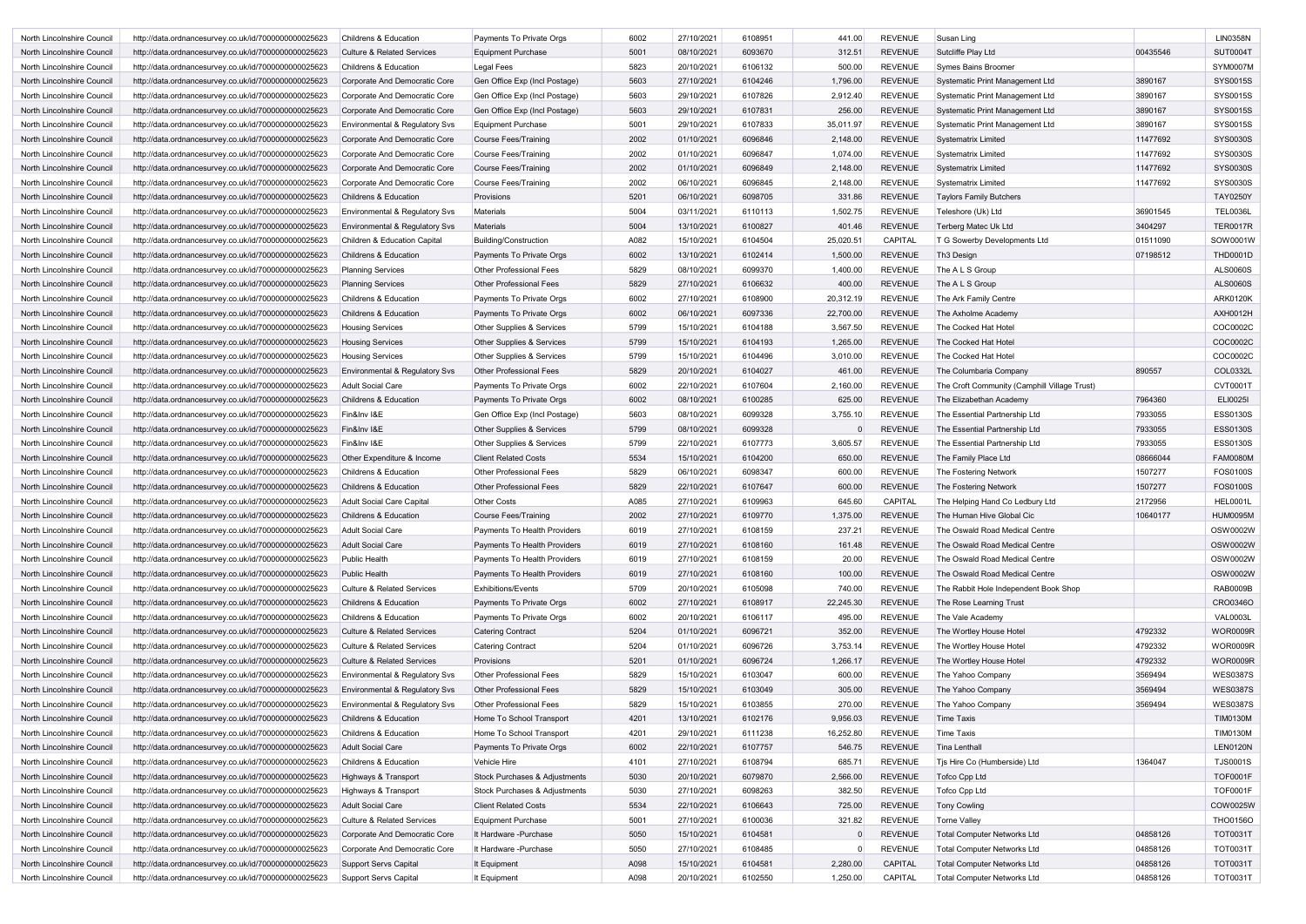| North Lincolnshire Council | http://data.ordnancesurvey.co.uk/id/7000000000025623 | <b>Childrens &amp; Education</b>      | Payments To Private Orgs       | 6002 | 27/10/2021 | 6108951 | 441.00    | <b>REVENUE</b> | Susan Ling                                   |          | <b>LIN0358N</b> |
|----------------------------|------------------------------------------------------|---------------------------------------|--------------------------------|------|------------|---------|-----------|----------------|----------------------------------------------|----------|-----------------|
| North Lincolnshire Council | http://data.ordnancesurvey.co.uk/id/7000000000025623 | <b>Culture &amp; Related Services</b> | <b>Equipment Purchase</b>      | 5001 | 08/10/2021 | 6093670 | 312.51    | <b>REVENUE</b> | Sutcliffe Play Ltd                           | 00435546 | <b>SUT0004T</b> |
| North Lincolnshire Council | http://data.ordnancesurvey.co.uk/id/7000000000025623 | <b>Childrens &amp; Education</b>      | Legal Fees                     | 5823 | 20/10/2021 | 6106132 | 500.00    | <b>REVENUE</b> | Symes Bains Broomer                          |          | <b>SYM0007M</b> |
| North Lincolnshire Council | http://data.ordnancesurvey.co.uk/id/7000000000025623 | Corporate And Democratic Core         | Gen Office Exp (Incl Postage)  | 5603 | 27/10/2021 | 6104246 | 1,796.00  | <b>REVENUE</b> | Systematic Print Management Ltd              | 3890167  | <b>SYS0015S</b> |
| North Lincolnshire Council | http://data.ordnancesurvey.co.uk/id/7000000000025623 | Corporate And Democratic Core         | Gen Office Exp (Incl Postage)  | 5603 | 29/10/2021 | 6107826 | 2,912.40  | <b>REVENUE</b> | Systematic Print Management Ltd              | 3890167  | SYS0015S        |
| North Lincolnshire Council | http://data.ordnancesurvey.co.uk/id/7000000000025623 | Corporate And Democratic Core         | Gen Office Exp (Incl Postage)  | 5603 | 29/10/2021 | 6107831 | 256.00    | <b>REVENUE</b> | Systematic Print Management Ltd              | 3890167  | SYS0015S        |
| North Lincolnshire Council | http://data.ordnancesurvey.co.uk/id/7000000000025623 | Environmental & Regulatory Svs        | Equipment Purchase             | 5001 | 29/10/2021 | 6107833 | 35,011.97 | <b>REVENUE</b> | Systematic Print Management Ltd              | 3890167  | SYS0015S        |
| North Lincolnshire Council | http://data.ordnancesurvey.co.uk/id/7000000000025623 | Corporate And Democratic Core         | Course Fees/Training           | 2002 | 01/10/2021 | 6096846 | 2,148.00  | <b>REVENUE</b> | <b>Systematrix Limited</b>                   | 11477692 | SYS0030S        |
| North Lincolnshire Council | http://data.ordnancesurvey.co.uk/id/7000000000025623 | Corporate And Democratic Core         | Course Fees/Training           | 2002 | 01/10/2021 | 6096847 | 1,074.00  | <b>REVENUE</b> | <b>Systematrix Limited</b>                   | 11477692 | SYS0030S        |
| North Lincolnshire Council | http://data.ordnancesurvey.co.uk/id/7000000000025623 | Corporate And Democratic Core         | Course Fees/Training           | 2002 | 01/10/2021 | 6096849 | 2,148.00  | <b>REVENUE</b> | <b>Systematrix Limited</b>                   | 11477692 | <b>SYS0030S</b> |
| North Lincolnshire Council | http://data.ordnancesurvey.co.uk/id/7000000000025623 | Corporate And Democratic Core         | Course Fees/Training           | 2002 | 06/10/2021 | 6096845 | 2,148.00  | <b>REVENUE</b> | <b>Systematrix Limited</b>                   | 11477692 | SYS0030S        |
| North Lincolnshire Council | http://data.ordnancesurvey.co.uk/id/7000000000025623 | <b>Childrens &amp; Education</b>      | Provisions                     | 5201 | 06/10/2021 | 6098705 | 331.86    | <b>REVENUE</b> | <b>Taylors Family Butchers</b>               |          | <b>TAY0250Y</b> |
| North Lincolnshire Council | http://data.ordnancesurvey.co.uk/id/7000000000025623 | Environmental & Regulatory Svs        | <b>Materials</b>               | 5004 | 03/11/2021 | 6110113 | 1,502.75  | <b>REVENUE</b> | Teleshore (Uk) Ltd                           | 36901545 | <b>TEL0036L</b> |
| North Lincolnshire Council | http://data.ordnancesurvey.co.uk/id/7000000000025623 | Environmental & Regulatory Svs        | <b>Materials</b>               | 5004 | 13/10/2021 | 6100827 | 401.46    | <b>REVENUE</b> | Terberg Matec Uk Ltd                         | 3404297  | <b>TER0017R</b> |
| North Lincolnshire Council | http://data.ordnancesurvey.co.uk/id/7000000000025623 | Children & Education Capital          | <b>Building/Construction</b>   | A082 | 15/10/2021 | 6104504 | 25,020.51 | <b>CAPITAL</b> | T G Sowerby Developments Ltd                 | 01511090 | SOW0001W        |
| North Lincolnshire Council | http://data.ordnancesurvey.co.uk/id/7000000000025623 | <b>Childrens &amp; Education</b>      | Payments To Private Orgs       | 6002 | 13/10/2021 | 6102414 | 1,500.00  | <b>REVENUE</b> | Th <sub>3</sub> Design                       | 07198512 | <b>THD0001D</b> |
|                            |                                                      |                                       | <b>Other Professional Fees</b> | 5829 | 08/10/2021 | 6099370 | 1,400.00  | <b>REVENUE</b> | The A L S Group                              |          | <b>ALS0060S</b> |
| North Lincolnshire Council | http://data.ordnancesurvey.co.uk/id/7000000000025623 | <b>Planning Services</b>              |                                |      |            | 6106632 |           | <b>REVENUE</b> |                                              |          |                 |
| North Lincolnshire Council | http://data.ordnancesurvey.co.uk/id/7000000000025623 | <b>Planning Services</b>              | <b>Other Professional Fees</b> | 5829 | 27/10/2021 |         | 400.00    |                | The A L S Group                              |          | <b>ALS0060S</b> |
| North Lincolnshire Council | http://data.ordnancesurvey.co.uk/id/7000000000025623 | <b>Childrens &amp; Education</b>      | Payments To Private Orgs       | 6002 | 27/10/2021 | 6108900 | 20,312.19 | <b>REVENUE</b> | The Ark Family Centre                        |          | <b>ARK0120K</b> |
| North Lincolnshire Council | http://data.ordnancesurvey.co.uk/id/7000000000025623 | <b>Childrens &amp; Education</b>      | Payments To Private Orgs       | 6002 | 06/10/2021 | 6097336 | 22,700.00 | <b>REVENUE</b> | The Axholme Academy                          |          | <b>AXH0012H</b> |
| North Lincolnshire Council | http://data.ordnancesurvey.co.uk/id/7000000000025623 | <b>Housing Services</b>               | Other Supplies & Services      | 5799 | 15/10/2021 | 6104188 | 3,567.50  | <b>REVENUE</b> | The Cocked Hat Hotel                         |          | COC0002C        |
| North Lincolnshire Council | http://data.ordnancesurvey.co.uk/id/7000000000025623 | <b>Housing Services</b>               | Other Supplies & Services      | 5799 | 15/10/2021 | 6104193 | 1,265.00  | <b>REVENUE</b> | The Cocked Hat Hotel                         |          | COC0002C        |
| North Lincolnshire Council | http://data.ordnancesurvey.co.uk/id/7000000000025623 | <b>Housing Services</b>               | Other Supplies & Services      | 5799 | 15/10/2021 | 6104496 | 3,010.00  | <b>REVENUE</b> | The Cocked Hat Hotel                         |          | COC0002C        |
| North Lincolnshire Council | http://data.ordnancesurvey.co.uk/id/7000000000025623 | Environmental & Regulatory Svs        | <b>Other Professional Fees</b> | 5829 | 20/10/2021 | 6104027 | 461.00    | <b>REVENUE</b> | The Columbaria Company                       | 890557   | COL0332L        |
| North Lincolnshire Council | http://data.ordnancesurvey.co.uk/id/7000000000025623 | <b>Adult Social Care</b>              | Payments To Private Orgs       | 6002 | 22/10/2021 | 6107604 | 2,160.00  | <b>REVENUE</b> | The Croft Community (Camphill Village Trust) |          | <b>CVT0001T</b> |
| North Lincolnshire Council | http://data.ordnancesurvey.co.uk/id/7000000000025623 | <b>Childrens &amp; Education</b>      | Payments To Private Orgs       | 6002 | 08/10/2021 | 6100285 | 625.00    | <b>REVENUE</b> | The Elizabethan Academy                      | 7964360  | <b>ELI0025I</b> |
| North Lincolnshire Council | http://data.ordnancesurvey.co.uk/id/7000000000025623 | Fin&Inv I&E                           | Gen Office Exp (Incl Postage)  | 5603 | 08/10/2021 | 6099328 | 3,755.10  | <b>REVENUE</b> | The Essential Partnership Ltd                | 7933055  | <b>ESS0130S</b> |
| North Lincolnshire Council | http://data.ordnancesurvey.co.uk/id/7000000000025623 | Fin&Inv I&E                           | Other Supplies & Services      | 5799 | 08/10/2021 | 6099328 |           | <b>REVENUE</b> | The Essential Partnership Ltd                | 7933055  | <b>ESS0130S</b> |
| North Lincolnshire Council | http://data.ordnancesurvey.co.uk/id/7000000000025623 | Fin&Inv I&E                           | Other Supplies & Services      | 5799 | 22/10/2021 | 6107773 | 3,605.57  | <b>REVENUE</b> | The Essential Partnership Ltd                | 7933055  | <b>ESS0130S</b> |
| North Lincolnshire Council | http://data.ordnancesurvey.co.uk/id/7000000000025623 | Other Expenditure & Income            | <b>Client Related Costs</b>    | 5534 | 15/10/2021 | 6104200 | 650.00    | <b>REVENUE</b> | The Family Place Ltd                         | 08666044 | <b>FAM0080M</b> |
| North Lincolnshire Council | http://data.ordnancesurvey.co.uk/id/7000000000025623 | <b>Childrens &amp; Education</b>      | <b>Other Professional Fees</b> | 5829 | 06/10/2021 | 6098347 | 600.00    | <b>REVENUE</b> | The Fostering Network                        | 1507277  | FOS0100S        |
| North Lincolnshire Council | http://data.ordnancesurvey.co.uk/id/7000000000025623 | <b>Childrens &amp; Education</b>      | <b>Other Professional Fees</b> | 5829 | 22/10/2021 | 6107647 | 600.00    | <b>REVENUE</b> | The Fostering Network                        | 1507277  | <b>FOS0100S</b> |
| North Lincolnshire Council | http://data.ordnancesurvey.co.uk/id/7000000000025623 | Adult Social Care Capital             | <b>Other Costs</b>             | A085 | 27/10/2021 | 6109963 | 645.60    | <b>CAPITAL</b> | The Helping Hand Co Ledbury Ltd              | 2172956  | <b>HEL0001L</b> |
| North Lincolnshire Council | http://data.ordnancesurvey.co.uk/id/7000000000025623 | Childrens & Education                 | Course Fees/Training           | 2002 | 27/10/2021 | 6109770 | 1.375.00  | <b>REVENUE</b> | The Human Hive Global Cic                    | 10640177 | <b>HUM0095M</b> |
| North Lincolnshire Council | http://data.ordnancesurvey.co.uk/id/7000000000025623 | <b>Adult Social Care</b>              | Payments To Health Providers   | 6019 | 27/10/2021 | 6108159 | 237.21    | <b>REVENUE</b> | The Oswald Road Medical Centre               |          | OSW0002W        |
| North Lincolnshire Council | http://data.ordnancesurvey.co.uk/id/7000000000025623 | <b>Adult Social Care</b>              | Payments To Health Providers   | 6019 | 27/10/2021 | 6108160 | 161.48    | <b>REVENUE</b> | The Oswald Road Medical Centre               |          | OSW0002W        |
| North Lincolnshire Council | http://data.ordnancesurvey.co.uk/id/7000000000025623 | <b>Public Health</b>                  | Payments To Health Providers   | 6019 | 27/10/2021 | 6108159 | 20.00     | <b>REVENUE</b> | The Oswald Road Medical Centre               |          | OSW0002W        |
| North Lincolnshire Council | http://data.ordnancesurvey.co.uk/id/7000000000025623 | <b>Public Health</b>                  | Payments To Health Providers   | 6019 | 27/10/2021 | 6108160 | 100.00    | <b>REVENUE</b> | The Oswald Road Medical Centre               |          | OSW0002W        |
| North Lincolnshire Council | http://data.ordnancesurvey.co.uk/id/7000000000025623 | <b>Culture &amp; Related Services</b> | <b>Exhibitions/Events</b>      | 5709 | 20/10/2021 | 6105098 | 740.00    | <b>REVENUE</b> | The Rabbit Hole Independent Book Shop        |          | <b>RAB0009B</b> |
| North Lincolnshire Council | http://data.ordnancesurvey.co.uk/id/7000000000025623 | Childrens & Education                 | Payments To Private Orgs       | 6002 | 27/10/2021 | 6108917 | 22,245.30 | <b>REVENUE</b> | The Rose Learning Trust                      |          | CRO0346O        |
| North Lincolnshire Council | http://data.ordnancesurvey.co.uk/id/7000000000025623 | Childrens & Education                 | Payments To Private Orgs       | 6002 | 20/10/2021 | 6106117 | 495.00    | <b>REVENUE</b> | The Vale Academy                             |          | <b>VAL0003L</b> |
| North Lincolnshire Council | http://data.ordnancesurvey.co.uk/id/7000000000025623 | <b>Culture &amp; Related Services</b> | <b>Catering Contract</b>       | 5204 | 01/10/2021 | 6096721 | 352.00    | <b>REVENUE</b> | The Wortley House Hotel                      | 4792332  | <b>WOR0009R</b> |
| North Lincolnshire Council | http://data.ordnancesurvey.co.uk/id/7000000000025623 | <b>Culture &amp; Related Services</b> | <b>Catering Contract</b>       | 5204 | 01/10/2021 | 6096726 | 3,753.14  | <b>REVENUE</b> | The Wortley House Hotel                      | 4792332  | <b>WOR0009R</b> |
| North Lincolnshire Council | http://data.ordnancesurvey.co.uk/id/7000000000025623 | <b>Culture &amp; Related Services</b> | Provisions                     | 5201 | 01/10/2021 | 6096724 | 1,266.17  | <b>REVENUE</b> | The Wortley House Hotel                      | 4792332  | <b>WOR0009R</b> |
| North Lincolnshire Council | http://data.ordnancesurvey.co.uk/id/7000000000025623 | Environmental & Regulatory Svs        | <b>Other Professional Fees</b> | 5829 | 15/10/2021 | 6103047 | 600.00    | <b>REVENUE</b> | The Yahoo Company                            | 3569494  | <b>WES0387S</b> |
| North Lincolnshire Council | http://data.ordnancesurvey.co.uk/id/7000000000025623 | Environmental & Regulatory Svs        | <b>Other Professional Fees</b> | 5829 | 15/10/2021 | 6103049 | 305.00    | <b>REVENUE</b> | The Yahoo Company                            | 3569494  | <b>WES0387S</b> |
| North Lincolnshire Council | http://data.ordnancesurvey.co.uk/id/7000000000025623 | Environmental & Regulatory Svs        | <b>Other Professional Fees</b> | 5829 | 15/10/2021 | 6103855 | 270.00    | <b>REVENUE</b> | The Yahoo Company                            | 3569494  | <b>WES0387S</b> |
| North Lincolnshire Council | http://data.ordnancesurvey.co.uk/id/7000000000025623 | Childrens & Education                 | Home To School Transport       | 4201 | 13/10/2021 | 6102176 | 9,956.03  | <b>REVENUE</b> | <b>Time Taxis</b>                            |          | <b>TIM0130M</b> |
| North Lincolnshire Council | http://data.ordnancesurvey.co.uk/id/7000000000025623 | Childrens & Education                 | Home To School Transport       | 4201 | 29/10/2021 | 6111238 | 16,252.80 | <b>REVENUE</b> | <b>Time Taxis</b>                            |          | <b>TIM0130M</b> |
| North Lincolnshire Council | http://data.ordnancesurvey.co.uk/id/7000000000025623 | <b>Adult Social Care</b>              | Payments To Private Orgs       | 6002 | 22/10/2021 | 6107757 | 546.75    | <b>REVENUE</b> | <b>Tina Lenthall</b>                         |          | <b>LEN0120N</b> |
| North Lincolnshire Council | http://data.ordnancesurvey.co.uk/id/7000000000025623 | Childrens & Education                 | Vehicle Hire                   | 4101 | 27/10/2021 | 6108794 | 685.71    | <b>REVENUE</b> | Tis Hire Co (Humberside) Ltd                 | 1364047  | <b>TJS0001S</b> |
| North Lincolnshire Council | http://data.ordnancesurvey.co.uk/id/7000000000025623 | Highways & Transport                  | Stock Purchases & Adjustments  | 5030 | 20/10/2021 | 6079870 | 2,566.00  | <b>REVENUE</b> | Tofco Cpp Ltd                                |          | <b>TOF0001F</b> |
| North Lincolnshire Council | http://data.ordnancesurvey.co.uk/id/7000000000025623 | Highways & Transport                  | Stock Purchases & Adjustments  | 5030 | 27/10/2021 | 6098263 | 382.50    | <b>REVENUE</b> | Tofco Cpp Ltd                                |          | <b>TOF0001F</b> |
| North Lincolnshire Council | http://data.ordnancesurvey.co.uk/id/7000000000025623 | <b>Adult Social Care</b>              | <b>Client Related Costs</b>    | 5534 | 22/10/2021 | 6106643 | 725.00    | <b>REVENUE</b> | <b>Tony Cowling</b>                          |          | COW0025W        |
| North Lincolnshire Council | http://data.ordnancesurvey.co.uk/id/7000000000025623 | <b>Culture &amp; Related Services</b> | Equipment Purchase             | 5001 | 27/10/2021 | 6100036 | 321.82    | <b>REVENUE</b> | <b>Torne Valley</b>                          |          | THO0156O        |
| North Lincolnshire Council | http://data.ordnancesurvey.co.uk/id/7000000000025623 | Corporate And Democratic Core         | It Hardware - Purchase         | 5050 | 15/10/2021 | 6104581 |           | <b>REVENUE</b> | <b>Total Computer Networks Ltd</b>           | 04858126 | <b>TOT0031T</b> |
| North Lincolnshire Council | http://data.ordnancesurvey.co.uk/id/7000000000025623 | Corporate And Democratic Core         | It Hardware - Purchase         | 5050 | 27/10/2021 | 6108485 |           | <b>REVENUE</b> | <b>Total Computer Networks Ltd</b>           | 04858126 | <b>TOT0031T</b> |
| North Lincolnshire Council | http://data.ordnancesurvey.co.uk/id/7000000000025623 | Support Servs Capital                 | It Equipment                   | A098 | 15/10/2021 | 6104581 | 2,280.00  | <b>CAPITAL</b> | <b>Total Computer Networks Ltd</b>           | 04858126 | <b>TOT0031T</b> |
| North Lincolnshire Council | http://data.ordnancesurvey.co.uk/id/7000000000025623 | Support Servs Capital                 |                                | A098 | 20/10/2021 | 6102550 | 1,250.00  | CAPITAL        | <b>Total Computer Networks Ltd</b>           | 04858126 | <b>TOT0031T</b> |
|                            |                                                      |                                       | It Equipment                   |      |            |         |           |                |                                              |          |                 |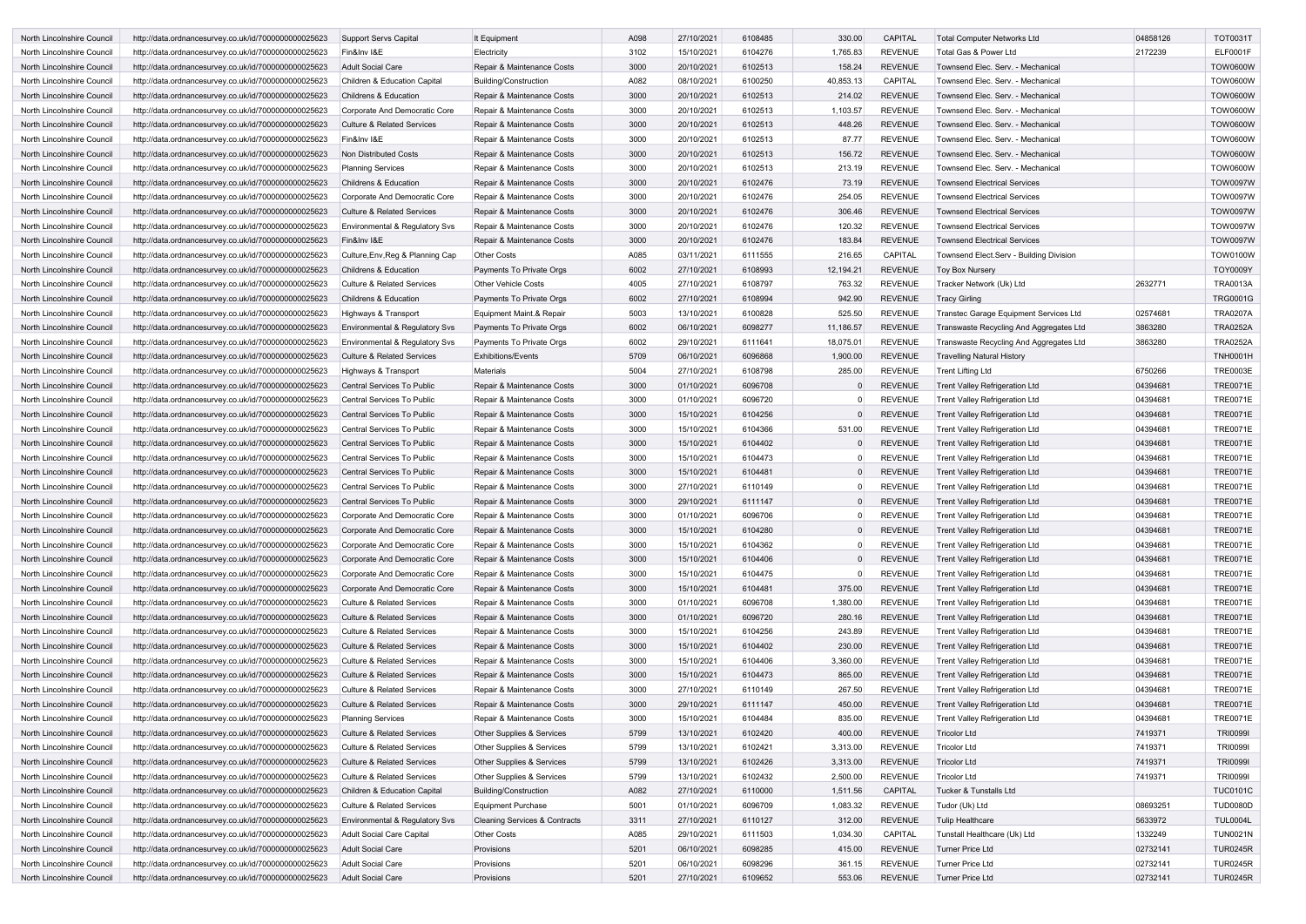| North Lincolnshire Council | http://data.ordnancesurvey.co.uk/id/7000000000025623 | <b>Support Servs Capital</b>              | It Equipment                             | A098 | 27/10/2021 | 6108485 | 330.00    | <b>CAPITAL</b> | Total Computer Networks Ltd             | 04858126 | <b>TOT0031T</b> |
|----------------------------|------------------------------------------------------|-------------------------------------------|------------------------------------------|------|------------|---------|-----------|----------------|-----------------------------------------|----------|-----------------|
| North Lincolnshire Council | http://data.ordnancesurvey.co.uk/id/7000000000025623 | Fin&Inv I&E                               | Electricity                              | 3102 | 15/10/2021 | 6104276 | 1,765.83  | <b>REVENUE</b> | Total Gas & Power Ltd                   | 2172239  | <b>ELF0001F</b> |
| North Lincolnshire Council | http://data.ordnancesurvey.co.uk/id/7000000000025623 | <b>Adult Social Care</b>                  | Repair & Maintenance Costs               | 3000 | 20/10/2021 | 6102513 | 158.24    | <b>REVENUE</b> | Townsend Elec. Serv. - Mechanical       |          | <b>TOW0600W</b> |
| North Lincolnshire Council | http://data.ordnancesurvey.co.uk/id/7000000000025623 | Children & Education Capital              | <b>Building/Construction</b>             | A082 | 08/10/2021 | 6100250 | 40,853.13 | <b>CAPITAL</b> | Townsend Elec. Serv. - Mechanical       |          | <b>TOW0600W</b> |
| North Lincolnshire Council | http://data.ordnancesurvey.co.uk/id/7000000000025623 | <b>Childrens &amp; Education</b>          | Repair & Maintenance Costs               | 3000 | 20/10/2021 | 6102513 | 214.02    | <b>REVENUE</b> | Townsend Elec. Serv. - Mechanical       |          | <b>TOW0600W</b> |
| North Lincolnshire Council | http://data.ordnancesurvey.co.uk/id/7000000000025623 | Corporate And Democratic Core             | Repair & Maintenance Costs               | 3000 | 20/10/2021 | 6102513 | 1,103.57  | <b>REVENUE</b> | Townsend Elec. Serv. - Mechanical       |          | <b>TOW0600W</b> |
| North Lincolnshire Council | http://data.ordnancesurvey.co.uk/id/7000000000025623 | <b>Culture &amp; Related Services</b>     | Repair & Maintenance Costs               | 3000 | 20/10/2021 | 6102513 | 448.26    | <b>REVENUE</b> | Townsend Elec. Serv. - Mechanical       |          | <b>TOW0600W</b> |
| North Lincolnshire Council | http://data.ordnancesurvey.co.uk/id/7000000000025623 | Fin&Inv I&E                               | Repair & Maintenance Costs               | 3000 | 20/10/2021 | 6102513 | 87.77     | <b>REVENUE</b> | Townsend Elec. Serv. - Mechanical       |          | <b>TOW0600W</b> |
| North Lincolnshire Council | http://data.ordnancesurvey.co.uk/id/7000000000025623 | Non Distributed Costs                     | Repair & Maintenance Costs               | 3000 | 20/10/2021 | 6102513 | 156.72    | <b>REVENUE</b> | Townsend Elec. Serv. - Mechanical       |          | <b>TOW0600W</b> |
| North Lincolnshire Council | http://data.ordnancesurvey.co.uk/id/7000000000025623 | <b>Planning Services</b>                  | Repair & Maintenance Costs               | 3000 | 20/10/2021 | 6102513 | 213.19    | <b>REVENUE</b> | Townsend Elec. Serv. - Mechanical       |          | <b>TOW0600W</b> |
| North Lincolnshire Council | http://data.ordnancesurvey.co.uk/id/7000000000025623 | <b>Childrens &amp; Education</b>          | Repair & Maintenance Costs               | 3000 | 20/10/2021 | 6102476 | 73.19     | <b>REVENUE</b> | <b>Townsend Electrical Services</b>     |          | <b>TOW0097W</b> |
| North Lincolnshire Council | http://data.ordnancesurvey.co.uk/id/7000000000025623 | Corporate And Democratic Core             | Repair & Maintenance Costs               | 3000 | 20/10/2021 | 6102476 | 254.05    | <b>REVENUE</b> | <b>Townsend Electrical Services</b>     |          | <b>TOW0097W</b> |
| North Lincolnshire Council | http://data.ordnancesurvey.co.uk/id/7000000000025623 | <b>Culture &amp; Related Services</b>     | Repair & Maintenance Costs               | 3000 | 20/10/2021 | 6102476 | 306.46    | <b>REVENUE</b> | <b>Townsend Electrical Services</b>     |          | <b>TOW0097W</b> |
| North Lincolnshire Council | http://data.ordnancesurvey.co.uk/id/7000000000025623 | Environmental & Regulatory Svs            | Repair & Maintenance Costs               | 3000 | 20/10/2021 | 6102476 | 120.32    | <b>REVENUE</b> | Townsend Electrical Services            |          | <b>TOW0097W</b> |
| North Lincolnshire Council | http://data.ordnancesurvey.co.uk/id/7000000000025623 | Fin&Inv I&E                               | Repair & Maintenance Costs               | 3000 | 20/10/2021 | 6102476 | 183.84    | <b>REVENUE</b> | <b>Townsend Electrical Services</b>     |          | <b>TOW0097W</b> |
| North Lincolnshire Council | http://data.ordnancesurvey.co.uk/id/7000000000025623 | Culture, Env, Reg & Planning Cap          | <b>Other Costs</b>                       | A085 | 03/11/2021 | 6111555 | 216.65    | CAPITAL        | Townsend Elect.Serv - Building Division |          | <b>TOW0100W</b> |
| North Lincolnshire Council | http://data.ordnancesurvey.co.uk/id/7000000000025623 | <b>Childrens &amp; Education</b>          | Payments To Private Orgs                 | 6002 | 27/10/2021 | 6108993 | 12,194.21 | <b>REVENUE</b> | <b>Toy Box Nurserv</b>                  |          | <b>TOY0009Y</b> |
| North Lincolnshire Council | http://data.ordnancesurvey.co.uk/id/7000000000025623 | <b>Culture &amp; Related Services</b>     | <b>Other Vehicle Costs</b>               | 4005 | 27/10/2021 | 6108797 | 763.32    | <b>REVENUE</b> | Tracker Network (Uk) Ltd                | 2632771  | <b>TRA0013A</b> |
| North Lincolnshire Council | http://data.ordnancesurvey.co.uk/id/7000000000025623 | <b>Childrens &amp; Education</b>          | Payments To Private Orgs                 | 6002 | 27/10/2021 | 6108994 | 942.90    | <b>REVENUE</b> | Tracy Girling                           |          | <b>TRG0001G</b> |
| North Lincolnshire Council |                                                      |                                           | Equipment Maint.& Repair                 | 5003 | 13/10/2021 | 6100828 | 525.50    | <b>REVENUE</b> |                                         | 02574681 | <b>TRA0207A</b> |
|                            | http://data.ordnancesurvey.co.uk/id/7000000000025623 | Highways & Transport                      |                                          |      |            |         | 11,186.57 |                | Transtec Garage Equipment Services Ltd  |          | <b>TRA0252A</b> |
| North Lincolnshire Council | http://data.ordnancesurvey.co.uk/id/7000000000025623 | Environmental & Regulatory Svs            | Payments To Private Orgs                 | 6002 | 06/10/2021 | 6098277 |           | <b>REVENUE</b> | Transwaste Recycling And Aggregates Ltd | 3863280  |                 |
| North Lincolnshire Council | http://data.ordnancesurvey.co.uk/id/7000000000025623 | Environmental & Regulatory Svs            | Payments To Private Orgs                 | 6002 | 29/10/2021 | 6111641 | 18,075.01 | <b>REVENUE</b> | Transwaste Recycling And Aggregates Ltd | 3863280  | <b>TRA0252A</b> |
| North Lincolnshire Council | http://data.ordnancesurvey.co.uk/id/7000000000025623 | <b>Culture &amp; Related Services</b>     | <b>Exhibitions/Events</b>                | 5709 | 06/10/2021 | 6096868 | 1,900.00  | <b>REVENUE</b> | Travelling Natural History              |          | <b>TNH0001H</b> |
| North Lincolnshire Council | http://data.ordnancesurvey.co.uk/id/7000000000025623 | Highways & Transport                      | Materials                                | 5004 | 27/10/2021 | 6108798 | 285.00    | <b>REVENUE</b> | <b>Trent Lifting Ltd</b>                | 6750266  | <b>TRE0003E</b> |
| North Lincolnshire Council | http://data.ordnancesurvey.co.uk/id/7000000000025623 | Central Services To Public                | Repair & Maintenance Costs               | 3000 | 01/10/2021 | 6096708 |           | <b>REVENUE</b> | Trent Valley Refrigeration Ltd          | 04394681 | <b>TRE0071E</b> |
| North Lincolnshire Council | http://data.ordnancesurvey.co.uk/id/7000000000025623 | Central Services To Public                | Repair & Maintenance Costs               | 3000 | 01/10/2021 | 6096720 |           | <b>REVENUE</b> | Trent Valley Refrigeration Ltd          | 04394681 | <b>TRE0071E</b> |
| North Lincolnshire Council | http://data.ordnancesurvey.co.uk/id/7000000000025623 | Central Services To Public                | Repair & Maintenance Costs               | 3000 | 15/10/2021 | 6104256 |           | <b>REVENUE</b> | <b>Trent Valley Refrigeration Ltd</b>   | 04394681 | <b>TRE0071E</b> |
| North Lincolnshire Council | http://data.ordnancesurvey.co.uk/id/7000000000025623 | Central Services To Public                | Repair & Maintenance Costs               | 3000 | 15/10/2021 | 6104366 | 531.00    | <b>REVENUE</b> | Trent Valley Refrigeration Ltd          | 04394681 | <b>TRE0071E</b> |
| North Lincolnshire Council | http://data.ordnancesurvey.co.uk/id/7000000000025623 | Central Services To Public                | Repair & Maintenance Costs               | 3000 | 15/10/2021 | 6104402 |           | <b>REVENUE</b> | Trent Valley Refrigeration Ltd          | 04394681 | <b>TRE0071E</b> |
| North Lincolnshire Council | http://data.ordnancesurvey.co.uk/id/7000000000025623 | Central Services To Public                | Repair & Maintenance Costs               | 3000 | 15/10/2021 | 6104473 |           | <b>REVENUE</b> | Trent Valley Refrigeration Ltd          | 04394681 | <b>TRE0071E</b> |
| North Lincolnshire Council | http://data.ordnancesurvey.co.uk/id/7000000000025623 | Central Services To Public                | Repair & Maintenance Costs               | 3000 | 15/10/2021 | 6104481 |           | <b>REVENUE</b> | <b>Trent Valley Refrigeration Ltd</b>   | 04394681 | <b>TRE0071E</b> |
| North Lincolnshire Council | http://data.ordnancesurvey.co.uk/id/7000000000025623 | Central Services To Public                | Repair & Maintenance Costs               | 3000 | 27/10/2021 | 6110149 |           | <b>REVENUE</b> | Trent Valley Refrigeration Ltd          | 04394681 | <b>TRE0071E</b> |
| North Lincolnshire Council | http://data.ordnancesurvey.co.uk/id/7000000000025623 | Central Services To Public                | Repair & Maintenance Costs               | 3000 | 29/10/2021 | 6111147 |           | <b>REVENUE</b> | Trent Valley Refrigeration Ltd          | 04394681 | <b>TRE0071E</b> |
| North Lincolnshire Council | http://data.ordnancesurvey.co.uk/id/7000000000025623 | Corporate And Democratic Core             | Repair & Maintenance Costs               | 3000 | 01/10/2021 | 6096706 |           | <b>REVENUE</b> | Trent Valley Refrigeration Ltd          | 04394681 | <b>TRE0071E</b> |
| North Lincolnshire Council | http://data.ordnancesurvey.co.uk/id/7000000000025623 | Corporate And Democratic Core             | Repair & Maintenance Costs               | 3000 | 15/10/2021 | 6104280 |           | <b>REVENUE</b> | <b>Trent Valley Refrigeration Ltd</b>   | 04394681 | <b>TRE0071E</b> |
| North Lincolnshire Council | http://data.ordnancesurvey.co.uk/id/7000000000025623 | Corporate And Democratic Core             | Repair & Maintenance Costs               | 3000 | 15/10/2021 | 6104362 |           | <b>REVENUE</b> | <b>Trent Valley Refrigeration Ltd</b>   | 04394681 | <b>TRE0071E</b> |
| North Lincolnshire Council | http://data.ordnancesurvey.co.uk/id/7000000000025623 | Corporate And Democratic Core             | Repair & Maintenance Costs               | 3000 | 15/10/2021 | 6104406 |           | <b>REVENUE</b> | <b>Trent Valley Refrigeration Ltd</b>   | 04394681 | <b>TRE0071E</b> |
| North Lincolnshire Council | http://data.ordnancesurvey.co.uk/id/7000000000025623 | Corporate And Democratic Core             | Repair & Maintenance Costs               | 3000 | 15/10/2021 | 6104475 |           | <b>REVENUE</b> | <b>Trent Valley Refrigeration Ltd</b>   | 04394681 | <b>TRE0071E</b> |
| North Lincolnshire Council | http://data.ordnancesurvey.co.uk/id/7000000000025623 | Corporate And Democratic Core             | Repair & Maintenance Costs               | 3000 | 15/10/2021 | 6104481 | 375.00    | <b>REVENUE</b> | <b>Trent Valley Refrigeration Ltd</b>   | 04394681 | <b>TRE0071E</b> |
| North Lincolnshire Council | http://data.ordnancesurvey.co.uk/id/7000000000025623 | <b>Culture &amp; Related Services</b>     | Repair & Maintenance Costs               | 3000 | 01/10/2021 | 6096708 | 1,380.00  | <b>REVENUE</b> | Trent Valley Refrigeration Ltd          | 04394681 | <b>TRE0071E</b> |
| North Lincolnshire Council | http://data.ordnancesurvey.co.uk/id/7000000000025623 | <b>Culture &amp; Related Services</b>     | Repair & Maintenance Costs               | 3000 | 01/10/2021 | 6096720 | 280.16    | <b>REVENUE</b> | <b>Trent Valley Refrigeration Ltd</b>   | 04394681 | <b>TRE0071E</b> |
| North Lincolnshire Council | http://data.ordnancesurvey.co.uk/id/7000000000025623 | Culture & Related Services                | Repair & Maintenance Costs               | 3000 | 15/10/2021 | 6104256 | 243.89    | <b>REVENUE</b> | <b>Trent Valley Refrigeration Ltd</b>   | 04394681 | <b>TRE0071E</b> |
| North Lincolnshire Council | http://data.ordnancesurvey.co.uk/id/7000000000025623 | <b>Culture &amp; Related Services</b>     | Repair & Maintenance Costs               | 3000 | 15/10/2021 | 6104402 | 230.00    | <b>REVENUE</b> | <b>Trent Valley Refrigeration Ltd</b>   | 04394681 | <b>TRE0071E</b> |
| North Lincolnshire Council | http://data.ordnancesurvey.co.uk/id/7000000000025623 | <b>Culture &amp; Related Services</b>     | Repair & Maintenance Costs               | 3000 | 15/10/2021 | 6104406 | 3,360.00  | <b>REVENUE</b> | <b>Trent Valley Refrigeration Ltd</b>   | 04394681 | <b>TRE0071E</b> |
| North Lincolnshire Council | http://data.ordnancesurvey.co.uk/id/7000000000025623 | <b>Culture &amp; Related Services</b>     | Repair & Maintenance Costs               | 3000 | 15/10/2021 | 6104473 | 865.00    | <b>REVENUE</b> | <b>Trent Valley Refrigeration Ltd</b>   | 04394681 | <b>TRE0071E</b> |
| North Lincolnshire Council | http://data.ordnancesurvey.co.uk/id/7000000000025623 | <b>Culture &amp; Related Services</b>     | Repair & Maintenance Costs               | 3000 | 27/10/2021 | 6110149 | 267.50    | <b>REVENUE</b> | <b>Trent Valley Refrigeration Ltd</b>   | 04394681 | <b>TRE0071E</b> |
| North Lincolnshire Council | http://data.ordnancesurvey.co.uk/id/7000000000025623 | Culture & Related Services                | Repair & Maintenance Costs               | 3000 | 29/10/2021 | 6111147 | 450.00    | <b>REVENUE</b> | <b>Trent Valley Refrigeration Ltd</b>   | 04394681 | <b>TRE0071E</b> |
| North Lincolnshire Council | http://data.ordnancesurvey.co.uk/id/7000000000025623 | <b>Planning Services</b>                  | Repair & Maintenance Costs               | 3000 | 15/10/2021 | 6104484 | 835.00    | <b>REVENUE</b> | <b>Trent Valley Refrigeration Ltd</b>   | 04394681 | <b>TRE0071E</b> |
| North Lincolnshire Council | http://data.ordnancesurvey.co.uk/id/7000000000025623 | <b>Culture &amp; Related Services</b>     | Other Supplies & Services                | 5799 | 13/10/2021 | 6102420 | 400.00    | <b>REVENUE</b> | <b>Tricolor Ltd</b>                     | 7419371  | <b>TRI0099I</b> |
| North Lincolnshire Council | http://data.ordnancesurvey.co.uk/id/7000000000025623 | <b>Culture &amp; Related Services</b>     | Other Supplies & Services                | 5799 | 13/10/2021 | 6102421 | 3,313.00  | <b>REVENUE</b> | Tricolor Ltd                            | 7419371  | <b>TRI0099I</b> |
| North Lincolnshire Council | http://data.ordnancesurvey.co.uk/id/7000000000025623 | <b>Culture &amp; Related Services</b>     | Other Supplies & Services                | 5799 | 13/10/2021 | 6102426 | 3,313.00  | <b>REVENUE</b> | <b>Tricolor Ltd</b>                     | 7419371  | <b>TRI0099I</b> |
| North Lincolnshire Council | http://data.ordnancesurvey.co.uk/id/7000000000025623 | <b>Culture &amp; Related Services</b>     | Other Supplies & Services                | 5799 | 13/10/2021 | 6102432 | 2,500.00  | <b>REVENUE</b> | <b>Tricolor Ltd</b>                     | 7419371  | <b>TRI0099I</b> |
| North Lincolnshire Council | http://data.ordnancesurvey.co.uk/id/7000000000025623 | Children & Education Capital              | <b>Building/Construction</b>             | A082 | 27/10/2021 | 6110000 | 1,511.56  | <b>CAPITAL</b> | <b>Tucker &amp; Tunstalls Ltd</b>       |          | <b>TUC0101C</b> |
| North Lincolnshire Council | http://data.ordnancesurvey.co.uk/id/7000000000025623 | Culture & Related Services                | Equipment Purchase                       | 5001 | 01/10/2021 | 6096709 | 1,083.32  | <b>REVENUE</b> | Tudor (Uk) Ltd                          | 08693251 | <b>TUD0080D</b> |
| North Lincolnshire Council | http://data.ordnancesurvey.co.uk/id/7000000000025623 | <b>Environmental &amp; Regulatory Svs</b> | <b>Cleaning Services &amp; Contracts</b> | 3311 | 27/10/2021 | 6110127 | 312.00    | <b>REVENUE</b> | <b>Tulip Healthcare</b>                 | 5633972  | <b>TUL0004L</b> |
| North Lincolnshire Council | http://data.ordnancesurvey.co.uk/id/7000000000025623 | Adult Social Care Capital                 | <b>Other Costs</b>                       | A085 | 29/10/2021 | 6111503 | 1,034.30  | CAPITAL        | Tunstall Healthcare (Uk) Ltd            | 1332249  | <b>TUN0021N</b> |
| North Lincolnshire Council | http://data.ordnancesurvey.co.uk/id/7000000000025623 | <b>Adult Social Care</b>                  | Provisions                               | 5201 | 06/10/2021 | 6098285 | 415.00    | <b>REVENUE</b> | <b>Turner Price Ltd</b>                 | 02732141 | <b>TUR0245R</b> |
| North Lincolnshire Council | http://data.ordnancesurvey.co.uk/id/7000000000025623 | <b>Adult Social Care</b>                  | Provisions                               | 5201 | 06/10/2021 | 6098296 | 361.15    | <b>REVENUE</b> | <b>Turner Price Ltd</b>                 | 02732141 | <b>TUR0245R</b> |
| North Lincolnshire Council | http://data.ordnancesurvey.co.uk/id/7000000000025623 | Adult Social Care                         | Provisions                               | 5201 | 27/10/2021 | 6109652 | 553.06    | <b>REVENUE</b> | Turner Price Ltd                        | 02732141 | <b>TUR0245R</b> |
|                            |                                                      |                                           |                                          |      |            |         |           |                |                                         |          |                 |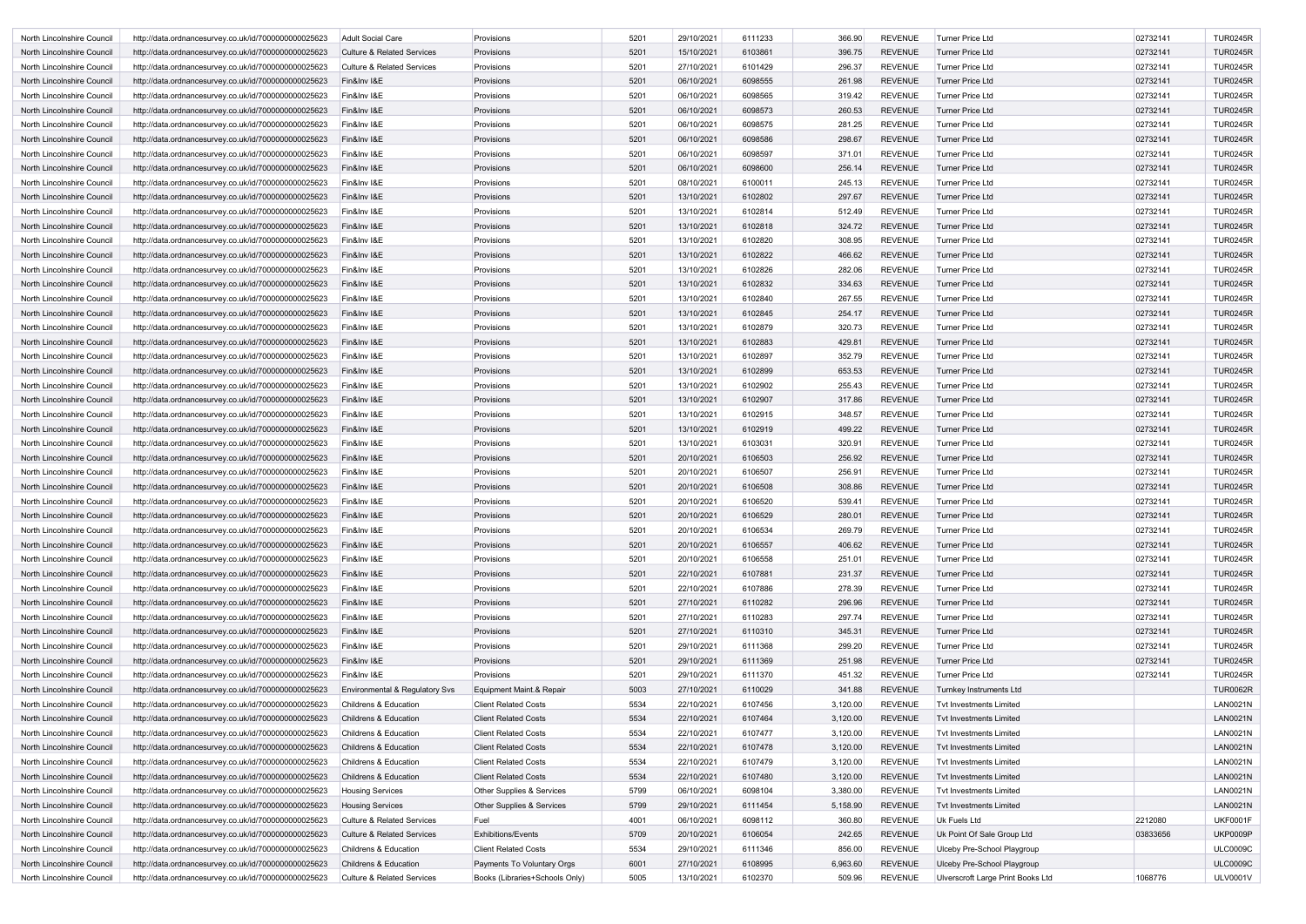| North Lincolnshire Council | http://data.ordnancesurvey.co.uk/id/7000000000025623 | Adult Social Care                         | Provisions                     | 5201 | 29/10/2021 | 6111233 | 366.90   | <b>REVENUE</b> | Turner Price Ltd                  | 02732141 | <b>TUR0245R</b> |
|----------------------------|------------------------------------------------------|-------------------------------------------|--------------------------------|------|------------|---------|----------|----------------|-----------------------------------|----------|-----------------|
| North Lincolnshire Council | http://data.ordnancesurvey.co.uk/id/7000000000025623 | <b>Culture &amp; Related Services</b>     | Provisions                     | 5201 | 15/10/2021 | 6103861 | 396.75   | <b>REVENUE</b> | Turner Price Ltd                  | 02732141 | <b>TUR0245R</b> |
| North Lincolnshire Council | http://data.ordnancesurvey.co.uk/id/7000000000025623 | Culture & Related Services                | Provisions                     | 5201 | 27/10/2021 | 6101429 | 296.37   | <b>REVENUE</b> | Turner Price Ltd                  | 02732141 | <b>TUR0245R</b> |
| North Lincolnshire Council | http://data.ordnancesurvey.co.uk/id/7000000000025623 | Fin&Inv I&E                               | Provisions                     | 5201 | 06/10/2021 | 6098555 | 261.98   | <b>REVENUE</b> | <b>Turner Price Ltd</b>           | 02732141 | <b>TUR0245R</b> |
| North Lincolnshire Council | http://data.ordnancesurvey.co.uk/id/7000000000025623 | Fin&Inv I&E                               | Provisions                     | 5201 | 06/10/2021 | 6098565 | 319.42   | <b>REVENUE</b> | <b>Turner Price Ltd</b>           | 02732141 | <b>TUR0245R</b> |
| North Lincolnshire Council | http://data.ordnancesurvey.co.uk/id/7000000000025623 | Fin&Inv I&E                               | Provisions                     | 5201 | 06/10/2021 | 6098573 | 260.53   | <b>REVENUE</b> | Turner Price Ltd                  | 02732141 | <b>TUR0245R</b> |
| North Lincolnshire Council | http://data.ordnancesurvey.co.uk/id/7000000000025623 | Fin&Inv I&E                               | Provisions                     | 5201 | 06/10/2021 | 6098575 | 281.25   | <b>REVENUE</b> | Turner Price Ltd                  | 02732141 | <b>TUR0245R</b> |
| North Lincolnshire Council | http://data.ordnancesurvey.co.uk/id/7000000000025623 | Fin&Inv I&E                               | Provisions                     | 5201 | 06/10/2021 | 6098586 | 298.67   | <b>REVENUE</b> | <b>Turner Price Ltd</b>           | 02732141 | <b>TUR0245R</b> |
| North Lincolnshire Council | http://data.ordnancesurvey.co.uk/id/7000000000025623 | Fin&Inv I&E                               | Provisions                     | 5201 | 06/10/2021 | 6098597 | 371.01   | <b>REVENUE</b> | Turner Price Ltd                  | 02732141 | <b>TUR0245R</b> |
| North Lincolnshire Council | http://data.ordnancesurvey.co.uk/id/7000000000025623 | Fin&Inv I&E                               | Provisions                     | 5201 | 06/10/2021 | 6098600 | 256.14   | <b>REVENUE</b> | <b>Turner Price Ltd</b>           | 02732141 | <b>TUR0245R</b> |
| North Lincolnshire Council | http://data.ordnancesurvey.co.uk/id/7000000000025623 | Fin&Inv I&E                               | Provisions                     | 5201 | 08/10/2021 | 6100011 | 245.13   | <b>REVENUE</b> | <b>Turner Price Ltd</b>           | 02732141 | <b>TUR0245R</b> |
|                            |                                                      | Fin&Inv I&E                               |                                | 5201 |            | 6102802 | 297.67   | <b>REVENUE</b> |                                   |          | <b>TUR0245R</b> |
| North Lincolnshire Council | http://data.ordnancesurvey.co.uk/id/7000000000025623 |                                           | Provisions                     |      | 13/10/2021 |         |          |                | Turner Price Ltd                  | 02732141 |                 |
| North Lincolnshire Council | http://data.ordnancesurvey.co.uk/id/7000000000025623 | Fin&Inv I&E                               | Provisions                     | 5201 | 13/10/2021 | 6102814 | 512.49   | <b>REVENUE</b> | Turner Price Ltd                  | 02732141 | <b>TUR0245R</b> |
| North Lincolnshire Council | http://data.ordnancesurvey.co.uk/id/7000000000025623 | Fin&Inv I&E                               | Provisions                     | 5201 | 13/10/2021 | 6102818 | 324.72   | <b>REVENUE</b> | <b>Turner Price Ltd</b>           | 02732141 | <b>TUR0245R</b> |
| North Lincolnshire Council | http://data.ordnancesurvey.co.uk/id/7000000000025623 | Fin&Inv I&E                               | Provisions                     | 5201 | 13/10/2021 | 6102820 | 308.95   | <b>REVENUE</b> | <b>Turner Price Ltd</b>           | 02732141 | <b>TUR0245R</b> |
| North Lincolnshire Council | http://data.ordnancesurvey.co.uk/id/7000000000025623 | Fin&Inv I&E                               | Provisions                     | 5201 | 13/10/2021 | 6102822 | 466.62   | <b>REVENUE</b> | Turner Price Ltd                  | 02732141 | <b>TUR0245R</b> |
| North Lincolnshire Council | http://data.ordnancesurvey.co.uk/id/7000000000025623 | Fin&Inv I&E                               | Provisions                     | 5201 | 13/10/2021 | 6102826 | 282.06   | <b>REVENUE</b> | Turner Price Ltd                  | 02732141 | <b>TUR0245R</b> |
| North Lincolnshire Council | http://data.ordnancesurvey.co.uk/id/7000000000025623 | Fin&Inv I&E                               | Provisions                     | 5201 | 13/10/2021 | 6102832 | 334.63   | <b>REVENUE</b> | <b>Turner Price Ltd</b>           | 02732141 | <b>TUR0245R</b> |
| North Lincolnshire Council | http://data.ordnancesurvey.co.uk/id/7000000000025623 | Fin&Inv I&E                               | Provisions                     | 5201 | 13/10/2021 | 6102840 | 267.55   | <b>REVENUE</b> | Turner Price Ltd                  | 02732141 | <b>TUR0245R</b> |
| North Lincolnshire Council | http://data.ordnancesurvey.co.uk/id/7000000000025623 | Fin&Inv I&E                               | Provisions                     | 5201 | 13/10/2021 | 6102845 | 254.17   | <b>REVENUE</b> | <b>Turner Price Ltd</b>           | 02732141 | <b>TUR0245R</b> |
| North Lincolnshire Council | http://data.ordnancesurvey.co.uk/id/7000000000025623 | Fin&Inv I&E                               | Provisions                     | 5201 | 13/10/2021 | 6102879 | 320.73   | <b>REVENUE</b> | <b>Turner Price Ltd</b>           | 02732141 | <b>TUR0245R</b> |
| North Lincolnshire Council | http://data.ordnancesurvey.co.uk/id/7000000000025623 | Fin&Inv I&E                               | Provisions                     | 5201 | 13/10/2021 | 6102883 | 429.81   | <b>REVENUE</b> | Turner Price Ltd                  | 02732141 | <b>TUR0245R</b> |
| North Lincolnshire Council | http://data.ordnancesurvey.co.uk/id/7000000000025623 | Fin&Inv I&E                               | Provisions                     | 5201 | 13/10/2021 | 6102897 | 352.79   | <b>REVENUE</b> | Turner Price Ltd                  | 02732141 | <b>TUR0245R</b> |
| North Lincolnshire Council | http://data.ordnancesurvey.co.uk/id/7000000000025623 | Fin&Inv I&E                               | Provisions                     | 5201 | 13/10/2021 | 6102899 | 653.53   | <b>REVENUE</b> | <b>Turner Price Ltd</b>           | 02732141 | <b>TUR0245R</b> |
| North Lincolnshire Council | http://data.ordnancesurvey.co.uk/id/7000000000025623 | Fin&Inv I&E                               | Provisions                     | 5201 | 13/10/2021 | 6102902 | 255.43   | <b>REVENUE</b> | <b>Turner Price Ltd</b>           | 02732141 | <b>TUR0245R</b> |
| North Lincolnshire Council | http://data.ordnancesurvey.co.uk/id/7000000000025623 | Fin&Inv I&E                               | Provisions                     | 5201 | 13/10/2021 | 6102907 | 317.86   | <b>REVENUE</b> | Turner Price Ltd                  | 02732141 | <b>TUR0245R</b> |
| North Lincolnshire Council | http://data.ordnancesurvey.co.uk/id/7000000000025623 | Fin&Inv I&E                               | Provisions                     | 5201 | 13/10/2021 | 6102915 | 348.57   | <b>REVENUE</b> | Turner Price Ltd                  | 02732141 | <b>TUR0245R</b> |
| North Lincolnshire Council | http://data.ordnancesurvey.co.uk/id/7000000000025623 | Fin&Inv I&E                               | Provisions                     | 5201 | 13/10/2021 | 6102919 | 499.22   | <b>REVENUE</b> | <b>Turner Price Ltd</b>           | 02732141 | <b>TUR0245R</b> |
| North Lincolnshire Council | http://data.ordnancesurvey.co.uk/id/7000000000025623 | Fin&Inv I&E                               | Provisions                     | 5201 | 13/10/2021 | 6103031 | 320.91   | <b>REVENUE</b> | Turner Price Ltd                  | 02732141 | <b>TUR0245R</b> |
| North Lincolnshire Council | http://data.ordnancesurvey.co.uk/id/7000000000025623 | Fin&Inv I&E                               | Provisions                     | 5201 | 20/10/2021 | 6106503 | 256.92   | <b>REVENUE</b> | <b>Turner Price Ltd</b>           | 02732141 | <b>TUR0245R</b> |
| North Lincolnshire Council | http://data.ordnancesurvey.co.uk/id/7000000000025623 | Fin&Inv I&E                               | Provisions                     | 5201 | 20/10/2021 | 6106507 | 256.91   | <b>REVENUE</b> | <b>Turner Price Ltd</b>           | 02732141 | <b>TUR0245R</b> |
| North Lincolnshire Council | http://data.ordnancesurvey.co.uk/id/7000000000025623 | Fin&Inv I&E                               | Provisions                     | 5201 | 20/10/2021 | 6106508 | 308.86   | <b>REVENUE</b> | Turner Price Ltd                  | 02732141 | <b>TUR0245R</b> |
| North Lincolnshire Council | http://data.ordnancesurvey.co.uk/id/7000000000025623 | Fin&Inv I&E                               | Provisions                     | 5201 | 20/10/2021 | 6106520 | 539.41   | <b>REVENUE</b> | <b>Turner Price Ltd</b>           | 02732141 | <b>TUR0245R</b> |
| North Lincolnshire Council | http://data.ordnancesurvey.co.uk/id/7000000000025623 | Fin&Inv I&E                               | Provisions                     | 5201 | 20/10/2021 | 6106529 | 280.01   | <b>REVENUE</b> | Turner Price Ltd                  | 02732141 | <b>TUR0245R</b> |
|                            |                                                      |                                           |                                | 5201 | 20/10/2021 | 6106534 | 269.79   | <b>REVENUE</b> |                                   | 02732141 | <b>TUR0245R</b> |
| North Lincolnshire Council | http://data.ordnancesurvey.co.uk/id/7000000000025623 | Fin&Inv I&E                               | Provisions                     |      |            |         |          |                | Turner Price Ltd                  |          |                 |
| North Lincolnshire Council | http://data.ordnancesurvey.co.uk/id/7000000000025623 | Fin&Inv I&E                               | Provisions                     | 5201 | 20/10/2021 | 6106557 | 406.62   | <b>REVENUE</b> | <b>Turner Price Ltd</b>           | 02732141 | <b>TUR0245R</b> |
| North Lincolnshire Council | http://data.ordnancesurvey.co.uk/id/7000000000025623 | Fin&Inv I&E                               | Provisions                     | 5201 | 20/10/2021 | 6106558 | 251.01   | <b>REVENUE</b> | Turner Price Ltd                  | 02732141 | <b>TUR0245R</b> |
| North Lincolnshire Council | http://data.ordnancesurvey.co.uk/id/7000000000025623 | Fin&Inv I&E                               | Provisions                     | 5201 | 22/10/2021 | 6107881 | 231.37   | <b>REVENUE</b> | <b>Turner Price Ltd</b>           | 02732141 | <b>TUR0245R</b> |
| North Lincolnshire Council | http://data.ordnancesurvey.co.uk/id/7000000000025623 | Fin&Inv I&E                               | Provisions                     | 5201 | 22/10/2021 | 6107886 | 278.39   | <b>REVENUE</b> | Turner Price Ltd                  | 02732141 | <b>TUR0245R</b> |
| North Lincolnshire Council | http://data.ordnancesurvey.co.uk/id/7000000000025623 | Fin&Inv I&E                               | Provisions                     | 5201 | 27/10/2021 | 6110282 | 296.96   | <b>REVENUE</b> | <b>Turner Price Ltd</b>           | 02732141 | <b>TUR0245R</b> |
| North Lincolnshire Council | http://data.ordnancesurvey.co.uk/id/7000000000025623 | Fin&Inv I&E                               | Provisions                     | 5201 | 27/10/2021 | 6110283 | 297.74   | <b>REVENUE</b> | Turner Price Ltd                  | 02732141 | <b>TUR0245R</b> |
| North Lincolnshire Council | http://data.ordnancesurvey.co.uk/id/7000000000025623 | Fin&Inv I&E                               | Provisions                     | 5201 | 27/10/2021 | 6110310 | 345.31   | <b>REVENUE</b> | <b>Turner Price Ltd</b>           | 02732141 | <b>TUR0245R</b> |
| North Lincolnshire Council | http://data.ordnancesurvey.co.uk/id/7000000000025623 | Fin&Inv I&E                               | Provisions                     | 5201 | 29/10/2021 | 6111368 | 299.20   | <b>REVENUE</b> | Turner Price Ltd                  | 02732141 | <b>TUR0245R</b> |
| North Lincolnshire Council | http://data.ordnancesurvey.co.uk/id/7000000000025623 | Fin&Inv I&E                               | Provisions                     | 5201 | 29/10/2021 | 6111369 | 251.98   | <b>REVENUE</b> | <b>Turner Price Ltd</b>           | 02732141 | <b>TUR0245R</b> |
| North Lincolnshire Council | http://data.ordnancesurvey.co.uk/id/7000000000025623 | Fin&Inv I&E                               | Provisions                     | 5201 | 29/10/2021 | 6111370 | 451.32   | <b>REVENUE</b> | <b>Turner Price Ltd</b>           | 02732141 | <b>TUR0245R</b> |
| North Lincolnshire Council | http://data.ordnancesurvey.co.uk/id/7000000000025623 | <b>Environmental &amp; Regulatory Svs</b> | Equipment Maint.& Repair       | 5003 | 27/10/2021 | 6110029 | 341.88   | <b>REVENUE</b> | Turnkey Instruments Ltd           |          | <b>TUR0062R</b> |
| North Lincolnshire Council | http://data.ordnancesurvey.co.uk/id/7000000000025623 | Childrens & Education                     | <b>Client Related Costs</b>    | 5534 | 22/10/2021 | 6107456 | 3,120.00 | <b>REVENUE</b> | <b>Tvt Investments Limited</b>    |          | <b>LAN0021N</b> |
| North Lincolnshire Council | http://data.ordnancesurvey.co.uk/id/7000000000025623 | Childrens & Education                     | <b>Client Related Costs</b>    | 5534 | 22/10/2021 | 6107464 | 3,120.00 | <b>REVENUE</b> | Tyt Investments Limited           |          | <b>LAN0021N</b> |
| North Lincolnshire Council | http://data.ordnancesurvey.co.uk/id/7000000000025623 | Childrens & Education                     | <b>Client Related Costs</b>    | 5534 | 22/10/2021 | 6107477 | 3,120.00 | <b>REVENUE</b> | Tvt Investments Limited           |          | <b>LAN0021N</b> |
| North Lincolnshire Council | http://data.ordnancesurvey.co.uk/id/7000000000025623 | Childrens & Education                     | <b>Client Related Costs</b>    | 5534 | 22/10/2021 | 6107478 | 3,120.00 | <b>REVENUE</b> | Tvt Investments Limited           |          | <b>LAN0021N</b> |
| North Lincolnshire Council | http://data.ordnancesurvey.co.uk/id/7000000000025623 | Childrens & Education                     | <b>Client Related Costs</b>    | 5534 | 22/10/2021 | 6107479 | 3,120.00 | <b>REVENUE</b> | Tvt Investments Limited           |          | <b>LAN0021N</b> |
| North Lincolnshire Council | http://data.ordnancesurvey.co.uk/id/7000000000025623 | <b>Childrens &amp; Education</b>          | <b>Client Related Costs</b>    | 5534 | 22/10/2021 | 6107480 | 3,120.00 | <b>REVENUE</b> | Tvt Investments Limited           |          | <b>LAN0021N</b> |
| North Lincolnshire Council | http://data.ordnancesurvey.co.uk/id/7000000000025623 | <b>Housing Services</b>                   | Other Supplies & Services      | 5799 | 06/10/2021 | 6098104 | 3,380.00 | <b>REVENUE</b> | Tvt Investments Limited           |          | <b>LAN0021N</b> |
| North Lincolnshire Council | http://data.ordnancesurvey.co.uk/id/7000000000025623 | <b>Housing Services</b>                   | Other Supplies & Services      | 5799 | 29/10/2021 | 6111454 | 5,158.90 | <b>REVENUE</b> | <b>Tvt Investments Limited</b>    |          | <b>LAN0021N</b> |
| North Lincolnshire Council | http://data.ordnancesurvey.co.uk/id/7000000000025623 | Culture & Related Services                | Fuel                           | 4001 | 06/10/2021 | 6098112 | 360.80   | <b>REVENUE</b> | Uk Fuels Ltd                      | 2212080  | <b>UKF0001F</b> |
| North Lincolnshire Council | http://data.ordnancesurvey.co.uk/id/7000000000025623 | <b>Culture &amp; Related Services</b>     | <b>Exhibitions/Events</b>      | 5709 | 20/10/2021 | 6106054 | 242.65   | <b>REVENUE</b> | Uk Point Of Sale Group Ltd        | 03833656 | <b>UKP0009P</b> |
| North Lincolnshire Council | http://data.ordnancesurvey.co.uk/id/7000000000025623 | Childrens & Education                     | <b>Client Related Costs</b>    | 5534 | 29/10/2021 | 6111346 | 856.00   | <b>REVENUE</b> | Ulceby Pre-School Playgroup       |          | <b>ULC0009C</b> |
| North Lincolnshire Council | http://data.ordnancesurvey.co.uk/id/7000000000025623 | Childrens & Education                     | Payments To Voluntary Orgs     | 6001 | 27/10/2021 | 6108995 | 6,963.60 | <b>REVENUE</b> | Ulceby Pre-School Playgroup       |          | <b>ULC0009C</b> |
| North Lincolnshire Council | http://data.ordnancesurvey.co.uk/id/7000000000025623 | Culture & Related Services                | Books (Libraries+Schools Only) | 5005 | 13/10/2021 | 6102370 | 509.96   | <b>REVENUE</b> | Ulverscroft Large Print Books Ltd | 1068776  | <b>ULV0001V</b> |
|                            |                                                      |                                           |                                |      |            |         |          |                |                                   |          |                 |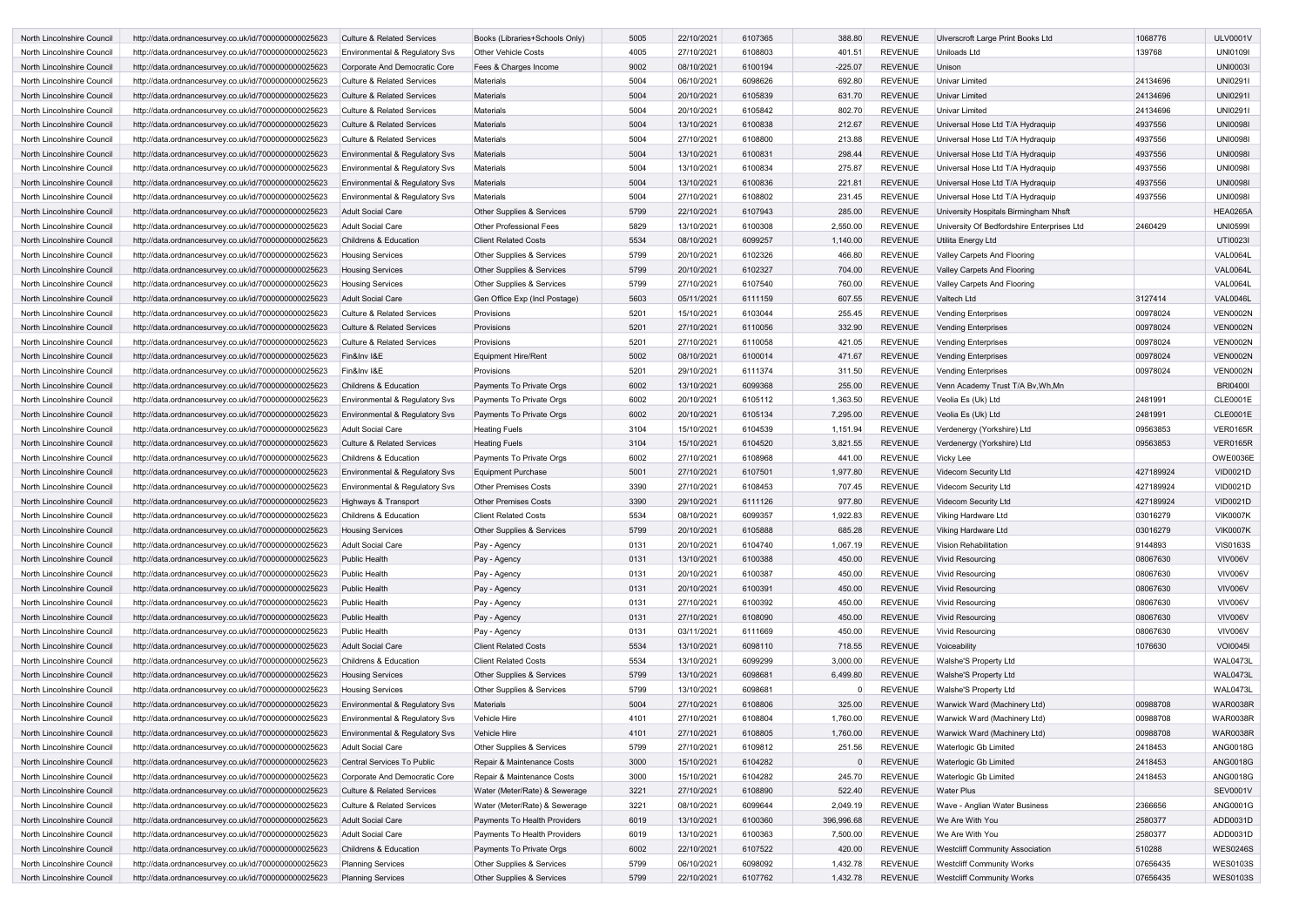| North Lincolnshire Council                               | http://data.ordnancesurvey.co.uk/id/7000000000025623                                                         | <b>Culture &amp; Related Services</b>                      | Books (Libraries+Schools Only)                             | 5005         | 22/10/2021               | 6107365            | 388.80             | <b>REVENUE</b>                   | Ulverscroft Large Print Books Ltd                                          | 1068776               | <b>ULV0001V</b>                    |
|----------------------------------------------------------|--------------------------------------------------------------------------------------------------------------|------------------------------------------------------------|------------------------------------------------------------|--------------|--------------------------|--------------------|--------------------|----------------------------------|----------------------------------------------------------------------------|-----------------------|------------------------------------|
| North Lincolnshire Council                               | http://data.ordnancesurvey.co.uk/id/7000000000025623                                                         | Environmental & Regulatory Svs                             | <b>Other Vehicle Costs</b>                                 | 4005         | 27/10/2021               | 6108803            | 401.51             | <b>REVENUE</b>                   | Uniloads Ltd                                                               | 139768                | <b>UNI0109I</b>                    |
| North Lincolnshire Council                               | http://data.ordnancesurvey.co.uk/id/7000000000025623                                                         | Corporate And Democratic Core                              | Fees & Charges Income                                      | 9002         | 08/10/2021               | 6100194            | $-225.07$          | <b>REVENUE</b>                   | Unison                                                                     |                       | <b>UNI0003I</b>                    |
| North Lincolnshire Council                               | http://data.ordnancesurvey.co.uk/id/7000000000025623                                                         | <b>Culture &amp; Related Services</b>                      | <b>Materials</b>                                           | 5004         | 06/10/2021               | 6098626            | 692.80             | <b>REVENUE</b>                   | <b>Univar Limited</b>                                                      | 24134696              | <b>UNI0291I</b>                    |
| North Lincolnshire Council                               | http://data.ordnancesurvey.co.uk/id/7000000000025623                                                         | <b>Culture &amp; Related Services</b>                      | <b>Materials</b>                                           | 5004         | 20/10/2021               | 6105839            | 631.70             | <b>REVENUE</b>                   | <b>Univar Limited</b>                                                      | 24134696              | <b>UNI0291I</b>                    |
| North Lincolnshire Council                               | http://data.ordnancesurvey.co.uk/id/7000000000025623                                                         | <b>Culture &amp; Related Services</b>                      | <b>Materials</b>                                           | 5004         | 20/10/2021               | 6105842            | 802.70             | <b>REVENUE</b>                   | <b>Univar Limited</b>                                                      | 24134696              | <b>UNI0291I</b>                    |
| North Lincolnshire Council                               | http://data.ordnancesurvey.co.uk/id/7000000000025623                                                         | <b>Culture &amp; Related Services</b>                      | <b>Materials</b>                                           | 5004         | 13/10/2021               | 6100838            | 212.67             | <b>REVENUE</b>                   | Universal Hose Ltd T/A Hydraquip                                           | 4937556               | <b>UNI0098I</b>                    |
| North Lincolnshire Council                               | http://data.ordnancesurvey.co.uk/id/7000000000025623                                                         | Culture & Related Services                                 | Materials                                                  | 5004         | 27/10/2021               | 6108800            | 213.88             | <b>REVENUE</b>                   | Universal Hose Ltd T/A Hydraquip                                           | 4937556               | <b>UNI0098I</b>                    |
| North Lincolnshire Council                               | http://data.ordnancesurvey.co.uk/id/7000000000025623                                                         | Environmental & Regulatory Svs                             | <b>Materials</b>                                           | 5004         | 13/10/2021               | 6100831            | 298.44             | <b>REVENUE</b>                   | Universal Hose Ltd T/A Hydraquip                                           | 4937556               | <b>UNI0098I</b>                    |
| North Lincolnshire Council                               | http://data.ordnancesurvey.co.uk/id/7000000000025623                                                         | Environmental & Regulatory Svs                             | Materials                                                  | 5004         | 13/10/2021               | 6100834            | 275.87             | <b>REVENUE</b>                   | Universal Hose Ltd T/A Hydraquip                                           | 4937556               | <b>UNI0098I</b>                    |
| North Lincolnshire Council                               | http://data.ordnancesurvey.co.uk/id/7000000000025623                                                         | Environmental & Regulatory Svs                             | <b>Materials</b>                                           | 5004         | 13/10/2021               | 6100836            | 221.81             | <b>REVENUE</b>                   | Universal Hose Ltd T/A Hydraquip                                           | 4937556               | <b>UNI0098I</b>                    |
| North Lincolnshire Council                               | http://data.ordnancesurvey.co.uk/id/7000000000025623                                                         | Environmental & Regulatory Svs                             | <b>Materials</b>                                           | 5004         | 27/10/2021               | 6108802            | 231.45             | <b>REVENUE</b>                   | Universal Hose Ltd T/A Hydraquip                                           | 4937556               | <b>UNI0098I</b>                    |
| North Lincolnshire Council                               | http://data.ordnancesurvey.co.uk/id/7000000000025623                                                         | <b>Adult Social Care</b>                                   | Other Supplies & Services                                  | 5799         | 22/10/2021               | 6107943            | 285.00             | <b>REVENUE</b>                   | University Hospitals Birmingham Nhsft                                      |                       | <b>HEA0265A</b>                    |
| North Lincolnshire Council                               | http://data.ordnancesurvey.co.uk/id/7000000000025623                                                         | <b>Adult Social Care</b>                                   | <b>Other Professional Fees</b>                             | 5829         | 13/10/2021               | 6100308            | 2,550.00           | <b>REVENUE</b>                   | University Of Bedfordshire Enterprises Ltd                                 | 2460429               | <b>UNI05991</b>                    |
| North Lincolnshire Council                               | http://data.ordnancesurvey.co.uk/id/7000000000025623                                                         | <b>Childrens &amp; Education</b>                           | <b>Client Related Costs</b>                                | 5534         | 08/10/2021               | 6099257            | 1,140.00           | <b>REVENUE</b>                   | Utilita Energy Ltd                                                         |                       | UTI0023I                           |
| North Lincolnshire Council                               | http://data.ordnancesurvey.co.uk/id/7000000000025623                                                         | <b>Housing Services</b>                                    | Other Supplies & Services                                  | 5799         | 20/10/2021               | 6102326            | 466.80             | <b>REVENUE</b>                   | Valley Carpets And Flooring                                                |                       | <b>VAL0064L</b>                    |
| North Lincolnshire Council                               | http://data.ordnancesurvey.co.uk/id/7000000000025623                                                         | <b>Housing Services</b>                                    | Other Supplies & Services                                  | 5799         | 20/10/2021               | 6102327            | 704.00             | <b>REVENUE</b>                   | Valley Carpets And Flooring                                                |                       | <b>VAL0064L</b>                    |
| North Lincolnshire Council                               | http://data.ordnancesurvey.co.uk/id/7000000000025623                                                         | <b>Housing Services</b>                                    | Other Supplies & Services                                  | 5799         | 27/10/2021               | 6107540            | 760.00             | <b>REVENUE</b>                   | Valley Carpets And Flooring                                                |                       | <b>VAL0064L</b>                    |
|                                                          | http://data.ordnancesurvey.co.uk/id/7000000000025623                                                         | <b>Adult Social Care</b>                                   | Gen Office Exp (Incl Postage)                              | 5603         | 05/11/2021               | 6111159            | 607.55             | <b>REVENUE</b>                   | Valtech Ltd                                                                | 3127414               | <b>VAL0046L</b>                    |
| North Lincolnshire Council                               |                                                                                                              |                                                            |                                                            | 5201         | 15/10/2021               | 6103044            | 255.45             | <b>REVENUE</b>                   |                                                                            | 00978024              | <b>VEN0002N</b>                    |
| North Lincolnshire Council                               | http://data.ordnancesurvey.co.uk/id/7000000000025623                                                         | <b>Culture &amp; Related Services</b>                      | Provisions                                                 |              |                          |                    |                    |                                  | <b>Vending Enterprises</b>                                                 |                       |                                    |
| North Lincolnshire Council                               | http://data.ordnancesurvey.co.uk/id/7000000000025623                                                         | <b>Culture &amp; Related Services</b>                      | Provisions                                                 | 5201<br>5201 | 27/10/2021               | 6110056            | 332.90             | <b>REVENUE</b>                   | <b>Vending Enterprises</b><br><b>Vending Enterprises</b>                   | 00978024              | <b>VEN0002N</b>                    |
| North Lincolnshire Council                               | http://data.ordnancesurvey.co.uk/id/7000000000025623                                                         | Culture & Related Services                                 | Provisions                                                 | 5002         | 27/10/2021               | 6110058            | 421.05             | <b>REVENUE</b>                   |                                                                            | 00978024              | <b>VEN0002N</b>                    |
| North Lincolnshire Council                               | http://data.ordnancesurvey.co.uk/id/7000000000025623                                                         | Fin&Inv I&E                                                | <b>Equipment Hire/Rent</b>                                 | 5201         | 08/10/2021<br>29/10/2021 | 6100014            | 471.67             | <b>REVENUE</b>                   | <b>Vending Enterprises</b>                                                 | 00978024              | <b>VEN0002N</b><br><b>VEN0002N</b> |
| North Lincolnshire Council                               | http://data.ordnancesurvey.co.uk/id/7000000000025623                                                         | Fin&Inv I&E                                                | Provisions                                                 |              |                          | 6111374            | 311.50             | <b>REVENUE</b>                   | <b>Vending Enterprises</b>                                                 | 00978024              |                                    |
| North Lincolnshire Council                               | http://data.ordnancesurvey.co.uk/id/7000000000025623                                                         | <b>Childrens &amp; Education</b>                           | Payments To Private Orgs                                   | 6002         | 13/10/2021<br>20/10/2021 | 6099368            | 255.00<br>1,363.50 | <b>REVENUE</b><br><b>REVENUE</b> | Venn Academy Trust T/A By, Wh, Mn                                          |                       | <b>BRI0400I</b><br><b>CLE0001E</b> |
| North Lincolnshire Council<br>North Lincolnshire Council | http://data.ordnancesurvey.co.uk/id/7000000000025623                                                         | Environmental & Regulatory Svs                             | Payments To Private Orgs                                   | 6002<br>6002 | 20/10/2021               | 6105112<br>6105134 | 7,295.00           | <b>REVENUE</b>                   | Veolia Es (Uk) Ltd                                                         | 2481991<br>2481991    | <b>CLE0001E</b>                    |
| North Lincolnshire Council                               | http://data.ordnancesurvey.co.uk/id/7000000000025623<br>http://data.ordnancesurvey.co.uk/id/7000000000025623 | Environmental & Regulatory Svs<br><b>Adult Social Care</b> | Payments To Private Orgs<br><b>Heating Fuels</b>           | 3104         | 15/10/2021               | 6104539            | 1,151.94           | <b>REVENUE</b>                   | Veolia Es (Uk) Ltd<br>Verdenergy (Yorkshire) Ltd                           | 09563853              | <b>VER0165R</b>                    |
|                                                          |                                                                                                              |                                                            |                                                            |              | 15/10/2021               |                    |                    | <b>REVENUE</b>                   |                                                                            |                       | <b>VER0165R</b>                    |
| North Lincolnshire Council                               | http://data.ordnancesurvey.co.uk/id/7000000000025623                                                         | <b>Culture &amp; Related Services</b>                      | <b>Heating Fuels</b>                                       | 3104<br>6002 | 27/10/2021               | 6104520            | 3,821.55<br>441.00 | <b>REVENUE</b>                   | Verdenergy (Yorkshire) Ltd                                                 | 09563853              | <b>OWE0036E</b>                    |
| North Lincolnshire Council                               | http://data.ordnancesurvey.co.uk/id/7000000000025623                                                         | <b>Childrens &amp; Education</b>                           | Payments To Private Orgs                                   |              |                          | 6108968<br>6107501 | 1,977.80           | <b>REVENUE</b>                   | Vicky Lee                                                                  | 427189924             |                                    |
| North Lincolnshire Council<br>North Lincolnshire Council | http://data.ordnancesurvey.co.uk/id/7000000000025623                                                         | Environmental & Regulatory Svs                             | <b>Equipment Purchase</b>                                  | 5001         | 27/10/2021               | 6108453            | 707.45             | <b>REVENUE</b>                   | <b>Videcom Security Ltd</b>                                                |                       | <b>VID0021D</b>                    |
|                                                          | http://data.ordnancesurvey.co.uk/id/7000000000025623                                                         | Environmental & Regulatory Svs                             | <b>Other Premises Costs</b>                                | 3390<br>3390 | 27/10/2021<br>29/10/2021 |                    | 977.80             | <b>REVENUE</b>                   | <b>Videcom Security Ltd</b>                                                | 427189924             | <b>VID0021D</b>                    |
| North Lincolnshire Council<br>North Lincolnshire Council | http://data.ordnancesurvey.co.uk/id/7000000000025623<br>http://data.ordnancesurvey.co.uk/id/7000000000025623 | Highways & Transport<br><b>Childrens &amp; Education</b>   | <b>Other Premises Costs</b><br><b>Client Related Costs</b> | 5534         | 08/10/2021               | 6111126<br>6099357 | 1,922.83           | <b>REVENUE</b>                   | Videcom Security Ltd                                                       | 427189924<br>03016279 | <b>VID0021D</b><br><b>VIK0007K</b> |
| North Lincolnshire Council                               | http://data.ordnancesurvey.co.uk/id/7000000000025623                                                         |                                                            | Other Supplies & Services                                  | 5799         | 20/10/2021               | 6105888            | 685.28             | <b>REVENUE</b>                   | Viking Hardware Ltd<br>Viking Hardware Ltd                                 | 03016279              | <b>VIK0007K</b>                    |
|                                                          |                                                                                                              | <b>Housing Services</b><br><b>Adult Social Care</b>        |                                                            | 0131         | 20/10/2021               | 6104740            | 1,067.19           | <b>REVENUE</b>                   | Vision Rehabilitation                                                      | 9144893               | <b>VIS0163S</b>                    |
| North Lincolnshire Council                               | http://data.ordnancesurvey.co.uk/id/7000000000025623                                                         |                                                            | Pay - Agency                                               |              |                          |                    |                    |                                  |                                                                            |                       |                                    |
| North Lincolnshire Council                               | http://data.ordnancesurvey.co.uk/id/7000000000025623                                                         | <b>Public Health</b>                                       | Pay - Agency                                               | 0131<br>0131 | 13/10/2021               | 6100388            | 450.00<br>450.00   | <b>REVENUE</b><br><b>REVENUE</b> | <b>Vivid Resourcing</b>                                                    | 08067630<br>08067630  | VIV006V<br>VIV006V                 |
| North Lincolnshire Council                               | http://data.ordnancesurvey.co.uk/id/7000000000025623                                                         | <b>Public Health</b>                                       | Pay - Agency                                               |              | 20/10/2021               | 6100387            |                    |                                  | <b>Vivid Resourcing</b>                                                    |                       |                                    |
| North Lincolnshire Council                               | http://data.ordnancesurvey.co.uk/id/7000000000025623                                                         | <b>Public Health</b>                                       | Pay - Agency                                               | 0131         | 20/10/2021               | 6100391            | 450.00             | <b>REVENUE</b>                   | <b>Vivid Resourcing</b>                                                    | 08067630              | VIV006V                            |
| North Lincolnshire Council                               | http://data.ordnancesurvey.co.uk/id/7000000000025623                                                         | <b>Public Health</b>                                       | Pay - Agency                                               | 0131         | 27/10/2021               | 6100392            | 450.00             | <b>REVENUE</b>                   | <b>Vivid Resourcing</b>                                                    | 08067630              | VIV006V                            |
| North Lincolnshire Council                               | http://data.ordnancesurvey.co.uk/id/7000000000025623                                                         | <b>Public Health</b>                                       | Pay - Agency                                               | 0131         | 27/10/2021               | 6108090            | 450.00             | <b>REVENUE</b>                   | <b>Vivid Resourcing</b>                                                    | 08067630              | VIV006V                            |
| North Lincolnshire Council                               | http://data.ordnancesurvey.co.uk/id/7000000000025623                                                         | <b>Public Health</b>                                       | Pay - Agency                                               | 0131         | 03/11/2021               | 6111669            | 450.00             | <b>REVENUE</b>                   | <b>Vivid Resourcing</b>                                                    | 08067630              | VIV006V                            |
| North Lincolnshire Council                               | http://data.ordnancesurvey.co.uk/id/7000000000025623                                                         | <b>Adult Social Care</b>                                   | <b>Client Related Costs</b>                                | 5534         | 13/10/2021               | 6098110            | 718.55             | <b>REVENUE</b>                   | Voiceability                                                               | 1076630               | <b>VOI0045I</b>                    |
| North Lincolnshire Council                               | http://data.ordnancesurvey.co.uk/id/7000000000025623                                                         | Childrens & Education                                      | <b>Client Related Costs</b>                                | 5534         | 13/10/2021               | 6099299            | 3,000.00           | <b>REVENUE</b>                   | Walshe'S Property Ltd                                                      |                       | <b>WAL0473L</b>                    |
| North Lincolnshire Council                               | http://data.ordnancesurvey.co.uk/id/7000000000025623                                                         | <b>Housing Services</b>                                    | Other Supplies & Services                                  | 5799         | 13/10/2021               | 6098681            | 6,499.80           | <b>REVENUE</b>                   | Walshe'S Property Ltd                                                      |                       | <b>WAL0473L</b>                    |
| North Lincolnshire Council                               | http://data.ordnancesurvey.co.uk/id/7000000000025623                                                         | <b>Housing Services</b>                                    | Other Supplies & Services                                  | 5799         | 13/10/2021               | 6098681            |                    | <b>REVENUE</b>                   | Walshe'S Property Ltd                                                      |                       | WAL0473L                           |
| North Lincolnshire Council                               | http://data.ordnancesurvey.co.uk/id/7000000000025623                                                         | Environmental & Regulatory Svs                             | <b>Materials</b>                                           | 5004         | 27/10/2021               | 6108806            | 325.00             | <b>REVENUE</b>                   | Warwick Ward (Machinery Ltd)                                               | 00988708              | <b>WAR0038R</b>                    |
| North Lincolnshire Council                               | http://data.ordnancesurvey.co.uk/id/7000000000025623                                                         | Environmental & Regulatory Svs                             | <b>Vehicle Hire</b>                                        | 4101         | 27/10/2021               | 6108804            | 1,760.00           | <b>REVENUE</b>                   | Warwick Ward (Machinery Ltd)                                               | 00988708              | <b>WAR0038R</b>                    |
| North Lincolnshire Council                               | http://data.ordnancesurvey.co.uk/id/7000000000025623                                                         | Environmental & Regulatory Svs                             | Vehicle Hire                                               | 4101         | 27/10/2021               | 6108805            | 1,760.00           | <b>REVENUE</b>                   | Warwick Ward (Machinery Ltd)                                               | 00988708              | <b>WAR0038R</b>                    |
| North Lincolnshire Council                               | http://data.ordnancesurvey.co.uk/id/7000000000025623                                                         | <b>Adult Social Care</b>                                   | Other Supplies & Services                                  | 5799         | 27/10/2021               | 6109812            | 251.56             | <b>REVENUE</b>                   | Waterlogic Gb Limited                                                      | 2418453               | <b>ANG0018G</b>                    |
| North Lincolnshire Council                               | http://data.ordnancesurvey.co.uk/id/7000000000025623                                                         | Central Services To Public                                 | Repair & Maintenance Costs                                 | 3000         | 15/10/2021               | 6104282            |                    | <b>REVENUE</b>                   | <b>Waterlogic Gb Limited</b>                                               | 2418453               | <b>ANG0018G</b>                    |
| North Lincolnshire Council                               | http://data.ordnancesurvey.co.uk/id/7000000000025623                                                         | Corporate And Democratic Core                              | Repair & Maintenance Costs                                 | 3000         | 15/10/2021               | 6104282            | 245.70             | <b>REVENUE</b>                   | Waterlogic Gb Limited                                                      | 2418453               | <b>ANG0018G</b>                    |
| North Lincolnshire Council                               | http://data.ordnancesurvey.co.uk/id/7000000000025623                                                         | <b>Culture &amp; Related Services</b>                      | Water (Meter/Rate) & Sewerage                              | 3221         | 27/10/2021               | 6108890            | 522.40             | <b>REVENUE</b>                   | <b>Water Plus</b>                                                          |                       | <b>SEV0001V</b>                    |
| North Lincolnshire Council                               | http://data.ordnancesurvey.co.uk/id/7000000000025623                                                         | <b>Culture &amp; Related Services</b>                      | Water (Meter/Rate) & Sewerage                              | 3221         | 08/10/2021<br>13/10/2021 | 6099644            | 2,049.19           | <b>REVENUE</b><br><b>REVENUE</b> | Wave - Anglian Water Business<br>We Are With You                           | 2366656<br>2580377    | ANG0001G<br>ADD0031D               |
| North Lincolnshire Council<br>North Lincolnshire Council | http://data.ordnancesurvey.co.uk/id/7000000000025623                                                         | <b>Adult Social Care</b><br><b>Adult Social Care</b>       | Payments To Health Providers                               | 6019         | 13/10/2021               | 6100360            | 396,996.68         | <b>REVENUE</b>                   | We Are With You                                                            | 2580377               | ADD0031D                           |
|                                                          | http://data.ordnancesurvey.co.uk/id/7000000000025623                                                         |                                                            | Payments To Health Providers                               | 6019         |                          | 6100363            | 7,500.00           |                                  |                                                                            |                       |                                    |
| North Lincolnshire Council                               | http://data.ordnancesurvey.co.uk/id/7000000000025623                                                         | Childrens & Education                                      | Payments To Private Orgs                                   | 6002<br>5799 | 22/10/2021               | 6107522            | 420.00<br>1,432.78 | <b>REVENUE</b><br><b>REVENUE</b> | <b>Westcliff Community Association</b><br><b>Westcliff Community Works</b> | 510288                | <b>WES0246S</b><br><b>WES0103S</b> |
| North Lincolnshire Council                               | http://data.ordnancesurvey.co.uk/id/7000000000025623                                                         | <b>Planning Services</b><br><b>Planning Services</b>       | Other Supplies & Services<br>Other Supplies & Services     | 5799         | 06/10/2021<br>22/10/2021 | 6098092<br>6107762 | 1,432.78           | <b>REVENUE</b>                   | <b>Westcliff Community Works</b>                                           | 07656435<br>07656435  | <b>WES0103S</b>                    |
| North Lincolnshire Council                               | http://data.ordnancesurvey.co.uk/id/7000000000025623                                                         |                                                            |                                                            |              |                          |                    |                    |                                  |                                                                            |                       |                                    |